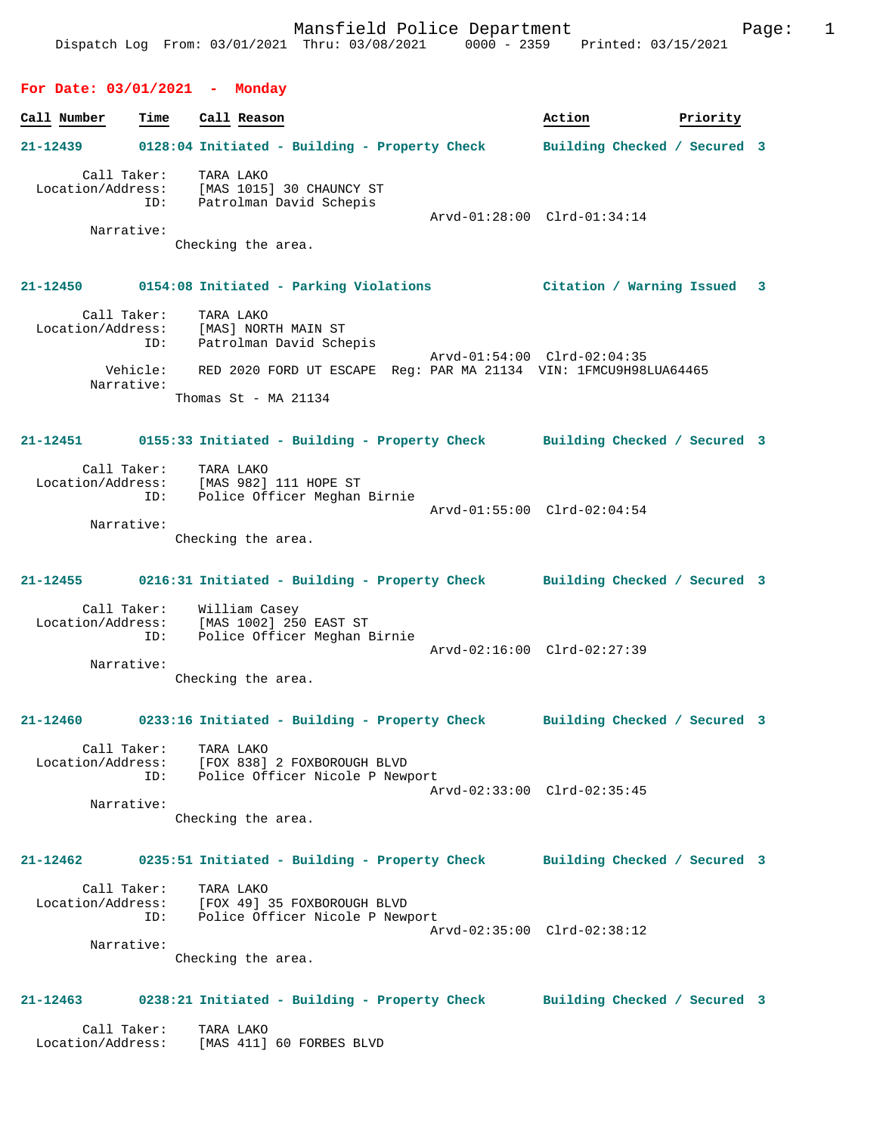### **For Date: 03/01/2021 - Monday**

| For Date: 03/01/2021 - Monday |                        |                                                                                               |                              |          |  |
|-------------------------------|------------------------|-----------------------------------------------------------------------------------------------|------------------------------|----------|--|
| Call Number                   | Time                   | Call Reason                                                                                   | Action                       | Priority |  |
| 21-12439                      |                        | 0128:04 Initiated - Building - Property Check                                                 | Building Checked / Secured 3 |          |  |
| Location/Address:             | Call Taker:<br>ID:     | TARA LAKO<br>[MAS 1015] 30 CHAUNCY ST<br>Patrolman David Schepis                              | Arvd-01:28:00 Clrd-01:34:14  |          |  |
|                               | Narrative:             | Checking the area.                                                                            |                              |          |  |
|                               |                        | 21-12450 0154:08 Initiated - Parking Violations                                               | Citation / Warning Issued 3  |          |  |
| Location/Address:             | Call Taker:<br>ID:     | TARA LAKO<br>[MAS] NORTH MAIN ST<br>Patrolman David Schepis                                   |                              |          |  |
|                               | Vehicle:<br>Narrative: | RED 2020 FORD UT ESCAPE Req: PAR MA 21134 VIN: 1FMCU9H98LUA64465                              | Arvd-01:54:00 Clrd-02:04:35  |          |  |
|                               |                        | Thomas $St$ - MA 21134                                                                        |                              |          |  |
|                               |                        | 21-12451 0155:33 Initiated - Building - Property Check Building Checked / Secured 3           |                              |          |  |
| Location/Address:             | Call Taker:<br>ID:     | TARA LAKO<br>[MAS 982] 111 HOPE ST<br>Police Officer Meghan Birnie                            | Arvd-01:55:00 Clrd-02:04:54  |          |  |
|                               | Narrative:             | Checking the area.                                                                            |                              |          |  |
| 21-12455                      |                        | 0216:31 Initiated - Building - Property Check                                                 | Building Checked / Secured 3 |          |  |
| Location/Address:             | Call Taker:<br>ID:     | William Casey<br>[MAS 1002] 250 EAST ST<br>Police Officer Meghan Birnie                       | Arvd-02:16:00 Clrd-02:27:39  |          |  |
|                               | Narrative:             | Checking the area.                                                                            |                              |          |  |
| 21-12460                      |                        | 0233:16 Initiated - Building - Property Check                                                 | Building Checked / Secured 3 |          |  |
|                               | Call Taker:<br>ID:     | TARA LAKO<br>Location/Address: [FOX 838] 2 FOXBOROUGH BLVD<br>Police Officer Nicole P Newport | Arvd-02:33:00 Clrd-02:35:45  |          |  |
|                               | Narrative:             | Checking the area.                                                                            |                              |          |  |
| 21-12462                      |                        | 0235:51 Initiated - Building - Property Check                                                 | Building Checked / Secured 3 |          |  |
| Location/Address:             | Call Taker:<br>ID:     | TARA LAKO<br>[FOX 49] 35 FOXBOROUGH BLVD<br>Police Officer Nicole P Newport                   | Arvd-02:35:00 Clrd-02:38:12  |          |  |
|                               | Narrative:             |                                                                                               |                              |          |  |

Checking the area.

# **21-12463 0238:21 Initiated - Building - Property Check Building Checked / Secured 3**

| Call Taker:       | TARA LAKO |                          |  |
|-------------------|-----------|--------------------------|--|
| Location/Address: |           | [MAS 411] 60 FORBES BLVD |  |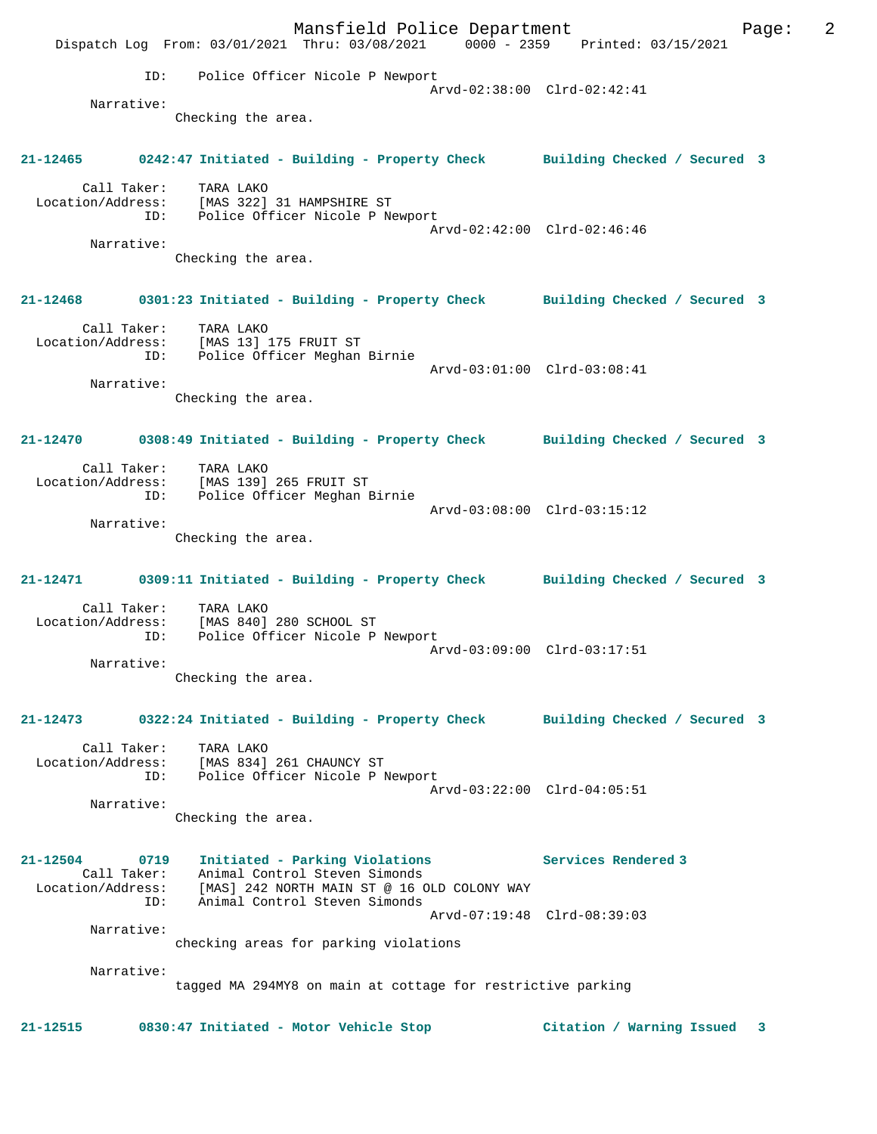Mansfield Police Department Form Page: 2 Dispatch Log From: 03/01/2021 Thru: 03/08/2021 0000 - 2359 Printed: 03/15/2021 ID: Police Officer Nicole P Newport Arvd-02:38:00 Clrd-02:42:41 Narrative: Checking the area. **21-12465 0242:47 Initiated - Building - Property Check Building Checked / Secured 3** Call Taker: TARA LAKO Location/Address: [MAS 322] 31 HAMPSHIRE ST ID: Police Officer Nicole P Newport Arvd-02:42:00 Clrd-02:46:46 Narrative: Checking the area. **21-12468 0301:23 Initiated - Building - Property Check Building Checked / Secured 3** Call Taker: TARA LAKO Location/Address: [MAS 13] 175 FRUIT ST ID: Police Officer Meghan Birnie Arvd-03:01:00 Clrd-03:08:41 Narrative: Checking the area. **21-12470 0308:49 Initiated - Building - Property Check Building Checked / Secured 3** Call Taker: TARA LAKO Location/Address: [MAS 139] 265 FRUIT ST ID: Police Officer Meghan Birnie Arvd-03:08:00 Clrd-03:15:12 Narrative: Checking the area. **21-12471 0309:11 Initiated - Building - Property Check Building Checked / Secured 3** Call Taker: TARA LAKO Location/Address: [MAS 840] 280 SCHOOL ST ID: Police Officer Nicole P Newport Arvd-03:09:00 Clrd-03:17:51 Narrative: Checking the area. **21-12473 0322:24 Initiated - Building - Property Check Building Checked / Secured 3** Call Taker: TARA LAKO Location/Address: [MAS 834] 261 CHAUNCY ST ID: Police Officer Nicole P Newport Arvd-03:22:00 Clrd-04:05:51 Narrative: Checking the area. **21-12504 0719 Initiated - Parking Violations Services Rendered 3**  Call Taker: Animal Control Steven Simonds Location/Address: [MAS] 242 NORTH MAIN ST @ 16 OLD COLONY WAY ID: Animal Control Steven Simonds Arvd-07:19:48 Clrd-08:39:03 Narrative: checking areas for parking violations Narrative: tagged MA 294MY8 on main at cottage for restrictive parking **21-12515 0830:47 Initiated - Motor Vehicle Stop Citation / Warning Issued 3**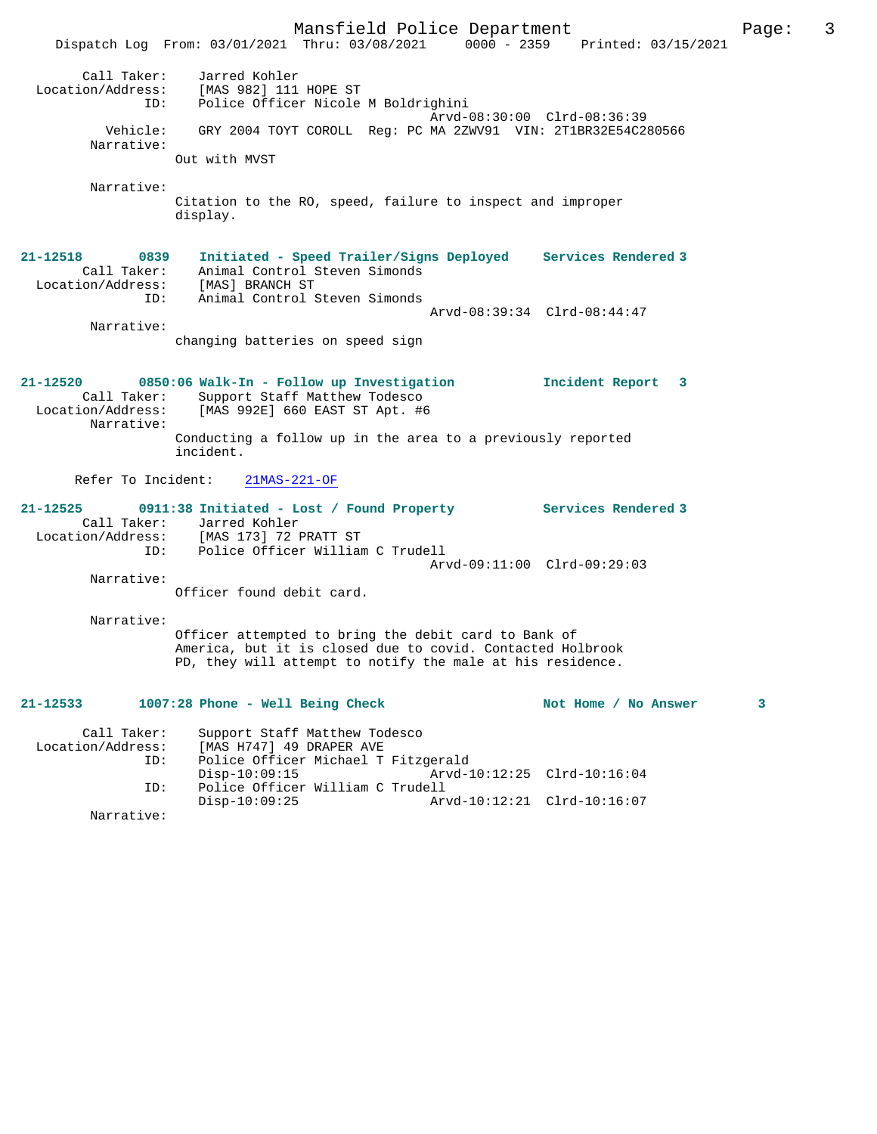Mansfield Police Department Page: 3 Dispatch Log From: 03/01/2021 Thru: 03/08/2021 0000 - 2359 Printed: 03/15/2021 Call Taker: Jarred Kohler Location/Address: [MAS 982] 111 HOPE ST ID: Police Officer Nicole M Boldrighini Arvd-08:30:00 Clrd-08:36:39 Vehicle: GRY 2004 TOYT COROLL Reg: PC MA 2ZWV91 VIN: 2T1BR32E54C280566 Narrative: Out with MVST Narrative: Citation to the RO, speed, failure to inspect and improper display. **21-12518 0839 Initiated - Speed Trailer/Signs Deployed Services Rendered 3**  Call Taker: Animal Control Steven Simonds Location/Address: [MAS] BRANCH ST ID: Animal Control Steven Simonds Arvd-08:39:34 Clrd-08:44:47 Narrative: changing batteries on speed sign **21-12520 0850:06 Walk-In - Follow up Investigation Incident Report 3**  Call Taker: Support Staff Matthew Todesco<br>Location/Address: [MAS 992E] 660 EAST ST Apt. #6 [MAS 992E] 660 EAST ST Apt. #6 Narrative: Conducting a follow up in the area to a previously reported incident. Refer To Incident: 21MAS-221-OF **21-12525 0911:38 Initiated - Lost / Found Property Services Rendered 3**  Call Taker: Jarred Kohler<br>Location/Address: [MAS 173] 72 I Location/Address: [MAS 173] 72 PRATT ST ID: Police Officer William C Trudell Arvd-09:11:00 Clrd-09:29:03 Narrative: Officer found debit card. Narrative: Officer attempted to bring the debit card to Bank of America, but it is closed due to covid. Contacted Holbrook PD, they will attempt to notify the male at his residence. 21-12533 1007:28 Phone - Well Being Check Not Home / No Answer 3 Call Taker: Support Staff Matthew Todesco<br>Location/Address: [MAS H747] 49 DRAPER AVE [MAS H747] 49 DRAPER AVE ID: Police Officer Michael T Fitzgerald Disp-10:09:15 Arvd-10:12:25 Clrd-10:16:04<br>ID: Police Officer William C Trudell Police Officer William C Trudell<br>Disp-10:09:25 Arv Disp-10:09:25 Arvd-10:12:21 Clrd-10:16:07

Narrative: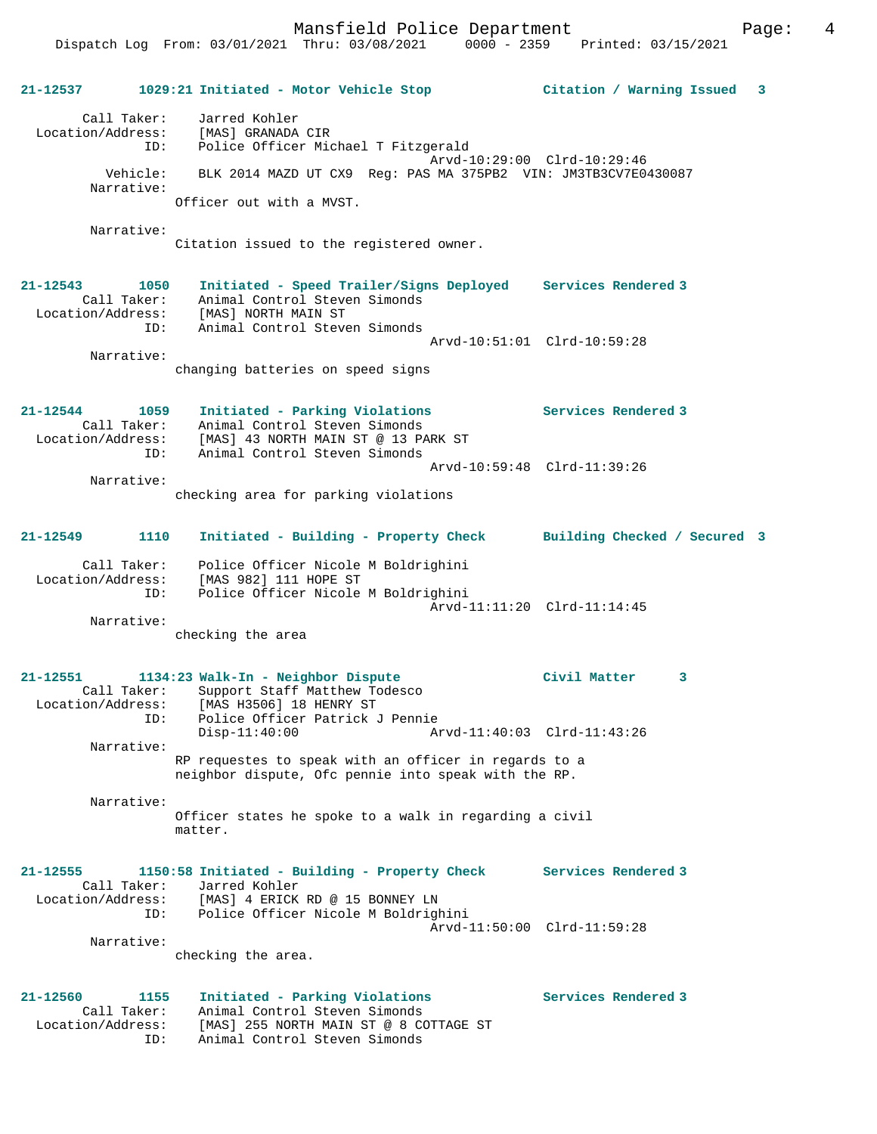Mansfield Police Department Form Page: 4

**21-12537 1029:21 Initiated - Motor Vehicle Stop Citation / Warning Issued 3**

 Call Taker: Jarred Kohler Location/Address: [MAS] GRANADA CIR ID: Police Officer Michael T Fitzgerald Arvd-10:29:00 Clrd-10:29:46 Vehicle: BLK 2014 MAZD UT CX9 Reg: PAS MA 375PB2 VIN: JM3TB3CV7E0430087 Narrative: Officer out with a MVST.

Narrative:

Citation issued to the registered owner.

**21-12543 1050 Initiated - Speed Trailer/Signs Deployed Services Rendered 3**  Call Taker: Animal Control Steven Simonds Location/Address: [MAS] NORTH MAIN ST ID: Animal Control Steven Simonds Arvd-10:51:01 Clrd-10:59:28 Narrative: changing batteries on speed signs

**21-12544 1059 Initiated - Parking Violations Services Rendered 3**  Call Taker: Animal Control Steven Simonds Location/Address: [MAS] 43 NORTH MAIN ST @ 13 PARK ST ID: Animal Control Steven Simonds Arvd-10:59:48 Clrd-11:39:26 Narrative:

checking area for parking violations

## **21-12549 1110 Initiated - Building - Property Check Building Checked / Secured 3**

 Call Taker: Police Officer Nicole M Boldrighini Location/Address: [MAS 982] 111 HOPE ST ID: Police Officer Nicole M Boldrighini Arvd-11:11:20 Clrd-11:14:45 Narrative:

checking the area

#### **21-12551 1134:23 Walk-In - Neighbor Dispute Civil Matter 3**  Call Taker: Support Staff Matthew Todesco<br>Iocation/Address: [MAS H3506] 18 HENRY ST ess: [MAS H3506] 18 HENRY ST<br>ID: Police Officer Patrick J Police Officer Patrick J Pennie<br>Disp-11:40:00 Ar Disp-11:40:00 Arvd-11:40:03 Clrd-11:43:26 Narrative: RP requestes to speak with an officer in regards to a neighbor dispute, Ofc pennie into speak with the RP.

 Narrative: Officer states he spoke to a walk in regarding a civil matter.

#### **21-12555 1150:58 Initiated - Building - Property Check Services Rendered 3**  Call Taker: Jarred Kohler<br>Location/Address: [MAS] 4 ERICK Location/Address: [MAS] 4 ERICK RD @ 15 BONNEY LN ID: Police Officer Nicole M Boldrighini Arvd-11:50:00 Clrd-11:59:28 Narrative:

checking the area.

**21-12560 1155 Initiated - Parking Violations Services Rendered 3**  Call Taker: Animal Control Steven Simonds Location/Address: [MAS] 255 NORTH MAIN ST @ 8 COTTAGE ST ID: Animal Control Steven Simonds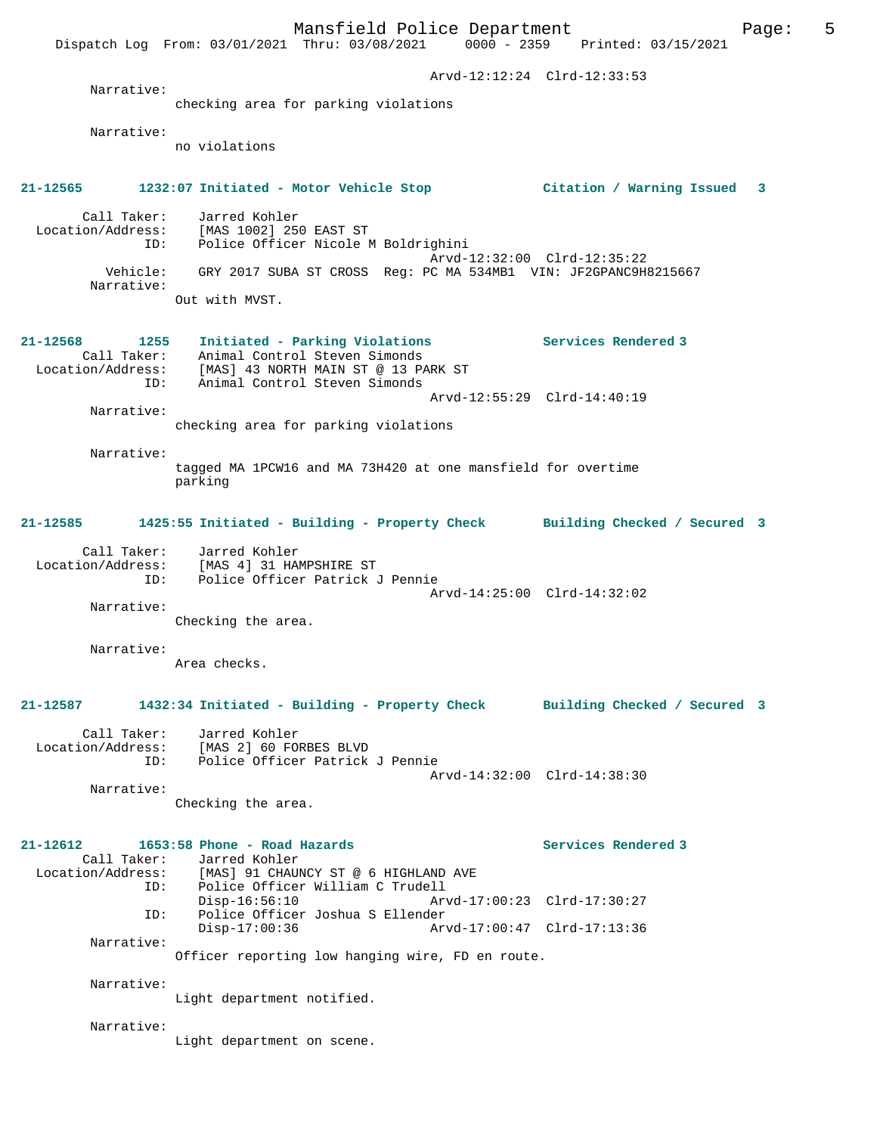Mansfield Police Department Page: 5 Dispatch Log From: 03/01/2021 Thru: 03/08/2021 0000 - 2359 Printed: 03/15/2021 Arvd-12:12:24 Clrd-12:33:53 Narrative: checking area for parking violations Narrative: no violations **21-12565 1232:07 Initiated - Motor Vehicle Stop Citation / Warning Issued 3** Call Taker: Jarred Kohler Location/Address: [MAS 1002] 250 EAST ST ID: Police Officer Nicole M Boldrighini Arvd-12:32:00 Clrd-12:35:22<br>Vehicle: GRY 2017 SUBA ST CROSS Reg: PC MA 534MB1 VIN: JF2GPANC9H GRY 2017 SUBA ST CROSS Reg: PC MA 534MB1 VIN: JF2GPANC9H8215667 Narrative: Out with MVST. **21-12568 1255 Initiated - Parking Violations Services Rendered 3**  Call Taker: Animal Control Steven Simonds Location/Address: [MAS] 43 NORTH MAIN ST @ 13 PARK ST ID: Animal Control Steven Simonds Arvd-12:55:29 Clrd-14:40:19 Narrative: checking area for parking violations Narrative: tagged MA 1PCW16 and MA 73H420 at one mansfield for overtime parking **21-12585 1425:55 Initiated - Building - Property Check Building Checked / Secured 3** Call Taker: Jarred Kohler Location/Address: [MAS 4] 31 HAMPSHIRE ST ID: Police Officer Patrick J Pennie Arvd-14:25:00 Clrd-14:32:02 Narrative: Checking the area. Narrative: Area checks. **21-12587 1432:34 Initiated - Building - Property Check Building Checked / Secured 3** Call Taker: Jarred Kohler Location/Address: [MAS 2] 60 FORBES BLVD ID: Police Officer Patrick J Pennie Arvd-14:32:00 Clrd-14:38:30 Narrative: Checking the area. **21-12612 1653:58 Phone - Road Hazards Services Rendered 3**  Call Taker: Jarred Kohler<br>Location/Address: [MAS] 91 CHAUN ess: [MAS] 91 CHAUNCY ST @ 6 HIGHLAND AVE<br>TD: Police Officer William C Trudell Police Officer William C Trudell<br>Disp-16:56:10 Arv Disp-16:56:10 Arvd-17:00:23 Clrd-17:30:27 ID: Police Officer Joshua S Ellender<br>Disp-17:00:36 Arv Disp-17:00:36 Arvd-17:00:47 Clrd-17:13:36 Narrative: Officer reporting low hanging wire, FD en route. Narrative: Light department notified. Narrative: Light department on scene.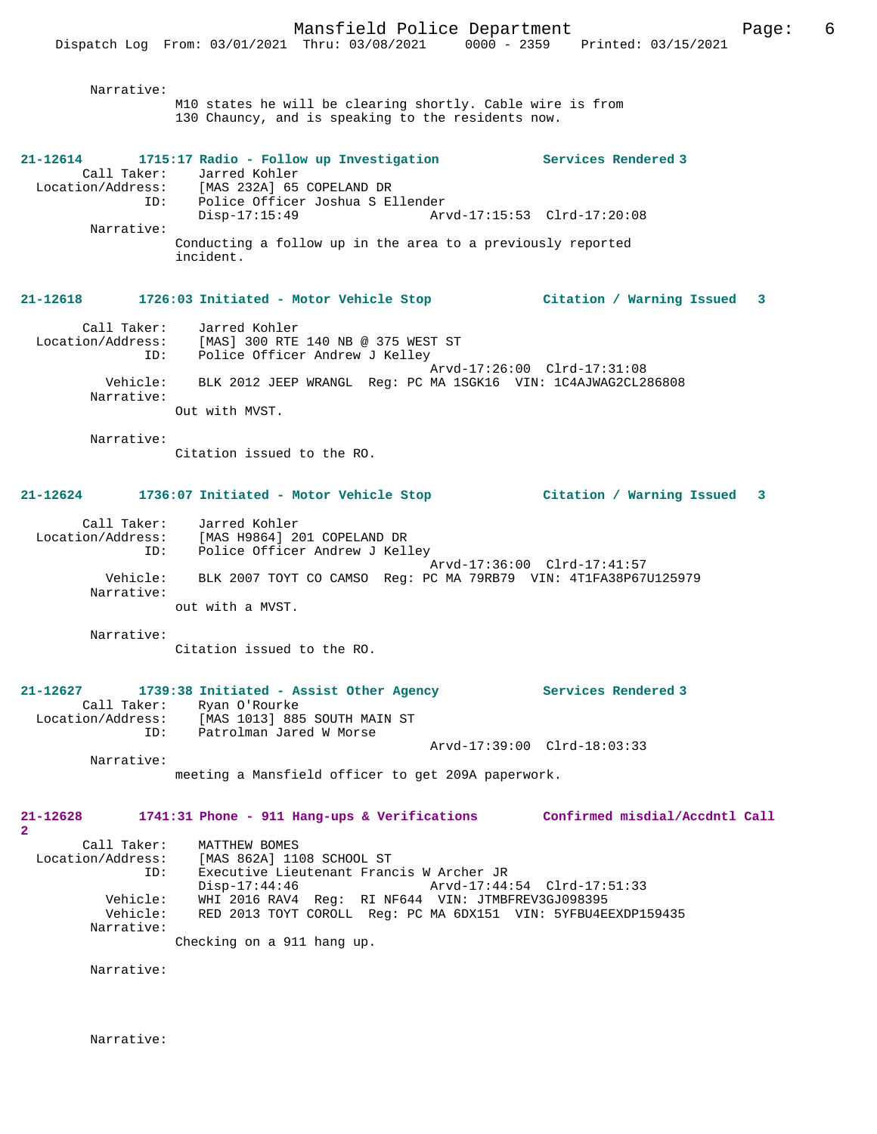M10 states he will be clearing shortly. Cable wire is from 130 Chauncy, and is speaking to the residents now. **21-12614 1715:17 Radio - Follow up Investigation Services Rendered 3**  Call Taker: Jarred Kohler Location/Address: [MAS 232A] 65 COPELAND DR ID: Police Officer Joshua S Ellender Arvd-17:15:53 Clrd-17:20:08 Narrative: Conducting a follow up in the area to a previously reported incident. **21-12618 1726:03 Initiated - Motor Vehicle Stop Citation / Warning Issued 3** Call Taker: Jarred Kohler Location/Address: [MAS] 300 RTE 140 NB @ 375 WEST ST<br>ID: Police Officer Andrew J Kelley Police Officer Andrew J Kelley Arvd-17:26:00 Clrd-17:31:08 Vehicle: BLK 2012 JEEP WRANGL Reg: PC MA 1SGK16 VIN: 1C4AJWAG2CL286808 Narrative: Out with MVST. Narrative: Citation issued to the RO. **21-12624 1736:07 Initiated - Motor Vehicle Stop Citation / Warning Issued 3** Call Taker: Jarred Kohler Location/Address: [MAS H9864] 201 COPELAND DR ID: Police Officer Andrew J Kelley Arvd-17:36:00 Clrd-17:41:57 Vehicle: BLK 2007 TOYT CO CAMSO Reg: PC MA 79RB79 VIN: 4T1FA38P67U125979 Narrative: out with a MVST. Narrative: Citation issued to the RO. **21-12627 1739:38 Initiated - Assist Other Agency Services Rendered 3**  Call Taker: Ryan O'Rourke<br>Location/Address: [MAS 1013] 889 Location/Address: [MAS 1013] 885 SOUTH MAIN ST ID: Patrolman Jared W Morse Arvd-17:39:00 Clrd-18:03:33 Narrative: meeting a Mansfield officer to get 209A paperwork. **21-12628 1741:31 Phone - 911 Hang-ups & Verifications Confirmed misdial/Accdntl Call** Call Taker: MATTHEW BOMES Location/Address: [MAS 862A] 1108 SCHOOL ST<br>ID: Executive Lieutenant Franc ID: Executive Lieutenant Francis W Archer JR Arvd-17:44:54 Clrd-17:51:33 Vehicle: WHI 2016 RAV4 Reg: RI NF644 VIN: JTMBFREV3GJ098395 Vehicle: RED 2013 TOYT COROLL Reg: PC MA 6DX151 VIN: 5YFBU4EEXDP159435

Narrative:

Narrative:

Checking on a 911 hang up.

**2** 

Narrative:

Narrative: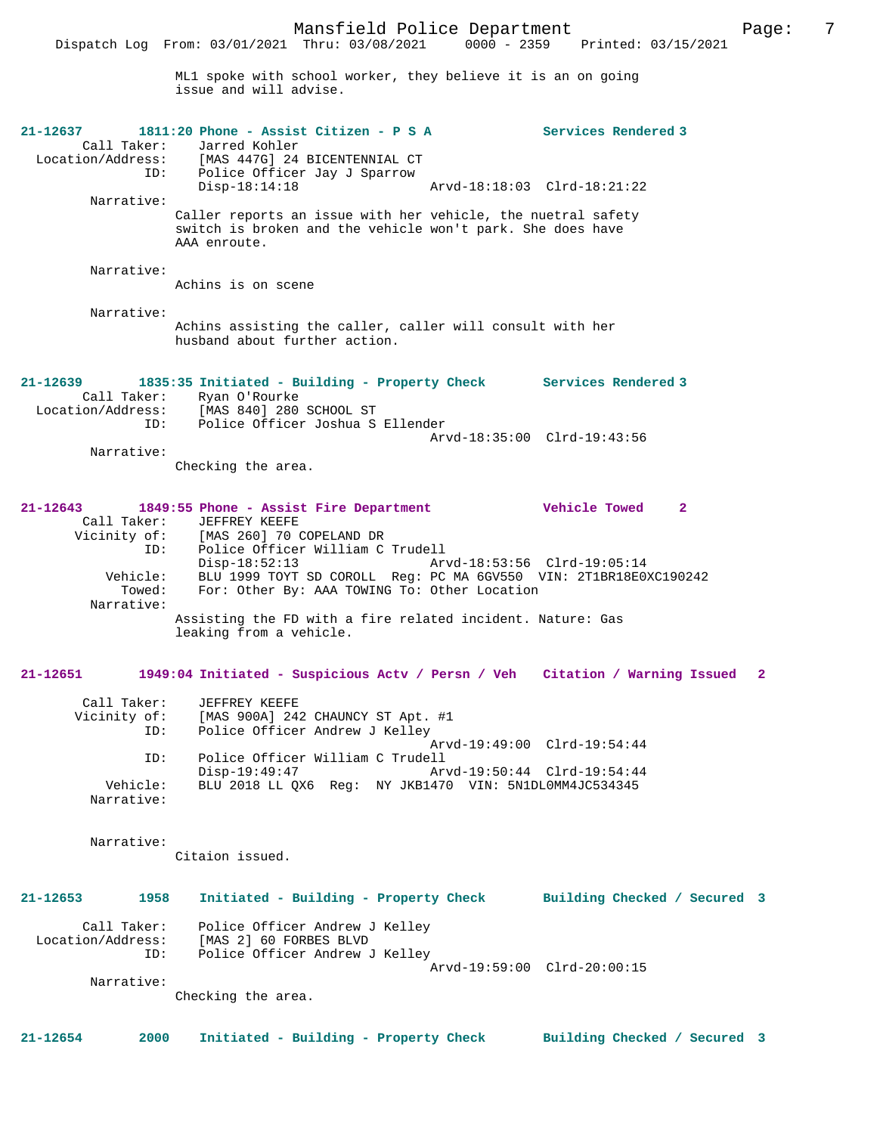ML1 spoke with school worker, they believe it is an on going issue and will advise. **21-12637 1811:20 Phone - Assist Citizen - P S A Services Rendered 3**  Call Taker: Jarred Kohler<br>Location/Address: [MAS 447G] 24 ess: [MAS 447G] 24 BICENTENNIAL CT<br>ID: Police Officer Jay J Sparrow Police Officer Jay J Sparrow<br>Disp-18:14:18 Disp-18:14:18 Arvd-18:18:03 Clrd-18:21:22 Narrative: Caller reports an issue with her vehicle, the nuetral safety switch is broken and the vehicle won't park. She does have AAA enroute. Narrative: Achins is on scene Narrative: Achins assisting the caller, caller will consult with her husband about further action. **21-12639 1835:35 Initiated - Building - Property Check Services Rendered 3**  Call Taker: Ryan O'Rourke<br>Location/Address: [MAS 840] 280 ess: [MAS 840] 280 SCHOOL ST<br>ID: Police Officer Joshua S Police Officer Joshua S Ellender Arvd-18:35:00 Clrd-19:43:56 Narrative: Checking the area. **21-12643 1849:55 Phone - Assist Fire Department Vehicle Towed 2**  Call Taker: JEFFREY KEEFE Vicinity of: [MAS 260] 70 COPELAND DR ID: Police Officer William C Trudell Disp-18:52:13 Arvd-18:53:56 Clrd-19:05:14 Vehicle: BLU 1999 TOYT SD COROLL Reg: PC MA 6GV550 VIN: 2T1BR18E0XC190242<br>Towed: For: Other By: AAA TOWING To: Other Location For: Other By: AAA TOWING To: Other Location Narrative: Assisting the FD with a fire related incident. Nature: Gas leaking from a vehicle. **21-12651 1949:04 Initiated - Suspicious Actv / Persn / Veh Citation / Warning Issued 2** Call Taker: JEFFREY KEEFE Vicinity of: [MAS 900A] 242 CHAUNCY ST Apt. #1 ID: Police Officer Andrew J Kelley Arvd-19:49:00 Clrd-19:54:44 ID: Police Officer William C Trudell Arvd-19:50:44 Clrd-19:54:44 Vehicle: BLU 2018 LL QX6 Reg: NY JKB1470 VIN: 5N1DL0MM4JC534345 Narrative: Narrative: Citaion issued. **21-12653 1958 Initiated - Building - Property Check Building Checked / Secured 3** Call Taker: Police Officer Andrew J Kelley Location/Address: [MAS 2] 60 FORBES BLVD Police Officer Andrew J Kelley Arvd-19:59:00 Clrd-20:00:15 Narrative: Checking the area. **21-12654 2000 Initiated - Building - Property Check Building Checked / Secured 3**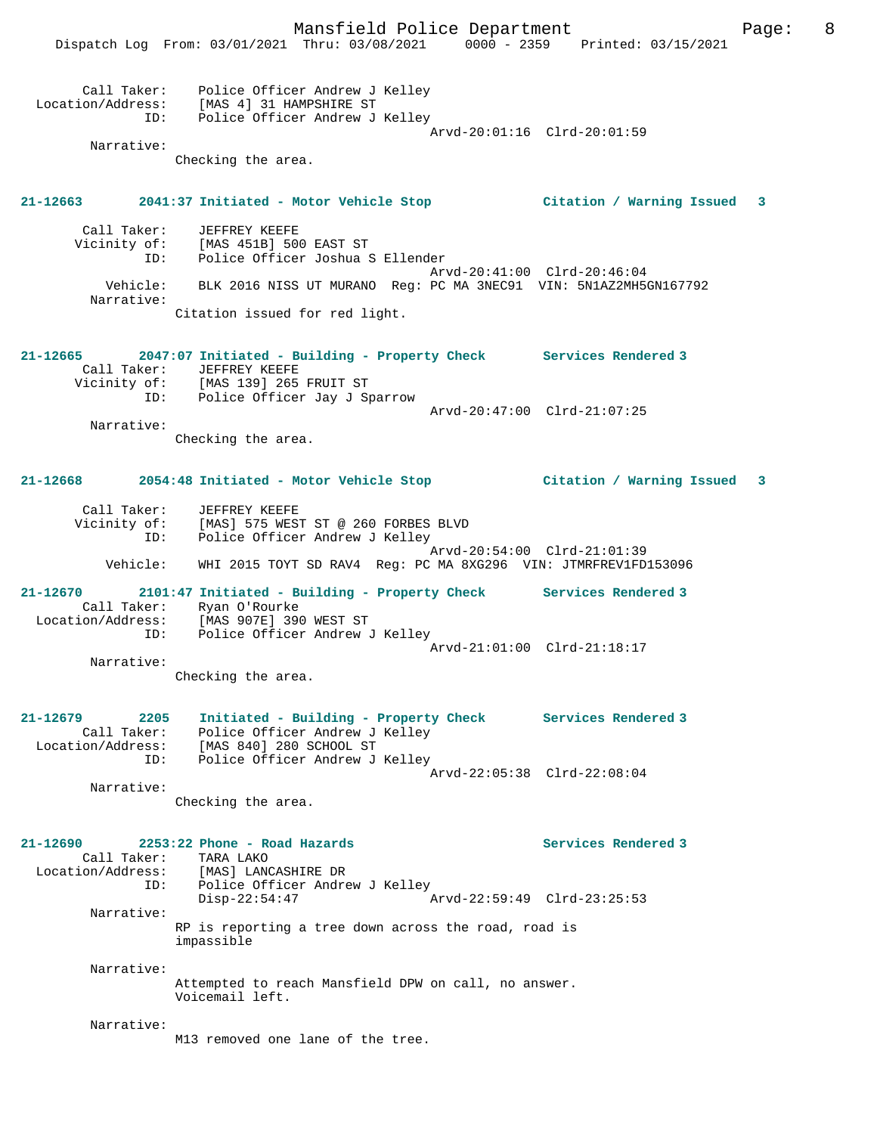|                         |                                                                                                                                                     | Mansfield Police Department                                    |                                                                                                                | 8<br>Page: |
|-------------------------|-----------------------------------------------------------------------------------------------------------------------------------------------------|----------------------------------------------------------------|----------------------------------------------------------------------------------------------------------------|------------|
|                         |                                                                                                                                                     |                                                                | Dispatch Log From: 03/01/2021 Thru: 03/08/2021 0000 - 2359 Printed: 03/15/2021                                 |            |
| ID:                     | Call Taker: Police Officer Andrew J Kelley<br>Location/Address: [MAS 4] 31 HAMPSHIRE ST<br>Police Officer Andrew J Kelley                           |                                                                | Arvd-20:01:16 Clrd-20:01:59                                                                                    |            |
| Narrative:              |                                                                                                                                                     |                                                                |                                                                                                                |            |
|                         | Checking the area.                                                                                                                                  |                                                                |                                                                                                                |            |
|                         |                                                                                                                                                     |                                                                | 21-12663 2041:37 Initiated - Motor Vehicle Stop Citation / Warning Issued 3                                    |            |
|                         |                                                                                                                                                     |                                                                |                                                                                                                |            |
|                         | Call Taker: JEFFREY KEEFE<br>Vicinity of: [MAS 451B] 500 EAST ST<br>ID: Police Officer Joshua S Ellender                                            |                                                                |                                                                                                                |            |
|                         |                                                                                                                                                     |                                                                | Arvd-20:41:00 Clrd-20:46:04                                                                                    |            |
|                         | Vehicle: BLK 2016 NISS UT MURANO Reg: PC MA 3NEC91 VIN: 5N1AZ2MH5GN167792                                                                           |                                                                |                                                                                                                |            |
| Narrative:              | Citation issued for red light.                                                                                                                      |                                                                |                                                                                                                |            |
|                         |                                                                                                                                                     |                                                                |                                                                                                                |            |
|                         | 21-12665 2047:07 Initiated - Building - Property Check Services Rendered 3<br>Call Taker: JEFFREY KEEFE                                             |                                                                |                                                                                                                |            |
|                         | Vicinity of: [MAS 139] 265 FRUIT ST<br>ID: Police Officer Jay J Sparrow                                                                             |                                                                |                                                                                                                |            |
|                         |                                                                                                                                                     |                                                                | Arvd-20:47:00 Clrd-21:07:25                                                                                    |            |
| Narrative:              |                                                                                                                                                     |                                                                |                                                                                                                |            |
|                         | Checking the area.                                                                                                                                  |                                                                |                                                                                                                |            |
|                         |                                                                                                                                                     |                                                                | 21-12668 2054:48 Initiated - Motor Vehicle Stop [121-12668   21-12668 2054:48 Initiated - Motor Vehicle Stop [ |            |
| ID:                     | Call Taker: JEFFREY KEEFE<br>Vicinity of: [MAS] 575 WEST ST @ 260 FORBES BLVD<br>Police Officer Andrew J Kelley                                     |                                                                |                                                                                                                |            |
| Vehicle:                |                                                                                                                                                     | WHI 2015 TOYT SD RAV4 Reg: PC MA 8XG296 VIN: JTMRFREV1FD153096 | Arvd-20:54:00 Clrd-21:01:39                                                                                    |            |
|                         | 21-12670 2101:47 Initiated - Building - Property Check Services Rendered 3<br>Call Taker: Ryan O'Rourke<br>Location/Address: [MAS 907E] 390 WEST ST |                                                                |                                                                                                                |            |
| ID:                     | Police Officer Andrew J Kelley                                                                                                                      |                                                                | Arvd-21:01:00 Clrd-21:18:17                                                                                    |            |
| Narrative:              |                                                                                                                                                     |                                                                |                                                                                                                |            |
|                         | Checking the area.                                                                                                                                  |                                                                |                                                                                                                |            |
| 21-12679<br>2205<br>ID: | Call Taker: Police Officer Andrew J Kelley<br>Location/Address: [MAS 840] 280 SCHOOL ST<br>Police Officer Andrew J Kelley                           | Initiated - Building - Property Check Services Rendered 3      |                                                                                                                |            |
|                         |                                                                                                                                                     |                                                                | Arvd-22:05:38 Clrd-22:08:04                                                                                    |            |
| Narrative:              | Checking the area.                                                                                                                                  |                                                                |                                                                                                                |            |
| 21-12690                | 2253:22 Phone - Road Hazards                                                                                                                        |                                                                | Services Rendered 3                                                                                            |            |
|                         | Call Taker: TARA LAKO                                                                                                                               |                                                                |                                                                                                                |            |
| ID:                     | Location/Address: [MAS] LANCASHIRE DR<br>Police Officer Andrew J Kelley                                                                             |                                                                |                                                                                                                |            |
|                         | $Disp-22:54:47$                                                                                                                                     |                                                                | Arvd-22:59:49 Clrd-23:25:53                                                                                    |            |
| Narrative:              | RP is reporting a tree down across the road, road is<br>impassible                                                                                  |                                                                |                                                                                                                |            |
| Narrative:              |                                                                                                                                                     |                                                                |                                                                                                                |            |
|                         | Attempted to reach Mansfield DPW on call, no answer.<br>Voicemail left.                                                                             |                                                                |                                                                                                                |            |
| Narrative:              | M13 removed one lane of the tree.                                                                                                                   |                                                                |                                                                                                                |            |
|                         |                                                                                                                                                     |                                                                |                                                                                                                |            |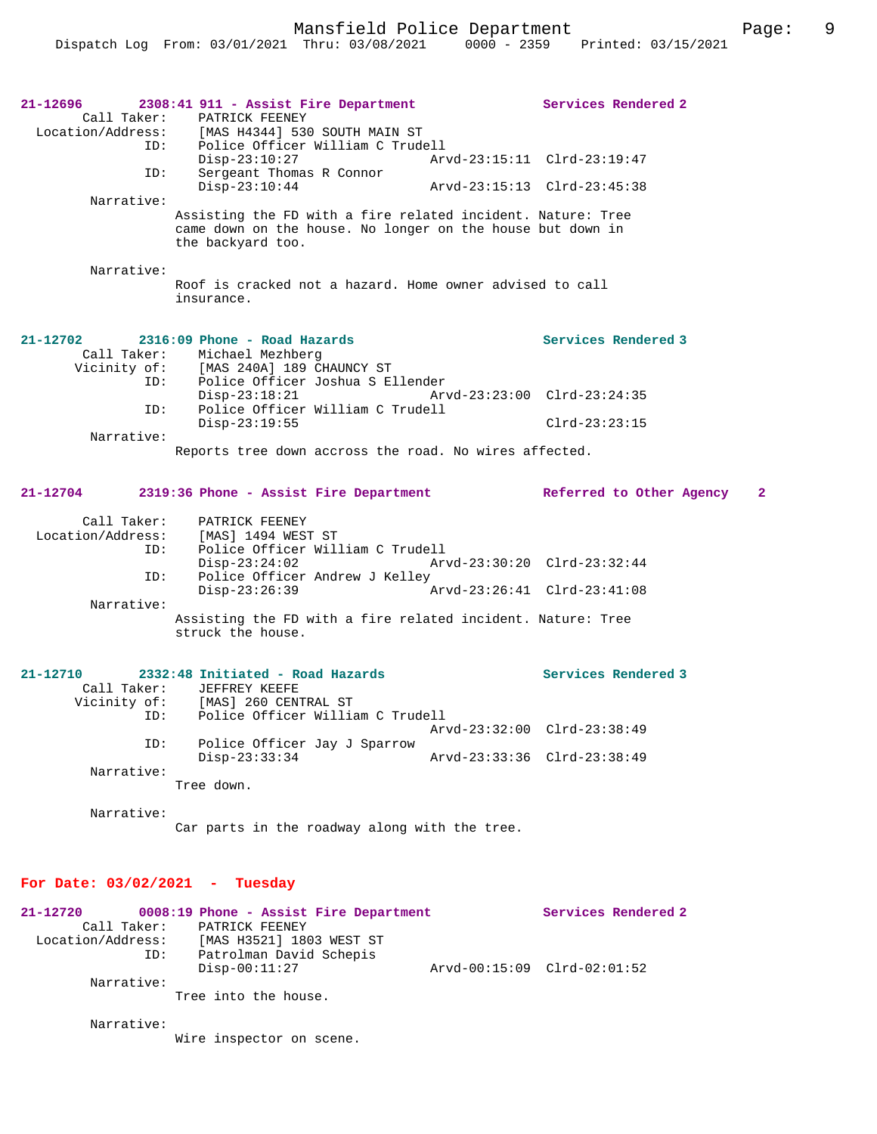| 21–12696<br>ID:<br>ID:<br>Narrative:<br>Narrative:                                         | 2308:41 911 - Assist Fire Department<br>Call Taker: PATRICK FEENEY<br>Location/Address: [MAS H4344] 530 SOUTH MAIN ST<br>Police Officer William C Trudell<br>Disp-23:10:27<br>Sergeant Thomas R Connor<br>$Disp-23:10:44$<br>Assisting the FD with a fire related incident. Nature: Tree<br>came down on the house. No longer on the house but down in<br>the backyard too.<br>Roof is cracked not a hazard. Home owner advised to call<br>insurance. | Services Rendered 2                                                               |
|--------------------------------------------------------------------------------------------|-------------------------------------------------------------------------------------------------------------------------------------------------------------------------------------------------------------------------------------------------------------------------------------------------------------------------------------------------------------------------------------------------------------------------------------------------------|-----------------------------------------------------------------------------------|
| $21 - 12702$<br>ID:<br>Narrative:                                                          | 2316:09 Phone - Road Hazards<br>Call Taker: Michael Mezhberg<br>Vicinity of: [MAS 240A] 189 CHAUNCY ST<br>ID: Police Officer Joshua S Ellender<br>$Disp-23:18:21$<br>Police Officer William C Trudell<br>$Disp-23:19:55$<br>Reports tree down accross the road. No wires affected.                                                                                                                                                                    | Services Rendered 3<br>Arvd-23:23:00 Clrd-23:24:35<br>$Clrd-23:23:15$             |
| Call Taker:<br>ID:<br>ID:<br>Narrative:                                                    | 21-12704 2319:36 Phone - Assist Fire Department Referred to Other Agency 2<br>PATRICK FEENEY<br>Location/Address: [MAS] 1494 WEST ST<br>Police Officer William C Trudell<br>$Disp-23:24:02$<br>Police Officer Andrew J Kelley<br>$Disp-23:26:39$<br>Assisting the FD with a fire related incident. Nature: Tree<br>struck the house.                                                                                                                  | Arvd-23:30:20 Clrd-23:32:44<br>Arvd-23:26:41 Clrd-23:41:08                        |
| $21 - 12710$<br>ID:<br>ID:<br>Narrative:<br>Narrative:<br>For Date: $03/02/2021$ - Tuesday | 2332:48 Initiated - Road Hazards<br>Call Taker: JEFFREY KEEFE<br>Vicinity of: [MAS] 260 CENTRAL ST<br>Police Officer William C Trudell<br>Police Officer Jay J Sparrow<br>$Disp-23:33:34$<br>Tree down.<br>Car parts in the roadway along with the tree.                                                                                                                                                                                              | Services Rendered 3<br>Arvd-23:32:00 Clrd-23:38:49<br>Arvd-23:33:36 Clrd-23:38:49 |
| $21 - 12720$                                                                               | 0008:19 Phone - Assist Fire Department<br>Call Taker: PATRICK FEENEY                                                                                                                                                                                                                                                                                                                                                                                  | Services Rendered 2                                                               |

 Call Taker: PATRICK FEENEY Location/Address: [MAS H3521] 1803 WEST ST ID: Patrolman David Schepis Disp-00:11:27 Arvd-00:15:09 Clrd-02:01:52 Narrative: Tree into the house.

Narrative:

Wire inspector on scene.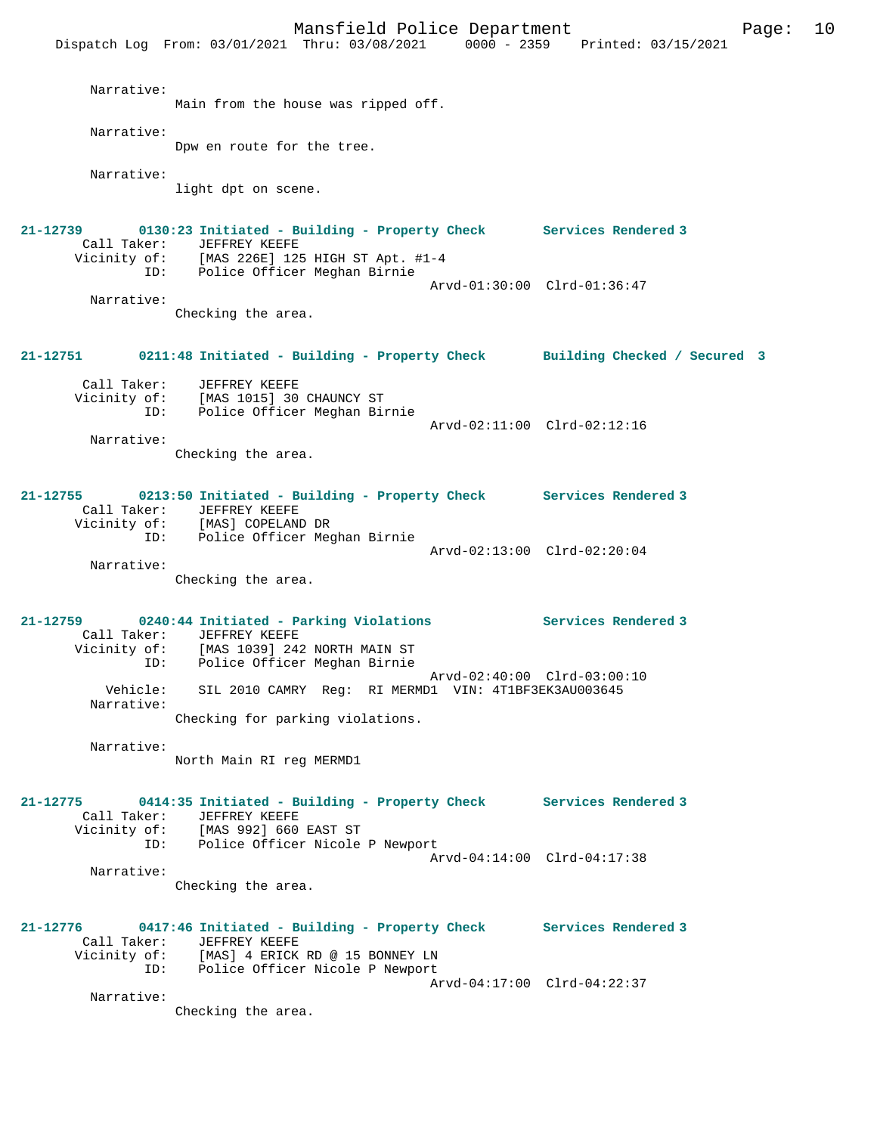Mansfield Police Department Form Page: 10 Dispatch Log From: 03/01/2021 Thru: 03/08/2021 0000 - 2359 Printed: 03/15/2021 Narrative: Main from the house was ripped off. Narrative: Dpw en route for the tree. Narrative: light dpt on scene. **21-12739 0130:23 Initiated - Building - Property Check Services Rendered 3**  Call Taker: JEFFREY KEEFE Vicinity of: [MAS 226E] 125 HIGH ST Apt. #1-4 ID: Police Officer Meghan Birnie Arvd-01:30:00 Clrd-01:36:47 Narrative: Checking the area. **21-12751 0211:48 Initiated - Building - Property Check Building Checked / Secured 3** Call Taker: JEFFREY KEEFE Vicinity of: [MAS 1015] 30 CHAUNCY ST ID: Police Officer Meghan Birnie Arvd-02:11:00 Clrd-02:12:16 Narrative: Checking the area. **21-12755 0213:50 Initiated - Building - Property Check Services Rendered 3**  Call Taker: JEFFREY KEEFE Vicinity of: [MAS] COPELAND DR ID: Police Officer Meghan Birnie Arvd-02:13:00 Clrd-02:20:04 Narrative: Checking the area. **21-12759 0240:44 Initiated - Parking Violations Services Rendered 3**  Call Taker: JEFFREY KEEFE Vicinity of: [MAS 1039] 242 NORTH MAIN ST ID: Police Officer Meghan Birnie Arvd-02:40:00 Clrd-03:00:10 Vehicle: SIL 2010 CAMRY Reg: RI MERMD1 VIN: 4T1BF3EK3AU003645 Narrative: Checking for parking violations. Narrative: North Main RI reg MERMD1 **21-12775 0414:35 Initiated - Building - Property Check Services Rendered 3**  Call Taker: JEFFREY KEEFE Vicinity of: [MAS 992] 660 EAST ST ID: Police Officer Nicole P Newport Arvd-04:14:00 Clrd-04:17:38 Narrative: Checking the area. **21-12776 0417:46 Initiated - Building - Property Check Services Rendered 3**  Call Taker: JEFFREY KEEFE<br>Vicinity of: [MAS] 4 ERICK [MAS] 4 ERICK RD @ 15 BONNEY LN ID: Police Officer Nicole P Newport Arvd-04:17:00 Clrd-04:22:37 Narrative: Checking the area.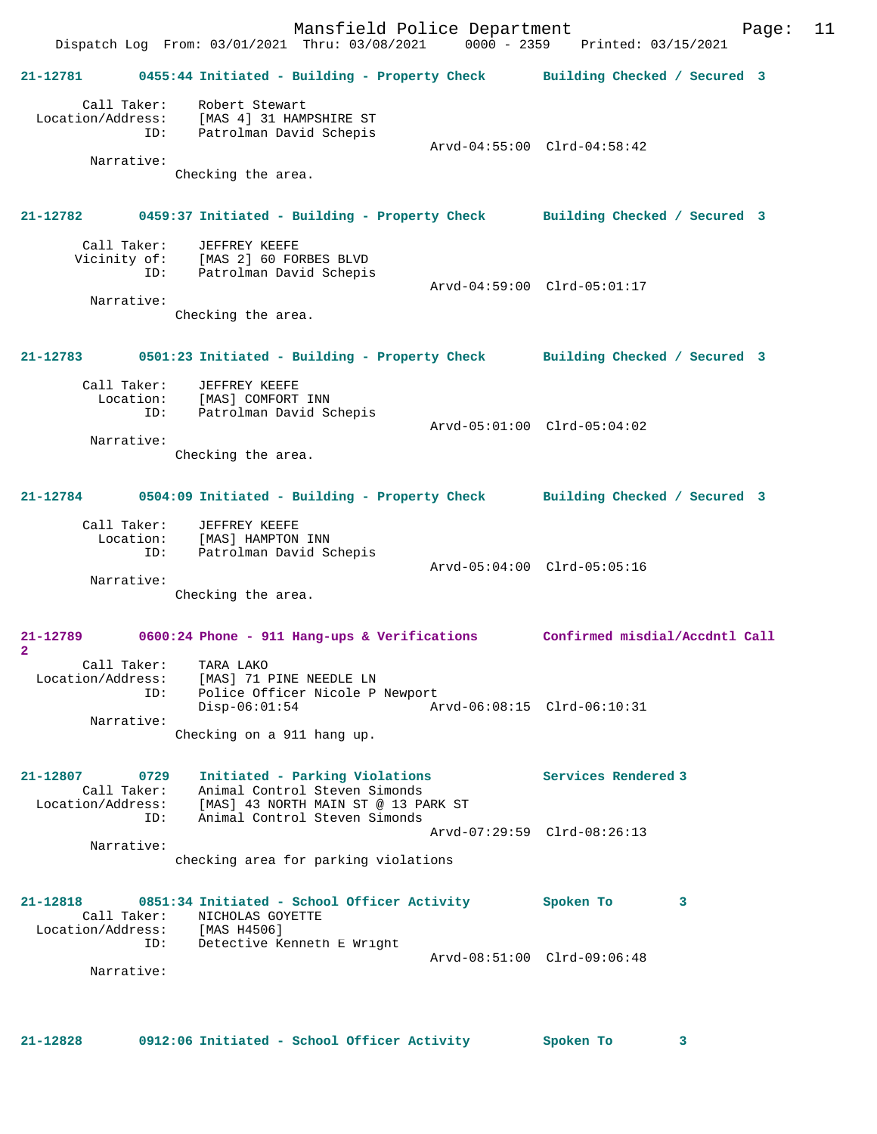Mansfield Police Department Fage: 11 Dispatch Log From: 03/01/2021 Thru: 03/08/2021 0000 - 2359 Printed: 03/15/2021 **21-12781 0455:44 Initiated - Building - Property Check Building Checked / Secured 3** Call Taker: Robert Stewart Location/Address: [MAS 4] 31 HAMPSHIRE ST ID: Patrolman David Schepis Arvd-04:55:00 Clrd-04:58:42 Narrative: Checking the area. **21-12782 0459:37 Initiated - Building - Property Check Building Checked / Secured 3** Call Taker: JEFFREY KEEFE Vicinity of: [MAS 2] 60 FORBES BLVD<br>ID: Patrolman David Schepis Patrolman David Schepis Arvd-04:59:00 Clrd-05:01:17 Narrative: Checking the area. **21-12783 0501:23 Initiated - Building - Property Check Building Checked / Secured 3** Call Taker: JEFFREY KEEFE Location: [MAS] COMFORT INN ID: Patrolman David Schepis Arvd-05:01:00 Clrd-05:04:02 Narrative: Checking the area. **21-12784 0504:09 Initiated - Building - Property Check Building Checked / Secured 3** Call Taker: JEFFREY KEEFE Location: [MAS] HAMPTON INN ID: Patrolman David Schepis Arvd-05:04:00 Clrd-05:05:16 Narrative: Checking the area. **21-12789 0600:24 Phone - 911 Hang-ups & Verifications Confirmed misdial/Accdntl Call 2**  Call Taker: TARA LAKO Location/Address: [MAS] 71 PINE NEEDLE LN ID: Police Officer Nicole P Newport Disp-06:01:54 Arvd-06:08:15 Clrd-06:10:31 Narrative: Checking on a 911 hang up. **21-12807 0729 Initiated - Parking Violations Services Rendered 3**  Call Taker: Animal Control Steven Simonds Location/Address: [MAS] 43 NORTH MAIN ST @ 13 PARK ST ID: Animal Control Steven Simonds Arvd-07:29:59 Clrd-08:26:13 Narrative: checking area for parking violations **21-12818 0851:34 Initiated - School Officer Activity Spoken To 3**  Call Taker: NICHOLAS GOYETTE Location/Address:<br>ID: [MAS H4506]<br>Detective Kenneth E Wright Arvd-08:51:00 Clrd-09:06:48 Narrative:

**21-12828 0912:06 Initiated - School Officer Activity Spoken To 3**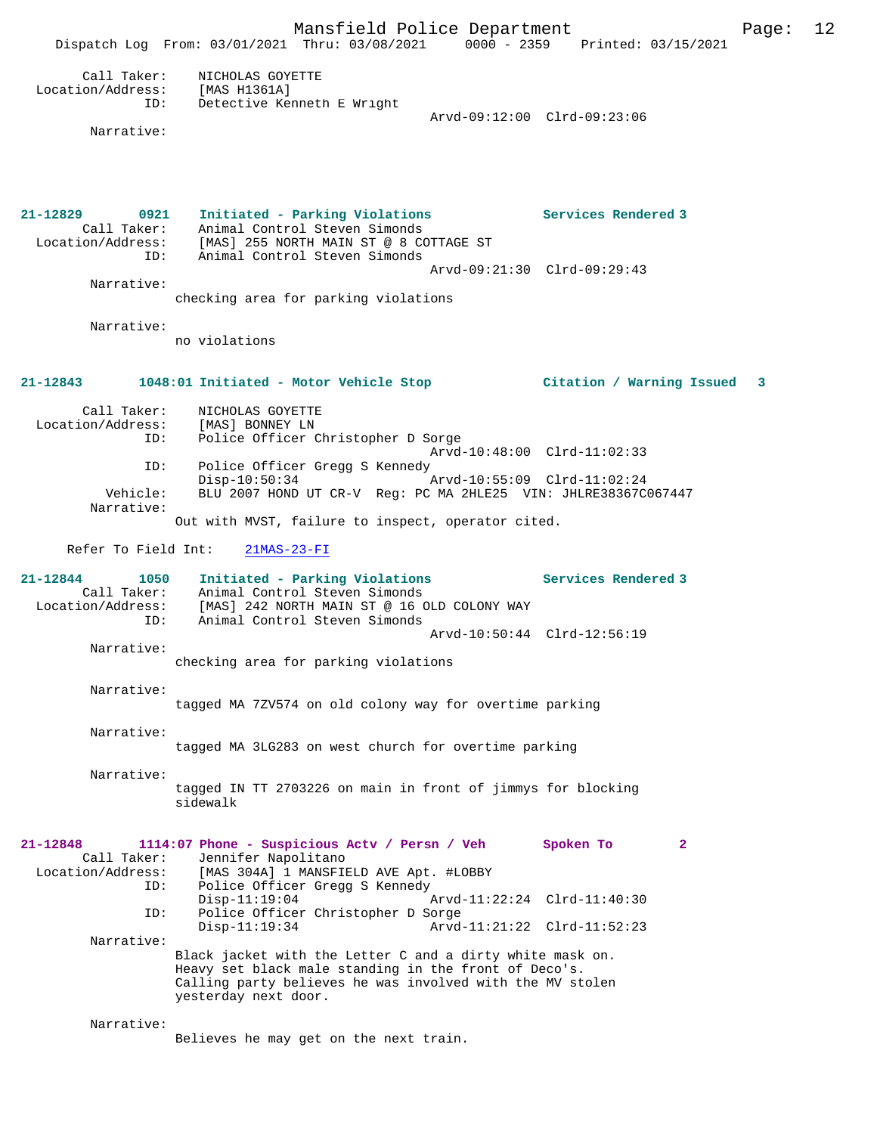Mansfield Police Department Page: 12 Dispatch Log From: 03/01/2021 Thru: 03/08/2021 0000 - 2359 Printed: 03/15/2021 Call Taker: NICHOLAS GOYETTE Location/Address: [MAS H1361A] ID: Detective Kenneth E Wright Arvd-09:12:00 Clrd-09:23:06 Narrative: **21-12829 0921 Initiated - Parking Violations Services Rendered 3**  Call Taker: Animal Control Steven Simonds Location/Address: [MAS] 255 NORTH MAIN ST @ 8 COTTAGE ST ID: Animal Control Steven Simonds Arvd-09:21:30 Clrd-09:29:43 Narrative: checking area for parking violations Narrative: no violations **21-12843 1048:01 Initiated - Motor Vehicle Stop Citation / Warning Issued 3** Call Taker: NICHOLAS GOYETTE Location/Address: [MAS] BONNEY LN<br>TD: Police Officer C Police Officer Christopher D Sorge Arvd-10:48:00 Clrd-11:02:33 ID: Police Officer Gregg S Kennedy<br>Disp-10:50:34 Disp-10:50:34 Arvd-10:55:09 Clrd-11:02:24 Vehicle: BLU 2007 HOND UT CR-V Reg: PC MA 2HLE25 VIN: JHLRE38367C067447 Narrative: Out with MVST, failure to inspect, operator cited. Refer To Field Int: 21MAS-23-FI **21-12844 1050 Initiated - Parking Violations Services Rendered 3**  Call Taker: Animal Control Steven Simonds Location/Address: [MAS] 242 NORTH MAIN ST @ 16 OLD COLONY WAY ID: Animal Control Steven Simonds Arvd-10:50:44 Clrd-12:56:19 Narrative: checking area for parking violations Narrative: tagged MA 7ZV574 on old colony way for overtime parking Narrative: tagged MA 3LG283 on west church for overtime parking Narrative: tagged IN TT 2703226 on main in front of jimmys for blocking sidewalk **21-12848 1114:07 Phone - Suspicious Actv / Persn / Veh Spoken To 2**  Call Taker: Jennifer Napolitano<br>Location/Address: [MAS 304A] 1 MANSFIE ess: [MAS 304A] 1 MANSFIELD AVE Apt. #LOBBY<br>ID: Police Officer Gregg S Kennedy Police Officer Gregg S Kennedy<br>Disp-11:19:04 Disp-11:19:04 Arvd-11:22:24 Clrd-11:40:30<br>TD: Police Officer Christopher D Sorge Police Officer Christopher D Sorge<br>Disp-11:19:34 Arvd Disp-11:19:34 Arvd-11:21:22 Clrd-11:52:23 Narrative: Black jacket with the Letter C and a dirty white mask on. Heavy set black male standing in the front of Deco's. Calling party believes he was involved with the MV stolen yesterday next door. Narrative:

Believes he may get on the next train.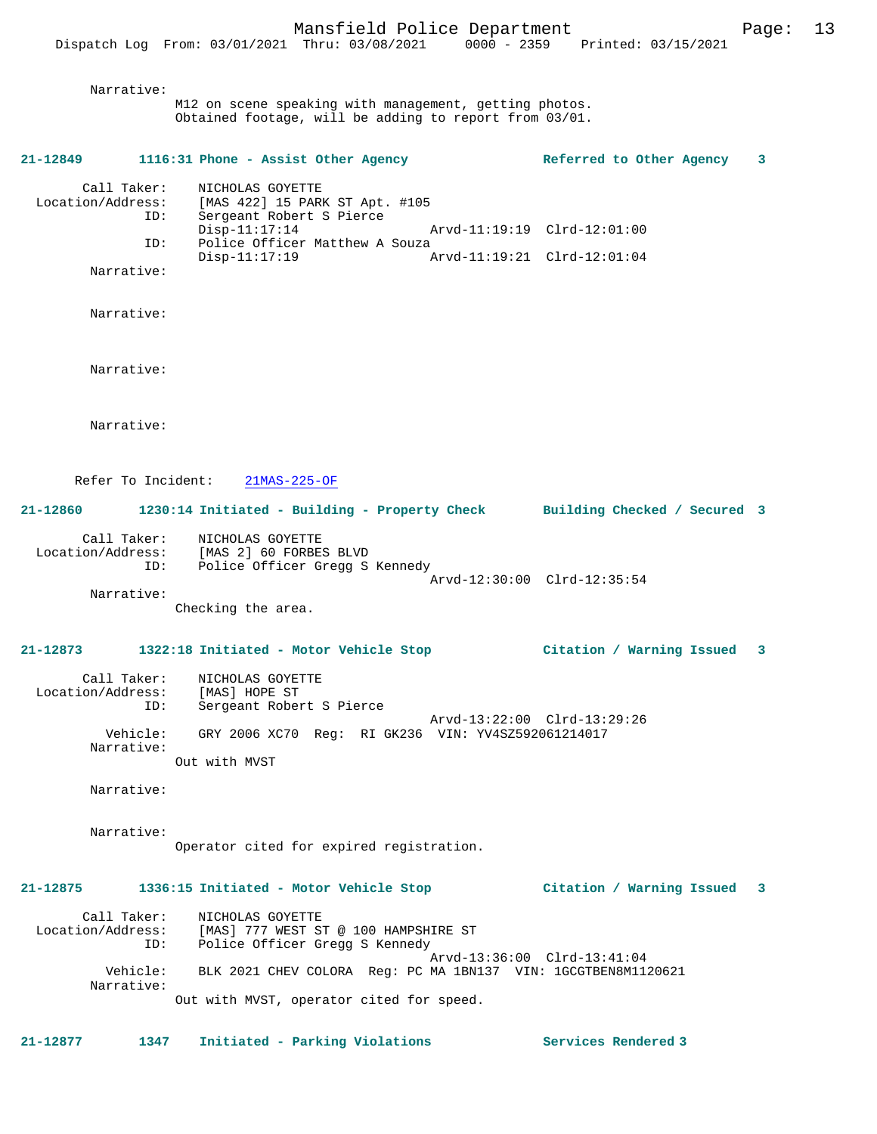#### Narrative:

M12 on scene speaking with management, getting photos. Obtained footage, will be adding to report from 03/01.

# **21-12849 1116:31 Phone - Assist Other Agency Referred to Other Agency 3** Call Taker: NICHOLAS GOYETTE Location/Address: [MAS 422] 15 PARK ST Apt. #105 ID: Sergeant Robert S Pierce Disp-11:17:14 Arvd-11:19:19 Clrd-12:01:00<br>ID: Police Officer Matthew A Souza Police Officer Matthew A Souza<br>Disp-11:17:19 A Disp-11:17:19 Arvd-11:19:21 Clrd-12:01:04 Narrative: Narrative: Narrative: Narrative: Refer To Incident: 21MAS-225-OF **21-12860 1230:14 Initiated - Building - Property Check Building Checked / Secured 3** Call Taker: NICHOLAS GOYETTE Location/Address: [MAS 2] 60 FORBES BLVD ID: Police Officer Gregg S Kennedy Arvd-12:30:00 Clrd-12:35:54 Narrative: Checking the area. **21-12873 1322:18 Initiated - Motor Vehicle Stop Citation / Warning Issued 3** Call Taker: NICHOLAS GOYETTE Location/Address: [MAS] HOPE ST ID: Sergeant Robert S Pierce Arvd-13:22:00 Clrd-13:29:26 Vehicle: GRY 2006 XC70 Reg: RI GK236 VIN: YV4SZ592061214017 Narrative: Out with MVST Narrative: Narrative: Operator cited for expired registration. **21-12875 1336:15 Initiated - Motor Vehicle Stop Citation / Warning Issued 3** Call Taker: NICHOLAS GOYETTE Location/Address: [MAS] 777 WEST ST @ 100 HAMPSHIRE ST ID: Police Officer Gregg S Kennedy

 Arvd-13:36:00 Clrd-13:41:04 Vehicle: BLK 2021 CHEV COLORA Reg: PC MA 1BN137 VIN: 1GCGTBEN8M1120621 Narrative: Out with MVST, operator cited for speed.

**21-12877 1347 Initiated - Parking Violations Services Rendered 3**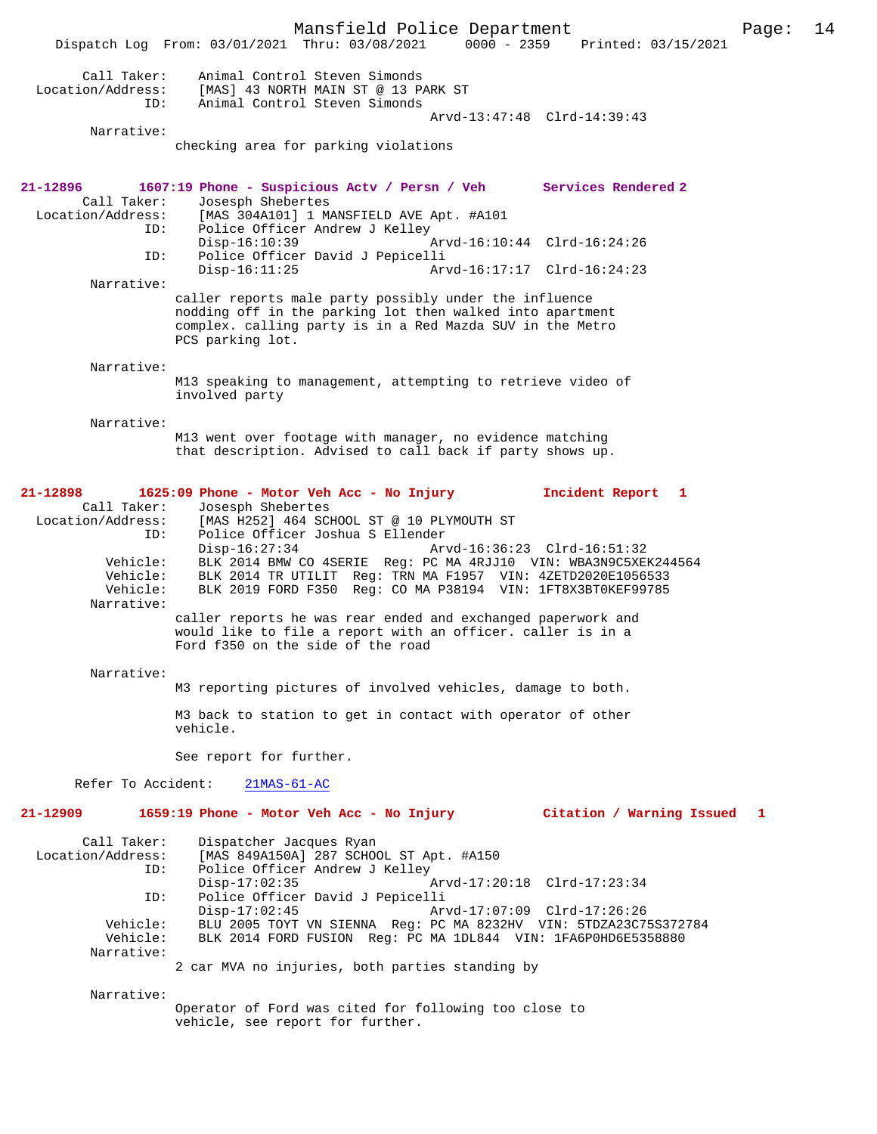Mansfield Police Department Page: 14 Dispatch Log From: 03/01/2021 Thru: 03/08/2021 0000 - 2359 Call Taker: Animal Control Steven Simonds Location/Address: [MAS] 43 NORTH MAIN ST @ 13 PARK ST Animal Control Steven Simonds Arvd-13:47:48 Clrd-14:39:43 Narrative: checking area for parking violations **21-12896 1607:19 Phone - Suspicious Actv / Persn / Veh Services Rendered 2**  Call Taker: Josesph Shebertes<br>Location/Address: [MAS 304A101] 1 M ess: [MAS 304A101] 1 MANSFIELD AVE Apt. #A101<br>ID: Police Officer Andrew J Kelley Police Officer Andrew J Kelley<br>Disp-16:10:39 Disp-16:10:39 Arvd-16:10:44 Clrd-16:24:26<br>ID: Police Officer David J Pepicelli Police Officer David J Pepicelli Disp-16:11:25 Arvd-16:17:17 Clrd-16:24:23 Narrative: caller reports male party possibly under the influence nodding off in the parking lot then walked into apartment complex. calling party is in a Red Mazda SUV in the Metro PCS parking lot. Narrative: M13 speaking to management, attempting to retrieve video of involved party Narrative: M13 went over footage with manager, no evidence matching that description. Advised to call back if party shows up. **21-12898 1625:09 Phone - Motor Veh Acc - No Injury Incident Report 1**  Call Taker: Josesph Shebertes<br>Location/Address: [MAS H252] 464 SC ess: [MAS H252] 464 SCHOOL ST @ 10 PLYMOUTH ST<br>ID: Police Officer Joshua S Ellender Police Officer Joshua S Ellender<br>Disp-16:27:34 Ar Arvd-16:36:23 Clrd-16:51:32 Vehicle: BLK 2014 BMW CO 4SERIE Reg: PC MA 4RJJ10 VIN: WBA3N9C5XEK244564<br>Vehicle: BLK 2014 TR UTILIT Reg: TRN MA F1957 VIN: 4ZETD2020E1056533 Vehicle: BLK 2014 TR UTILIT Reg: TRN MA F1957 VIN: 4ZETD2020E1056533 Vehicle: BLK 2019 FORD F350 Reg: CO MA P38194 VIN: 1FT8X3BT0KEF99785 Narrative: caller reports he was rear ended and exchanged paperwork and would like to file a report with an officer. caller is in a Ford f350 on the side of the road Narrative: M3 reporting pictures of involved vehicles, damage to both. M3 back to station to get in contact with operator of other vehicle. See report for further. Refer To Accident: 21MAS-61-AC **21-12909 1659:19 Phone - Motor Veh Acc - No Injury Citation / Warning Issued 1** Call Taker: Dispatcher Jacques Ryan<br>Location/Address: [MAS 849A150A] 287 SCHO [MAS 849A150A] 287 SCHOOL ST Apt. #A150 ID: Police Officer Andrew J Kelley Disp-17:02:35 Arvd-17:20:18 Clrd-17:23:34<br>TD: Police Officer David J Pepicelli Police Officer David J Pepicelli<br>Disp-17:02:45 Ar Disp-17:02:45 Arvd-17:07:09 Clrd-17:26:26 Vehicle: BLU 2005 TOYT VN SIENNA Reg: PC MA 8232HV VIN: 5TDZA23C75S372784<br>Vehicle: BLK 2014 FORD FUSION Reg: PC MA 1DL844 VIN: 1FA6P0HD6E5358880 BLK 2014 FORD FUSION Reg: PC MA 1DL844 VIN: 1FA6P0HD6E5358880 Narrative: 2 car MVA no injuries, both parties standing by Narrative:

Operator of Ford was cited for following too close to vehicle, see report for further.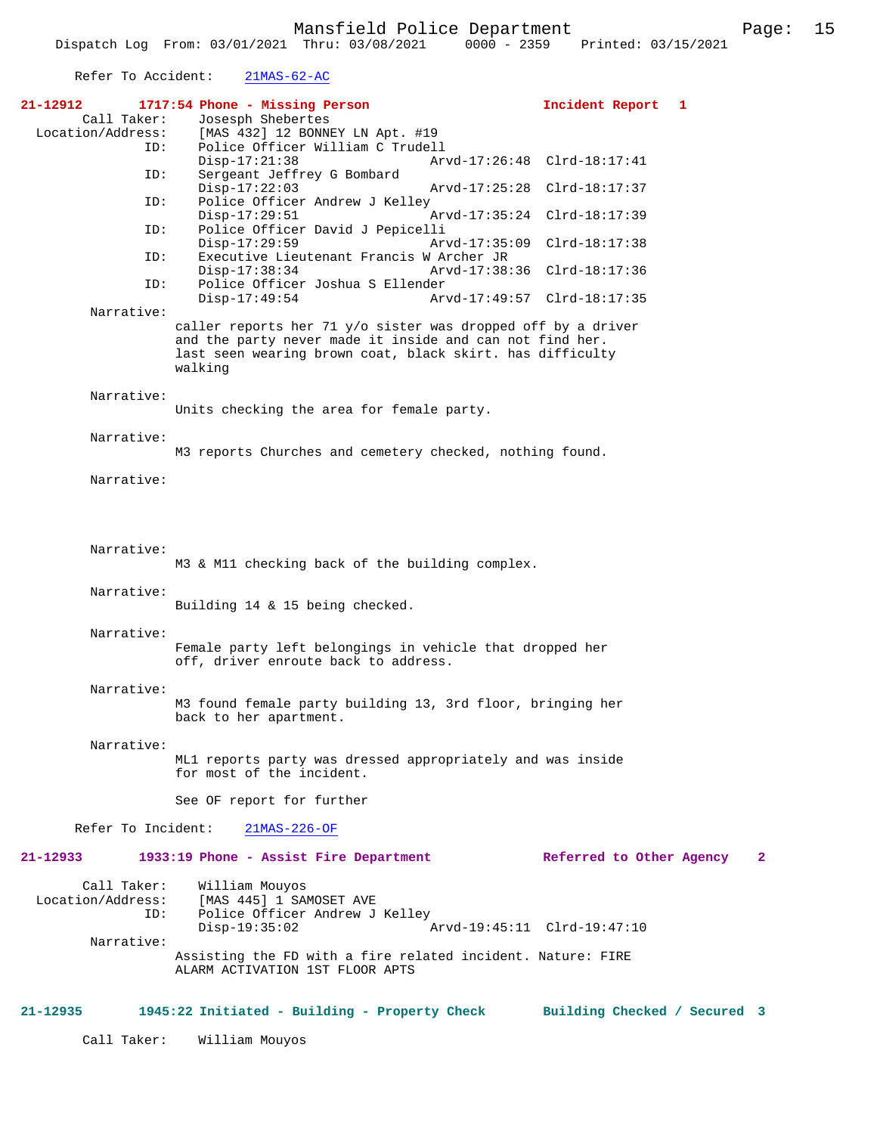Refer To Accident: 21MAS-62-AC

| 21-12912           | 1717:54 Phone - Missing Person<br>Incident Report 1                                             |   |
|--------------------|-------------------------------------------------------------------------------------------------|---|
| Call Taker:        | Josesph Shebertes                                                                               |   |
| Location/Address:  | [MAS 432] 12 BONNEY LN Apt. #19                                                                 |   |
| ID:                | Police Officer William C Trudell<br>$Disp-17:21:38$<br>Arvd-17:26:48 Clrd-18:17:41              |   |
| ID:                | Sergeant Jeffrey G Bombard                                                                      |   |
|                    | Arvd-17:25:28 Clrd-18:17:37<br>$Disp-17:22:03$                                                  |   |
| ID:                | Police Officer Andrew J Kelley                                                                  |   |
|                    | $Disp-17:29:51$<br>Arvd-17:35:24 Clrd-18:17:39                                                  |   |
| ID:                | Police Officer David J Pepicelli                                                                |   |
| ID:                | $Disp-17:29:59$<br>Arvd-17:35:09<br>$Clrd-18:17:38$<br>Executive Lieutenant Francis W Archer JR |   |
|                    | $Disp-17:38:34$<br>Arvd-17:38:36 Clrd-18:17:36                                                  |   |
| ID:                | Police Officer Joshua S Ellender                                                                |   |
|                    | $Disp-17:49:54$<br>Arvd-17:49:57 Clrd-18:17:35                                                  |   |
| Narrative:         |                                                                                                 |   |
|                    | caller reports her 71 $y$ /o sister was dropped off by a driver                                 |   |
|                    | and the party never made it inside and can not find her.                                        |   |
|                    | last seen wearing brown coat, black skirt. has difficulty<br>walking                            |   |
|                    |                                                                                                 |   |
| Narrative:         |                                                                                                 |   |
|                    | Units checking the area for female party.                                                       |   |
|                    |                                                                                                 |   |
| Narrative:         |                                                                                                 |   |
|                    | M3 reports Churches and cemetery checked, nothing found.                                        |   |
| Narrative:         |                                                                                                 |   |
|                    |                                                                                                 |   |
|                    |                                                                                                 |   |
|                    |                                                                                                 |   |
|                    |                                                                                                 |   |
| Narrative:         |                                                                                                 |   |
|                    | M3 & M11 checking back of the building complex.                                                 |   |
| Narrative:         |                                                                                                 |   |
|                    | Building 14 & 15 being checked.                                                                 |   |
|                    |                                                                                                 |   |
| Narrative:         |                                                                                                 |   |
|                    | Female party left belongings in vehicle that dropped her                                        |   |
|                    | off, driver enroute back to address.                                                            |   |
|                    |                                                                                                 |   |
| Narrative:         | M3 found female party building 13, 3rd floor, bringing her                                      |   |
|                    | back to her apartment.                                                                          |   |
|                    |                                                                                                 |   |
| Narrative:         |                                                                                                 |   |
|                    | ML1 reports party was dressed appropriately and was inside                                      |   |
|                    | for most of the incident.                                                                       |   |
|                    |                                                                                                 |   |
|                    | See OF report for further                                                                       |   |
| Refer To Incident: | $21MAS-226-OF$                                                                                  |   |
|                    |                                                                                                 |   |
| 21-12933           | 1933:19 Phone - Assist Fire Department<br>Referred to Other Agency                              | 2 |
|                    |                                                                                                 |   |
| Call Taker:        | William Mouyos                                                                                  |   |
| Location/Address:  | [MAS 445] 1 SAMOSET AVE                                                                         |   |
| ID:                | Police Officer Andrew J Kelley<br>Arvd-19:45:11 Clrd-19:47:10<br>$Disp-19:35:02$                |   |
| Narrative:         |                                                                                                 |   |
|                    | Assisting the FD with a fire related incident. Nature: FIRE                                     |   |
|                    | ALARM ACTIVATION 1ST FLOOR APTS                                                                 |   |
|                    |                                                                                                 |   |
|                    |                                                                                                 |   |
| 21-12935           | 1945:22 Initiated - Building - Property Check Building Checked / Secured 3                      |   |
| Call Taker:        | William Mouyos                                                                                  |   |
|                    |                                                                                                 |   |
|                    |                                                                                                 |   |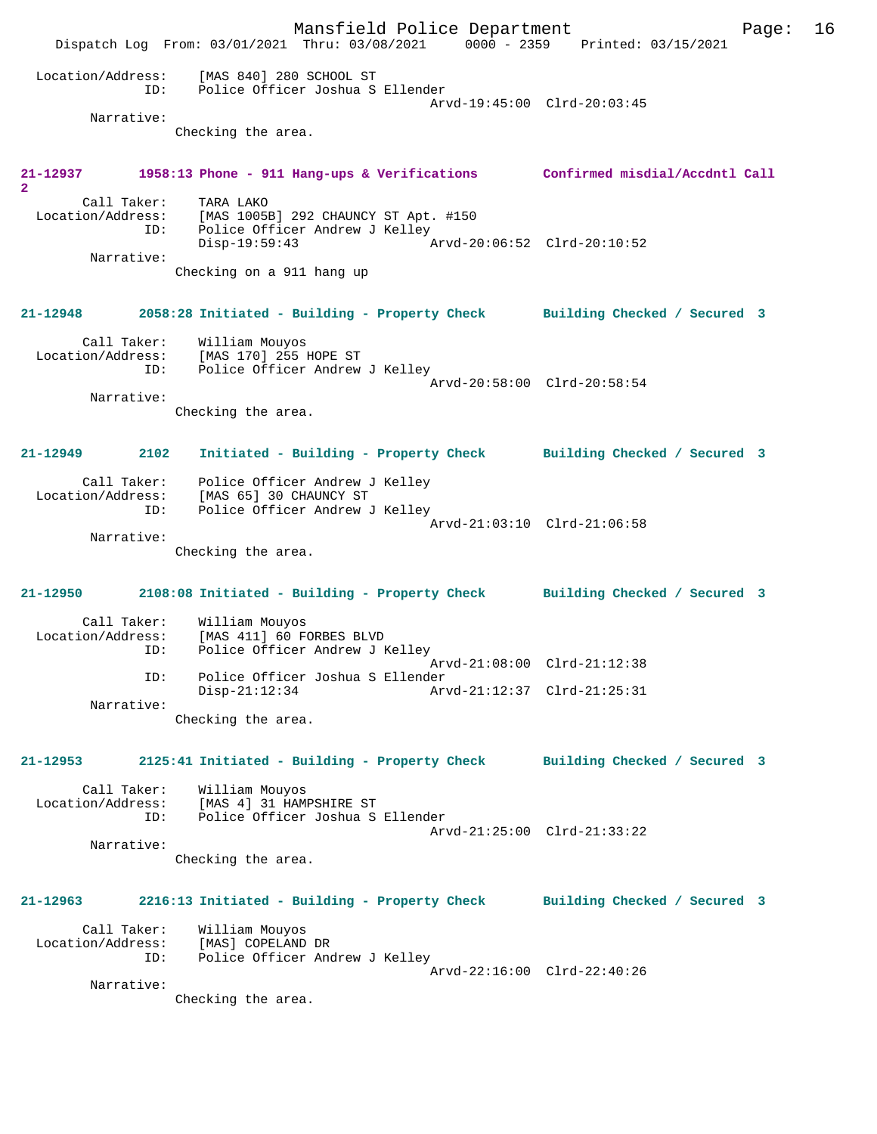Mansfield Police Department Page: 16 Dispatch Log From: 03/01/2021 Thru: 03/08/2021 0000 - 2359 Printed: 03/15/2021 Location/Address: [MAS 840] 280 SCHOOL ST ID: Police Officer Joshua S Ellender Arvd-19:45:00 Clrd-20:03:45 Narrative: Checking the area. **21-12937 1958:13 Phone - 911 Hang-ups & Verifications Confirmed misdial/Accdntl Call 2**  Call Taker: TARA LAKO Location/Address: [MAS 1005B] 292 CHAUNCY ST Apt. #150 ID: Police Officer Andrew J Kelley<br>Disp-19:59:43 Disp-19:59:43 Arvd-20:06:52 Clrd-20:10:52 Narrative: Checking on a 911 hang up **21-12948 2058:28 Initiated - Building - Property Check Building Checked / Secured 3** Call Taker: William Mouyos Location/Address: [MAS 170] 255 HOPE ST ID: Police Officer Andrew J Kelley Arvd-20:58:00 Clrd-20:58:54 Narrative: Checking the area. **21-12949 2102 Initiated - Building - Property Check Building Checked / Secured 3** Call Taker: Police Officer Andrew J Kelley Location/Address: [MAS 65] 30 CHAUNCY ST ID: Police Officer Andrew J Kelley Arvd-21:03:10 Clrd-21:06:58 Narrative: Checking the area. **21-12950 2108:08 Initiated - Building - Property Check Building Checked / Secured 3** Call Taker: William Mouyos<br>Location/Address: [MAS 411] 60 F ess: [MAS 411] 60 FORBES BLVD<br>ID: Police Officer Andrew J K Police Officer Andrew J Kelley Arvd-21:08:00 Clrd-21:12:38 ID: Police Officer Joshua S Ellender Arvd-21:12:37 Clrd-21:25:31 Narrative: Checking the area. **21-12953 2125:41 Initiated - Building - Property Check Building Checked / Secured 3** Call Taker: William Mouyos Location/Address: [MAS 4] 31 HAMPSHIRE ST<br>TD: Police Officer Joshua S Police Officer Joshua S Ellender Arvd-21:25:00 Clrd-21:33:22 Narrative: Checking the area. **21-12963 2216:13 Initiated - Building - Property Check Building Checked / Secured 3** Call Taker: William Mouyos Location/Address: [MAS] COPELAND DR ID: Police Officer Andrew J Kelley Arvd-22:16:00 Clrd-22:40:26 Narrative: Checking the area.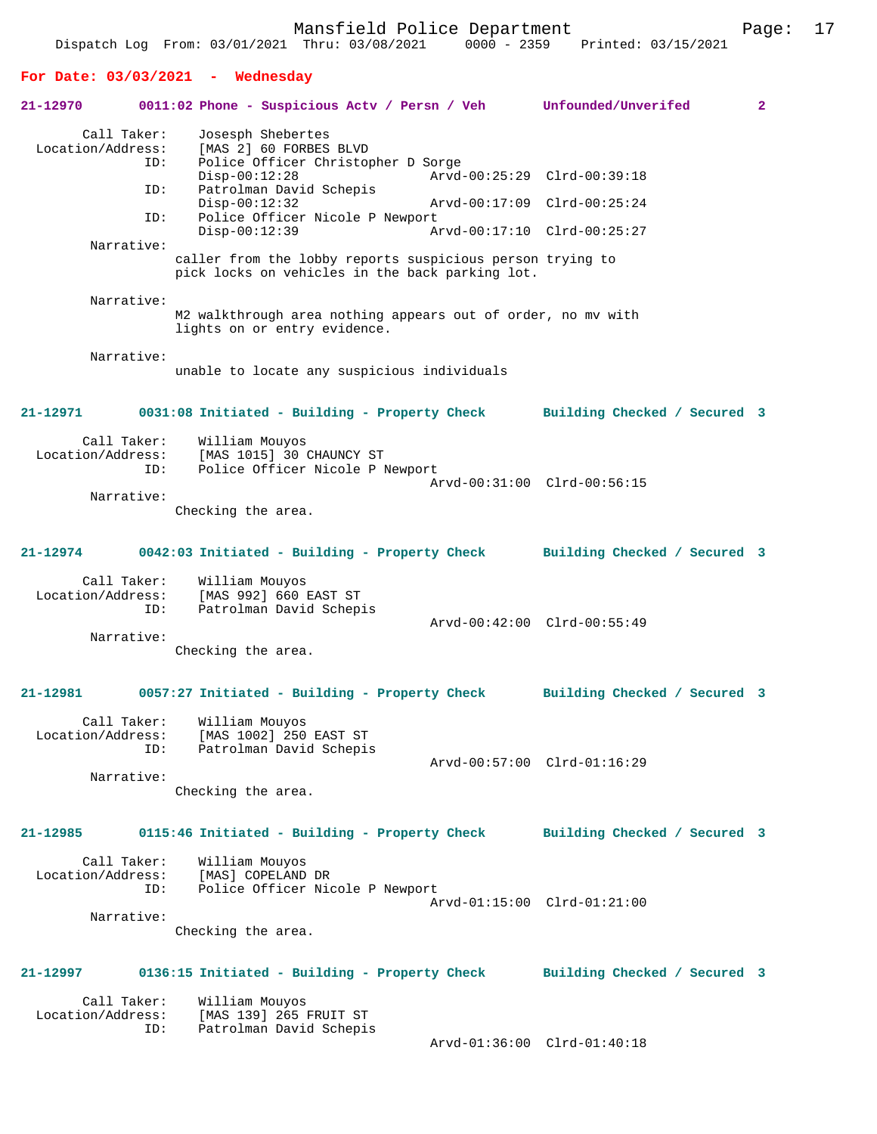Dispatch Log From: 03/01/2021 Thru: 03/08/2021

#### **For Date: 03/03/2021 - Wednesday**

## **21-12970 0011:02 Phone - Suspicious Actv / Persn / Veh Unfounded/Unverifed 2** Call Taker: Josesph Shebertes Location/Address: [MAS 2] 60 FORBES BLVD ID: Police Officer Christopher D Sorge Disp-00:12:28 Arvd-00:25:29 Clrd-00:39:18<br>ID: Patrolman David Schepis Patrolman David Schepis<br>Disp-00:12:32 Disp-00:12:32 Arvd-00:17:09 Clrd-00:25:24<br>TD: Police Officer Nicole P Newport Police Officer Nicole P Newport<br>Disp-00:12:39 Ar Disp-00:12:39 Arvd-00:17:10 Clrd-00:25:27 Narrative: caller from the lobby reports suspicious person trying to pick locks on vehicles in the back parking lot. Narrative: M2 walkthrough area nothing appears out of order, no mv with lights on or entry evidence. Narrative: unable to locate any suspicious individuals **21-12971 0031:08 Initiated - Building - Property Check Building Checked / Secured 3** Call Taker: William Mouyos Location/Address: [MAS 1015] 30 CHAUNCY ST Police Officer Nicole P Newport Arvd-00:31:00 Clrd-00:56:15 Narrative: Checking the area. **21-12974 0042:03 Initiated - Building - Property Check Building Checked / Secured 3** Call Taker: William Mouyos Location/Address: [MAS 992] 660 EAST ST ID: Patrolman David Schepis Arvd-00:42:00 Clrd-00:55:49 Narrative: Checking the area. **21-12981 0057:27 Initiated - Building - Property Check Building Checked / Secured 3** Call Taker: William Mouyos Location/Address: [MAS 1002] 250 EAST ST ID: Patrolman David Schepis Arvd-00:57:00 Clrd-01:16:29 Narrative: Checking the area. **21-12985 0115:46 Initiated - Building - Property Check Building Checked / Secured 3** Call Taker: William Mouyos<br>.on/Address: [MAS] COPELAND DR Location/Address: ID: Police Officer Nicole P Newport Arvd-01:15:00 Clrd-01:21:00 Narrative: Checking the area. **21-12997 0136:15 Initiated - Building - Property Check Building Checked / Secured 3** Call Taker: William Mouyos Location/Address: [MAS 139] 265 FRUIT ST Patrolman David Schepis Arvd-01:36:00 Clrd-01:40:18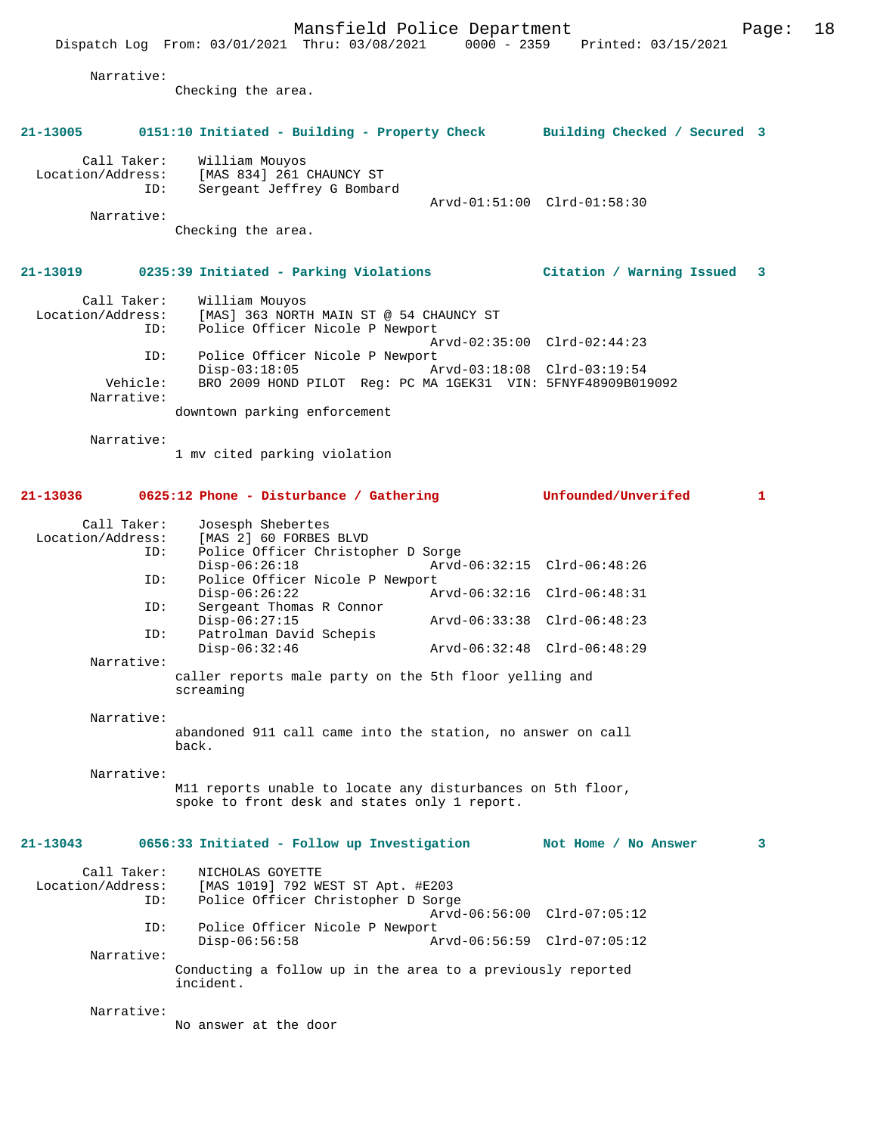|                                  | Narrative: | Checking the area.                                                                                           |                             |   |
|----------------------------------|------------|--------------------------------------------------------------------------------------------------------------|-----------------------------|---|
|                                  |            |                                                                                                              |                             |   |
| 21-13005                         |            | 0151:10 Initiated - Building - Property Check Building Checked / Secured 3                                   |                             |   |
| Call Taker:<br>Location/Address: |            | William Mouyos<br>[MAS 834] 261 CHAUNCY ST                                                                   |                             |   |
|                                  | ID:        | Sergeant Jeffrey G Bombard                                                                                   |                             |   |
|                                  | Narrative: |                                                                                                              | Arvd-01:51:00 Clrd-01:58:30 |   |
|                                  |            | Checking the area.                                                                                           |                             |   |
| 21-13019                         |            | 0235:39 Initiated - Parking Violations                                                                       | Citation / Warning Issued   | 3 |
| Call Taker:<br>Location/Address: |            | William Mouyos<br>[MAS] 363 NORTH MAIN ST @ 54 CHAUNCY ST                                                    |                             |   |
|                                  | ID:        | Police Officer Nicole P Newport                                                                              |                             |   |
|                                  | ID:        | Police Officer Nicole P Newport                                                                              | Arvd-02:35:00 Clrd-02:44:23 |   |
|                                  | Vehicle:   | $Disp-03:18:05$<br>BRO 2009 HOND PILOT Req: PC MA 1GEK31 VIN: 5FNYF48909B019092                              | Arvd-03:18:08 Clrd-03:19:54 |   |
|                                  | Narrative: | downtown parking enforcement                                                                                 |                             |   |
|                                  | Narrative: |                                                                                                              |                             |   |
|                                  |            | 1 mv cited parking violation                                                                                 |                             |   |
| 21-13036                         |            | 0625:12 Phone - Disturbance / Gathering                                                                      | Unfounded/Unverifed         | 1 |
| Call Taker:                      |            | Josesph Shebertes                                                                                            |                             |   |
| Location/Address:                | ID:        | [MAS 2] 60 FORBES BLVD<br>Police Officer Christopher D Sorge                                                 |                             |   |
|                                  | ID:        | $Disp-06:26:18$<br>Police Officer Nicole P Newport                                                           | Arvd-06:32:15 Clrd-06:48:26 |   |
|                                  | ID:        | $Disp-06:26:22$<br>Sergeant Thomas R Connor                                                                  | Arvd-06:32:16 Clrd-06:48:31 |   |
|                                  | ID:        | $Disp-06:27:15$<br>Patrolman David Schepis                                                                   | Arvd-06:33:38 Clrd-06:48:23 |   |
|                                  | Narrative: | Disp-06:32:46                                                                                                | Arvd-06:32:48 Clrd-06:48:29 |   |
|                                  |            | caller reports male party on the 5th floor yelling and<br>screaming                                          |                             |   |
|                                  | Narrative: |                                                                                                              |                             |   |
|                                  |            | abandoned 911 call came into the station, no answer on call<br>back.                                         |                             |   |
|                                  | Narrative: |                                                                                                              |                             |   |
|                                  |            | M11 reports unable to locate any disturbances on 5th floor,<br>spoke to front desk and states only 1 report. |                             |   |
| $21 - 13043$                     |            | 0656:33 Initiated - Follow up Investigation                                                                  | Not Home / No Answer        | 3 |
| Call Taker:<br>Location/Address: | ID:        | NICHOLAS GOYETTE<br>[MAS 1019] 792 WEST ST Apt. #E203<br>Police Officer Christopher D Sorge                  |                             |   |
|                                  | ID:        | Police Officer Nicole P Newport                                                                              | Arvd-06:56:00 Clrd-07:05:12 |   |
|                                  | Narrative: | $Disp-06:56:58$                                                                                              | Arvd-06:56:59 Clrd-07:05:12 |   |
|                                  |            | Conducting a follow up in the area to a previously reported<br>incident.                                     |                             |   |
|                                  | Narrative: |                                                                                                              |                             |   |
|                                  |            | No answer at the door                                                                                        |                             |   |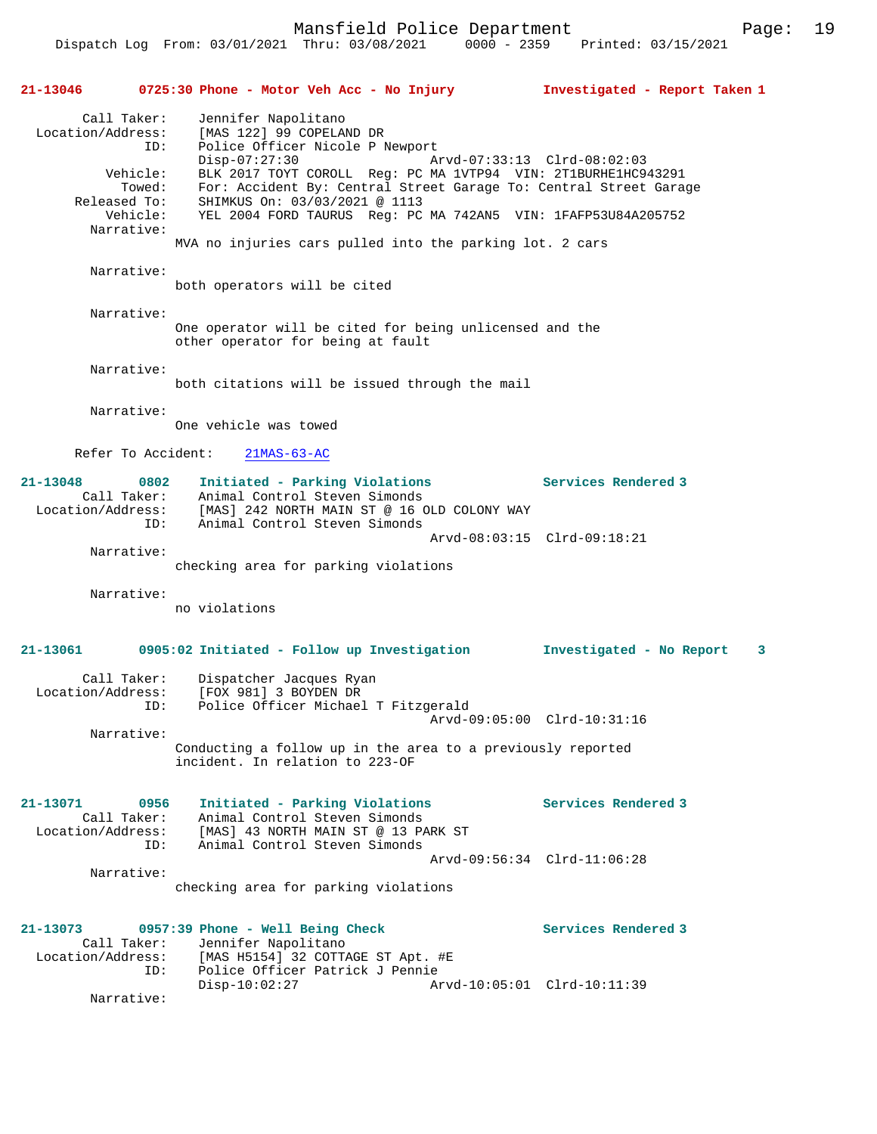Dispatch Log From: 03/01/2021 Thru: 03/08/2021 0000 - 2359 Printed: 03/15/2021

| 21-13046                                                                                                | 0725:30 Phone - Motor Veh Acc - No Injury                                                                                                                                                                                                                                                                                                                                                                 | Investigated - Report Taken 1                      |
|---------------------------------------------------------------------------------------------------------|-----------------------------------------------------------------------------------------------------------------------------------------------------------------------------------------------------------------------------------------------------------------------------------------------------------------------------------------------------------------------------------------------------------|----------------------------------------------------|
| Call Taker:<br>Location/Address:<br>ID:<br>Vehicle:<br>Towed:<br>Released To:<br>Vehicle:<br>Narrative: | Jennifer Napolitano<br>[MAS 122] 99 COPELAND DR<br>Police Officer Nicole P Newport<br>$Disp-07:27:30$<br>BLK 2017 TOYT COROLL Req: PC MA 1VTP94 VIN: 2T1BURHE1HC943291<br>For: Accident By: Central Street Garage To: Central Street Garage<br>SHIMKUS On: 03/03/2021 @ 1113<br>YEL 2004 FORD TAURUS Reg: PC MA 742AN5 VIN: 1FAFP53U84A205752<br>MVA no injuries cars pulled into the parking lot. 2 cars | Arvd-07:33:13 Clrd-08:02:03                        |
| Narrative:                                                                                              | both operators will be cited                                                                                                                                                                                                                                                                                                                                                                              |                                                    |
| Narrative:                                                                                              | One operator will be cited for being unlicensed and the<br>other operator for being at fault                                                                                                                                                                                                                                                                                                              |                                                    |
| Narrative:                                                                                              | both citations will be issued through the mail                                                                                                                                                                                                                                                                                                                                                            |                                                    |
| Narrative:                                                                                              | One vehicle was towed                                                                                                                                                                                                                                                                                                                                                                                     |                                                    |
| Refer To Accident:                                                                                      | $21MAS-63-AC$                                                                                                                                                                                                                                                                                                                                                                                             |                                                    |
| $21 - 13048$<br>0802<br>Call Taker:<br>Location/Address:<br>ID:                                         | Initiated - Parking Violations<br>Animal Control Steven Simonds<br>[MAS] 242 NORTH MAIN ST @ 16 OLD COLONY WAY<br>Animal Control Steven Simonds                                                                                                                                                                                                                                                           | Services Rendered 3                                |
| Narrative:                                                                                              | checking area for parking violations                                                                                                                                                                                                                                                                                                                                                                      | Arvd-08:03:15 Clrd-09:18:21                        |
| Narrative:                                                                                              | no violations                                                                                                                                                                                                                                                                                                                                                                                             |                                                    |
| 21-13061                                                                                                | 0905:02 Initiated - Follow up Investigation                                                                                                                                                                                                                                                                                                                                                               | Investigated - No Report<br>- 3                    |
| Call Taker:<br>Location/Address:<br>ID:                                                                 | Dispatcher Jacques Ryan<br>[FOX 981] 3 BOYDEN DR<br>Police Officer Michael T Fitzgerald<br>Arvd-09:05:00 Clrd-10:31:16                                                                                                                                                                                                                                                                                    |                                                    |
| Narrative:                                                                                              |                                                                                                                                                                                                                                                                                                                                                                                                           |                                                    |
|                                                                                                         | Conducting a follow up in the area to a previously reported<br>incident. In relation to 223-OF                                                                                                                                                                                                                                                                                                            |                                                    |
| 21-13071<br>0956<br>Call Taker:<br>Location/Address:<br>ID:                                             | Initiated - Parking Violations<br>Animal Control Steven Simonds<br>[MAS] 43 NORTH MAIN ST @ 13 PARK ST<br>Animal Control Steven Simonds                                                                                                                                                                                                                                                                   | Services Rendered 3<br>Arvd-09:56:34 Clrd-11:06:28 |
| Narrative:                                                                                              | checking area for parking violations                                                                                                                                                                                                                                                                                                                                                                      |                                                    |
| 21-13073<br>Call Taker:<br>Location/Address:<br>ID:                                                     | 0957:39 Phone - Well Being Check<br>Jennifer Napolitano<br>[MAS H5154] 32 COTTAGE ST Apt. #E<br>Police Officer Patrick J Pennie                                                                                                                                                                                                                                                                           | Services Rendered 3                                |
| Narrative:                                                                                              | $Disp-10:02:27$                                                                                                                                                                                                                                                                                                                                                                                           | Arvd-10:05:01 Clrd-10:11:39                        |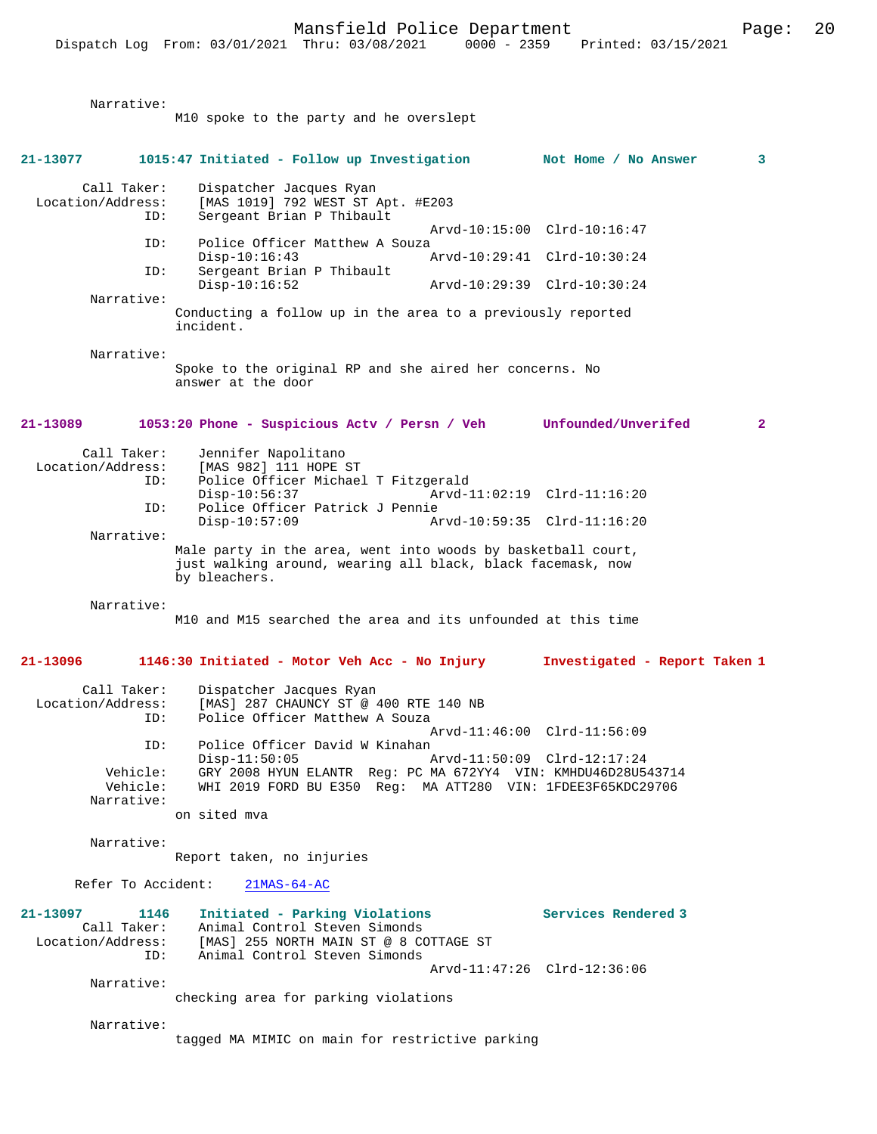M10 spoke to the party and he overslept

**21-13077 1015:47 Initiated - Follow up Investigation Not Home / No Answer 3** Call Taker: Dispatcher Jacques Ryan Location/Address: [MAS 1019] 792 WEST ST Apt. #E203 ID: Sergeant Brian P Thibault Arvd-10:15:00 Clrd-10:16:47<br>ID: Police Officer Matthew A Souza Police Officer Matthew A Souza<br>Disp-10:16:43 Disp-10:16:43 Arvd-10:29:41 Clrd-10:30:24 ID: Sergeant Brian P Thibault Disp-10:16:52 Arvd-10:29:39 Clrd-10:30:24 Narrative: Conducting a follow up in the area to a previously reported incident. Narrative: Spoke to the original RP and she aired her concerns. No answer at the door **21-13089 1053:20 Phone - Suspicious Actv / Persn / Veh Unfounded/Unverifed 2** Call Taker: Jennifer Napolitano Location/Address: [MAS 982] 111 HOPE ST ID: Police Officer Michael T Fitzgerald Disp-10:56:37 **Arvd-11:02:19** Clrd-11:16:20<br>TD: Police Officer Patrick J Pennie Police Officer Patrick J Pennie<br>Disp-10:57:09 A Disp-10:57:09 Arvd-10:59:35 Clrd-11:16:20 Narrative: Male party in the area, went into woods by basketball court, just walking around, wearing all black, black facemask, now by bleachers. Narrative: M10 and M15 searched the area and its unfounded at this time **21-13096 1146:30 Initiated - Motor Veh Acc - No Injury Investigated - Report Taken 1** Call Taker: Dispatcher Jacques Ryan Location/Address: [MAS] 287 CHAUNCY ST @ 400 RTE 140 NB<br>TD: Police Officer Matthew A Souza Police Officer Matthew A Souza Arvd-11:46:00 Clrd-11:56:09<br>ID: Police Officer David W Kinahan Police Officer David W Kinahan<br>Disp-11:50:05 Arvd-11:50:09 Clrd-12:17:24 Vehicle: GRY 2008 HYUN ELANTR Reg: PC MA 672YY4 VIN: KMHDU46D28U543714 WHI 2019 FORD BU E350 Reg: MA ATT280 VIN: 1FDEE3F65KDC29706 Narrative: on sited mva Narrative: Report taken, no injuries Refer To Accident: 21MAS-64-AC **21-13097 1146 Initiated - Parking Violations Services Rendered 3**  Call Taker: Animal Control Steven Simonds<br>Location/Address: [MAS] 255 NORTH MAIN ST @ 8 CO [MAS] 255 NORTH MAIN ST @ 8 COTTAGE ST ID: Animal Control Steven Simonds Arvd-11:47:26 Clrd-12:36:06 Narrative:

checking area for parking violations

Narrative:

Narrative:

tagged MA MIMIC on main for restrictive parking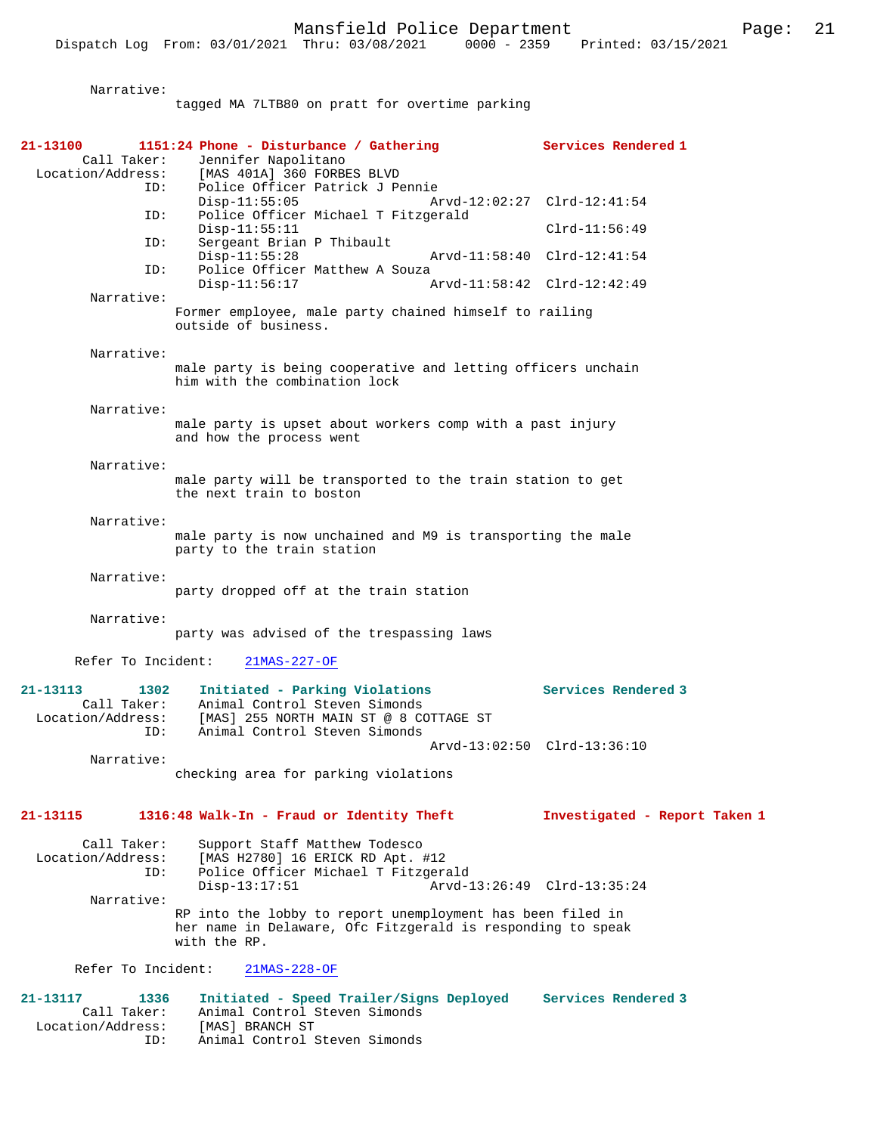Narrative:

|                                         | tagged MA 7LTB80 on pratt for overtime parking                                                                                            |                               |
|-----------------------------------------|-------------------------------------------------------------------------------------------------------------------------------------------|-------------------------------|
| 21-13100                                | 1151:24 Phone - Disturbance / Gathering                                                                                                   | Services Rendered 1           |
| Call Taker:                             | Jennifer Napolitano<br>Location/Address: [MAS 401A] 360 FORBES BLVD                                                                       |                               |
| ID:                                     | Police Officer Patrick J Pennie<br>$Disp-11:55:05$                                                                                        | Arvd-12:02:27 Clrd-12:41:54   |
| ID:                                     | Police Officer Michael T Fitzgerald<br>$Disp-11:55:11$                                                                                    | $Clrd-11:56:49$               |
| ID:                                     | Sergeant Brian P Thibault<br>$Disp-11:55:28$                                                                                              | Arvd-11:58:40 Clrd-12:41:54   |
| ID:                                     | Police Officer Matthew A Souza<br>$Disp-11:56:17$                                                                                         | Arvd-11:58:42 Clrd-12:42:49   |
| Narrative:                              | Former employee, male party chained himself to railing<br>outside of business.                                                            |                               |
| Narrative:                              |                                                                                                                                           |                               |
|                                         | male party is being cooperative and letting officers unchain<br>him with the combination lock                                             |                               |
| Narrative:                              |                                                                                                                                           |                               |
|                                         | male party is upset about workers comp with a past injury<br>and how the process went                                                     |                               |
| Narrative:                              | male party will be transported to the train station to get                                                                                |                               |
|                                         | the next train to boston                                                                                                                  |                               |
| Narrative:                              | male party is now unchained and M9 is transporting the male                                                                               |                               |
|                                         | party to the train station                                                                                                                |                               |
| Narrative:                              | party dropped off at the train station                                                                                                    |                               |
| Narrative:                              |                                                                                                                                           |                               |
|                                         | party was advised of the trespassing laws                                                                                                 |                               |
| Refer To Incident:                      | $21MAS-227-OF$                                                                                                                            |                               |
| 21-13113<br>1302<br>Location/Address:   | Initiated - Parking Violations<br>Call Taker: Animal Control Steven Simonds<br>[MAS] 255 NORTH MAIN ST @ 8 COTTAGE ST                     | Services Rendered 3           |
| ID:                                     | Animal Control Steven Simonds                                                                                                             | Arvd-13:02:50 Clrd-13:36:10   |
| Narrative:                              | checking area for parking violations                                                                                                      |                               |
| 21-13115                                | 1316:48 Walk-In - Fraud or Identity Theft                                                                                                 | Investigated - Report Taken 1 |
| Call Taker:<br>Location/Address:<br>ID: | Support Staff Matthew Todesco<br>[MAS H2780] 16 ERICK RD Apt. #12<br>Police Officer Michael T Fitzgerald                                  |                               |
| Narrative:                              | $Disp-13:17:51$                                                                                                                           | Arvd-13:26:49 Clrd-13:35:24   |
|                                         | RP into the lobby to report unemployment has been filed in<br>her name in Delaware, Ofc Fitzgerald is responding to speak<br>with the RP. |                               |
| Refer To Incident:                      | $21MAS-228-OF$                                                                                                                            |                               |
| 21-13117<br>1336                        | Initiated - Speed Trailer/Signs Deployed                                                                                                  | Services Rendered 3           |
| Call Taker:<br>Location/Address:<br>ID: | Animal Control Steven Simonds<br>[MAS] BRANCH ST<br>Animal Control Steven Simonds                                                         |                               |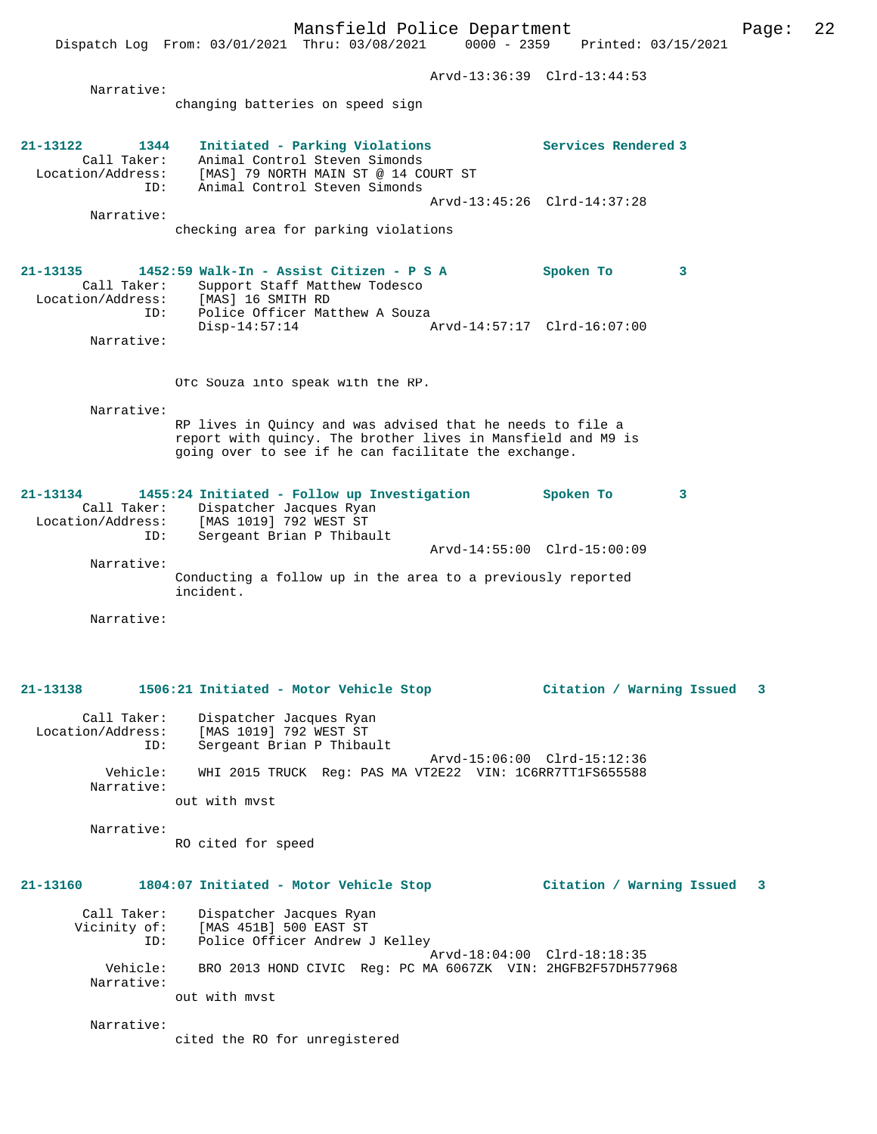Arvd-13:36:39 Clrd-13:44:53 Narrative: changing batteries on speed sign **21-13122 1344 Initiated - Parking Violations Services Rendered 3**  Call Taker: Animal Control Steven Simonds Location/Address: [MAS] 79 NORTH MAIN ST @ 14 COURT ST ID: Animal Control Steven Simonds Arvd-13:45:26 Clrd-14:37:28 Narrative: checking area for parking violations **21-13135 1452:59 Walk-In - Assist Citizen - P S A Spoken To 3**  Call Taker: Support Staff Matthew Todesco Location/Address: [MAS] 16 SMITH RD ID: Police Officer Matthew A Souza<br>Disp-14:57:14 Disp-14:57:14 Arvd-14:57:17 Clrd-16:07:00 Narrative: Ofc Souza into speak with the RP. Narrative: RP lives in Quincy and was advised that he needs to file a report with quincy. The brother lives in Mansfield and M9 is going over to see if he can facilitate the exchange. **21-13134 1455:24 Initiated - Follow up Investigation Spoken To 3**  Call Taker: Dispatcher Jacques Ryan<br>Location/Address: [MAS 1019] 792 WEST ST Location/Address: [MAS 1019] 792 WEST ST ID: Sergeant Brian P Thibault Arvd-14:55:00 Clrd-15:00:09 Narrative: Conducting a follow up in the area to a previously reported incident. Narrative: **21-13138 1506:21 Initiated - Motor Vehicle Stop Citation / Warning Issued 3** Call Taker: Dispatcher Jacques Ryan Location/Address: [MAS 1019] 792 WEST ST ID: Sergeant Brian P Thibault Arvd-15:06:00 Clrd-15:12:36 Vehicle: WHI 2015 TRUCK Reg: PAS MA VT2E22 VIN: 1C6RR7TT1FS655588 Narrative: out with mvst Narrative: RO cited for speed **21-13160 1804:07 Initiated - Motor Vehicle Stop Citation / Warning Issued 3** Call Taker: Dispatcher Jacques Ryan Vicinity of: [MAS 451B] 500 EAST ST ID: Police Officer Andrew J Kelley Arvd-18:04:00 Clrd-18:18:35<br>Vehicle: BRO 2013 HOND CIVIC Reg: PC MA 6067ZK VIN: 2HGFB2F57DH57 BRO 2013 HOND CIVIC Reg: PC MA 6067ZK VIN: 2HGFB2F57DH577968 Narrative: out with mvst Narrative: cited the RO for unregistered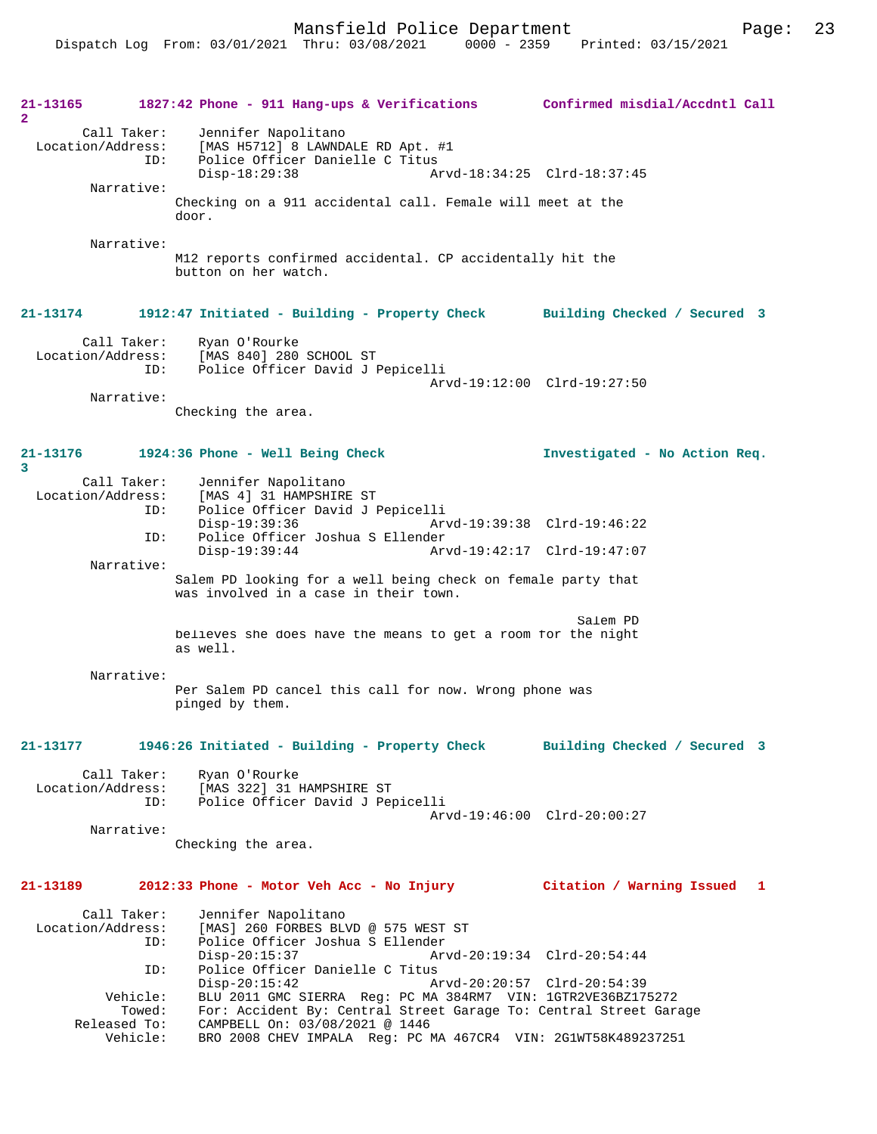Mansfield Police Department Page: 23

**21-13165 1827:42 Phone - 911 Hang-ups & Verifications Confirmed misdial/Accdntl Call 2**  Call Taker: Jennifer Napolitano Location/Address: [MAS H5712] 8 LAWNDALE RD Apt. #1 Police Officer Danielle C Titus<br>Disp-18:29:38 Ar Disp-18:29:38 Arvd-18:34:25 Clrd-18:37:45 Narrative: Checking on a 911 accidental call. Female will meet at the door. Narrative: M12 reports confirmed accidental. CP accidentally hit the button on her watch. **21-13174 1912:47 Initiated - Building - Property Check Building Checked / Secured 3** Call Taker: Ryan O'Rourke<br>Location/Address: [MAS 840] 280 ess: [MAS 840] 280 SCHOOL ST<br>TD: Police Officer David J I Police Officer David J Pepicelli Arvd-19:12:00 Clrd-19:27:50 Narrative: Checking the area. **21-13176 1924:36 Phone - Well Being Check Investigated - No Action Req. 3**  Call Taker: Jennifer Napolitano<br>Location/Address: [MAS 4] 31 HAMPSHIRE ess: [MAS 4] 31 HAMPSHIRE ST<br>ID: Police Officer David J B Police Officer David J Pepicelli Disp-19:39:36 Arvd-19:39:38 Clrd-19:46:22<br>TD: Police Officer Joshua S Ellender Police Officer Joshua S Ellender<br>Disp-19:39:44 Arv Disp-19:39:44 Arvd-19:42:17 Clrd-19:47:07 Narrative: Salem PD looking for a well being check on female party that was involved in a case in their town. Salem PD believes she does have the means to get a room for the night as well. Narrative: Per Salem PD cancel this call for now. Wrong phone was pinged by them. **21-13177 1946:26 Initiated - Building - Property Check Building Checked / Secured 3** Call Taker: Ryan O'Rourke<br>Location/Address: [MAS 322] 31 1 ess: [MAS 322] 31 HAMPSHIRE ST<br>ID: Police Officer David J Per Police Officer David J Pepicelli Arvd-19:46:00 Clrd-20:00:27 Narrative: Checking the area. **21-13189 2012:33 Phone - Motor Veh Acc - No Injury Citation / Warning Issued 1** Call Taker: Jennifer Napolitano<br>Location/Address: [MAS] 260 FORBES BLV ess: [MAS] 260 FORBES BLVD @ 575 WEST ST<br>ID: Police Officer Joshua S Ellender ID: Police Officer Joshua S Ellender Arvd-20:19:34 Clrd-20:54:44 ID: Police Officer Danielle C Titus Disp-20:15:42 Arvd-20:20:57 Clrd-20:54:39 Vehicle: BLU 2011 GMC SIERRA Reg: PC MA 384RM7 VIN: 1GTR2VE36BZ175272 Towed: For: Accident By: Central Street Garage To: Central Street Garage Released To: CAMPBELL On: 03/08/2021 @ 1446<br>Vehicle: BRO 2008 CHEV IMPALA Req: PC I BRO 2008 CHEV IMPALA Reg: PC MA 467CR4 VIN: 2G1WT58K489237251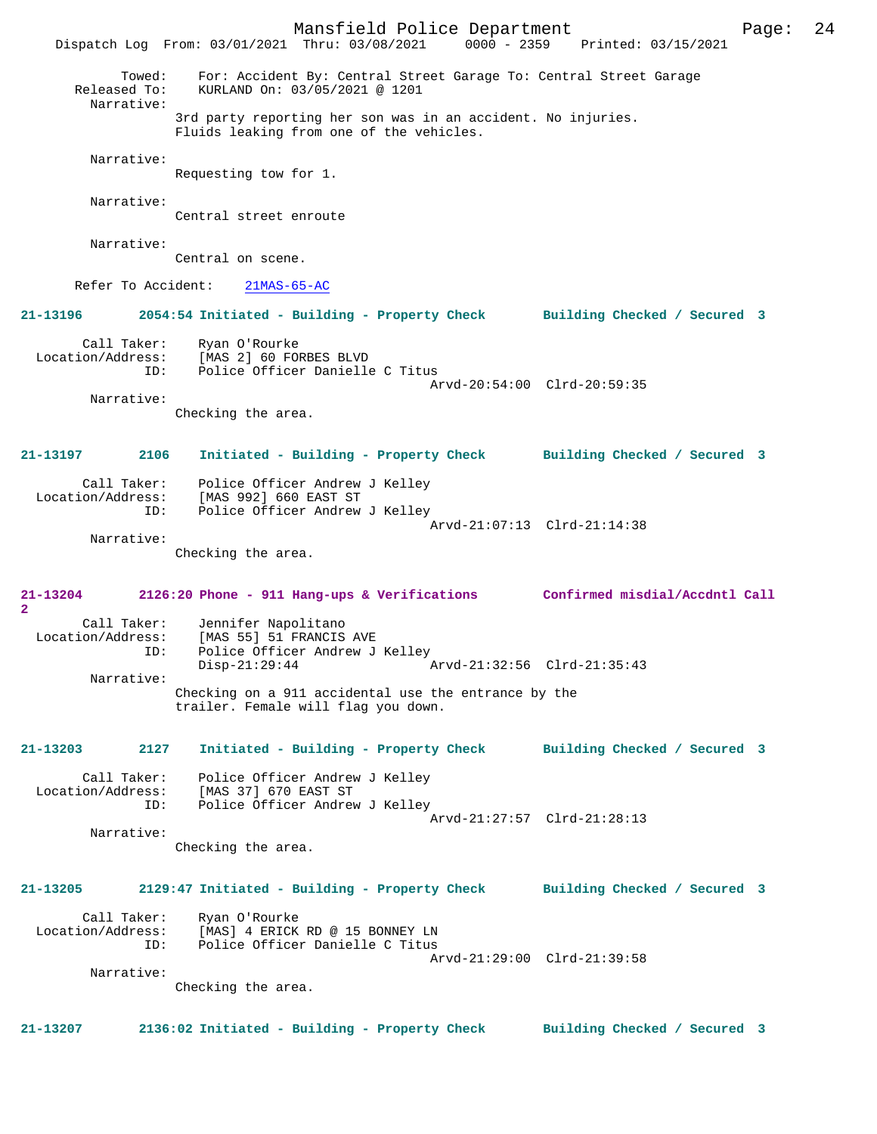Mansfield Police Department Page: 24 Dispatch Log From: 03/01/2021 Thru: 03/08/2021 0000 - 2359 Printed: 03/15/2021 Towed: For: Accident By: Central Street Garage To: Central Street Garage Released To: KURLAND On: 03/05/2021 @ 1201 Narrative: 3rd party reporting her son was in an accident. No injuries. Fluids leaking from one of the vehicles. Narrative: Requesting tow for 1. Narrative: Central street enroute Narrative: Central on scene. Refer To Accident: 21MAS-65-AC **21-13196 2054:54 Initiated - Building - Property Check Building Checked / Secured 3** Call Taker: Ryan O'Rourke Location/Address: [MAS 2] 60 FORBES BLVD ID: Police Officer Danielle C Titus Arvd-20:54:00 Clrd-20:59:35 Narrative: Checking the area. **21-13197 2106 Initiated - Building - Property Check Building Checked / Secured 3** Call Taker: Police Officer Andrew J Kelley Location/Address: [MAS 992] 660 EAST ST ID: Police Officer Andrew J Kelley Arvd-21:07:13 Clrd-21:14:38 Narrative: Checking the area. **21-13204 2126:20 Phone - 911 Hang-ups & Verifications Confirmed misdial/Accdntl Call 2**  Call Taker: Jennifer Napolitano Location/Address: [MAS 55] 51 FRANCIS AVE Police Officer Andrew J Kelley<br>Disp-21:29:44 Disp-21:29:44 Arvd-21:32:56 Clrd-21:35:43 Narrative: Checking on a 911 accidental use the entrance by the trailer. Female will flag you down. **21-13203 2127 Initiated - Building - Property Check Building Checked / Secured 3** Call Taker: Police Officer Andrew J Kelley Location/Address: [MAS 37] 670 EAST ST ID: Police Officer Andrew J Kelley Arvd-21:27:57 Clrd-21:28:13 Narrative: Checking the area. **21-13205 2129:47 Initiated - Building - Property Check Building Checked / Secured 3** Call Taker: Ryan O'Rourke Location/Address: [MAS] 4 ERICK RD @ 15 BONNEY LN<br>TD: Police Officer Danielle C Titus Police Officer Danielle C Titus Arvd-21:29:00 Clrd-21:39:58 Narrative: Checking the area. **21-13207 2136:02 Initiated - Building - Property Check Building Checked / Secured 3**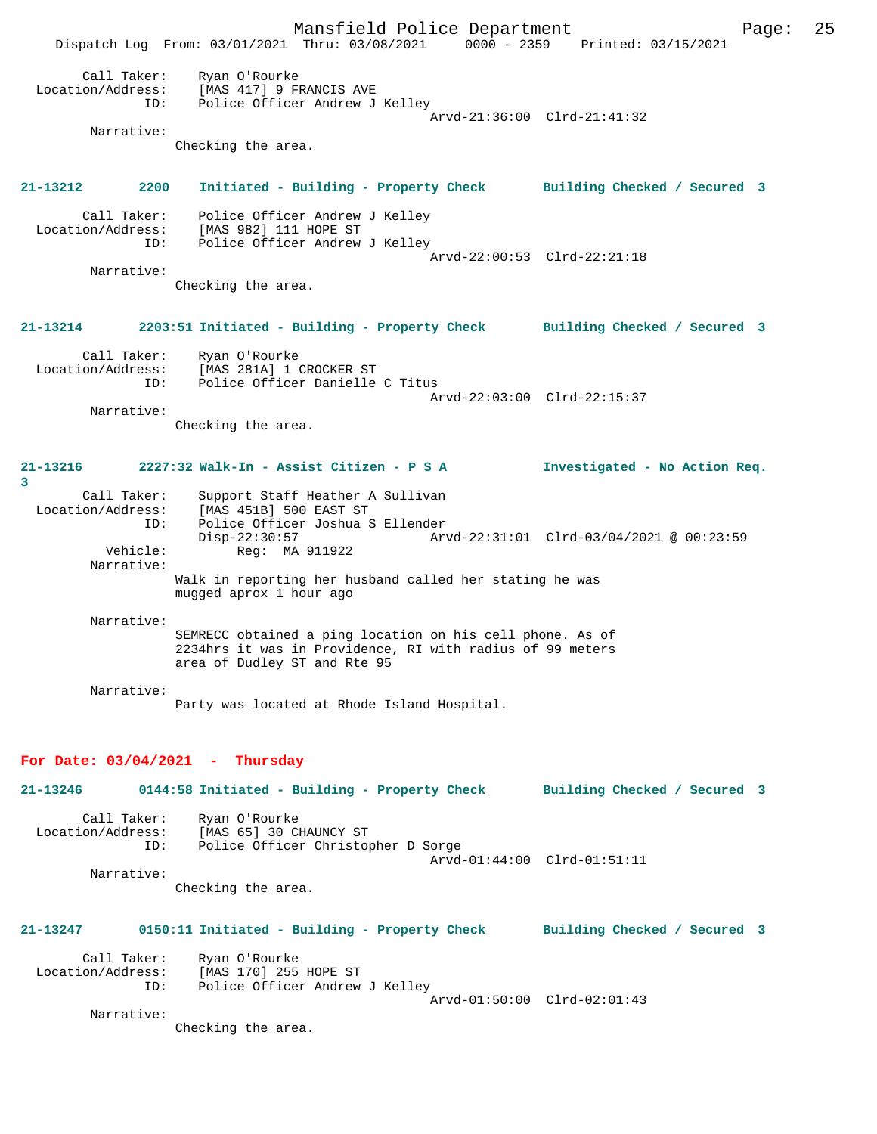Mansfield Police Department Page: 25 Dispatch Log From: 03/01/2021 Thru: 03/08/2021 0000 - 2359 Printed: 03/15/2021 Call Taker: Ryan O'Rourke<br>ion/Address: [MAS 417] 9 FI Location/Address: [MAS 417] 9 FRANCIS AVE Police Officer Andrew J Kelley Arvd-21:36:00 Clrd-21:41:32 Narrative: Checking the area. **21-13212 2200 Initiated - Building - Property Check Building Checked / Secured 3** Call Taker: Police Officer Andrew J Kelley Location/Address: [MAS 982] 111 HOPE ST Police Officer Andrew J Kelley Arvd-22:00:53 Clrd-22:21:18 Narrative: Checking the area. **21-13214 2203:51 Initiated - Building - Property Check Building Checked / Secured 3** Call Taker: Ryan O'Rourke<br>Location/Address: [MAS 281A] 1 ( ess: [MAS 281A] 1 CROCKER ST<br>ID: Police Officer Danielle Police Officer Danielle C Titus Arvd-22:03:00 Clrd-22:15:37 Narrative: Checking the area. **21-13216 2227:32 Walk-In - Assist Citizen - P S A Investigated - No Action Req. 3**  Call Taker: Support Staff Heather A Sullivan Location/Address: [MAS 451B] 500 EAST ST ID: Police Officer Joshua S Ellender Disp-22:30:57 <br>
Net Req: MA 911922 <br>
Req: MA 911922 <br>
Net Req: MA 911922 <br>
Disp-22:31:01 Clrd-03/04/2021 @ 00:23:59 Reg: MA 911922 Narrative: Walk in reporting her husband called her stating he was mugged aprox 1 hour ago Narrative: SEMRECC obtained a ping location on his cell phone. As of 2234hrs it was in Providence, RI with radius of 99 meters area of Dudley ST and Rte 95 Narrative: Party was located at Rhode Island Hospital. **For Date: 03/04/2021 - Thursday 21-13246 0144:58 Initiated - Building - Property Check Building Checked / Secured 3** Call Taker: Ryan O'Rourke<br>Location/Address: [MAS 65] 30 C [MAS 65] 30 CHAUNCY ST ID: Police Officer Christopher D Sorge Arvd-01:44:00 Clrd-01:51:11 Narrative: Checking the area. **21-13247 0150:11 Initiated - Building - Property Check Building Checked / Secured 3** Call Taker: Ryan O'Rourke Location/Address: [MAS 170] 255 HOPE ST ID: Police Officer Andrew J Kelley Arvd-01:50:00 Clrd-02:01:43 Narrative: Checking the area.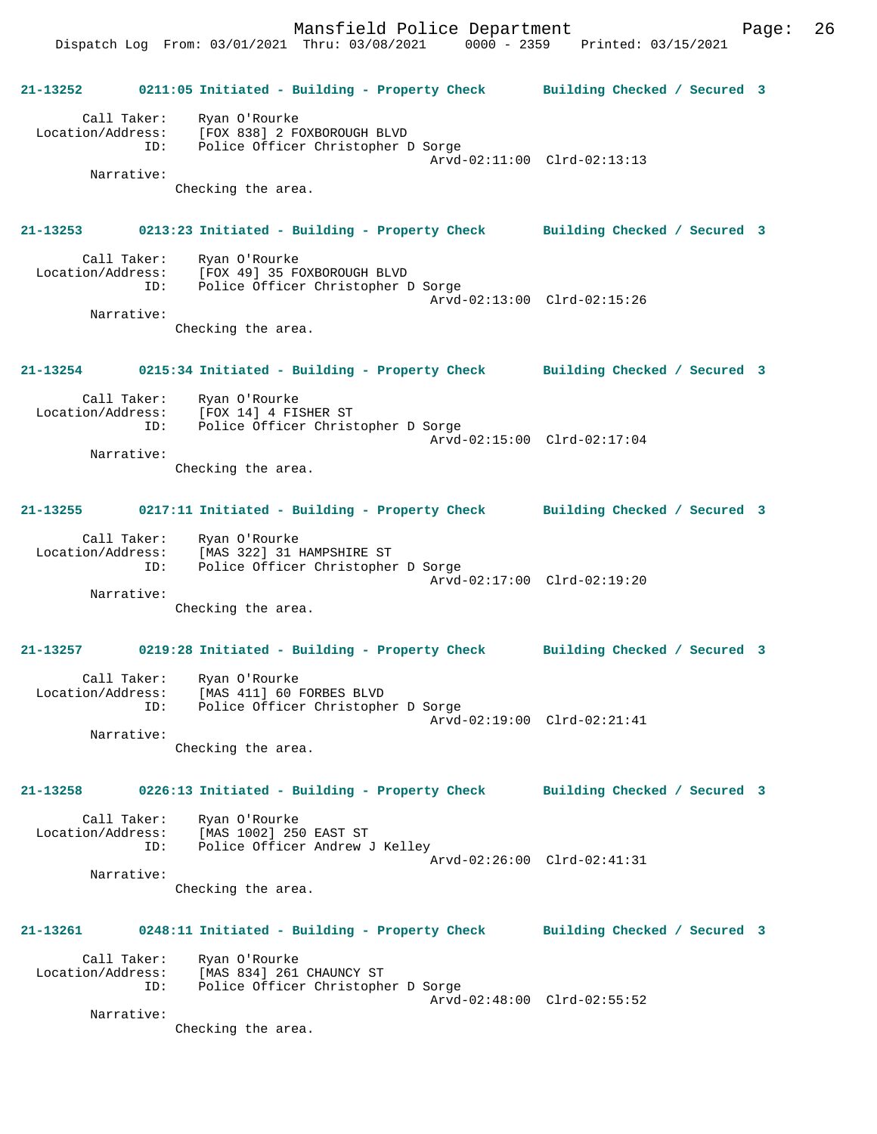Mansfield Police Department Page: 26 Dispatch Log From: 03/01/2021 Thru: 03/08/2021 0000 - 2359 Printed: 03/15/2021

**21-13252 0211:05 Initiated - Building - Property Check Building Checked / Secured 3** Call Taker: Ryan O'Rourke Location/Address: [FOX 838] 2 FOXBOROUGH BLVD ID: Police Officer Christopher D Sorge Arvd-02:11:00 Clrd-02:13:13 Narrative: Checking the area. **21-13253 0213:23 Initiated - Building - Property Check Building Checked / Secured 3** Call Taker: Ryan O'Rourke Location/Address: [FOX 49] 35 FOXBOROUGH BLVD ID: Police Officer Christopher D Sorge Arvd-02:13:00 Clrd-02:15:26 Narrative: Checking the area. **21-13254 0215:34 Initiated - Building - Property Check Building Checked / Secured 3** Call Taker: Ryan O'Rourke Location/Address: [FOX 14] 4 FISHER ST ID: Police Officer Christopher D Sorge Arvd-02:15:00 Clrd-02:17:04 Narrative: Checking the area. **21-13255 0217:11 Initiated - Building - Property Check Building Checked / Secured 3** Call Taker: Ryan O'Rourke Location/Address: [MAS 322] 31 HAMPSHIRE ST ID: Police Officer Christopher D Sorge Arvd-02:17:00 Clrd-02:19:20 Narrative: Checking the area. **21-13257 0219:28 Initiated - Building - Property Check Building Checked / Secured 3** Call Taker: Ryan O'Rourke Location/Address: [MAS 411] 60 FORBES BLVD ID: Police Officer Christopher D Sorge Arvd-02:19:00 Clrd-02:21:41 Narrative: Checking the area. **21-13258 0226:13 Initiated - Building - Property Check Building Checked / Secured 3** Call Taker: Ryan O'Rourke<br>Location/Address: [MAS 1002] 25 [MAS 1002] 250 EAST ST ID: Police Officer Andrew J Kelley Arvd-02:26:00 Clrd-02:41:31 Narrative: Checking the area. **21-13261 0248:11 Initiated - Building - Property Check Building Checked / Secured 3** Call Taker: Ryan O'Rourke Location/Address: [MAS 834] 261 CHAUNCY ST ID: Police Officer Christopher D Sorge Arvd-02:48:00 Clrd-02:55:52 Narrative: Checking the area.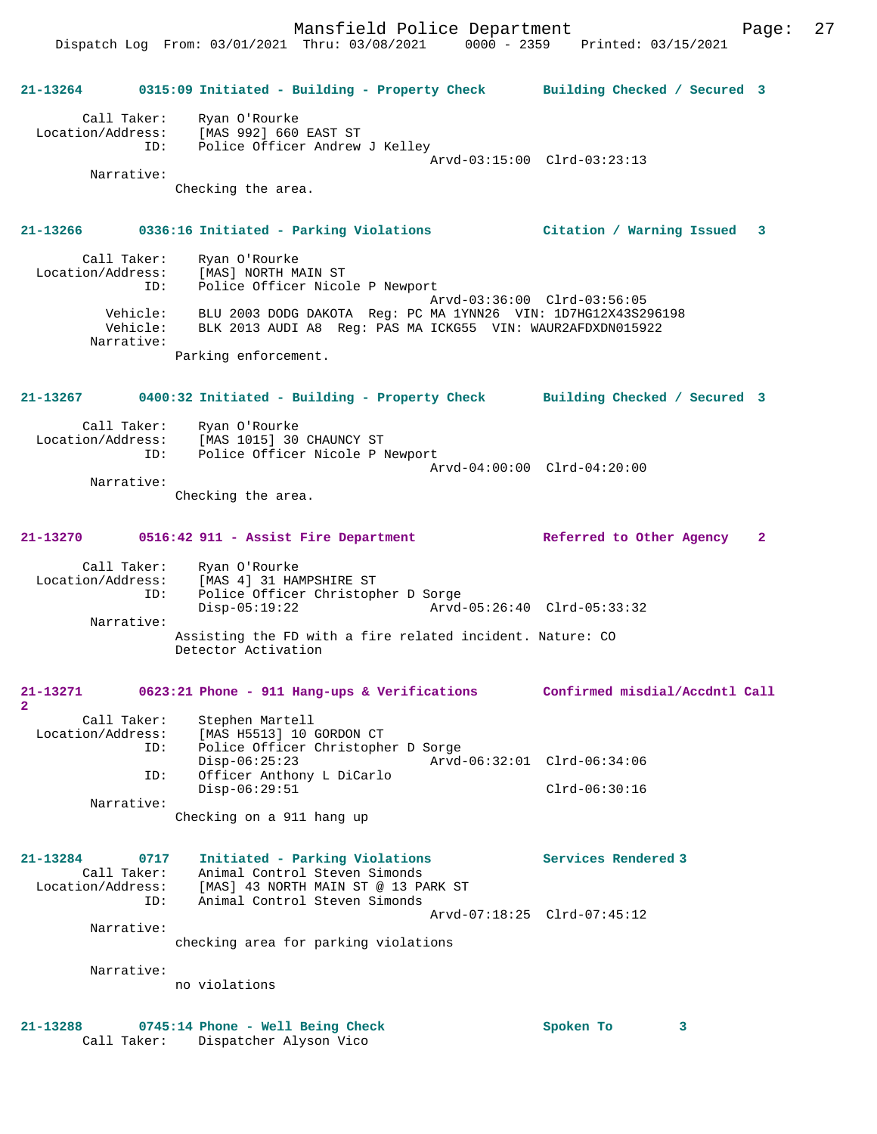|                               |                            | 21-13264 0315:09 Initiated - Building - Property Check Building Checked / Secured 3                                                                            |                             |
|-------------------------------|----------------------------|----------------------------------------------------------------------------------------------------------------------------------------------------------------|-----------------------------|
|                               | Call Taker:                | Ryan O'Rourke<br>Location/Address: [MAS 992] 660 EAST ST<br>ID: Police Officer Andrew J Kelley                                                                 |                             |
|                               | Narrative:                 |                                                                                                                                                                | Arvd-03:15:00 Clrd-03:23:13 |
|                               |                            | Checking the area.                                                                                                                                             |                             |
|                               |                            | 21-13266 0336:16 Initiated - Parking Violations Citation / Warning Issued 3                                                                                    |                             |
|                               |                            | Call Taker: Ryan O'Rourke<br>Location/Address: [MAS] NORTH MAIN ST<br>ID: Police Officer Nicole P Newport                                                      |                             |
|                               | Narrative:                 | Vehicle: BLU 2003 DODG DAKOTA Reg: PC MA 1YNN26 VIN: 1D7HG12X43S296198<br>Vehicle: BLK 2013 AUDI A8 Req: PAS MA ICKG55 VIN: WAUR2AFDXDN015922                  | Arvd-03:36:00 Clrd-03:56:05 |
|                               |                            | Parking enforcement.                                                                                                                                           |                             |
| 21-13267                      |                            | 0400:32 Initiated - Building - Property Check Building Checked / Secured 3                                                                                     |                             |
|                               | Call Taker:                | Ryan O'Rourke<br>Location/Address: [MAS 1015] 30 CHAUNCY ST<br>ID: Police Officer Nicole P Newport                                                             | Arvd-04:00:00 Clrd-04:20:00 |
|                               | Narrative:                 | Checking the area.                                                                                                                                             |                             |
|                               |                            | 21-13270 0516:42 911 - Assist Fire Department                                                                                                                  | Referred to Other Agency 2  |
|                               | ID:                        | Call Taker: Ryan O'Rourke<br>Location/Address: [MAS 4] 31 HAMPSHIRE ST<br>Police Officer Christopher D Sorge<br>Arvd-05:26:40 Clrd-05:33:32<br>$Disp-05:19:22$ |                             |
|                               | Narrative:                 | Assisting the FD with a fire related incident. Nature: CO<br>Detector Activation                                                                               |                             |
| 21-13271                      |                            | 0623:21 Phone - 911 Hang-ups & Verifications Confirmed misdial/Accdntl Call                                                                                    |                             |
| Location/Address:             | Call Taker:<br>ID:         | Stephen Martell<br>[MAS H5513] 10 GORDON CT<br>Police Officer Christopher D Sorge                                                                              |                             |
|                               | ID:                        | $Disp-06:25:23$<br>Officer Anthony L DiCarlo                                                                                                                   | Arvd-06:32:01 Clrd-06:34:06 |
|                               | Narrative:                 | $Disp-06:29:51$                                                                                                                                                | $Clrd-06:30:16$             |
|                               |                            | Checking on a 911 hang up                                                                                                                                      |                             |
| 21-13284<br>Location/Address: | 0717<br>Call Taker:<br>ID: | Initiated - Parking Violations<br>Animal Control Steven Simonds<br>[MAS] 43 NORTH MAIN ST @ 13 PARK ST<br>Animal Control Steven Simonds                        | Services Rendered 3         |
|                               |                            |                                                                                                                                                                | Arvd-07:18:25 Clrd-07:45:12 |
|                               | Narrative:                 | checking area for parking violations                                                                                                                           |                             |
|                               | Narrative:                 | no violations                                                                                                                                                  |                             |
|                               |                            |                                                                                                                                                                |                             |
| 21-13288                      |                            | 0745:14 Phone - Well Being Check<br>Call Taker: Dispatcher Alyson Vico                                                                                         | Spoken To<br>3              |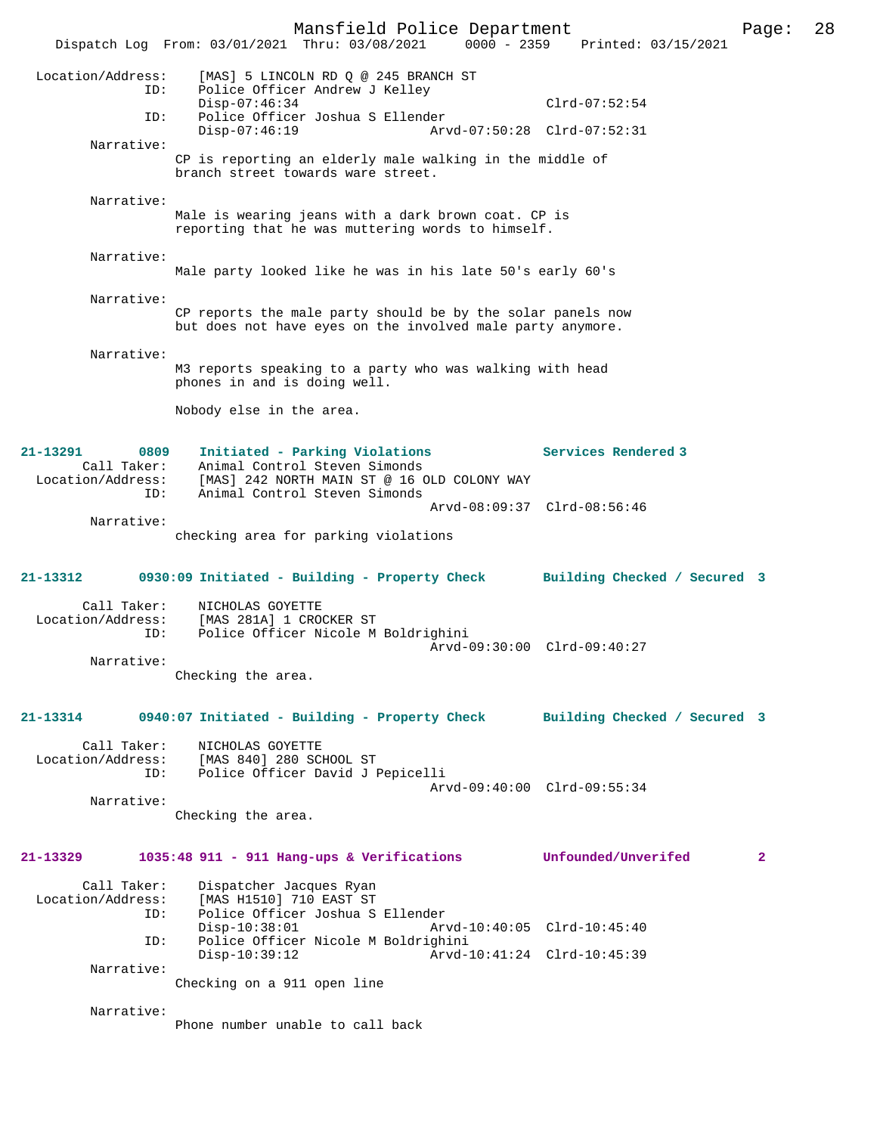Mansfield Police Department Page: 28 Dispatch Log From: 03/01/2021 Thru: 03/08/2021 0000 - 2359 Location/Address: [MAS] 5 LINCOLN RD Q @ 245 BRANCH ST ID: Police Officer Andrew J Kelley Disp-07:46:34 Clrd-07:52:54<br>ID: Police Officer Joshua S Ellender Police Officer Joshua S Ellender<br>Disp-07:46:19 Arvd Disp-07:46:19 Arvd-07:50:28 Clrd-07:52:31 Narrative: CP is reporting an elderly male walking in the middle of branch street towards ware street. Narrative: Male is wearing jeans with a dark brown coat. CP is reporting that he was muttering words to himself. Narrative: Male party looked like he was in his late 50's early 60's Narrative: CP reports the male party should be by the solar panels now but does not have eyes on the involved male party anymore. Narrative: M3 reports speaking to a party who was walking with head phones in and is doing well. Nobody else in the area. **21-13291 0809 Initiated - Parking Violations Services Rendered 3**  Call Taker: Animal Control Steven Simonds Location/Address: [MAS] 242 NORTH MAIN ST @ 16 OLD COLONY WAY ID: Animal Control Steven Simonds Arvd-08:09:37 Clrd-08:56:46 Narrative: checking area for parking violations **21-13312 0930:09 Initiated - Building - Property Check Building Checked / Secured 3** Call Taker: NICHOLAS GOYETTE<br>Location/Address: [MAS 281A] 1 CRO [MAS 281A] 1 CROCKER ST ID: Police Officer Nicole M Boldrighini Arvd-09:30:00 Clrd-09:40:27 Narrative: Checking the area. **21-13314 0940:07 Initiated - Building - Property Check Building Checked / Secured 3** Call Taker: NICHOLAS GOYETTE Location/Address: [MAS 840] 280 SCHOOL ST ID: Police Officer David J Pepicelli Arvd-09:40:00 Clrd-09:55:34 Narrative: Checking the area. **21-13329 1035:48 911 - 911 Hang-ups & Verifications Unfounded/Unverifed 2** Call Taker: Dispatcher Jacques Ryan<br>Location/Address: [MAS H1510] 710 EAST ST ess: [MAS H1510] 710 EAST ST<br>ID: Police Officer Joshua S Police Officer Joshua S Ellender<br>Disp-10:38:01 Ar Disp-10:38:01 Arvd-10:40:05 Clrd-10:45:40 ID: Police Officer Nicole M Boldrighini Disp-10:39:12 Arvd-10:41:24 Clrd-10:45:39 Narrative: Checking on a 911 open line Narrative: Phone number unable to call back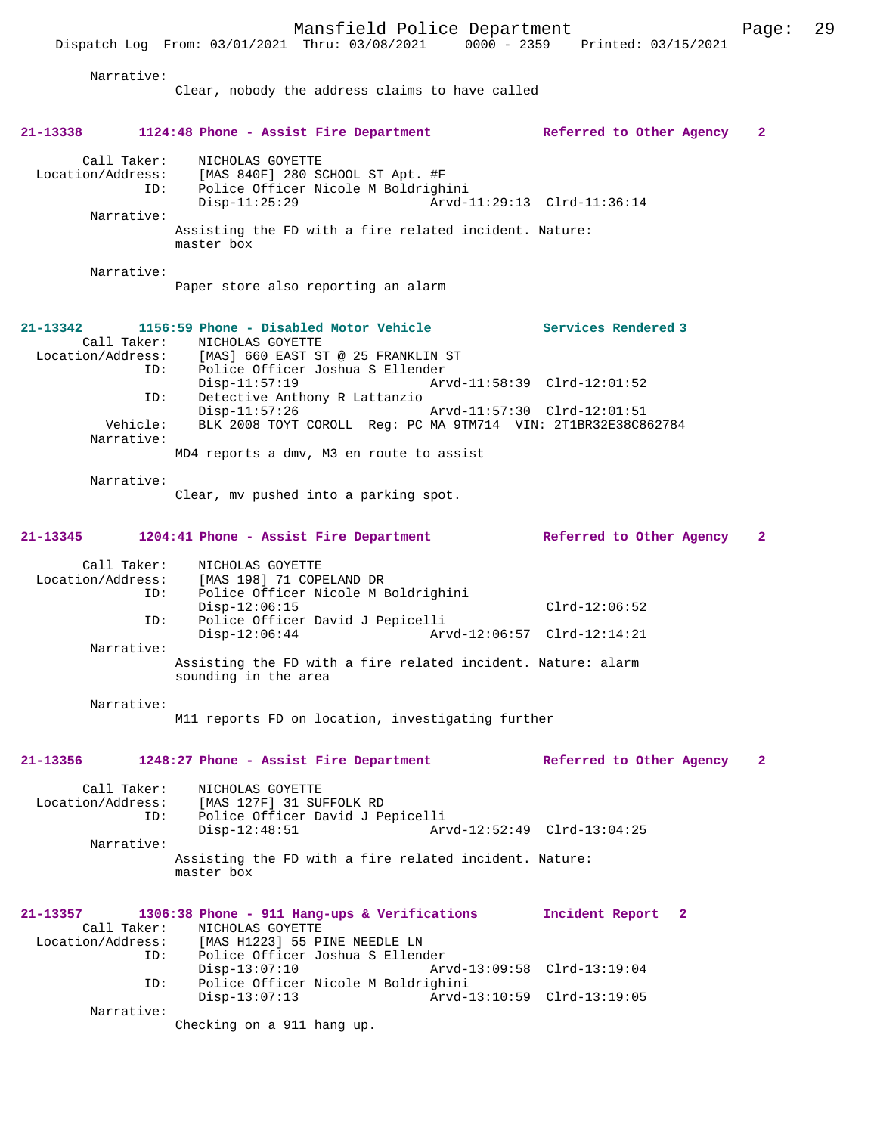Dispatch Log From: 03/01/2021 Thru: 03/08/2021 0000 - 2359 Printed: 03/15/2021

| Narrative:                                          | Clear, nobody the address claims to have called                                                                                                                                  |                                                            |              |
|-----------------------------------------------------|----------------------------------------------------------------------------------------------------------------------------------------------------------------------------------|------------------------------------------------------------|--------------|
| 21-13338                                            | 1124:48 Phone - Assist Fire Department                                                                                                                                           | Referred to Other Agency                                   | $\mathbf{2}$ |
| Call Taker:<br>ID:                                  | NICHOLAS GOYETTE<br>Location/Address: [MAS 840F] 280 SCHOOL ST Apt. #F<br>Police Officer Nicole M Boldrighini<br>$Disp-11:25:29$                                                 |                                                            |              |
| Narrative:                                          | Assisting the FD with a fire related incident. Nature:<br>master box                                                                                                             |                                                            |              |
| Narrative:                                          | Paper store also reporting an alarm                                                                                                                                              |                                                            |              |
| $21 - 13342$<br>ID:                                 | 1156:59 Phone - Disabled Motor Vehicle<br>Call Taker: NICHOLAS GOYETTE<br>Location/Address: [MAS] 660 EAST ST @ 25 FRANKLIN ST<br>Police Officer Joshua S Ellender               | Services Rendered 3                                        |              |
| ID:<br>Vehicle:<br>Narrative:                       | $Disp-11:57:19$<br>Detective Anthony R Lattanzio<br>$Disp-11:57:26$<br>BLK 2008 TOYT COROLL Reg: PC MA 9TM714 VIN: 2T1BR32E38C862784<br>MD4 reports a dmv, M3 en route to assist | Arvd-11:58:39 Clrd-12:01:52<br>Arvd-11:57:30 Clrd-12:01:51 |              |
| Narrative:                                          | Clear, my pushed into a parking spot.                                                                                                                                            |                                                            |              |
| 21-13345                                            | 1204:41 Phone - Assist Fire Department                                                                                                                                           | Referred to Other Agency                                   | $\mathbf{2}$ |
| Call Taker:<br>ID:<br>ID:                           | NICHOLAS GOYETTE<br>Location/Address: [MAS 198] 71 COPELAND DR<br>Police Officer Nicole M Boldrighini<br>$Disp-12:06:15$<br>Police Officer David J Pepicelli<br>$Disp-12:06:44$  | $Clrd-12:06:52$<br>Arvd-12:06:57 Clrd-12:14:21             |              |
| Narrative:                                          | Assisting the FD with a fire related incident. Nature: alarm<br>sounding in the area                                                                                             |                                                            |              |
| Narrative:                                          | M11 reports FD on location, investigating further                                                                                                                                |                                                            |              |
| 21-13356                                            | 1248:27 Phone - Assist Fire Department                                                                                                                                           | Referred to Other Agency                                   | $\mathbf{2}$ |
| Call Taker:<br>Location/Address:<br>ID:             | NICHOLAS GOYETTE<br>[MAS 127F] 31 SUFFOLK RD<br>Police Officer David J Pepicelli                                                                                                 |                                                            |              |
| Narrative:                                          | $Disp-12:48:51$<br>Assisting the FD with a fire related incident. Nature:<br>master box                                                                                          | Arvd-12:52:49 Clrd-13:04:25                                |              |
| 21-13357<br>Call Taker:<br>Location/Address:<br>ID: | 1306:38 Phone - 911 Hang-ups & Verifications<br>NICHOLAS GOYETTE<br>[MAS H1223] 55 PINE NEEDLE LN<br>Police Officer Joshua S Ellender                                            | Incident Report 2                                          |              |
| ID:                                                 | $Disp-13:07:10$<br>Police Officer Nicole M Boldrighini                                                                                                                           | Arvd-13:09:58 Clrd-13:19:04                                |              |
| Narrative:                                          | $Disp-13:07:13$<br>Checking on a 911 hang up.                                                                                                                                    | Arvd-13:10:59 Clrd-13:19:05                                |              |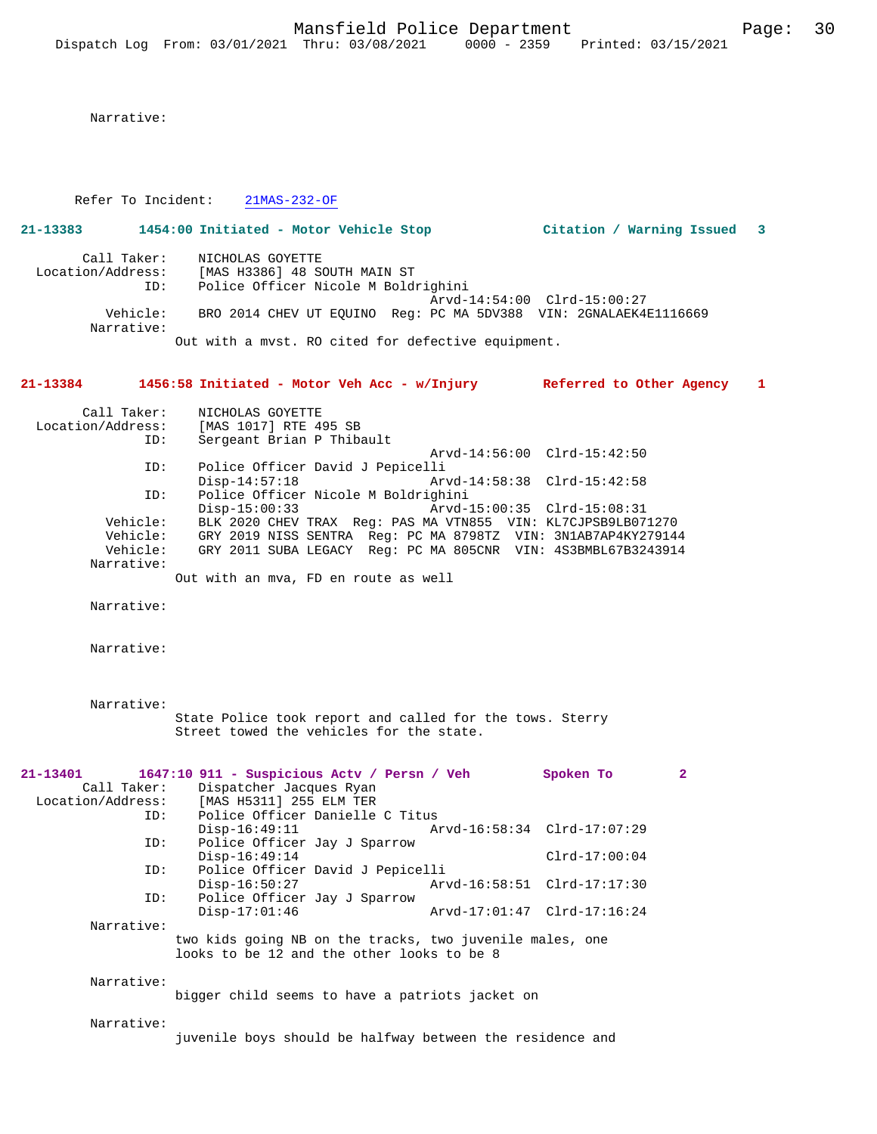Narrative:

Refer To Incident: 21MAS-232-OF

## **21-13383 1454:00 Initiated - Motor Vehicle Stop Citation / Warning Issued 3** Call Taker: NICHOLAS GOYETTE Location/Address: [MAS H3386] 48 SOUTH MAIN ST ID: Police Officer Nicole M Boldrighini Arvd-14:54:00 Clrd-15:00:27

 Vehicle: BRO 2014 CHEV UT EQUINO Reg: PC MA 5DV388 VIN: 2GNALAEK4E1116669 Narrative:

Out with a mvst. RO cited for defective equipment.

**21-13384 1456:58 Initiated - Motor Veh Acc - w/Injury Referred to Other Agency 1**

| Call Taker:       | NICHOLAS GOYETTE                                              |
|-------------------|---------------------------------------------------------------|
| Location/Address: | [MAS 1017] RTE 495 SB                                         |
| ID:               | Sergeant Brian P Thibault                                     |
|                   | Arvd-14:56:00 Clrd-15:42:50                                   |
| ID:               | Police Officer David J Pepicelli                              |
|                   | $Disp-14:57:18$<br>Arvd-14:58:38 Clrd-15:42:58                |
| ID:               | Police Officer Nicole M Boldrighini                           |
|                   | Arvd-15:00:35 Clrd-15:08:31<br>$Disp-15:00:33$                |
| Vehicle:          | BLK 2020 CHEV TRAX Req: PAS MA VTN855 VIN: KL7CJPSB9LB071270  |
| Vehicle:          | GRY 2019 NISS SENTRA Req: PC MA 8798TZ VIN: 3N1AB7AP4KY279144 |
| Vehicle:          | GRY 2011 SUBA LEGACY Req: PC MA 805CNR VIN: 4S3BMBL67B3243914 |
| Narrative:        |                                                               |
|                   |                                                               |

Out with an mva, FD en route as well

Narrative:

Narrative:

 Narrative: State Police took report and called for the tows. Sterry Street towed the vehicles for the state.

| 21-13401    | 1647:10 911 - Suspicious Actv / Persn / Veh              |                                  |                             | Spoken To       | $\overline{2}$ |
|-------------|----------------------------------------------------------|----------------------------------|-----------------------------|-----------------|----------------|
| Call Taker: | Dispatcher Jacques Ryan                                  |                                  |                             |                 |                |
|             | Location/Address: [MAS H5311] 255 ELM TER                |                                  |                             |                 |                |
|             | Police Officer Danielle C Titus<br>ID:                   |                                  |                             |                 |                |
|             | $Disp-16:49:11$                                          |                                  | Arvd-16:58:34 Clrd-17:07:29 |                 |                |
|             | Police Officer Jay J Sparrow<br>ID:                      |                                  |                             |                 |                |
|             | $Disp-16:49:14$                                          |                                  |                             | $Clrd-17:00:04$ |                |
|             | ID:                                                      | Police Officer David J Pepicelli |                             |                 |                |
|             | $Disp-16:50:27$                                          |                                  | Arvd-16:58:51 Clrd-17:17:30 |                 |                |
|             | Police Officer Jay J Sparrow<br>ID:                      |                                  |                             |                 |                |
|             | $Disp-17:01:46$                                          |                                  | Arvd-17:01:47 Clrd-17:16:24 |                 |                |
| Narrative:  |                                                          |                                  |                             |                 |                |
|             | two kids going NB on the tracks, two juvenile males, one |                                  |                             |                 |                |
|             | looks to be 12 and the other looks to be 8               |                                  |                             |                 |                |
|             |                                                          |                                  |                             |                 |                |
| Narrative:  |                                                          |                                  |                             |                 |                |
|             | bigger child seems to have a patriots jacket on          |                                  |                             |                 |                |
|             |                                                          |                                  |                             |                 |                |
| Narrative:  |                                                          |                                  |                             |                 |                |

juvenile boys should be halfway between the residence and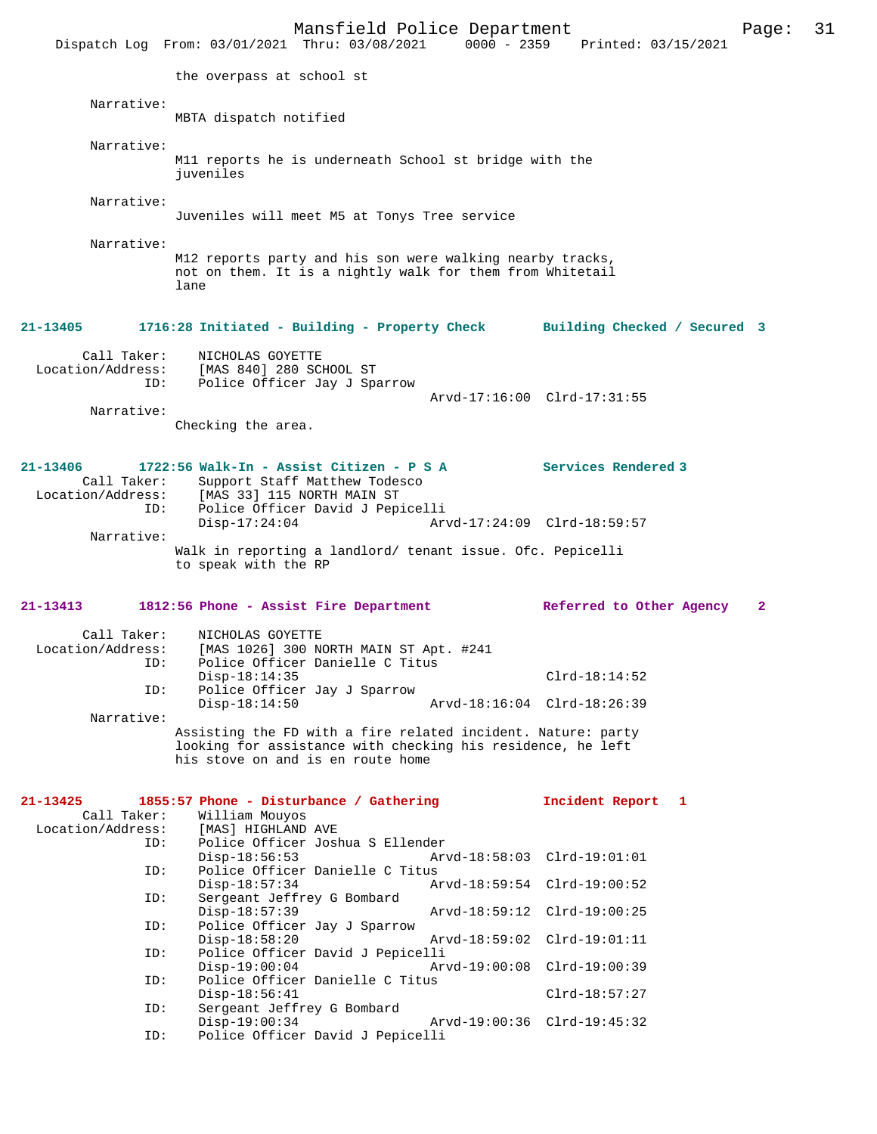|                   | Mansfield Police Department<br>Dispatch Log From: 03/01/2021 Thru: 03/08/2021 0000 - 2359 Printed: 03/15/2021                  |                              | Page:        | 31 |
|-------------------|--------------------------------------------------------------------------------------------------------------------------------|------------------------------|--------------|----|
|                   | the overpass at school st                                                                                                      |                              |              |    |
| Narrative:        |                                                                                                                                |                              |              |    |
|                   | MBTA dispatch notified                                                                                                         |                              |              |    |
| Narrative:        |                                                                                                                                |                              |              |    |
|                   | M11 reports he is underneath School st bridge with the<br>juveniles                                                            |                              |              |    |
| Narrative:        |                                                                                                                                |                              |              |    |
|                   | Juveniles will meet M5 at Tonys Tree service                                                                                   |                              |              |    |
| Narrative:        |                                                                                                                                |                              |              |    |
|                   | M12 reports party and his son were walking nearby tracks,<br>not on them. It is a nightly walk for them from Whitetail<br>lane |                              |              |    |
| 21-13405          | 1716:28 Initiated - Building - Property Check                                                                                  | Building Checked / Secured 3 |              |    |
| Call Taker:       | NICHOLAS GOYETTE                                                                                                               |                              |              |    |
| Location/Address: | [MAS 840] 280 SCHOOL ST                                                                                                        |                              |              |    |
| ID:               | Police Officer Jay J Sparrow                                                                                                   | Arvd-17:16:00 Clrd-17:31:55  |              |    |
| Narrative:        |                                                                                                                                |                              |              |    |
|                   | Checking the area.                                                                                                             |                              |              |    |
|                   |                                                                                                                                |                              |              |    |
| 21-13406          | 1722:56 Walk-In - Assist Citizen - P S A                                                                                       | Services Rendered 3          |              |    |
| Call Taker:       | Support Staff Matthew Todesco<br>Location/Address: [MAS 33] 115 NORTH MAIN ST                                                  |                              |              |    |
| ID:               | Police Officer David J Pepicelli                                                                                               |                              |              |    |
|                   | $Disp-17:24:04$                                                                                                                | Arvd-17:24:09 Clrd-18:59:57  |              |    |
| Narrative:        | Walk in reporting a landlord/ tenant issue. Ofc. Pepicelli<br>to speak with the RP                                             |                              |              |    |
| 21-13413          | 1812:56 Phone - Assist Fire Department                                                                                         | Referred to Other Agency     | $\mathbf{2}$ |    |
| Call Taker:       | NICHOLAS GOYETTE                                                                                                               |                              |              |    |
| Location/Address: | [MAS 1026] 300 NORTH MAIN ST Apt. #241                                                                                         |                              |              |    |
| ID:               | Police Officer Danielle C Titus<br>$Disp-18:14:35$                                                                             | $Clrd-18:14:52$              |              |    |
| ID:               | Police Officer Jay J Sparrow                                                                                                   |                              |              |    |
|                   | $Disp-18:14:50$                                                                                                                | Arvd-18:16:04 Clrd-18:26:39  |              |    |
| Narrative:        | Assisting the FD with a fire related incident. Nature: party                                                                   |                              |              |    |
|                   | looking for assistance with checking his residence, he left<br>his stove on and is en route home                               |                              |              |    |
| 21-13425          | 1855:57 Phone - Disturbance / Gathering                                                                                        | Incident Report 1            |              |    |
| Call Taker:       | William Mouyos                                                                                                                 |                              |              |    |
| Location/Address: | [MAS] HIGHLAND AVE                                                                                                             |                              |              |    |
| ID:               | Police Officer Joshua S Ellender<br>$Disp-18:56:53$                                                                            | Arvd-18:58:03 Clrd-19:01:01  |              |    |
| ID:               | Police Officer Danielle C Titus                                                                                                |                              |              |    |
| ID:               | $Disp-18:57:34$<br>Sergeant Jeffrey G Bombard                                                                                  | Arvd-18:59:54 Clrd-19:00:52  |              |    |
| ID:               | $Disp-18:57:39$<br>Police Officer Jay J Sparrow                                                                                | Arvd-18:59:12 Clrd-19:00:25  |              |    |
|                   | $Disp-18:58:20$                                                                                                                | Arvd-18:59:02 Clrd-19:01:11  |              |    |
| ID:               | Police Officer David J Pepicelli                                                                                               |                              |              |    |
| ID:               | $Disp-19:00:04$<br>Police Officer Danielle C Titus                                                                             | Arvd-19:00:08 Clrd-19:00:39  |              |    |
|                   | $Disp-18:56:41$                                                                                                                | $Clrd-18:57:27$              |              |    |
| ID:               | Sergeant Jeffrey G Bombard<br>$Disp-19:00:34$                                                                                  | Arvd-19:00:36 Clrd-19:45:32  |              |    |
| ID:               | Police Officer David J Pepicelli                                                                                               |                              |              |    |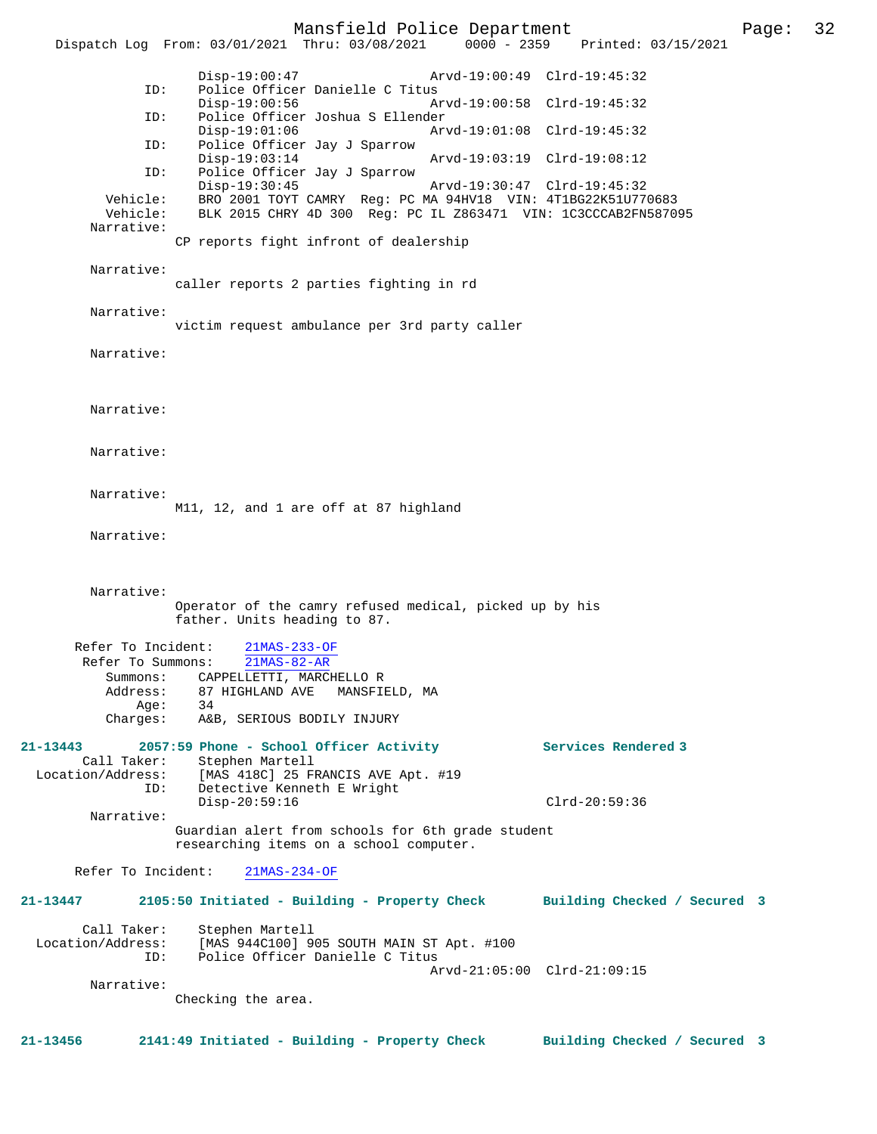Mansfield Police Department Page: 32 Dispatch Log From: 03/01/2021 Thru: 03/08/2021 Disp-19:00:47 Arvd-19:00:49 Clrd-19:45:32 ID: Police Officer Danielle C Titus Disp-19:00:56 Arvd-19:00:58 Clrd-19:45:32<br>ID: Police Officer Joshua S Ellender Police Officer Joshua S Ellender<br>Disp-19:01:06 Ar Disp-19:01:06 Arvd-19:01:08 Clrd-19:45:32 ID: Police Officer Jay J Sparrow Disp-19:03:14 Arvd-19:03:19 Clrd-19:08:12 ID: Police Officer Jay J Sparrow Disp-19:30:45 Arvd-19:30:47 Clrd-19:45:32<br>Vehicle: BRO 2001 TOYT CAMRY Reg: PC MA 94HV18 VIN: 4T1BG22K51U77 BRO 2001 TOYT CAMRY Reg: PC MA 94HV18 VIN: 4T1BG22K51U770683 Vehicle: BLK 2015 CHRY 4D 300 Reg: PC IL Z863471 VIN: 1C3CCCAB2FN587095 Narrative: CP reports fight infront of dealership Narrative: caller reports 2 parties fighting in rd Narrative: victim request ambulance per 3rd party caller Narrative: Narrative: Narrative: Narrative: M11, 12, and 1 are off at 87 highland Narrative: Narrative: Operator of the camry refused medical, picked up by his father. Units heading to 87. Refer To Incident: 21MAS-233-OF Refer To Summons: 21MAS-82-AR Summons: CAPPELLETTI, MARCHELLO R<br>Address: 87 HIGHLAND AVE MANSFII 87 HIGHLAND AVE MANSFIELD, MA<br>34 Age:<br>:Charges A&B, SERIOUS BODILY INJURY **21-13443 2057:59 Phone - School Officer Activity Services Rendered 3**  Call Taker: Stephen Martell Location/Address: [MAS 418C] 25 FRANCIS AVE Apt. #19 ID: Detective Kenneth E Wright Disp-20:59:16 Clrd-20:59:36 Narrative: Guardian alert from schools for 6th grade student researching items on a school computer. Refer To Incident: 21MAS-234-OF **21-13447 2105:50 Initiated - Building - Property Check Building Checked / Secured 3** Call Taker: Stephen Martell<br>Location/Address: [MAS 944C100] 9 ess: [MAS 944C100] 905 SOUTH MAIN ST Apt. #100<br>ID: Police Officer Danielle C Titus Police Officer Danielle C Titus Arvd-21:05:00 Clrd-21:09:15 Narrative: Checking the area. **21-13456 2141:49 Initiated - Building - Property Check Building Checked / Secured 3**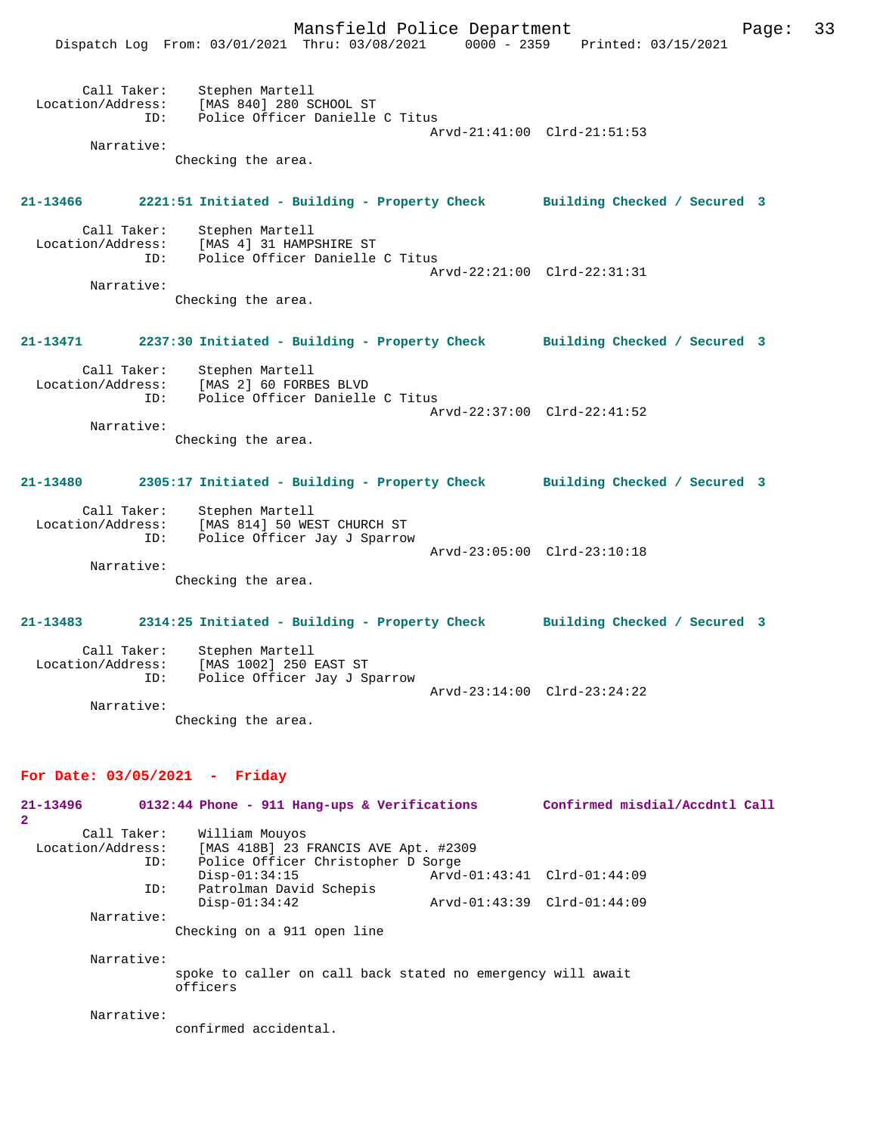

| 21-13496          |             |                       | 0132:44 Phone - 911 Hang-ups & Verifications |                                                             | Confirmed misdial/Accdntl Call |  |
|-------------------|-------------|-----------------------|----------------------------------------------|-------------------------------------------------------------|--------------------------------|--|
| 2                 |             |                       |                                              |                                                             |                                |  |
|                   | Call Taker: | William Mouyos        |                                              |                                                             |                                |  |
| Location/Address: |             |                       | [MAS 418B] 23 FRANCIS AVE Apt. #2309         |                                                             |                                |  |
|                   | ID:         |                       | Police Officer Christopher D Sorge           |                                                             |                                |  |
|                   |             | $Disp-01:34:15$       |                                              | Arvd-01:43:41 Clrd-01:44:09                                 |                                |  |
|                   | ID:         |                       | Patrolman David Schepis                      |                                                             |                                |  |
|                   |             | $Disp-01:34:42$       |                                              | Arvd-01:43:39 Clrd-01:44:09                                 |                                |  |
|                   | Narrative:  |                       |                                              |                                                             |                                |  |
|                   |             |                       | Checking on a 911 open line                  |                                                             |                                |  |
|                   |             |                       |                                              |                                                             |                                |  |
|                   | Narrative:  |                       |                                              |                                                             |                                |  |
|                   |             |                       |                                              | spoke to caller on call back stated no emergency will await |                                |  |
|                   |             | officers              |                                              |                                                             |                                |  |
|                   | Narrative:  |                       |                                              |                                                             |                                |  |
|                   |             | confirmed accidental. |                                              |                                                             |                                |  |
|                   |             |                       |                                              |                                                             |                                |  |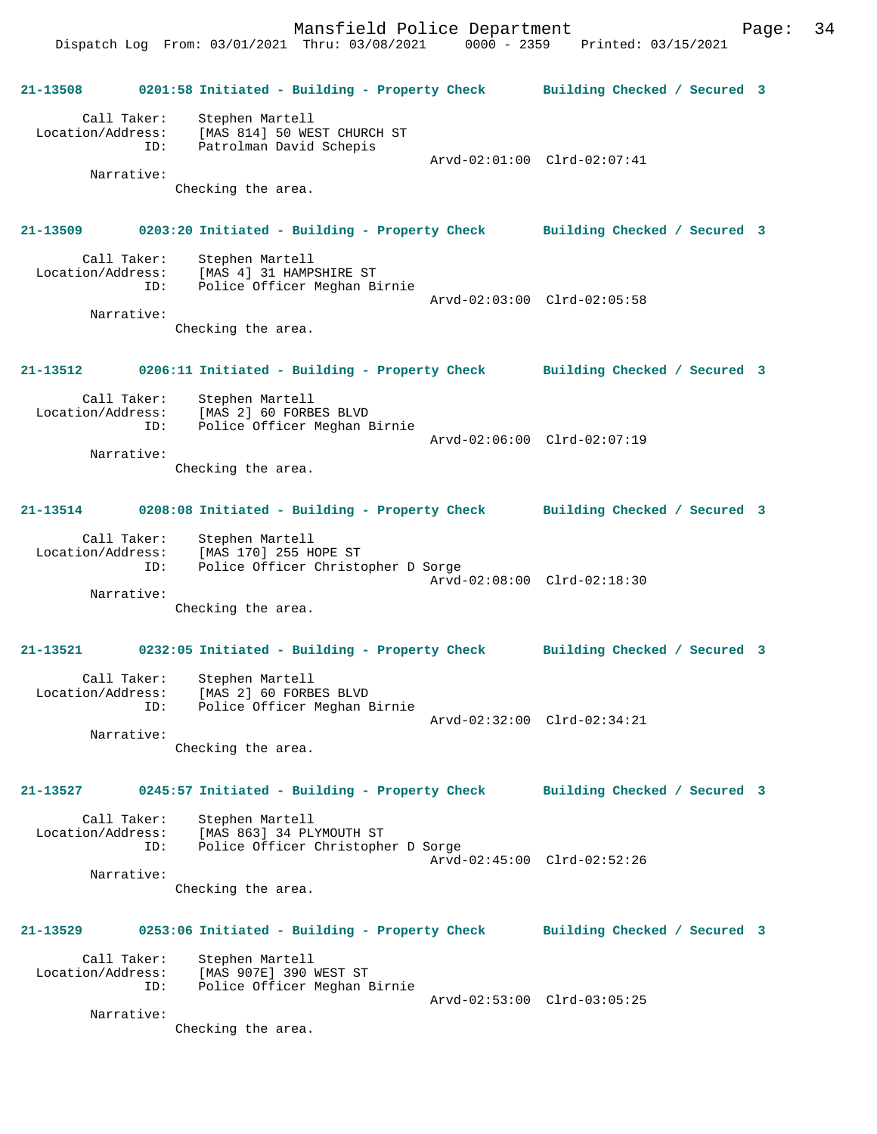Dispatch Log From: 03/01/2021 Thru: 03/08/2021 0000 - 2359 Printed: 03/15/2021

**21-13508 0201:58 Initiated - Building - Property Check Building Checked / Secured 3** Call Taker: Stephen Martell Location/Address: [MAS 814] 50 WEST CHURCH ST ID: Patrolman David Schepis Arvd-02:01:00 Clrd-02:07:41 Narrative: Checking the area. **21-13509 0203:20 Initiated - Building - Property Check Building Checked / Secured 3** Call Taker: Stephen Martell Location/Address: [MAS 4] 31 HAMPSHIRE ST ID: Police Officer Meghan Birnie Arvd-02:03:00 Clrd-02:05:58 Narrative: Checking the area. **21-13512 0206:11 Initiated - Building - Property Check Building Checked / Secured 3** Call Taker: Stephen Martell Location/Address: [MAS 2] 60 FORBES BLVD ID: Police Officer Meghan Birnie Arvd-02:06:00 Clrd-02:07:19 Narrative: Checking the area. **21-13514 0208:08 Initiated - Building - Property Check Building Checked / Secured 3** Call Taker: Stephen Martell Location/Address: [MAS 170] 255 HOPE ST ID: Police Officer Christopher D Sorge Arvd-02:08:00 Clrd-02:18:30 Narrative: Checking the area. **21-13521 0232:05 Initiated - Building - Property Check Building Checked / Secured 3** Call Taker: Stephen Martell Location/Address: [MAS 2] 60 FORBES BLVD ID: Police Officer Meghan Birnie Arvd-02:32:00 Clrd-02:34:21 Narrative: Checking the area. **21-13527 0245:57 Initiated - Building - Property Check Building Checked / Secured 3** Call Taker: Stephen Martell<br>Location/Address: [MAS 863] 34 PL Location/Address: [MAS 863] 34 PLYMOUTH ST ID: Police Officer Christopher D Sorge Arvd-02:45:00 Clrd-02:52:26 Narrative: Checking the area. **21-13529 0253:06 Initiated - Building - Property Check Building Checked / Secured 3** Call Taker: Stephen Martell Location/Address: [MAS 907E] 390 WEST ST ID: Police Officer Meghan Birnie Arvd-02:53:00 Clrd-03:05:25 Narrative: Checking the area.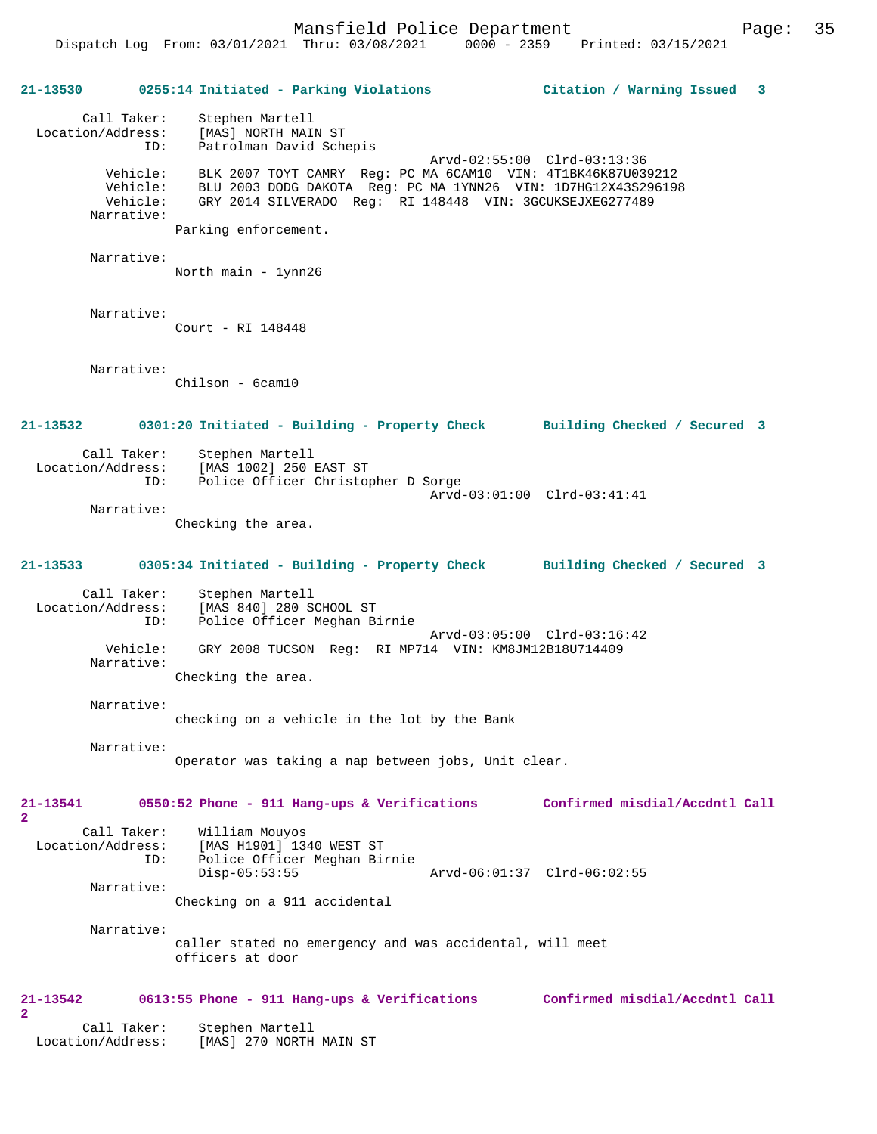### **21-13530 0255:14 Initiated - Parking Violations Citation / Warning Issued 3**

| Call Taker:<br>Location/Address: | Stephen Martell<br>[MAS] NORTH MAIN ST                        |
|----------------------------------|---------------------------------------------------------------|
| ID:                              | Patrolman David Schepis                                       |
|                                  | Arvd-02:55:00 Clrd-03:13:36                                   |
| Vehicle:                         | BLK 2007 TOYT CAMRY Req: PC MA 6CAM10 VIN: 4T1BK46K87U039212  |
| Vehicle:                         | BLU 2003 DODG DAKOTA Req: PC MA 1YNN26 VIN: 1D7HG12X43S296198 |
| Vehicle:                         | GRY 2014 SILVERADO Reg: RI 148448 VIN: 3GCUKSEJXEG277489      |
| Narrative:                       |                                                               |
|                                  |                                                               |

Parking enforcement.

```
 Narrative:
```
North main - 1ynn26

Narrative:

Court - RI 148448

Narrative:

Chilson - 6cam10

**21-13532 0301:20 Initiated - Building - Property Check Building Checked / Secured 3**

 Call Taker: Stephen Martell Location/Address: [MAS 1002] 250 EAST ST ID: Police Officer Christopher D Sorge Arvd-03:01:00 Clrd-03:41:41 Narrative:

Checking the area.

#### **21-13533 0305:34 Initiated - Building - Property Check Building Checked / Secured 3**

 Call Taker: Stephen Martell Location/Address: [MAS 840] 280 SCHOOL ST ID: Police Officer Meghan Birnie Arvd-03:05:00 Clrd-03:16:42<br>Vehicle: GRY 2008 TUCSON Req: RI MP714 VIN: KM8JM12B18U714409 GRY 2008 TUCSON Reg: RI MP714 VIN: KM8JM12B18U714409 Narrative: Checking the area.

Narrative:

checking on a vehicle in the lot by the Bank

Narrative:

Operator was taking a nap between jobs, Unit clear.

**21-13541 0550:52 Phone - 911 Hang-ups & Verifications Confirmed misdial/Accdntl Call 2**  Call Taker: William Mouyos

 Location/Address: [MAS H1901] 1340 WEST ST ID: Police Officer Meghan Birnie<br>Disp-05:53:55 Disp-05:53:55 Arvd-06:01:37 Clrd-06:02:55 Narrative: Checking on a 911 accidental

 Narrative: caller stated no emergency and was accidental, will meet officers at door

#### **21-13542 0613:55 Phone - 911 Hang-ups & Verifications Confirmed misdial/Accdntl Call**

**2** 

 Call Taker: Stephen Martell Location/Address: [MAS] 270 NORTH MAIN ST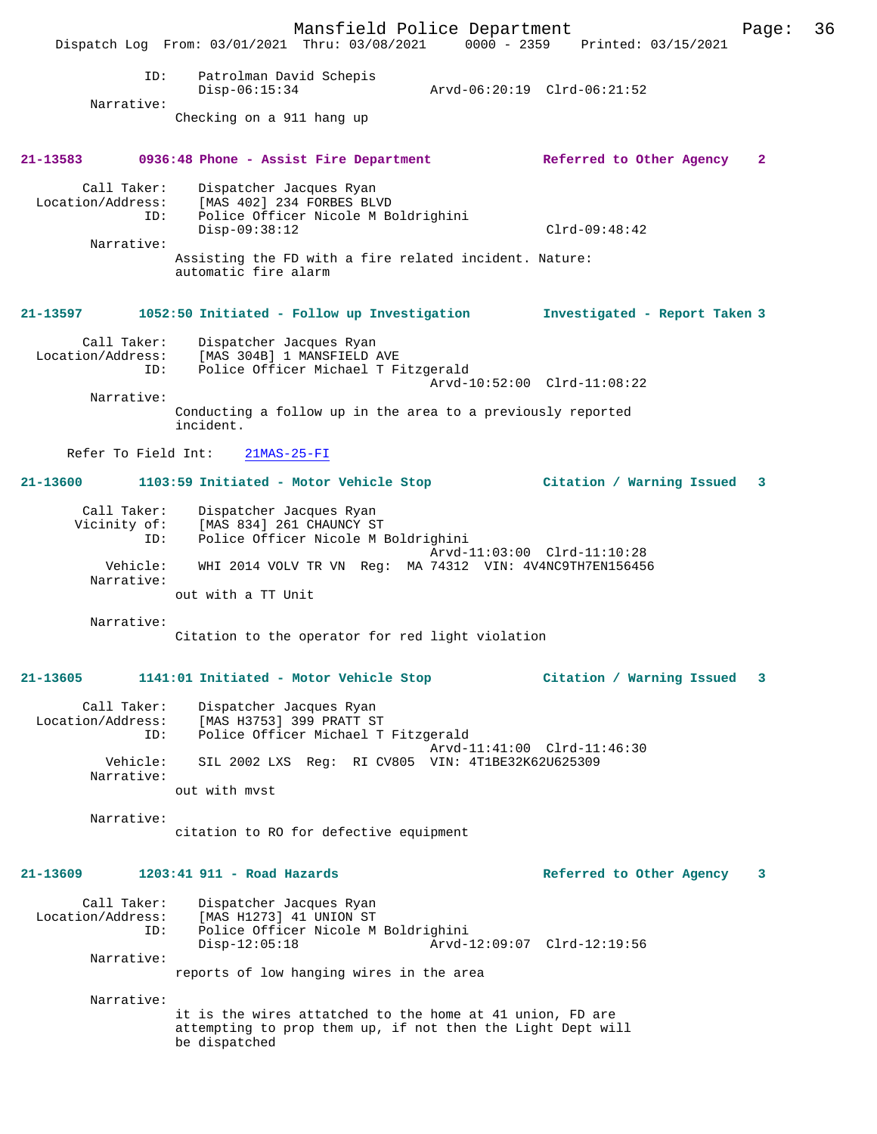Mansfield Police Department Page: 36 Dispatch Log From: 03/01/2021 Thru: 03/08/2021 ID: Patrolman David Schepis Disp-06:15:34 Arvd-06:20:19 Clrd-06:21:52 Narrative: Checking on a 911 hang up **21-13583 0936:48 Phone - Assist Fire Department Referred to Other Agency 2** Call Taker: Dispatcher Jacques Ryan Location/Address: [MAS 402] 234 FORBES BLVD ID: Police Officer Nicole M Boldrighini Disp-09:38:12 Clrd-09:48:42 Narrative: Assisting the FD with a fire related incident. Nature: automatic fire alarm **21-13597 1052:50 Initiated - Follow up Investigation Investigated - Report Taken 3** Call Taker: Dispatcher Jacques Ryan<br>Location/Address: [MAS 304B] 1 MANSFIELD Location (Address: The Same Parties of the Sea of the Sea of the Sea of the Sea of the Sea of the Sea of the S<br>This is a police Officer Michael T. F. Police Officer Michael T Fitzgerald Arvd-10:52:00 Clrd-11:08:22 Narrative: Conducting a follow up in the area to a previously reported incident. Refer To Field Int: 21MAS-25-FI **21-13600 1103:59 Initiated - Motor Vehicle Stop Citation / Warning Issued 3** Call Taker: Dispatcher Jacques Ryan<br>Vicinity of: [MAS 834] 261 CHAUNCY S' [MAS 834] 261 CHAUNCY ST ID: Police Officer Nicole M Boldrighini Arvd-11:03:00 Clrd-11:10:28<br>Vehicle: WHI 2014 VOLV TR VN Reg: MA 74312 VIN: 4V4NC9TH7EN156456 Vehicle: WHI 2014 VOLV TR VN Reg: MA 74312 VIN: 4V4NC9TH7EN156456 Narrative: out with a TT Unit Narrative: Citation to the operator for red light violation **21-13605 1141:01 Initiated - Motor Vehicle Stop Citation / Warning Issued 3** Call Taker: Dispatcher Jacques Ryan Location/Address: [MAS H3753] 399 PRATT ST .<br>Police Officer Michael T Fitzgerald Arvd-11:41:00 Clrd-11:46:30 Vehicle: SIL 2002 LXS Reg: RI CV805 VIN: 4T1BE32K62U625309 Narrative: out with mvst Narrative: citation to RO for defective equipment **21-13609 1203:41 911 - Road Hazards Referred to Other Agency 3** Call Taker: Dispatcher Jacques Ryan Location/Address: [MAS H1273] 41 UNION ST Police Officer Nicole M Boldrighini<br>Disp-12:05:18 Arvd- Disp-12:05:18 Arvd-12:09:07 Clrd-12:19:56 Narrative: reports of low hanging wires in the area Narrative: it is the wires attatched to the home at 41 union, FD are attempting to prop them up, if not then the Light Dept will be dispatched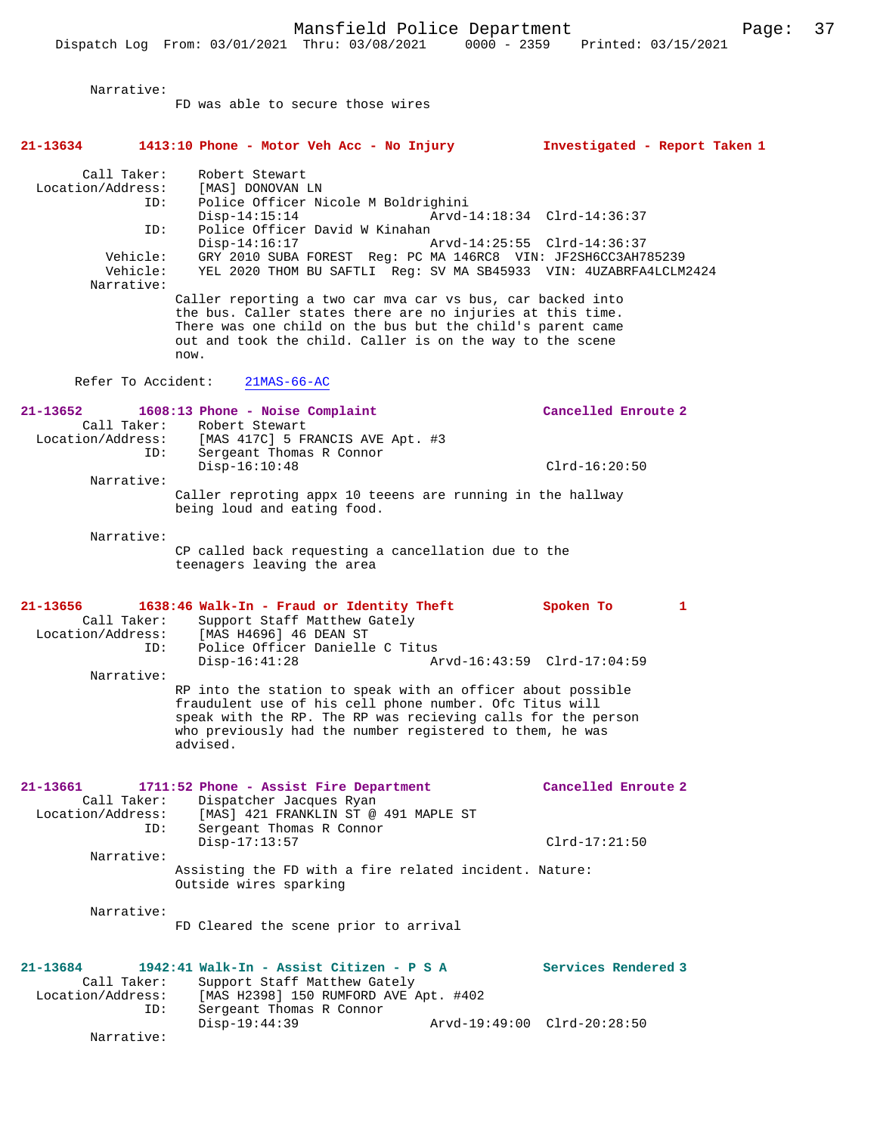Narrative:

|                               |                                    | FD was able to secure those wires                                                                                                                                                                                                                              |                               |
|-------------------------------|------------------------------------|----------------------------------------------------------------------------------------------------------------------------------------------------------------------------------------------------------------------------------------------------------------|-------------------------------|
| 21-13634                      |                                    | 1413:10 Phone - Motor Veh Acc - No Injury                                                                                                                                                                                                                      | Investigated - Report Taken 1 |
| Location/Address:             | Call Taker:<br>ID:                 | Robert Stewart<br>[MAS] DONOVAN LN<br>Police Officer Nicole M Boldrighini                                                                                                                                                                                      |                               |
|                               | ID:                                | $Disp-14:15:14$<br>Police Officer David W Kinahan                                                                                                                                                                                                              | Arvd-14:18:34 Clrd-14:36:37   |
|                               | Vehicle:<br>Vehicle:<br>Narrative: | $Disp-14:16:17$<br>GRY 2010 SUBA FOREST Reg: PC MA 146RC8 VIN: JF2SH6CC3AH785239<br>YEL 2020 THOM BU SAFTLI Reg: SV MA SB45933 VIN: 4UZABRFA4LCLM2424                                                                                                          | Arvd-14:25:55 Clrd-14:36:37   |
|                               |                                    | Caller reporting a two car mva car vs bus, car backed into<br>the bus. Caller states there are no injuries at this time.<br>There was one child on the bus but the child's parent came<br>out and took the child. Caller is on the way to the scene<br>now.    |                               |
|                               | Refer To Accident:                 | $21MAS-66-AC$                                                                                                                                                                                                                                                  |                               |
| 21-13652                      | Call Taker:<br>ID:                 | 1608:13 Phone - Noise Complaint<br>Robert Stewart<br>Location/Address: [MAS 417C] 5 FRANCIS AVE Apt. #3<br>Sergeant Thomas R Connor                                                                                                                            | Cancelled Enroute 2           |
|                               | Narrative:                         | $Disp-16:10:48$                                                                                                                                                                                                                                                | $Clrd-16:20:50$               |
|                               |                                    | Caller reproting appx 10 teeens are running in the hallway<br>being loud and eating food.                                                                                                                                                                      |                               |
|                               | Narrative:                         | CP called back requesting a cancellation due to the<br>teenagers leaving the area                                                                                                                                                                              |                               |
| 21-13656                      | Call Taker:                        | 1638:46 Walk-In - Fraud or Identity Theft<br>Support Staff Matthew Gately<br>Location/Address: [MAS H4696] 46 DEAN ST                                                                                                                                          | Spoken To<br>1                |
|                               | ID:<br>Narrative:                  | Police Officer Danielle C Titus<br>$Disp-16:41:28$                                                                                                                                                                                                             | Arvd-16:43:59 Clrd-17:04:59   |
|                               |                                    | RP into the station to speak with an officer about possible<br>fraudulent use of his cell phone number. Ofc Titus will<br>speak with the RP. The RP was recieving calls for the person<br>who previously had the number registered to them, he was<br>advised. |                               |
| 21-13661<br>Location/Address: | Call Taker:<br>ID:                 | 1711:52 Phone - Assist Fire Department<br>Dispatcher Jacques Ryan<br>[MAS] 421 FRANKLIN ST @ 491 MAPLE ST<br>Sergeant Thomas R Connor                                                                                                                          | Cancelled Enroute 2           |
|                               | Narrative:                         | $Disp-17:13:57$                                                                                                                                                                                                                                                | $Clrd-17:21:50$               |
|                               |                                    | Assisting the FD with a fire related incident. Nature:<br>Outside wires sparking                                                                                                                                                                               |                               |
|                               | Narrative:                         | FD Cleared the scene prior to arrival                                                                                                                                                                                                                          |                               |
| 21-13684<br>Location/Address: | Call Taker:<br>ID:                 | 1942:41 Walk-In - Assist Citizen - P S A<br>Support Staff Matthew Gately<br>[MAS H2398] 150 RUMFORD AVE Apt. #402<br>Sergeant Thomas R Connor                                                                                                                  | Services Rendered 3           |
|                               | Narrative:                         | $Disp-19:44:39$                                                                                                                                                                                                                                                | Arvd-19:49:00 Clrd-20:28:50   |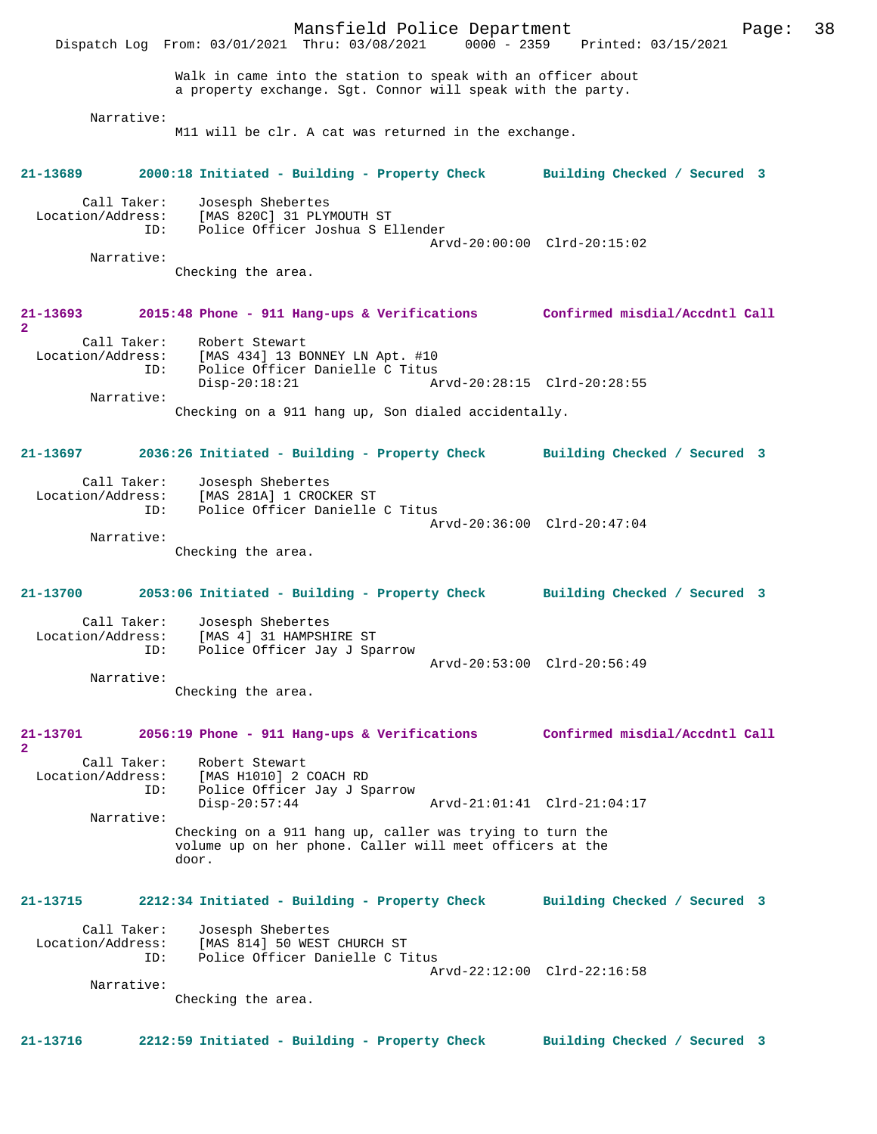Mansfield Police Department Page: 38 Dispatch Log From: 03/01/2021 Thru: 03/08/2021 Walk in came into the station to speak with an officer about a property exchange. Sgt. Connor will speak with the party. Narrative: M11 will be clr. A cat was returned in the exchange. **21-13689 2000:18 Initiated - Building - Property Check Building Checked / Secured 3** Call Taker: Josesph Shebertes Location/Address: [MAS 820C] 31 PLYMOUTH ST ID: Police Officer Joshua S Ellender Arvd-20:00:00 Clrd-20:15:02 Narrative: Checking the area. **21-13693 2015:48 Phone - 911 Hang-ups & Verifications Confirmed misdial/Accdntl Call 2**  Call Taker: Robert Stewart Location/Address: [MAS 434] 13 BONNEY LN Apt. #10 Police Officer Danielle C Titus<br>Disp-20:18:21 A Arvd-20:28:15 Clrd-20:28:55 Narrative: Checking on a 911 hang up, Son dialed accidentally. **21-13697 2036:26 Initiated - Building - Property Check Building Checked / Secured 3** Call Taker: Josesph Shebertes Location/Address: [MAS 281A] 1 CROCKER ST ID: Police Officer Danielle C Titus Arvd-20:36:00 Clrd-20:47:04 Narrative: Checking the area. **21-13700 2053:06 Initiated - Building - Property Check Building Checked / Secured 3** Call Taker: Josesph Shebertes<br>Location/Address: [MAS 4] 31 HAMPSH: ess: [MAS 4] 31 HAMPSHIRE ST<br>ID: Police Officer Jav J Spa Police Officer Jay J Sparrow Arvd-20:53:00 Clrd-20:56:49 Narrative: Checking the area. **21-13701 2056:19 Phone - 911 Hang-ups & Verifications Confirmed misdial/Accdntl Call 2**  Call Taker: Robert Stewart Location/Address: [MAS H1010] 2 COACH RD ID: Police Officer Jay J Sparrow Disp-20:57:44 Arvd-21:01:41 Clrd-21:04:17 Narrative: Checking on a 911 hang up, caller was trying to turn the volume up on her phone. Caller will meet officers at the door. **21-13715 2212:34 Initiated - Building - Property Check Building Checked / Secured 3** Call Taker: Josesph Shebertes<br>Location/Address: [MAS 814] 50 WEST [MAS 814] 50 WEST CHURCH ST ID: Police Officer Danielle C Titus Arvd-22:12:00 Clrd-22:16:58 Narrative: Checking the area. **21-13716 2212:59 Initiated - Building - Property Check Building Checked / Secured 3**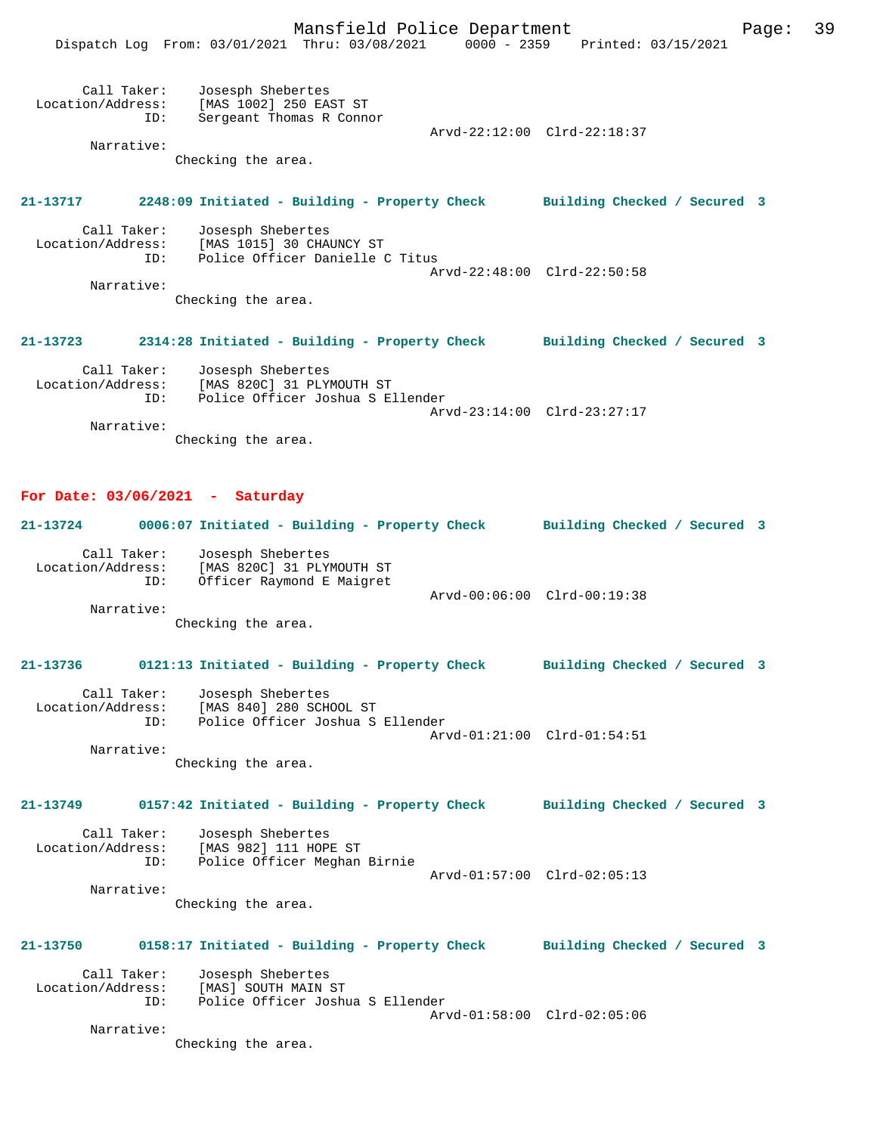Mansfield Police Department Fage: 39

|                                  |     | Dispatch Log From: 03/01/2021 Thru: 03/08/2021                                      | 0000 - 2359 | Printed: 03/15/2021         |  |
|----------------------------------|-----|-------------------------------------------------------------------------------------|-------------|-----------------------------|--|
| Call Taker:<br>Location/Address: | ID: | Josesph Shebertes<br>[MAS 1002] 250 EAST ST<br>Sergeant Thomas R Connor             |             | Arvd-22:12:00 Clrd-22:18:37 |  |
| Narrative:                       |     |                                                                                     |             |                             |  |
|                                  |     | Checking the area.                                                                  |             |                             |  |
| 21-13717                         |     | 2248:09 Initiated - Building - Property Check Building Checked / Secured 3          |             |                             |  |
| Call Taker:<br>Location/Address: | ID: | Josesph Shebertes<br>[MAS 1015] 30 CHAUNCY ST<br>Police Officer Danielle C Titus    |             |                             |  |
| Narrative:                       |     |                                                                                     |             | Arvd-22:48:00 Clrd-22:50:58 |  |
|                                  |     | Checking the area.                                                                  |             |                             |  |
| 21-13723                         |     | 2314:28 Initiated - Building - Property Check Building Checked / Secured 3          |             |                             |  |
| Call Taker:<br>Location/Address: | ID: | Josesph Shebertes<br>[MAS 820C] 31 PLYMOUTH ST<br>Police Officer Joshua S Ellender  |             | Arvd-23:14:00 Clrd-23:27:17 |  |
| Narrative:                       |     |                                                                                     |             |                             |  |
|                                  |     | Checking the area.                                                                  |             |                             |  |
|                                  |     | For Date: $03/06/2021$ - Saturday                                                   |             |                             |  |
|                                  |     | 21-13724 0006:07 Initiated - Building - Property Check Building Checked / Secured 3 |             |                             |  |
| Call Taker:<br>Location/Address: | ID: | Josesph Shebertes<br>[MAS 820C] 31 PLYMOUTH ST<br>Officer Raymond E Maigret         |             |                             |  |
|                                  |     |                                                                                     |             | Arvd-00:06:00 Clrd-00:19:38 |  |
| Narrative:                       |     | Checking the area.                                                                  |             |                             |  |
| 21-13736                         |     | 0121:13 Initiated - Building - Property Check Building Checked / Secured 3          |             |                             |  |
| Call Taker:<br>Location/Address: | ID: | Josesph Shebertes<br>[MAS 840] 280 SCHOOL ST<br>Police Officer Joshua S Ellender    |             |                             |  |
| Narrative:                       |     |                                                                                     |             | Arvd-01:21:00 Clrd-01:54:51 |  |
|                                  |     | Checking the area.                                                                  |             |                             |  |
| 21-13749                         |     | 0157:42 Initiated - Building - Property Check Building Checked / Secured 3          |             |                             |  |
| Call Taker:<br>Location/Address: | ID: | Josesph Shebertes<br>[MAS 982] 111 HOPE ST<br>Police Officer Meghan Birnie          |             |                             |  |
|                                  |     |                                                                                     |             | Arvd-01:57:00 Clrd-02:05:13 |  |
| Narrative:                       |     | Checking the area.                                                                  |             |                             |  |
| 21-13750                         |     | 0158:17 Initiated - Building - Property Check Building Checked / Secured 3          |             |                             |  |
| Call Taker:<br>Location/Address: | ID: | Josesph Shebertes<br>[MAS] SOUTH MAIN ST<br>Police Officer Joshua S Ellender        |             |                             |  |
| Narrative:                       |     |                                                                                     |             | Arvd-01:58:00 Clrd-02:05:06 |  |
|                                  |     | Checking the area.                                                                  |             |                             |  |
|                                  |     |                                                                                     |             |                             |  |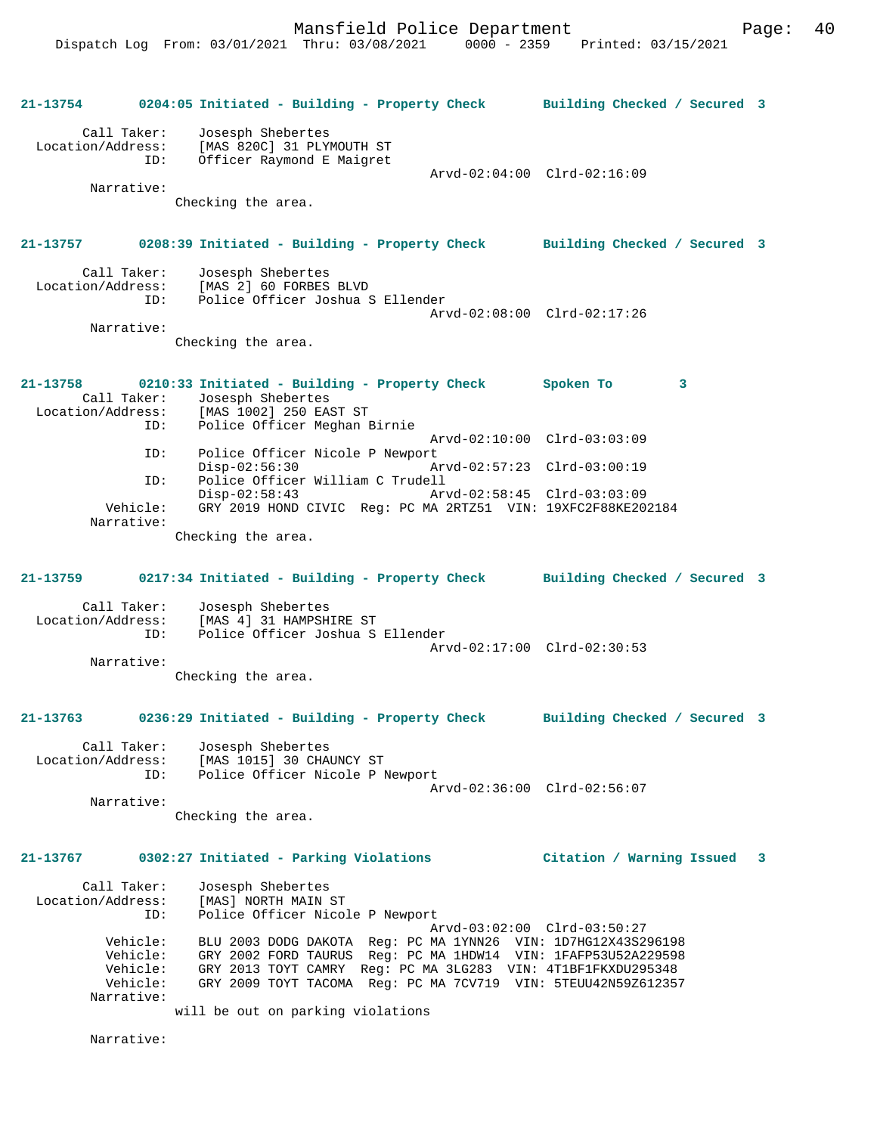**21-13754 0204:05 Initiated - Building - Property Check Building Checked / Secured 3** Call Taker: Josesph Shebertes Location/Address: [MAS 820C] 31 PLYMOUTH ST ID: Officer Raymond E Maigret Arvd-02:04:00 Clrd-02:16:09 Narrative: Checking the area. **21-13757 0208:39 Initiated - Building - Property Check Building Checked / Secured 3** Call Taker: Josesph Shebertes<br>Location/Address: [MAS 2] 60 FORBES [MAS 2] 60 FORBES BLVD ID: Police Officer Joshua S Ellender Arvd-02:08:00 Clrd-02:17:26 Narrative: Checking the area. **21-13758 0210:33 Initiated - Building - Property Check Spoken To 3**  Call Taker: Josesph Shebertes Location/Address: [MAS 1002] 250 EAST ST ID: Police Officer Meghan Birnie Arvd-02:10:00 Clrd-03:03:09<br>ID: Police Officer Nicole P Newport ID: Police Officer Nicole P Newport Disp-02:56:30 Arvd-02:57:23 Clrd-03:00:19 ID: Police Officer William C Trudell Disp-02:58:43 Arvd-02:58:45 Clrd-03:03:09 Vehicle: GRY 2019 HOND CIVIC Reg: PC MA 2RTZ51 VIN: 19XFC2F88KE202184 Narrative: Checking the area. **21-13759 0217:34 Initiated - Building - Property Check Building Checked / Secured 3** Call Taker: Josesph Shebertes Location/Address: [MAS 4] 31 HAMPSHIRE ST Police Officer Joshua S Ellender Arvd-02:17:00 Clrd-02:30:53 Narrative: Checking the area. **21-13763 0236:29 Initiated - Building - Property Check Building Checked / Secured 3** Call Taker: Josesph Shebertes Location/Address: [MAS 1015] 30 CHAUNCY ST ID: Police Officer Nicole P Newport Arvd-02:36:00 Clrd-02:56:07 Narrative: Checking the area. **21-13767 0302:27 Initiated - Parking Violations Citation / Warning Issued 3** Call Taker: Josesph Shebertes Location/Address: [MAS] NORTH MAIN ST ID: Police Officer Nicole P Newport Arvd-03:02:00 Clrd-03:50:27 Vehicle: BLU 2003 DODG DAKOTA Reg: PC MA 1YNN26 VIN: 1D7HG12X43S296198 Vehicle: GRY 2002 FORD TAURUS Reg: PC MA 1HDW14 VIN: 1FAFP53U52A229598 Vehicle: GRY 2013 TOYT CAMRY Reg: PC MA 3LG283 VIN: 4T1BF1FKXDU295348 GRY 2009 TOYT TACOMA Reg: PC MA 7CV719 VIN: 5TEUU42N59Z612357 Narrative: will be out on parking violations

Narrative: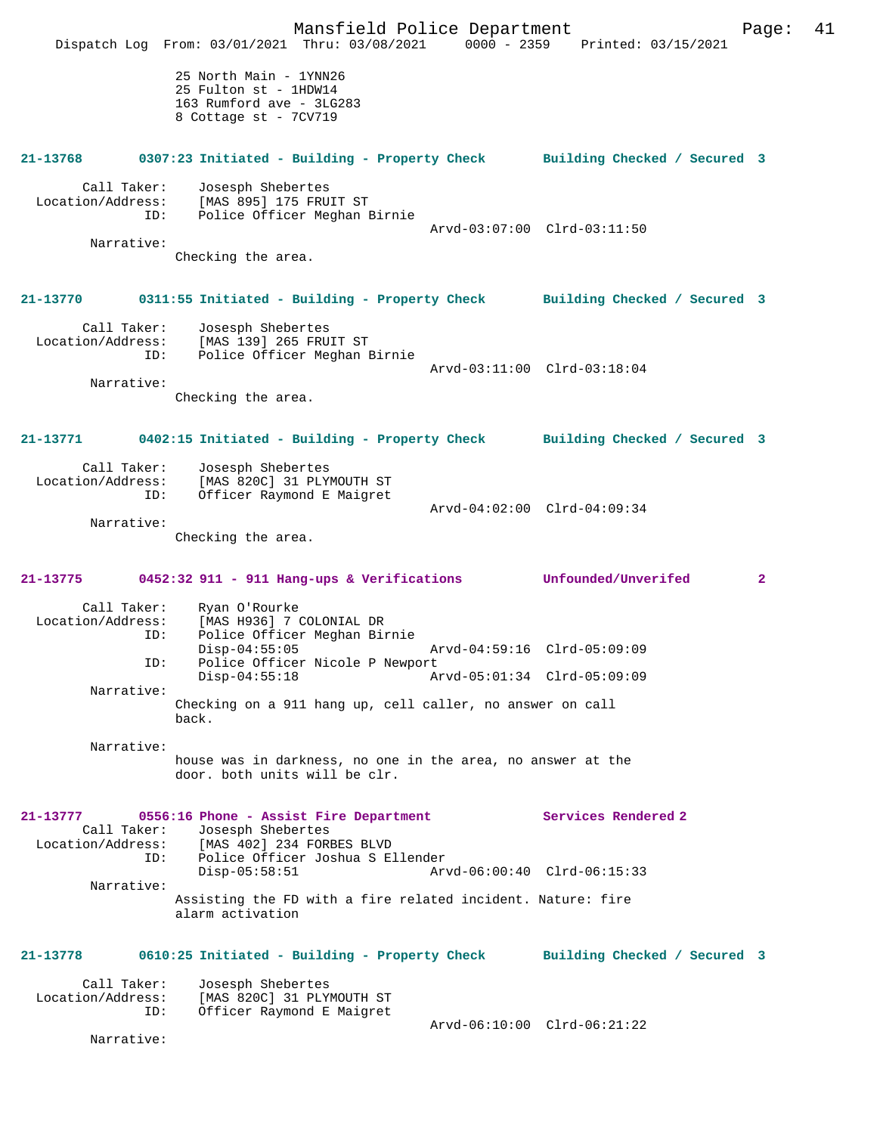Mansfield Police Department Page: 41 Dispatch Log From: 03/01/2021 Thru: 03/08/2021 0000 - 2359 Printed: 03/15/2021 25 North Main - 1YNN26 25 Fulton st - 1HDW14 163 Rumford ave - 3LG283 8 Cottage st - 7CV719 **21-13768 0307:23 Initiated - Building - Property Check Building Checked / Secured 3** Call Taker: Josesph Shebertes<br>Location/Address: [MAS 895] 175 FRU [MAS 895] 175 FRUIT ST ID: Police Officer Meghan Birnie Arvd-03:07:00 Clrd-03:11:50 Narrative: Checking the area. **21-13770 0311:55 Initiated - Building - Property Check Building Checked / Secured 3** Call Taker: Josesph Shebertes Location/Address: [MAS 139] 265 FRUIT ST ID: Police Officer Meghan Birnie Arvd-03:11:00 Clrd-03:18:04 Narrative: Checking the area. **21-13771 0402:15 Initiated - Building - Property Check Building Checked / Secured 3** Call Taker: Josesph Shebertes Location/Address: [MAS 820C] 31 PLYMOUTH ST ID: Officer Raymond E Maigret Arvd-04:02:00 Clrd-04:09:34 Narrative: Checking the area. **21-13775 0452:32 911 - 911 Hang-ups & Verifications Unfounded/Unverifed 2** Call Taker: Ryan O'Rourke<br>Location/Address: [MAS H936] 7 0 ess: [MAS H936] 7 COLONIAL DR<br>ID: Police Officer Meghan Bir Police Officer Meghan Birnie Disp-04:55:05 Arvd-04:59:16 Clrd-05:09:09<br>ID: Police Officer Nicole P Newport Police Officer Nicole P Newport<br>Disp-04:55:18 Am Disp-04:55:18 Arvd-05:01:34 Clrd-05:09:09 Narrative: Checking on a 911 hang up, cell caller, no answer on call back. Narrative: house was in darkness, no one in the area, no answer at the door. both units will be clr. **21-13777 0556:16 Phone - Assist Fire Department Services Rendered 2**  Call Taker: Josesph Shebertes<br>Location/Address: [MAS 402] 234 FOR [MAS 402] 234 FORBES BLVD ID: Police Officer Joshua S Ellender Disp-05:58:51 Arvd-06:00:40 Clrd-06:15:33 Narrative: Assisting the FD with a fire related incident. Nature: fire alarm activation **21-13778 0610:25 Initiated - Building - Property Check Building Checked / Secured 3** Call Taker: Josesph Shebertes<br>Location/Address: [MAS 820C] 31 PLY ess: [MAS 820C] 31 PLYMOUTH ST<br>ID: Officer Raymond E Majoret Officer Raymond E Maigret Arvd-06:10:00 Clrd-06:21:22 Narrative: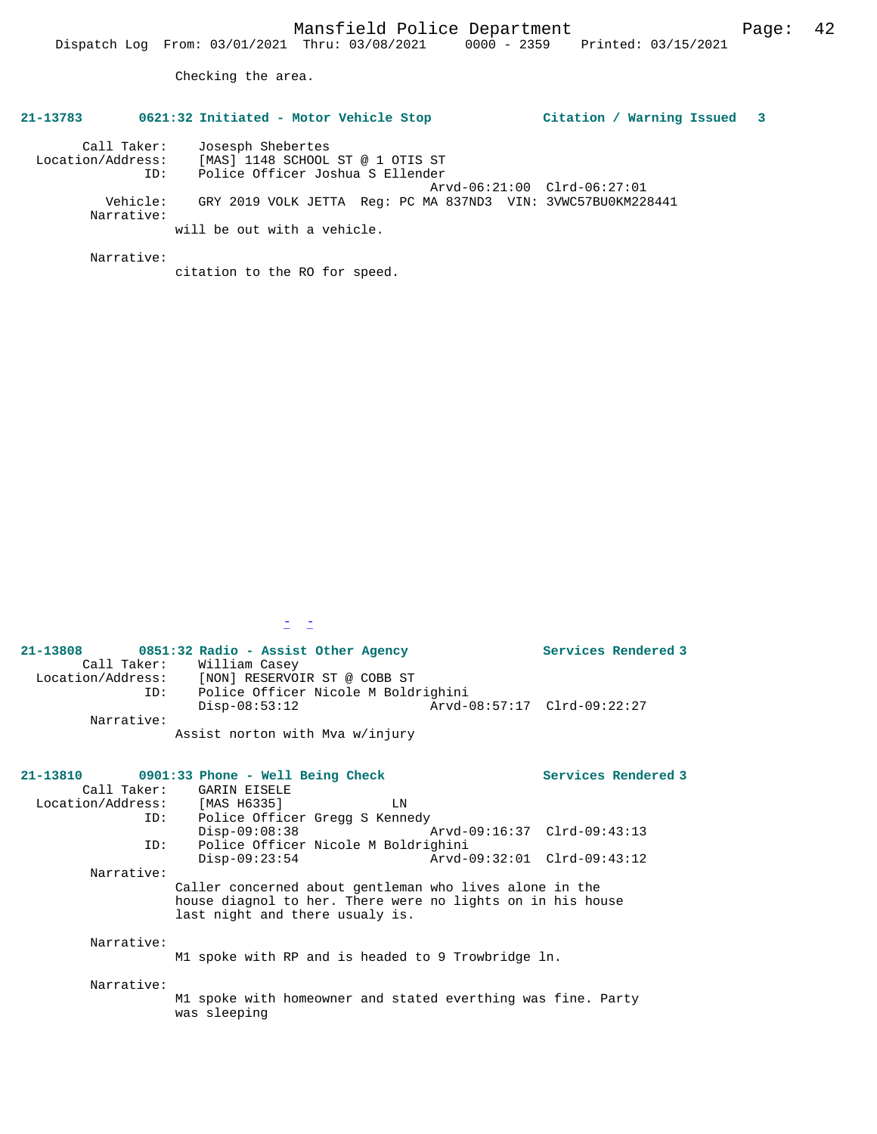Checking the area.

## **21-13783 0621:32 Initiated - Motor Vehicle Stop Citation / Warning Issued 3**

| Call Taker:            | Josesph Shebertes                                            |  |
|------------------------|--------------------------------------------------------------|--|
| Location/Address:      | [MAS] 1148 SCHOOL ST @ 1 OTIS ST                             |  |
| ID:                    | Police Officer Joshua S Ellender                             |  |
|                        | Arvd-06:21:00 Clrd-06:27:01                                  |  |
| Vehicle:<br>Narrative: | GRY 2019 VOLK JETTA Req: PC MA 837ND3 VIN: 3VWC57BU0KM228441 |  |
|                        | will be out with a vehicle.                                  |  |

Narrative:

citation to the RO for speed.

 $\mathbb{Z} \setminus \mathbb{Z}$ 

| 21-13808          |             | 0851:32 Radio - Assist Other Agency |  |                             | Services Rendered 3 |
|-------------------|-------------|-------------------------------------|--|-----------------------------|---------------------|
|                   | Call Taker: | William Casey                       |  |                             |                     |
| Location/Address: |             | [NON] RESERVOIR ST @ COBB ST        |  |                             |                     |
|                   | ID:         | Police Officer Nicole M Boldrighini |  |                             |                     |
|                   |             | Disp-08:53:12                       |  | Arvd-08:57:17 Clrd-09:22:27 |                     |
|                   | Narrative:  |                                     |  |                             |                     |
|                   |             | Assist norton with Mya w/injury     |  |                             |                     |

|                               | 21-13810 0901:33 Phone - Well Being Check                                                                                                                |    | Services Rendered 3 |
|-------------------------------|----------------------------------------------------------------------------------------------------------------------------------------------------------|----|---------------------|
|                               | Call Taker: GARIN EISELE                                                                                                                                 |    |                     |
| Location/Address: [MAS H6335] |                                                                                                                                                          | LN |                     |
|                               | ID: Police Officer Gregg S Kennedy                                                                                                                       |    |                     |
|                               | $Disp-09:08:38$                                                                                                                                          |    |                     |
| ID:                           | Police Officer Nicole M Boldrighini                                                                                                                      |    |                     |
|                               | $Disp-09:23:54$                                                                                                                                          |    |                     |
| Narrative:                    |                                                                                                                                                          |    |                     |
|                               | Caller concerned about gentleman who lives alone in the<br>house diagnol to her. There were no lights on in his house<br>last night and there usualy is. |    |                     |
| Narrative:                    |                                                                                                                                                          |    |                     |
|                               | M1 spoke with RP and is headed to 9 Trowbridge ln.                                                                                                       |    |                     |
| Narrative:                    |                                                                                                                                                          |    |                     |
|                               | M1 spoke with homeowner and stated everthing was fine. Party<br>was sleeping                                                                             |    |                     |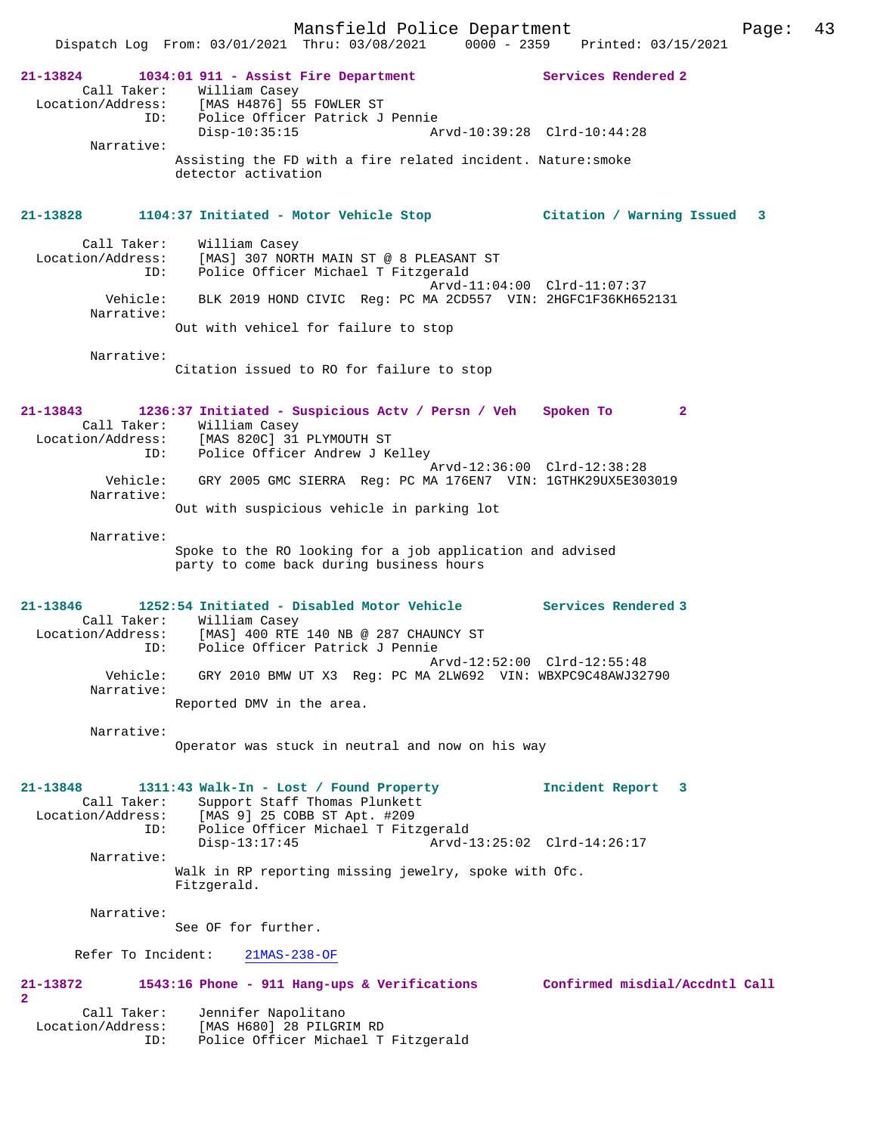Mansfield Police Department Page: 43 Dispatch Log From: 03/01/2021 Thru: 03/08/2021 0000 - 2359 Printed: 03/15/2021 **21-13824 1034:01 911 - Assist Fire Department Services Rendered 2**  Call Taker: William Casey<br>ion (Address: [MAS U4976] ER Location/Address: [MAS H4876] 55 FOWLER ST ID: Police Officer Patrick J Pennie Disp-10:35:15 Arvd-10:39:28 Clrd-10:44:28 Narrative: Assisting the FD with a fire related incident. Nature:smoke detector activation **21-13828 1104:37 Initiated - Motor Vehicle Stop Citation / Warning Issued 3** Call Taker: William Casey Location/Address: [MAS] 307 NORTH MAIN ST @ 8 PLEASANT ST ID: Police Officer Michael T Fitzgerald Arvd-11:04:00 Clrd-11:07:37 Vehicle: BLK 2019 HOND CIVIC Reg: PC MA 2CD557 VIN: 2HGFC1F36KH652131 Narrative: Out with vehicel for failure to stop Narrative: Citation issued to RO for failure to stop **21-13843 1236:37 Initiated - Suspicious Actv / Persn / Veh Spoken To 2**  Call Taker: William Casey<br>Location/Address: [MAS 820C] 31 Location/Address: [MAS 820C] 31 PLYMOUTH ST ID: Police Officer Andrew J Kelley Arvd-12:36:00 Clrd-12:38:28 Vehicle: GRY 2005 GMC SIERRA Reg: PC MA 176EN7 VIN: 1GTHK29UX5E303019 Narrative: Out with suspicious vehicle in parking lot Narrative: Spoke to the RO looking for a job application and advised party to come back during business hours **21-13846 1252:54 Initiated - Disabled Motor Vehicle Services Rendered 3**  Call Taker: William Casey<br>Location/Address: [MAS] 400 RTE [MAS] 400 RTE 140 NB @ 287 CHAUNCY ST ess: رومبن عدد المصبن<br>ID: Police Officer Patrick J Pennie Arvd-12:52:00 Clrd-12:55:48 Vehicle: GRY 2010 BMW UT X3 Reg: PC MA 2LW692 VIN: WBXPC9C48AWJ32790 Narrative: Reported DMV in the area. Narrative: Operator was stuck in neutral and now on his way **21-13848 1311:43 Walk-In - Lost / Found Property Incident Report 3**  Call Taker: Support Staff Thomas Plunkett Location/Address: [MAS 9] 25 COBB ST Apt. #209 ID: Police Officer Michael T Fitzgerald<br>Disp-13:17:45 Arvd-1 Arvd-13:25:02 Clrd-14:26:17 Narrative: Walk in RP reporting missing jewelry, spoke with Ofc. Fitzgerald. Narrative: See OF for further. Refer To Incident: 21MAS-238-OF **21-13872 1543:16 Phone - 911 Hang-ups & Verifications Confirmed misdial/Accdntl Call 2**  Call Taker: Jennifer Napolitano Location/Address: [MAS H680] 28 PILGRIM RD ID: Police Officer Michael T Fitzgerald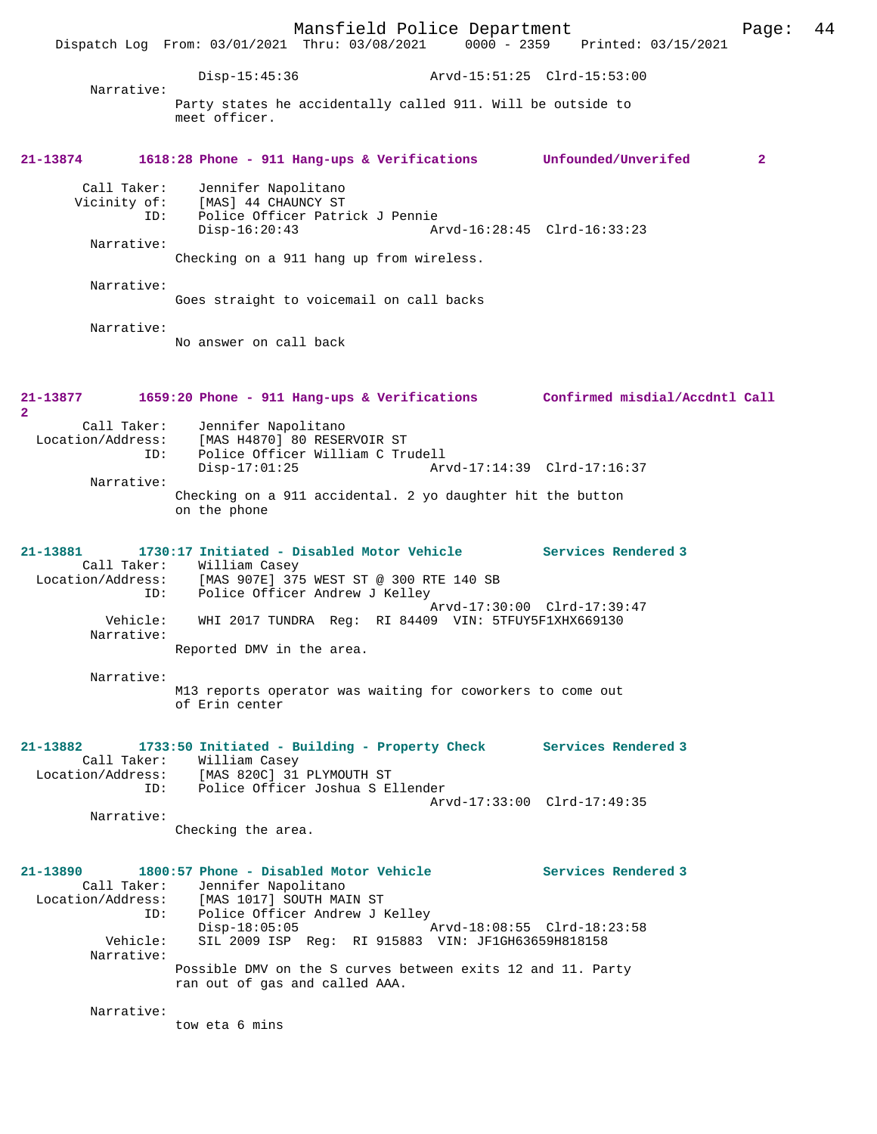Mansfield Police Department Page: 44 Dispatch Log From: 03/01/2021 Thru: 03/08/2021 Disp-15:45:36 Arvd-15:51:25 Clrd-15:53:00 Narrative: Party states he accidentally called 911. Will be outside to meet officer. **21-13874 1618:28 Phone - 911 Hang-ups & Verifications Unfounded/Unverifed 2** Call Taker: Jennifer Napolitano Vicinity of: [MAS] 44 CHAUNCY ST ID: Police Officer Patrick J Pennie Disp-16:20:43 Arvd-16:28:45 Clrd-16:33:23 Narrative: Checking on a 911 hang up from wireless. Narrative: Goes straight to voicemail on call backs Narrative: No answer on call back **21-13877 1659:20 Phone - 911 Hang-ups & Verifications Confirmed misdial/Accdntl Call 2**  Call Taker: Jennifer Napolitano Location/Address: [MAS H4870] 80 RESERVOIR ST ID: Police Officer William C Trudell Disp-17:01:25 Arvd-17:14:39 Clrd-17:16:37 Narrative: Checking on a 911 accidental. 2 yo daughter hit the button on the phone **21-13881 1730:17 Initiated - Disabled Motor Vehicle Services Rendered 3**  Call Taker: William Casey Location/Address: [MAS 907E] 375 WEST ST @ 300 RTE 140 SB ID: Police Officer Andrew J Kelley Arvd-17:30:00 Clrd-17:39:47 Vehicle: WHI 2017 TUNDRA Reg: RI 84409 VIN: 5TFUY5F1XHX669130 Narrative: Reported DMV in the area. Narrative: M13 reports operator was waiting for coworkers to come out of Erin center **21-13882 1733:50 Initiated - Building - Property Check Services Rendered 3**  Call Taker: William Casey<br>Location/Address: [MAS 820C] 31 ess: [MAS 820C] 31 PLYMOUTH ST<br>ID: Police Officer Joshua S.E. Police Officer Joshua S Ellender Arvd-17:33:00 Clrd-17:49:35 Narrative: Checking the area. **21-13890 1800:57 Phone - Disabled Motor Vehicle Services Rendered 3**  Call Taker: Jennifer Napolitano<br>Location/Address: [MAS 1017] SOUTH MAI Location/Address: [MAS 1017] SOUTH MAIN ST ID: Police Officer Andrew J Kelley Disp-18:05:05 Arvd-18:08:55 Clrd-18:23:58 Vehicle: SIL 2009 ISP Reg: RI 915883 VIN: JF1GH63659H818158 Narrative: Possible DMV on the S curves between exits 12 and 11. Party ran out of gas and called AAA. Narrative: tow eta 6 mins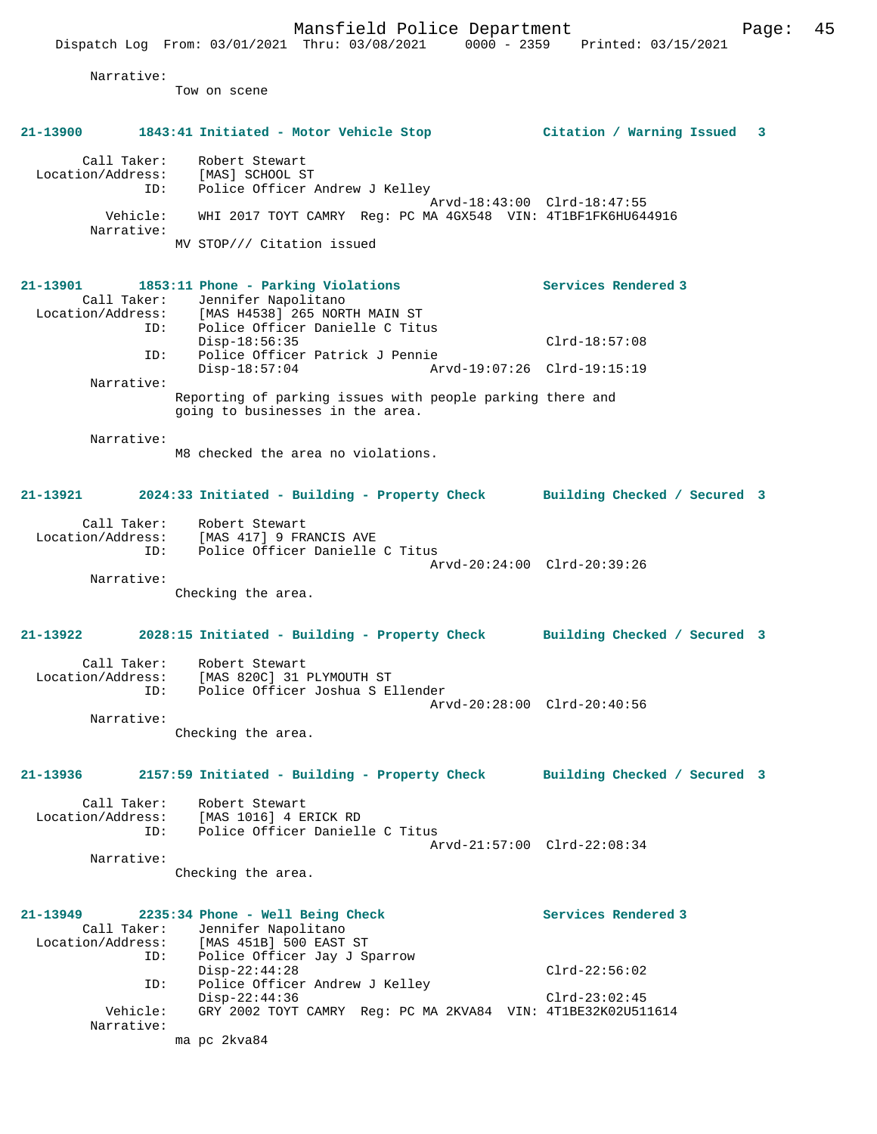Dispatch Log From: 03/01/2021 Thru: 03/08/2021 0000 - 2359 Printed: 03/15/2021 Narrative: Tow on scene **21-13900 1843:41 Initiated - Motor Vehicle Stop Citation / Warning Issued 3** Call Taker: Robert Stewart Location/Address: [MAS] SCHOOL ST ID: Police Officer Andrew J Kelley Arvd-18:43:00 Clrd-18:47:55 Vehicle: WHI 2017 TOYT CAMRY Reg: PC MA 4GX548 VIN: 4T1BF1FK6HU644916 Narrative: MV STOP/// Citation issued **21-13901 1853:11 Phone - Parking Violations Services Rendered 3**  Call Taker: Jennifer Napolitano<br>Location/Address: [MAS H4538] 265 NORT  $[MAS H4538]$  265 NORTH MAIN ST ID: Police Officer Danielle C Titus Disp-18:56:35 Clrd-18:57:08 ID: Police Officer Patrick J Pennie Disp-18:57:04 Arvd-19:07:26 Clrd-19:15:19 Narrative: Reporting of parking issues with people parking there and going to businesses in the area. Narrative: M8 checked the area no violations. **21-13921 2024:33 Initiated - Building - Property Check Building Checked / Secured 3** Call Taker: Robert Stewart Location/Address: [MAS 417] 9 FRANCIS AVE ID: Police Officer Danielle C Titus Arvd-20:24:00 Clrd-20:39:26 Narrative: Checking the area. **21-13922 2028:15 Initiated - Building - Property Check Building Checked / Secured 3** Call Taker: Robert Stewart Location/Address: [MAS 820C] 31 PLYMOUTH ST ID: Police Officer Joshua S Ellender Arvd-20:28:00 Clrd-20:40:56 Narrative: Checking the area. **21-13936 2157:59 Initiated - Building - Property Check Building Checked / Secured 3** Call Taker: Robert Stewart Location/Address: [MAS 1016] 4 ERICK RD Police Officer Danielle C Titus Arvd-21:57:00 Clrd-22:08:34 Narrative: Checking the area.

| $21 - 13949$      | 2235:34 Phone - Well Being Check                             | Services Rendered 3 |
|-------------------|--------------------------------------------------------------|---------------------|
| Call Taker:       | Jennifer Napolitano                                          |                     |
| Location/Address: | [MAS 451B] 500 EAST ST                                       |                     |
| ID:               | Police Officer Jay J Sparrow                                 |                     |
|                   | $Disp-22:44:28$                                              | $Clrd-22:56:02$     |
| ID:               | Police Officer Andrew J Kelley                               |                     |
|                   | $Disp-22:44:36$                                              | $Clrd-23:02:45$     |
| Vehicle:          | GRY 2002 TOYT CAMRY Req: PC MA 2KVA84 VIN: 4T1BE32K02U511614 |                     |
| Narrative:        |                                                              |                     |
|                   | ma pc 2kva84                                                 |                     |

Mansfield Police Department Fage: 45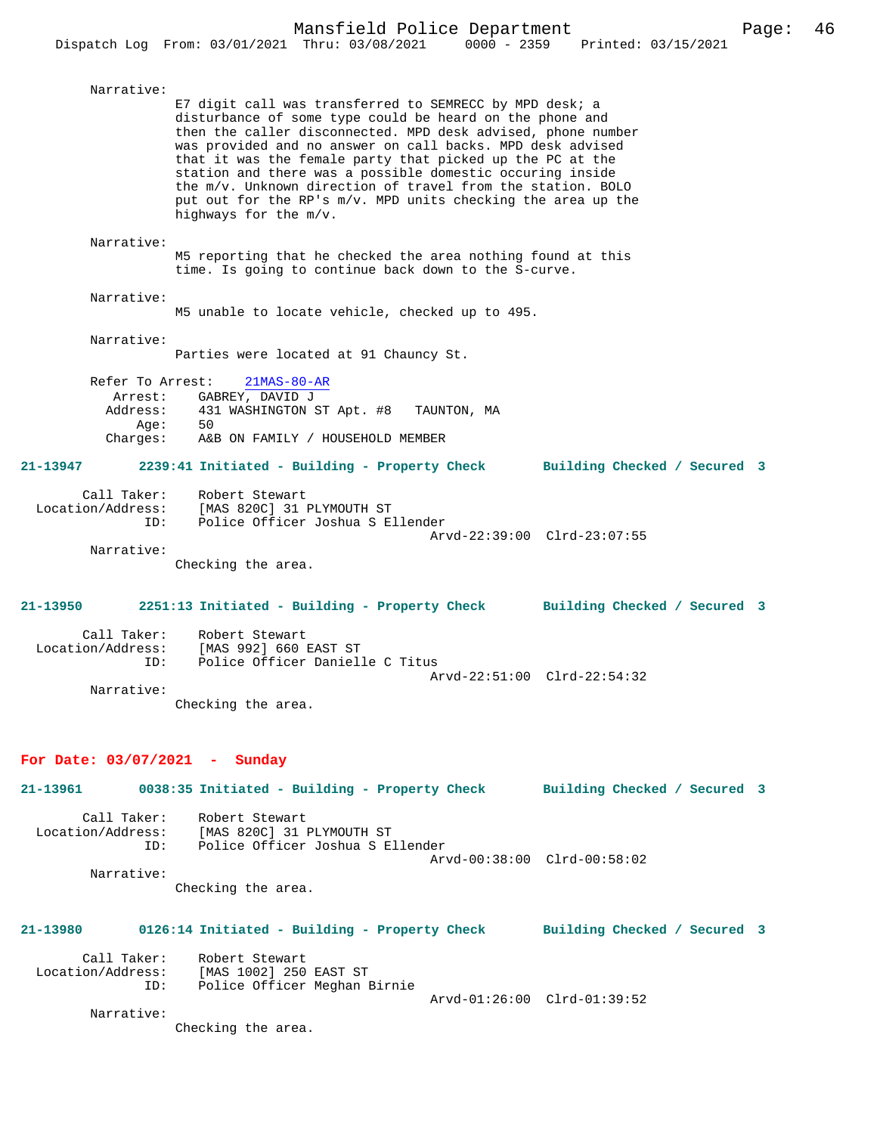| Narrative:                                                              | E7 digit call was transferred to SEMRECC by MPD desk; a<br>disturbance of some type could be heard on the phone and<br>then the caller disconnected. MPD desk advised, phone number<br>was provided and no answer on call backs. MPD desk advised<br>that it was the female party that picked up the PC at the<br>station and there was a possible domestic occuring inside<br>the m/v. Unknown direction of travel from the station. BOLO<br>put out for the RP's m/v. MPD units checking the area up the<br>highways for the m/v. |                              |
|-------------------------------------------------------------------------|-------------------------------------------------------------------------------------------------------------------------------------------------------------------------------------------------------------------------------------------------------------------------------------------------------------------------------------------------------------------------------------------------------------------------------------------------------------------------------------------------------------------------------------|------------------------------|
| Narrative:                                                              | M5 reporting that he checked the area nothing found at this<br>time. Is going to continue back down to the S-curve.                                                                                                                                                                                                                                                                                                                                                                                                                 |                              |
| Narrative:                                                              | M5 unable to locate vehicle, checked up to 495.                                                                                                                                                                                                                                                                                                                                                                                                                                                                                     |                              |
| Narrative:                                                              | Parties were located at 91 Chauncy St.                                                                                                                                                                                                                                                                                                                                                                                                                                                                                              |                              |
| Refer To Arrest:<br>Arrest:<br>Address:<br>Aqe:<br>Charges:<br>21-13947 | $21MAS-80-AR$<br>GABREY, DAVID J<br>431 WASHINGTON ST Apt. #8<br>TAUNTON, MA<br>50<br>A&B ON FAMILY / HOUSEHOLD MEMBER<br>2239:41 Initiated - Building - Property Check                                                                                                                                                                                                                                                                                                                                                             | Building Checked / Secured 3 |
| Call Taker:<br>Location/Address:<br>ID:<br>Narrative:                   | [MAS 820C] 31 PLYMOUTH ST<br>Police Offic<br>Police Officer Joshua S Ellender<br>Checking the area.                                                                                                                                                                                                                                                                                                                                                                                                                                 | Arvd-22:39:00 Clrd-23:07:55  |
| 21-13950                                                                | 2251:13 Initiated - Building - Property Check                                                                                                                                                                                                                                                                                                                                                                                                                                                                                       | Building Checked / Secured 3 |
| Call Taker:<br>Location/Address:<br>ID:<br>Narrative:                   | Robert Stewart<br>[MAS 992] 660 EAST ST<br>Police Officer Danielle C Titus                                                                                                                                                                                                                                                                                                                                                                                                                                                          | Arvd-22:51:00 Clrd-22:54:32  |
|                                                                         | Checking the area.                                                                                                                                                                                                                                                                                                                                                                                                                                                                                                                  |                              |
| For Date: $03/07/2021$ - Sunday                                         |                                                                                                                                                                                                                                                                                                                                                                                                                                                                                                                                     |                              |
|                                                                         | 21-13961 0038:35 Initiated - Building - Property Check Building Checked / Secured 3                                                                                                                                                                                                                                                                                                                                                                                                                                                 |                              |
|                                                                         | Call Taker: Robert Stewart<br>Location/Address: [MAS 820C] 31 PLYMOUTH ST<br>ID: Police Officer Joshua S Ellender                                                                                                                                                                                                                                                                                                                                                                                                                   | Arvd-00:38:00 Clrd-00:58:02  |
| Narrative:                                                              | Checking the area.                                                                                                                                                                                                                                                                                                                                                                                                                                                                                                                  |                              |

**21-13980 0126:14 Initiated - Building - Property Check Building Checked / Secured 3** Call Taker: Robert Stewart

 Location/Address: [MAS 1002] 250 EAST ST ID: Police Officer Meghan Birnie Arvd-01:26:00 Clrd-01:39:52 Narrative:

Checking the area.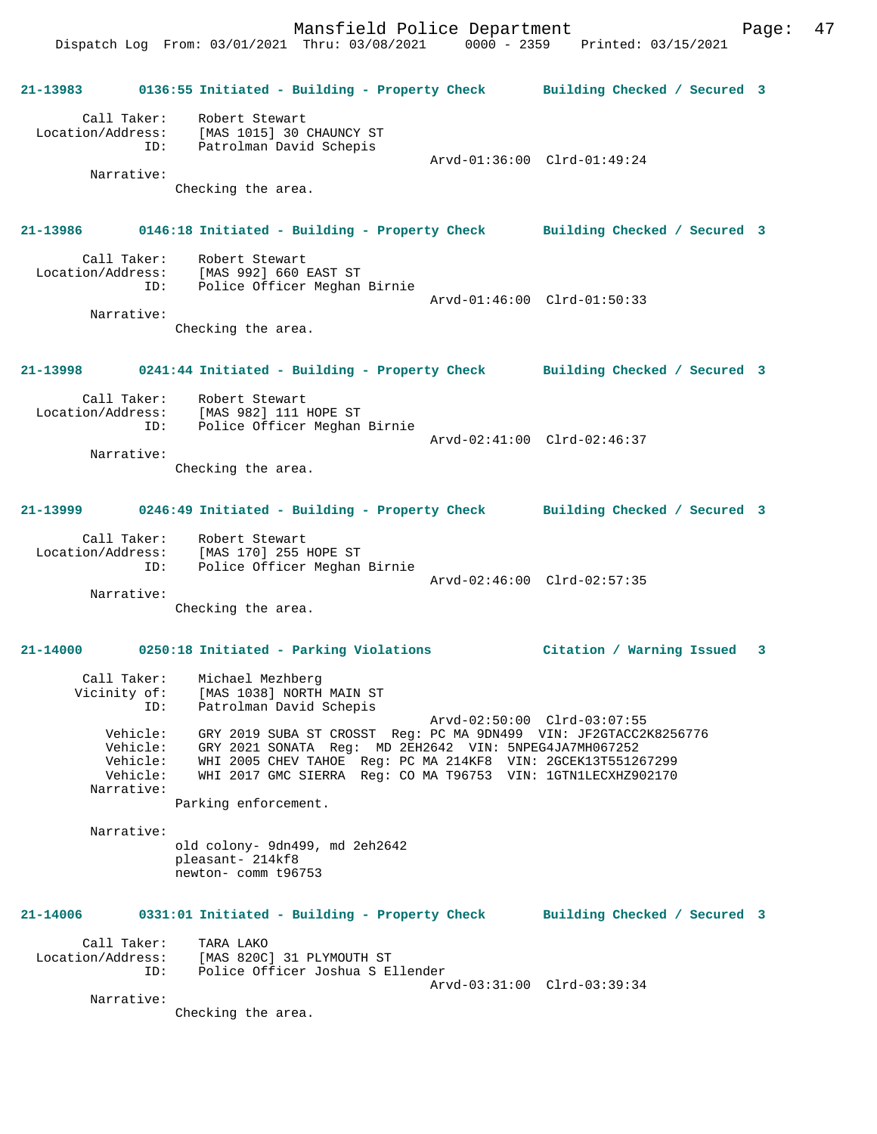Dispatch Log From: 03/01/2021 Thru: 03/08/2021 0000 - 2359 Printed: 03/15/2021

**21-13983 0136:55 Initiated - Building - Property Check Building Checked / Secured 3** Call Taker: Robert Stewart Location/Address: [MAS 1015] 30 CHAUNCY ST ID: Patrolman David Schepis Arvd-01:36:00 Clrd-01:49:24 Narrative: Checking the area. **21-13986 0146:18 Initiated - Building - Property Check Building Checked / Secured 3** Call Taker: Robert Stewart Location/Address: [MAS 992] 660 EAST ST ID: Police Officer Meghan Birnie Arvd-01:46:00 Clrd-01:50:33 Narrative: Checking the area. **21-13998 0241:44 Initiated - Building - Property Check Building Checked / Secured 3** Call Taker: Robert Stewart Location/Address: [MAS 982] 111 HOPE ST ID: Police Officer Meghan Birnie Arvd-02:41:00 Clrd-02:46:37 Narrative: Checking the area. **21-13999 0246:49 Initiated - Building - Property Check Building Checked / Secured 3** Call Taker: Robert Stewart Location/Address: [MAS 170] 255 HOPE ST ID: Police Officer Meghan Birnie Arvd-02:46:00 Clrd-02:57:35 Narrative: Checking the area. **21-14000 0250:18 Initiated - Parking Violations Citation / Warning Issued 3** Call Taker: Michael Mezhberg Vicinity of: [MAS 1038] NORTH MAIN ST ID: Patrolman David Schepis Arvd-02:50:00 Clrd-03:07:55 Vehicle: GRY 2019 SUBA ST CROSST Reg: PC MA 9DN499 VIN: JF2GTACC2K8256776 Vehicle: GRY 2021 SONATA Reg: MD 2EH2642 VIN: 5NPEG4JA7MH067252 Vehicle: WHI 2005 CHEV TAHOE Reg: PC MA 214KF8 VIN: 2GCEK13T551267299 Vehicle: WHI 2017 GMC SIERRA Reg: CO MA T96753 VIN: 1GTN1LECXHZ902170 Narrative: Parking enforcement. Narrative: old colony- 9dn499, md 2eh2642 pleasant- 214kf8 newton- comm t96753 **21-14006 0331:01 Initiated - Building - Property Check Building Checked / Secured 3** Call Taker: TARA LAKO Location/Address: [MAS 820C] 31 PLYMOUTH ST ID: Police Officer Joshua S Ellender Arvd-03:31:00 Clrd-03:39:34 Narrative: Checking the area.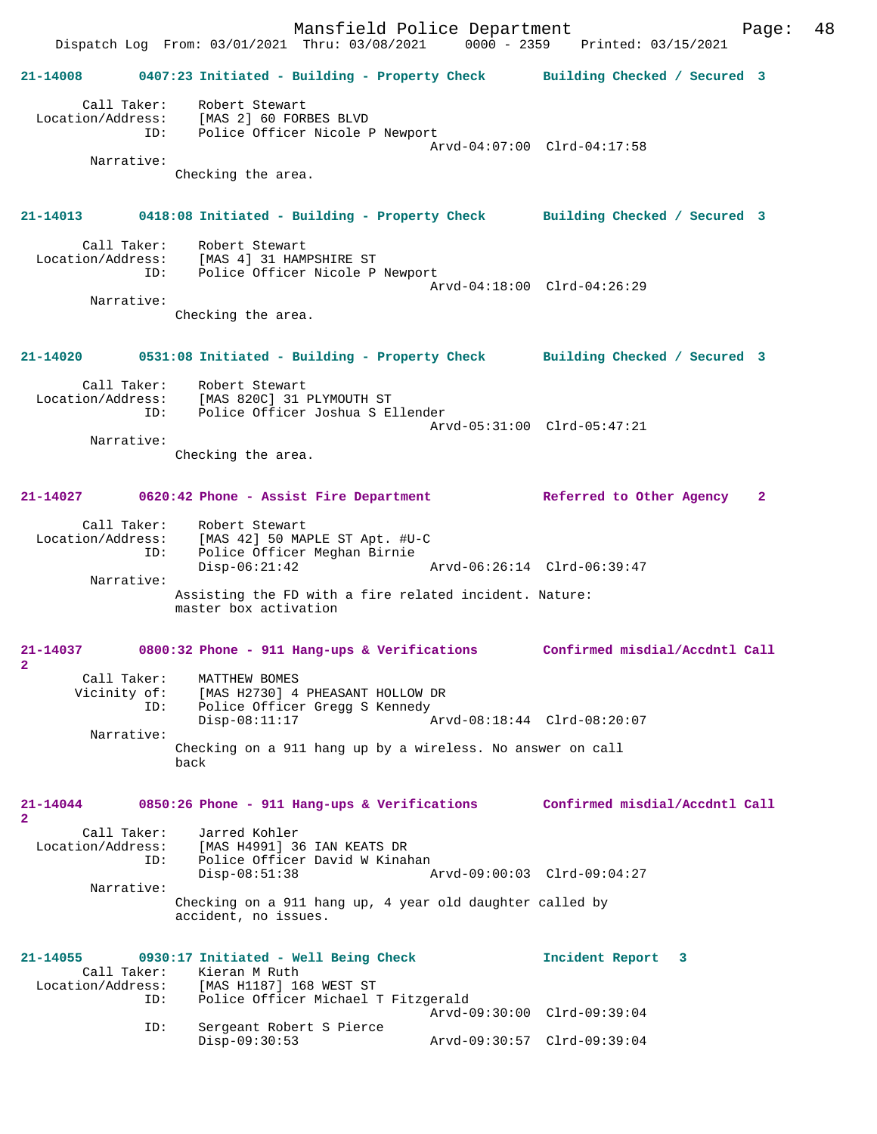Mansfield Police Department Fage: 48 Dispatch Log From: 03/01/2021 Thru: 03/08/2021 0000 - 2359 Printed: 03/15/2021 **21-14008 0407:23 Initiated - Building - Property Check Building Checked / Secured 3** Call Taker: Robert Stewart Location/Address: [MAS 2] 60 FORBES BLVD ID: Police Officer Nicole P Newport Arvd-04:07:00 Clrd-04:17:58 Narrative: Checking the area. **21-14013 0418:08 Initiated - Building - Property Check Building Checked / Secured 3** Call Taker: Robert Stewart Location/Address: [MAS 4] 31 HAMPSHIRE ST Police Officer Nicole P Newport Arvd-04:18:00 Clrd-04:26:29 Narrative: Checking the area. **21-14020 0531:08 Initiated - Building - Property Check Building Checked / Secured 3** Call Taker: Robert Stewart Location/Address: [MAS 820C] 31 PLYMOUTH ST ID: Police Officer Joshua S Ellender Arvd-05:31:00 Clrd-05:47:21 Narrative: Checking the area. **21-14027 0620:42 Phone - Assist Fire Department Referred to Other Agency 2** Call Taker: Robert Stewart Location/Address: [MAS 42] 50 MAPLE ST Apt. #U-C ID: Police Officer Meghan Birnie Arvd-06:26:14 Clrd-06:39:47 Narrative: Assisting the FD with a fire related incident. Nature: master box activation **21-14037 0800:32 Phone - 911 Hang-ups & Verifications Confirmed misdial/Accdntl Call 2**  Call Taker: MATTHEW BOMES Vicinity of: [MAS H2730] 4 PHEASANT HOLLOW DR ID: Police Officer Gregg S Kennedy Disp-08:11:17 Arvd-08:18:44 Clrd-08:20:07 Narrative: Checking on a 911 hang up by a wireless. No answer on call back **21-14044 0850:26 Phone - 911 Hang-ups & Verifications Confirmed misdial/Accdntl Call 2**  Call Taker: Jarred Kohler<br>Location/Address: [MAS H4991] 36 [MAS H4991] 36 IAN KEATS DR ID: Police Officer David W Kinahan<br>Disp-08:51:38 Disp-08:51:38 Arvd-09:00:03 Clrd-09:04:27 Narrative: Checking on a 911 hang up, 4 year old daughter called by accident, no issues. **21-14055 0930:17 Initiated - Well Being Check Incident Report 3**  Call Taker: Kieran M Ruth<br>Location/Address: [MAS H1187] 16 ess: [MAS H1187] 168 WEST ST<br>ID: Police Officer Michael 1 Police Officer Michael T Fitzgerald Arvd-09:30:00 Clrd-09:39:04 ID: Sergeant Robert S Pierce Disp-09:30:53 Arvd-09:30:57 Clrd-09:39:04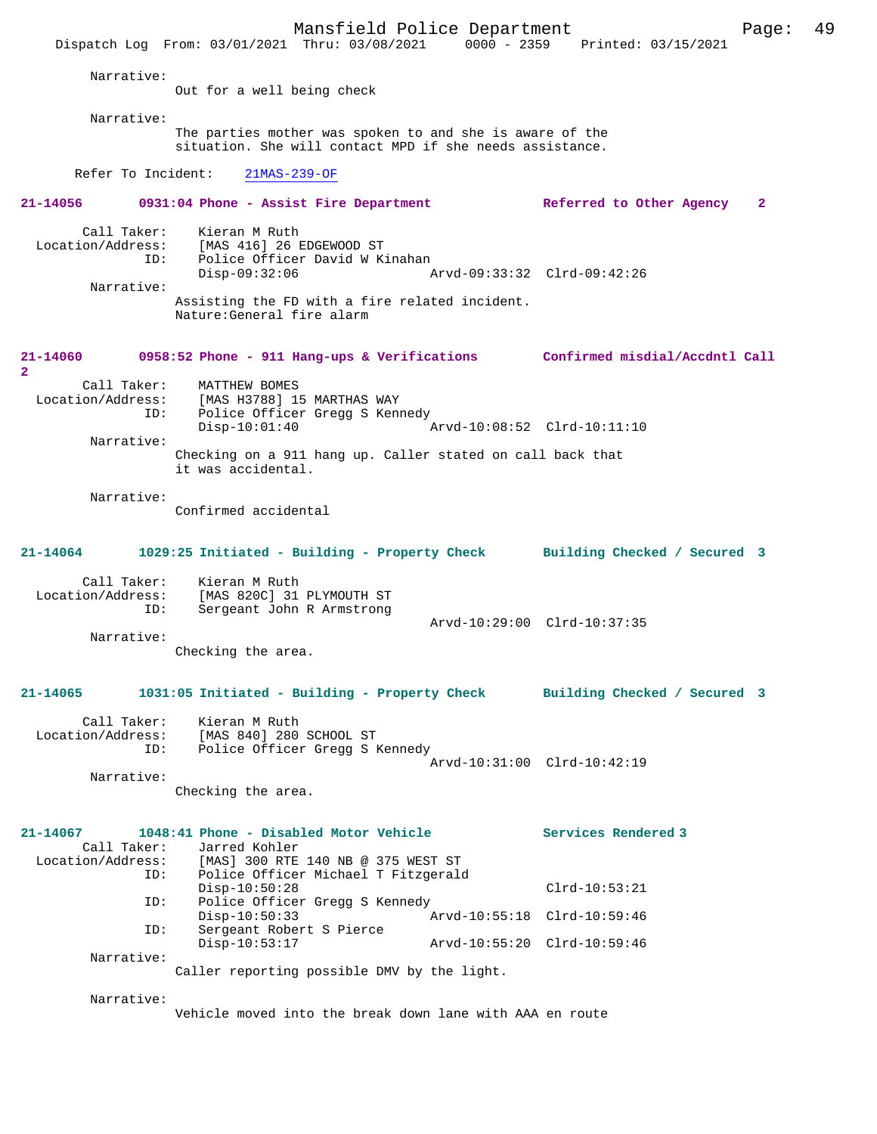Mansfield Police Department Page: 49 Dispatch Log From: 03/01/2021 Thru: 03/08/2021 0000 - 2359 Narrative: Out for a well being check Narrative: The parties mother was spoken to and she is aware of the situation. She will contact MPD if she needs assistance. Refer To Incident: 21MAS-239-OF **21-14056 0931:04 Phone - Assist Fire Department Referred to Other Agency 2** Call Taker: Kieran M Ruth<br>Location/Address: [MAS 416] 26 B [MAS 416] 26 EDGEWOOD ST ID: Police Officer David W Kinahan<br>Disp-09:32:06 Disp-09:32:06 Arvd-09:33:32 Clrd-09:42:26 Narrative: Assisting the FD with a fire related incident. Nature:General fire alarm **21-14060 0958:52 Phone - 911 Hang-ups & Verifications Confirmed misdial/Accdntl Call 2**  Call Taker: MATTHEW BOMES<br>Location/Address: [MAS H3788] 1 ess: [MAS H3788] 15 MARTHAS WAY<br>ID: Police Officer Gregg S Kenm Police Officer Gregg S Kennedy Disp-10:01:40 Arvd-10:08:52 Clrd-10:11:10 Narrative: Checking on a 911 hang up. Caller stated on call back that it was accidental. Narrative: Confirmed accidental **21-14064 1029:25 Initiated - Building - Property Check Building Checked / Secured 3** Call Taker: Kieran M Ruth<br>Location/Address: [MAS 820C] 31 ess: [MAS 820C] 31 PLYMOUTH ST<br>ID: Sergeant John R Armstrong Sergeant John R Armstrong Arvd-10:29:00 Clrd-10:37:35 Narrative: Checking the area. **21-14065 1031:05 Initiated - Building - Property Check Building Checked / Secured 3** Call Taker: Kieran M Ruth Location/Address: [MAS 840] 280 SCHOOL ST ID: Police Officer Gregg S Kennedy Arvd-10:31:00 Clrd-10:42:19 Narrative: Checking the area. **21-14067 1048:41 Phone - Disabled Motor Vehicle Services Rendered 3**  Call Taker: Jarred Kohler Location/Address: [MAS] 300 RTE 140 NB @ 375 WEST ST ID: Police Officer Michael T Fitzgerald Disp-10:50:28 Clrd-10:53:21 ID: Police Officer Gregg S Kennedy<br>Disp-10:50:33 Disp-10:50:33 Arvd-10:55:18 Clrd-10:59:46 ID: Sergeant Robert S Pierce Disp-10:53:17 Arvd-10:55:20 Clrd-10:59:46 Narrative: Caller reporting possible DMV by the light. Narrative: Vehicle moved into the break down lane with AAA en route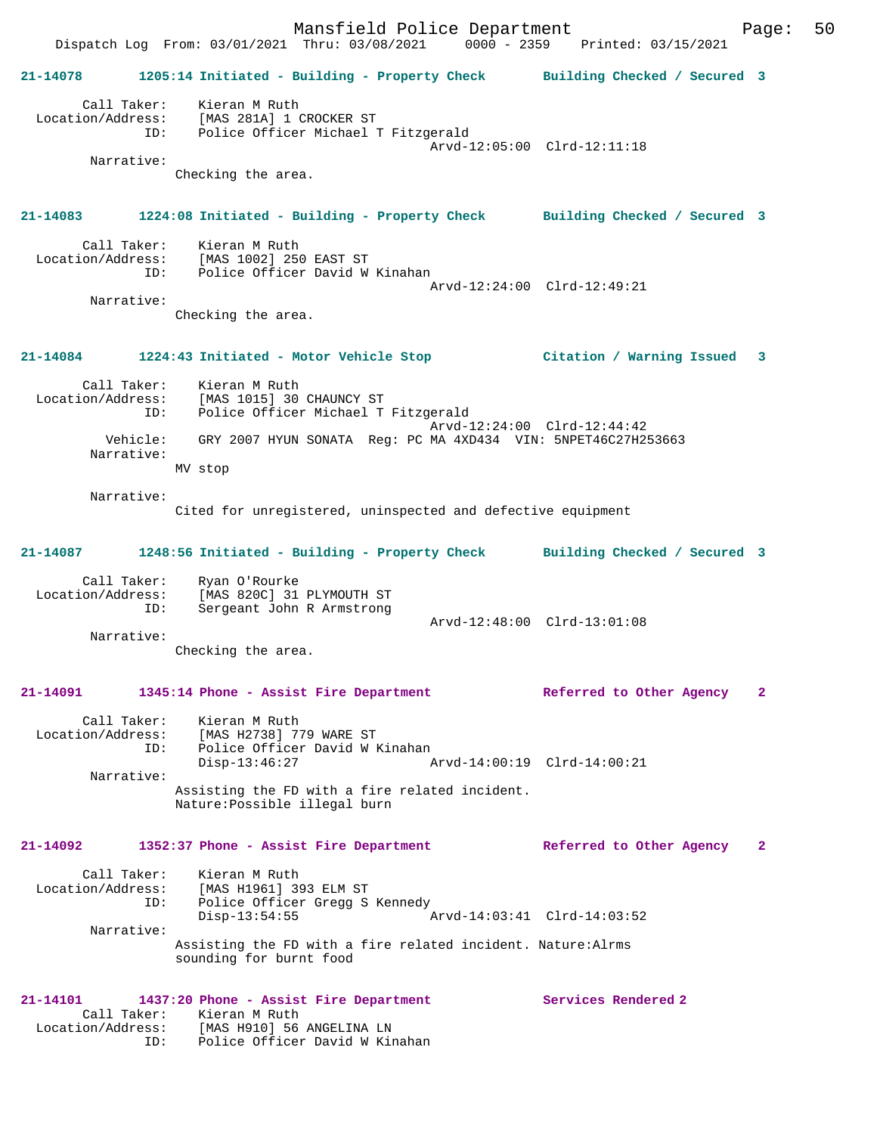Mansfield Police Department Page: 50 Dispatch Log From: 03/01/2021 Thru: 03/08/2021 0000 - 2359 Printed: 03/15/2021 **21-14078 1205:14 Initiated - Building - Property Check Building Checked / Secured 3** Call Taker: Kieran M Ruth Location/Address: [MAS 281A] 1 CROCKER ST ID: Police Officer Michael T Fitzgerald Arvd-12:05:00 Clrd-12:11:18 Narrative: Checking the area. **21-14083 1224:08 Initiated - Building - Property Check Building Checked / Secured 3** Call Taker: Kieran M Ruth Location/Address: [MAS 1002] 250 EAST ST<br>TD: Police Officer David W Police Officer David W Kinahan Arvd-12:24:00 Clrd-12:49:21 Narrative: Checking the area. **21-14084 1224:43 Initiated - Motor Vehicle Stop Citation / Warning Issued 3** Call Taker: Kieran M Ruth Location/Address: [MAS 1015] 30 CHAUNCY ST ID: Police Officer Michael T Fitzgerald Arvd-12:24:00 Clrd-12:44:42 Vehicle: GRY 2007 HYUN SONATA Reg: PC MA 4XD434 VIN: 5NPET46C27H253663 Narrative: MV stop Narrative: Cited for unregistered, uninspected and defective equipment **21-14087 1248:56 Initiated - Building - Property Check Building Checked / Secured 3** Call Taker: Ryan O'Rourke Location/Address: [MAS 820C] 31 PLYMOUTH ST ID: Sergeant John R Armstrong Arvd-12:48:00 Clrd-13:01:08 Narrative: Checking the area. **21-14091 1345:14 Phone - Assist Fire Department Referred to Other Agency 2** Call Taker: Kieran M Ruth Location/Address: [MAS H2738] 779 WARE ST ID: Police Officer David W Kinahan Disp-13:46:27 Arvd-14:00:19 Clrd-14:00:21 Narrative: Assisting the FD with a fire related incident. Nature:Possible illegal burn **21-14092 1352:37 Phone - Assist Fire Department Referred to Other Agency 2** Call Taker: Kieran M Ruth Location/Address: [MAS H1961] 393 ELM ST ID: Police Officer Gregg S Kennedy<br>Disp-13:54:55 Disp-13:54:55 Arvd-14:03:41 Clrd-14:03:52 Narrative: Assisting the FD with a fire related incident. Nature:Alrms sounding for burnt food **21-14101 1437:20 Phone - Assist Fire Department Services Rendered 2**  Call Taker: Kieran M Ruth<br>Location/Address: [MAS H910] 56 [MAS H910] 56 ANGELINA LN ID: Police Officer David W Kinahan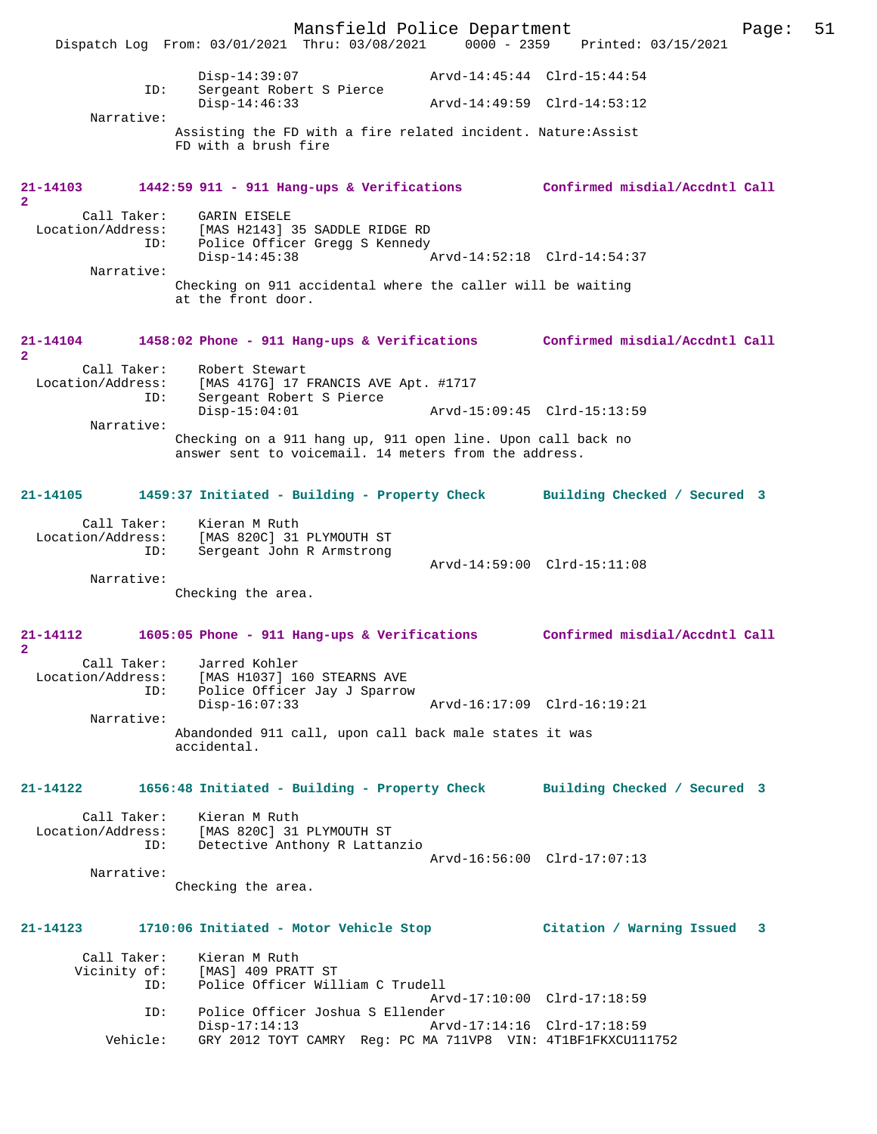Mansfield Police Department Page: 51 Dispatch Log From: 03/01/2021 Thru: 03/08/2021 0000 - 2359 Disp-14:39:07 Arvd-14:45:44 Clrd-15:44:54 ID: Sergeant Robert S Pierce Disp-14:46:33 Arvd-14:49:59 Clrd-14:53:12 Narrative: Assisting the FD with a fire related incident. Nature:Assist FD with a brush fire **21-14103 1442:59 911 - 911 Hang-ups & Verifications Confirmed misdial/Accdntl Call 2**  Call Taker: GARIN EISELE<br>Location/Address: [MAS H2143] ess: [MAS H2143] 35 SADDLE RIDGE RD<br>ID: Police Officer Gregg S Kennedy ID: Police Officer Gregg S Kennedy Disp-14:45:38 Arvd-14:52:18 Clrd-14:54:37 Narrative: Checking on 911 accidental where the caller will be waiting at the front door. **21-14104 1458:02 Phone - 911 Hang-ups & Verifications Confirmed misdial/Accdntl Call 2**  Call Taker: Robert Stewart<br>Location/Address: [MAS 417G] 17 ess: [MAS 417G] 17 FRANCIS AVE Apt. #1717<br>ID: Sergeant Robert S Pierce Sergeant Robert S Pierce<br>Disp-15:04:01 Arvd-15:09:45 Clrd-15:13:59 Narrative: Checking on a 911 hang up, 911 open line. Upon call back no answer sent to voicemail. 14 meters from the address. **21-14105 1459:37 Initiated - Building - Property Check Building Checked / Secured 3** Call Taker: Kieran M Ruth<br>Location/Address: [MAS 820C] 31 Location/Address: [MAS 820C] 31 PLYMOUTH ST Sergeant John R Armstrong Arvd-14:59:00 Clrd-15:11:08 Narrative: Checking the area. **21-14112 1605:05 Phone - 911 Hang-ups & Verifications Confirmed misdial/Accdntl Call 2**  Call Taker: Jarred Kohler<br>Location/Address: [MAS H1037] 16 [MAS H1037] 160 STEARNS AVE ID: Police Officer Jay J Sparrow Disp-16:07:33 Arvd-16:17:09 Clrd-16:19:21 Narrative: Abandonded 911 call, upon call back male states it was accidental. **21-14122 1656:48 Initiated - Building - Property Check Building Checked / Secured 3** Call Taker: Kieran M Ruth<br>Location/Address: [MAS 820C] 31 [MAS 820C] 31 PLYMOUTH ST ID: Detective Anthony R Lattanzio Arvd-16:56:00 Clrd-17:07:13 Narrative: Checking the area. **21-14123 1710:06 Initiated - Motor Vehicle Stop Citation / Warning Issued 3** Call Taker: Kieran M Ruth<br>Vicinity of: [MAS] 409 PRA of: [MAS] 409 PRATT ST<br>ID: Police Officer Wil Police Officer William C Trudell Arvd-17:10:00 Clrd-17:18:59<br>ID: Police Officer Joshua S Ellender Police Officer Joshua S Ellender<br>Disp-17:14:13 Ar Disp-17:14:13 Arvd-17:14:16 Clrd-17:18:59<br>Vehicle: GRY 2012 TOYT CAMRY Req: PC MA 711VP8 VIN: 4T1BF1FKXCU11 GRY 2012 TOYT CAMRY Reg: PC MA 711VP8 VIN: 4T1BF1FKXCU111752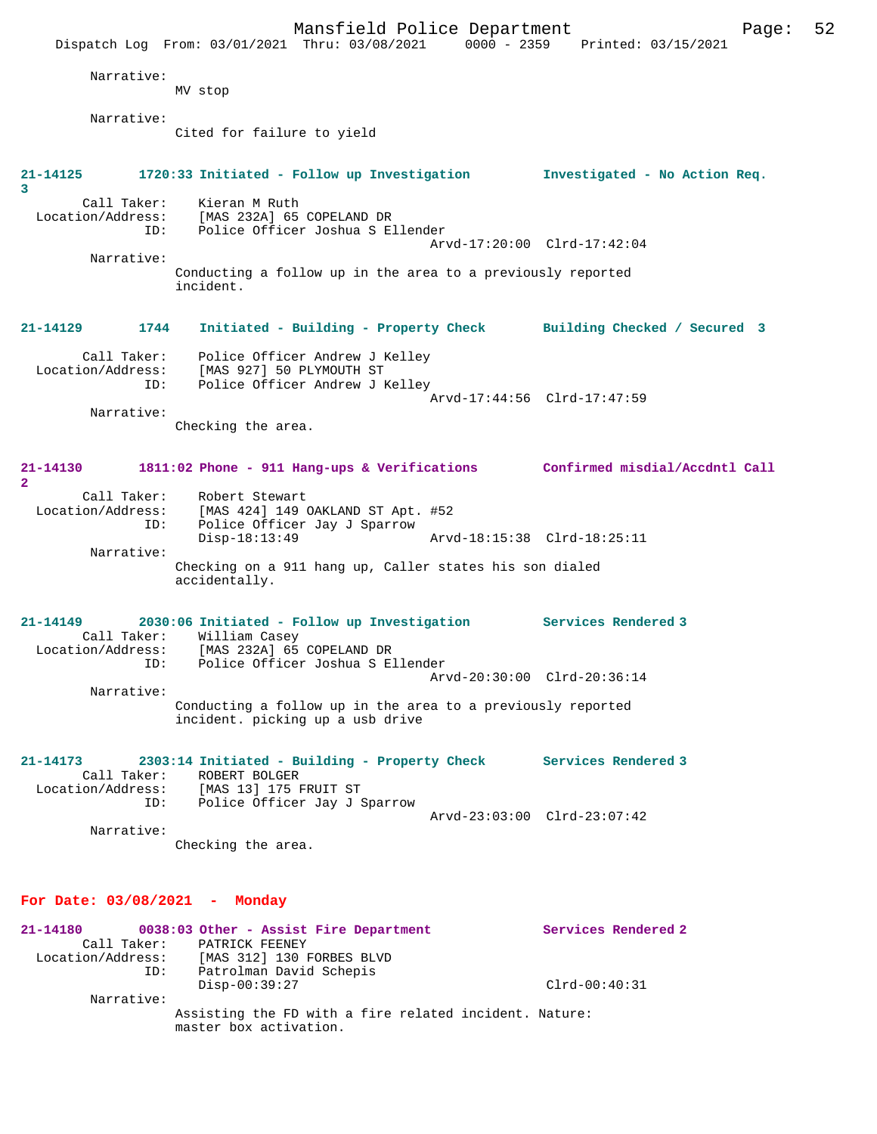|                                              | Mansfield Police Department<br>Dispatch Log From: 03/01/2021 Thru: 03/08/2021 0000 - 2359 Printed: 03/15/2021 |                             |                               | 52<br>Page: |
|----------------------------------------------|---------------------------------------------------------------------------------------------------------------|-----------------------------|-------------------------------|-------------|
| Narrative:                                   | MV stop                                                                                                       |                             |                               |             |
| Narrative:                                   | Cited for failure to yield                                                                                    |                             |                               |             |
| 21-14125<br>3<br>Call Taker:                 | 1720:33 Initiated - Follow up Investigation<br>Kieran M Ruth                                                  |                             | Investigated - No Action Req. |             |
| Location/Address:<br>ID:                     | [MAS 232A] 65 COPELAND DR<br>Police Officer Joshua S Ellender                                                 | Arvd-17:20:00 Clrd-17:42:04 |                               |             |
| Narrative:                                   | Conducting a follow up in the area to a previously reported<br>incident.                                      |                             |                               |             |
| 21-14129<br>1744                             | Initiated - Building - Property Check Building Checked / Secured 3                                            |                             |                               |             |
| Call Taker:<br>Location/Address:<br>ID:      | Police Officer Andrew J Kelley<br>[MAS 927] 50 PLYMOUTH ST<br>Police Officer Andrew J Kelley                  | Arvd-17:44:56 Clrd-17:47:59 |                               |             |
| Narrative:                                   | Checking the area.                                                                                            |                             |                               |             |
| 21-14130<br>$\overline{a}$                   | 1811:02 Phone - 911 Hang-ups & Verifications Confirmed misdial/Accdntl Call                                   |                             |                               |             |
| Call Taker:<br>Location/Address:<br>ID:      | Robert Stewart<br>[MAS 424] 149 OAKLAND ST Apt. #52<br>Police Officer Jay J Sparrow                           |                             |                               |             |
| Narrative:                                   | $Disp-18:13:49$<br>Checking on a 911 hang up, Caller states his son dialed                                    | Arvd-18:15:38 Clrd-18:25:11 |                               |             |
|                                              | accidentally.                                                                                                 |                             |                               |             |
| 21-14149<br>Call Taker:<br>Location/Address: | 2030:06 Initiated - Follow up Investigation Services Rendered 3<br>William Casey<br>[MAS 232A] 65 COPELAND DR |                             |                               |             |
| TD:<br>Narrative:                            | Police Officer Joshua S Ellender                                                                              | Arvd-20:30:00 Clrd-20:36:14 |                               |             |
|                                              | Conducting a follow up in the area to a previously reported<br>incident. picking up a usb drive               |                             |                               |             |
| 21-14173<br>Call Taker:                      | 2303:14 Initiated - Building - Property Check<br>ROBERT BOLGER<br>Location/Address: [MAS 13] 175 FRUIT ST     |                             | Services Rendered 3           |             |
| Narrative:                                   | ID: Police Officer Jay J Sparrow<br>Checking the area.                                                        | Arvd-23:03:00 Clrd-23:07:42 |                               |             |
| For Date: $03/08/2021$ - Monday              |                                                                                                               |                             |                               |             |
|                                              |                                                                                                               |                             |                               |             |

21-14180 **0038:03 Other - Assist Fire Department** Services Rendered 2 Call Taker: PATRICK FEENEY Location/Address: [MAS 312] 130 FORBES BLVD ID: Patrolman David Schepis Disp-00:39:27 Clrd-00:40:31 Narrative: Assisting the FD with a fire related incident. Nature: master box activation.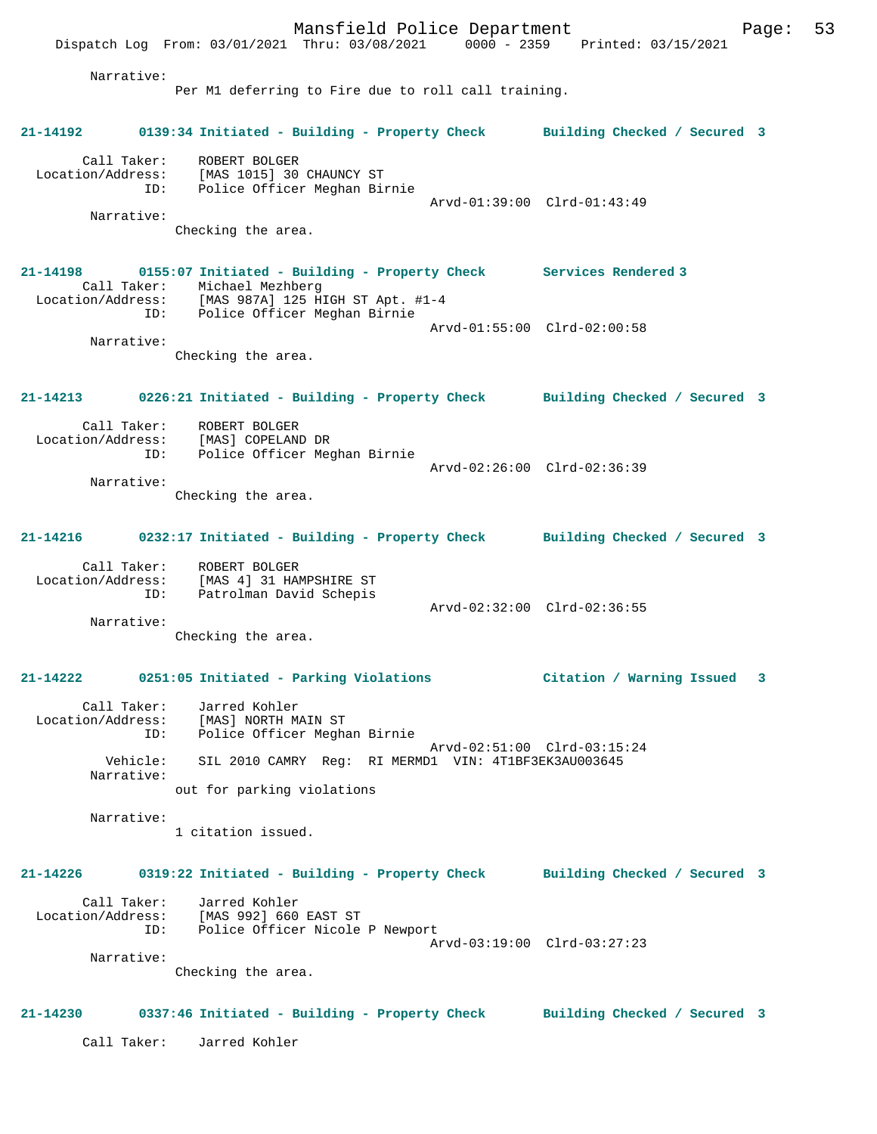Mansfield Police Department Fage: 53 Dispatch Log From: 03/01/2021 Thru: 03/08/2021 0000 - 2359 Printed: 03/15/2021 Narrative: Per M1 deferring to Fire due to roll call training. **21-14192 0139:34 Initiated - Building - Property Check Building Checked / Secured 3** Call Taker: ROBERT BOLGER Location/Address: [MAS 1015] 30 CHAUNCY ST ID: Police Officer Meghan Birnie Arvd-01:39:00 Clrd-01:43:49 Narrative: Checking the area. **21-14198 0155:07 Initiated - Building - Property Check Services Rendered 3**  Call Taker: Michael Mezhberg Location/Address: [MAS 987A] 125 HIGH ST Apt. #1-4 ID: Police Officer Meghan Birnie Arvd-01:55:00 Clrd-02:00:58 Narrative: Checking the area. **21-14213 0226:21 Initiated - Building - Property Check Building Checked / Secured 3** Call Taker: ROBERT BOLGER Location/Address: [MAS] COPELAND DR<br>ID: Police Officer Meo Police Officer Meghan Birnie Arvd-02:26:00 Clrd-02:36:39 Narrative: Checking the area. **21-14216 0232:17 Initiated - Building - Property Check Building Checked / Secured 3** Call Taker: ROBERT BOLGER Location/Address: [MAS 4] 31 HAMPSHIRE ST ID: Patrolman David Schepis Arvd-02:32:00 Clrd-02:36:55 Narrative: Checking the area. **21-14222 0251:05 Initiated - Parking Violations Citation / Warning Issued 3** Call Taker: Jarred Kohler Location/Address: [MAS] NORTH MAIN ST ID: Police Officer Meghan Birnie Arvd-02:51:00 Clrd-03:15:24 Vehicle: SIL 2010 CAMRY Reg: RI MERMD1 VIN: 4T1BF3EK3AU003645 Narrative: out for parking violations Narrative: 1 citation issued. **21-14226 0319:22 Initiated - Building - Property Check Building Checked / Secured 3** Call Taker: Jarred Kohler Location/Address: [MAS 992] 660 EAST ST ID: Police Officer Nicole P Newport Arvd-03:19:00 Clrd-03:27:23 Narrative: Checking the area. **21-14230 0337:46 Initiated - Building - Property Check Building Checked / Secured 3** Call Taker: Jarred Kohler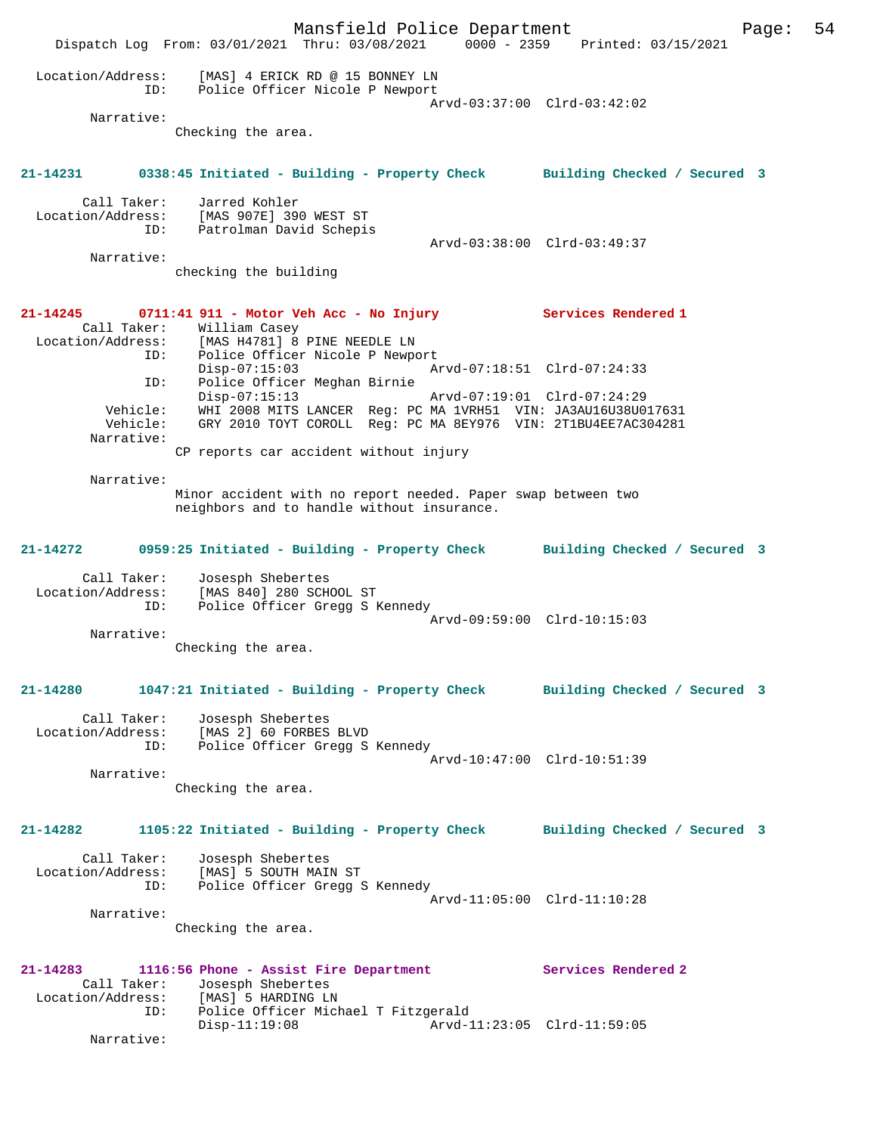|                                                                                  |                                                                    | Mansfield Police Department<br>Dispatch Log From: 03/01/2021 Thru: 03/08/2021                                                                                            | 0000 - 2359 Printed: 03/15/2021                            |                              | Page: | 54 |
|----------------------------------------------------------------------------------|--------------------------------------------------------------------|--------------------------------------------------------------------------------------------------------------------------------------------------------------------------|------------------------------------------------------------|------------------------------|-------|----|
| Location/Address:<br>ID:                                                         |                                                                    | [MAS] 4 ERICK RD @ 15 BONNEY LN<br>Police Officer Nicole P Newport                                                                                                       |                                                            |                              |       |    |
| Narrative:                                                                       | Checking the area.                                                 |                                                                                                                                                                          | Arvd-03:37:00 Clrd-03:42:02                                |                              |       |    |
| $21 - 14231$                                                                     |                                                                    | 0338:45 Initiated - Building - Property Check Building Checked / Secured 3                                                                                               |                                                            |                              |       |    |
| Call Taker:<br>Location/Address:<br>ID:                                          | Jarred Kohler<br>[MAS 907E] 390 WEST ST<br>Patrolman David Schepis |                                                                                                                                                                          | Arvd-03:38:00 Clrd-03:49:37                                |                              |       |    |
| Narrative:                                                                       | checking the building                                              |                                                                                                                                                                          |                                                            |                              |       |    |
| 21-14245<br>Call Taker:<br>Location/Address: [MAS H4781] 8 PINE NEEDLE LN<br>ID: | William Casey                                                      | 0711:41 911 - Motor Veh Acc - No Injury<br>Police Officer Nicole P Newport                                                                                               | Services Rendered 1                                        |                              |       |    |
| ID:                                                                              | $Disp-07:15:03$<br>$Disp-07:15:13$                                 | Police Officer Meghan Birnie                                                                                                                                             | Arvd-07:18:51 Clrd-07:24:33<br>Arvd-07:19:01 Clrd-07:24:29 |                              |       |    |
| Vehicle:<br>Vehicle:<br>Narrative:                                               |                                                                    | WHI 2008 MITS LANCER Reg: PC MA 1VRH51 VIN: JA3AU16U38U017631<br>GRY 2010 TOYT COROLL Req: PC MA 8EY976 VIN: 2T1BU4EE7AC304281<br>CP reports car accident without injury |                                                            |                              |       |    |
| Narrative:                                                                       |                                                                    |                                                                                                                                                                          |                                                            |                              |       |    |
|                                                                                  |                                                                    | Minor accident with no report needed. Paper swap between two<br>neighbors and to handle without insurance.                                                               |                                                            |                              |       |    |
| 21-14272                                                                         |                                                                    | 0959:25 Initiated - Building - Property Check                                                                                                                            |                                                            | Building Checked / Secured 3 |       |    |
| Call Taker:<br>Location/Address:<br>ID:                                          | Josesph Shebertes<br>[MAS 840] 280 SCHOOL ST                       | Police Officer Gregg S Kennedy                                                                                                                                           | Arvd-09:59:00 Clrd-10:15:03                                |                              |       |    |
| Narrative:                                                                       | Checking the area.                                                 |                                                                                                                                                                          |                                                            |                              |       |    |
| 21-14280                                                                         |                                                                    | 1047:21 Initiated - Building - Property Check Building Checked / Secured 3                                                                                               |                                                            |                              |       |    |
| Call Taker:<br>Location/Address:<br>ID:                                          | Josesph Shebertes<br>[MAS 2] 60 FORBES BLVD                        | Police Officer Gregg S Kennedy                                                                                                                                           | Arvd-10:47:00 Clrd-10:51:39                                |                              |       |    |
| Narrative:                                                                       | Checking the area.                                                 |                                                                                                                                                                          |                                                            |                              |       |    |
| 21-14282                                                                         |                                                                    | 1105:22 Initiated - Building - Property Check                                                                                                                            |                                                            | Building Checked / Secured 3 |       |    |
| Call Taker:<br>Location/Address:<br>ID:                                          | Josesph Shebertes<br>[MAS] 5 SOUTH MAIN ST                         | Police Officer Gregg S Kennedy                                                                                                                                           | Arvd-11:05:00 Clrd-11:10:28                                |                              |       |    |
| Narrative:                                                                       | Checking the area.                                                 |                                                                                                                                                                          |                                                            |                              |       |    |
| $21 - 14283$<br>Call Taker:<br>Location/Address: [MAS] 5 HARDING LN              | Josesph Shebertes                                                  | 1116:56 Phone - Assist Fire Department                                                                                                                                   | Services Rendered 2                                        |                              |       |    |
| ID:<br>Narrative:                                                                | $Disp-11:19:08$                                                    | Police Officer Michael T Fitzgerald                                                                                                                                      | Arvd-11:23:05 Clrd-11:59:05                                |                              |       |    |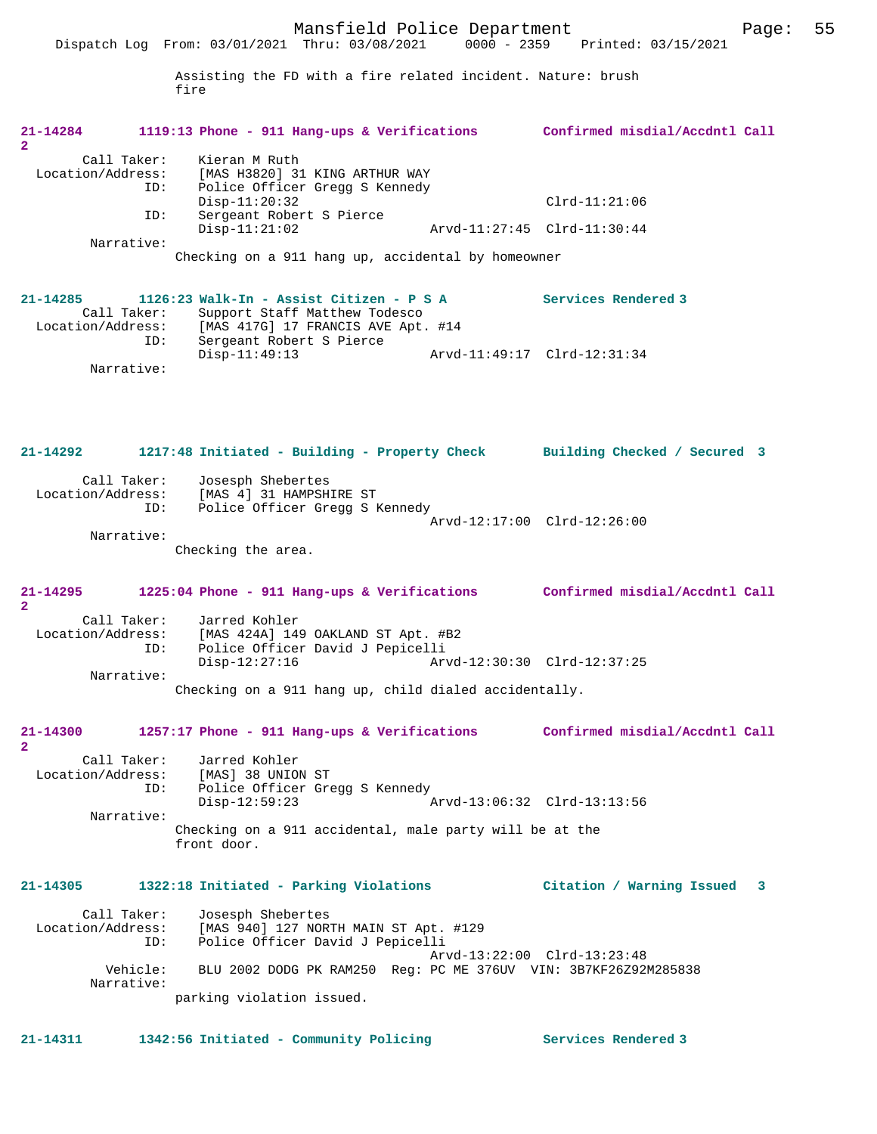Assisting the FD with a fire related incident. Nature: brush fire

| 21-14284<br>$\overline{2}$          |                        | 1119:13 Phone - 911 Hang-ups & Verifications                                                               |                             | Confirmed misdial/Accdntl Call                                              |
|-------------------------------------|------------------------|------------------------------------------------------------------------------------------------------------|-----------------------------|-----------------------------------------------------------------------------|
| Call Taker:<br>Location/Address:    | ID:                    | Kieran M Ruth<br>[MAS H3820] 31 KING ARTHUR WAY<br>Police Officer Gregg S Kennedy                          |                             |                                                                             |
|                                     | ID:                    | $Disp-11:20:32$<br>Sergeant Robert S Pierce                                                                |                             | $Clrd-11:21:06$                                                             |
|                                     |                        | $Disp-11:21:02$                                                                                            | Arvd-11:27:45 Clrd-11:30:44 |                                                                             |
|                                     | Narrative:             | Checking on a 911 hang up, accidental by homeowner                                                         |                             |                                                                             |
| 21-14285<br>Call Taker:             |                        | 1126:23 Walk-In - Assist Citizen - P S A<br>Support Staff Matthew Todesco                                  |                             | Services Rendered 3                                                         |
| Location/Address:                   | ID:                    | [MAS 417G] 17 FRANCIS AVE Apt. #14<br>Sergeant Robert S Pierce<br>$Disp-11:49:13$                          |                             | Arvd-11:49:17 Clrd-12:31:34                                                 |
|                                     | Narrative:             |                                                                                                            |                             |                                                                             |
| 21-14292                            |                        | 1217:48 Initiated - Building - Property Check                                                              |                             | Building Checked / Secured 3                                                |
| Call Taker:<br>Location/Address:    | ID:                    | Josesph Shebertes<br>[MAS 4] 31 HAMPSHIRE ST<br>Police Officer Gregg S Kennedy                             | Arvd-12:17:00 Clrd-12:26:00 |                                                                             |
|                                     | Narrative:             | Checking the area.                                                                                         |                             |                                                                             |
| 21-14295<br>$\overline{2}$          |                        |                                                                                                            |                             | 1225:04 Phone - 911 Hang-ups & Verifications Confirmed misdial/Accdntl Call |
| Call Taker:<br>Location/Address:    | ID:                    | Jarred Kohler<br>[MAS 424A] 149 OAKLAND ST Apt. #B2<br>Police Officer David J Pepicelli<br>$Disp-12:27:16$ | Arvd-12:30:30 Clrd-12:37:25 |                                                                             |
|                                     | Narrative:             | Checking on a 911 hang up, child dialed accidentally.                                                      |                             |                                                                             |
| 21-14300<br>$\overline{\mathbf{2}}$ |                        | 1257:17 Phone - 911 Hang-ups & Verifications                                                               |                             | Confirmed misdial/Accdntl Call                                              |
| Call Taker:<br>Location/Address:    | ID:                    | Jarred Kohler<br>[MAS] 38 UNION ST<br>Police Officer Gregg S Kennedy<br>$Disp-12:59:23$                    | Arvd-13:06:32 Clrd-13:13:56 |                                                                             |
|                                     | Narrative:             | Checking on a 911 accidental, male party will be at the<br>front door.                                     |                             |                                                                             |
| 21-14305                            |                        | 1322:18 Initiated - Parking Violations                                                                     |                             | Citation / Warning Issued<br>$\overline{\mathbf{3}}$                        |
| Call Taker:<br>Location/Address:    | ID:                    | Josesph Shebertes<br>[MAS 940] 127 NORTH MAIN ST Apt. #129<br>Police Officer David J Pepicelli             |                             | Arvd-13:22:00 Clrd-13:23:48                                                 |
|                                     | Vehicle:<br>Narrative: | BLU 2002 DODG PK RAM250 Req: PC ME 376UV VIN: 3B7KF26Z92M285838                                            |                             |                                                                             |
|                                     |                        | parking violation issued.                                                                                  |                             |                                                                             |
| 21-14311                            |                        | 1342:56 Initiated - Community Policing                                                                     |                             | Services Rendered 3                                                         |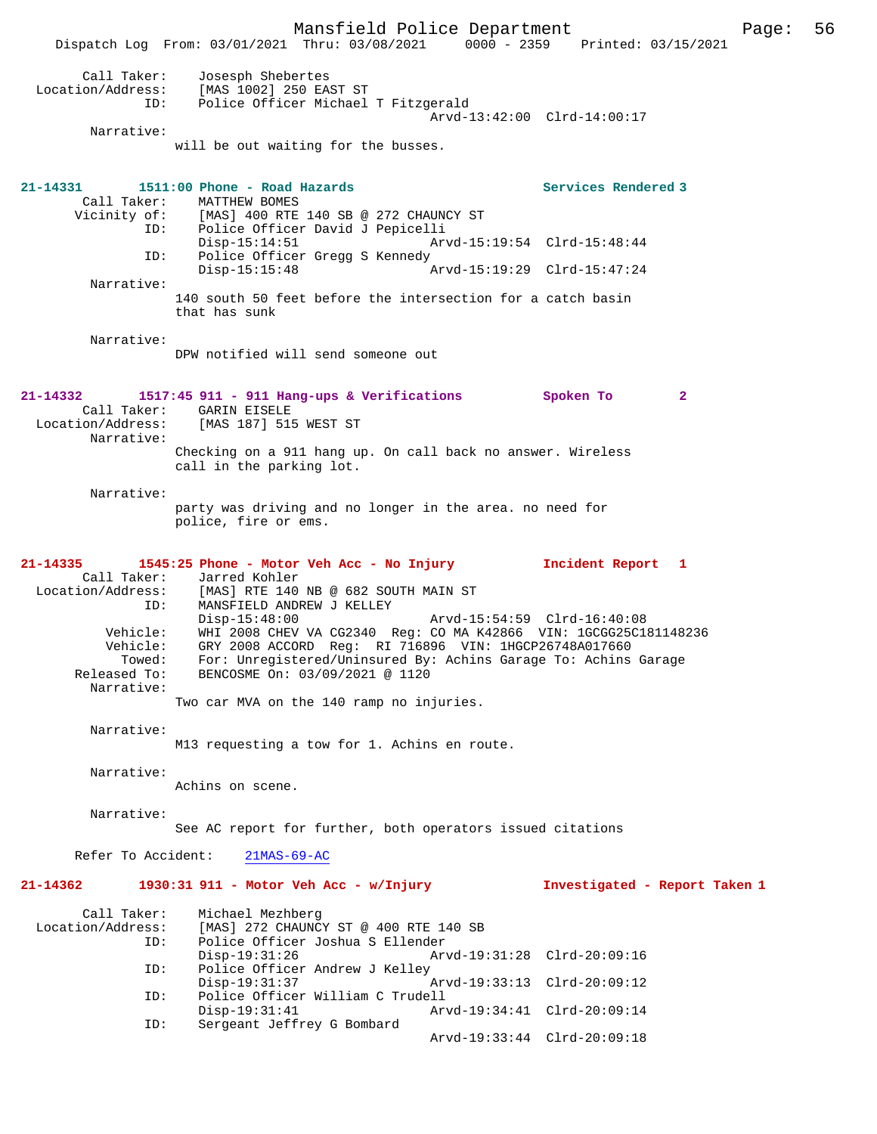Mansfield Police Department Page: 56 Dispatch Log From: 03/01/2021 Thru: 03/08/2021 0000 - 2359 Printed: 03/15/2021 Call Taker: Josesph Shebertes<br>Location/Address: [MAS 1002] 250 EA [MAS 1002] 250 EAST ST ID: Police Officer Michael T Fitzgerald Arvd-13:42:00 Clrd-14:00:17 Narrative: will be out waiting for the busses. **21-14331 1511:00 Phone - Road Hazards Services Rendered 3**  Call Taker: MATTHEW BOMES<br>Vicinity of: [MAS] 400 RTE of: [MAS] 400 RTE 140 SB @ 272 CHAUNCY ST<br>ID: Police Officer David J Pepicelli ID: Police Officer David J Pepicelli Disp-15:14:51 Arvd-15:19:54 Clrd-15:48:44<br>ID: Police Officer Gregg S Kennedy Police Officer Gregg S Kennedy<br>Disp-15:15:48 Disp-15:15:48 Arvd-15:19:29 Clrd-15:47:24 Narrative: 140 south 50 feet before the intersection for a catch basin that has sunk Narrative: DPW notified will send someone out **21-14332 1517:45 911 - 911 Hang-ups & Verifications Spoken To 2**  Call Taker: GARIN EISELE<br>Location/Address: [MAS 187] 515 [MAS 187] 515 WEST ST Narrative: Checking on a 911 hang up. On call back no answer. Wireless call in the parking lot. Narrative: party was driving and no longer in the area. no need for police, fire or ems. **21-14335 1545:25 Phone - Motor Veh Acc - No Injury Incident Report 1**  Call Taker: Jarred Kohler Location/Address: [MAS] RTE 140 NB @ 682 SOUTH MAIN ST ID: MANSFIELD ANDREW J KELLEY Disp-15:48:00 Arvd-15:54:59 Clrd-16:40:08 Vehicle: WHI 2008 CHEV VA CG2340 Reg: CO MA K42866 VIN: 1GCGG25C181148236 Vehicle: GRY 2008 ACCORD Reg: RI 716896 VIN: 1HGCP26748A017660 Towed: For: Unregistered/Uninsured By: Achins Garage To: Achins Garage Released To: BENCOSME On: 03/09/2021 @ 1120 Narrative: Two car MVA on the 140 ramp no injuries. Narrative: M13 requesting a tow for 1. Achins en route. Narrative: Achins on scene. Narrative: See AC report for further, both operators issued citations Refer To Accident: 21MAS-69-AC **21-14362 1930:31 911 - Motor Veh Acc - w/Injury Investigated - Report Taken 1** Call Taker: Michael Mezhberg<br>Location/Address: [MAS] 272 CHAUNC  $[MAS]$  272 CHAUNCY ST @ 400 RTE 140 SB ID: Police Officer Joshua S Ellender Disp-19:31:26 Arvd-19:31:28 Clrd-20:09:16<br>TD: Police Officer Andrew J Kelley Police Officer Andrew J Kelley<br>Disp-19:31:37 Disp-19:31:37 Arvd-19:33:13 Clrd-20:09:12<br>ID: Police Officer William C Trudell Police Officer William C Trudell<br>Disp-19:31:41 Ar Disp-19:31:41 Arvd-19:34:41 Clrd-20:09:14 ID: Sergeant Jeffrey G Bombard Arvd-19:33:44 Clrd-20:09:18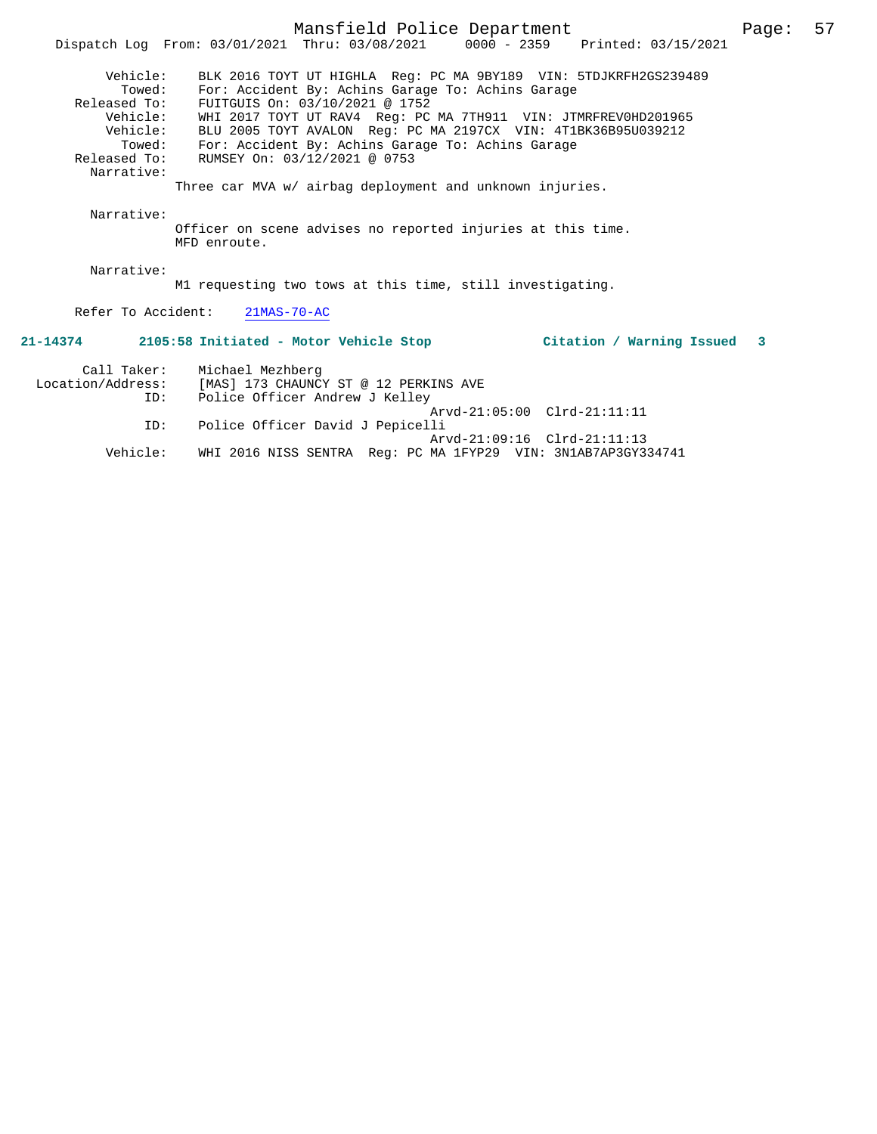|                    | Mansfield Police Department                                                                                           | Page:                           | 57 |
|--------------------|-----------------------------------------------------------------------------------------------------------------------|---------------------------------|----|
|                    | Dispatch Log From: 03/01/2021 Thru: 03/08/2021 0000 - 2359 Printed: 03/15/2021                                        |                                 |    |
| Vehicle:<br>Towed: | BLK 2016 TOYT UT HIGHLA Req: PC MA 9BY189 VIN: 5TDJKRFH2GS239489<br>For: Accident By: Achins Garage To: Achins Garage |                                 |    |
| Released To:       | FUITGUIS On: 03/10/2021 @ 1752                                                                                        |                                 |    |
| Vehicle:           | WHI 2017 TOYT UT RAV4 Req: PC MA 7TH911 VIN: JTMRFREV0HD201965                                                        |                                 |    |
| Vehicle:           | BLU 2005 TOYT AVALON Req: PC MA 2197CX VIN: 4T1BK36B95U039212                                                         |                                 |    |
| Towed:             | For: Accident By: Achins Garage To: Achins Garage                                                                     |                                 |    |
| Released To:       | RUMSEY On: 03/12/2021 @ 0753                                                                                          |                                 |    |
| Narrative:         |                                                                                                                       |                                 |    |
|                    | Three car MVA w/ airbag deployment and unknown injuries.                                                              |                                 |    |
| Narrative:         | Officer on scene advises no reported injuries at this time.                                                           |                                 |    |
|                    | MFD enroute.                                                                                                          |                                 |    |
|                    |                                                                                                                       |                                 |    |
| Narrative:         |                                                                                                                       |                                 |    |
|                    | M1 requesting two tows at this time, still investigating.                                                             |                                 |    |
|                    |                                                                                                                       |                                 |    |
|                    | Refer To Accident: 21MAS-70-AC                                                                                        |                                 |    |
|                    |                                                                                                                       |                                 |    |
|                    | 21-14374 2105:58 Initiated - Motor Vehicle Stop                                                                       | Citation / Warning Issued<br>-3 |    |
| Call Taker:        | Michael Mezhberg                                                                                                      |                                 |    |
| Location/Address:  | [MAS] 173 CHAUNCY ST @ 12 PERKINS AVE                                                                                 |                                 |    |
| ID:                | Police Officer Andrew J Kelley                                                                                        |                                 |    |
|                    |                                                                                                                       | Arvd-21:05:00 Clrd-21:11:11     |    |
| ID:                | Police Officer David J Pepicelli                                                                                      |                                 |    |
|                    |                                                                                                                       |                                 |    |

 Arvd-21:09:16 Clrd-21:11:13 Vehicle: WHI 2016 NISS SENTRA Reg: PC MA 1FYP29 VIN: 3N1AB7AP3GY334741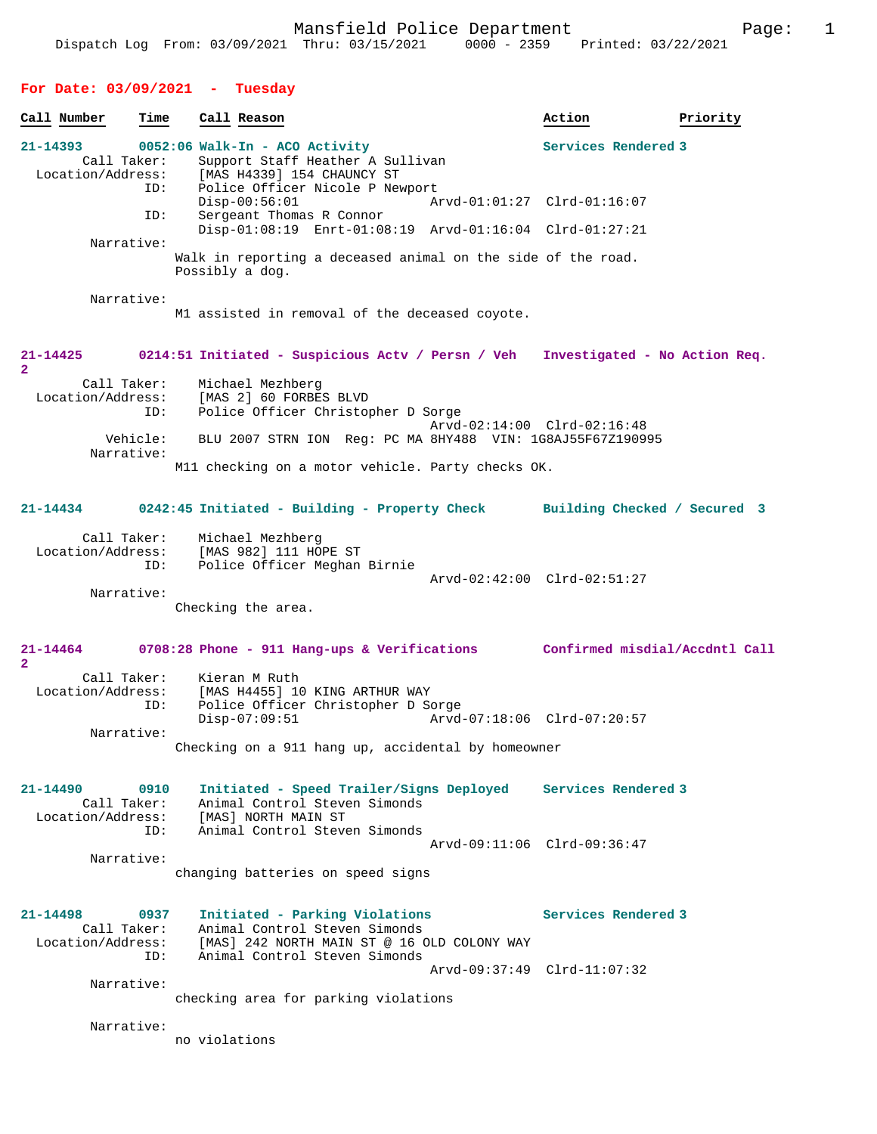## **For Date: 03/09/2021 - Tuesday Call Number Time Call Reason 6 action Action Priority 21-14393 0052:06 Walk-In - ACO Activity Services Rendered 3**  Call Taker: Support Staff Heather A Sullivan<br>Location/Address: [MAS H4339] 154 CHAUNCY ST ess: [MAS H4339] 154 CHAUNCY ST<br>TD: Police Officer Nicole P New Police Officer Nicole P Newport<br>Disp-00:56:01 Ar Disp-00:56:01 Arvd-01:01:27 Clrd-01:16:07<br>TD: Sergeant Thomas R Connor Sergeant Thomas R Connor Disp-01:08:19 Enrt-01:08:19 Arvd-01:16:04 Clrd-01:27:21 Narrative: Walk in reporting a deceased animal on the side of the road. Possibly a dog. Narrative: M1 assisted in removal of the deceased coyote. **21-14425 0214:51 Initiated - Suspicious Actv / Persn / Veh Investigated - No Action Req. 2**  Call Taker: Michael Mezhberg<br>Location/Address: [MAS 2] 60 FORBE ess: [MAS 2] 60 FORBES BLVD<br>ID: Police Officer Christop Police Officer Christopher D Sorge Arvd-02:14:00 Clrd-02:16:48<br>Vehicle: BLU 2007 STRN ION Reg: PC MA 8HY488 VIN: 1G8AJ55F67Z19099 BLU 2007 STRN ION Reg: PC MA 8HY488 VIN: 1G8AJ55F67Z190995 Narrative: M11 checking on a motor vehicle. Party checks OK. **21-14434 0242:45 Initiated - Building - Property Check Building Checked / Secured 3** Call Taker: Michael Mezhberg Location/Address: [MAS 982] 111 HOPE ST Police Officer Meghan Birnie Arvd-02:42:00 Clrd-02:51:27 Narrative: Checking the area. **21-14464 0708:28 Phone - 911 Hang-ups & Verifications Confirmed misdial/Accdntl Call 2**  Call Taker: Kieran M Ruth Location/Address: [MAS H4455] 10 KING ARTHUR WAY Police Officer Christopher D Sorge Disp-07:09:51 Arvd-07:18:06 Clrd-07:20:57 Narrative: Checking on a 911 hang up, accidental by homeowner **21-14490 0910 Initiated - Speed Trailer/Signs Deployed Services Rendered 3**  Call Taker: Animal Control Steven Simonds<br>
Location/Address: [MAS] NORTH MAIN ST [MAS] NORTH MAIN ST ID: Animal Control Steven Simonds Arvd-09:11:06 Clrd-09:36:47 Narrative: changing batteries on speed signs **21-14498 0937 Initiated - Parking Violations Services Rendered 3**  Call Taker: Animal Control Steven Simonds<br>Location/Address: [MAS] 242 NORTH MAIN ST @ 16 C [MAS] 242 NORTH MAIN ST @ 16 OLD COLONY WAY ID: Animal Control Steven Simonds Arvd-09:37:49 Clrd-11:07:32 Narrative: checking area for parking violations Narrative: no violations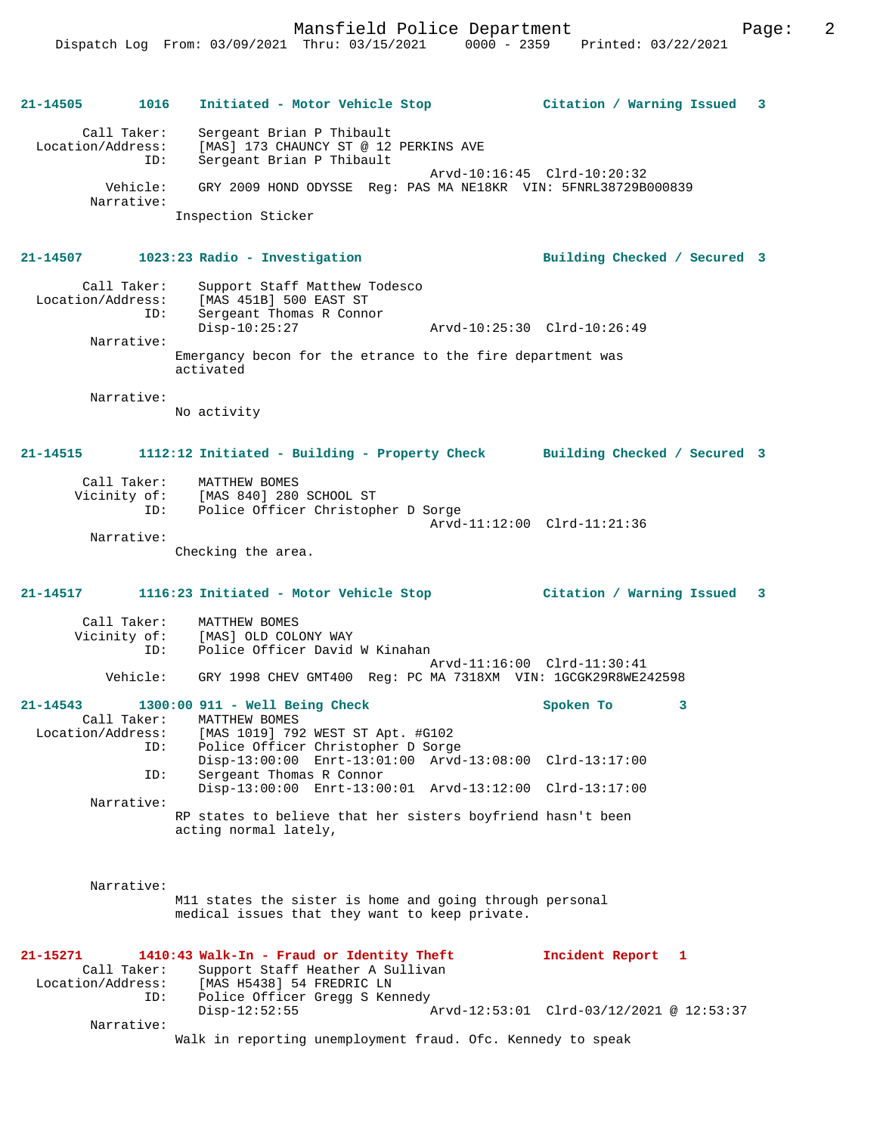| 21-14505                      | 1016                   | Initiated - Motor Vehicle Stop                     Citation / Warning Issued   3                                                                                |                                                               |  |
|-------------------------------|------------------------|-----------------------------------------------------------------------------------------------------------------------------------------------------------------|---------------------------------------------------------------|--|
| Location/Address:             | Call Taker:<br>ID:     | Sergeant Brian P Thibault<br>[MAS] 173 CHAUNCY ST @ 12 PERKINS AVE<br>Sergeant Brian P Thibault                                                                 |                                                               |  |
|                               | Vehicle:<br>Narrative: | GRY 2009 HOND ODYSSE Reg: PAS MA NE18KR VIN: 5FNRL38729B000839                                                                                                  | Arvd-10:16:45 Clrd-10:20:32                                   |  |
|                               |                        | Inspection Sticker                                                                                                                                              |                                                               |  |
| 21-14507                      |                        | 1023:23 Radio - Investigation                                                                                                                                   | Building Checked / Secured 3                                  |  |
|                               | Call Taker:<br>ID:     | Support Staff Matthew Todesco<br>Location/Address: [MAS 451B] 500 EAST ST<br>Sergeant Thomas R Connor<br>$Disp-10:25:27$                                        | Arvd-10:25:30 Clrd-10:26:49                                   |  |
|                               | Narrative:             | Emergancy becon for the etrance to the fire department was<br>activated                                                                                         |                                                               |  |
|                               | Narrative:             | No activity                                                                                                                                                     |                                                               |  |
| 21-14515                      |                        | 1112:12 Initiated - Building - Property Check Building Checked / Secured 3                                                                                      |                                                               |  |
|                               |                        | Call Taker: MATTHEW BOMES<br>Vicinity of: [MAS 840] 280 SCHOOL ST<br>ID: Police Officer Christopher D Sorge                                                     | Arvd-11:12:00 Clrd-11:21:36                                   |  |
|                               | Narrative:             | Checking the area.                                                                                                                                              |                                                               |  |
|                               |                        |                                                                                                                                                                 |                                                               |  |
| 21-14517                      |                        | 1116:23 Initiated - Motor Vehicle Stop (Citation / Warning Issued 3                                                                                             |                                                               |  |
|                               | Call Taker:<br>ID:     | MATTHEW BOMES<br>Vicinity of: [MAS] OLD COLONY WAY<br>Police Officer David W Kinahan                                                                            |                                                               |  |
|                               | Vehicle:               | GRY 1998 CHEV GMT400 Reg: PC MA 7318XM VIN: 1GCGK29R8WE242598                                                                                                   | Arvd-11:16:00 Clrd-11:30:41                                   |  |
| $21 - 14543$                  | Call Taker:            | 1300:00 911 - Well Being Check<br>MATTHEW BOMES<br>Location/Address: [MAS 1019] 792 WEST ST Apt. #G102                                                          | Spoken To<br>3                                                |  |
|                               | ID:                    | Police Officer Christopher D Sorge<br>Disp-13:00:00 Enrt-13:01:00 Arvd-13:08:00 Clrd-13:17:00                                                                   |                                                               |  |
|                               | ID:<br>Narrative:      | Sergeant Thomas R Connor<br>Disp-13:00:00 Enrt-13:00:01 Arvd-13:12:00 Clrd-13:17:00                                                                             |                                                               |  |
|                               |                        | RP states to believe that her sisters boyfriend hasn't been<br>acting normal lately,                                                                            |                                                               |  |
|                               | Narrative:             | M11 states the sister is home and going through personal<br>medical issues that they want to keep private.                                                      |                                                               |  |
| 21-15271<br>Location/Address: | Call Taker:<br>ID:     | 1410:43 Walk-In - Fraud or Identity Theft<br>Support Staff Heather A Sullivan<br>[MAS H5438] 54 FREDRIC LN<br>Police Officer Gregg S Kennedy<br>$Disp-12:52:55$ | Incident Report 1<br>Arvd-12:53:01 Clrd-03/12/2021 @ 12:53:37 |  |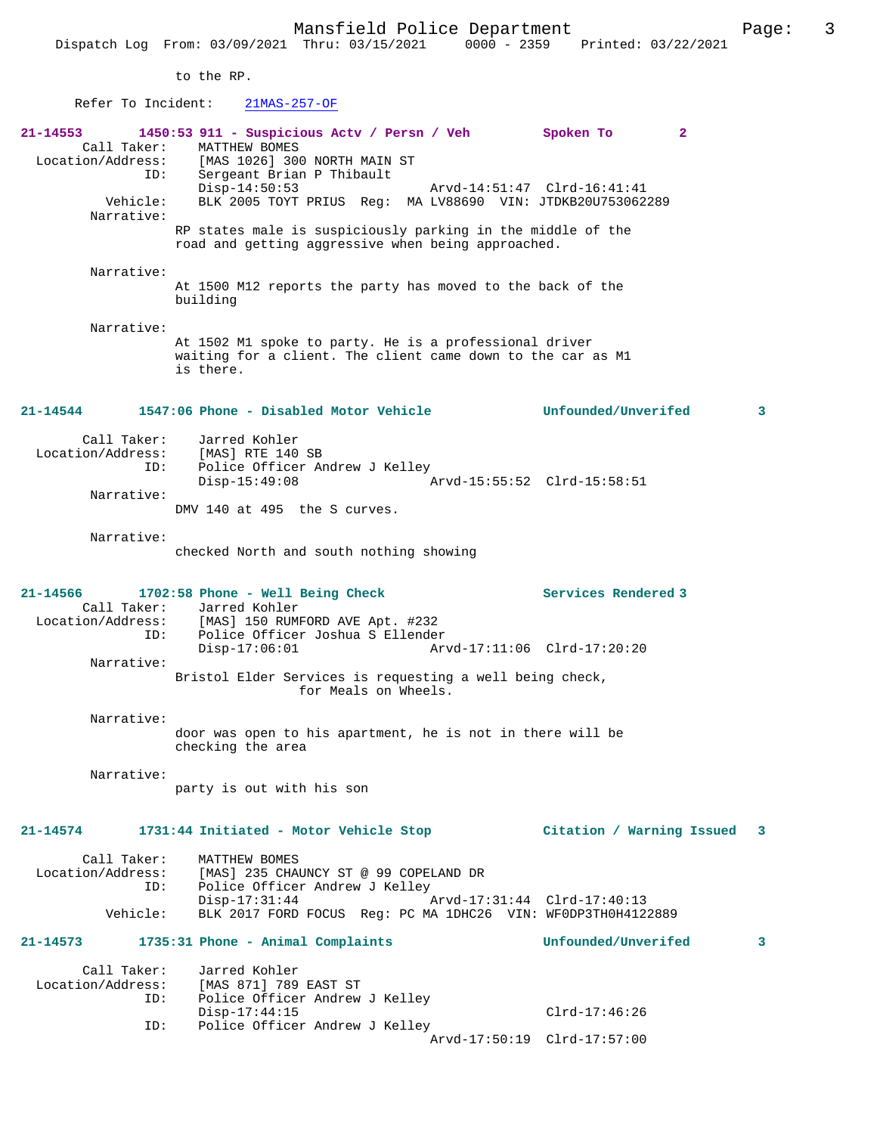to the RP.

## Refer To Incident: 21MAS-257-OF

| Sergeant Brian P Thibault<br>$Disp-14:50:53$<br>Arvd-14:51:47 Clrd-16:41:41<br>Vehicle:<br>BLK 2005 TOYT PRIUS Req: MA LV88690 VIN: JTDKB20U753062289<br>Narrative:<br>RP states male is suspiciously parking in the middle of the<br>road and getting aggressive when being approached.<br>Narrative:<br>At 1500 M12 reports the party has moved to the back of the<br>building<br>Narrative:<br>At 1502 M1 spoke to party. He is a professional driver<br>waiting for a client. The client came down to the car as M1<br>is there.<br>1547:06 Phone - Disabled Motor Vehicle  Unfounded/Unverifed<br>21-14544<br>Call Taker:<br>Jarred Kohler<br>Location/Address: [MAS] RTE 140 SB<br>TD: Police Officer A<br>Police Officer Andrew J Kelley<br>ID:<br>$Disp-15:49:08$<br>Narrative:<br>DMV 140 at 495 the S curves.<br>Narrative:<br>checked North and south nothing showing<br>Services Rendered 3<br>21-14566<br>1702:58 Phone - Well Being Check<br>Call Taker: Jarred Kohler<br>Location/Address: [MAS] 150 RUMFORD AVE Apt. #232<br>Police Officer Joshua S Ellender<br>ID:<br>$Disp-17:06:01$<br>Arvd-17:11:06 Clrd-17:20:20<br>Narrative:<br>Bristol Elder Services is requesting a well being check,<br>for Meals on Wheels.<br>Narrative:<br>door was open to his apartment, he is not in there will be<br>checking the area<br>Narrative:<br>party is out with his son<br>1731:44 Initiated - Motor Vehicle Stop<br>21-14574<br>Call Taker:<br>MATTHEW BOMES<br>Location/Address: [MAS] 235 CHAUNCY ST @ 99 COPELAND DR<br>ID: Police Officer Andrew J Kelley<br>Police Officer Andrew J Kelley<br>Disp-17:31:44<br>Arvd-17:31:44 Clrd-17:40:13<br>BLK 2017 FORD FOCUS Reg: PC MA 1DHC26 VIN: WF0DP3TH0H4122889<br>Vehicle: | 1450:53 911 - Suspicious Actv / Persn / Veh Spoken To<br>$\mathbf{2}$<br>MATTHEW BOMES<br>Location/Address: [MAS 1026] 300 NORTH MAIN ST<br>ID: Sergeant Brian P Thibault |    |
|-------------------------------------------------------------------------------------------------------------------------------------------------------------------------------------------------------------------------------------------------------------------------------------------------------------------------------------------------------------------------------------------------------------------------------------------------------------------------------------------------------------------------------------------------------------------------------------------------------------------------------------------------------------------------------------------------------------------------------------------------------------------------------------------------------------------------------------------------------------------------------------------------------------------------------------------------------------------------------------------------------------------------------------------------------------------------------------------------------------------------------------------------------------------------------------------------------------------------------------------------------------------------------------------------------------------------------------------------------------------------------------------------------------------------------------------------------------------------------------------------------------------------------------------------------------------------------------------------------------------------------------------------------------------------------------------------------------------------------------------|---------------------------------------------------------------------------------------------------------------------------------------------------------------------------|----|
|                                                                                                                                                                                                                                                                                                                                                                                                                                                                                                                                                                                                                                                                                                                                                                                                                                                                                                                                                                                                                                                                                                                                                                                                                                                                                                                                                                                                                                                                                                                                                                                                                                                                                                                                           |                                                                                                                                                                           |    |
|                                                                                                                                                                                                                                                                                                                                                                                                                                                                                                                                                                                                                                                                                                                                                                                                                                                                                                                                                                                                                                                                                                                                                                                                                                                                                                                                                                                                                                                                                                                                                                                                                                                                                                                                           |                                                                                                                                                                           |    |
|                                                                                                                                                                                                                                                                                                                                                                                                                                                                                                                                                                                                                                                                                                                                                                                                                                                                                                                                                                                                                                                                                                                                                                                                                                                                                                                                                                                                                                                                                                                                                                                                                                                                                                                                           |                                                                                                                                                                           |    |
|                                                                                                                                                                                                                                                                                                                                                                                                                                                                                                                                                                                                                                                                                                                                                                                                                                                                                                                                                                                                                                                                                                                                                                                                                                                                                                                                                                                                                                                                                                                                                                                                                                                                                                                                           |                                                                                                                                                                           |    |
|                                                                                                                                                                                                                                                                                                                                                                                                                                                                                                                                                                                                                                                                                                                                                                                                                                                                                                                                                                                                                                                                                                                                                                                                                                                                                                                                                                                                                                                                                                                                                                                                                                                                                                                                           |                                                                                                                                                                           | 3  |
|                                                                                                                                                                                                                                                                                                                                                                                                                                                                                                                                                                                                                                                                                                                                                                                                                                                                                                                                                                                                                                                                                                                                                                                                                                                                                                                                                                                                                                                                                                                                                                                                                                                                                                                                           |                                                                                                                                                                           |    |
|                                                                                                                                                                                                                                                                                                                                                                                                                                                                                                                                                                                                                                                                                                                                                                                                                                                                                                                                                                                                                                                                                                                                                                                                                                                                                                                                                                                                                                                                                                                                                                                                                                                                                                                                           |                                                                                                                                                                           |    |
|                                                                                                                                                                                                                                                                                                                                                                                                                                                                                                                                                                                                                                                                                                                                                                                                                                                                                                                                                                                                                                                                                                                                                                                                                                                                                                                                                                                                                                                                                                                                                                                                                                                                                                                                           |                                                                                                                                                                           |    |
|                                                                                                                                                                                                                                                                                                                                                                                                                                                                                                                                                                                                                                                                                                                                                                                                                                                                                                                                                                                                                                                                                                                                                                                                                                                                                                                                                                                                                                                                                                                                                                                                                                                                                                                                           |                                                                                                                                                                           |    |
|                                                                                                                                                                                                                                                                                                                                                                                                                                                                                                                                                                                                                                                                                                                                                                                                                                                                                                                                                                                                                                                                                                                                                                                                                                                                                                                                                                                                                                                                                                                                                                                                                                                                                                                                           |                                                                                                                                                                           |    |
|                                                                                                                                                                                                                                                                                                                                                                                                                                                                                                                                                                                                                                                                                                                                                                                                                                                                                                                                                                                                                                                                                                                                                                                                                                                                                                                                                                                                                                                                                                                                                                                                                                                                                                                                           |                                                                                                                                                                           |    |
|                                                                                                                                                                                                                                                                                                                                                                                                                                                                                                                                                                                                                                                                                                                                                                                                                                                                                                                                                                                                                                                                                                                                                                                                                                                                                                                                                                                                                                                                                                                                                                                                                                                                                                                                           |                                                                                                                                                                           |    |
|                                                                                                                                                                                                                                                                                                                                                                                                                                                                                                                                                                                                                                                                                                                                                                                                                                                                                                                                                                                                                                                                                                                                                                                                                                                                                                                                                                                                                                                                                                                                                                                                                                                                                                                                           | Citation / Warning Issued                                                                                                                                                 | -3 |
|                                                                                                                                                                                                                                                                                                                                                                                                                                                                                                                                                                                                                                                                                                                                                                                                                                                                                                                                                                                                                                                                                                                                                                                                                                                                                                                                                                                                                                                                                                                                                                                                                                                                                                                                           |                                                                                                                                                                           |    |
|                                                                                                                                                                                                                                                                                                                                                                                                                                                                                                                                                                                                                                                                                                                                                                                                                                                                                                                                                                                                                                                                                                                                                                                                                                                                                                                                                                                                                                                                                                                                                                                                                                                                                                                                           |                                                                                                                                                                           |    |
| $21-14573$ 1735:31 Phone - Animal Complaints<br>Unfounded/Unverifed                                                                                                                                                                                                                                                                                                                                                                                                                                                                                                                                                                                                                                                                                                                                                                                                                                                                                                                                                                                                                                                                                                                                                                                                                                                                                                                                                                                                                                                                                                                                                                                                                                                                       |                                                                                                                                                                           | 3  |
| Call Taker:<br>Jarred Kohler<br>Location/Address: [MAS 871] 789 EAST ST<br>ID: Police Officer Andrew<br>ID:<br>Police Officer Andrew J Kelley<br>$Disp-17:44:15$                                                                                                                                                                                                                                                                                                                                                                                                                                                                                                                                                                                                                                                                                                                                                                                                                                                                                                                                                                                                                                                                                                                                                                                                                                                                                                                                                                                                                                                                                                                                                                          |                                                                                                                                                                           |    |
| Police Officer Andrew J Kelley<br>ID:<br>Arvd-17:50:19 Clrd-17:57:00                                                                                                                                                                                                                                                                                                                                                                                                                                                                                                                                                                                                                                                                                                                                                                                                                                                                                                                                                                                                                                                                                                                                                                                                                                                                                                                                                                                                                                                                                                                                                                                                                                                                      | $Clrd-17:46:26$                                                                                                                                                           |    |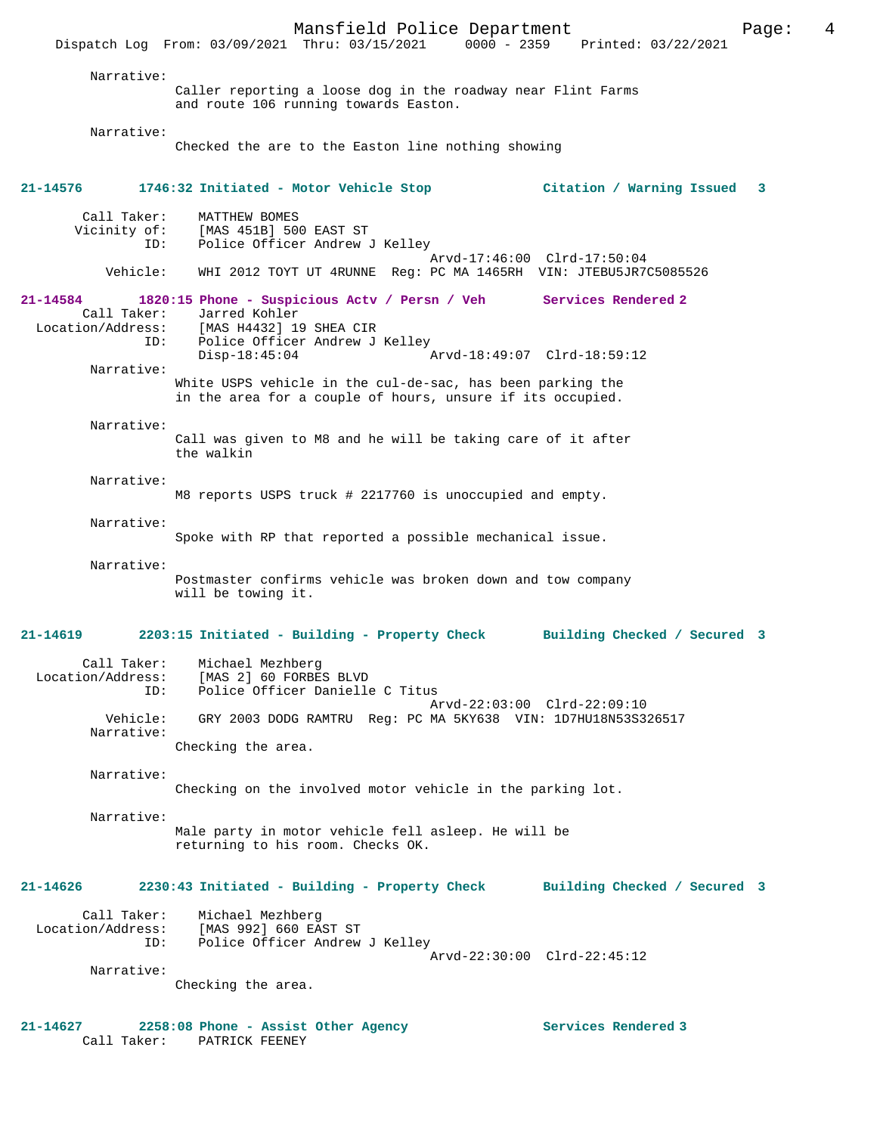Mansfield Police Department Page: 4 Dispatch Log From: 03/09/2021 Thru: 03/15/2021 0000 - 2359 Printed: 03/22/2021 Narrative: Caller reporting a loose dog in the roadway near Flint Farms and route 106 running towards Easton. Narrative: Checked the are to the Easton line nothing showing **21-14576 1746:32 Initiated - Motor Vehicle Stop Citation / Warning Issued 3** Call Taker: MATTHEW BOMES Vicinity of: [MAS 451B] 500 EAST ST ID: Police Officer Andrew J Kelley Arvd-17:46:00 Clrd-17:50:04<br>Vehicle: WHI 2012 TOYT UT 4RUNNE Req: PC MA 1465RH VIN: JTEBU5JR70 Vehicle: WHI 2012 TOYT UT 4RUNNE Reg: PC MA 1465RH VIN: JTEBU5JR7C5085526 **21-14584 1820:15 Phone - Suspicious Actv / Persn / Veh Services Rendered 2**  Call Taker: Jarred Kohler<br>Location/Address: [MAS H4432] 19 [MAS H4432] 19 SHEA CIR ID: Police Officer Andrew J Kelley<br>Disp-18:45:04 P Disp-18:45:04 Arvd-18:49:07 Clrd-18:59:12 Narrative: White USPS vehicle in the cul-de-sac, has been parking the in the area for a couple of hours, unsure if its occupied. Narrative: Call was given to M8 and he will be taking care of it after the walkin Narrative: M8 reports USPS truck # 2217760 is unoccupied and empty. Narrative: Spoke with RP that reported a possible mechanical issue. Narrative: Postmaster confirms vehicle was broken down and tow company will be towing it. **21-14619 2203:15 Initiated - Building - Property Check Building Checked / Secured 3** Call Taker: Michael Mezhberg Location/Address: [MAS 2] 60 FORBES BLVD ID: Police Officer Danielle C Titus Arvd-22:03:00 Clrd-22:09:10 Vehicle: GRY 2003 DODG RAMTRU Reg: PC MA 5KY638 VIN: 1D7HU18N53S326517 Narrative: Checking the area. Narrative: Checking on the involved motor vehicle in the parking lot. Narrative: Male party in motor vehicle fell asleep. He will be returning to his room. Checks OK. **21-14626 2230:43 Initiated - Building - Property Check Building Checked / Secured 3** Call Taker: Michael Mezhberg<br>Location/Address: [MAS 992] 660 EAST ST Location/Address: [MAS 992] 660 EAST ST ID: Police Officer Andrew J Kelley Arvd-22:30:00 Clrd-22:45:12 Narrative: Checking the area. **21-14627 2258:08 Phone - Assist Other Agency Services Rendered 3**  Call Taker: PATRICK FEENEY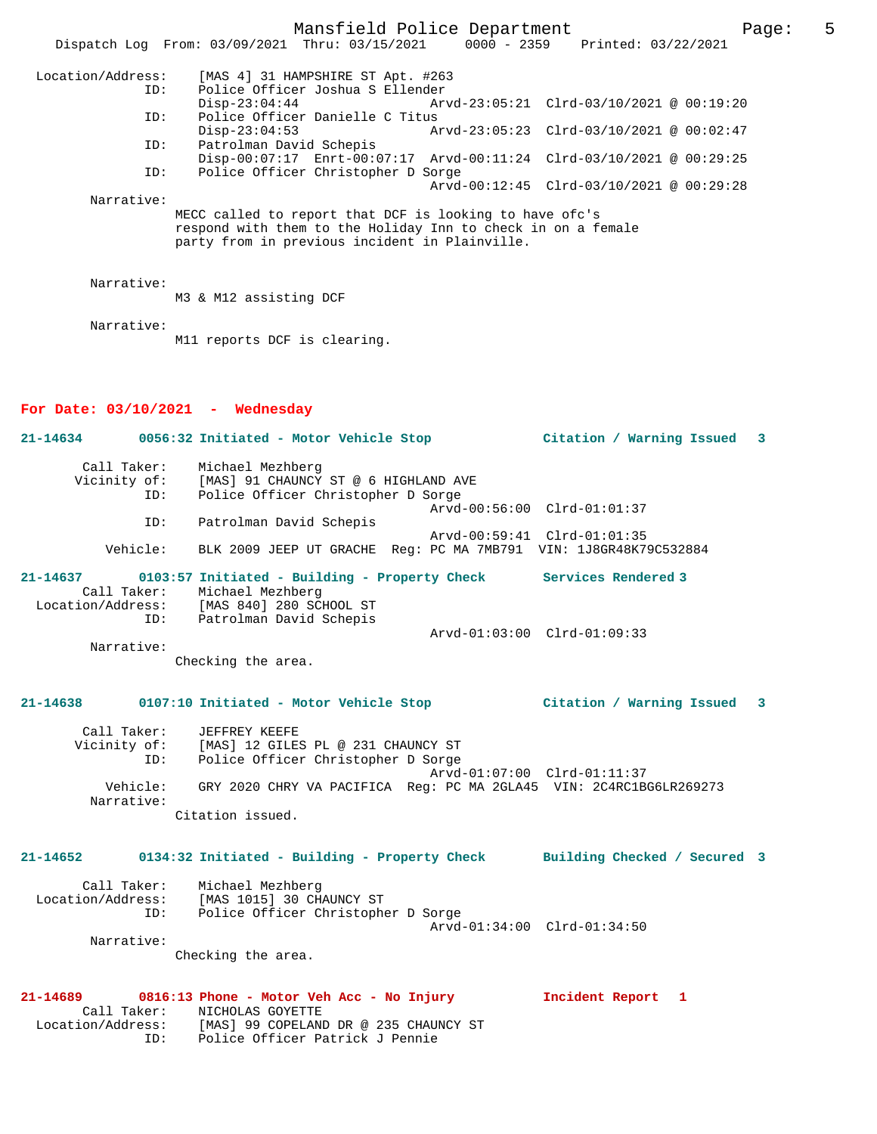Mansfield Police Department Page: 5 Dispatch Log From: 03/09/2021 Thru: 03/15/2021 0000 - 2359 Printed: 03/22/2021 Location/Address: [MAS 4] 31 HAMPSHIRE ST Apt. #263 ID: Police Officer Joshua S Ellender Disp-23:04:44 Arvd-23:05:21 Clrd-03/10/2021 @ 00:19:20 ID: Police Officer Danielle C Titus<br>Disp-23:04:53 Ar Disp-23:04:53 Arvd-23:05:23 Clrd-03/10/2021 @ 00:02:47 ID: Patrolman David Schepis Disp-00:07:17 Enrt-00:07:17 Arvd-00:11:24 Clrd-03/10/2021 @ 00:29:25 ID: Police Officer Christopher D Sorge Arvd-00:12:45 Clrd-03/10/2021 @ 00:29:28 Narrative: MECC called to report that DCF is looking to have ofc's respond with them to the Holiday Inn to check in on a female party from in previous incident in Plainville. Narrative: M3 & M12 assisting DCF Narrative: M11 reports DCF is clearing. **For Date: 03/10/2021 - Wednesday 21-14634 0056:32 Initiated - Motor Vehicle Stop Citation / Warning Issued 3** Call Taker: Michael Mezhberg Vicinity of: [MAS] 91 CHAUNCY ST @ 6 HIGHLAND AVE ID: Police Officer Christopher D Sorge Arvd-00:56:00 Clrd-01:01:37 ID: Patrolman David Schepis Arvd-00:59:41 Clrd-01:01:35 Vehicle: BLK 2009 JEEP UT GRACHE Reg: PC MA 7MB791 VIN: 1J8GR48K79C532884 **21-14637 0103:57 Initiated - Building - Property Check Services Rendered 3**  Call Taker: Michael Mezhberg Location/Address: [MAS 840] 280 SCHOOL ST ID: Patrolman David Schepis Arvd-01:03:00 Clrd-01:09:33 Narrative: Checking the area. **21-14638 0107:10 Initiated - Motor Vehicle Stop Citation / Warning Issued 3** Call Taker: JEFFREY KEEFE Vicinity of: [MAS] 12 GILES PL @ 231 CHAUNCY ST ID: Police Officer Christopher D Sorge Arvd-01:07:00 Clrd-01:11:37 Vehicle: GRY 2020 CHRY VA PACIFICA Reg: PC MA 2GLA45 VIN: 2C4RC1BG6LR269273 Narrative: Citation issued. **21-14652 0134:32 Initiated - Building - Property Check Building Checked / Secured 3** Call Taker: Michael Mezhberg Location/Address: [MAS 1015] 30 CHAUNCY ST ID: Police Officer Christopher D Sorge Arvd-01:34:00 Clrd-01:34:50 Narrative: Checking the area. **21-14689 0816:13 Phone - Motor Veh Acc - No Injury Incident Report 1**  Call Taker: NICHOLAS GOYETTE Location/Address: [MAS] 99 COPELAND DR @ 235 CHAUNCY ST ID: Police Officer Patrick J Pennie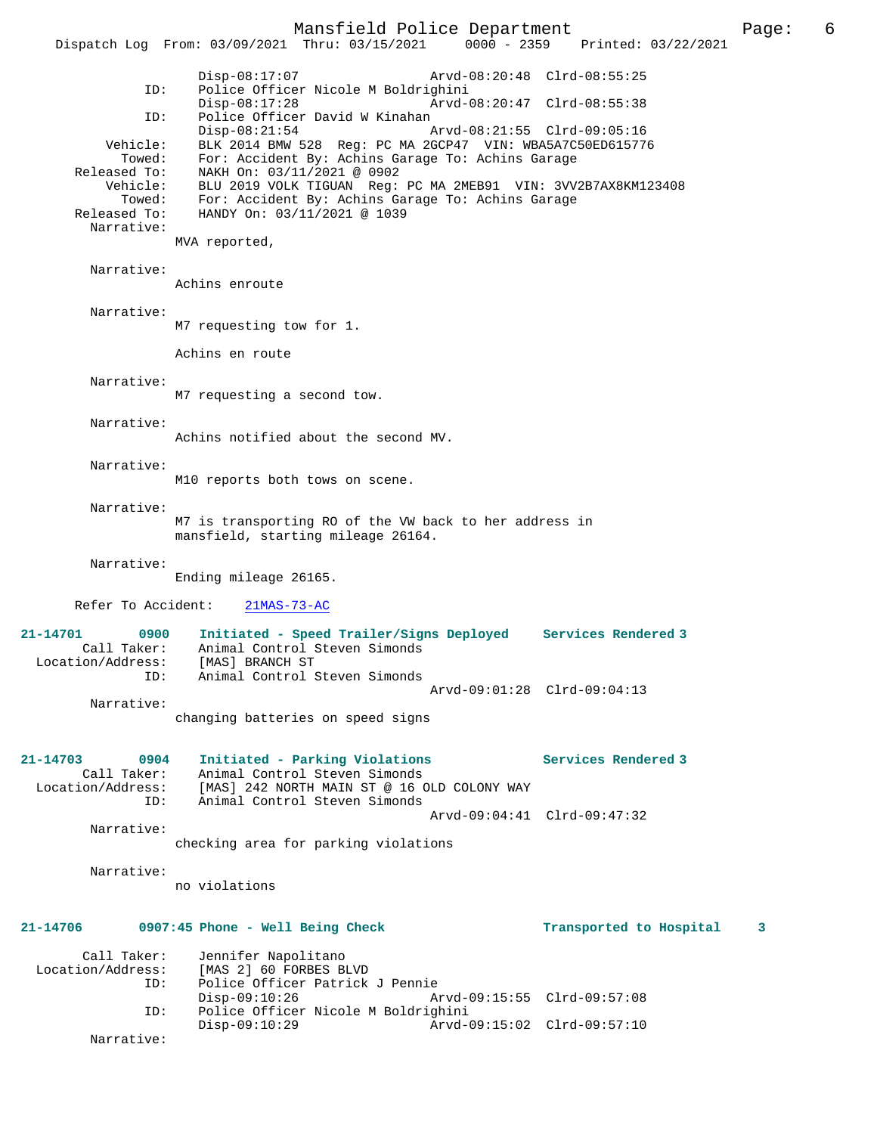Mansfield Police Department Page: 6 Dispatch Log From: 03/09/2021 Thru: 03/15/2021 Disp-08:17:07 Arvd-08:20:48 Clrd-08:55:25 ID: Police Officer Nicole M Boldrighini Disp-08:17:28 Arvd-08:20:47 Clrd-08:55:38<br>TD: Police Officer David W Kinahan Police Officer David W Kinahan<br>Disp-08:21:54 Disp-08:21:54 Arvd-08:21:55 Clrd-09:05:16 Vehicle: BLK 2014 BMW 528 Reg: PC MA 2GCP47 VIN: WBA5A7C50ED615776 Towed: For: Accident By: Achins Garage To: Achins Garage Released To: NAKH On: 03/11/2021 @ 0902 Vehicle: BLU 2019 VOLK TIGUAN Reg: PC MA 2MEB91 VIN: 3VV2B7AX8KM123408 Towed: For: Accident By: Achins Garage To: Achins Garage Released To: HANDY On: 03/11/2021 @ 1039 Narrative: MVA reported, Narrative: Achins enroute Narrative: M7 requesting tow for 1. Achins en route Narrative: M7 requesting a second tow. Narrative: Achins notified about the second MV. Narrative: M10 reports both tows on scene. Narrative: M7 is transporting RO of the VW back to her address in mansfield, starting mileage 26164. Narrative: Ending mileage 26165. Refer To Accident: 21MAS-73-AC **21-14701 0900 Initiated - Speed Trailer/Signs Deployed Services Rendered 3**  Call Taker: Animal Control Steven Simonds CALL TAKEL: ANTIMAT CONCLOTES<br>Location/Address: [MAS] BRANCH ST ID: Animal Control Steven Simonds Arvd-09:01:28 Clrd-09:04:13 Narrative: changing batteries on speed signs **21-14703 0904 Initiated - Parking Violations Services Rendered 3**  Call Taker: Animal Control Steven Simonds Location/Address: [MAS] 242 NORTH MAIN ST @ 16 OLD COLONY WAY Animal Control Steven Simonds Arvd-09:04:41 Clrd-09:47:32 Narrative: checking area for parking violations Narrative: no violations **21-14706 0907:45 Phone - Well Being Check Transported to Hospital 3** Call Taker: Jennifer Napolitano<br>Location/Address: [MAS 2] 60 FORBES B ess: [MAS 2] 60 FORBES BLVD<br>ID: Police Officer Patrick Police Officer Patrick J Pennie<br>Disp-09:10:26 A Disp-09:10:26 Arvd-09:15:55 Clrd-09:57:08 ID: Police Officer Nicole M Boldrighini Disp-09:10:29 Arvd-09:15:02 Clrd-09:57:10 Narrative: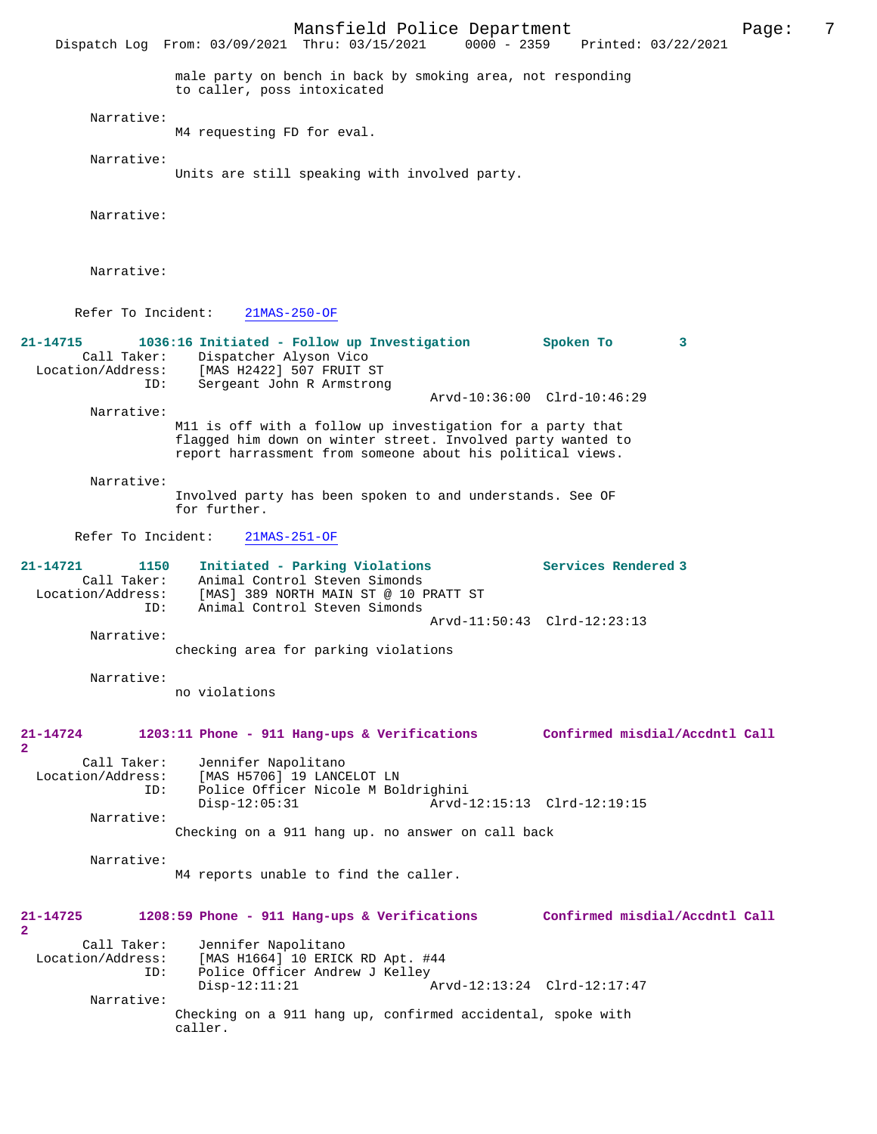Mansfield Police Department Page: 7<br>Thru: 03/15/2021 0000 - 2359 Printed: 03/22/2021 Dispatch Log From: 03/09/2021 Thru: 03/15/2021 male party on bench in back by smoking area, not responding to caller, poss intoxicated Narrative: M4 requesting FD for eval. Narrative: Units are still speaking with involved party. Narrative: Narrative: Refer To Incident: 21MAS-250-OF **21-14715 1036:16 Initiated - Follow up Investigation Spoken To 3**  Call Taker: Dispatcher Alyson Vico<br>Location/Address: [MAS H2422] 507 FRUIT 9 [MAS H2422] 507 FRUIT ST ID: Sergeant John R Armstrong Arvd-10:36:00 Clrd-10:46:29 Narrative: M11 is off with a follow up investigation for a party that flagged him down on winter street. Involved party wanted to report harrassment from someone about his political views. Narrative: Involved party has been spoken to and understands. See OF for further. Refer To Incident: 21MAS-251-OF **21-14721 1150 Initiated - Parking Violations Services Rendered 3**  Call Taker: Animal Control Steven Simonds<br>Location/Address: [MAS] 389 NORTH MAIN ST @ 10 P Location/Address: [MAS] 389 NORTH MAIN ST @ 10 PRATT ST ID: Animal Control Steven Simonds Arvd-11:50:43 Clrd-12:23:13 Narrative: checking area for parking violations Narrative: no violations **21-14724 1203:11 Phone - 911 Hang-ups & Verifications Confirmed misdial/Accdntl Call 2**  Call Taker: Jennifer Napolitano<br>Location/Address: [MAS H5706] 19 LANC ess: [MAS H5706] 19 LANCELOT LN<br>ID: Police Officer Nicole M Bol Police Officer Nicole M Boldrighini Disp-12:05:31 Arvd-12:15:13 Clrd-12:19:15 Narrative: Checking on a 911 hang up. no answer on call back Narrative: M4 reports unable to find the caller. **21-14725 1208:59 Phone - 911 Hang-ups & Verifications Confirmed misdial/Accdntl Call 2**  Call Taker: Jennifer Napolitano Location/Address: [MAS H1664] 10 ERICK RD Apt. #44 Police Officer Andrew J Kelley<br>Disp-12:11:21 A Disp-12:11:21 Arvd-12:13:24 Clrd-12:17:47 Narrative: Checking on a 911 hang up, confirmed accidental, spoke with caller.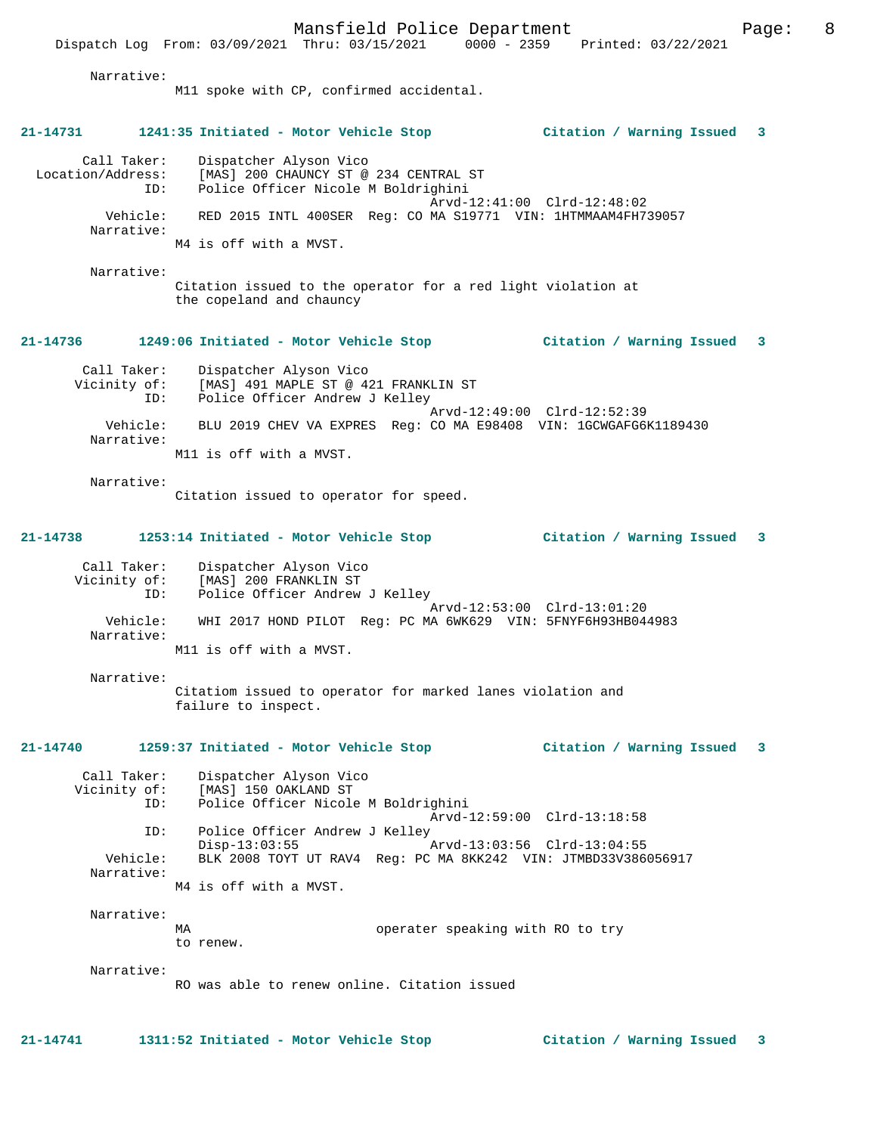Dispatch Log From: 03/09/2021 Thru: 03/15/2021 0000 - 2359 Printed: 03/22/2021

Narrative:

M11 spoke with CP, confirmed accidental. **21-14731 1241:35 Initiated - Motor Vehicle Stop Citation / Warning Issued 3** Call Taker: Dispatcher Alyson Vico Location/Address: [MAS] 200 CHAUNCY ST @ 234 CENTRAL ST ID: Police Officer Nicole M Boldrighini Arvd-12:41:00 Clrd-12:48:02 Vehicle: RED 2015 INTL 400SER Reg: CO MA S19771 VIN: 1HTMMAAM4FH739057 Narrative: M4 is off with a MVST. Narrative: Citation issued to the operator for a red light violation at the copeland and chauncy **21-14736 1249:06 Initiated - Motor Vehicle Stop Citation / Warning Issued 3** Call Taker: Dispatcher Alyson Vico Vicinity of: [MAS] 491 MAPLE ST @ 421 FRANKLIN ST ID: Police Officer Andrew J Kelley Arvd-12:49:00 Clrd-12:52:39 Vehicle: BLU 2019 CHEV VA EXPRES Reg: CO MA E98408 VIN: 1GCWGAFG6K1189430 Narrative: M11 is off with a MVST. Narrative: Citation issued to operator for speed. **21-14738 1253:14 Initiated - Motor Vehicle Stop Citation / Warning Issued 3** Call Taker: Dispatcher Alyson Vico Vicinity of: [MAS] 200 FRANKLIN ST ID: Police Officer Andrew J Kelley Arvd-12:53:00 Clrd-13:01:20 Vehicle: WHI 2017 HOND PILOT Reg: PC MA 6WK629 VIN: 5FNYF6H93HB044983 Narrative: M11 is off with a MVST. Narrative: Citatiom issued to operator for marked lanes violation and failure to inspect. **21-14740 1259:37 Initiated - Motor Vehicle Stop Citation / Warning Issued 3** Call Taker: Dispatcher Alyson Vico Vicinity of: [MAS] 150 OAKLAND ST ID: Police Officer Nicole M Boldrighini Arvd-12:59:00 Clrd-13:18:58 ID: Police Officer Andrew J Kelley Disp-13:03:55 Arvd-13:03:56 Clrd-13:04:55 Vehicle: BLK 2008 TOYT UT RAV4 Reg: PC MA 8KK242 VIN: JTMBD33V386056917 Narrative: M4 is off with a MVST. Narrative: operater speaking with RO to try to renew. Narrative: RO was able to renew online. Citation issued

**21-14741 1311:52 Initiated - Motor Vehicle Stop Citation / Warning Issued 3**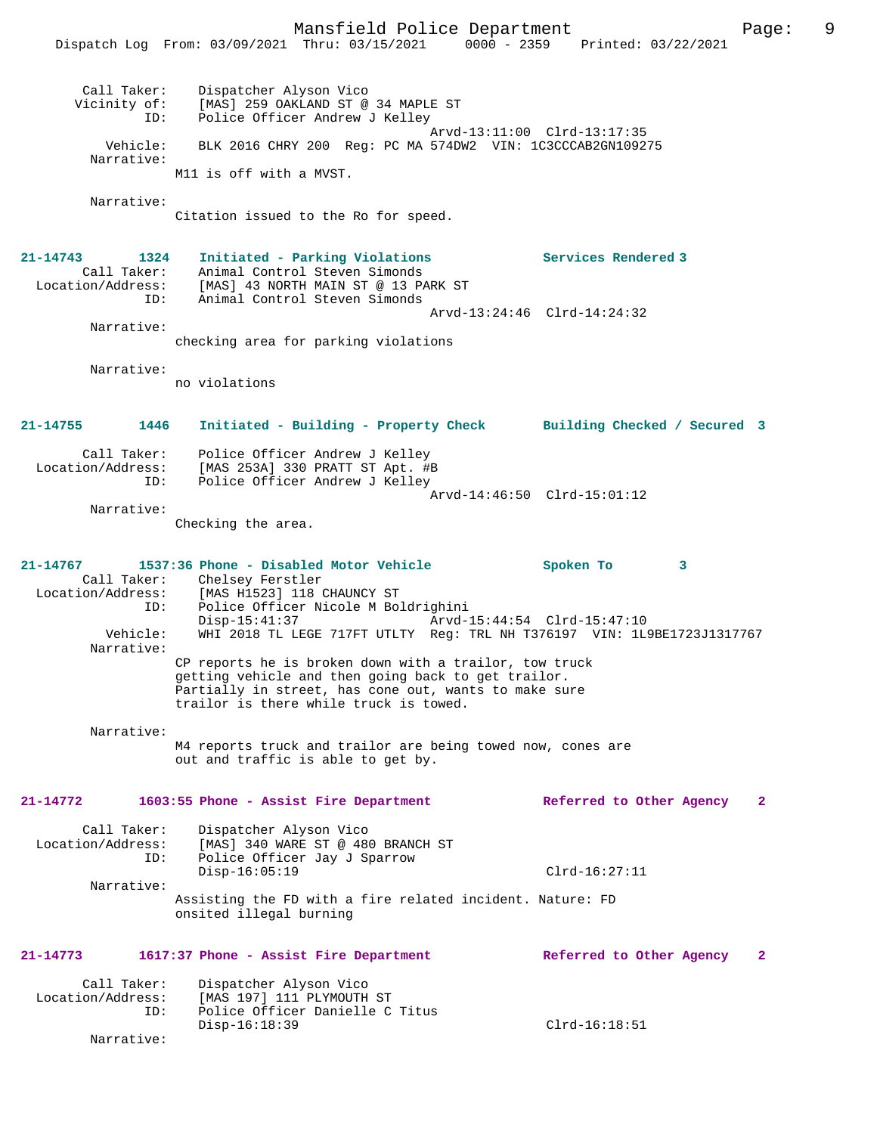Mansfield Police Department Page: 9 Dispatch Log From: 03/09/2021 Thru: 03/15/2021 0000 - 2359 Printed: 03/22/2021 Call Taker: Dispatcher Alyson Vico<br>Vicinity of: [MAS] 259 OAKLAND ST @ [MAS] 259 OAKLAND ST @ 34 MAPLE ST ID: Police Officer Andrew J Kelley Arvd-13:11:00 Clrd-13:17:35 Vehicle: BLK 2016 CHRY 200 Reg: PC MA 574DW2 VIN: 1C3CCCAB2GN109275 Narrative: M11 is off with a MVST. Narrative: Citation issued to the Ro for speed. **21-14743 1324 Initiated - Parking Violations Services Rendered 3**  Call Taker: Animal Control Steven Simonds Location/Address: [MAS] 43 NORTH MAIN ST @ 13 PARK ST ID: Animal Control Steven Simonds Arvd-13:24:46 Clrd-14:24:32 Narrative: checking area for parking violations Narrative: no violations **21-14755 1446 Initiated - Building - Property Check Building Checked / Secured 3** Call Taker: Police Officer Andrew J Kelley Location/Address: [MAS 253A] 330 PRATT ST Apt. #B Police Officer Andrew J Kelley Arvd-14:46:50 Clrd-15:01:12 Narrative: Checking the area. **21-14767 1537:36 Phone - Disabled Motor Vehicle Spoken To 3**  Call Taker: Chelsey Ferstler<br>Location/Address: [MAS H1523] 118 ( [MAS H1523] 118 CHAUNCY ST ID: Police Officer Nicole M Boldrighini Disp-15:41:37 Arvd-15:44:54 Clrd-15:47:10<br>Vehicle: WHI 2018 TL LEGE 717FT UTLTY Req: TRL NH T376197 VIN: 1L Vehicle: WHI 2018 TL LEGE 717FT UTLTY Reg: TRL NH T376197 VIN: 1L9BE1723J1317767 Narrative: CP reports he is broken down with a trailor, tow truck getting vehicle and then going back to get trailor. Partially in street, has cone out, wants to make sure trailor is there while truck is towed. Narrative: M4 reports truck and trailor are being towed now, cones are out and traffic is able to get by. **21-14772 1603:55 Phone - Assist Fire Department Referred to Other Agency 2** Call Taker: Dispatcher Alyson Vico Location/Address: [MAS] 340 WARE ST @ 480 BRANCH ST<br>ID: Police Officer Jav J Sparrow Police Officer Jay J Sparrow Disp-16:05:19 Clrd-16:27:11 Narrative: Assisting the FD with a fire related incident. Nature: FD onsited illegal burning **21-14773 1617:37 Phone - Assist Fire Department Referred to Other Agency 2** Call Taker: Dispatcher Alyson Vico<br>Location/Address: [MAS 197] 111 PLYMOUTH ess: [MAS 197] 111 PLYMOUTH ST<br>ID: Police Officer Danielle C Police Officer Danielle C Titus Disp-16:18:39 Clrd-16:18:51 Narrative: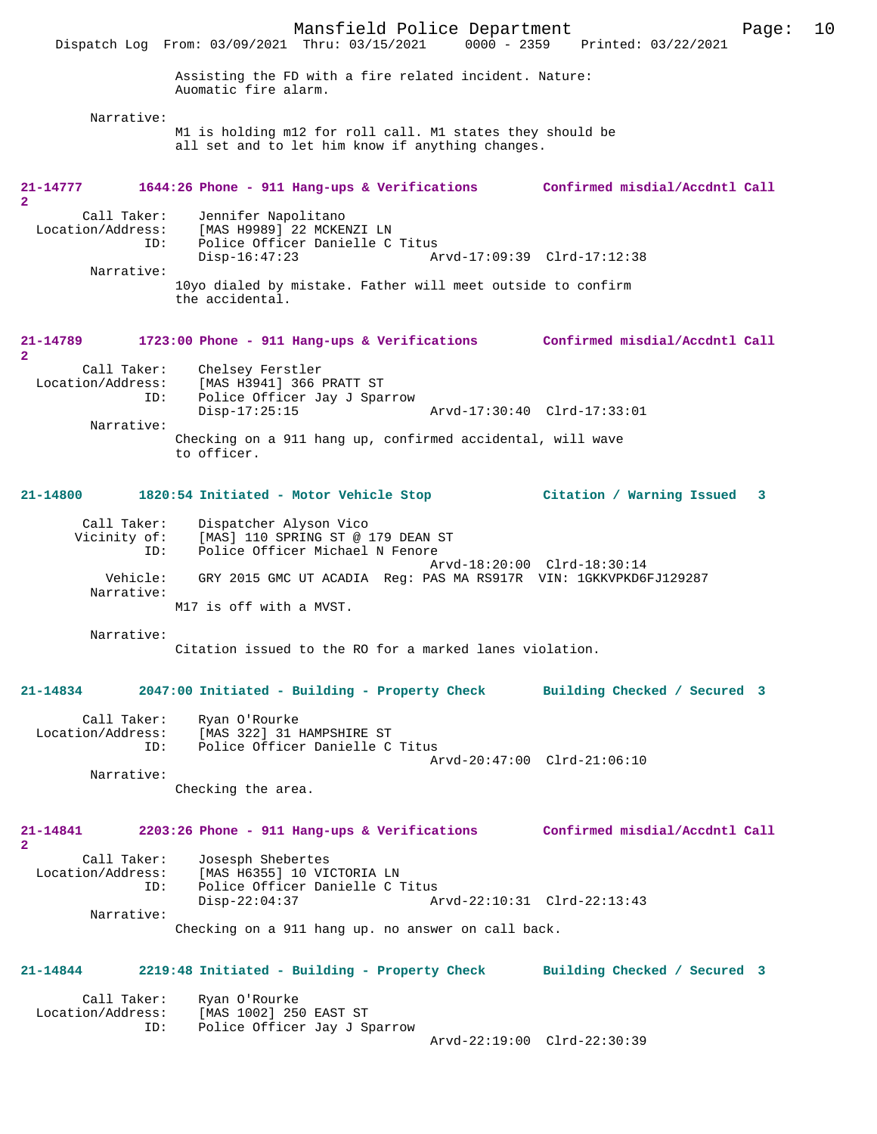Mansfield Police Department Page: 10 Dispatch Log From: 03/09/2021 Thru: 03/15/2021 Assisting the FD with a fire related incident. Nature: Auomatic fire alarm. Narrative: M1 is holding m12 for roll call. M1 states they should be all set and to let him know if anything changes. **21-14777 1644:26 Phone - 911 Hang-ups & Verifications Confirmed misdial/Accdntl Call 2**  Call Taker: Jennifer Napolitano<br>Location/Address: [MAS H9989] 22 MCKE ess: [MAS H9989] 22 MCKENZI LN<br>ID: Police Officer Danielle C Police Officer Danielle C Titus<br>Disp-16:47:23 Al Disp-16:47:23 Arvd-17:09:39 Clrd-17:12:38 Narrative: 10yo dialed by mistake. Father will meet outside to confirm the accidental. **21-14789 1723:00 Phone - 911 Hang-ups & Verifications Confirmed misdial/Accdntl Call 2**  Call Taker: Chelsey Ferstler<br>Location/Address: [MAS H3941] 366 ess: [MAS H3941] 366 PRATT ST<br>TD: Police Officer Jay J Spay Police Officer Jay J Sparrow<br>Disp-17:25:15 Disp-17:25:15 Arvd-17:30:40 Clrd-17:33:01 Narrative: Checking on a 911 hang up, confirmed accidental, will wave to officer. **21-14800 1820:54 Initiated - Motor Vehicle Stop Citation / Warning Issued 3** Call Taker: Dispatcher Alyson Vico<br>Vicinity of: [MAS] 110 SPRING ST @ Vicinity of: [MAS] 110 SPRING ST @ 179 DEAN ST ID: Police Officer Michael N Fenore Arvd-18:20:00 Clrd-18:30:14 Vehicle: GRY 2015 GMC UT ACADIA Reg: PAS MA RS917R VIN: 1GKKVPKD6FJ129287 Narrative: M17 is off with a MVST. Narrative: Citation issued to the RO for a marked lanes violation. **21-14834 2047:00 Initiated - Building - Property Check Building Checked / Secured 3** Call Taker: Ryan O'Rourke<br>Location/Address: [MAS 322] 31 H ess: [MAS 322] 31 HAMPSHIRE ST<br>ID: Police Officer Danielle C Police Officer Danielle C Titus Arvd-20:47:00 Clrd-21:06:10 Narrative: Checking the area. **21-14841 2203:26 Phone - 911 Hang-ups & Verifications Confirmed misdial/Accdntl Call 2**  Call Taker: Josesph Shebertes<br>Location/Address: [MAS H6355] 10 VI ess: [MAS H6355] 10 VICTORIA LN<br>TD: Police Officer Danielle C T ID: Police Officer Danielle C Titus Disp-22:04:37 Arvd-22:10:31 Clrd-22:13:43 Narrative: Checking on a 911 hang up. no answer on call back. **21-14844 2219:48 Initiated - Building - Property Check Building Checked / Secured 3** Call Taker: Ryan O'Rourke<br>Location/Address: [MAS 1002] 25 [MAS 1002] 250 EAST ST ID: Police Officer Jay J Sparrow Arvd-22:19:00 Clrd-22:30:39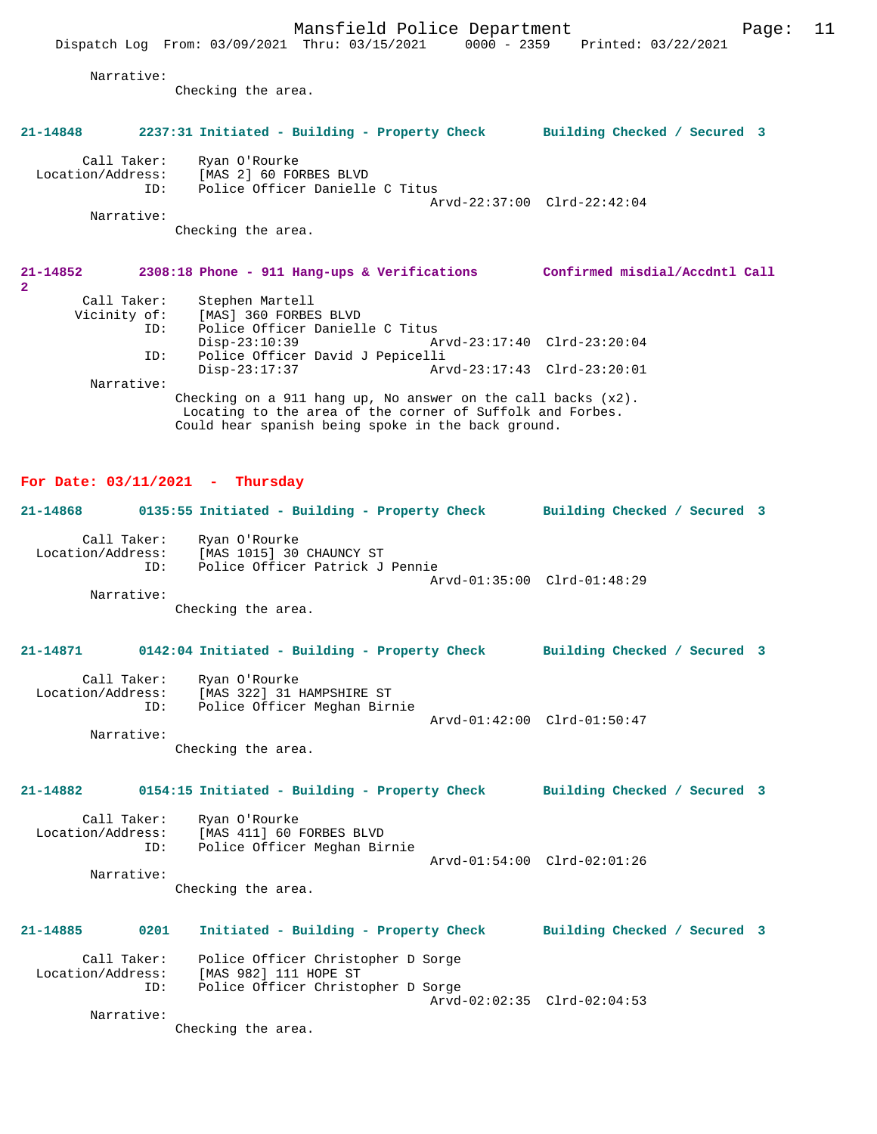Narrative:

Checking the area.

#### **21-14848 2237:31 Initiated - Building - Property Check Building Checked / Secured 3**

Call Taker: Ryan O'Rourke<br>Location/Address: [MAS 2] 60 FOI

[MAS 2] 60 FORBES BLVD ID: Police Officer Danielle C Titus Arvd-22:37:00 Clrd-22:42:04 Narrative:

Checking the area.

#### **21-14852 2308:18 Phone - 911 Hang-ups & Verifications Confirmed misdial/Accdntl Call 2**  Call Taker: Stephen Martell<br>Vicinity of: [MAS] 360 FORBE: of: [MAS] 360 FORBES BLVD<br>TD: Police Officer Daniel Police Officer Danielle C Titus Disp-23:10:39 Arvd-23:17:40 Clrd-23:20:04 ID: Police Officer David J Pepicelli Arvd-23:17:43 Clrd-23:20:01 Narrative: Checking on a 911 hang up, No answer on the call backs (x2).

 Locating to the area of the corner of Suffolk and Forbes. Could hear spanish being spoke in the back ground.

#### **For Date: 03/11/2021 - Thursday**

## **21-14868 0135:55 Initiated - Building - Property Check Building Checked / Secured 3** Call Taker: Ryan O'Rourke<br>Location/Address: [MAS 1015] 30 ess: [MAS 1015] 30 CHAUNCY ST<br>ID: Police Officer Patrick J Police Officer Patrick J Pennie Arvd-01:35:00 Clrd-01:48:29 Narrative:

Checking the area.

# **21-14871 0142:04 Initiated - Building - Property Check Building Checked / Secured 3** Call Taker: Ryan O'Rourke Location/Address: [MAS 322] 31 HAMPSHIRE ST Police Officer Meghan Birnie Arvd-01:42:00 Clrd-01:50:47 Narrative: Checking the area.

## **21-14882 0154:15 Initiated - Building - Property Check Building Checked / Secured 3**

Call Taker: Ryan O'Rourke<br>Location/Address: [MAS 411] 60 1 ess: [MAS 411] 60 FORBES BLVD<br>ID: Police Officer Meghan Bir Police Officer Meghan Birnie Arvd-01:54:00 Clrd-02:01:26 Narrative:

Checking the area.

# **21-14885 0201 Initiated - Building - Property Check Building Checked / Secured 3** Call Taker: Police Officer Christopher D Sorge<br>Location/Address: [MAS 982] 111 HOPE ST ess: [MAS 982] 111 HOPE ST<br>ID: Police Officer Christo

Police Officer Christopher D Sorge Arvd-02:02:35 Clrd-02:04:53 Narrative:

Checking the area.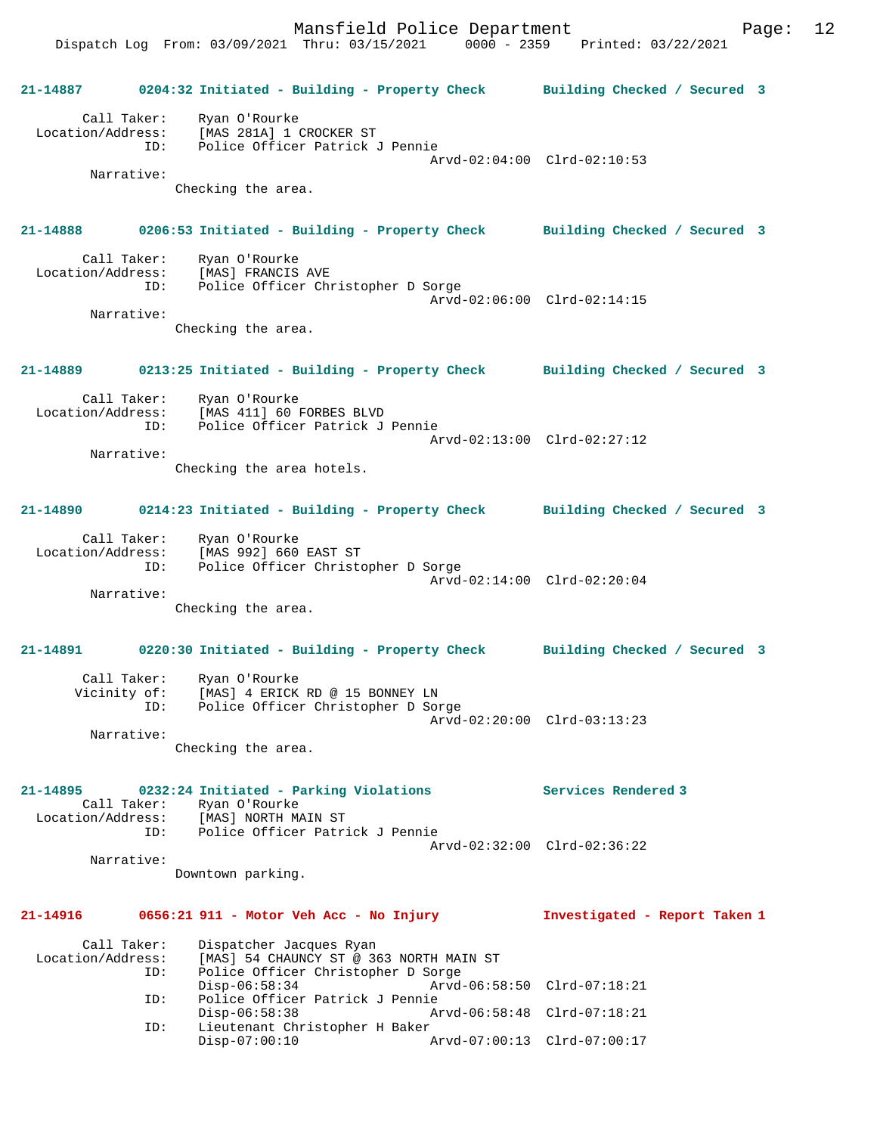Dispatch Log From: 03/09/2021 Thru: 03/15/2021 0000 - 2359 Printed: 03/22/2021

**21-14887 0204:32 Initiated - Building - Property Check Building Checked / Secured 3** Call Taker: Ryan O'Rourke Location/Address: [MAS 281A] 1 CROCKER ST ID: Police Officer Patrick J Pennie Arvd-02:04:00 Clrd-02:10:53 Narrative: Checking the area. **21-14888 0206:53 Initiated - Building - Property Check Building Checked / Secured 3** Call Taker: Ryan O'Rourke Location/Address: [MAS] FRANCIS AVE ID: Police Officer Christopher D Sorge Arvd-02:06:00 Clrd-02:14:15 Narrative: Checking the area. **21-14889 0213:25 Initiated - Building - Property Check Building Checked / Secured 3** Call Taker: Ryan O'Rourke Location/Address: [MAS 411] 60 FORBES BLVD ID: Police Officer Patrick J Pennie Arvd-02:13:00 Clrd-02:27:12 Narrative: Checking the area hotels. **21-14890 0214:23 Initiated - Building - Property Check Building Checked / Secured 3** Call Taker: Ryan O'Rourke Location/Address: [MAS 992] 660 EAST ST ID: Police Officer Christopher D Sorge Arvd-02:14:00 Clrd-02:20:04 Narrative: Checking the area. **21-14891 0220:30 Initiated - Building - Property Check Building Checked / Secured 3** Call Taker: Ryan O'Rourke Vicinity of: [MAS] 4 ERICK RD @ 15 BONNEY LN ID: Police Officer Christopher D Sorge Arvd-02:20:00 Clrd-03:13:23 Narrative: Checking the area. **21-14895 0232:24 Initiated - Parking Violations Services Rendered 3**  Call Taker: Ryan O'Rourke<br>Location/Address: [MAS] NORTH MA ess: [MAS] NORTH MAIN ST<br>ID: Police Officer Patri Police Officer Patrick J Pennie Arvd-02:32:00 Clrd-02:36:22 Narrative: Downtown parking. **21-14916 0656:21 911 - Motor Veh Acc - No Injury Investigated - Report Taken 1** Call Taker: Dispatcher Jacques Ryan Location/Address: [MAS] 54 CHAUNCY ST @ 363 NORTH MAIN ST ID: Police Officer Christopher D Sorge<br>Disp-06:58:34 Arvd-Disp-06:58:34 Arvd-06:58:50 Clrd-07:18:21<br>ID: Police Officer Patrick J Pennie Police Officer Patrick J Pennie<br>Disp-06:58:38 Ar Disp-06:58:38 Arvd-06:58:48 Clrd-07:18:21<br>TD: Lieutenant Christopher H Baker Lieutenant Christopher H Baker<br>Disp-07:00:10  $p$ Disp-07:00:10 Arvd-07:00:13 Clrd-07:00:17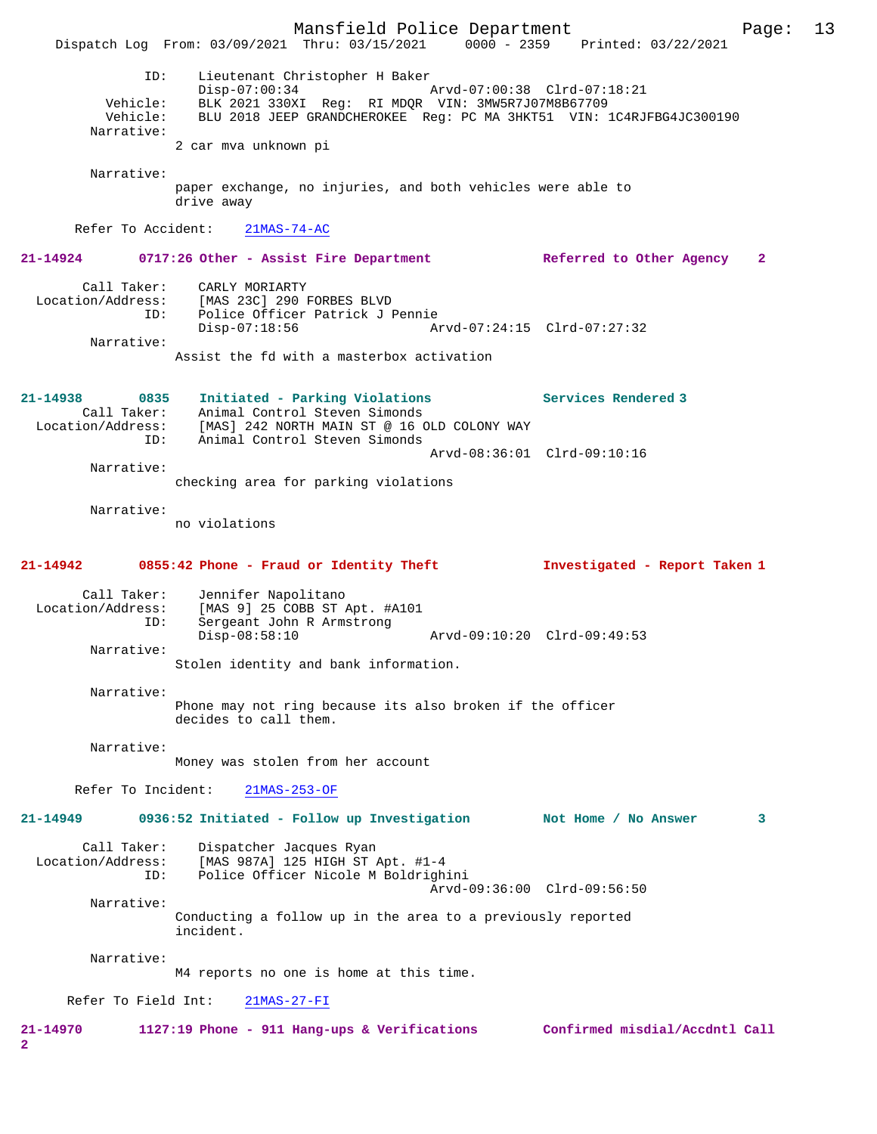Mansfield Police Department Page: 13 Dispatch Log From: 03/09/2021 Thru: 03/15/2021 ID: Lieutenant Christopher H Baker Disp-07:00:34 Arvd-07:00:38 Clrd-07:18:21 Vehicle: BLK 2021 330XI Reg: RI MDQR VIN: 3MW5R7J07M8B67709 Vehicle: BLU 2018 JEEP GRANDCHEROKEE Reg: PC MA 3HKT51 VIN: 1C4RJFBG4JC300190 Narrative: 2 car mva unknown pi Narrative: paper exchange, no injuries, and both vehicles were able to drive away Refer To Accident: 21MAS-74-AC **21-14924 0717:26 Other - Assist Fire Department Referred to Other Agency 2** Call Taker: CARLY MORIARTY Location/Address: [MAS 23C] 290 FORBES BLVD ID: Police Officer Patrick J Pennie Disp-07:18:56 Arvd-07:24:15 Clrd-07:27:32 Narrative: Assist the fd with a masterbox activation **21-14938 0835 Initiated - Parking Violations Services Rendered 3**  Call Taker: Animal Control Steven Simonds Location/Address: [MAS] 242 NORTH MAIN ST @ 16 OLD COLONY WAY ID: Animal Control Steven Simonds Arvd-08:36:01 Clrd-09:10:16 Narrative: checking area for parking violations Narrative: no violations **21-14942 0855:42 Phone - Fraud or Identity Theft Investigated - Report Taken 1** Call Taker: Jennifer Napolitano<br>Location/Address: [MAS 9] 25 COBB ST 1 ess: [MAS 9] 25 COBB ST Apt. #A101<br>ID: Sergeant John R Armstrong Sergeant John R Armstrong<br>Disp-08:58:10 Disp-08:58:10 Arvd-09:10:20 Clrd-09:49:53 Narrative: Stolen identity and bank information. Narrative: Phone may not ring because its also broken if the officer decides to call them. Narrative: Money was stolen from her account Refer To Incident: 21MAS-253-OF **21-14949 0936:52 Initiated - Follow up Investigation Not Home / No Answer 3** Call Taker: Dispatcher Jacques Ryan<br>Location/Address: [MAS 987A] 125 HIGH ST I [MAS 987A] 125 HIGH ST Apt. #1-4 ID: Police Officer Nicole M Boldrighini Arvd-09:36:00 Clrd-09:56:50 Narrative: Conducting a follow up in the area to a previously reported incident. Narrative: M4 reports no one is home at this time. Refer To Field Int: 21MAS-27-FI **21-14970 1127:19 Phone - 911 Hang-ups & Verifications Confirmed misdial/Accdntl Call 2**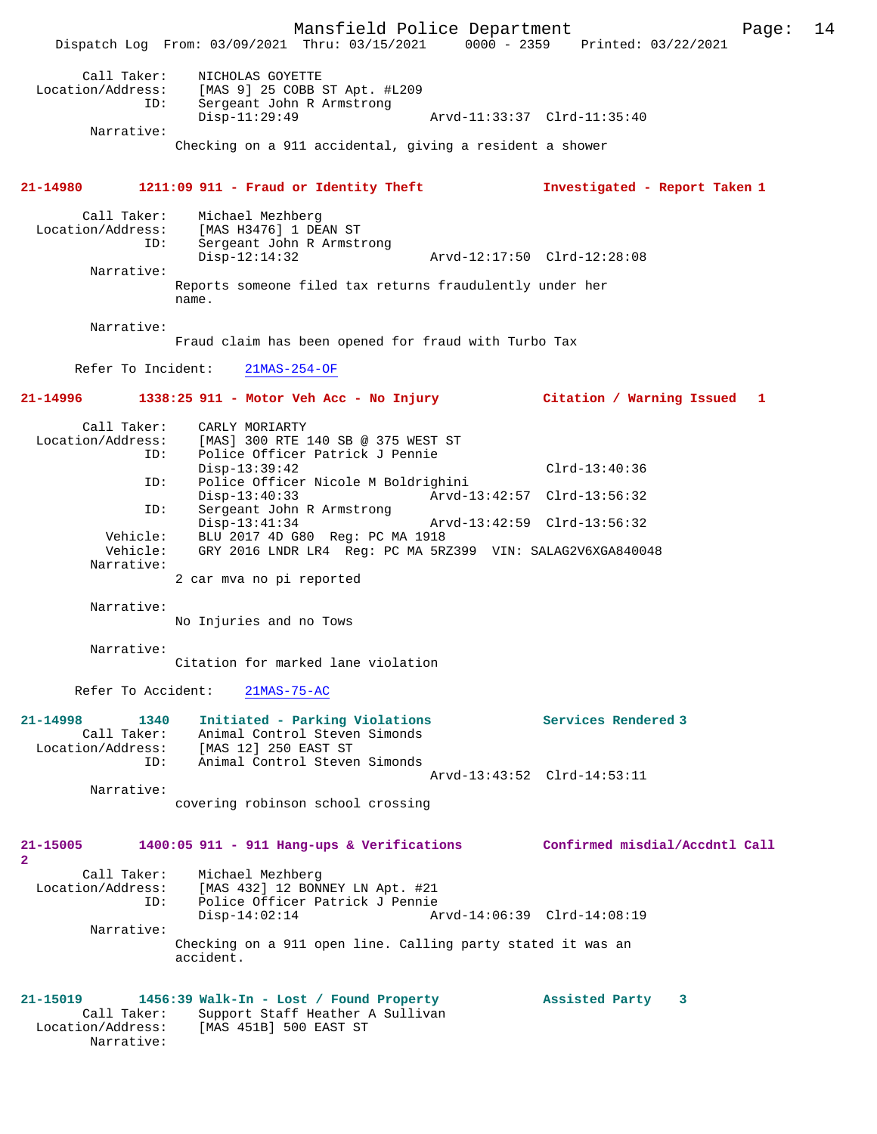Mansfield Police Department Page: 14 Dispatch Log From: 03/09/2021 Thru: 03/15/2021 0000 - 2359 Printed: 03/22/2021 Call Taker: NICHOLAS GOYETTE Location/Address: [MAS 9] 25 COBB ST Apt. #L209 ID: Sergeant John R Armstrong Disp-11:29:49 Arvd-11:33:37 Clrd-11:35:40 Narrative: Checking on a 911 accidental, giving a resident a shower **21-14980 1211:09 911 - Fraud or Identity Theft Investigated - Report Taken 1** Call Taker: Michael Mezhberg<br>Location/Address: [MAS H3476] 1 DE [MAS H3476] 1 DEAN ST ID: Sergeant John R Armstrong Disp-12:14:32 Arvd-12:17:50 Clrd-12:28:08 Narrative: Reports someone filed tax returns fraudulently under her name. Narrative: Fraud claim has been opened for fraud with Turbo Tax Refer To Incident: 21MAS-254-OF **21-14996 1338:25 911 - Motor Veh Acc - No Injury Citation / Warning Issued 1** Call Taker: CARLY MORIARTY<br>Location/Address: [MAS] 300 RTE ess: [MAS] 300 RTE 140 SB @ 375 WEST ST<br>ID: Police Officer Patrick J Pennie Police Officer Patrick J Pennie Disp-13:39:42 Clrd-13:40:36 ID: Police Officer Nicole M Boldrighini Disp-13:40:33 Arvd-13:42:57 Clrd-13:56:32 ID: Sergeant John R Armstrong Disp-13:41:34 Arvd-13:42:59 Clrd-13:56:32 Vehicle: BLU 2017 4D G80 Reg: PC MA 1918 Vehicle: GRY 2016 LNDR LR4 Reg: PC MA 5RZ399 VIN: SALAG2V6XGA840048 Narrative: 2 car mva no pi reported Narrative: No Injuries and no Tows Narrative: Citation for marked lane violation Refer To Accident: 21MAS-75-AC **21-14998 1340 Initiated - Parking Violations Services Rendered 3**  Call Taker: Animal Control Steven Simonds Location/Address: [MAS 12] 250 EAST ST ID: Animal Control Steven Simonds Arvd-13:43:52 Clrd-14:53:11 Narrative: covering robinson school crossing **21-15005 1400:05 911 - 911 Hang-ups & Verifications Confirmed misdial/Accdntl Call 2**  Call Taker: Michael Mezhberg Location/Address: [MAS 432] 12 BONNEY LN Apt. #21 ID: Police Officer Patrick J Pennie Disp-14:02:14 Arvd-14:06:39 Clrd-14:08:19 Narrative: Checking on a 911 open line. Calling party stated it was an accident. **21-15019 1456:39 Walk-In - Lost / Found Property Assisted Party 3**  Call Taker: Support Staff Heather A Sullivan Location/Address: [MAS 451B] 500 EAST ST Narrative: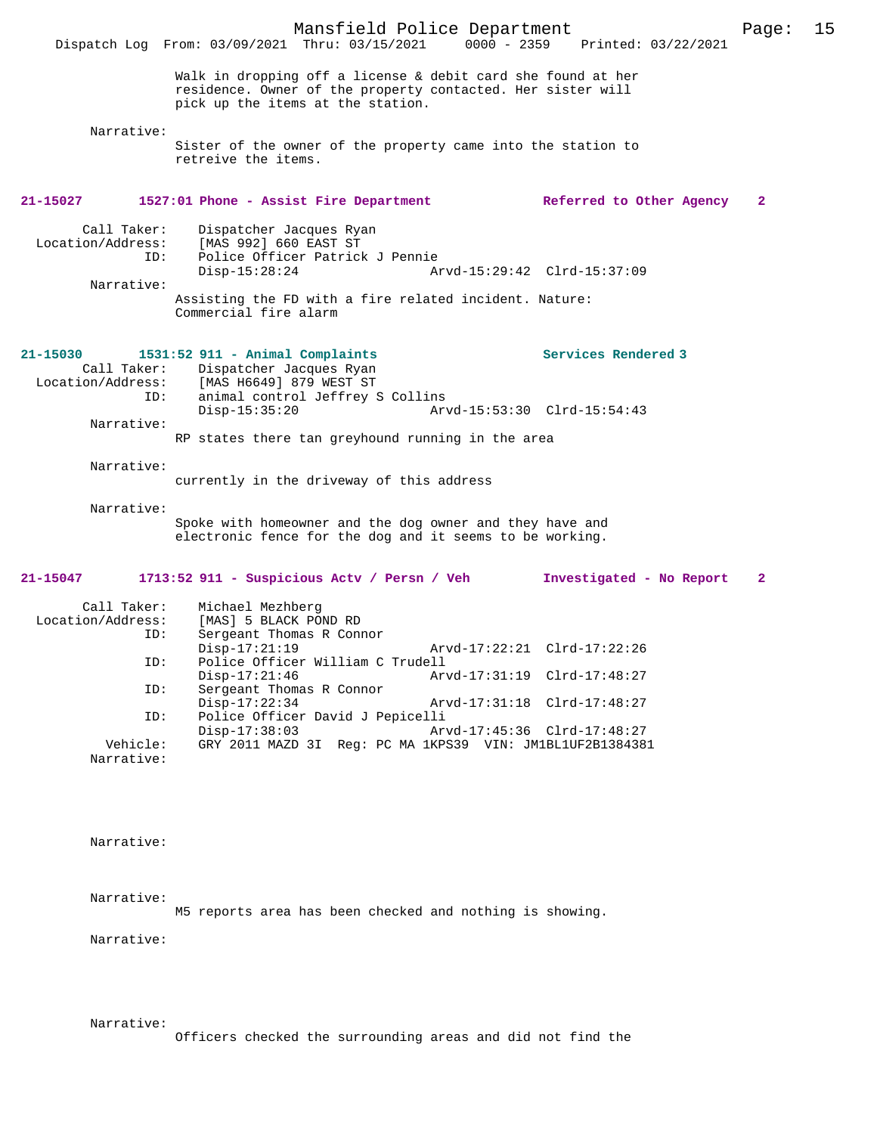Mansfield Police Department Page: 15 Dispatch Log From: 03/09/2021 Thru: 03/15/2021 Walk in dropping off a license & debit card she found at her residence. Owner of the property contacted. Her sister will pick up the items at the station. Narrative: Sister of the owner of the property came into the station to retreive the items. **21-15027 1527:01 Phone - Assist Fire Department Referred to Other Agency 2** Call Taker: Dispatcher Jacques Ryan<br>Location/Address: [MAS 992] 660 EAST ST ess: [MAS 992] 660 EAST ST<br>ID: Police Officer Patrick Police Officer Patrick J Pennie Disp-15:28:24 Arvd-15:29:42 Clrd-15:37:09 Narrative: Assisting the FD with a fire related incident. Nature: Commercial fire alarm **21-15030 1531:52 911 - Animal Complaints Services Rendered 3**  Call Taker: Dispatcher Jacques Ryan<br>Location/Address: [MAS H6649] 879 WEST ST  $[MAS H6649] 879 WEST ST$  ID: animal control Jeffrey S Collins Disp-15:35:20 Arvd-15:53:30 Clrd-15:54:43 Narrative: RP states there tan greyhound running in the area Narrative: currently in the driveway of this address Narrative: Spoke with homeowner and the dog owner and they have and electronic fence for the dog and it seems to be working. **21-15047 1713:52 911 - Suspicious Actv / Persn / Veh Investigated - No Report 2** Call Taker: Michael Mezhberg<br>Location/Address: [MAS] 5 BLACK PO ess: [MAS] 5 BLACK POND RD<br>ID: Sergeant Thomas R Conn Sergeant Thomas R Connor Disp-17:21:19 Arvd-17:22:21 Clrd-17:22:26<br>TD: Police Officer William C Trudell Police Officer William C Trudell<br>Disp-17:21:46 Arv Disp-17:21:46 Arvd-17:31:19 Clrd-17:48:27<br>ID: Sergeant Thomas R Connor Sergeant Thomas R Connor<br>Disp-17:22:34 Disp-17:22:34 Arvd-17:31:18 Clrd-17:48:27 ID: Police Officer David J Pepicelli Disp-17:38:03 Arvd-17:45:36 Clrd-17:48:27<br>Vehicle: GRY 2011 MAZD 31 Reg: PC MA 1KPS39 VIN: JM1BL1UF2B138438 GRY 2011 MAZD 3I Reg: PC MA 1KPS39 VIN: JM1BL1UF2B1384381 Narrative: Narrative: Narrative:

M5 reports area has been checked and nothing is showing.

Narrative:

Narrative:

Officers checked the surrounding areas and did not find the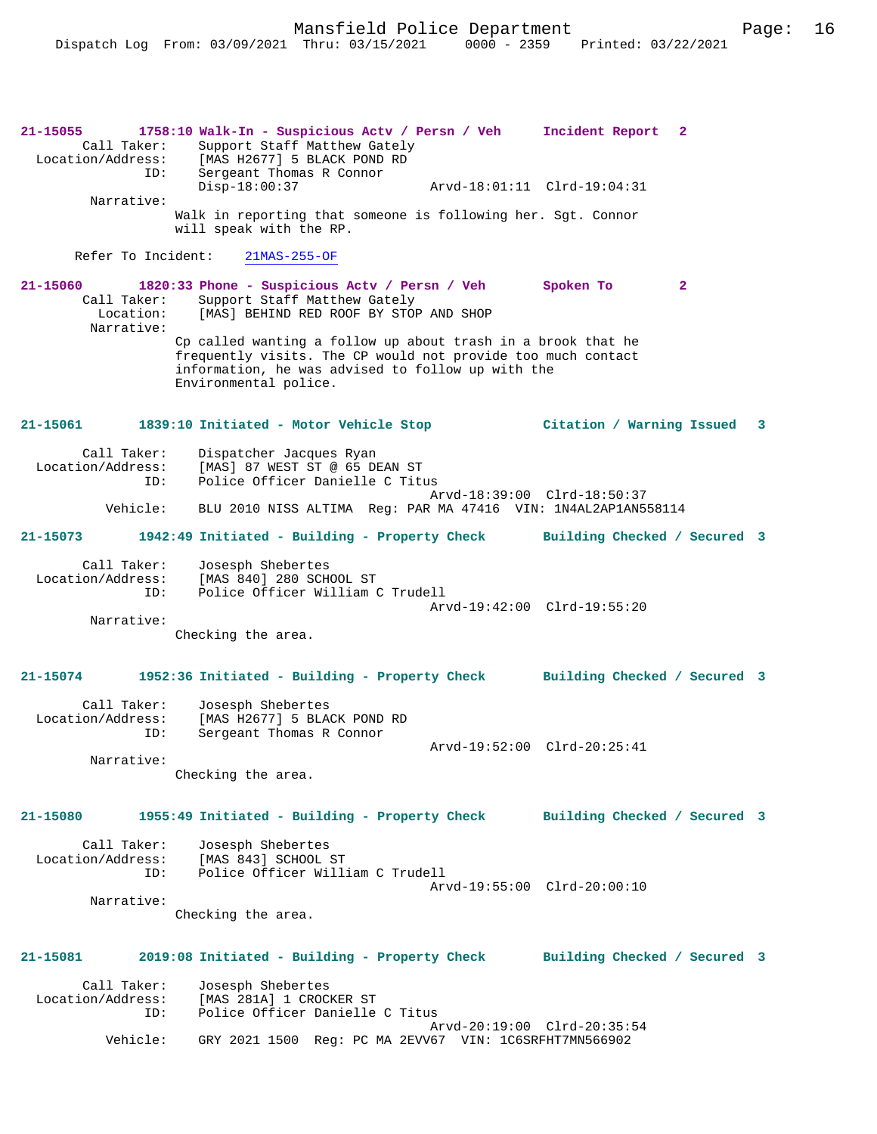**21-15055 1758:10 Walk-In - Suspicious Actv / Persn / Veh Incident Report 2**  Call Taker: Support Staff Matthew Gately<br>Location/Address: [MAS H2677] 5 BLACK POND RD ess: [MAS H2677] 5 BLACK POND RD<br>ID: Sergeant Thomas R Connor Sergeant Thomas R Connor<br>Disp-18:00:37 Disp-18:00:37 Arvd-18:01:11 Clrd-19:04:31 Narrative: Walk in reporting that someone is following her. Sgt. Connor will speak with the RP. Refer To Incident: 21MAS-255-OF **21-15060 1820:33 Phone - Suspicious Actv / Persn / Veh Spoken To 2**  Call Taker: Support Staff Matthew Gately<br>Location: [MAS] BEHIND RED ROOF BY STOP [MAS] BEHIND RED ROOF BY STOP AND SHOP Narrative: Cp called wanting a follow up about trash in a brook that he frequently visits. The CP would not provide too much contact information, he was advised to follow up with the Environmental police. **21-15061 1839:10 Initiated - Motor Vehicle Stop Citation / Warning Issued 3** Call Taker: Dispatcher Jacques Ryan Location/Address: [MAS] 87 WEST ST @ 65 DEAN ST<br>TD: Police Officer Danielle C Titu Police Officer Danielle C Titus Arvd-18:39:00 Clrd-18:50:37<br>Vehicle: BLU 2010 NISS ALTIMA Reg: PAR MA 47416 VIN: 1N4AL2AP1AN5 BLU 2010 NISS ALTIMA Reg: PAR MA 47416 VIN: 1N4AL2AP1AN558114 **21-15073 1942:49 Initiated - Building - Property Check Building Checked / Secured 3** Call Taker: Josesph Shebertes<br>Location/Address: [MAS 840] 280 SCH ess: [MAS 840] 280 SCHOOL ST<br>ID: Police Officer William ( Police Officer William C Trudell Arvd-19:42:00 Clrd-19:55:20 Narrative: Checking the area. **21-15074 1952:36 Initiated - Building - Property Check Building Checked / Secured 3** Call Taker: Josesph Shebertes<br>Location/Address: [MAS H2677] 5 BLA ess: [MAS H2677] 5 BLACK POND RD<br>ID: Sergeant Thomas R Connor Sergeant Thomas R Connor Arvd-19:52:00 Clrd-20:25:41 Narrative: Checking the area. **21-15080 1955:49 Initiated - Building - Property Check Building Checked / Secured 3** Call Taker: Josesph Shebertes<br>Location/Address: [MAS 843] SCHOOL ess: [MAS 843] SCHOOL ST<br>ID: Police Officer Will Police Officer William C Trudell Arvd-19:55:00 Clrd-20:00:10 Narrative: Checking the area. **21-15081 2019:08 Initiated - Building - Property Check Building Checked / Secured 3** Call Taker: Josesph Shebertes<br>Location/Address: [MAS 281A] 1 CROC ess: [MAS 281A] 1 CROCKER ST<br>ID: Police Officer Danielle Police Officer Danielle C Titus Arvd-20:19:00 Clrd-20:35:54<br>Vehicle: GRY 2021 1500 Reg: PC MA 2EVV67 VIN: 1C6SRFHT7MN566902 GRY 2021 1500 Reg: PC MA 2EVV67 VIN: 1C6SRFHT7MN566902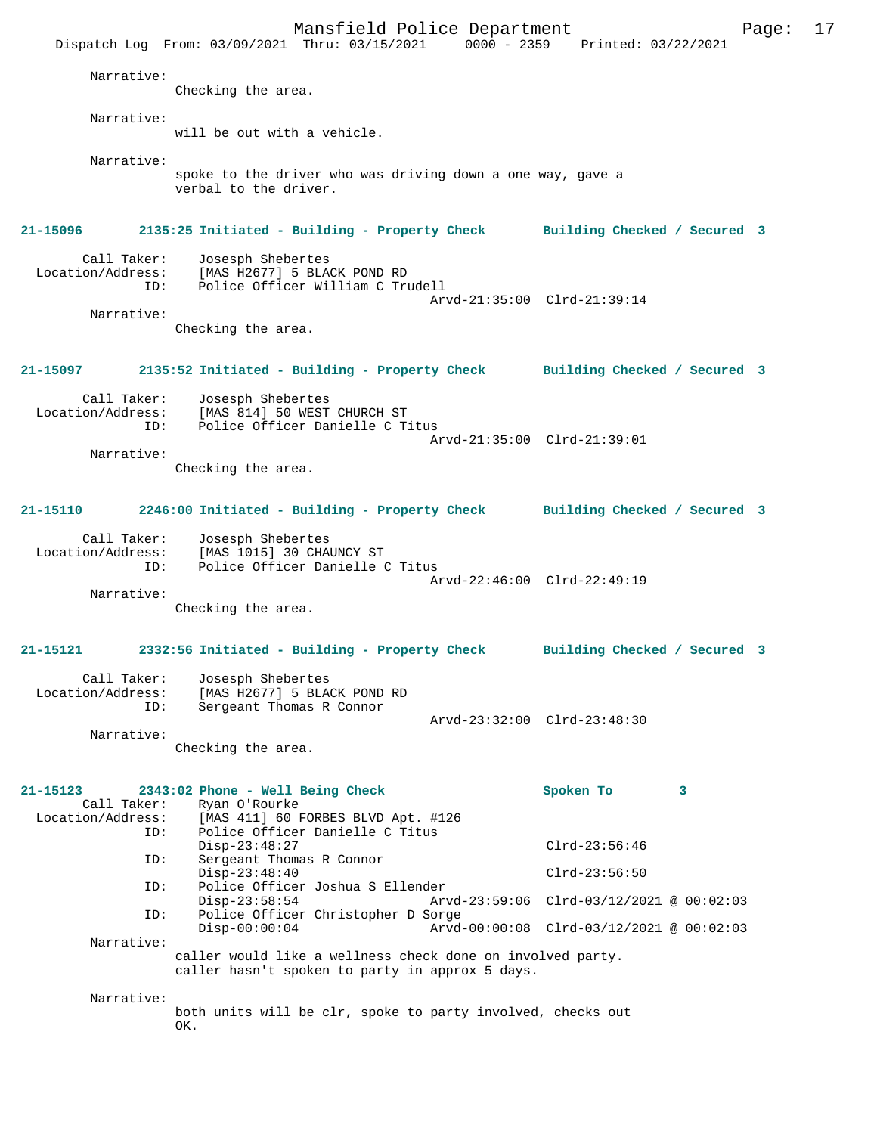Mansfield Police Department Page: 17 Dispatch Log From: 03/09/2021 Thru: 03/15/2021 Narrative: Checking the area. Narrative: will be out with a vehicle. Narrative: spoke to the driver who was driving down a one way, gave a verbal to the driver. **21-15096 2135:25 Initiated - Building - Property Check Building Checked / Secured 3** Call Taker: Josesph Shebertes<br>Location/Address: [MAS H2677] 5 BLA ess: [MAS H2677] 5 BLACK POND RD<br>ID: Police Officer William C Tru Police Officer William C Trudell Arvd-21:35:00 Clrd-21:39:14 Narrative: Checking the area. **21-15097 2135:52 Initiated - Building - Property Check Building Checked / Secured 3** Call Taker: Josesph Shebertes<br>Location/Address: [MAS 814] 50 WEST ess: [MAS 814] 50 WEST CHURCH ST<br>TD: Police Officer Danielle C T Police Officer Danielle C Titus Arvd-21:35:00 Clrd-21:39:01 Narrative: Checking the area. **21-15110 2246:00 Initiated - Building - Property Check Building Checked / Secured 3** Call Taker: Josesph Shebertes<br>Location/Address: [MAS 1015] 30 CHA [MAS 1015] 30 CHAUNCY ST ID: Police Officer Danielle C Titus Arvd-22:46:00 Clrd-22:49:19 Narrative: Checking the area. **21-15121 2332:56 Initiated - Building - Property Check Building Checked / Secured 3** Call Taker: Josesph Shebertes<br>Location/Address: [MAS H2677] 5 BLA ess: [MAS H2677] 5 BLACK POND RD<br>ID: Sergeant Thomas R Connor Sergeant Thomas R Connor Arvd-23:32:00 Clrd-23:48:30 Narrative: Checking the area. **21-15123 2343:02 Phone - Well Being Check Spoken To 3**  Call Taker: Ryan O'Rourke<br>Location/Address: [MAS 411] 60 1 ess: [MAS 411] 60 FORBES BLVD Apt. #126<br>ID: Police Officer Danielle C Titus Police Officer Danielle C Titus Disp-23:48:27 Clrd-23:56:46<br>TD: Sergeant Thomas R Connor Sergeant Thomas R Connor Disp-23:48:40 Clrd-23:56:50<br>TD: Police Officer Joshua S Ellender Police Officer Joshua S Ellender<br>Disp-23:58:54 Arw Disp-23:58:54 Arvd-23:59:06 Clrd-03/12/2021 @ 00:02:03 ID: Police Officer Christopher D Sorge Disp-00:00:04 Arvd-00:00:08 Clrd-03/12/2021 @ 00:02:03 Narrative: caller would like a wellness check done on involved party. caller hasn't spoken to party in approx 5 days. Narrative: both units will be clr, spoke to party involved, checks out OK.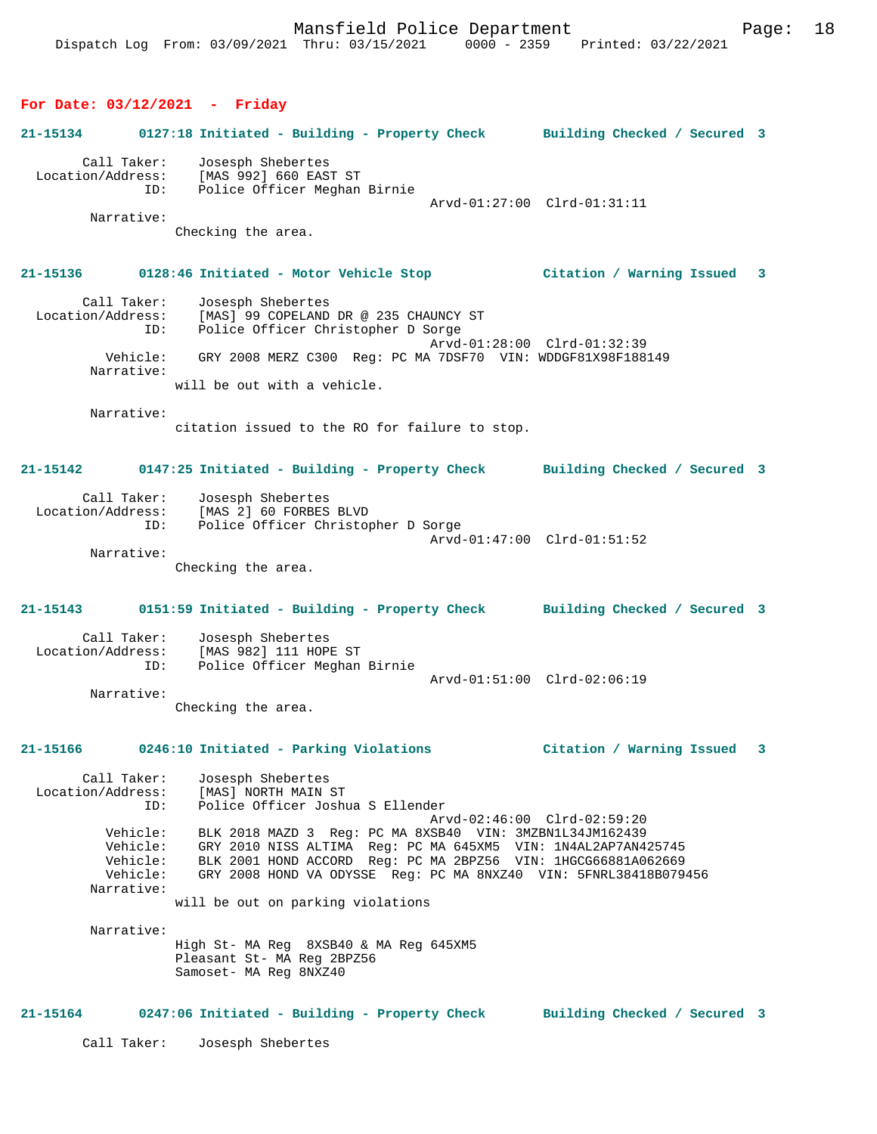#### **For Date: 03/12/2021 - Friday**

# **21-15134 0127:18 Initiated - Building - Property Check Building Checked / Secured 3** Call Taker: Josesph Shebertes Location/Address: [MAS 992] 660 EAST ST ID: Police Officer Meghan Birnie Arvd-01:27:00 Clrd-01:31:11 Narrative: Checking the area. **21-15136 0128:46 Initiated - Motor Vehicle Stop Citation / Warning Issued 3** Call Taker: Josesph Shebertes<br>Location/Address: [MAS] 99 COPELAND [MAS] 99 COPELAND DR @ 235 CHAUNCY ST ID: Police Officer Christopher D Sorge Arvd-01:28:00 Clrd-01:32:39 Vehicle: GRY 2008 MERZ C300 Reg: PC MA 7DSF70 VIN: WDDGF81X98F188149 Narrative: will be out with a vehicle. Narrative: citation issued to the RO for failure to stop. **21-15142 0147:25 Initiated - Building - Property Check Building Checked / Secured 3** Call Taker: Josesph Shebertes Location/Address: [MAS 2] 60 FORBES BLVD ID: Police Officer Christopher D Sorge Arvd-01:47:00 Clrd-01:51:52 Narrative: Checking the area. **21-15143 0151:59 Initiated - Building - Property Check Building Checked / Secured 3** Call Taker: Josesph Shebertes<br>Location/Address: [MAS 982] 111 HOP ess: [MAS 982] 111 HOPE ST<br>TD: Police Officer Meghan Police Officer Meghan Birnie Arvd-01:51:00 Clrd-02:06:19 Narrative: Checking the area. **21-15166 0246:10 Initiated - Parking Violations Citation / Warning Issued 3** Call Taker: Josesph Shebertes<br>ion/Address: [MAS] NORTH MAIN ST Location/Address:<br>ID: Police Officer Joshua S Ellender Arvd-02:46:00 Clrd-02:59:20 Vehicle: BLK 2018 MAZD 3 Reg: PC MA 8XSB40 VIN: 3MZBN1L34JM162439 Vehicle: GRY 2010 NISS ALTIMA Reg: PC MA 645XM5 VIN: 1N4AL2AP7AN425745 Vehicle: BLK 2001 HOND ACCORD Reg: PC MA 2BPZ56 VIN: 1HGCG66881A062669 Vehicle: GRY 2008 HOND VA ODYSSE Reg: PC MA 8NXZ40 VIN: 5FNRL38418B079456 Narrative: will be out on parking violations Narrative: High St- MA Reg 8XSB40 & MA Reg 645XM5 Pleasant St- MA Reg 2BPZ56 Samoset- MA Reg 8NXZ40 **21-15164 0247:06 Initiated - Building - Property Check Building Checked / Secured 3**

Call Taker: Josesph Shebertes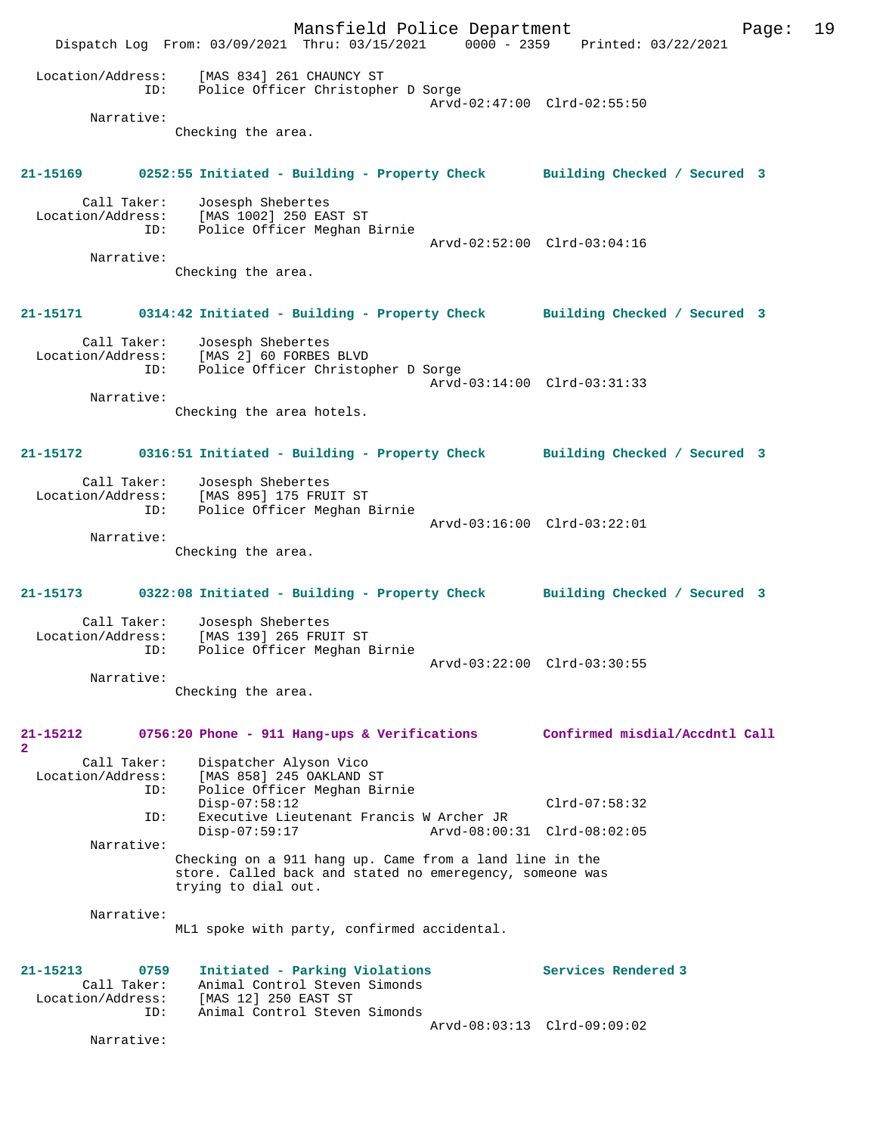Mansfield Police Department Page: 19 Dispatch Log From: 03/09/2021 Thru: 03/15/2021 0000 - 2359 Printed: 03/22/2021 Location/Address: [MAS 834] 261 CHAUNCY ST ID: Police Officer Christopher D Sorge Arvd-02:47:00 Clrd-02:55:50 Narrative: Checking the area. **21-15169 0252:55 Initiated - Building - Property Check Building Checked / Secured 3** Call Taker: Josesph Shebertes Location/Address: [MAS 1002] 250 EAST ST ID: Police Officer Meghan Birnie Arvd-02:52:00 Clrd-03:04:16 Narrative: Checking the area. **21-15171 0314:42 Initiated - Building - Property Check Building Checked / Secured 3** Call Taker: Josesph Shebertes Location/Address: [MAS 2] 60 FORBES BLVD ID: Police Officer Christopher D Sorge Arvd-03:14:00 Clrd-03:31:33 Narrative: Checking the area hotels. **21-15172 0316:51 Initiated - Building - Property Check Building Checked / Secured 3** Call Taker: Josesph Shebertes Location/Address: [MAS 895] 175 FRUIT ST ID: Police Officer Meghan Birnie Arvd-03:16:00 Clrd-03:22:01 Narrative: Checking the area. **21-15173 0322:08 Initiated - Building - Property Check Building Checked / Secured 3** Call Taker: Josesph Shebertes Location/Address: [MAS 139] 265 FRUIT ST ID: Police Officer Meghan Birnie Arvd-03:22:00 Clrd-03:30:55 Narrative: Checking the area. **21-15212 0756:20 Phone - 911 Hang-ups & Verifications Confirmed misdial/Accdntl Call 2**  Call Taker: Dispatcher Alyson Vico Location/Address: [MAS 858] 245 OAKLAND ST ID: Police Officer Meghan Birnie Disp-07:58:12 Clrd-07:58:32<br>ID: Executive Lieutenant Francis W Archer JR ID: Executive Lieutenant Francis W Archer JR Disp-07:59:17 Arvd-08:00:31 Clrd-08:02:05 Narrative: Checking on a 911 hang up. Came from a land line in the store. Called back and stated no emeregency, someone was trying to dial out. Narrative: ML1 spoke with party, confirmed accidental. **21-15213 0759 Initiated - Parking Violations Services Rendered 3**  Call Taker: Animal Control Steven Simonds<br>Location/Address: [MAS 12] 250 EAST ST Location/Address: [MAS 12] 250 EAST ST ID: Animal Control Steven Simonds Arvd-08:03:13 Clrd-09:09:02 Narrative: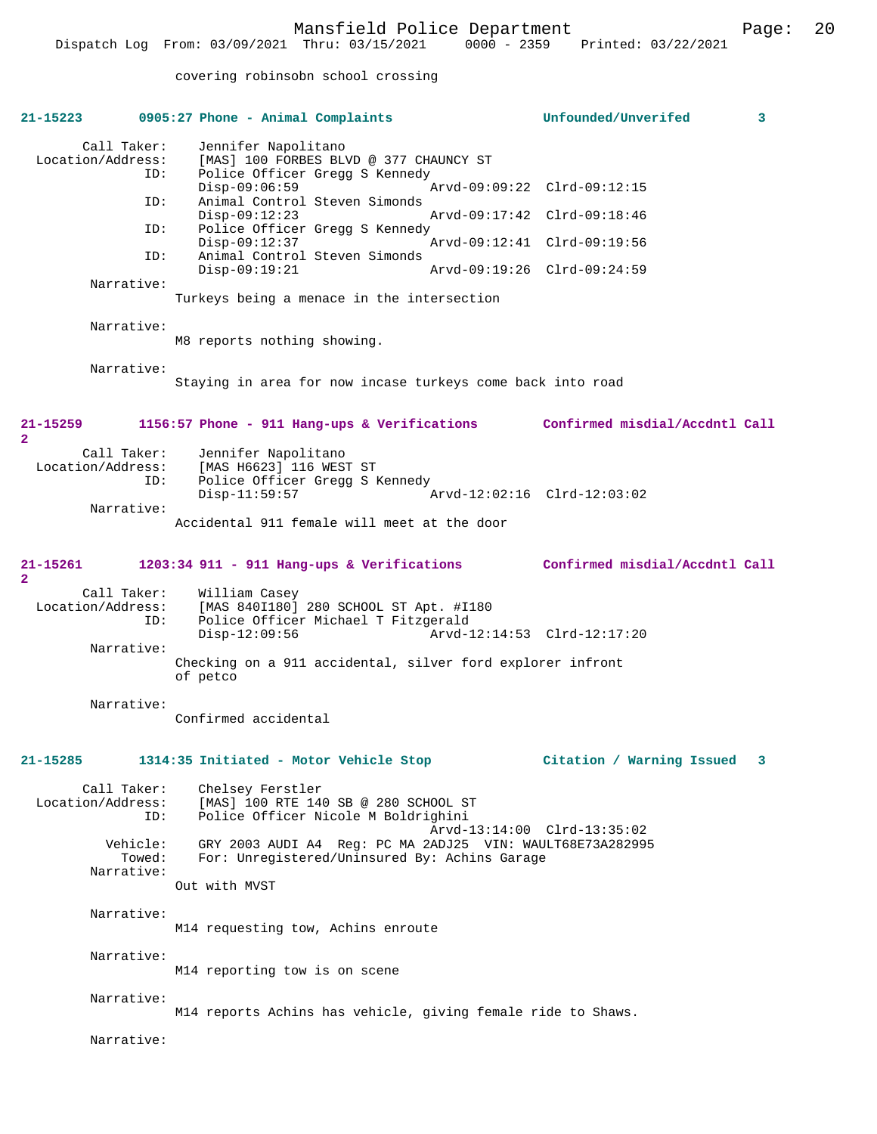covering robinsobn school crossing

| 21-15223                                                                                               | 0905:27 Phone - Animal Complaints                                                                                                                                                                                                                                                                                                                                                                                          | Unfounded/Unverifed<br>3                                                                                                 |
|--------------------------------------------------------------------------------------------------------|----------------------------------------------------------------------------------------------------------------------------------------------------------------------------------------------------------------------------------------------------------------------------------------------------------------------------------------------------------------------------------------------------------------------------|--------------------------------------------------------------------------------------------------------------------------|
| Call Taker:<br>Location/Address:<br>ID:<br>ID:<br>ID:<br>ID:<br>Narrative:<br>Narrative:<br>Narrative: | Jennifer Napolitano<br>[MAS] 100 FORBES BLVD @ 377 CHAUNCY ST<br>Police Officer Gregg S Kennedy<br>$Disp-09:06:59$<br>Animal Control Steven Simonds<br>$Disp-09:12:23$<br>Police Officer Gregg S Kennedy<br>$Disp-09:12:37$<br>Animal Control Steven Simonds<br>$Disp-09:19:21$<br>Turkeys being a menace in the intersection<br>M8 reports nothing showing.<br>Staying in area for now incase turkeys come back into road | Arvd-09:09:22 Clrd-09:12:15<br>Arvd-09:17:42 Clrd-09:18:46<br>Arvd-09:12:41 Clrd-09:19:56<br>Arvd-09:19:26 Clrd-09:24:59 |
| 21-15259                                                                                               | 1156:57 Phone - 911 Hang-ups & Verifications                                                                                                                                                                                                                                                                                                                                                                               | Confirmed misdial/Accdntl Call                                                                                           |
| $\mathbf{2}$<br>Call Taker:<br>Location/Address:<br>ID:<br>Narrative:                                  | Jennifer Napolitano<br>[MAS H6623] 116 WEST ST<br>Police Officer Gregg S Kennedy<br>$Disp-11:59:57$<br>Accidental 911 female will meet at the door                                                                                                                                                                                                                                                                         | Arvd-12:02:16 Clrd-12:03:02                                                                                              |
| 21-15261                                                                                               | $1203:34$ 911 - 911 Hang-ups & Verifications                                                                                                                                                                                                                                                                                                                                                                               | Confirmed misdial/Accdntl Call                                                                                           |
| $\mathbf{2}$<br>Call Taker:<br>Location/Address:<br>ID:<br>Narrative:<br>Narrative:                    | William Casey<br>[MAS 840I180] 280 SCHOOL ST Apt. #I180<br>Police Officer Michael T Fitzgerald<br>$Disp-12:09:56$<br>Checking on a 911 accidental, silver ford explorer infront<br>of petco<br>Confirmed accidental                                                                                                                                                                                                        | Arvd-12:14:53 Clrd-12:17:20                                                                                              |
| 21-15285                                                                                               | 1314:35 Initiated - Motor Vehicle Stop                                                                                                                                                                                                                                                                                                                                                                                     | Citation / Warning Issued<br>3                                                                                           |
| Call Taker:<br>Location/Address:<br>ID:                                                                | Chelsey Ferstler<br>[MAS] 100 RTE 140 SB @ 280 SCHOOL ST<br>Police Officer Nicole M Boldrighini                                                                                                                                                                                                                                                                                                                            | Arvd-13:14:00 Clrd-13:35:02                                                                                              |
| Vehicle:<br>Towed:<br>Narrative:                                                                       | GRY 2003 AUDI A4 Req: PC MA 2ADJ25 VIN: WAULT68E73A282995<br>For: Unregistered/Uninsured By: Achins Garage<br>Out with MVST                                                                                                                                                                                                                                                                                                |                                                                                                                          |
| Narrative:                                                                                             | M14 requesting tow, Achins enroute                                                                                                                                                                                                                                                                                                                                                                                         |                                                                                                                          |
| Narrative:                                                                                             | M14 reporting tow is on scene                                                                                                                                                                                                                                                                                                                                                                                              |                                                                                                                          |
| Narrative:                                                                                             | M14 reports Achins has vehicle, giving female ride to Shaws.                                                                                                                                                                                                                                                                                                                                                               |                                                                                                                          |
| Narrative:                                                                                             |                                                                                                                                                                                                                                                                                                                                                                                                                            |                                                                                                                          |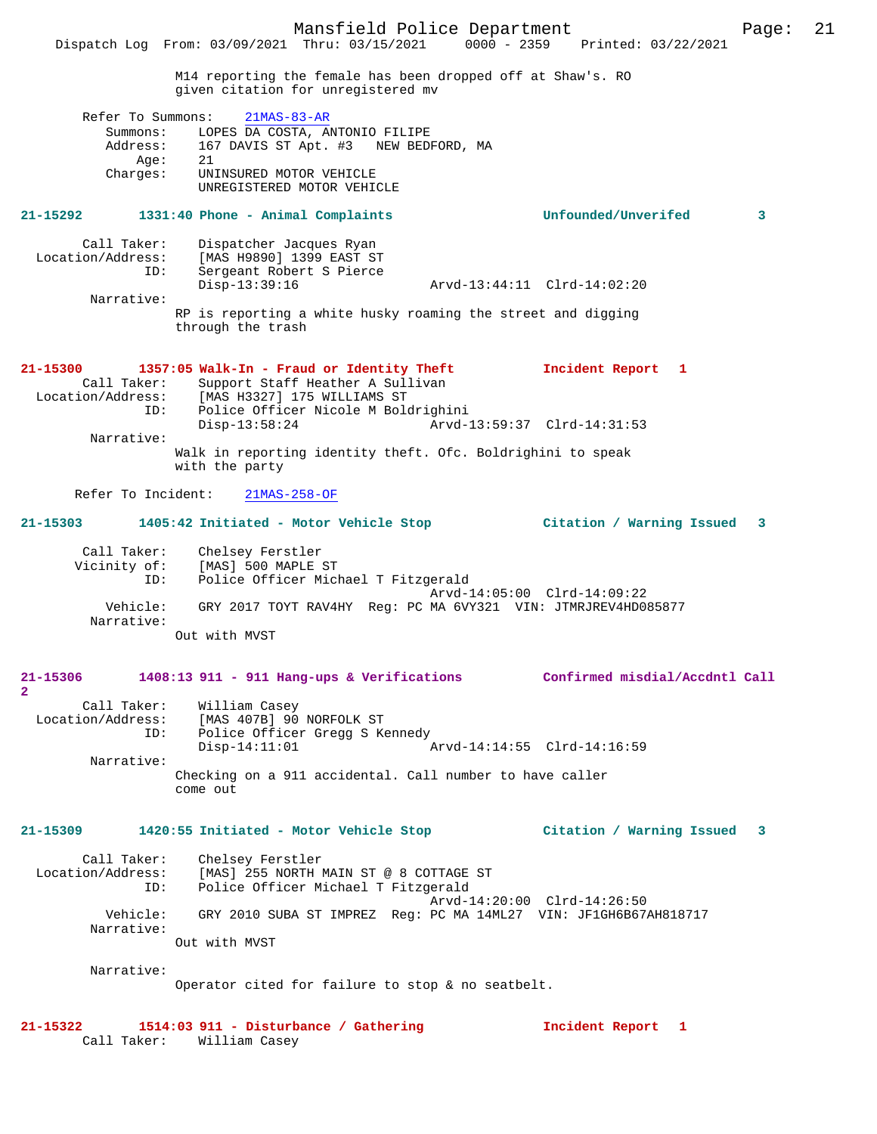|                                                               | Dispatch Log From: 03/09/2021 Thru: 03/15/2021 0000 - 2359 Printed: 03/22/2021                                                                                         | Mansfield Police Department |                                | Page: | 21 |
|---------------------------------------------------------------|------------------------------------------------------------------------------------------------------------------------------------------------------------------------|-----------------------------|--------------------------------|-------|----|
|                                                               | M14 reporting the female has been dropped off at Shaw's. RO<br>given citation for unregistered mv                                                                      |                             |                                |       |    |
| Refer To Summons:<br>Summons:<br>Address:<br>Aqe:<br>Charges: | $21MAS-83-AR$<br>LOPES DA COSTA, ANTONIO FILIPE<br>167 DAVIS ST Apt. #3 NEW BEDFORD, MA<br>21<br>UNINSURED MOTOR VEHICLE<br>UNREGISTERED MOTOR VEHICLE                 |                             |                                |       |    |
| 21-15292                                                      | 1331:40 Phone - Animal Complaints                                                                                                                                      |                             | Unfounded/Unverifed            | 3     |    |
| Call Taker:<br>Location/Address:<br>ID:<br>Narrative:         | Dispatcher Jacques Ryan<br>[MAS H9890] 1399 EAST ST<br>Sergeant Robert S Pierce<br>$Disp-13:39:16$                                                                     | Arvd-13:44:11 Clrd-14:02:20 |                                |       |    |
|                                                               | RP is reporting a white husky roaming the street and digging<br>through the trash                                                                                      |                             |                                |       |    |
| 21-15300<br>Call Taker:<br>Location/Address:<br>ID:           | 1357:05 Walk-In - Fraud or Identity Theft<br>Support Staff Heather A Sullivan<br>[MAS H3327] 175 WILLIAMS ST<br>Police Officer Nicole M Boldrighini<br>$Disp-13:58:24$ | Arvd-13:59:37 Clrd-14:31:53 | Incident Report 1              |       |    |
| Narrative:                                                    | Walk in reporting identity theft. Ofc. Boldrighini to speak<br>with the party                                                                                          |                             |                                |       |    |
| Refer To Incident:                                            | $21MAS-258-OF$                                                                                                                                                         |                             |                                |       |    |
| 21-15303                                                      | 1405:42 Initiated - Motor Vehicle Stop                                                                                                                                 |                             | Citation / Warning Issued      | 3     |    |
| Call Taker:<br>Vicinity of:<br>ID:<br>Vehicle:<br>Narrative:  | Chelsey Ferstler<br>[MAS] 500 MAPLE ST<br>Police Officer Michael T Fitzgerald<br>GRY 2017 TOYT RAV4HY Req: PC MA 6VY321 VIN: JTMRJREV4HD085877<br>Out with MVST        |                             | Arvd-14:05:00 Clrd-14:09:22    |       |    |
| 21-15306<br>2                                                 | 1408:13 911 - 911 Hang-ups & Verifications                                                                                                                             |                             | Confirmed misdial/Accdntl Call |       |    |
| Call Taker:<br>Location/Address:<br>ID:<br>Narrative:         | William Casey<br>[MAS 407B] 90 NORFOLK ST<br>Police Officer Gregg S Kennedy<br>$Disp-14:11:01$<br>Checking on a 911 accidental. Call number to have caller<br>come out | Arvd-14:14:55 Clrd-14:16:59 |                                |       |    |
| 21-15309                                                      | 1420:55 Initiated - Motor Vehicle Stop                                                                                                                                 |                             | Citation / Warning Issued      | 3     |    |
| Call Taker:<br>Location/Address:<br>ID:                       | Chelsey Ferstler<br>[MAS] 255 NORTH MAIN ST @ 8 COTTAGE ST<br>Police Officer Michael T Fitzgerald                                                                      |                             |                                |       |    |
| Vehicle:<br>Narrative:                                        | GRY 2010 SUBA ST IMPREZ Reg: PC MA 14ML27 VIN: JF1GH6B67AH818717                                                                                                       | Arvd-14:20:00 Clrd-14:26:50 |                                |       |    |
| Narrative:                                                    | Out with MVST<br>Operator cited for failure to stop & no seatbelt.                                                                                                     |                             |                                |       |    |
| 21-15322<br>Call Taker:                                       | 1514:03 911 - Disturbance / Gathering<br>William Casey                                                                                                                 |                             | Incident Report 1              |       |    |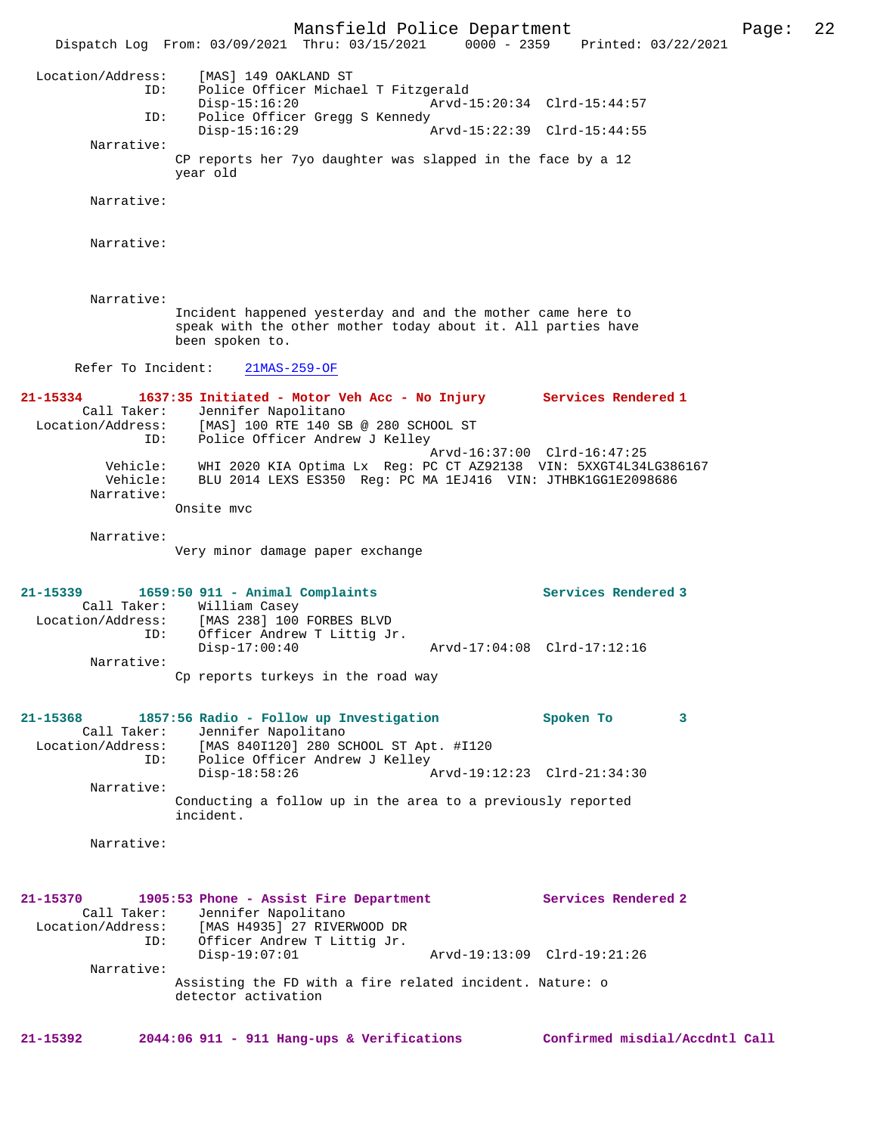Mansfield Police Department Page: 22 Dispatch Log From: 03/09/2021 Thru: 03/15/2021 Location/Address: [MAS] 149 OAKLAND ST ID: Police Officer Michael T Fitzgerald Disp-15:16:20 Arvd-15:20:34 Clrd-15:44:57<br>TD: Police Officer Gregg S Kennedy Police Officer Gregg S Kennedy<br>Disp-15:16:29 Disp-15:16:29 Arvd-15:22:39 Clrd-15:44:55 Narrative: CP reports her 7yo daughter was slapped in the face by a 12 year old Narrative: Narrative: Narrative: Incident happened yesterday and and the mother came here to speak with the other mother today about it. All parties have been spoken to. Refer To Incident: 21MAS-259-OF **21-15334 1637:35 Initiated - Motor Veh Acc - No Injury Services Rendered 1**  Call Taker: Jennifer Napolitano<br>Location/Address: [MAS] 100 RTE 140 SH ess: [MAS] 100 RTE 140 SB @ 280 SCHOOL ST<br>ID: Police Officer Andrew J Kellev Police Officer Andrew J Kelley Arvd-16:37:00 Clrd-16:47:25 Vehicle: WHI 2020 KIA Optima Lx Reg: PC CT AZ92138 VIN: 5XXGT4L34LG386167 Vehicle: BLU 2014 LEXS ES350 Reg: PC MA 1EJ416 VIN: JTHBK1GG1E2098686 Narrative: Onsite mvc Narrative: Very minor damage paper exchange **21-15339 1659:50 911 - Animal Complaints Services Rendered 3**  Call Taker: William Casey<br>Location/Address: [MAS 238] 100  $[MAS 238] 100$  FORBES BLVD ID: Officer Andrew T Littig Jr.<br>Disp-17:00:40 Disp-17:00:40 Arvd-17:04:08 Clrd-17:12:16 Narrative: Cp reports turkeys in the road way **21-15368 1857:56 Radio - Follow up Investigation Spoken To 3**  Call Taker: Jennifer Napolitano<br>Location/Address: [MAS 840I120] 280 S [MAS 840I120] 280 SCHOOL ST Apt. #I120 ID: Police Officer Andrew J Kelley Disp-18:58:26 Arvd-19:12:23 Clrd-21:34:30 Narrative: Conducting a follow up in the area to a previously reported incident. Narrative: **21-15370 1905:53 Phone - Assist Fire Department Services Rendered 2**  Call Taker: Jennifer Napolitano<br>Location/Address: [MAS H4935] 27 RIVE [MAS H4935] 27 RIVERWOOD DR ID: Officer Andrew T Littig Jr. Disp-19:07:01 Arvd-19:13:09 Clrd-19:21:26 Narrative: Assisting the FD with a fire related incident. Nature: o detector activation **21-15392 2044:06 911 - 911 Hang-ups & Verifications Confirmed misdial/Accdntl Call**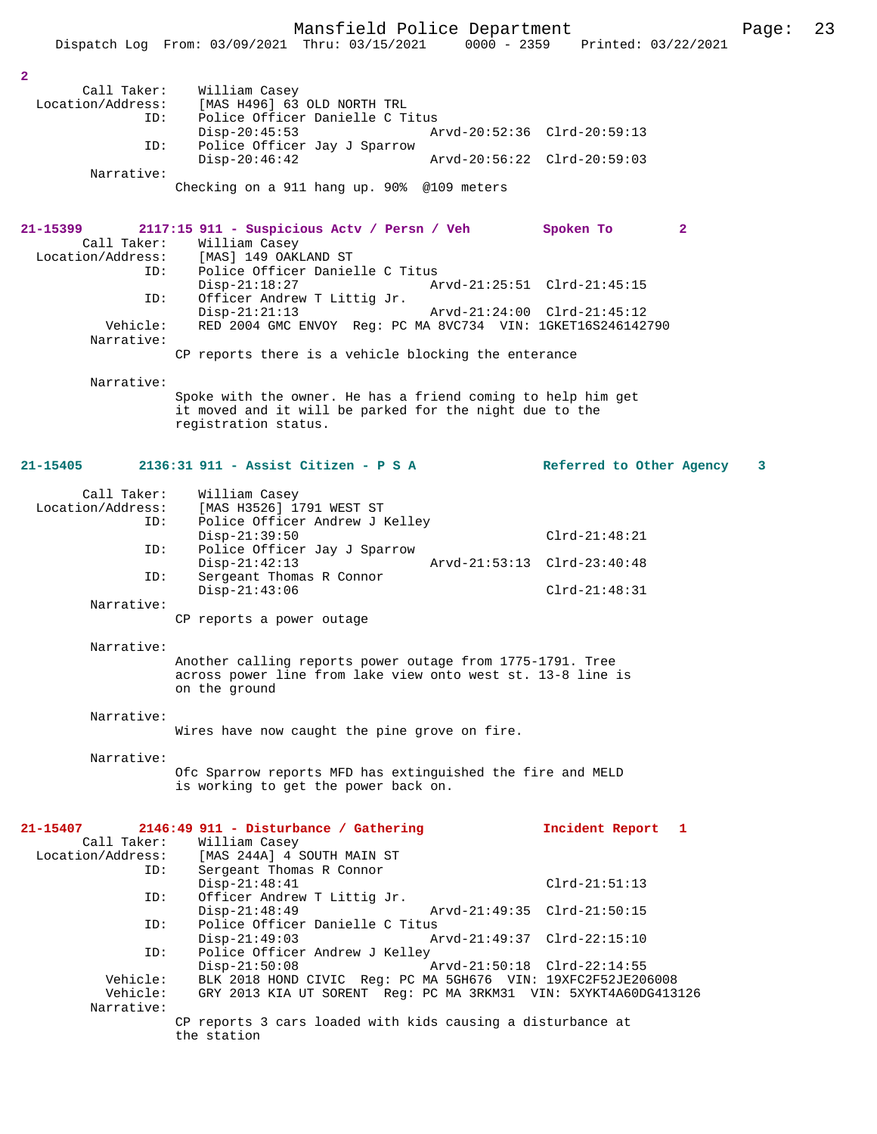Mansfield Police Department Page: 23 Dispatch Log From: 03/09/2021 Thru: 03/15/2021 **2**  Call Taker: William Casey Location/Address: [MAS H496] 63 OLD NORTH TRL<br>TD: Police Officer Danielle C.T. Police Officer Danielle C Titus<br>Disp-20:45:53 A Disp-20:45:53 Arvd-20:52:36 Clrd-20:59:13 ID: Police Officer Jay J Sparrow Disp-20:46:42 Arvd-20:56:22 Clrd-20:59:03 Narrative: Checking on a 911 hang up. 90% @109 meters **21-15399 2117:15 911 - Suspicious Actv / Persn / Veh Spoken To 2**  Call Taker: William Casey<br>Location/Address: [MAS] 149 OAK [MAS] 149 OAKLAND ST ID: Police Officer Danielle C Titus Disp-21:18:27 Arvd-21:25:51 Clrd-21:45:15<br>TD: Officer Andrew T Littig Jr. Officer Andrew T Littig Jr.<br>Disp-21:21:13 Disp-21:21:13 Arvd-21:24:00 Clrd-21:45:12 Vehicle: RED 2004 GMC ENVOY Reg: PC MA 8VC734 VIN: 1GKET16S246142790 Narrative: CP reports there is a vehicle blocking the enterance Narrative: Spoke with the owner. He has a friend coming to help him get it moved and it will be parked for the night due to the registration status. **21-15405 2136:31 911 - Assist Citizen - P S A Referred to Other Agency 3** Call Taker: William Casey<br>Location/Address: [MAS H3526] 1 ess: [MAS H3526] 1791 WEST ST<br>ID: Police Officer Andrew J J Police Officer Andrew J Kelley Disp-21:39:50 Clrd-21:48:21 ID: Police Officer Jay J Sparrow Disp-21:42:13 Arvd-21:53:13 Clrd-23:40:48 ID: Sergeant Thomas R Connor Disp-21:43:06 Clrd-21:48:31 Narrative: CP reports a power outage Narrative: Another calling reports power outage from 1775-1791. Tree across power line from lake view onto west st. 13-8 line is on the ground Narrative: Wires have now caught the pine grove on fire. Narrative: Ofc Sparrow reports MFD has extinguished the fire and MELD is working to get the power back on. **21-15407 2146:49 911 - Disturbance / Gathering Incident Report 1**  Call Taker: William Casey<br>Location/Address: [MAS 244A] 4 3 ess: [MAS 244A] 4 SOUTH MAIN ST<br>ID: Sergeant Thomas R Connor Sergeant Thomas R Connor Disp-21:48:41 Clrd-21:51:13 ID: Officer Andrew T Littig Jr.<br>Disp-21:48:49 Arvd-21:49:35 Clrd-21:50:15 ID: Police Officer Danielle C Titus Disp-21:49:03 Arvd-21:49:37 Clrd-22:15:10<br>ID: Police Officer Andrew J Kelley Police Officer Andrew J Kelley Disp-21:50:08 Arvd-21:50:18 Clrd-22:14:55 Vehicle: BLK 2018 HOND CIVIC Reg: PC MA 5GH676 VIN: 19XFC2F52JE206008<br>Vehicle: GRY 2013 KIA UT SORENT Reg: PC MA 3RKM31 VIN: 5XYKT4A60DG413 GRY 2013 KIA UT SORENT Reg: PC MA 3RKM31 VIN: 5XYKT4A60DG413126

Narrative:

CP reports 3 cars loaded with kids causing a disturbance at the station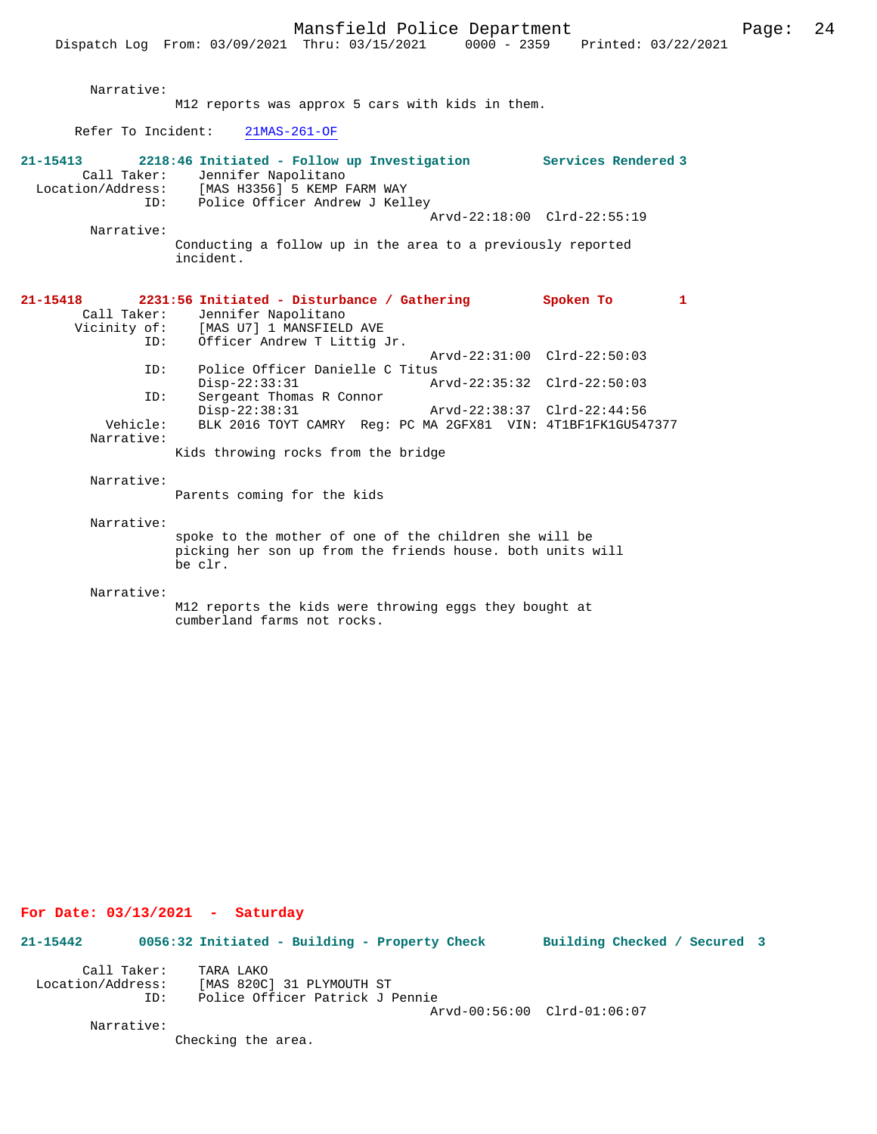Page:  $24$ 

|                                | Dispatch Log From: 03/09/2021 Thru: 03/15/2021                                                                                                                      | Mansfield Police Department | 0000 - 2359 Printed: 03/22/2021                            |   |
|--------------------------------|---------------------------------------------------------------------------------------------------------------------------------------------------------------------|-----------------------------|------------------------------------------------------------|---|
| Narrative:                     | M12 reports was approx 5 cars with kids in them.                                                                                                                    |                             |                                                            |   |
| Refer To Incident:             | $21MAS-261-OF$                                                                                                                                                      |                             |                                                            |   |
| 21-15413<br>Call Taker:        | 2218:46 Initiated - Follow up Investigation Services Rendered 3<br>Jennifer Napolitano<br>Location/Address: [MAS H3356] Derme<br>ID: Police Officer Andrew J Kelley |                             | Arvd-22:18:00 Clrd-22:55:19                                |   |
| Narrative:                     | Conducting a follow up in the area to a previously reported<br>incident.                                                                                            |                             |                                                            |   |
| 21-15418<br>Call Taker:<br>ID: | 2231:56 Initiated - Disturbance / Gathering<br>Jennifer Napolitano<br>Vicinity of: [MAS U7] 1 MANSFIELD AVE<br>Officer Andrew T Littig Jr.                          |                             | Spoken To                                                  | 1 |
| ID:                            | Police Officer Danielle C Titus                                                                                                                                     |                             | Arvd-22:31:00 Clrd-22:50:03                                |   |
| ID:                            | $Disp-22:33:31$<br>Sergeant Thomas R Connor<br>$Disp-22:38:31$                                                                                                      |                             | Arvd-22:35:32 Clrd-22:50:03<br>Arvd-22:38:37 Clrd-22:44:56 |   |
| Vehicle:<br>Narrative:         | BLK 2016 TOYT CAMRY Req: PC MA 2GFX81 VIN: 4T1BF1FK1GU547377                                                                                                        |                             |                                                            |   |
|                                | Kids throwing rocks from the bridge                                                                                                                                 |                             |                                                            |   |
| Narrative:                     | Parents coming for the kids                                                                                                                                         |                             |                                                            |   |
| Narrative:                     | spoke to the mother of one of the children she will be<br>picking her son up from the friends house. both units will<br>be clr.                                     |                             |                                                            |   |
| Narrative:                     | M12 reports the kids were throwing eggs they bought at<br>cumberland farms not rocks.                                                                               |                             |                                                            |   |
|                                |                                                                                                                                                                     |                             |                                                            |   |

**For Date: 03/13/2021 - Saturday**

**21-15442 0056:32 Initiated - Building - Property Check Building Checked / Secured 3** Call Taker: TARA LAKO Location/Address: [MAS 820C] 31 PLYMOUTH ST ID: Police Officer Patrick J Pennie

Arvd-00:56:00 Clrd-01:06:07

Narrative:

Checking the area.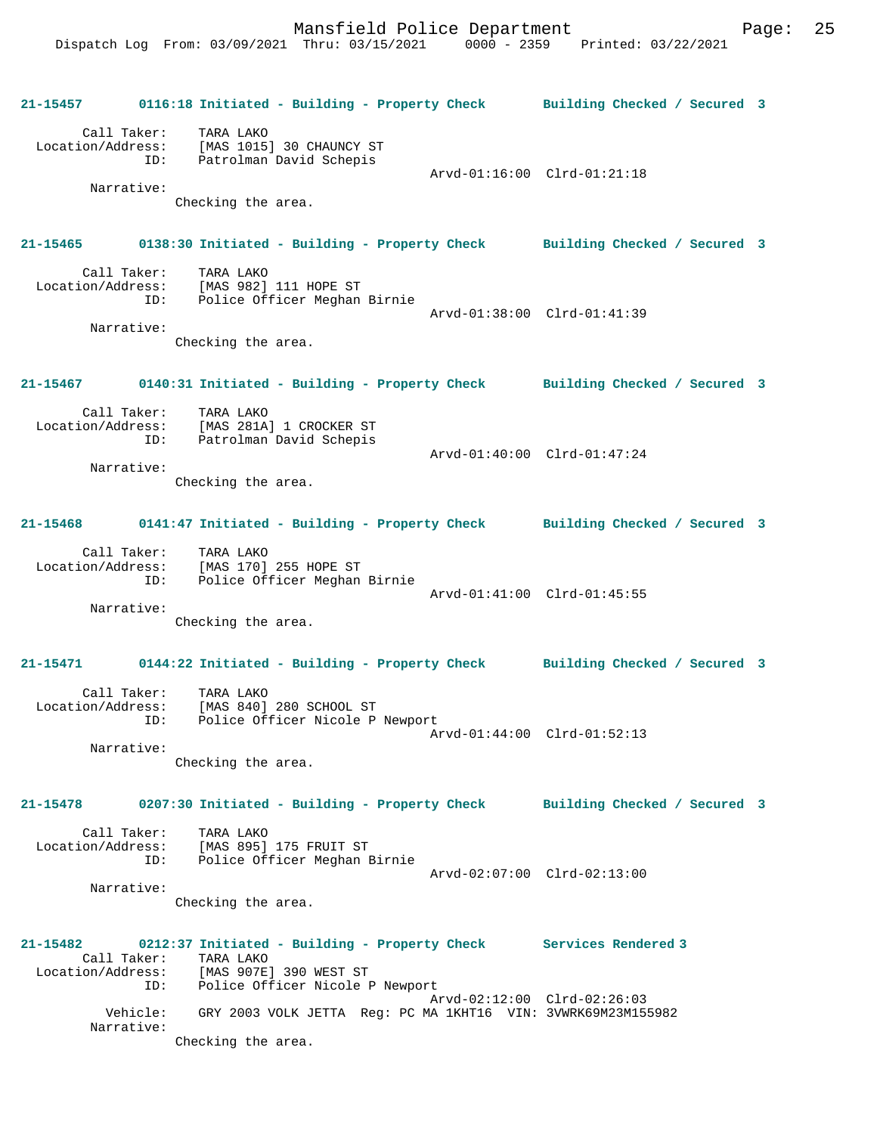**21-15457 0116:18 Initiated - Building - Property Check Building Checked / Secured 3** Call Taker: TARA LAKO Location/Address: [MAS 1015] 30 CHAUNCY ST ID: Patrolman David Schepis Arvd-01:16:00 Clrd-01:21:18 Narrative: Checking the area. **21-15465 0138:30 Initiated - Building - Property Check Building Checked / Secured 3** Call Taker: TARA LAKO<br>Location/Address: [MAS 982] [MAS 982] 111 HOPE ST ID: Police Officer Meghan Birnie Arvd-01:38:00 Clrd-01:41:39 Narrative: Checking the area. **21-15467 0140:31 Initiated - Building - Property Check Building Checked / Secured 3** Call Taker: TARA LAKO Location/Address: [MAS 281A] 1 CROCKER ST ID: Patrolman David Schepis Arvd-01:40:00 Clrd-01:47:24 Narrative: Checking the area. **21-15468 0141:47 Initiated - Building - Property Check Building Checked / Secured 3** Call Taker: TARA LAKO Location/Address: [MAS 170] 255 HOPE ST ID: Police Officer Meghan Birnie Arvd-01:41:00 Clrd-01:45:55 Narrative: Checking the area. **21-15471 0144:22 Initiated - Building - Property Check Building Checked / Secured 3** Call Taker: TARA LAKO Location/Address: [MAS 840] 280 SCHOOL ST ID: Police Officer Nicole P Newport Arvd-01:44:00 Clrd-01:52:13 Narrative: Checking the area. **21-15478 0207:30 Initiated - Building - Property Check Building Checked / Secured 3** Call Taker: TARA LAKO Location/Address: [MAS 895] 175 FRUIT ST ID: Police Officer Meghan Birnie Arvd-02:07:00 Clrd-02:13:00 Narrative: Checking the area. **21-15482 0212:37 Initiated - Building - Property Check Services Rendered 3**  Call Taker: TARA LAKO<br>Location/Address: [MAS 907E [MAS 907E] 390 WEST ST ID: Police Officer Nicole P Newport Arvd-02:12:00 Clrd-02:26:03 Vehicle: GRY 2003 VOLK JETTA Reg: PC MA 1KHT16 VIN: 3VWRK69M23M155982 Narrative: Checking the area.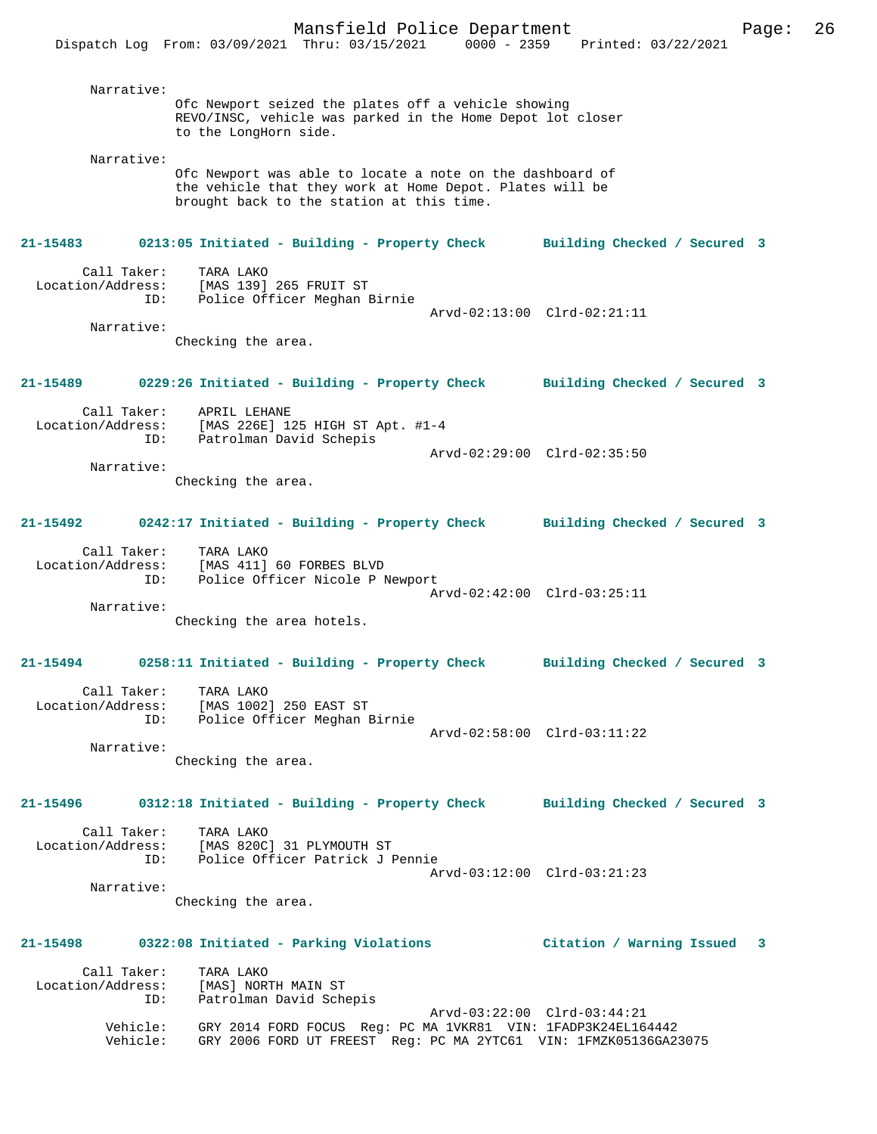Narrative: Ofc Newport seized the plates off a vehicle showing REVO/INSC, vehicle was parked in the Home Depot lot closer to the LongHorn side. Narrative: Ofc Newport was able to locate a note on the dashboard of the vehicle that they work at Home Depot. Plates will be brought back to the station at this time. **21-15483 0213:05 Initiated - Building - Property Check Building Checked / Secured 3** Call Taker: TARA LAKO Location/Address: [MAS 139] 265 FRUIT ST ID: Police Officer Meghan Birnie Arvd-02:13:00 Clrd-02:21:11 Narrative: Checking the area. **21-15489 0229:26 Initiated - Building - Property Check Building Checked / Secured 3** Call Taker: APRIL LEHANE Location/Address: [MAS 226E] 125 HIGH ST Apt. #1-4 ID: Patrolman David Schepis Arvd-02:29:00 Clrd-02:35:50 Narrative: Checking the area. **21-15492 0242:17 Initiated - Building - Property Check Building Checked / Secured 3** Call Taker: TARA LAKO Location/Address: [MAS 411] 60 FORBES BLVD ID: Police Officer Nicole P Newport Arvd-02:42:00 Clrd-03:25:11 Narrative: Checking the area hotels. **21-15494 0258:11 Initiated - Building - Property Check Building Checked / Secured 3** Call Taker: TARA LAKO Location/Address: [MAS 1002] 250 EAST ST ID: Police Officer Meghan Birnie Arvd-02:58:00 Clrd-03:11:22 Narrative: Checking the area. **21-15496 0312:18 Initiated - Building - Property Check Building Checked / Secured 3** Call Taker: TARA LAKO Location/Address: [MAS 820C] 31 PLYMOUTH ST ID: Police Officer Patrick J Pennie Arvd-03:12:00 Clrd-03:21:23 Narrative: Checking the area. **21-15498 0322:08 Initiated - Parking Violations Citation / Warning Issued 3** Call Taker: TARA LAKO Location/Address: [MAS] NORTH MAIN ST ID: Patrolman David Schepis Arvd-03:22:00 Clrd-03:44:21 Vehicle: GRY 2014 FORD FOCUS Reg: PC MA 1VKR81 VIN: 1FADP3K24EL164442 Vehicle: GRY 2006 FORD UT FREEST Reg: PC MA 2YTC61 VIN: 1FMZK05136GA23075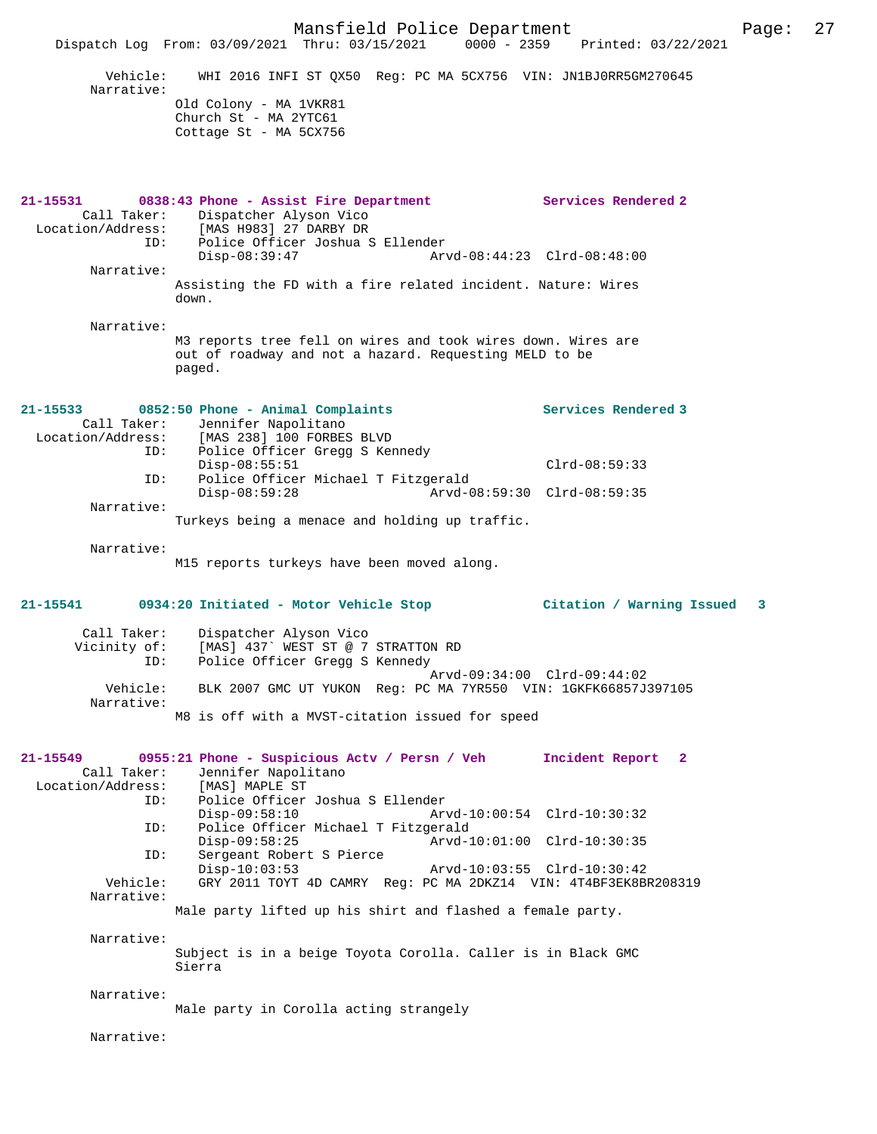Mansfield Police Department Page: 27 Dispatch Log From: 03/09/2021 Thru: 03/15/2021 Vehicle: WHI 2016 INFI ST QX50 Reg: PC MA 5CX756 VIN: JN1BJ0RR5GM270645 Narrative: Old Colony - MA 1VKR81 Church St - MA 2YTC61 Cottage St - MA 5CX756 **21-15531 0838:43 Phone - Assist Fire Department Services Rendered 2**  Call Taker: Dispatcher Alyson Vico<br>Location/Address: [MAS H983] 27 DARBY DR [MAS H983] 27 DARBY DR ID: Police Officer Joshua S Ellender Disp-08:39:47 Arvd-08:44:23 Clrd-08:48:00 Narrative: Assisting the FD with a fire related incident. Nature: Wires down. Narrative: M3 reports tree fell on wires and took wires down. Wires are out of roadway and not a hazard. Requesting MELD to be paged. **21-15533 0852:50 Phone - Animal Complaints Services Rendered 3**  Call Taker: Jennifer Napolitano Location/Address: [MAS 238] 100 FORBES BLVD ESS: India 2001 IOS ISSENSION CONTROL<br>ID: Police Officer Gregg S Kennedy Disp-08:55:51 Clrd-08:59:33 ID: Police Officer Michael T Fitzgerald  $Arvd-08:59:30$   $Clrd-08:59:35$  Narrative: Turkeys being a menace and holding up traffic. Narrative: M15 reports turkeys have been moved along. **21-15541 0934:20 Initiated - Motor Vehicle Stop Citation / Warning Issued 3** Call Taker: Dispatcher Alyson Vico<br>Vicinity of: [MAS] 437`WEST ST @ 7 [MAS] 437` WEST ST @ 7 STRATTON RD ID: Police Officer Gregg S Kennedy Arvd-09:34:00 Clrd-09:44:02<br>Vehicle: BLK 2007 GMC UT YUKON Req: PC MA 7YR550 VIN: 1GKFK66857J Vehicle: BLK 2007 GMC UT YUKON Reg: PC MA 7YR550 VIN: 1GKFK66857J397105 Narrative: M8 is off with a MVST-citation issued for speed **21-15549 0955:21 Phone - Suspicious Actv / Persn / Veh Incident Report 2**  Call Taker: Jennifer Napolitano<br>ion/Address: [MAS] MAPLE ST Location/Address:<br>TD: ID: Police Officer Joshua S Ellender Disp-09:58:10 Arvd-10:00:54 Clrd-10:30:32<br>ID: Police Officer Michael T Fitzgerald ID: Police Officer Michael T Fitzgerald Disp-09:58:25 Arvd-10:01:00 Clrd-10:30:35<br>ID: Sergeant Robert S Pierce Sergeant Robert S Pierce<br>Disp-10:03:53 Disp-10:03:53 Arvd-10:03:55 Clrd-10:30:42 Vehicle: GRY 2011 TOYT 4D CAMRY Reg: PC MA 2DKZ14 VIN: 4T4BF3EK8BR208319 Narrative: Male party lifted up his shirt and flashed a female party. Narrative: Subject is in a beige Toyota Corolla. Caller is in Black GMC Sierra Narrative: Male party in Corolla acting strangely Narrative: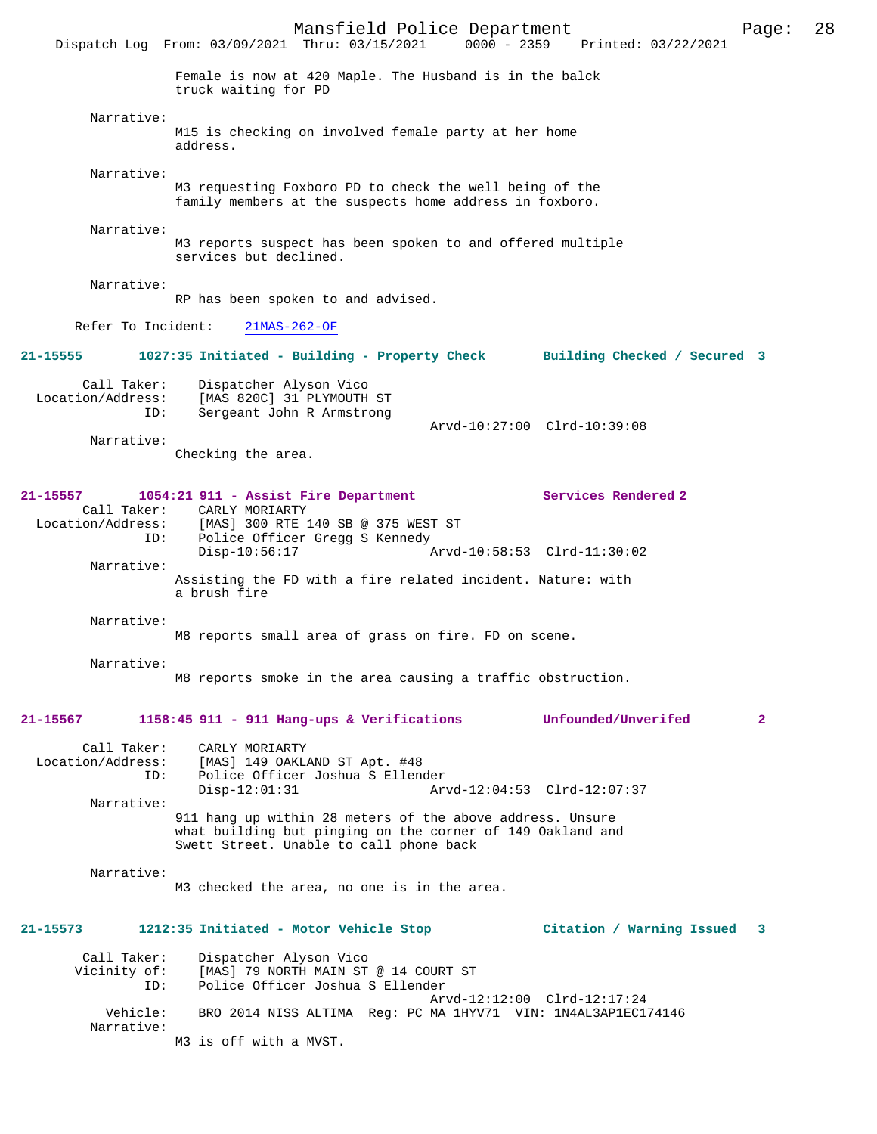Mansfield Police Department Page: 28 Dispatch Log From: 03/09/2021 Thru: 03/15/2021 Female is now at 420 Maple. The Husband is in the balck truck waiting for PD Narrative: M15 is checking on involved female party at her home address. Narrative: M3 requesting Foxboro PD to check the well being of the family members at the suspects home address in foxboro. Narrative: M3 reports suspect has been spoken to and offered multiple services but declined. Narrative: RP has been spoken to and advised. Refer To Incident: 21MAS-262-OF **21-15555 1027:35 Initiated - Building - Property Check Building Checked / Secured 3** Call Taker: Dispatcher Alyson Vico<br>Location/Address: [MAS 820C] 31 PLYMOUTH ess: [MAS 820C] 31 PLYMOUTH ST<br>TD: Sergeant John R Armstrong Sergeant John R Armstrong Arvd-10:27:00 Clrd-10:39:08 Narrative: Checking the area. **21-15557 1054:21 911 - Assist Fire Department Services Rendered 2**  Call Taker: CARLY MORIARTY Location/Address: [MAS] 300 RTE 140 SB @ 375 WEST ST Police Officer Gregg S Kennedy<br>Disp-10:56:17 Disp-10:56:17 Arvd-10:58:53 Clrd-11:30:02 Narrative: Assisting the FD with a fire related incident. Nature: with a brush fire Narrative: M8 reports small area of grass on fire. FD on scene. Narrative: M8 reports smoke in the area causing a traffic obstruction. **21-15567 1158:45 911 - 911 Hang-ups & Verifications Unfounded/Unverifed 2** Call Taker: CARLY MORIARTY<br>Location/Address: [MAS] 149 OAKL ess: [MAS] 149 OAKLAND ST Apt. #48<br>ID: Police Officer Joshua S Ellen ID: Police Officer Joshua S Ellender Disp-12:01:31 Arvd-12:04:53 Clrd-12:07:37 Narrative: 911 hang up within 28 meters of the above address. Unsure what building but pinging on the corner of 149 Oakland and Swett Street. Unable to call phone back Narrative: M3 checked the area, no one is in the area. **21-15573 1212:35 Initiated - Motor Vehicle Stop Citation / Warning Issued 3** Call Taker: Dispatcher Alyson Vico<br>Vicinity of: [MAS] 79 NORTH MAIN ST of: [MAS] 79 NORTH MAIN ST @ 14 COURT ST<br>ID: Police Officer Joshua S Ellender Police Officer Joshua S Ellender Arvd-12:12:00 Clrd-12:17:24<br>Vehicle: RRO 2014 NISS ALTIMA Reg: PC MA 1HVV71 VIN: 1N4AL3AP1EC1 BRO 2014 NISS ALTIMA Reg: PC MA 1HYV71 VIN: 1N4AL3AP1EC174146 Narrative: M3 is off with a MVST.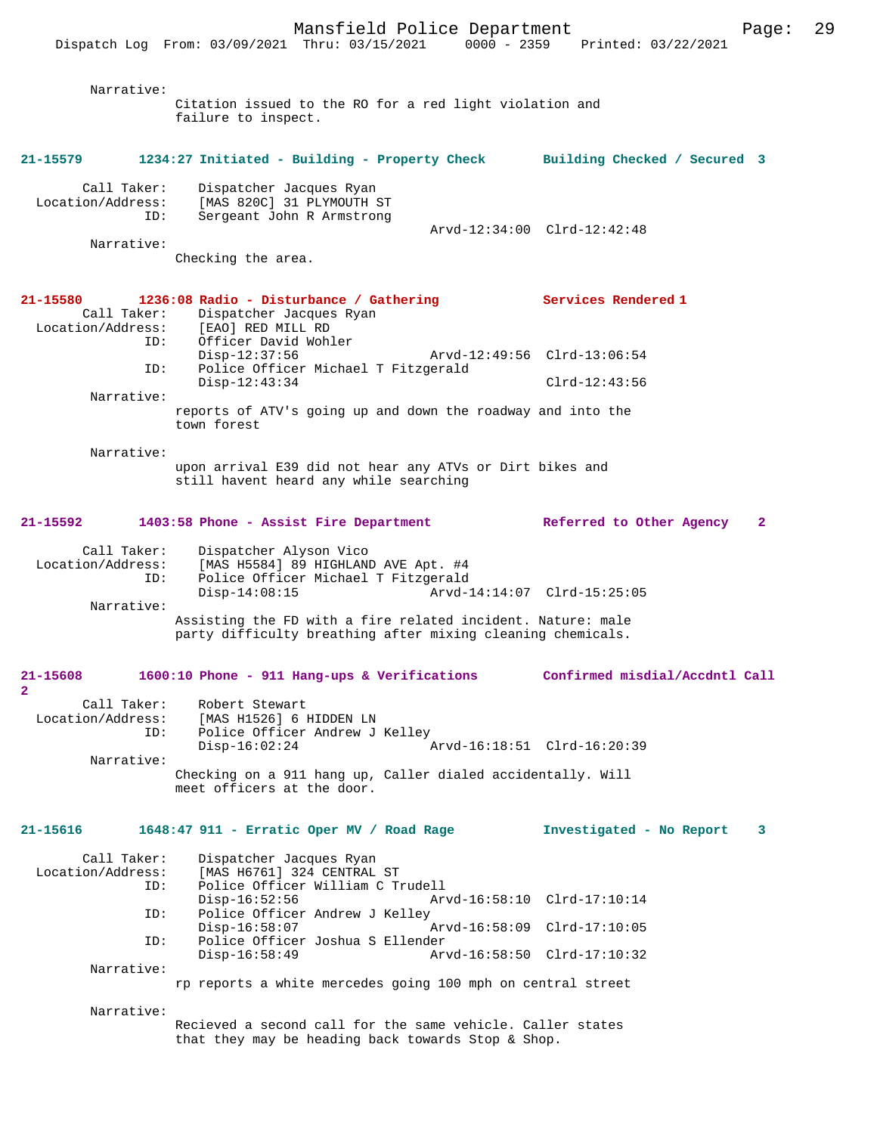|                                         | Dispatch Log From: 03/09/2021 Thru: 03/15/2021<br>$0000 - 2359$                                                            | Printed: 03/22/2021                      |
|-----------------------------------------|----------------------------------------------------------------------------------------------------------------------------|------------------------------------------|
| Narrative:                              | Citation issued to the RO for a red light violation and<br>failure to inspect.                                             |                                          |
| 21-15579                                | 1234:27 Initiated - Building - Property Check Building Checked / Secured 3                                                 |                                          |
| Call Taker:<br>Location/Address:<br>ID: | Dispatcher Jacques Ryan<br>[MAS 820C] 31 PLYMOUTH ST<br>Sergeant John R Armstrong                                          | Arvd-12:34:00 Clrd-12:42:48              |
| Narrative:                              | Checking the area.                                                                                                         |                                          |
| 21-15580<br>Call Taker:                 | 1236:08 Radio - Disturbance / Gathering<br>Dispatcher Jacques Ryan                                                         | Services Rendered 1                      |
| Location/Address:<br>ID:                | [EAO] RED MILL RD<br>Officer David Wohler<br>$Disp-12:37:56$<br>Police Officer Michael T Fitzgerald<br>ID:                 | Arvd-12:49:56 Clrd-13:06:54              |
|                                         | $Disp-12:43:34$                                                                                                            | $Clrd-12:43:56$                          |
| Narrative:                              | reports of ATV's going up and down the roadway and into the<br>town forest                                                 |                                          |
| Narrative:                              | upon arrival E39 did not hear any ATVs or Dirt bikes and<br>still havent heard any while searching                         |                                          |
| 21-15592                                | 1403:58 Phone - Assist Fire Department                                                                                     | Referred to Other Agency<br>$\mathbf{2}$ |
| Call Taker:<br>Location/Address:<br>ID: | Dispatcher Alyson Vico<br>[MAS H5584] 89 HIGHLAND AVE Apt. #4<br>Police Officer Michael T Fitzgerald<br>$Disp-14:08:15$    | Arvd-14:14:07 Clrd-15:25:05              |
| Narrative:                              | Assisting the FD with a fire related incident. Nature: male<br>party difficulty breathing after mixing cleaning chemicals. |                                          |
| 21-15608<br>2                           | 1600:10 Phone - 911 Hang-ups & Verifications                                                                               | Confirmed misdial/Accdntl Call           |
| Call Taker:<br>Location/Address:<br>ID: | Robert Stewart<br>[MAS H1526] 6 HIDDEN LN<br>Police Officer Andrew J Kelley<br>$Disp-16:02:24$                             | Arvd-16:18:51 Clrd-16:20:39              |
| Narrative:                              |                                                                                                                            |                                          |
|                                         | Checking on a 911 hang up, Caller dialed accidentally. Will<br>meet officers at the door.                                  |                                          |
| 21-15616                                | $1648:47$ 911 - Erratic Oper MV / Road Rage                                                                                | Investigated - No Report<br>3            |
| Call Taker:<br>Location/Address:<br>ID: | Dispatcher Jacques Ryan<br>[MAS H6761] 324 CENTRAL ST<br>Police Officer William C Trudell<br>$Disp-16:52:56$               | Arvd-16:58:10 Clrd-17:10:14              |
| ID:                                     | Police Officer Andrew J Kelley<br>$Disp-16:58:07$                                                                          | Arvd-16:58:09 Clrd-17:10:05              |
| ID:                                     | Police Officer Joshua S Ellender                                                                                           |                                          |
| Narrative:                              | $Disp-16:58:49$                                                                                                            | Arvd-16:58:50 Clrd-17:10:32              |
|                                         | rp reports a white mercedes going 100 mph on central street                                                                |                                          |
| Narrative:                              | Recieved a second call for the same vehicle. Caller states<br>that they may be heading back towards Stop & Shop.           |                                          |
|                                         |                                                                                                                            |                                          |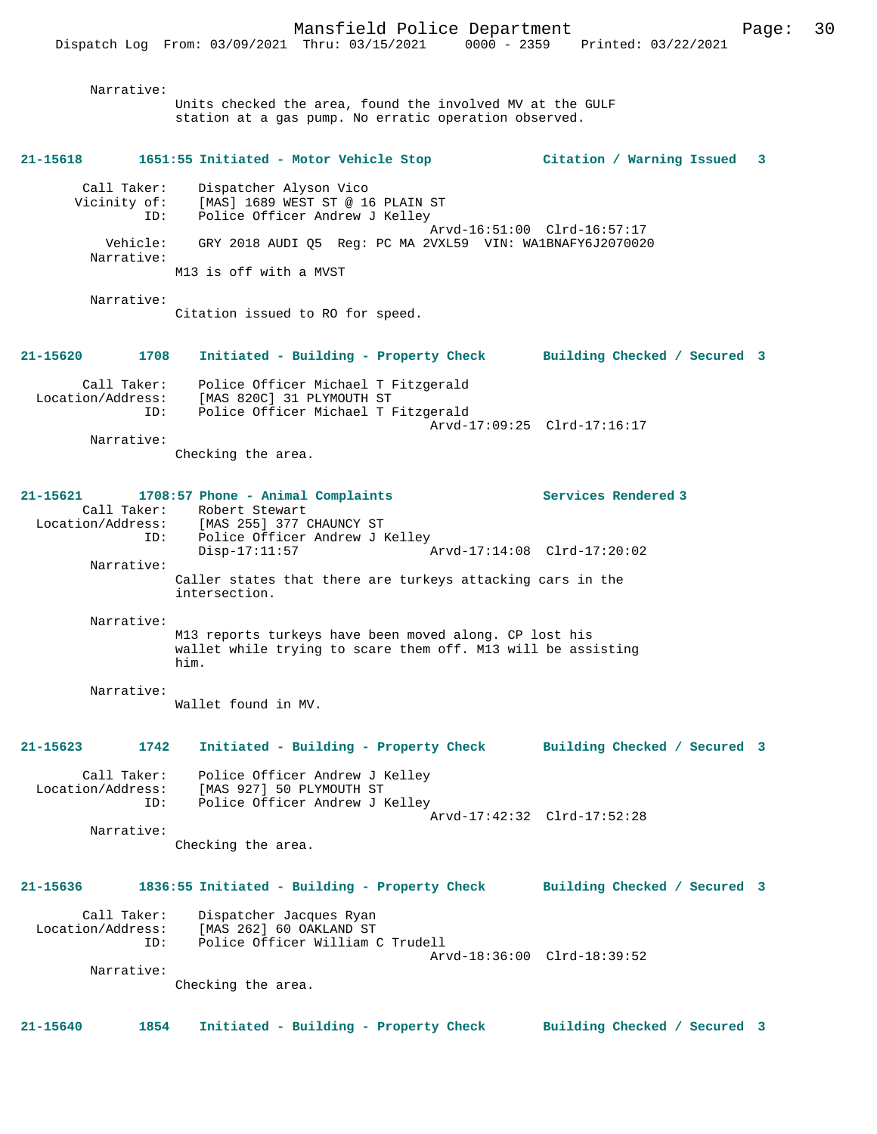Narrative: Units checked the area, found the involved MV at the GULF station at a gas pump. No erratic operation observed. **21-15618 1651:55 Initiated - Motor Vehicle Stop Citation / Warning Issued 3** Call Taker: Dispatcher Alyson Vico Vicinity of: [MAS] 1689 WEST ST @ 16 PLAIN ST ID: Police Officer Andrew J Kelley Arvd-16:51:00 Clrd-16:57:17 Vehicle: GRY 2018 AUDI Q5 Reg: PC MA 2VXL59 VIN: WA1BNAFY6J2070020 Narrative: M13 is off with a MVST Narrative:

Citation issued to RO for speed.

### **21-15620 1708 Initiated - Building - Property Check Building Checked / Secured 3** Call Taker: Police Officer Michael T Fitzgerald Location/Address: [MAS 820C] 31 PLYMOUTH ST ID: Police Officer Michael T Fitzgerald Arvd-17:09:25 Clrd-17:16:17

Narrative:

Checking the area.

#### **21-15621 1708:57 Phone - Animal Complaints Services Rendered 3**  Call Taker: Robert Stewart Location/Address: [MAS 255] 377 CHAUNCY ST Police Officer Andrew J Kelley<br>Disp-17:11:57 Arvd-17:14:08 Clrd-17:20:02 Narrative: Caller states that there are turkeys attacking cars in the intersection.

Narrative:

M13 reports turkeys have been moved along. CP lost his wallet while trying to scare them off. M13 will be assisting him.

#### Narrative:

Wallet found in MV.

# **21-15623 1742 Initiated - Building - Property Check Building Checked / Secured 3**

 Call Taker: Police Officer Andrew J Kelley Location/Address: [MAS 927] 50 PLYMOUTH ST ID: Police Officer Andrew J Kelley Arvd-17:42:32 Clrd-17:52:28 Narrative:

Checking the area.

#### **21-15636 1836:55 Initiated - Building - Property Check Building Checked / Secured 3**

Call Taker: Dispatcher Jacques Ryan<br>Location/Address: [MAS 262] 60 OAKLAND ST ess: [MAS 262] 60 OAKLAND ST<br>ID: Police Officer William ( Police Officer William C Trudell Arvd-18:36:00 Clrd-18:39:52

Narrative:

Checking the area.

#### **21-15640 1854 Initiated - Building - Property Check Building Checked / Secured 3**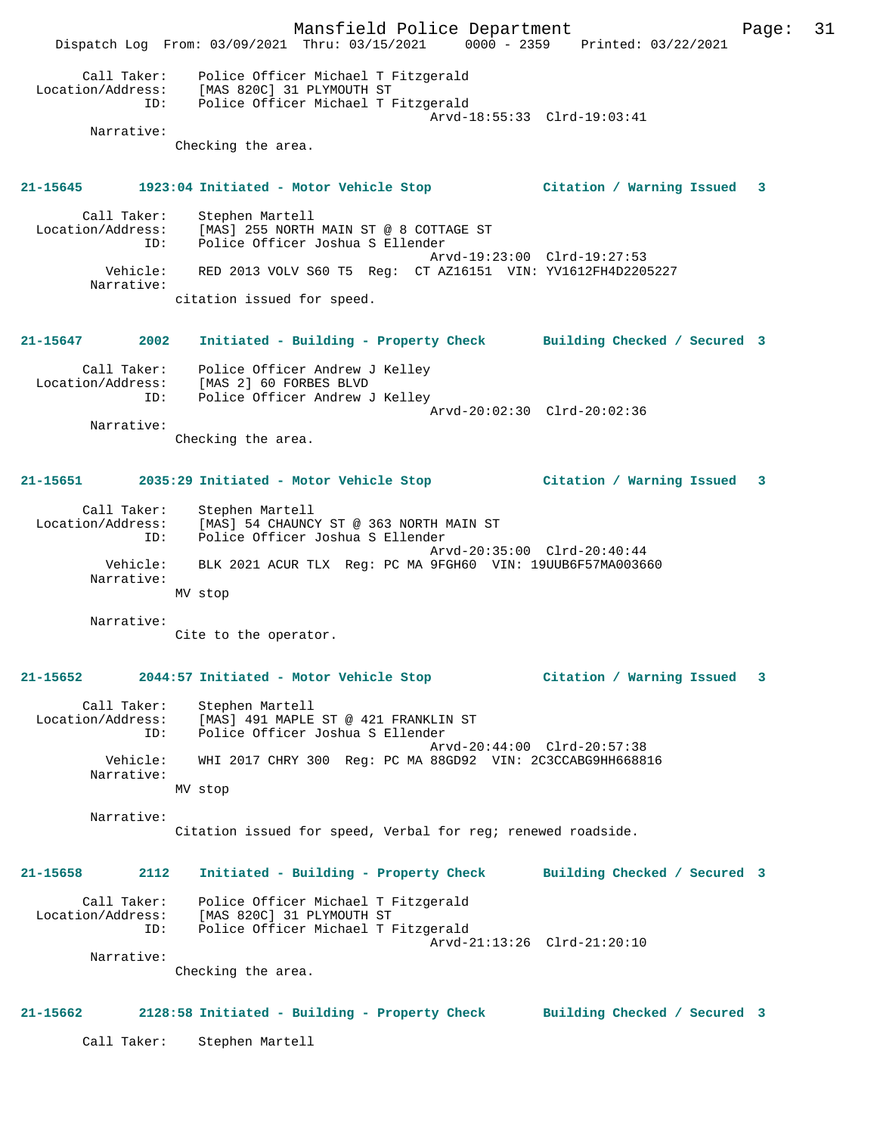Mansfield Police Department Page: 31 Dispatch Log From: 03/09/2021 Thru: 03/15/2021 0000 - 2359 Printed: 03/22/2021 Call Taker: Police Officer Michael T Fitzgerald Location/Address: [MAS 820C] 31 PLYMOUTH ST ID: Police Officer Michael T Fitzgerald Arvd-18:55:33 Clrd-19:03:41 Narrative: Checking the area. **21-15645 1923:04 Initiated - Motor Vehicle Stop Citation / Warning Issued 3** Call Taker: Stephen Martell Location/Address: [MAS] 255 NORTH MAIN ST @ 8 COTTAGE ST ID: Police Officer Joshua S Ellender Arvd-19:23:00 Clrd-19:27:53 Vehicle: RED 2013 VOLV S60 T5 Reg: CT AZ16151 VIN: YV1612FH4D2205227 Narrative: citation issued for speed. **21-15647 2002 Initiated - Building - Property Check Building Checked / Secured 3** Call Taker: Police Officer Andrew J Kelley Location/Address: [MAS 2] 60 FORBES BLVD ID: Police Officer Andrew J Kelley Arvd-20:02:30 Clrd-20:02:36 Narrative: Checking the area. **21-15651 2035:29 Initiated - Motor Vehicle Stop Citation / Warning Issued 3** Call Taker: Stephen Martell Location/Address: [MAS] 54 CHAUNCY ST @ 363 NORTH MAIN ST ID: Police Officer Joshua S Ellender Arvd-20:35:00 Clrd-20:40:44 Vehicle: BLK 2021 ACUR TLX Reg: PC MA 9FGH60 VIN: 19UUB6F57MA003660 Narrative: MV stop Narrative: Cite to the operator. **21-15652 2044:57 Initiated - Motor Vehicle Stop Citation / Warning Issued 3** Call Taker: Stephen Martell Location/Address: [MAS] 491 MAPLE ST @ 421 FRANKLIN ST ID: Police Officer Joshua S Ellender Arvd-20:44:00 Clrd-20:57:38 Vehicle: WHI 2017 CHRY 300 Reg: PC MA 88GD92 VIN: 2C3CCABG9HH668816 Narrative: MV stop Narrative: Citation issued for speed, Verbal for reg; renewed roadside. **21-15658 2112 Initiated - Building - Property Check Building Checked / Secured 3** Call Taker: Police Officer Michael T Fitzgerald Location/Address: [MAS 820C] 31 PLYMOUTH ST ID: Police Officer Michael T Fitzgerald Arvd-21:13:26 Clrd-21:20:10 Narrative: Checking the area. **21-15662 2128:58 Initiated - Building - Property Check Building Checked / Secured 3** Call Taker: Stephen Martell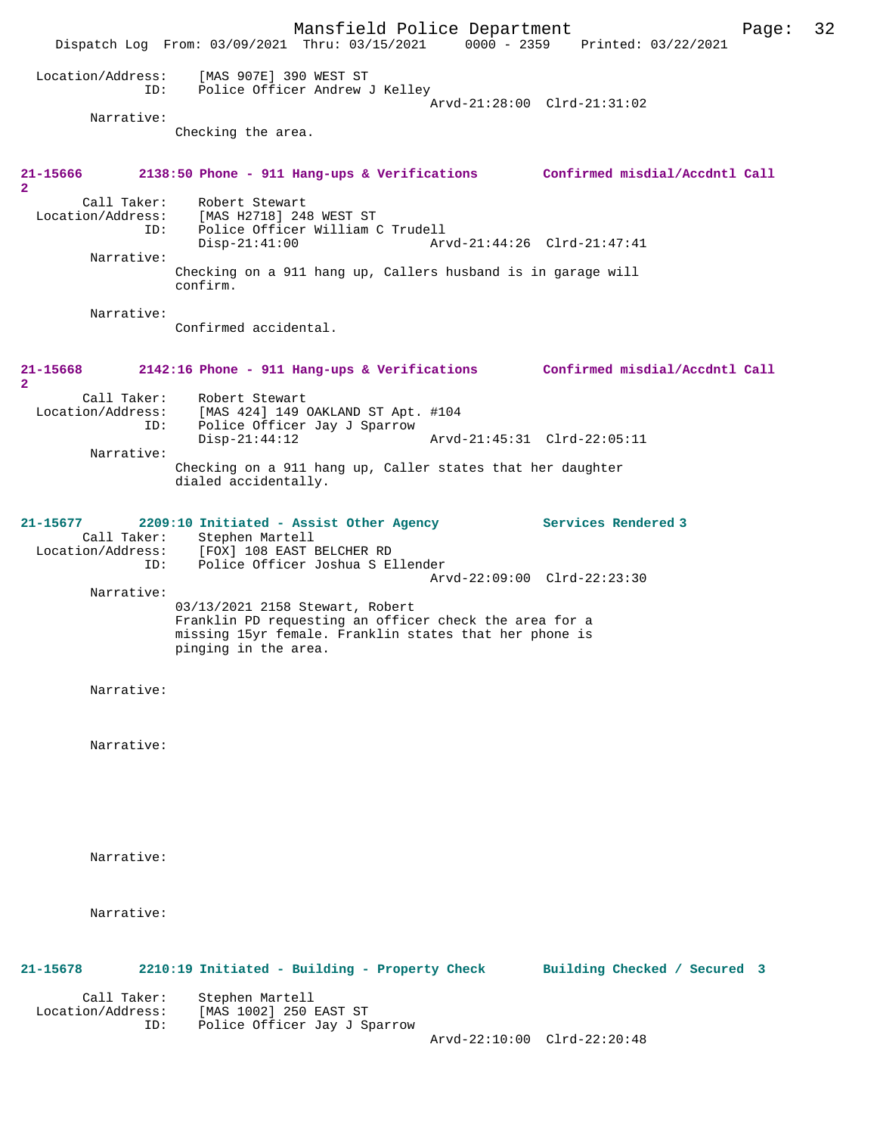|                                         |                                                                                                                                                                             | Mansfield Police Department |                                 | Page: | 32 |
|-----------------------------------------|-----------------------------------------------------------------------------------------------------------------------------------------------------------------------------|-----------------------------|---------------------------------|-------|----|
|                                         | Dispatch Log From: 03/09/2021 Thru: 03/15/2021                                                                                                                              |                             | 0000 - 2359 Printed: 03/22/2021 |       |    |
| Location/Address:<br>ID:                | [MAS 907E] 390 WEST ST<br>Police Officer Andrew J Kelley                                                                                                                    |                             | Arvd-21:28:00 Clrd-21:31:02     |       |    |
| Narrative:                              |                                                                                                                                                                             |                             |                                 |       |    |
|                                         | Checking the area.                                                                                                                                                          |                             |                                 |       |    |
| 21-15666<br>$\overline{2}$              | 2138:50 Phone - 911 Hang-ups & Verifications Confirmed misdial/Accdntl Call                                                                                                 |                             |                                 |       |    |
| Call Taker:<br>ID:                      | Robert Stewart<br>Location/Address: [MAS H2718] 248 WEST ST<br>Police Officer William C Trudell<br>$Disp-21:41:00$                                                          |                             | Arvd-21:44:26 Clrd-21:47:41     |       |    |
| Narrative:                              | Checking on a 911 hang up, Callers husband is in garage will<br>confirm.                                                                                                    |                             |                                 |       |    |
| Narrative:                              |                                                                                                                                                                             |                             |                                 |       |    |
|                                         | Confirmed accidental.                                                                                                                                                       |                             |                                 |       |    |
| 21-15668<br>$\overline{a}$              | 2142:16 Phone - 911 Hang-ups & Verifications Confirmed misdial/Accdntl Call                                                                                                 |                             |                                 |       |    |
| Call Taker:<br>Location/Address:<br>ID: | Robert Stewart<br>[MAS 424] 149 OAKLAND ST Apt. #104<br>Police Officer Jay J Sparrow                                                                                        |                             |                                 |       |    |
| Narrative:                              | $Disp-21:44:12$                                                                                                                                                             |                             | Arvd-21:45:31 Clrd-22:05:11     |       |    |
|                                         | Checking on a 911 hang up, Caller states that her daughter<br>dialed accidentally.                                                                                          |                             |                                 |       |    |
| 21-15677<br>Location/Address:<br>ID:    | 2209:10 Initiated - Assist Other Agency<br>Call Taker: Stephen Martell<br>[FOX] 108 EAST BELCHER RD<br>Police Officer Joshua S Ellender                                     |                             | Services Rendered 3             |       |    |
| Narrative:                              |                                                                                                                                                                             |                             | Arvd-22:09:00 Clrd-22:23:30     |       |    |
|                                         | 03/13/2021 2158 Stewart, Robert<br>Franklin PD requesting an officer check the area for a<br>missing 15yr female. Franklin states that her phone is<br>pinging in the area. |                             |                                 |       |    |
| Narrative:                              |                                                                                                                                                                             |                             |                                 |       |    |
| Narrative:                              |                                                                                                                                                                             |                             |                                 |       |    |
| Narrative:                              |                                                                                                                                                                             |                             |                                 |       |    |
| Narrative:                              |                                                                                                                                                                             |                             |                                 |       |    |
| 21-15678                                | 2210:19 Initiated - Building - Property Check                                                                                                                               |                             | Building Checked / Secured 3    |       |    |
| Call Taker:<br>Location/Address:<br>ID: | Stephen Martell<br>[MAS 1002] 250 EAST ST<br>Police Officer Jay J Sparrow                                                                                                   |                             | Arvd-22:10:00 Clrd-22:20:48     |       |    |
|                                         |                                                                                                                                                                             |                             |                                 |       |    |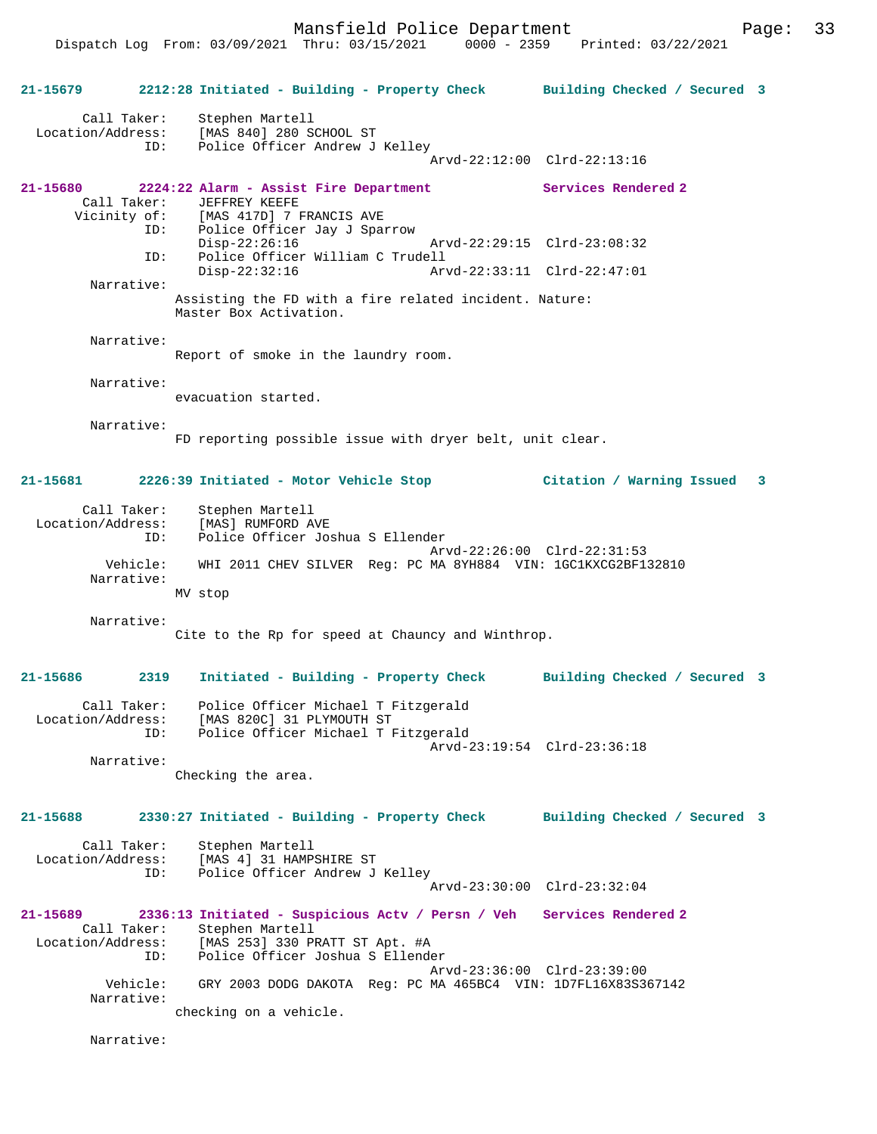**21-15679 2212:28 Initiated - Building - Property Check Building Checked / Secured 3** Call Taker: Stephen Martell Location/Address: [MAS 840] 280 SCHOOL ST ID: Police Officer Andrew J Kelley Arvd-22:12:00 Clrd-22:13:16 **21-15680 2224:22 Alarm - Assist Fire Department Services Rendered 2**  Call Taker: JEFFREY KEEFE<br>Vicinity of: [MAS 417D] 7 I of: [MAS 417D] 7 FRANCIS AVE<br>ID: Police Officer Jay J Spa: Police Officer Jay J Sparrow<br>Disp-22:26:16 Disp-22:26:16 Arvd-22:29:15 Clrd-23:08:32<br>ID: Police Officer William C Trudell Police Officer William C Trudell Disp-22:32:16 Arvd-22:33:11 Clrd-22:47:01 Narrative: Assisting the FD with a fire related incident. Nature: Master Box Activation. Narrative: Report of smoke in the laundry room. Narrative: evacuation started. Narrative: FD reporting possible issue with dryer belt, unit clear. **21-15681 2226:39 Initiated - Motor Vehicle Stop Citation / Warning Issued 3** Call Taker: Stephen Martell Location/Address: [MAS] RUMFORD AVE<br>TD: Police Officer Jo Police Officer Joshua S Ellender Arvd-22:26:00 Clrd-22:31:53 Vehicle: WHI 2011 CHEV SILVER Reg: PC MA 8YH884 VIN: 1GC1KXCG2BF132810 Narrative: MV stop Narrative: Cite to the Rp for speed at Chauncy and Winthrop. **21-15686 2319 Initiated - Building - Property Check Building Checked / Secured 3** Call Taker: Police Officer Michael T Fitzgerald Location/Address: [MAS 820C] 31 PLYMOUTH ST<br>ID: Police Officer Michael T F Police Officer Michael T Fitzgerald Arvd-23:19:54 Clrd-23:36:18 Narrative: Checking the area. **21-15688 2330:27 Initiated - Building - Property Check Building Checked / Secured 3** Call Taker: Stephen Martell<br>Location/Address: [MAS 4] 31 HAMP ess: [MAS 4] 31 HAMPSHIRE ST<br>ID: Police Officer Andrew J Police Officer Andrew J Kelley Arvd-23:30:00 Clrd-23:32:04 **21-15689 2336:13 Initiated - Suspicious Actv / Persn / Veh Services Rendered 2**  Call Taker: Stephen Martell Location/Address: [MAS 253] 330 PRATT ST Apt. #A ID: Police Officer Joshua S Ellender Arvd-23:36:00 Clrd-23:39:00<br>Vebicle: GRY 2003 DODG DAKOTA Reg: PC MA 465BC4 VIN: 1D7FL16X83S38 GRY 2003 DODG DAKOTA Reg: PC MA 465BC4 VIN: 1D7FL16X83S367142 Narrative: checking on a vehicle. Narrative: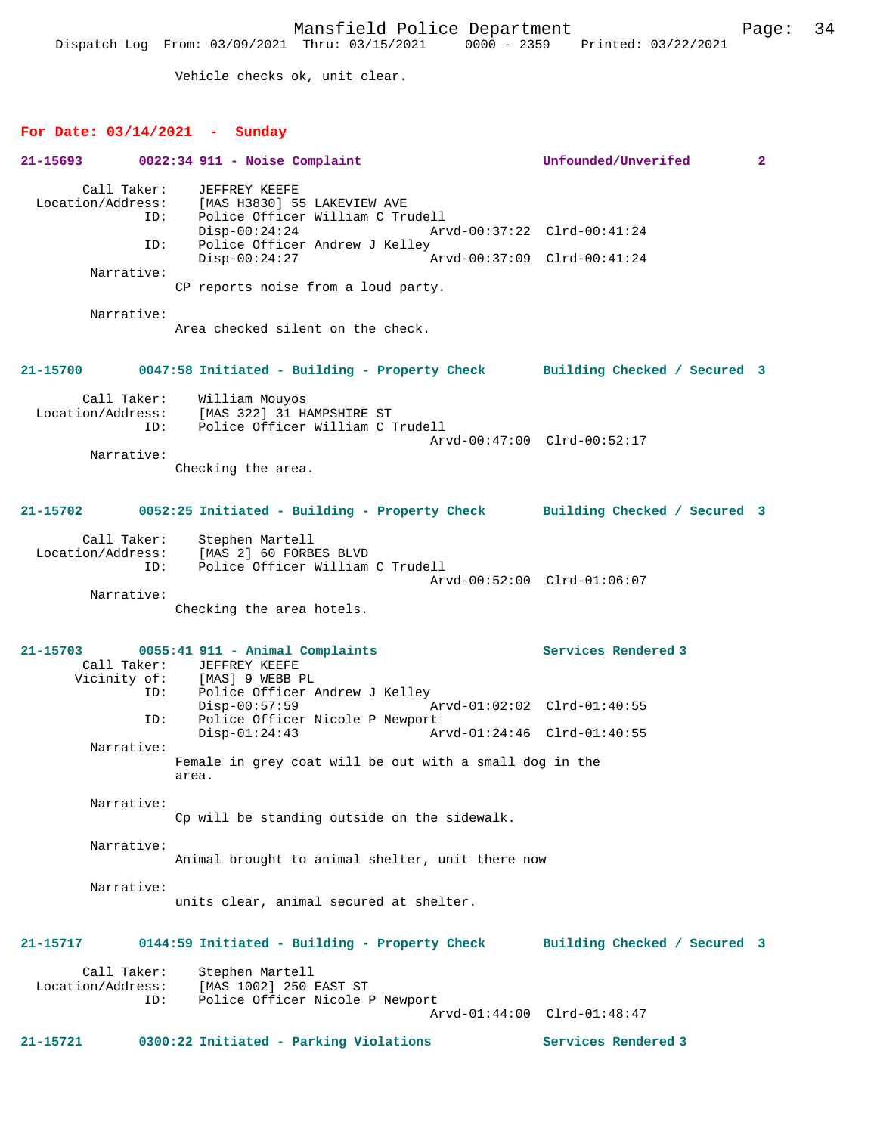Vehicle checks ok, unit clear.

| For Date: $03/14/2021$ - Sunday         |                                                                                  |                              |                |
|-----------------------------------------|----------------------------------------------------------------------------------|------------------------------|----------------|
| 21-15693                                | $0022:34$ 911 - Noise Complaint                                                  | Unfounded/Unverifed          | $\overline{2}$ |
| Call Taker:<br>Location/Address:<br>ID: | JEFFREY KEEFE<br>[MAS H3830] 55 LAKEVIEW AVE<br>Police Officer William C Trudell |                              |                |
| ID:                                     | $Disp-00:24:24$<br>Police Officer Andrew J Kelley                                | Arvd-00:37:22 Clrd-00:41:24  |                |
|                                         | $Disp-00:24:27$                                                                  | Arvd-00:37:09 Clrd-00:41:24  |                |
| Narrative:                              | CP reports noise from a loud party.                                              |                              |                |
| Narrative:                              | Area checked silent on the check.                                                |                              |                |
| 21-15700                                | 0047:58 Initiated - Building - Property Check Building Checked / Secured 3       |                              |                |
| Call Taker:<br>Location/Address:<br>ID: | William Mouyos<br>[MAS 322] 31 HAMPSHIRE ST<br>Police Officer William C Trudell  | Arvd-00:47:00 Clrd-00:52:17  |                |
| Narrative:                              |                                                                                  |                              |                |
|                                         | Checking the area.                                                               |                              |                |
| 21-15702                                | 0052:25 Initiated - Building - Property Check Building Checked / Secured 3       |                              |                |
|                                         | Call Taker: Stephen Martell<br>Location/Address: [MAS 2] 60 FORBES BLVD          |                              |                |
| ID:                                     | Police Officer William C Trudell                                                 |                              |                |
| Narrative:                              |                                                                                  | Arvd-00:52:00 Clrd-01:06:07  |                |
|                                         | Checking the area hotels.                                                        |                              |                |
| 21-15703<br>Call Taker:                 | 0055:41 911 - Animal Complaints<br>JEFFREY KEEFE                                 | Services Rendered 3          |                |
| ID:                                     | Vicinity of: [MAS] 9 WEBB PL<br>Police Officer Andrew J Kelley                   |                              |                |
| ID:                                     | $Disp-00:57:59$<br>Police Officer Nicole P Newport                               | Arvd-01:02:02 Clrd-01:40:55  |                |
| Narrative:                              | $Disp-01:24:43$                                                                  | Arvd-01:24:46 Clrd-01:40:55  |                |
|                                         | Female in grey coat will be out with a small dog in the<br>area.                 |                              |                |
| Narrative:                              | Cp will be standing outside on the sidewalk.                                     |                              |                |
| Narrative:                              | Animal brought to animal shelter, unit there now                                 |                              |                |
| Narrative:                              | units clear, animal secured at shelter.                                          |                              |                |
| 21-15717                                | 0144:59 Initiated - Building - Property Check                                    | Building Checked / Secured 3 |                |
| Call Taker:<br>Location/Address:        | Stephen Martell<br>[MAS 1002] 250 EAST ST                                        |                              |                |
| ID:                                     | Police Officer Nicole P Newport                                                  | Arvd-01:44:00 Clrd-01:48:47  |                |
| 21-15721                                | 0300:22 Initiated - Parking Violations                                           | Services Rendered 3          |                |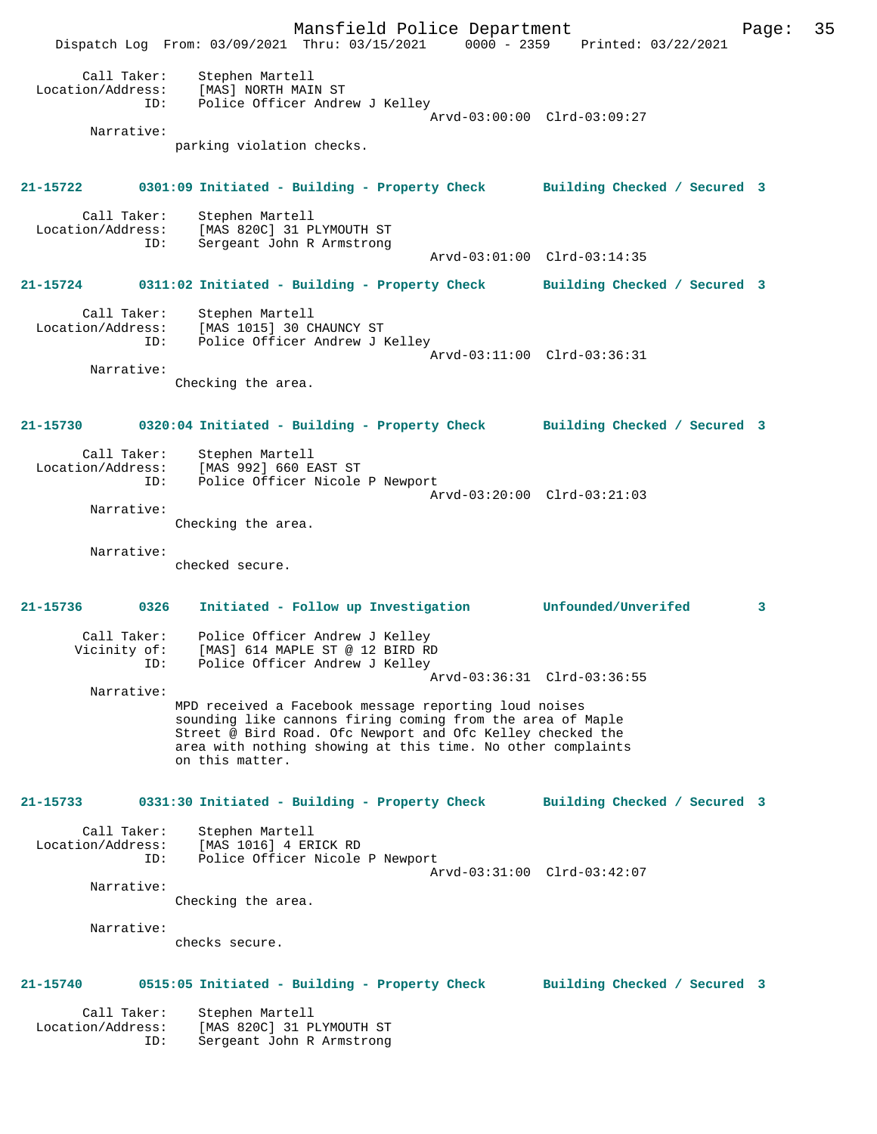Mansfield Police Department Page: 35 Dispatch Log From: 03/09/2021 Thru: 03/15/2021 0000 - 2359 Printed: 03/22/2021 Call Taker: Stephen Martell Location/Address: [MAS] NORTH MAIN ST ID: Police Officer Andrew J Kelley Arvd-03:00:00 Clrd-03:09:27 Narrative: parking violation checks. **21-15722 0301:09 Initiated - Building - Property Check Building Checked / Secured 3** Call Taker: Stephen Martell<br>Location/Address: [MAS 820C] 31 P ess: [MAS 820C] 31 PLYMOUTH ST<br>ID: Sergeant John R Armstrong Sergeant John R Armstrong Arvd-03:01:00 Clrd-03:14:35 **21-15724 0311:02 Initiated - Building - Property Check Building Checked / Secured 3** Call Taker: Stephen Martell Location/Address: [MAS 1015] 30 CHAUNCY ST ID: Police Officer Andrew J Kelley Arvd-03:11:00 Clrd-03:36:31 Narrative: Checking the area. **21-15730 0320:04 Initiated - Building - Property Check Building Checked / Secured 3** Call Taker: Stephen Martell Location/Address: [MAS 992] 660 EAST ST Police Officer Nicole P Newport Arvd-03:20:00 Clrd-03:21:03 Narrative: Checking the area. Narrative: checked secure. **21-15736 0326 Initiated - Follow up Investigation Unfounded/Unverifed 3** Call Taker: Police Officer Andrew J Kelley<br>Vicinity of: [MAS] 614 MAPLE ST @ 12 BIRD RI of: [MAS] 614 MAPLE ST @ 12 BIRD RD<br>ID: Police Officer Andrew J Kellev Inna, vir ....<br>Police Officer Andrew J Kelley Arvd-03:36:31 Clrd-03:36:55 Narrative: MPD received a Facebook message reporting loud noises sounding like cannons firing coming from the area of Maple Street @ Bird Road. Ofc Newport and Ofc Kelley checked the area with nothing showing at this time. No other complaints on this matter. **21-15733 0331:30 Initiated - Building - Property Check Building Checked / Secured 3** Call Taker: Stephen Martell Location/Address: [MAS 1016] 4 ERICK RD ID: Police Officer Nicole P Newport Arvd-03:31:00 Clrd-03:42:07 Narrative: Checking the area. Narrative: checks secure. **21-15740 0515:05 Initiated - Building - Property Check Building Checked / Secured 3** Call Taker: Stephen Martell<br>ion/Address: Si Location/Address: [MAS 820C] 31 PLYMOUTH ST ID: Sergeant John R Armstrong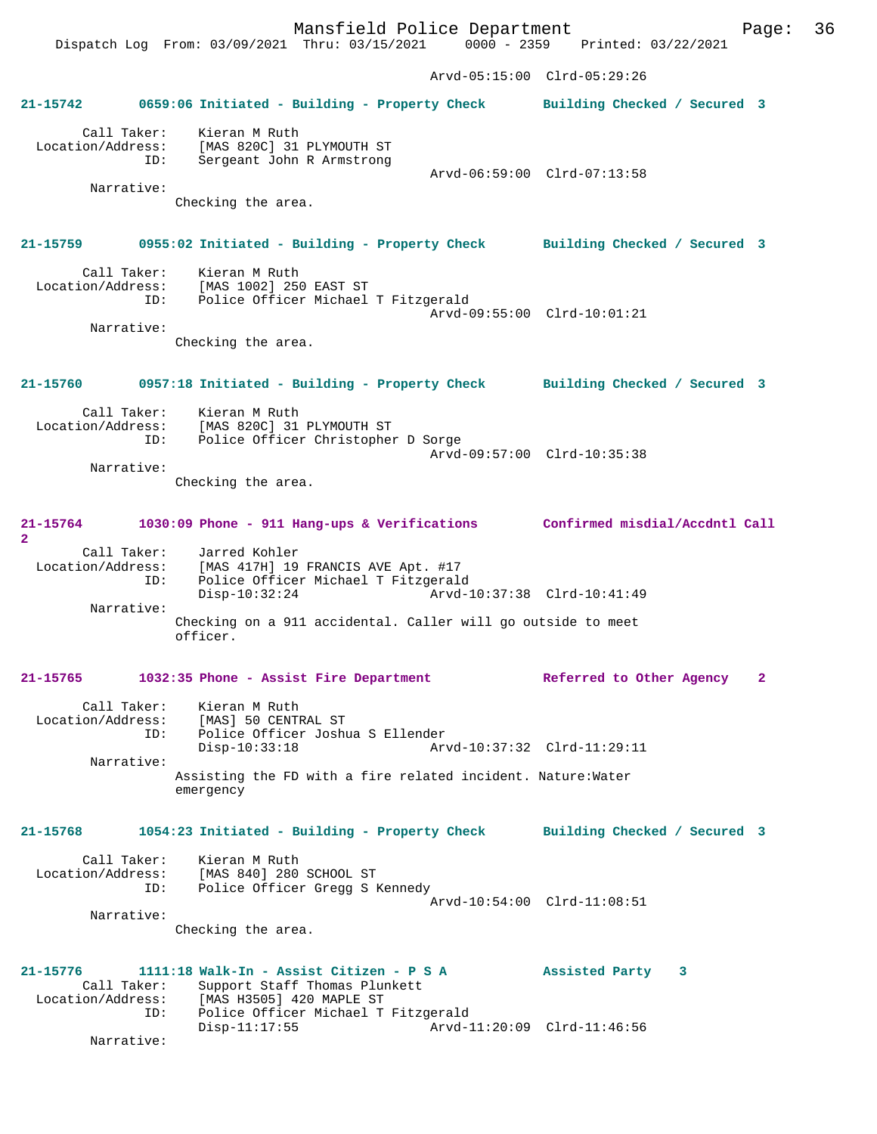Mansfield Police Department Page: 36 Dispatch Log From: 03/09/2021 Thru: 03/15/2021 0000 - 2359 Printed: 03/22/2021 Arvd-05:15:00 Clrd-05:29:26 **21-15742 0659:06 Initiated - Building - Property Check Building Checked / Secured 3** Call Taker: Kieran M Ruth Location/Address: [MAS 820C] 31 PLYMOUTH ST<br>ID: Sergeant John R Armstrong Sergeant John R Armstrong Arvd-06:59:00 Clrd-07:13:58 Narrative: Checking the area. **21-15759 0955:02 Initiated - Building - Property Check Building Checked / Secured 3** Call Taker: Kieran M Ruth<br>Location/Address: [MAS 1002] 250 ess: [MAS 1002] 250 EAST ST<br>ID: Police Officer Michael Police Officer Michael T Fitzgerald Arvd-09:55:00 Clrd-10:01:21 Narrative: Checking the area. **21-15760 0957:18 Initiated - Building - Property Check Building Checked / Secured 3** Call Taker: Kieran M Ruth Location/Address: [MAS 820C] 31 PLYMOUTH ST Police Officer Christopher D Sorge Arvd-09:57:00 Clrd-10:35:38 Narrative: Checking the area. **21-15764 1030:09 Phone - 911 Hang-ups & Verifications Confirmed misdial/Accdntl Call 2**  Call Taker: Jarred Kohler Location/Address: [MAS 417H] 19 FRANCIS AVE Apt. #17<br>ID: Police Officer Michael T Fitzgaral IDAN 11/11, 12 ALANG 20<br>Police Officer Michael T Fitzgerald<br>Disp-10:32:24 Arvd-1 Disp-10:32:24 Arvd-10:37:38 Clrd-10:41:49 Narrative: Checking on a 911 accidental. Caller will go outside to meet officer. **21-15765 1032:35 Phone - Assist Fire Department Referred to Other Agency 2** Call Taker: Kieran M Ruth Location/Address: [MAS] 50 CENTRAL ST ID: Police Officer Joshua S Ellender Disp-10:33:18 Arvd-10:37:32 Clrd-11:29:11 Narrative: Assisting the FD with a fire related incident. Nature:Water emergency **21-15768 1054:23 Initiated - Building - Property Check Building Checked / Secured 3** Call Taker: Kieran M Ruth Location/Address: [MAS 840] 280 SCHOOL ST ID: Police Officer Gregg S Kennedy Arvd-10:54:00 Clrd-11:08:51 Narrative: Checking the area. **21-15776 1111:18 Walk-In - Assist Citizen - P S A Assisted Party 3**  Call Taker: Support Staff Thomas Plunkett<br>Location/Address: [MAS H3505] 420 MAPLE ST ess: [MAS H3505] 420 MAPLE ST<br>ID: Police Officer Michael T Police Officer Michael T Fitzgerald Disp-11:17:55 Arvd-11:20:09 Clrd-11:46:56

Narrative: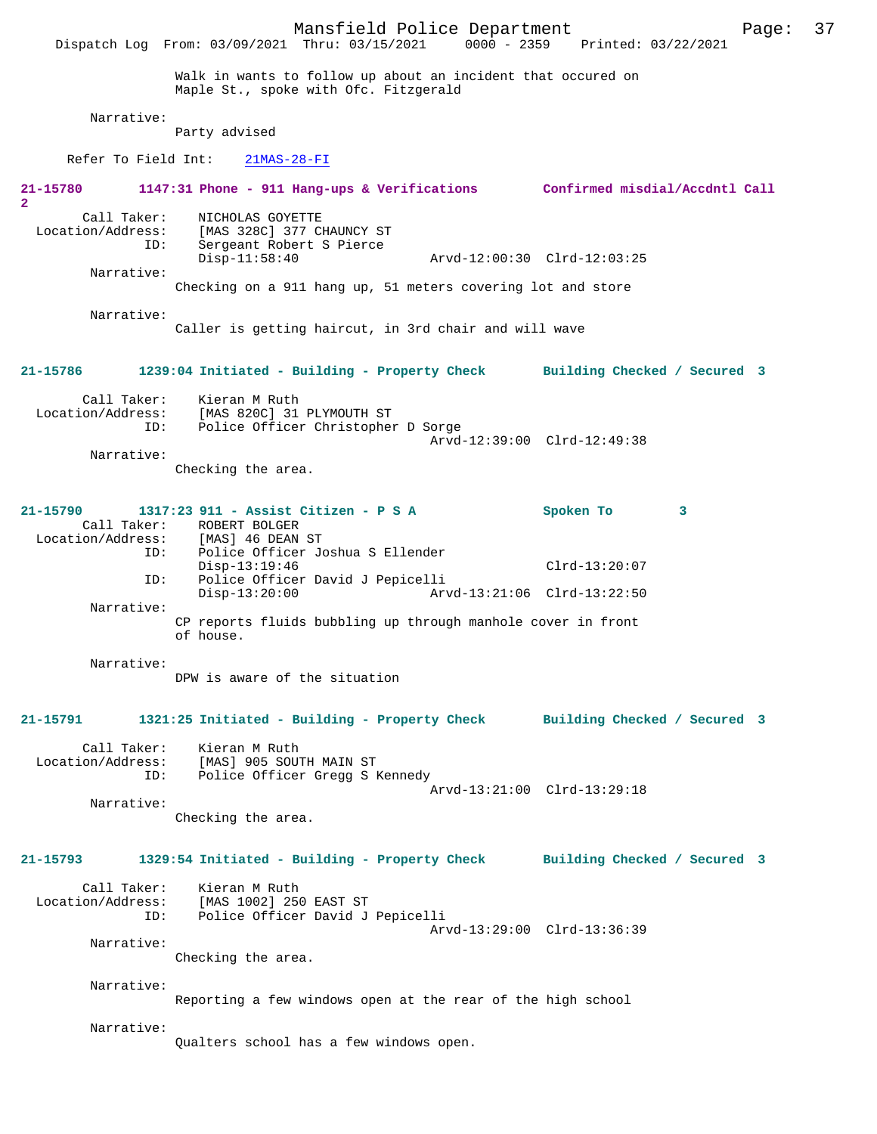Mansfield Police Department Page: 37 Dispatch Log From: 03/09/2021 Thru: 03/15/2021 Walk in wants to follow up about an incident that occured on Maple St., spoke with Ofc. Fitzgerald Narrative: Party advised Refer To Field Int: 21MAS-28-FI **21-15780 1147:31 Phone - 911 Hang-ups & Verifications Confirmed misdial/Accdntl Call 2**  Call Taker: NICHOLAS GOYETTE Location/Address: [MAS 328C] 377 CHAUNCY ST ID: Sergeant Robert S Pierce Arvd-12:00:30 Clrd-12:03:25 Narrative: Checking on a 911 hang up, 51 meters covering lot and store Narrative: Caller is getting haircut, in 3rd chair and will wave **21-15786 1239:04 Initiated - Building - Property Check Building Checked / Secured 3** Call Taker: Kieran M Ruth Location/Address: [MAS 820C] 31 PLYMOUTH ST ID: Police Officer Christopher D Sorge Arvd-12:39:00 Clrd-12:49:38 Narrative: Checking the area. **21-15790 1317:23 911 - Assist Citizen - P S A Spoken To 3**  Call Taker: ROBERT BOLGER Location/Address: [MAS] 46 DEAN ST Police Officer Joshua S Ellender Disp-13:19:46 Clrd-13:20:07 ID: Police Officer David J Pepicelli Disp-13:20:00 Arvd-13:21:06 Clrd-13:22:50 Narrative: CP reports fluids bubbling up through manhole cover in front of house. Narrative: DPW is aware of the situation **21-15791 1321:25 Initiated - Building - Property Check Building Checked / Secured 3** Call Taker: Kieran M Ruth Location/Address: [MAS] 905 SOUTH MAIN ST ID: Police Officer Gregg S Kennedy Arvd-13:21:00 Clrd-13:29:18 Narrative: Checking the area. **21-15793 1329:54 Initiated - Building - Property Check Building Checked / Secured 3** Call Taker: Kieran M Ruth Location/Address: [MAS 1002] 250 EAST ST Police Officer David J Pepicelli Arvd-13:29:00 Clrd-13:36:39 Narrative: Checking the area. Narrative: Reporting a few windows open at the rear of the high school Narrative: Qualters school has a few windows open.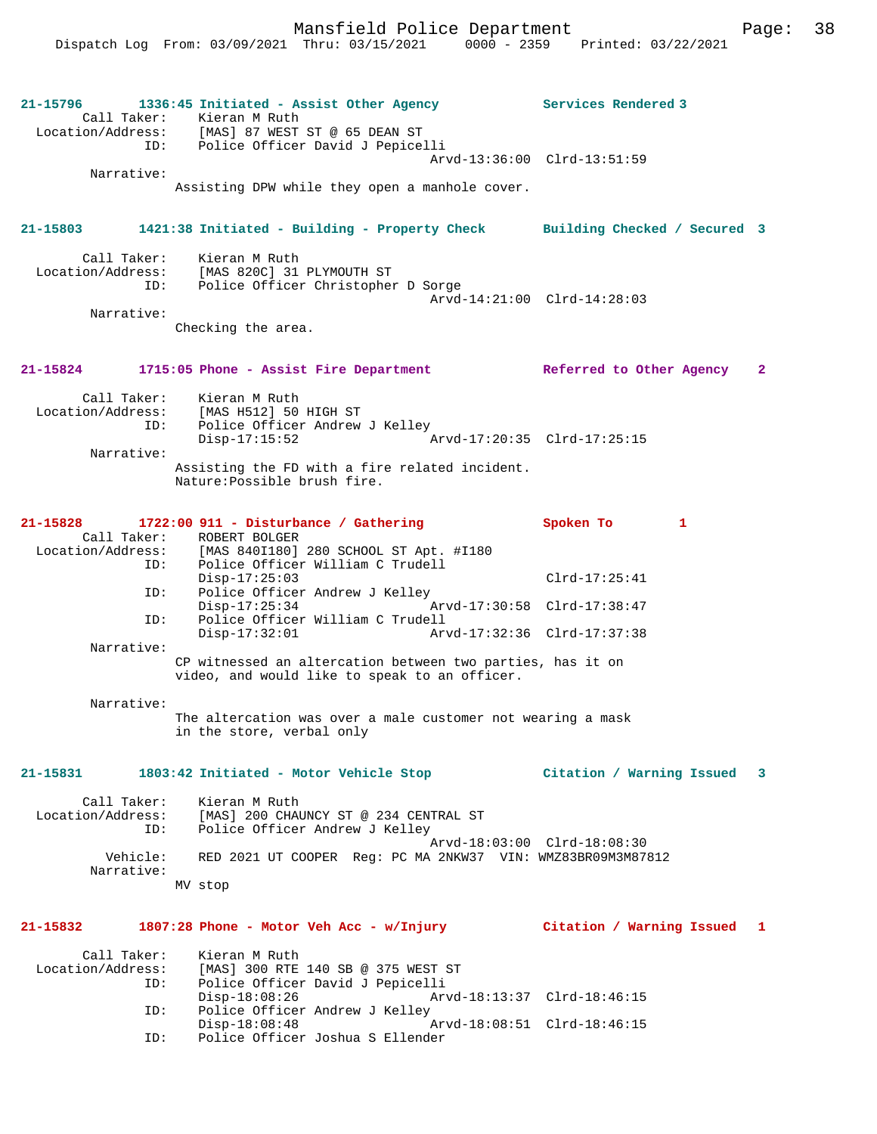Mansfield Police Department Page: 38 Dispatch Log From: 03/09/2021 Thru: 03/15/2021 0000 - 2359 Printed: 03/22/2021 **21-15796 1336:45 Initiated - Assist Other Agency Services Rendered 3**  Call Taker: Kieran M Ruth Location/Address: [MAS] 87 WEST ST @ 65 DEAN ST ID: Police Officer David J Pepicelli Arvd-13:36:00 Clrd-13:51:59 Narrative: Assisting DPW while they open a manhole cover. **21-15803 1421:38 Initiated - Building - Property Check Building Checked / Secured 3** Call Taker: Kieran M Ruth Location/Address: [MAS 820C] 31 PLYMOUTH ST ID: Police Officer Christopher D Sorge Arvd-14:21:00 Clrd-14:28:03 Narrative: Checking the area. **21-15824 1715:05 Phone - Assist Fire Department Referred to Other Agency 2** Call Taker: Kieran M Ruth Location/Address: [MAS H512] 50 HIGH ST ID: Police Officer Andrew J Kelley<br>Disp-17:15:52 Arvd-17:20:35 Clrd-17:25:15 Narrative: Assisting the FD with a fire related incident. Nature:Possible brush fire. **21-15828 1722:00 911 - Disturbance / Gathering Spoken To 1**  Call Taker: ROBERT BOLGER<br>Location/Address: [MAS 840I180] [MAS 840I180] 280 SCHOOL ST Apt. #I180 ID: Police Officer William C Trudell Disp-17:25:03 Clrd-17:25:41 ID: Police Officer Andrew J Kelley<br>Disp-17:25:34 A Disp-17:25:34 Arvd-17:30:58 Clrd-17:38:47<br>ID: Police Officer William C Trudell Police Officer William C Trudell<br>Disp-17:32:01 Arv Disp-17:32:01 Arvd-17:32:36 Clrd-17:37:38 Narrative: CP witnessed an altercation between two parties, has it on video, and would like to speak to an officer. Narrative: The altercation was over a male customer not wearing a mask in the store, verbal only **21-15831 1803:42 Initiated - Motor Vehicle Stop Citation / Warning Issued 3** Call Taker: Kieran M Ruth Location/Address: [MAS] 200 CHAUNCY ST @ 234 CENTRAL ST ID: Police Officer Andrew J Kelley Arvd-18:03:00 Clrd-18:08:30 Vehicle: RED 2021 UT COOPER Reg: PC MA 2NKW37 VIN: WMZ83BR09M3M87812 Narrative: MV stop **21-15832 1807:28 Phone - Motor Veh Acc - w/Injury Citation / Warning Issued 1**

| Call Taker:       | Kieran M Ruth                      |                             |  |
|-------------------|------------------------------------|-----------------------------|--|
| Location/Address: | [MAS] 300 RTE 140 SB @ 375 WEST ST |                             |  |
| ID:               | Police Officer David J Pepicelli   |                             |  |
|                   | Disp-18:08:26                      | Arvd-18:13:37 Clrd-18:46:15 |  |
| ID:               | Police Officer Andrew J Kelley     |                             |  |
|                   | $Disp-18:08:48$                    | Arvd-18:08:51 Clrd-18:46:15 |  |
| TD:               | Police Officer Joshua S Ellender   |                             |  |
|                   |                                    |                             |  |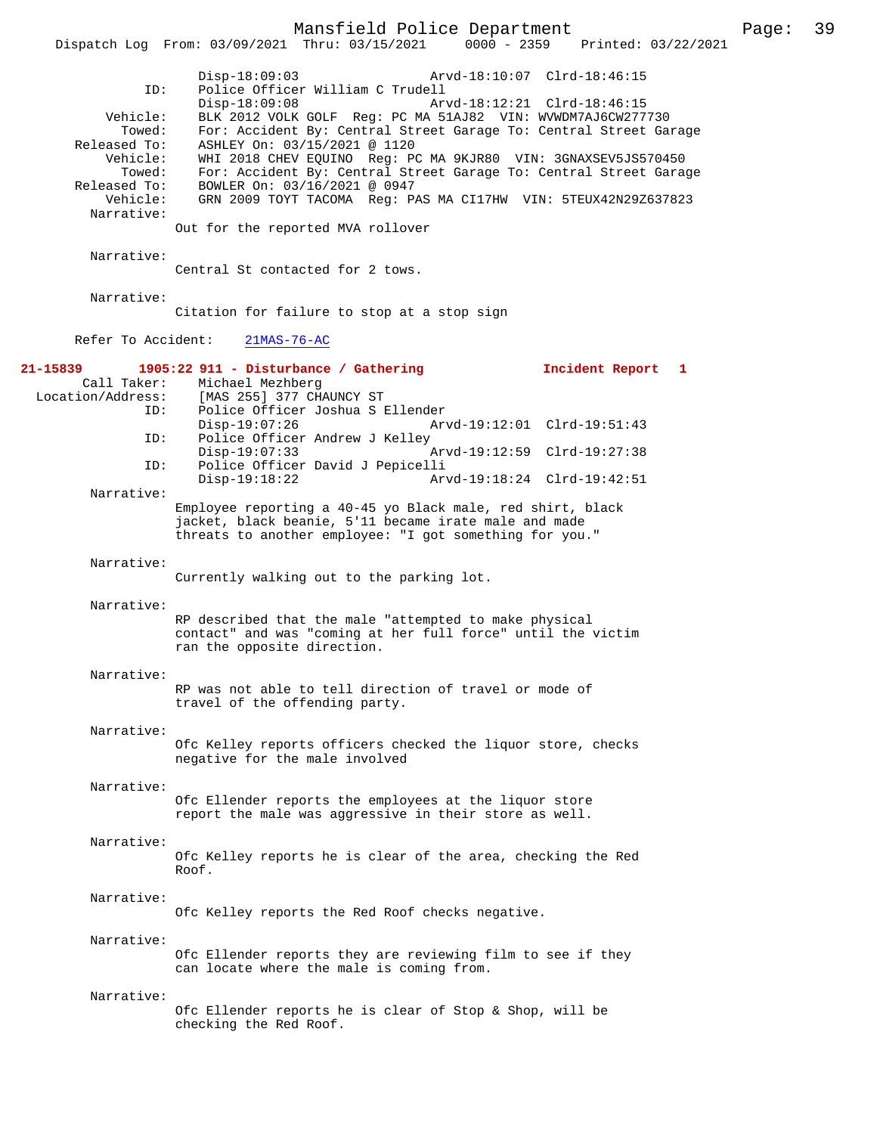|                                        | Mansfield Police Department<br>Dispatch Log From: 03/09/2021 Thru: 03/15/2021 0000 - 2359 Printed: 03/22/2021                                                                                                                                                            | Page: | 39 |
|----------------------------------------|--------------------------------------------------------------------------------------------------------------------------------------------------------------------------------------------------------------------------------------------------------------------------|-------|----|
| ID:<br>Vehicle:<br>Towed:              | $Disp-18:09:03$<br>Arvd-18:10:07 Clrd-18:46:15<br>Police Officer William C Trudell<br>$Disp-18:09:08$<br>Arvd-18:12:21 Clrd-18:46:15<br>BLK 2012 VOLK GOLF Reg: PC MA 51AJ82 VIN: WVWDM7AJ6CW277730<br>For: Accident By: Central Street Garage To: Central Street Garage |       |    |
| Released To:<br>Vehicle:<br>Towed:     | ASHLEY On: 03/15/2021 @ 1120<br>WHI 2018 CHEV EQUINO Reg: PC MA 9KJR80 VIN: 3GNAXSEV5JS570450<br>For: Accident By: Central Street Garage To: Central Street Garage                                                                                                       |       |    |
| Released To:<br>Vehicle:<br>Narrative: | BOWLER On: 03/16/2021 @ 0947<br>GRN 2009 TOYT TACOMA Reg: PAS MA CI17HW VIN: 5TEUX42N29Z637823                                                                                                                                                                           |       |    |
|                                        | Out for the reported MVA rollover                                                                                                                                                                                                                                        |       |    |
| Narrative:                             | Central St contacted for 2 tows.                                                                                                                                                                                                                                         |       |    |
| Narrative:                             | Citation for failure to stop at a stop sign                                                                                                                                                                                                                              |       |    |
| Refer To Accident:                     | $21MAS-76-AC$                                                                                                                                                                                                                                                            |       |    |
| Location/Address:                      | 21-15839    1905:22    911 - Disturbance / Gathering<br>Incident Report 1<br>Call Taker: Michael Mezhberg<br>[MAS 255] 377 CHAUNCY ST                                                                                                                                    |       |    |
| ID:<br>ID:                             | Police Officer Joshua S Ellender<br>$Disp-19:07:26$<br>Arvd-19:12:01 Clrd-19:51:43<br>Police Officer Andrew J Kelley                                                                                                                                                     |       |    |
| ID:                                    | $Disp-19:07:33$<br>Arvd-19:12:59 Clrd-19:27:38<br>Police Officer David J Pepicelli                                                                                                                                                                                       |       |    |
| Narrative:                             | $Disp-19:18:22$<br>Arvd-19:18:24 Clrd-19:42:51                                                                                                                                                                                                                           |       |    |
|                                        | Employee reporting a 40-45 yo Black male, red shirt, black<br>jacket, black beanie, 5'11 became irate male and made<br>threats to another employee: "I got something for you."                                                                                           |       |    |
| Narrative:                             | Currently walking out to the parking lot.                                                                                                                                                                                                                                |       |    |
| Narrative:                             |                                                                                                                                                                                                                                                                          |       |    |
|                                        | RP described that the male "attempted to make physical<br>contact" and was "coming at her full force" until the victim<br>ran the opposite direction.                                                                                                                    |       |    |
| Narrative:                             | RP was not able to tell direction of travel or mode of                                                                                                                                                                                                                   |       |    |
|                                        | travel of the offending party.                                                                                                                                                                                                                                           |       |    |
| Narrative:                             | Ofc Kelley reports officers checked the liquor store, checks<br>negative for the male involved                                                                                                                                                                           |       |    |
| Narrative:                             | Ofc Ellender reports the employees at the liquor store<br>report the male was aggressive in their store as well.                                                                                                                                                         |       |    |
| Narrative:                             | Ofc Kelley reports he is clear of the area, checking the Red<br>Roof.                                                                                                                                                                                                    |       |    |
| Narrative:                             | Ofc Kelley reports the Red Roof checks negative.                                                                                                                                                                                                                         |       |    |
| Narrative:                             | Ofc Ellender reports they are reviewing film to see if they<br>can locate where the male is coming from.                                                                                                                                                                 |       |    |
| Narrative:                             | Ofc Ellender reports he is clear of Stop & Shop, will be<br>checking the Red Roof.                                                                                                                                                                                       |       |    |
|                                        |                                                                                                                                                                                                                                                                          |       |    |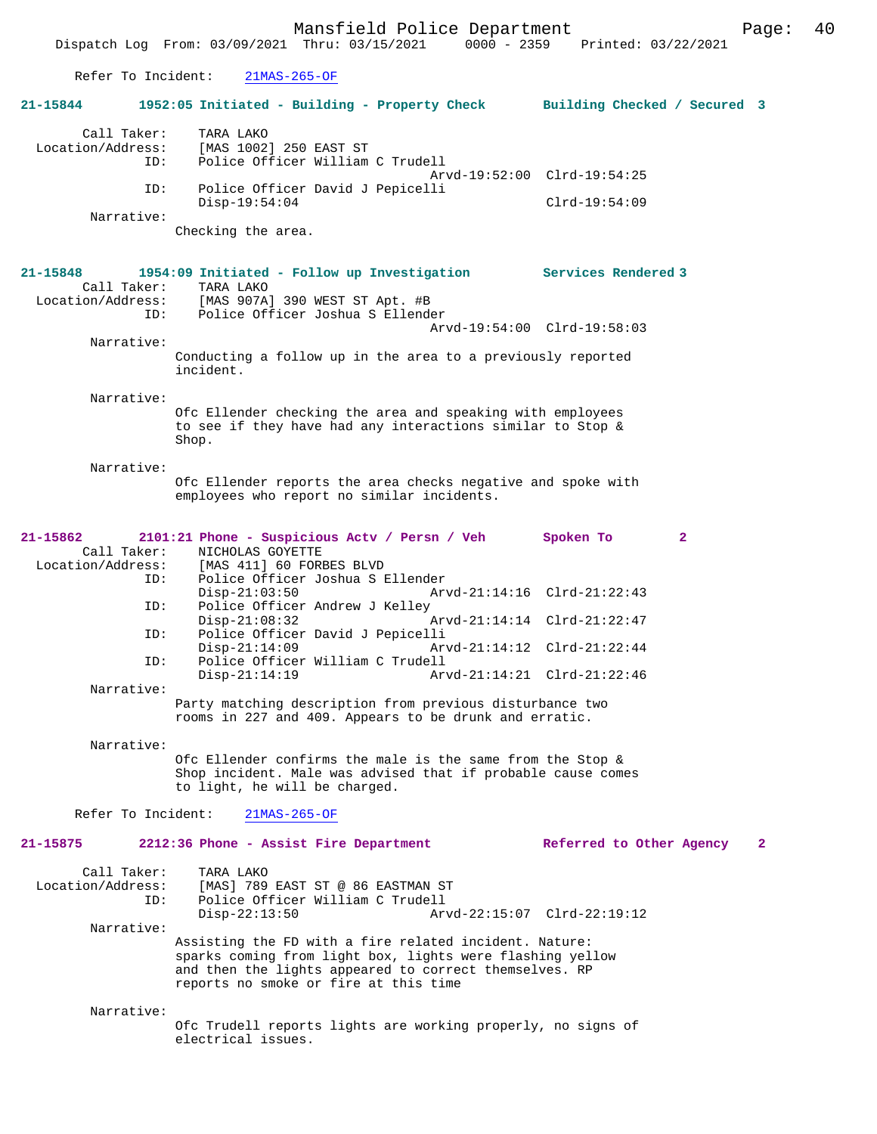Mansfield Police Department Page: 40 Dispatch Log From: 03/09/2021 Thru: 03/15/2021 Refer To Incident: 21MAS-265-OF **21-15844 1952:05 Initiated - Building - Property Check Building Checked / Secured 3** Call Taker: TARA LAKO<br>Location/Address: [MAS 1002 [MAS 1002] 250 EAST ST ID: Police Officer William C Trudell Arvd-19:52:00 Clrd-19:54:25<br>TD: Police Officer David J Pepicelli Police Officer David J Pepicelli Disp-19:54:04 Clrd-19:54:09 Narrative: Checking the area. **21-15848 1954:09 Initiated - Follow up Investigation Services Rendered 3**  Call Taker: TARA LAKO Location/Address: [MAS 907A] 390 WEST ST Apt. #B ID: Police Officer Joshua S Ellender Arvd-19:54:00 Clrd-19:58:03 Narrative: Conducting a follow up in the area to a previously reported incident. Narrative: Ofc Ellender checking the area and speaking with employees to see if they have had any interactions similar to Stop & Shop. Narrative: Ofc Ellender reports the area checks negative and spoke with employees who report no similar incidents. **21-15862 2101:21 Phone - Suspicious Actv / Persn / Veh Spoken To 2**  Call Taker: NICHOLAS GOYETTE Location/Address: [MAS 411] 60 FORBES BLVD ID: Police Officer Joshua S Ellender Disp-21:03:50 Arvd-21:14:16 Clrd-21:22:43<br>TD: Police Officer Andrew J Kelley Police Officer Andrew J Kelley<br>Disp-21:08:32<br>Primes Disp-21:08:32 Arvd-21:14:14 Clrd-21:22:47 ID: Police Officer David J Pepicelli Disp-21:14:09 Arvd-21:14:12 Clrd-21:22:44<br>TD: Police Officer William C Trudell Police Officer William C Trudell<br>Disp-21:14:19 Ar Arvd-21:14:21 Clrd-21:22:46 Narrative: Party matching description from previous disturbance two rooms in 227 and 409. Appears to be drunk and erratic. Narrative: Ofc Ellender confirms the male is the same from the Stop & Shop incident. Male was advised that if probable cause comes to light, he will be charged. Refer To Incident: 21MAS-265-OF **21-15875 2212:36 Phone - Assist Fire Department Referred to Other Agency 2** Call Taker: TARA LAKO Location/Address: [MAS] 789 EAST ST @ 86 EASTMAN ST<br>TD: Police Officer William C Trudell Police Officer William C Trudell<br>Disp-22:13:50 Ary Disp-22:13:50 Arvd-22:15:07 Clrd-22:19:12 Narrative: Assisting the FD with a fire related incident. Nature: sparks coming from light box, lights were flashing yellow and then the lights appeared to correct themselves. RP reports no smoke or fire at this time

Narrative:

Ofc Trudell reports lights are working properly, no signs of electrical issues.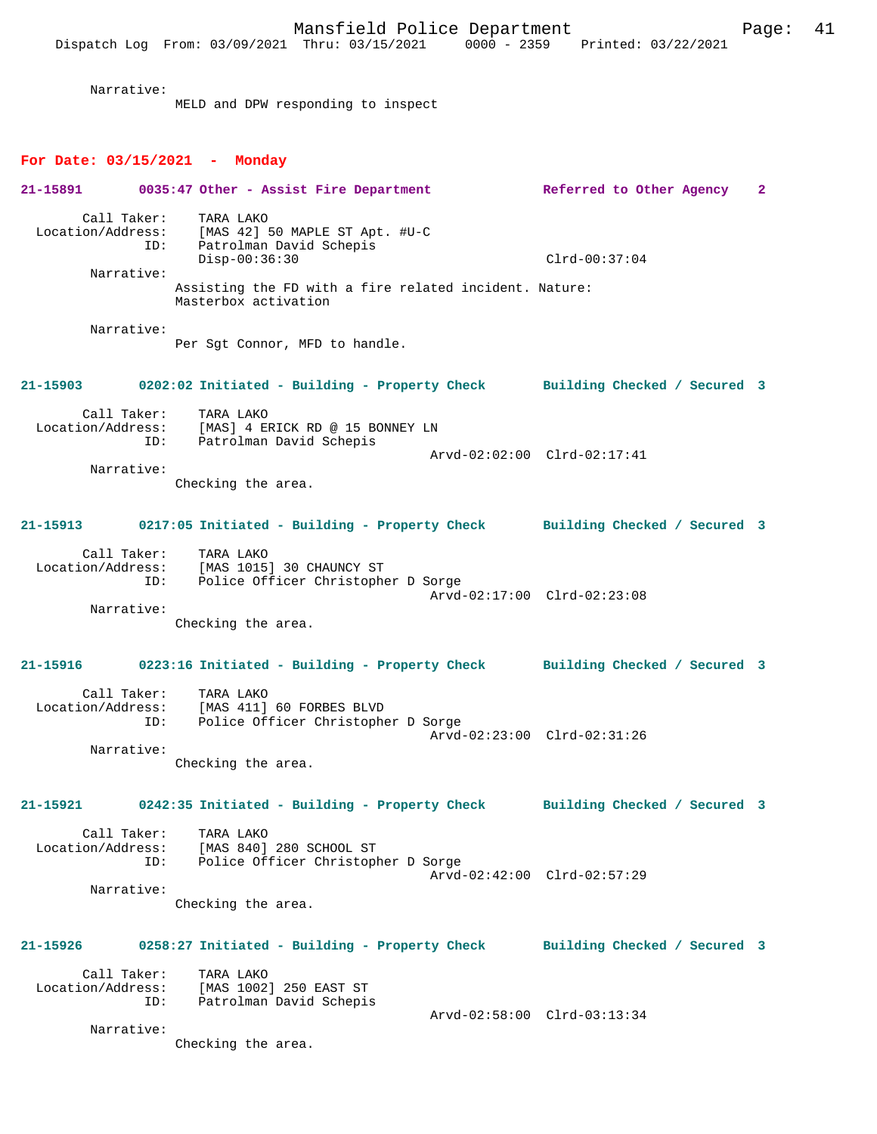Narrative:

MELD and DPW responding to inspect

#### **For Date: 03/15/2021 - Monday**

|                   |                    | 21-15891 0035:47 Other - Assist Fire Department                                                                                          | Referred to Other Agency     | $\mathbf{2}$ |
|-------------------|--------------------|------------------------------------------------------------------------------------------------------------------------------------------|------------------------------|--------------|
|                   | Call Taker:<br>ID: | TARA LAKO<br>Location/Address: [MAS 42] 50 MAPLE ST Apt. #U-C<br>ID: Patrolman David Schepis<br>Patrolman David Schepis<br>Disp-00:36:30 | $Clrd-00:37:04$              |              |
|                   | Narrative:         | Assisting the FD with a fire related incident. Nature:<br>Masterbox activation                                                           |                              |              |
|                   | Narrative:         | Per Sgt Connor, MFD to handle.                                                                                                           |                              |              |
|                   |                    | 21-15903 0202:02 Initiated - Building - Property Check Building Checked / Secured 3                                                      |                              |              |
|                   | Call Taker:        | TARA LAKO<br>Location/Address: [MAS] 4 ERICK RD @ 15 BONNEY LN<br>ID: Patrolman David Schepis                                            | Arvd-02:02:00 Clrd-02:17:41  |              |
|                   | Narrative:         | Checking the area.                                                                                                                       |                              |              |
| 21-15913          |                    | 0217:05 Initiated - Building - Property Check Building Checked / Secured 3                                                               |                              |              |
|                   | Call Taker:<br>ID: | TARA LAKO<br>Location/Address: [MAS 1015] 30 CHAUNCY ST<br>Police Officer Christopher D Sorge                                            | Arvd-02:17:00 Clrd-02:23:08  |              |
|                   | Narrative:         | Checking the area.                                                                                                                       |                              |              |
|                   |                    | 21-15916 0223:16 Initiated - Building - Property Check Building Checked / Secured 3                                                      |                              |              |
| Location/Address: | Call Taker:<br>ID: | TARA LAKO<br>[MAS 411] 60 FORBES BLVD<br>Police Officer Christopher D Sorge                                                              | Arvd-02:23:00 Clrd-02:31:26  |              |
|                   | Narrative:         | Checking the area.                                                                                                                       |                              |              |
|                   |                    | 21-15921 0242:35 Initiated - Building - Property Check Building Checked / Secured 3                                                      |                              |              |
| Location/Address: | Call Taker:<br>ID: | TARA LAKO<br>[MAS 840] 280 SCHOOL ST<br>Police Officer Christopher D Sorge                                                               | Arvd-02:42:00 Clrd-02:57:29  |              |
|                   | Narrative:         | Checking the area.                                                                                                                       |                              |              |
| 21-15926          |                    | 0258:27 Initiated - Building - Property Check                                                                                            | Building Checked / Secured 3 |              |
| Location/Address: | Call Taker:<br>ID: | TARA LAKO<br>[MAS 1002] 250 EAST ST<br>Patrolman Devie Clare<br>Patrolman David Schepis                                                  |                              |              |
|                   | Narrative:         | Checking the area.                                                                                                                       | Arvd-02:58:00 Clrd-03:13:34  |              |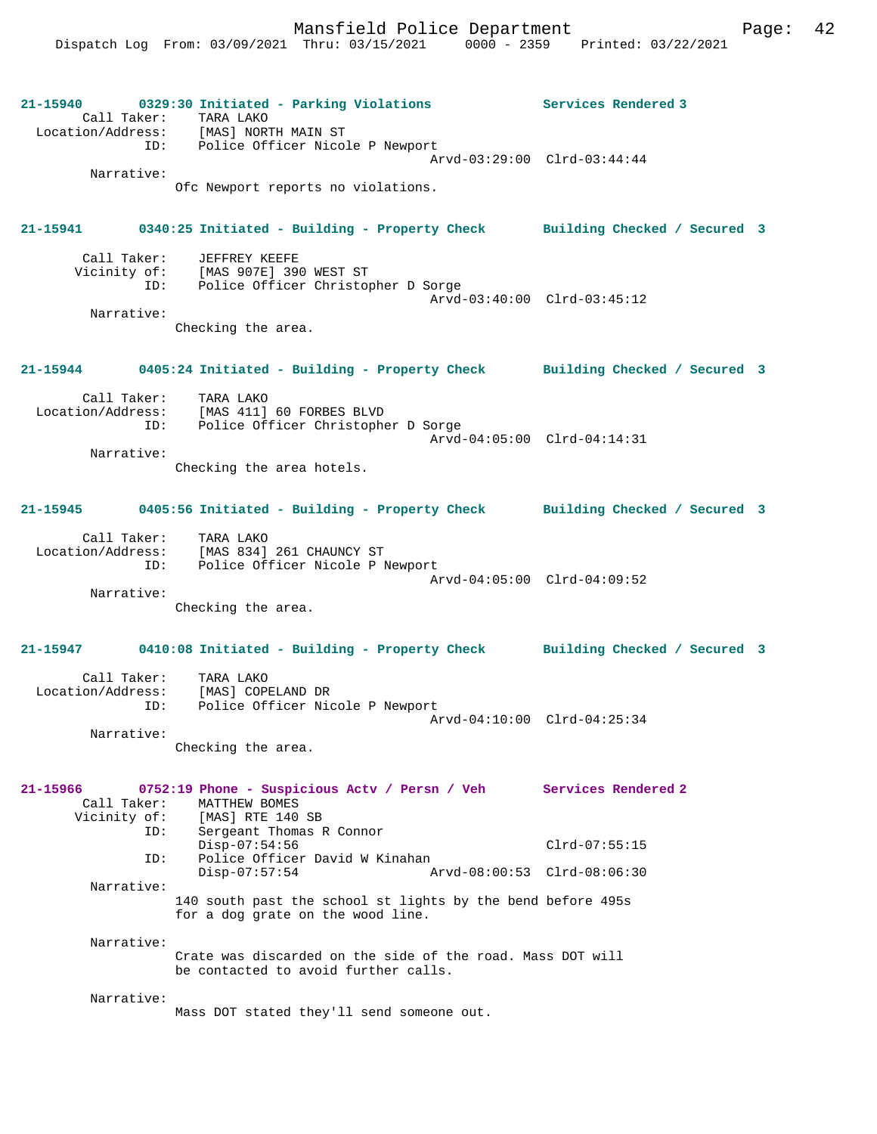**21-15940 0329:30 Initiated - Parking Violations Services Rendered 3**  Call Taker: TARA LAKO Location/Address: [MAS] NORTH MAIN ST ID: Police Officer Nicole P Newport Arvd-03:29:00 Clrd-03:44:44 Narrative: Ofc Newport reports no violations. **21-15941 0340:25 Initiated - Building - Property Check Building Checked / Secured 3** Call Taker: JEFFREY KEEFE Vicinity of: [MAS 907E] 390 WEST ST ID: Police Officer Christopher D Sorge Arvd-03:40:00 Clrd-03:45:12 Narrative: Checking the area. **21-15944 0405:24 Initiated - Building - Property Check Building Checked / Secured 3** Call Taker: TARA LAKO Location/Address: [MAS 411] 60 FORBES BLVD ID: Police Officer Christopher D Sorge Arvd-04:05:00 Clrd-04:14:31 Narrative: Checking the area hotels. **21-15945 0405:56 Initiated - Building - Property Check Building Checked / Secured 3** Call Taker: TARA LAKO Location/Address: [MAS 834] 261 CHAUNCY ST ID: Police Officer Nicole P Newport Arvd-04:05:00 Clrd-04:09:52 Narrative: Checking the area. **21-15947 0410:08 Initiated - Building - Property Check Building Checked / Secured 3** Call Taker: TARA LAKO Location/Address: [MAS] COPELAND DR ID: Police Officer Nicole P Newport Arvd-04:10:00 Clrd-04:25:34 Narrative: Checking the area. **21-15966 0752:19 Phone - Suspicious Actv / Persn / Veh Services Rendered 2**  Call Taker: MATTHEW BOMES<br>Vicinity of: [MAS] RTE 140 Vicinity of: [MAS] RTE 140 SB ID: Sergeant Thomas R Connor Disp-07:54:56 Clrd-07:55:15 ID: Police Officer David W Kinahan Disp-07:57:54 Arvd-08:00:53 Clrd-08:06:30 Narrative: 140 south past the school st lights by the bend before 495s for a dog grate on the wood line. Narrative: Crate was discarded on the side of the road. Mass DOT will be contacted to avoid further calls. Narrative: Mass DOT stated they'll send someone out.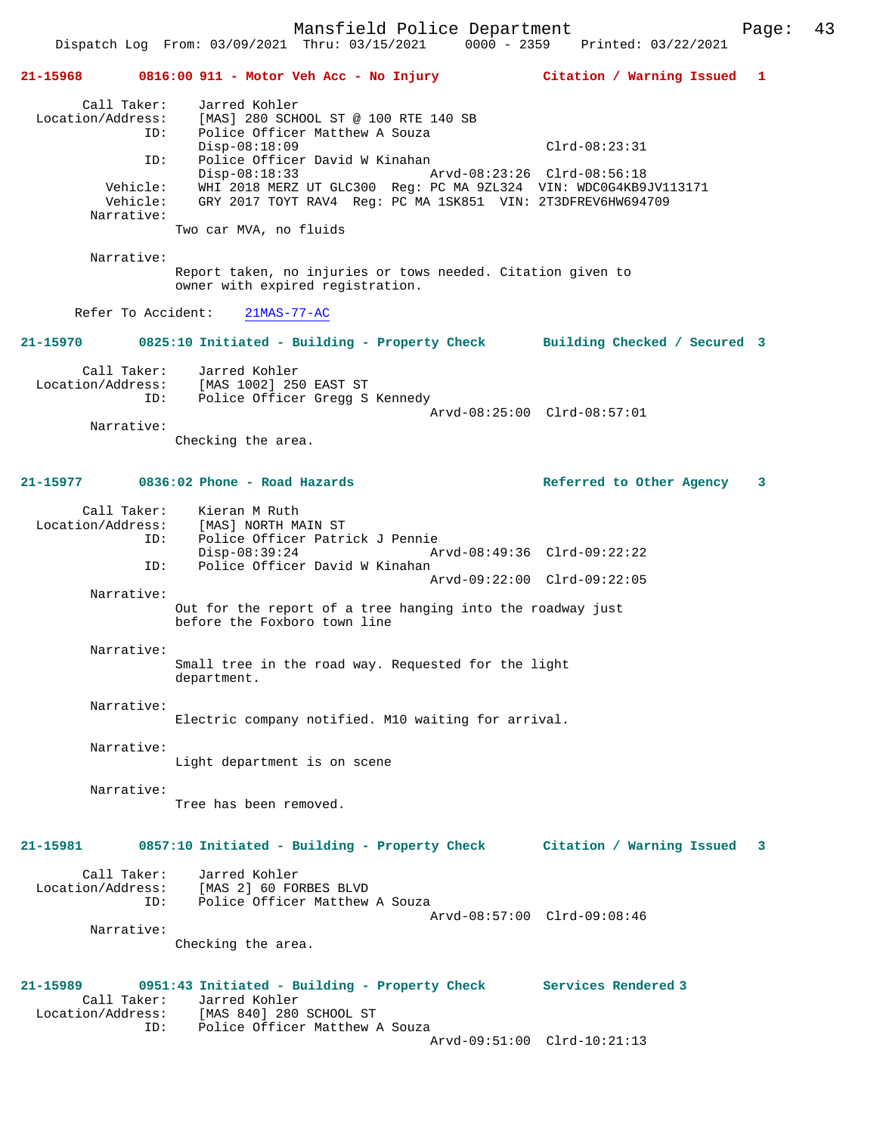**21-15968 0816:00 911 - Motor Veh Acc - No Injury Citation / Warning Issued 1** Call Taker: Jarred Kohler<br>Location/Address: [MAS] 280 SCH [MAS] 280 SCHOOL ST @ 100 RTE 140 SB ID: Police Officer Matthew A Souza Disp-08:18:09 Clrd-08:23:31 ID: Police Officer David W Kinahan Disp-08:18:33 Arvd-08:23:26 Clrd-08:56:18 Vehicle: WHI 2018 MERZ UT GLC300 Reg: PC MA 9ZL324 VIN: WDC0G4KB9JV113171 Vehicle: GRY 2017 TOYT RAV4 Reg: PC MA 1SK851 VIN: 2T3DFREV6HW694709 Narrative: Two car MVA, no fluids Narrative: Report taken, no injuries or tows needed. Citation given to owner with expired registration. Refer To Accident: 21MAS-77-AC **21-15970 0825:10 Initiated - Building - Property Check Building Checked / Secured 3** Call Taker: Jarred Kohler Location/Address: [MAS 1002] 250 EAST ST Location/Address: [MAS 1002] 250 EAST ST<br>ID: Police Officer Gregg S Kennedy Arvd-08:25:00 Clrd-08:57:01 Narrative: Checking the area. **21-15977 0836:02 Phone - Road Hazards Referred to Other Agency 3** Call Taker: Kieran M Ruth Location/Address: [MAS] NORTH MAIN ST ID: Police Officer Patrick J Pennie Disp-08:39:24 Arvd-08:49:36 Clrd-09:22:22 ID: Police Officer David W Kinahan Arvd-09:22:00 Clrd-09:22:05 Narrative: Out for the report of a tree hanging into the roadway just before the Foxboro town line Narrative: Small tree in the road way. Requested for the light department. Narrative: Electric company notified. M10 waiting for arrival. Narrative: Light department is on scene Narrative: Tree has been removed. **21-15981 0857:10 Initiated - Building - Property Check Citation / Warning Issued 3** Call Taker: Jarred Kohler Location/Address: [MAS 2] 60 FORBES BLVD ID: Police Officer Matthew A Souza Arvd-08:57:00 Clrd-09:08:46 Narrative: Checking the area. **21-15989 0951:43 Initiated - Building - Property Check Services Rendered 3**  Call Taker: Jarred Kohler<br>Location/Address: [MAS 840] 280 Location/Address: [MAS 840] 280 SCHOOL ST ID: Police Officer Matthew A Souza ID: Police Officer Matthew A Souza<br>Arvd-09:51:00 Clrd-10:21:13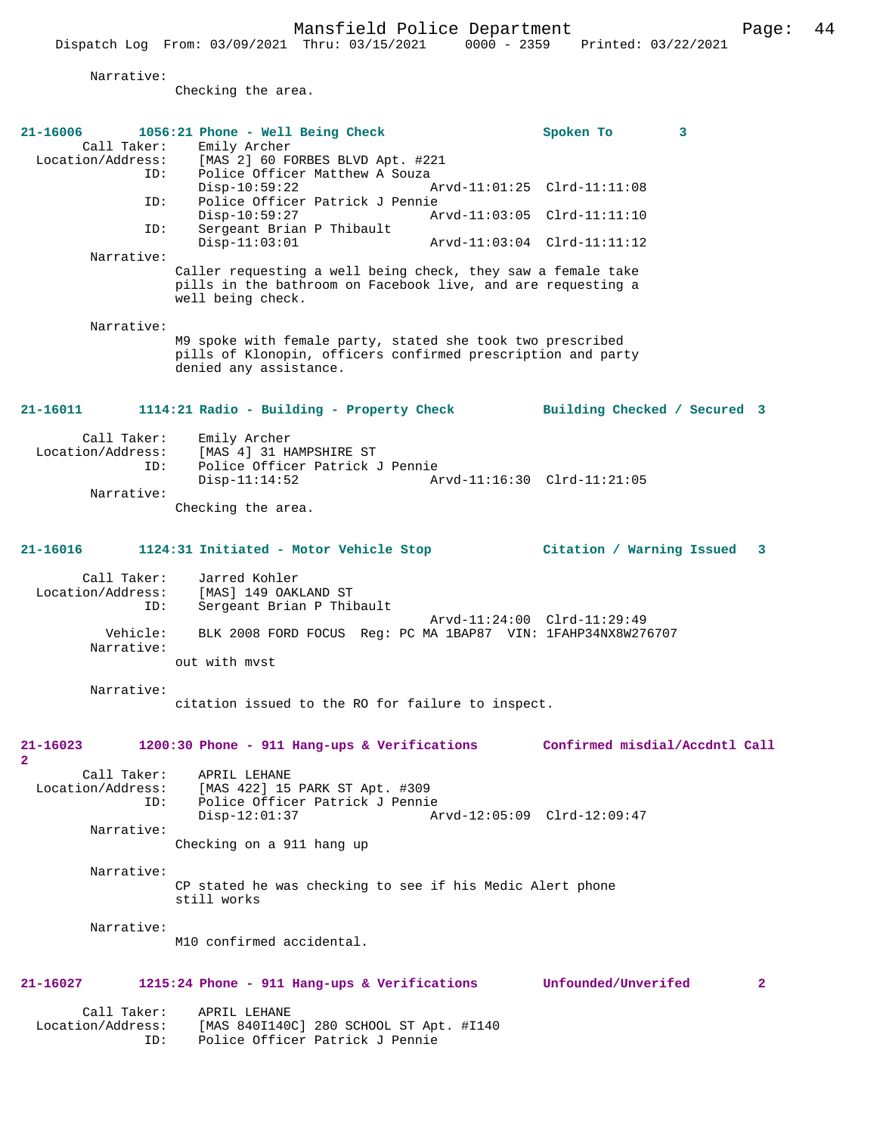|                                                       | Mansfield Police Department<br>Dispatch Log From: 03/09/2021 Thru: 03/15/2021                                                                   | $0000 - 2359$<br>Printed: 03/22/2021                       | 44<br>Page: |
|-------------------------------------------------------|-------------------------------------------------------------------------------------------------------------------------------------------------|------------------------------------------------------------|-------------|
| Narrative:                                            | Checking the area.                                                                                                                              |                                                            |             |
| 21-16006<br>Call Taker:<br>Location/Address:<br>ID:   | 1056:21 Phone - Well Being Check<br>Emily Archer<br>[MAS 2] 60 FORBES BLVD Apt. #221<br>Police Officer Matthew A Souza                          | Spoken To<br>3                                             |             |
| ID:<br>ID:                                            | $Disp-10:59:22$<br>Police Officer Patrick J Pennie<br>$Disp-10:59:27$<br>Sergeant Brian P Thibault                                              | Arvd-11:01:25 Clrd-11:11:08<br>Arvd-11:03:05 Clrd-11:11:10 |             |
| Narrative:                                            | $Disp-11:03:01$<br>Caller requesting a well being check, they saw a female take<br>pills in the bathroom on Facebook live, and are requesting a | Arvd-11:03:04 Clrd-11:11:12                                |             |
| Narrative:                                            | well being check.<br>M9 spoke with female party, stated she took two prescribed<br>pills of Klonopin, officers confirmed prescription and party |                                                            |             |
| 21-16011                                              | denied any assistance.<br>1114:21 Radio - Building - Property Check                                                                             | Building Checked / Secured 3                               |             |
| Call Taker:<br>Location/Address:<br>ID:<br>Narrative: | Emily Archer<br>[MAS 4] 31 HAMPSHIRE ST<br>Police Officer Patrick J Pennie<br>$Disp-11:14:52$                                                   | Arvd-11:16:30 Clrd-11:21:05                                |             |
|                                                       | Checking the area.                                                                                                                              |                                                            |             |
| 21-16016<br>Call Taker:                               | 1124:31 Initiated - Motor Vehicle Stop<br>Jarred Kohler                                                                                         | Citation / Warning Issued                                  | 3           |
| Location/Address:<br>ID:<br>Vehicle:                  | [MAS] 149 OAKLAND ST<br>Sergeant Brian P Thibault<br>BLK 2008 FORD FOCUS Reg: PC MA 1BAP87 VIN: 1FAHP34NX8W276707                               | Arvd-11:24:00 Clrd-11:29:49                                |             |
| Narrative:                                            | out with myst                                                                                                                                   |                                                            |             |
| Narrative:                                            | citation issued to the RO for failure to inspect.                                                                                               |                                                            |             |
| $21 - 16023$<br>$\overline{2}$<br>Call Taker:         | 1200:30 Phone - 911 Hang-ups & Verifications<br>APRIL LEHANE                                                                                    | Confirmed misdial/Accdntl Call                             |             |
| Location/Address:<br>ID:                              | [MAS 422] 15 PARK ST Apt. #309<br>Police Officer Patrick J Pennie<br>$Disp-12:01:37$                                                            | Arvd-12:05:09 Clrd-12:09:47                                |             |
| Narrative:                                            | Checking on a 911 hang up                                                                                                                       |                                                            |             |
| Narrative:                                            | CP stated he was checking to see if his Medic Alert phone<br>still works                                                                        |                                                            |             |

Narrative:

M10 confirmed accidental.

# **21-16027 1215:24 Phone - 911 Hang-ups & Verifications Unfounded/Unverifed 2**

 Call Taker: APRIL LEHANE Location/Address: [MAS 840I140C] 280 SCHOOL ST Apt. #I140 ID: Police Officer Patrick J Pennie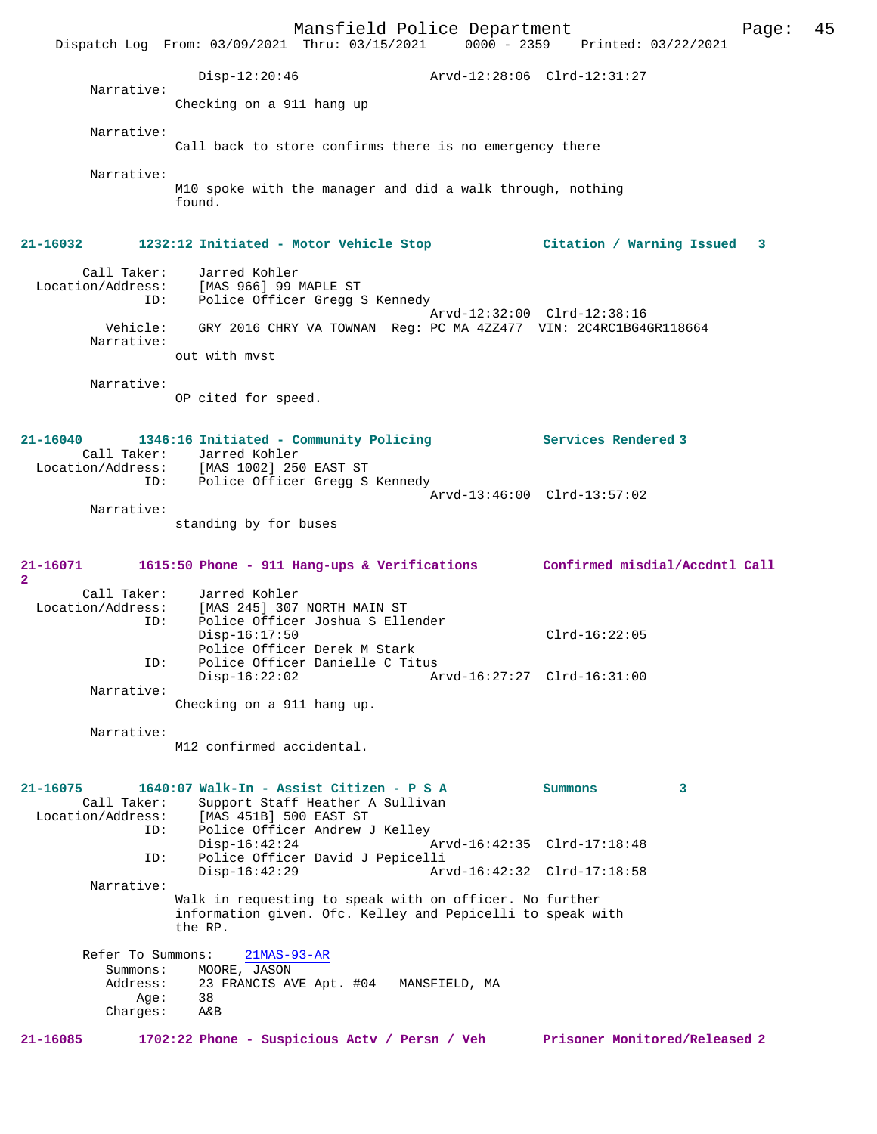|                          | Mansfield Police Department                                                                |                             |                               | Page: | 45 |
|--------------------------|--------------------------------------------------------------------------------------------|-----------------------------|-------------------------------|-------|----|
|                          | Dispatch Log From: 03/09/2021 Thru: 03/15/2021 0000 - 2359 Printed: 03/22/2021             |                             |                               |       |    |
|                          | $Disp-12:20:46$                                                                            | Arvd-12:28:06 Clrd-12:31:27 |                               |       |    |
| Narrative:               | Checking on a 911 hang up                                                                  |                             |                               |       |    |
| Narrative:               |                                                                                            |                             |                               |       |    |
|                          | Call back to store confirms there is no emergency there                                    |                             |                               |       |    |
| Narrative:               |                                                                                            |                             |                               |       |    |
|                          | M10 spoke with the manager and did a walk through, nothing<br>found.                       |                             |                               |       |    |
| 21-16032                 | 1232:12 Initiated - Motor Vehicle Stop                    Citation / Warning Issued        |                             |                               | 3     |    |
| Call Taker:<br>ID:       | Jarred Kohler<br>Location/Address: [MAS 966] 99 MAPLE ST<br>Police Officer Gregg S Kennedy |                             |                               |       |    |
| Vehicle:                 | GRY 2016 CHRY VA TOWNAN Reg: PC MA 4ZZ477 VIN: 2C4RC1BG4GR118664                           | Arvd-12:32:00 Clrd-12:38:16 |                               |       |    |
| Narrative:               | out with myst                                                                              |                             |                               |       |    |
|                          |                                                                                            |                             |                               |       |    |
| Narrative:               | OP cited for speed.                                                                        |                             |                               |       |    |
|                          |                                                                                            |                             |                               |       |    |
| 21-16040                 | 1346:16 Initiated - Community Policing<br>Call Taker: Jarred Kohler                        |                             | Services Rendered 3           |       |    |
| ID:                      | Location/Address: [MAS 1002] 250 EAST ST<br>Police Officer Gregg S Kennedy                 |                             |                               |       |    |
|                          |                                                                                            | Arvd-13:46:00 Clrd-13:57:02 |                               |       |    |
| Narrative:               | standing by for buses                                                                      |                             |                               |       |    |
|                          |                                                                                            |                             |                               |       |    |
| 21-16071<br>2.           | 1615:50 Phone - 911 Hang-ups & Verifications Confirmed misdial/Accdntl Call                |                             |                               |       |    |
| Call Taker:              | Jarred Kohler<br>Location/Address: [MAS 245] 307 NORTH MAIN ST                             |                             |                               |       |    |
| ID:                      | Police Officer Joshua S Ellender                                                           |                             | $Clrd-16:22:05$               |       |    |
|                          | $Disp-16:17:50$<br>Police Officer Derek M Stark                                            |                             |                               |       |    |
| ID:                      | Police Officer Danielle C Titus<br>$Disp-16:22:02$                                         | Arvd-16:27:27 Clrd-16:31:00 |                               |       |    |
| Narrative:               | Checking on a 911 hang up.                                                                 |                             |                               |       |    |
| Narrative:               |                                                                                            |                             |                               |       |    |
|                          | M12 confirmed accidental.                                                                  |                             |                               |       |    |
|                          |                                                                                            |                             |                               |       |    |
| 21-16075<br>Call Taker:  | 1640:07 Walk-In - Assist Citizen - P S A<br>Support Staff Heather A Sullivan               |                             | Summons                       | 3     |    |
| Location/Address:<br>ID: | [MAS 451B] 500 EAST ST<br>Police Officer Andrew J Kelley                                   |                             |                               |       |    |
| ID:                      | $Disp-16:42:24$<br>Police Officer David J Pepicelli                                        | Arvd-16:42:35 Clrd-17:18:48 |                               |       |    |
|                          | $Disp-16:42:29$                                                                            | Arvd-16:42:32 Clrd-17:18:58 |                               |       |    |
| Narrative:               | Walk in requesting to speak with on officer. No further                                    |                             |                               |       |    |
|                          | information given. Ofc. Kelley and Pepicelli to speak with<br>the RP.                      |                             |                               |       |    |
| Refer To Summons:        | $21MAS-93-AR$                                                                              |                             |                               |       |    |
| Summons:<br>Address:     | MOORE, JASON<br>23 FRANCIS AVE Apt. #04 MANSFIELD, MA                                      |                             |                               |       |    |
| Aqe:<br>Charges:         | 38<br>A&B                                                                                  |                             |                               |       |    |
| 21-16085                 | 1702:22 Phone - Suspicious Actv / Persn / Veh                                              |                             | Prisoner Monitored/Released 2 |       |    |
|                          |                                                                                            |                             |                               |       |    |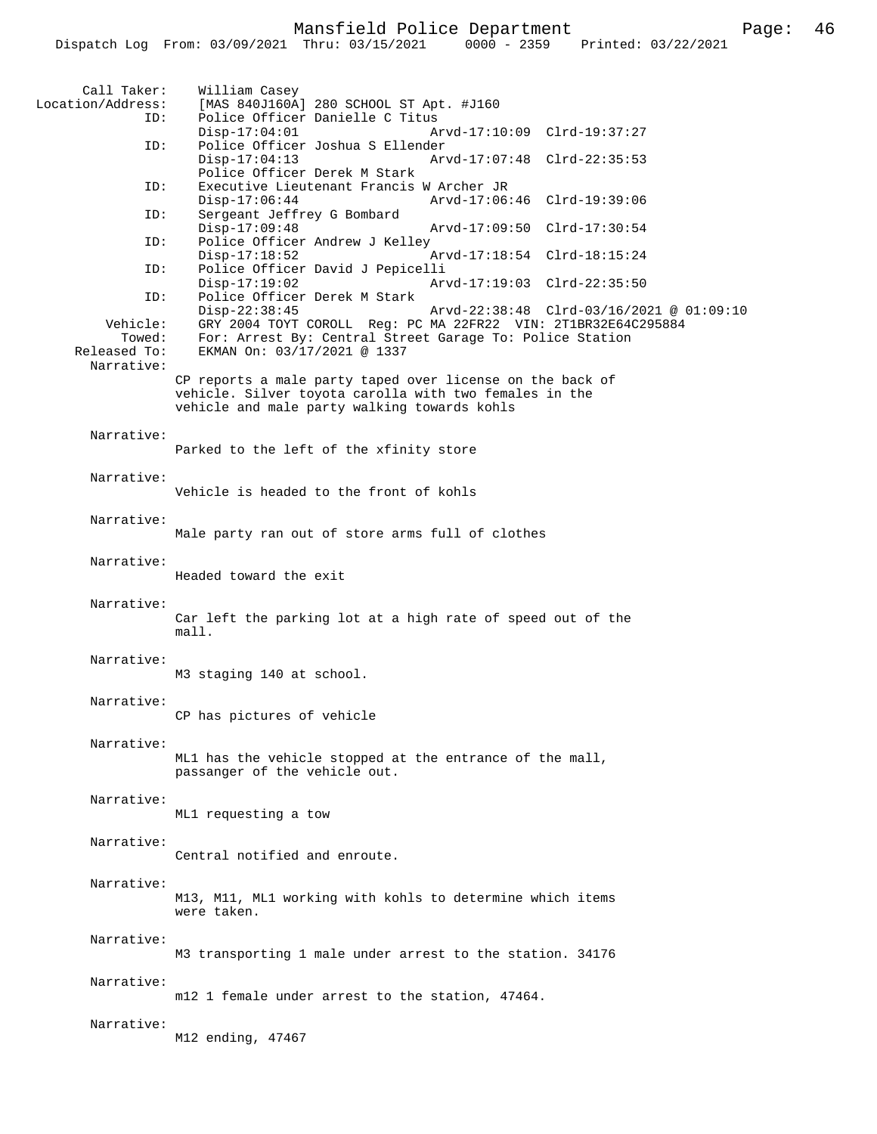| Call Taker:<br>Location/Address:   | William Casey<br>[MAS 840J160A] 280 SCHOOL ST Apt. #J160                                                                                                                                                                |
|------------------------------------|-------------------------------------------------------------------------------------------------------------------------------------------------------------------------------------------------------------------------|
| ID:<br>ID:                         | Police Officer Danielle C Titus<br>$Disp-17:04:01$<br>Arvd-17:10:09 Clrd-19:37:27<br>Police Officer Joshua S Ellender                                                                                                   |
|                                    | $Disp-17:04:13$<br>Arvd-17:07:48 Clrd-22:35:53<br>Police Officer Derek M Stark                                                                                                                                          |
| ID:                                | Executive Lieutenant Francis W Archer JR<br>$Disp-17:06:44$<br>Arvd-17:06:46 Clrd-19:39:06                                                                                                                              |
| ID:                                | Sergeant Jeffrey G Bombard<br>$Disp-17:09:48$<br>Arvd-17:09:50 Clrd-17:30:54                                                                                                                                            |
| ID:<br>ID:                         | Police Officer Andrew J Kelley<br>$Disp-17:18:52$<br>Arvd-17:18:54 Clrd-18:15:24<br>Police Officer David J Pepicelli                                                                                                    |
| ID:                                | $Disp-17:19:02$<br>Arvd-17:19:03 Clrd-22:35:50<br>Police Officer Derek M Stark                                                                                                                                          |
| Vehicle:<br>Towed:<br>Released To: | $Disp-22:38:45$<br>Arvd-22:38:48 Clrd-03/16/2021 @ 01:09:10<br>GRY 2004 TOYT COROLL Reg: PC MA 22FR22 VIN: 2T1BR32E64C295884<br>For: Arrest By: Central Street Garage To: Police Station<br>EKMAN On: 03/17/2021 @ 1337 |
| Narrative:                         | CP reports a male party taped over license on the back of<br>vehicle. Silver toyota carolla with two females in the<br>vehicle and male party walking towards kohls                                                     |
| Narrative:                         | Parked to the left of the xfinity store                                                                                                                                                                                 |
| Narrative:                         | Vehicle is headed to the front of kohls                                                                                                                                                                                 |
| Narrative:                         | Male party ran out of store arms full of clothes                                                                                                                                                                        |
| Narrative:                         | Headed toward the exit                                                                                                                                                                                                  |
| Narrative:                         | Car left the parking lot at a high rate of speed out of the<br>mall.                                                                                                                                                    |
| Narrative:                         | M3 staging 140 at school.                                                                                                                                                                                               |
| Narrative:                         | CP has pictures of vehicle                                                                                                                                                                                              |
| Narrative:                         | ML1 has the vehicle stopped at the entrance of the mall,<br>passanger of the vehicle out.                                                                                                                               |
| Narrative:                         | ML1 requesting a tow                                                                                                                                                                                                    |
| Narrative:                         | Central notified and enroute.                                                                                                                                                                                           |
| Narrative:                         | M13, M11, ML1 working with kohls to determine which items<br>were taken.                                                                                                                                                |
| Narrative:                         | M3 transporting 1 male under arrest to the station. 34176                                                                                                                                                               |
| Narrative:                         | m12 1 female under arrest to the station, 47464.                                                                                                                                                                        |
| Narrative:                         | M12 ending, 47467                                                                                                                                                                                                       |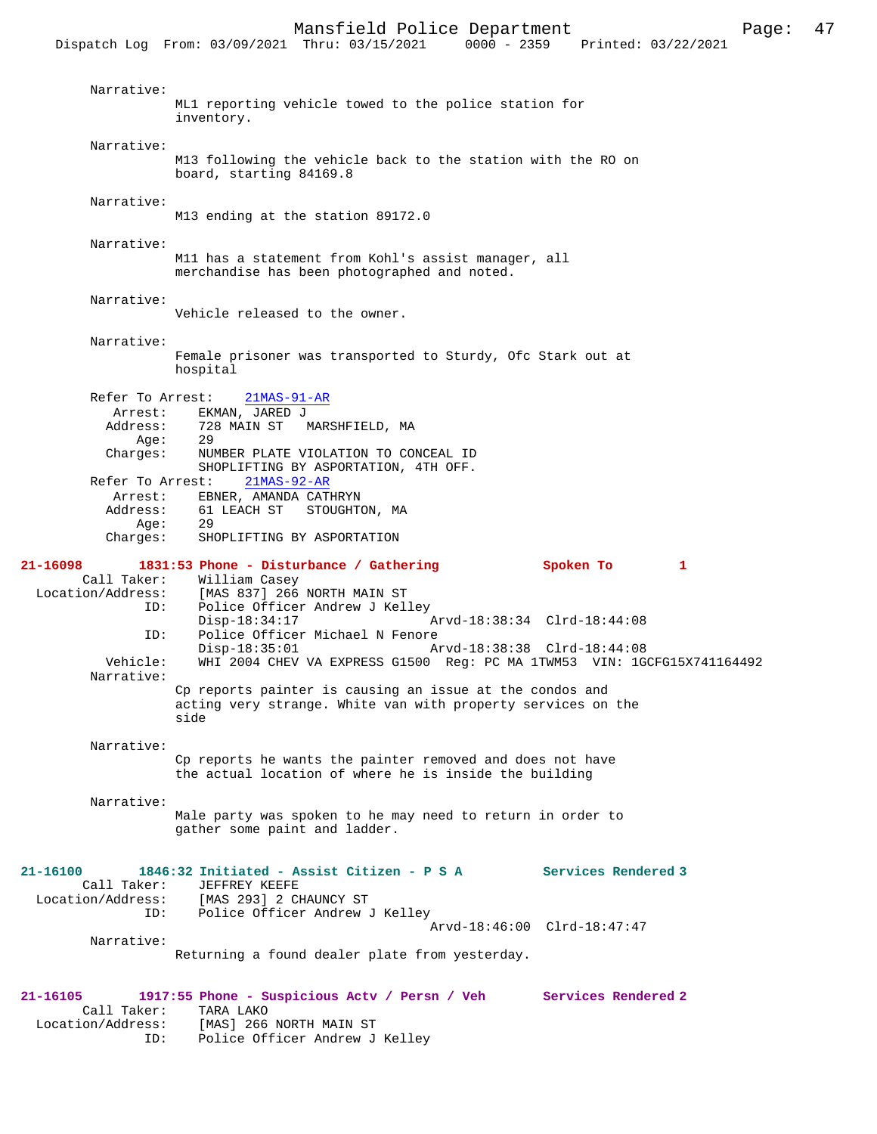Dispatch Log From: 03/09/2021 Thru: 03/15/2021 Narrative: ML1 reporting vehicle towed to the police station for inventory. Narrative: M13 following the vehicle back to the station with the RO on board, starting 84169.8 Narrative: M13 ending at the station 89172.0 Narrative: M11 has a statement from Kohl's assist manager, all merchandise has been photographed and noted. Narrative: Vehicle released to the owner. Narrative: Female prisoner was transported to Sturdy, Ofc Stark out at hospital Refer To Arrest: 21MAS-91-AR Arrest: EKMAN, JARED J<br>Address: 728 MAIN ST 728 MAIN ST MARSHFIELD, MA<br>29 Age:<br>:Charges NUMBER PLATE VIOLATION TO CONCEAL ID SHOPLIFTING BY ASPORTATION, 4TH OFF. Refer To Arrest: 21MAS-92-AR Arrest: EBNER, AMANDA CATHRYN<br>Address: 61 LEACH ST STOUGHT 61 LEACH ST STOUGHTON, MA Age: 29<br>Charges: SHO SHOPLIFTING BY ASPORTATION **21-16098 1831:53 Phone - Disturbance / Gathering Spoken To 1**  Call Taker: William Casey<br>Location/Address: [MAS 837] 266 ess: [MAS 837] 266 NORTH MAIN ST<br>ID: Police Officer Andrew J Kel Police Officer Andrew J Kelley<br>Disp-18:34:17 Disp-18:34:17 <br>Disp-18:34:17 Arvd-18:38:34 Clrd-18:44:08<br>Dice Officer Michael N Fenore Police Officer Michael N Fenore Disp-18:35:01 Arvd-18:38:38 Clrd-18:44:08<br>Vehicle: WHI 2004 CHEV VA EXPRESS G1500 Reg: PC MA 1TWM53 VIN: 1G WHI 2004 CHEV VA EXPRESS G1500 Reg: PC MA 1TWM53 VIN: 1GCFG15X741164492 Narrative: Cp reports painter is causing an issue at the condos and acting very strange. White van with property services on the side Narrative: Cp reports he wants the painter removed and does not have the actual location of where he is inside the building Narrative: Male party was spoken to he may need to return in order to gather some paint and ladder. **21-16100 1846:32 Initiated - Assist Citizen - P S A Services Rendered 3**  Call Taker: JEFFREY KEEFE<br>Location/Address: [MAS 293] 2 C ess: [MAS 293] 2 CHAUNCY ST<br>ID: Police Officer Andrew Police Officer Andrew J Kelley Arvd-18:46:00 Clrd-18:47:47 Narrative: Returning a found dealer plate from yesterday. **21-16105 1917:55 Phone - Suspicious Actv / Persn / Veh Services Rendered 2**  Call Taker: TARA LAKO<br>Location/Address: [MAS] 266 ess: [MAS] 266 NORTH MAIN ST<br>ID: Police Officer Andrew J Police Officer Andrew J Kelley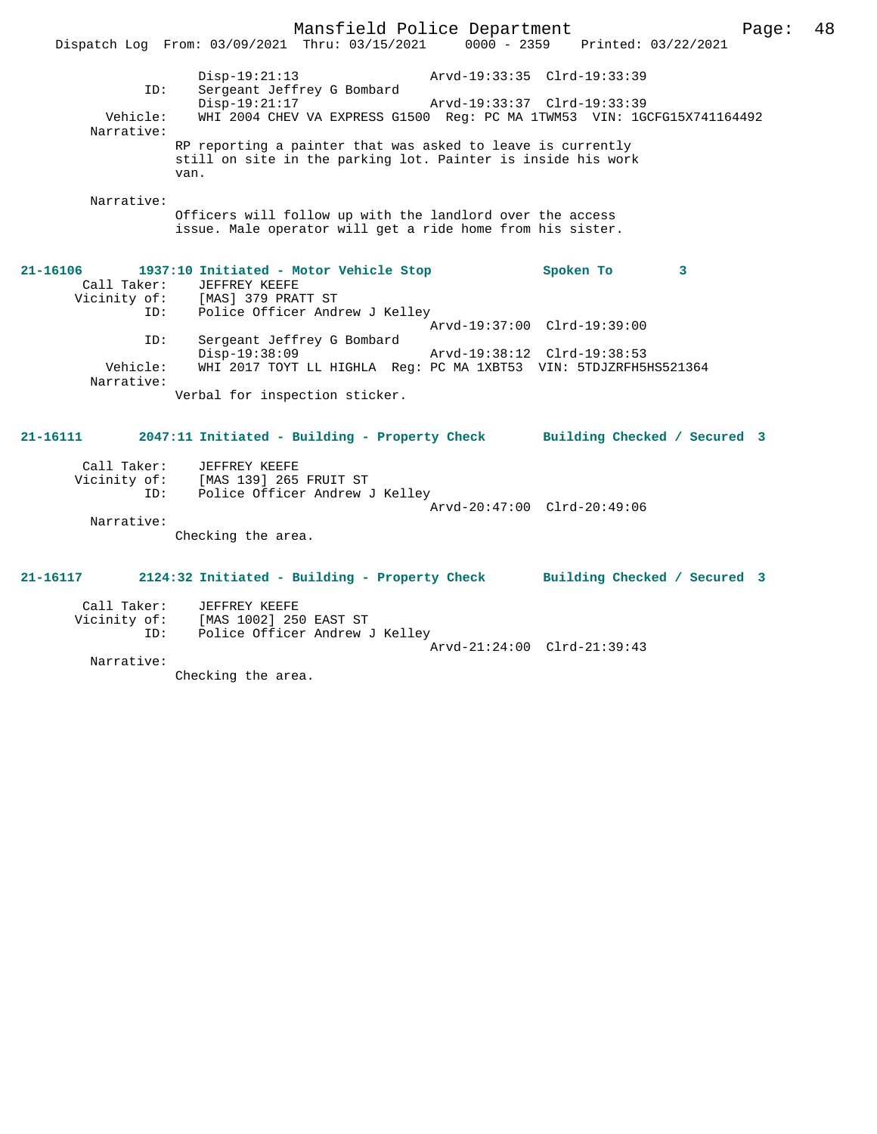Mansfield Police Department Page: 48 Dispatch Log From: 03/09/2021 Thru: 03/15/2021 0000 - 2359 Printed: 03/22/2021 Disp-19:21:13 Arvd-19:33:35 Clrd-19:33:39 ID: Sergeant Jeffrey G Bombard Disp-19:21:17<br>Vehicle: WHI 2004 CHEV VA EXPRESS G1500 Reg: PC MA 1TWM53 VIN: 1G WHI 2004 CHEV VA EXPRESS G1500 Reg: PC MA 1TWM53 VIN: 1GCFG15X741164492 Narrative: RP reporting a painter that was asked to leave is currently still on site in the parking lot. Painter is inside his work van. Narrative: Officers will follow up with the landlord over the access issue. Male operator will get a ride home from his sister. **21-16106 1937:10 Initiated - Motor Vehicle Stop Spoken To 3**  Call Taker: JEFFREY KEEFE Vicinity of: [MAS] 379 PRATT ST ID: Police Officer Andrew J Kelley Arvd-19:37:00 Clrd-19:39:00 ID: Sergeant Jeffrey G Bombard Disp-19:38:09 Arvd-19:38:12 Clrd-19:38:53 WHI 2017 TOYT LL HIGHLA Reg: PC MA 1XBT53 VIN: 5TDJZRFH5HS521364 Narrative: Verbal for inspection sticker. **21-16111 2047:11 Initiated - Building - Property Check Building Checked / Secured 3** Call Taker: JEFFREY KEEFE Vicinity of: [MAS 139] 265 FRUIT ST ID: Police Officer Andrew J Kelley Arvd-20:47:00 Clrd-20:49:06 Narrative: Checking the area. **21-16117 2124:32 Initiated - Building - Property Check Building Checked / Secured 3** Call Taker: JEFFREY KEEFE<br>Vicinity of: [MAS 1002] 250 of: [MAS 1002] 250 EAST ST<br>ID: Police Officer Andrew Instance of Policer Andrew J Kelley Arvd-21:24:00 Clrd-21:39:43 Narrative:

Checking the area.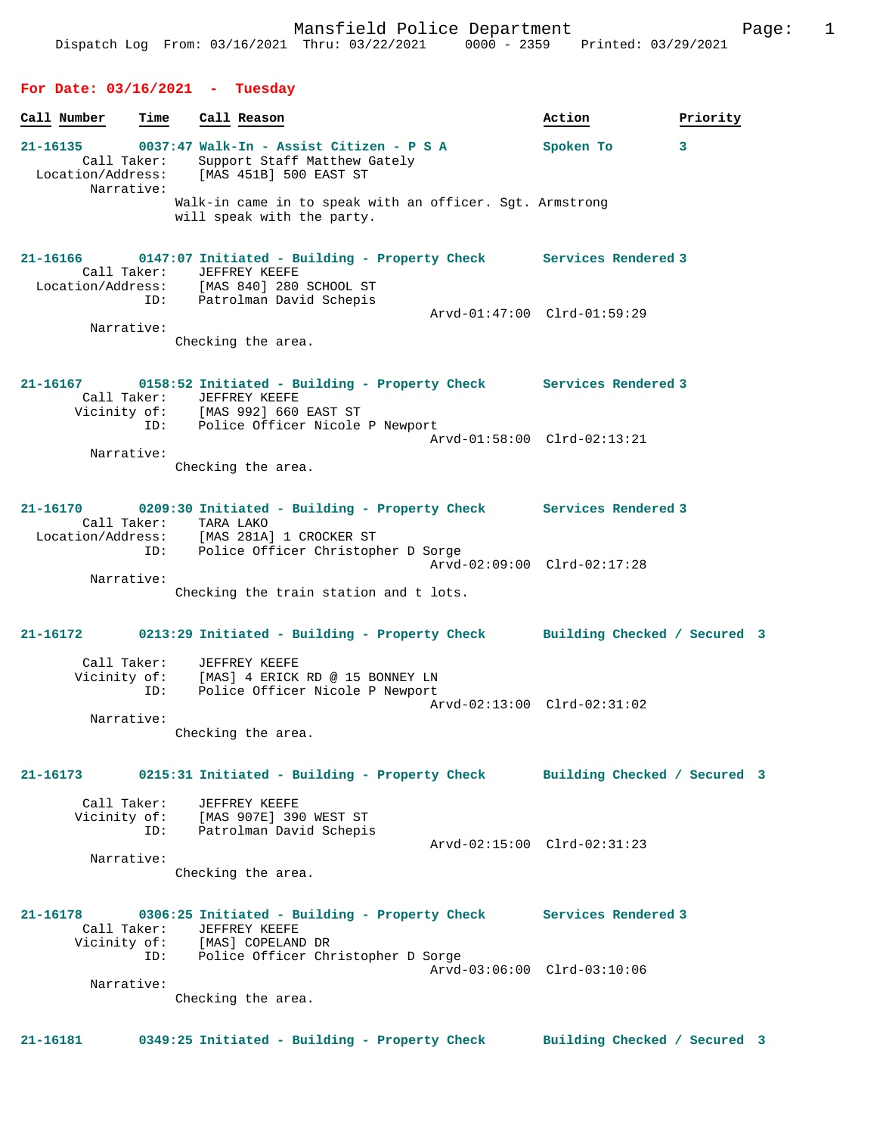# Dispatch Log From: 03/16/2021 Thru: 03/22/2021 0000 - 2359 Printed: 03/29/2021 **For Date: 03/16/2021 - Tuesday Call Number Time Call Reason 6 and Call Reason Action Action Priority 21-16135 0037:47 Walk-In - Assist Citizen - P S A Spoken To 3**  Call Taker: Support Staff Matthew Gately<br>Location/Address: [MAS 451B] 500 EAST ST [MAS 451B] 500 EAST ST Narrative: Walk-in came in to speak with an officer. Sgt. Armstrong will speak with the party. **21-16166 0147:07 Initiated - Building - Property Check Services Rendered 3**  Call Taker: JEFFREY KEEFE Location/Address: [MAS 840] 280 SCHOOL ST ID: Patrolman David Schepis Arvd-01:47:00 Clrd-01:59:29 Narrative: Checking the area. **21-16167 0158:52 Initiated - Building - Property Check Services Rendered 3**  Call Taker: JEFFREY KEEFE<br>Vicinity of: [MAS 992] 660 [MAS 992] 660 EAST ST ID: Police Officer Nicole P Newport Arvd-01:58:00 Clrd-02:13:21 Narrative: Checking the area. **21-16170 0209:30 Initiated - Building - Property Check Services Rendered 3**  Call Taker: TARA LAKO<br>Location/Address: [MAS 281A Location/Address: [MAS 281A] 1 CROCKER ST ID: Police Officer Christopher D Sorge Arvd-02:09:00 Clrd-02:17:28 Narrative: Checking the train station and t lots. **21-16172 0213:29 Initiated - Building - Property Check Building Checked / Secured 3** Call Taker: JEFFREY KEEFE Vicinity of: [MAS] 4 ERICK RD @ 15 BONNEY LN ID: Police Officer Nicole P Newport Arvd-02:13:00 Clrd-02:31:02 Narrative: Checking the area. **21-16173 0215:31 Initiated - Building - Property Check Building Checked / Secured 3** Call Taker: JEFFREY KEEFE Vicinity of: [MAS 907E] 390 WEST ST ID: Patrolman David Schepis Arvd-02:15:00 Clrd-02:31:23 Narrative: Checking the area. **21-16178 0306:25 Initiated - Building - Property Check Services Rendered 3**  Call Taker: JEFFREY KEEFE Vicinity of: [MAS] COPELAND DR ID: Police Officer Christopher D Sorge

Arvd-03:06:00 Clrd-03:10:06

Checking the area.

Narrative:

**21-16181 0349:25 Initiated - Building - Property Check Building Checked / Secured 3**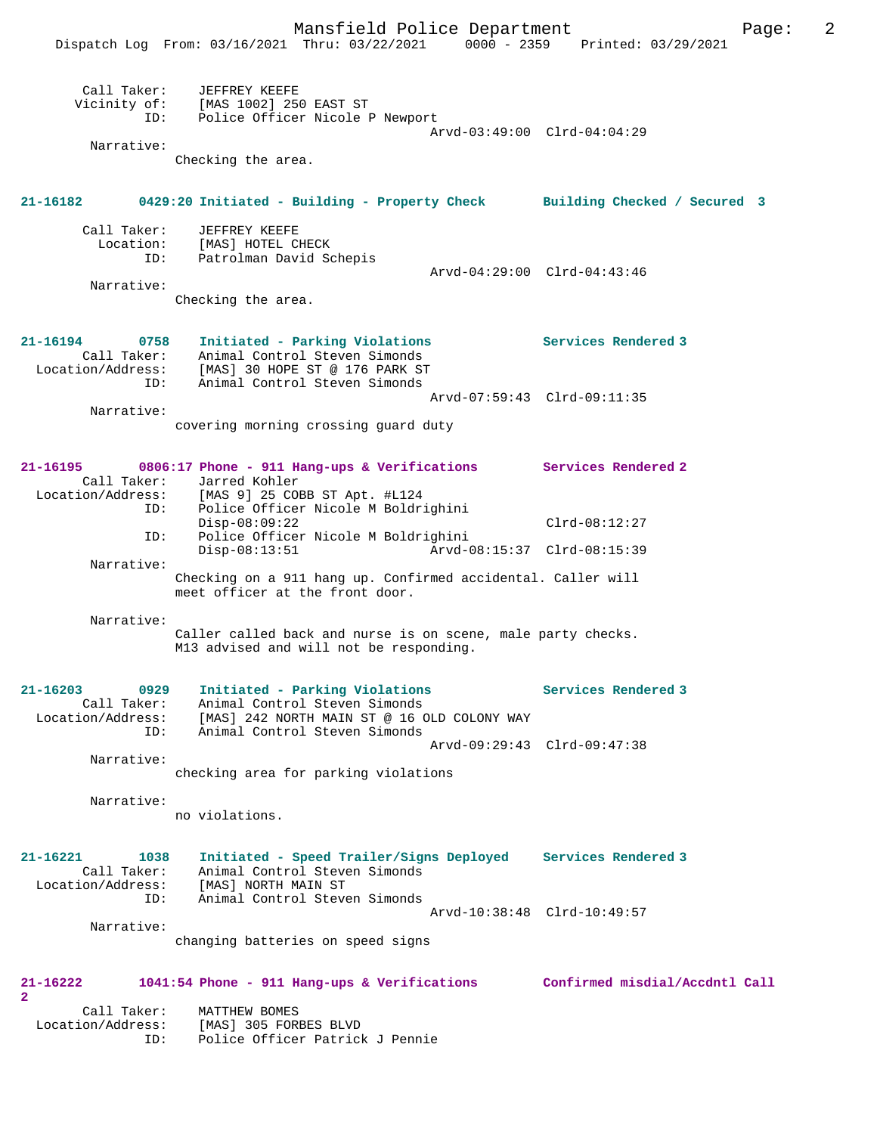|                                  | Dispatch Log From: 03/16/2021 Thru: 03/22/2021                                                          | $0000 - 2359$               | Printed: 03/29/2021            |
|----------------------------------|---------------------------------------------------------------------------------------------------------|-----------------------------|--------------------------------|
| Call Taker:<br>ID:               | JEFFREY KEEFE<br>Vicinity of: [MAS 1002] 250 EAST ST<br>Police Officer Nicole P Newport                 |                             |                                |
|                                  |                                                                                                         |                             | Arvd-03:49:00 Clrd-04:04:29    |
| Narrative:                       |                                                                                                         |                             |                                |
|                                  | Checking the area.                                                                                      |                             |                                |
| 21-16182                         | 0429:20 Initiated - Building - Property Check Building Checked / Secured 3                              |                             |                                |
| Call Taker:                      | JEFFREY KEEFE                                                                                           |                             |                                |
| Location:                        | [MAS] HOTEL CHECK                                                                                       |                             |                                |
| ID:                              | Patrolman David Schepis                                                                                 |                             | Arvd-04:29:00 Clrd-04:43:46    |
| Narrative:                       |                                                                                                         |                             |                                |
|                                  | Checking the area.                                                                                      |                             |                                |
| 21-16194<br>0758                 | Initiated - Parking Violations                                                                          |                             | <b>Services Rendered 3</b>     |
| Call Taker:                      | Animal Control Steven Simonds                                                                           |                             |                                |
| ID:                              | Location/Address: [MAS] 30 HOPE ST @ 176 PARK ST<br>Animal Control Steven Simonds                       |                             |                                |
|                                  |                                                                                                         | Arvd-07:59:43 Clrd-09:11:35 |                                |
| Narrative:                       |                                                                                                         |                             |                                |
|                                  | covering morning crossing quard duty                                                                    |                             |                                |
| 21-16195                         | 0806:17 Phone - 911 Hang-ups & Verifications Services Rendered 2                                        |                             |                                |
| Call Taker:                      | Jarred Kohler                                                                                           |                             |                                |
| Location/Address:<br>ID:         | [MAS 9] 25 COBB ST Apt. #L124<br>Police Officer Nicole M Boldrighini                                    |                             |                                |
|                                  | $Disp-08:09:22$                                                                                         |                             | $Clrd-08:12:27$                |
| ID:                              | Police Officer Nicole M Boldrighini                                                                     |                             |                                |
|                                  | $Disp-08:13:51$                                                                                         | Arvd-08:15:37 Clrd-08:15:39 |                                |
| Narrative:                       | Checking on a 911 hang up. Confirmed accidental. Caller will                                            |                             |                                |
|                                  | meet officer at the front door.                                                                         |                             |                                |
| Narrative:                       |                                                                                                         |                             |                                |
|                                  | Caller called back and nurse is on scene, male party checks.<br>M13 advised and will not be responding. |                             |                                |
| 21-16203<br>0929                 | Initiated - Parking Violations                                                                          |                             | Services Rendered 3            |
| Call Taker:                      | Animal Control Steven Simonds                                                                           |                             |                                |
| Location/Address:                | [MAS] 242 NORTH MAIN ST @ 16 OLD COLONY WAY                                                             |                             |                                |
| ID:                              | Animal Control Steven Simonds                                                                           | Arvd-09:29:43 Clrd-09:47:38 |                                |
| Narrative:                       |                                                                                                         |                             |                                |
|                                  | checking area for parking violations                                                                    |                             |                                |
|                                  |                                                                                                         |                             |                                |
| Narrative:                       | no violations.                                                                                          |                             |                                |
|                                  |                                                                                                         |                             |                                |
| 21-16221<br>1038                 | Initiated - Speed Trailer/Signs Deployed                                                                |                             | Services Rendered 3            |
| Call Taker:                      | Animal Control Steven Simonds                                                                           |                             |                                |
| Location/Address:                | [MAS] NORTH MAIN ST                                                                                     |                             |                                |
| ID:                              | Animal Control Steven Simonds                                                                           |                             |                                |
| Narrative:                       |                                                                                                         | Arvd-10:38:48 Clrd-10:49:57 |                                |
|                                  | changing batteries on speed signs                                                                       |                             |                                |
|                                  |                                                                                                         |                             |                                |
| 21-16222                         | 1041:54 Phone - 911 Hang-ups & Verifications                                                            |                             | Confirmed misdial/Accdntl Call |
| 2                                |                                                                                                         |                             |                                |
| Call Taker:<br>Location/Address: | MATTHEW BOMES<br>[MAS] 305 FORBES BLVD                                                                  |                             |                                |
| ID:                              | Police Officer Patrick J Pennie                                                                         |                             |                                |
|                                  |                                                                                                         |                             |                                |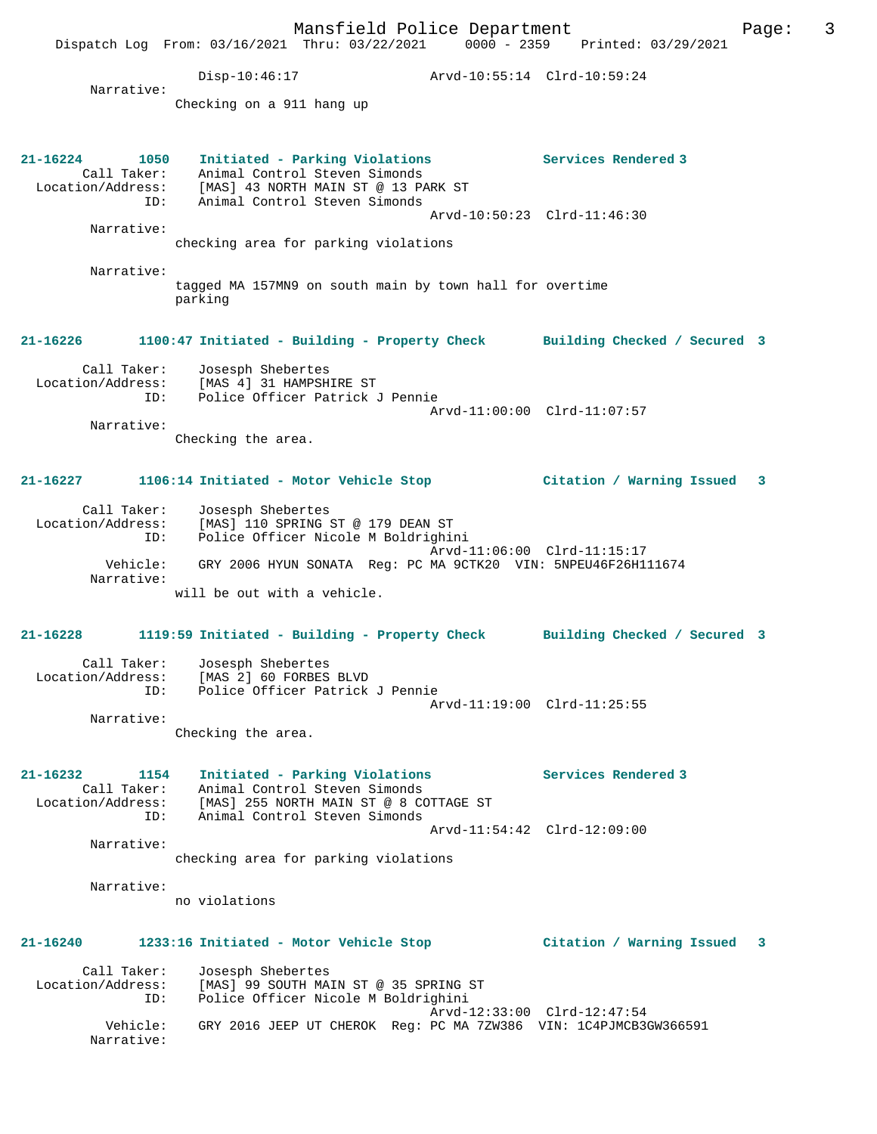Mansfield Police Department Fage: 3 Dispatch Log From: 03/16/2021 Thru: 03/22/2021 0000 - 2359 Printed: 03/29/2021 Disp-10:46:17 Arvd-10:55:14 Clrd-10:59:24 Narrative: Checking on a 911 hang up **21-16224 1050 Initiated - Parking Violations Services Rendered 3**  Call Taker: Animal Control Steven Simonds Location/Address: [MAS] 43 NORTH MAIN ST @ 13 PARK ST ID: Animal Control Steven Simonds Arvd-10:50:23 Clrd-11:46:30 Narrative: checking area for parking violations Narrative: tagged MA 157MN9 on south main by town hall for overtime parking **21-16226 1100:47 Initiated - Building - Property Check Building Checked / Secured 3** Call Taker: Josesph Shebertes Location/Address: [MAS 4] 31 HAMPSHIRE ST ID: Police Officer Patrick J Pennie Arvd-11:00:00 Clrd-11:07:57 Narrative: Checking the area. **21-16227 1106:14 Initiated - Motor Vehicle Stop Citation / Warning Issued 3** Call Taker: Josesph Shebertes Location/Address: [MAS] 110 SPRING ST @ 179 DEAN ST ID: Police Officer Nicole M Boldrighini Arvd-11:06:00 Clrd-11:15:17 Vehicle: GRY 2006 HYUN SONATA Reg: PC MA 9CTK20 VIN: 5NPEU46F26H111674 Narrative: will be out with a vehicle. **21-16228 1119:59 Initiated - Building - Property Check Building Checked / Secured 3** Call Taker: Josesph Shebertes Location/Address: [MAS 2] 60 FORBES BLVD ID: Police Officer Patrick J Pennie Arvd-11:19:00 Clrd-11:25:55 Narrative: Checking the area. **21-16232 1154 Initiated - Parking Violations Services Rendered 3**  Call Taker: Animal Control Steven Simonds Location/Address: [MAS] 255 NORTH MAIN ST @ 8 COTTAGE ST ID: Animal Control Steven Simonds Arvd-11:54:42 Clrd-12:09:00 Narrative: checking area for parking violations Narrative: no violations **21-16240 1233:16 Initiated - Motor Vehicle Stop Citation / Warning Issued 3** Call Taker: Josesph Shebertes Location/Address: [MAS] 99 SOUTH MAIN ST @ 35 SPRING ST Police Officer Nicole M Boldrighini Arvd-12:33:00 Clrd-12:47:54 Vehicle: GRY 2016 JEEP UT CHEROK Reg: PC MA 7ZW386 VIN: 1C4PJMCB3GW366591 Narrative: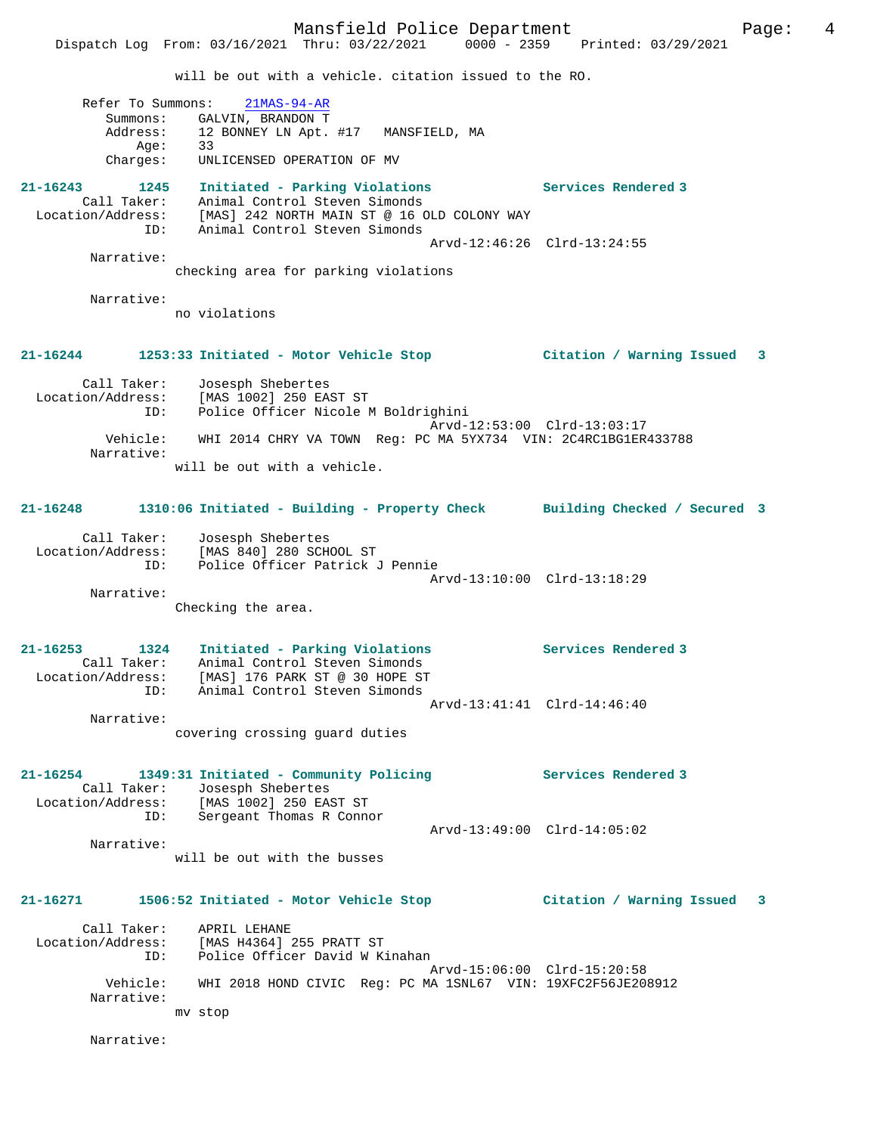Dispatch Log From: 03/16/2021 Thru: 03/22/2021 0000 - 2359 Printed: 03/29/2021 will be out with a vehicle. citation issued to the RO.

|          | Refer To Summons: 21MAS-94-AR          |
|----------|----------------------------------------|
| Summons: | GALVIN, BRANDON T                      |
| Address: | 12 BONNEY LN Apt. #17<br>MANSFIELD, MA |
| Age:     | 33                                     |
| Charges: | UNLICENSED OPERATION OF MV             |

**21-16243 1245 Initiated - Parking Violations Services Rendered 3**  Call Taker: Animal Control Steven Simonds Location/Address: [MAS] 242 NORTH MAIN ST @ 16 OLD COLONY WAY ID: Animal Control Steven Simonds Arvd-12:46:26 Clrd-13:24:55 Narrative:

checking area for parking violations

Narrative:

no violations

### **21-16244 1253:33 Initiated - Motor Vehicle Stop Citation / Warning Issued 3**

 Call Taker: Josesph Shebertes Location/Address: [MAS 1002] 250 EAST ST ID: Police Officer Nicole M Boldrighini Arvd-12:53:00 Clrd-13:03:17 Vehicle: WHI 2014 CHRY VA TOWN Reg: PC MA 5YX734 VIN: 2C4RC1BG1ER433788 Narrative: will be out with a vehicle.

# **21-16248 1310:06 Initiated - Building - Property Check Building Checked / Secured 3**

 Call Taker: Josesph Shebertes Location/Address: [MAS 840] 280 SCHOOL ST ID: Police Officer Patrick J Pennie Arvd-13:10:00 Clrd-13:18:29 Narrative:

Checking the area.

**21-16253 1324 Initiated - Parking Violations Services Rendered 3**  Call Taker: Animal Control Steven Simonds Location/Address: [MAS] 176 PARK ST @ 30 HOPE ST ID: Animal Control Steven Simonds Arvd-13:41:41 Clrd-14:46:40 Narrative:

covering crossing guard duties

**21-16254 1349:31 Initiated - Community Policing Services Rendered 3**  Call Taker: Josesph Shebertes Location/Address: [MAS 1002] 250 EAST ST ID: Sergeant Thomas R Connor Arvd-13:49:00 Clrd-14:05:02 Narrative:

will be out with the busses

**21-16271 1506:52 Initiated - Motor Vehicle Stop Citation / Warning Issued 3**

 Call Taker: APRIL LEHANE Location/Address: [MAS H4364] 255 PRATT ST ID: Police Officer David W Kinahan Arvd-15:06:00 Clrd-15:20:58<br>Vehicle: WHI 2018 HOND CIVIC Reg: PC MA 1SNL67 VIN: 19XFC2F56JE200 WHI 2018 HOND CIVIC Reg: PC MA 1SNL67 VIN: 19XFC2F56JE208912 Narrative: mv stop

Narrative: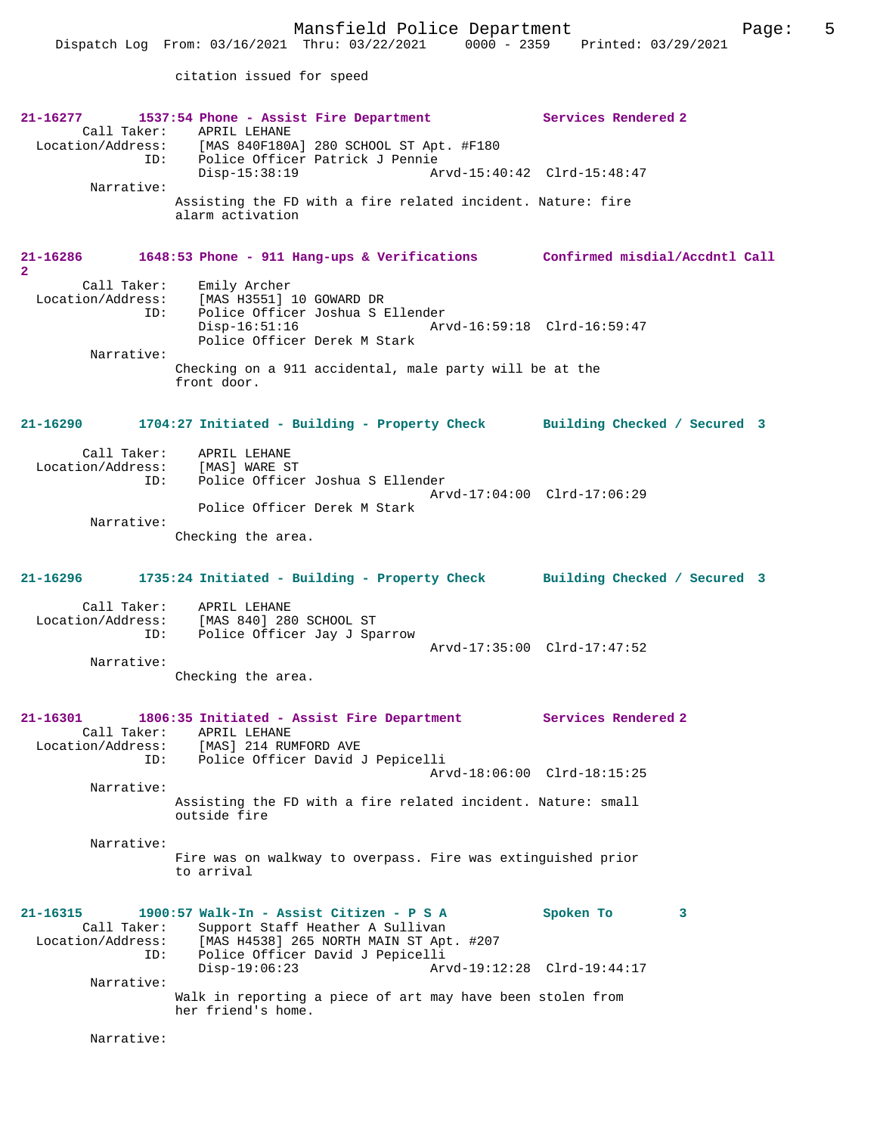citation issued for speed

| 21-16277                                                    | 1537:54 Phone - Assist Fire Department<br>Call Taker: APRIL LEHANE<br>Location/Address: [MAS 840F180A] 280 SCHOOL ST Apt. #F180                                                | Services Rendered 2                           |
|-------------------------------------------------------------|--------------------------------------------------------------------------------------------------------------------------------------------------------------------------------|-----------------------------------------------|
| Narrative:                                                  | ID: Police Officer Patrick J Pennie<br>$Disp-15:38:19$                                                                                                                         |                                               |
|                                                             | Assisting the FD with a fire related incident. Nature: fire<br>alarm activation                                                                                                |                                               |
| 21-16286<br>$\overline{a}$                                  | 1648:53 Phone - 911 Hang-ups & Verifications Confirmed misdial/Accdntl Call                                                                                                    |                                               |
| Call Taker:<br>ID:<br>Narrative:                            | Emily Archer<br>Location/Address: [MAS H3551] 10 GOWARD DR<br>Police Officer Joshua S Ellender<br>$Disp-16:51:16$<br>Police Officer Derek M Stark                              |                                               |
|                                                             | Checking on a 911 accidental, male party will be at the<br>front door.                                                                                                         |                                               |
| 21-16290                                                    | 1704:27 Initiated - Building - Property Check Building Checked / Secured 3                                                                                                     |                                               |
| Call Taker: APRIL LEHANE<br>Location/Address: [MAS] WARE ST | Police Officer Joshua S Ellender<br>ID:<br>Police Officer Derek M Stark                                                                                                        | Arvd-17:04:00 Clrd-17:06:29                   |
| Narrative:                                                  | Checking the area.                                                                                                                                                             |                                               |
| 21-16296                                                    | 1735:24 Initiated - Building - Property Check Building Checked / Secured 3                                                                                                     |                                               |
|                                                             | Call Taker: APRIL LEHANE<br>Location/Address: [MAS 840] 280 SCHOOL ST<br>ID: Police Officer Jay J Sparrow                                                                      | Arvd-17:35:00 Clrd-17:47:52                   |
| Narrative:                                                  | Checking the area.                                                                                                                                                             |                                               |
| $21 - 16301$<br>Location/Address:                           | 1806:35 Initiated - Assist Fire Department Services Rendered 2<br>Call Taker: APRIL LEHANE<br>[MAS] 214 RUMFORD AVE                                                            |                                               |
| ID:<br>Narrative:                                           | Police Officer David J Pepicelli                                                                                                                                               | Arvd-18:06:00 Clrd-18:15:25                   |
|                                                             | Assisting the FD with a fire related incident. Nature: small<br>outside fire                                                                                                   |                                               |
| Narrative:                                                  | Fire was on walkway to overpass. Fire was extinguished prior<br>to arrival                                                                                                     |                                               |
| $21 - 16315$<br>Call Taker:<br>Location/Address:<br>ID:     | 1900:57 Walk-In - Assist Citizen - P S A<br>Support Staff Heather A Sullivan<br>[MAS H4538] 265 NORTH MAIN ST Apt. #207<br>Police Officer David J Pepicelli<br>$Disp-19:06:23$ | Spoken To<br>3<br>Arvd-19:12:28 Clrd-19:44:17 |
| Narrative:                                                  |                                                                                                                                                                                |                                               |

Narrative: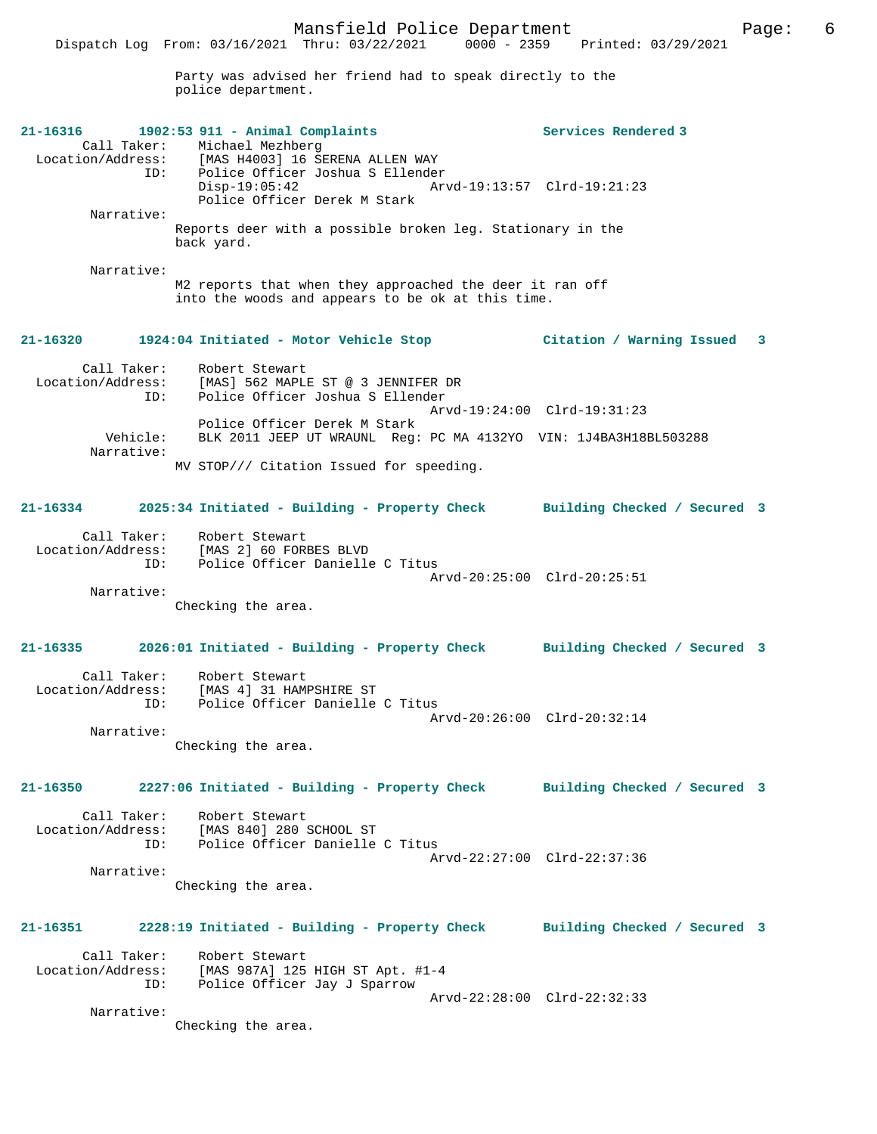Party was advised her friend had to speak directly to the police department.

| Narrative:<br>M2 reports that when they approached the deer it ran off<br>into the woods and appears to be ok at this time.<br>21-16320<br>1924:04 Initiated - Motor Vehicle Stop<br>Citation / Warning Issued<br>3<br>Call Taker:<br>Robert Stewart<br>Location/Address:<br>[MAS] 562 MAPLE ST @ 3 JENNIFER DR<br>ID:<br>Police Officer Joshua S Ellender<br>Arvd-19:24:00 Clrd-19:31:23<br>Police Officer Derek M Stark<br>Vehicle:<br>BLK 2011 JEEP UT WRAUNL Reg: PC MA 4132YO VIN: 1J4BA3H18BL503288<br>Narrative:<br>MV STOP/// Citation Issued for speeding.<br>2025:34 Initiated - Building - Property Check Building Checked / Secured 3<br>21-16334<br>Call Taker: Robert Stewart<br>Location/Address: [MAS 2] 60 FORBES BLVD<br>Police Officer Danielle C Titus<br>ID:<br>Arvd-20:25:00 Clrd-20:25:51<br>Narrative:<br>Checking the area.<br>2026:01 Initiated - Building - Property Check Building Checked / Secured 3<br>21-16335<br>Call Taker:<br>Location/Address:<br>Robert Stewart<br>[MAS 4] 31 HAMPSHIRE ST<br>Police Officer Danielle C Titus<br>ID:<br>Arvd-20:26:00 Clrd-20:32:14<br>Narrative:<br>Checking the area.<br>2227:06 Initiated - Building - Property Check Building Checked / Secured 3<br>21-16350<br>Call Taker: Robert Stewart<br>Location/Address: $[MAS 840] 280 SCHOOL ST$<br>Police Officer Danielle C Titus<br>ID:<br>Arvd-22:27:00 Clrd-22:37:36<br>Narrative:<br>Checking the area.<br>21-16351<br>2228:19 Initiated - Building - Property Check Building Checked / Secured 3<br>Call Taker: Robert Stewart<br>Location/Address: [MAS 987A] 125 HIGH ST Apt. #1-4<br>Police Officer Jay J Sparrow<br>ID:<br>Arvd-22:28:00 Clrd-22:32:33<br>Narrative:<br>Checking the area. | $21 - 16316$<br>Narrative: | 1902:53 911 - Animal Complaints<br>Call Taker: Michael Mezhberg<br>Location/Address: [MAS H4003] 16 SERENA ALLEN WAY<br>ID: Police Officer Joshua S Ellender<br>Police Officer Joshua S Ellender<br>Disp-19:05:42<br>Police Officer Derek M Stark<br>Reports deer with a possible broken leg. Stationary in the<br>back yard. | Services Rendered 3<br>Arvd-19:13:57 Clrd-19:21:23 |  |
|--------------------------------------------------------------------------------------------------------------------------------------------------------------------------------------------------------------------------------------------------------------------------------------------------------------------------------------------------------------------------------------------------------------------------------------------------------------------------------------------------------------------------------------------------------------------------------------------------------------------------------------------------------------------------------------------------------------------------------------------------------------------------------------------------------------------------------------------------------------------------------------------------------------------------------------------------------------------------------------------------------------------------------------------------------------------------------------------------------------------------------------------------------------------------------------------------------------------------------------------------------------------------------------------------------------------------------------------------------------------------------------------------------------------------------------------------------------------------------------------------------------------------------------------------------------------------------------------------------------------------------------------------------------------------------------------------------------------------|----------------------------|-------------------------------------------------------------------------------------------------------------------------------------------------------------------------------------------------------------------------------------------------------------------------------------------------------------------------------|----------------------------------------------------|--|
|                                                                                                                                                                                                                                                                                                                                                                                                                                                                                                                                                                                                                                                                                                                                                                                                                                                                                                                                                                                                                                                                                                                                                                                                                                                                                                                                                                                                                                                                                                                                                                                                                                                                                                                          |                            |                                                                                                                                                                                                                                                                                                                               |                                                    |  |
|                                                                                                                                                                                                                                                                                                                                                                                                                                                                                                                                                                                                                                                                                                                                                                                                                                                                                                                                                                                                                                                                                                                                                                                                                                                                                                                                                                                                                                                                                                                                                                                                                                                                                                                          |                            |                                                                                                                                                                                                                                                                                                                               |                                                    |  |
|                                                                                                                                                                                                                                                                                                                                                                                                                                                                                                                                                                                                                                                                                                                                                                                                                                                                                                                                                                                                                                                                                                                                                                                                                                                                                                                                                                                                                                                                                                                                                                                                                                                                                                                          |                            |                                                                                                                                                                                                                                                                                                                               |                                                    |  |
|                                                                                                                                                                                                                                                                                                                                                                                                                                                                                                                                                                                                                                                                                                                                                                                                                                                                                                                                                                                                                                                                                                                                                                                                                                                                                                                                                                                                                                                                                                                                                                                                                                                                                                                          |                            |                                                                                                                                                                                                                                                                                                                               |                                                    |  |
|                                                                                                                                                                                                                                                                                                                                                                                                                                                                                                                                                                                                                                                                                                                                                                                                                                                                                                                                                                                                                                                                                                                                                                                                                                                                                                                                                                                                                                                                                                                                                                                                                                                                                                                          |                            |                                                                                                                                                                                                                                                                                                                               |                                                    |  |
|                                                                                                                                                                                                                                                                                                                                                                                                                                                                                                                                                                                                                                                                                                                                                                                                                                                                                                                                                                                                                                                                                                                                                                                                                                                                                                                                                                                                                                                                                                                                                                                                                                                                                                                          |                            |                                                                                                                                                                                                                                                                                                                               |                                                    |  |
|                                                                                                                                                                                                                                                                                                                                                                                                                                                                                                                                                                                                                                                                                                                                                                                                                                                                                                                                                                                                                                                                                                                                                                                                                                                                                                                                                                                                                                                                                                                                                                                                                                                                                                                          |                            |                                                                                                                                                                                                                                                                                                                               |                                                    |  |
|                                                                                                                                                                                                                                                                                                                                                                                                                                                                                                                                                                                                                                                                                                                                                                                                                                                                                                                                                                                                                                                                                                                                                                                                                                                                                                                                                                                                                                                                                                                                                                                                                                                                                                                          |                            |                                                                                                                                                                                                                                                                                                                               |                                                    |  |
|                                                                                                                                                                                                                                                                                                                                                                                                                                                                                                                                                                                                                                                                                                                                                                                                                                                                                                                                                                                                                                                                                                                                                                                                                                                                                                                                                                                                                                                                                                                                                                                                                                                                                                                          |                            |                                                                                                                                                                                                                                                                                                                               |                                                    |  |
|                                                                                                                                                                                                                                                                                                                                                                                                                                                                                                                                                                                                                                                                                                                                                                                                                                                                                                                                                                                                                                                                                                                                                                                                                                                                                                                                                                                                                                                                                                                                                                                                                                                                                                                          |                            |                                                                                                                                                                                                                                                                                                                               |                                                    |  |
|                                                                                                                                                                                                                                                                                                                                                                                                                                                                                                                                                                                                                                                                                                                                                                                                                                                                                                                                                                                                                                                                                                                                                                                                                                                                                                                                                                                                                                                                                                                                                                                                                                                                                                                          |                            |                                                                                                                                                                                                                                                                                                                               |                                                    |  |
|                                                                                                                                                                                                                                                                                                                                                                                                                                                                                                                                                                                                                                                                                                                                                                                                                                                                                                                                                                                                                                                                                                                                                                                                                                                                                                                                                                                                                                                                                                                                                                                                                                                                                                                          |                            |                                                                                                                                                                                                                                                                                                                               |                                                    |  |
|                                                                                                                                                                                                                                                                                                                                                                                                                                                                                                                                                                                                                                                                                                                                                                                                                                                                                                                                                                                                                                                                                                                                                                                                                                                                                                                                                                                                                                                                                                                                                                                                                                                                                                                          |                            |                                                                                                                                                                                                                                                                                                                               |                                                    |  |
|                                                                                                                                                                                                                                                                                                                                                                                                                                                                                                                                                                                                                                                                                                                                                                                                                                                                                                                                                                                                                                                                                                                                                                                                                                                                                                                                                                                                                                                                                                                                                                                                                                                                                                                          |                            |                                                                                                                                                                                                                                                                                                                               |                                                    |  |
|                                                                                                                                                                                                                                                                                                                                                                                                                                                                                                                                                                                                                                                                                                                                                                                                                                                                                                                                                                                                                                                                                                                                                                                                                                                                                                                                                                                                                                                                                                                                                                                                                                                                                                                          |                            |                                                                                                                                                                                                                                                                                                                               |                                                    |  |
|                                                                                                                                                                                                                                                                                                                                                                                                                                                                                                                                                                                                                                                                                                                                                                                                                                                                                                                                                                                                                                                                                                                                                                                                                                                                                                                                                                                                                                                                                                                                                                                                                                                                                                                          |                            |                                                                                                                                                                                                                                                                                                                               |                                                    |  |
|                                                                                                                                                                                                                                                                                                                                                                                                                                                                                                                                                                                                                                                                                                                                                                                                                                                                                                                                                                                                                                                                                                                                                                                                                                                                                                                                                                                                                                                                                                                                                                                                                                                                                                                          |                            |                                                                                                                                                                                                                                                                                                                               |                                                    |  |
|                                                                                                                                                                                                                                                                                                                                                                                                                                                                                                                                                                                                                                                                                                                                                                                                                                                                                                                                                                                                                                                                                                                                                                                                                                                                                                                                                                                                                                                                                                                                                                                                                                                                                                                          |                            |                                                                                                                                                                                                                                                                                                                               |                                                    |  |
|                                                                                                                                                                                                                                                                                                                                                                                                                                                                                                                                                                                                                                                                                                                                                                                                                                                                                                                                                                                                                                                                                                                                                                                                                                                                                                                                                                                                                                                                                                                                                                                                                                                                                                                          |                            |                                                                                                                                                                                                                                                                                                                               |                                                    |  |
|                                                                                                                                                                                                                                                                                                                                                                                                                                                                                                                                                                                                                                                                                                                                                                                                                                                                                                                                                                                                                                                                                                                                                                                                                                                                                                                                                                                                                                                                                                                                                                                                                                                                                                                          |                            |                                                                                                                                                                                                                                                                                                                               |                                                    |  |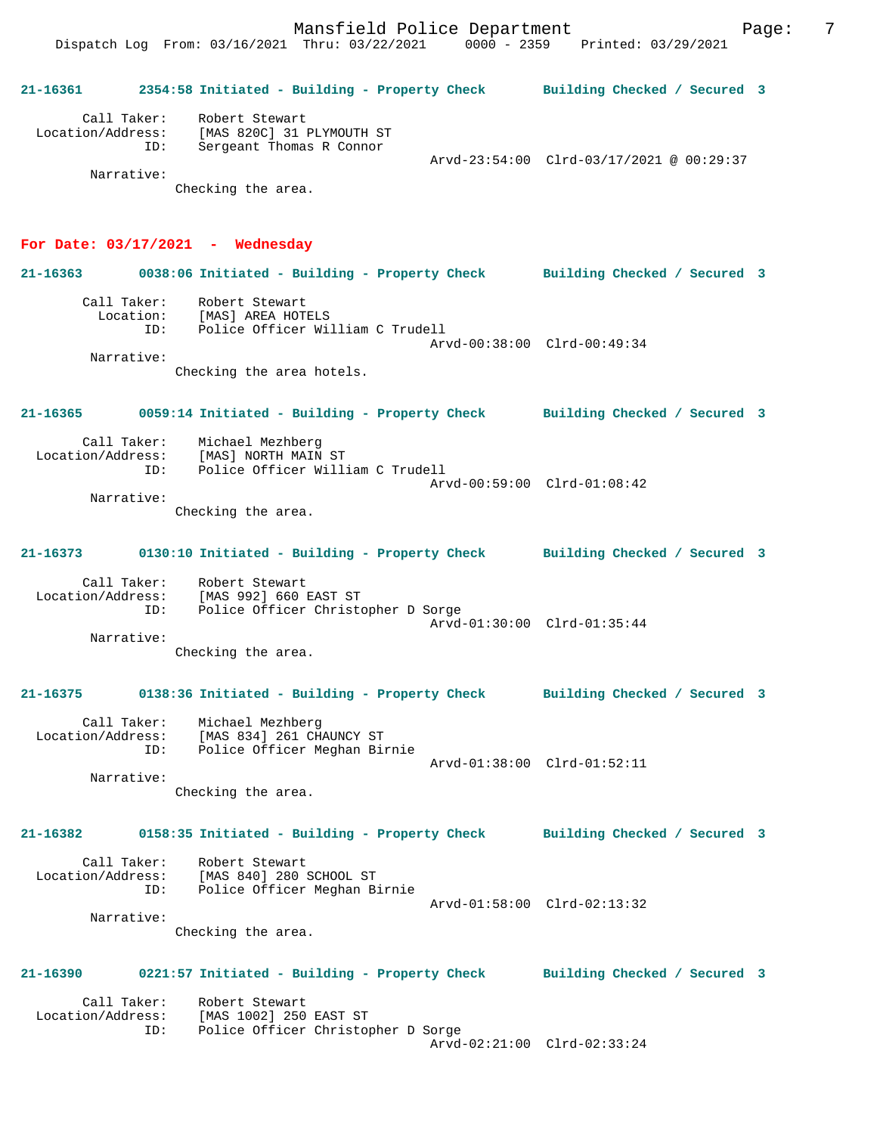**21-16361 2354:58 Initiated - Building - Property Check Building Checked / Secured 3** Call Taker: Robert Stewart Location/Address: [MAS 820C] 31 PLYMOUTH ST ID: Sergeant Thomas R Connor Arvd-23:54:00 Clrd-03/17/2021 @ 00:29:37 Narrative: Checking the area.

## **For Date: 03/17/2021 - Wednesday**

**21-16363 0038:06 Initiated - Building - Property Check Building Checked / Secured 3** Call Taker: Robert Stewart Location: [MAS] AREA HOTELS ID: Police Officer William C Trudell Arvd-00:38:00 Clrd-00:49:34 Narrative: Checking the area hotels. **21-16365 0059:14 Initiated - Building - Property Check Building Checked / Secured 3** Call Taker: Michael Mezhberg Location/Address: [MAS] NORTH MAIN ST ID: Police Officer William C Trudell Arvd-00:59:00 Clrd-01:08:42 Narrative: Checking the area. **21-16373 0130:10 Initiated - Building - Property Check Building Checked / Secured 3** Call Taker: Robert Stewart Location/Address: [MAS 992] 660 EAST ST ID: Police Officer Christopher D Sorge Arvd-01:30:00 Clrd-01:35:44 Narrative: Checking the area. **21-16375 0138:36 Initiated - Building - Property Check Building Checked / Secured 3** Call Taker: Michael Mezhberg Location/Address: [MAS 834] 261 CHAUNCY ST ID: Police Officer Meghan Birnie Arvd-01:38:00 Clrd-01:52:11 Narrative: Checking the area. **21-16382 0158:35 Initiated - Building - Property Check Building Checked / Secured 3** Call Taker: Robert Stewart Location/Address: [MAS 840] 280 SCHOOL ST ID: Police Officer Meghan Birnie Arvd-01:58:00 Clrd-02:13:32 Narrative: Checking the area. **21-16390 0221:57 Initiated - Building - Property Check Building Checked / Secured 3**

Call Taker: Robert Stewart<br>Location/Address: [MAS 1002] 250 [MAS 1002] 250 EAST ST ID: Police Officer Christopher D Sorge Arvd-02:21:00 Clrd-02:33:24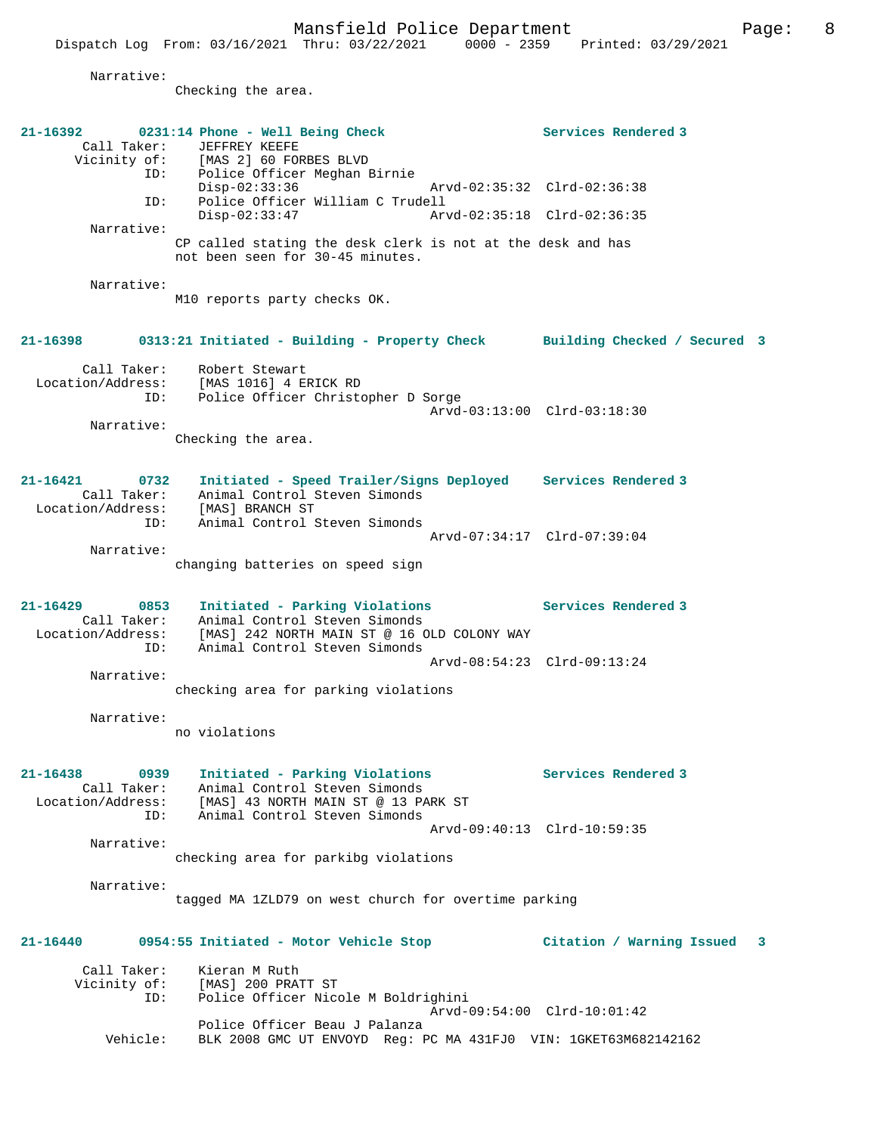|                                                             | Mansfield Police Department<br>Dispatch Log From: 03/16/2021 Thru: 03/22/2021                                                                                                                               | 0000 - 2359 Printed: 03/29/2021                                                   | 8<br>Page: |
|-------------------------------------------------------------|-------------------------------------------------------------------------------------------------------------------------------------------------------------------------------------------------------------|-----------------------------------------------------------------------------------|------------|
| Narrative:                                                  |                                                                                                                                                                                                             |                                                                                   |            |
|                                                             | Checking the area.                                                                                                                                                                                          |                                                                                   |            |
| Call Taker:<br>ID:<br>ID:                                   | 21-16392 0231:14 Phone - Well Being Check<br>JEFFREY KEEFE<br>Vicinity of: [MAS 2] 60 FORBES BLVD<br>Police Officer Meghan Birnie<br>$Disp-02:33:36$<br>Police Officer William C Trudell<br>$Disp-02:33:47$ | Services Rendered 3<br>Arvd-02:35:32 Clrd-02:36:38<br>Arvd-02:35:18 Clrd-02:36:35 |            |
| Narrative:                                                  | CP called stating the desk clerk is not at the desk and has<br>not been seen for 30-45 minutes.                                                                                                             |                                                                                   |            |
| Narrative:                                                  | M10 reports party checks OK.                                                                                                                                                                                |                                                                                   |            |
|                                                             | 21-16398 0313:21 Initiated - Building - Property Check Building Checked / Secured 3                                                                                                                         |                                                                                   |            |
| Call Taker:<br>Location/Address:<br>ID:<br>Narrative:       | Robert Stewart<br>[MAS 1016] 4 ERICK RD<br>Police Officer Christopher D Sorge                                                                                                                               | Arvd-03:13:00 Clrd-03:18:30                                                       |            |
|                                                             | Checking the area.                                                                                                                                                                                          |                                                                                   |            |
| 21-16421<br>0732<br>Call Taker:<br>ID:                      | Initiated - Speed Trailer/Signs Deployed Services Rendered 3<br>Animal Control Steven Simonds<br>Location/Address: [MAS] BRANCH ST<br>Animal Control Steven Simonds                                         |                                                                                   |            |
| Narrative:                                                  | changing batteries on speed sign                                                                                                                                                                            | Arvd-07:34:17 Clrd-07:39:04                                                       |            |
| 21-16429<br>0853<br>Call Taker:<br>Location/Address:<br>TD: | Initiated - Parking Violations<br>Animal Control Steven Simonds<br>[MAS] 242 NORTH MAIN ST @ 16 OLD COLONY WAY<br>Animal Control Steven Simonds                                                             | Services Rendered 3                                                               |            |

 Arvd-08:54:23 Clrd-09:13:24 Narrative: checking area for parking violations

Narrative:

no violations

**21-16438 0939 Initiated - Parking Violations Services Rendered 3**  Call Taker: Animal Control Steven Simonds Location/Address: [MAS] 43 NORTH MAIN ST @ 13 PARK ST ID: Animal Control Steven Simonds Arvd-09:40:13 Clrd-10:59:35 Narrative:

checking area for parkibg violations

 Narrative: tagged MA 1ZLD79 on west church for overtime parking

**21-16440 0954:55 Initiated - Motor Vehicle Stop Citation / Warning Issued 3**

Call Taker: Kieran M Ruth<br>Vicinity of: [MAS] 200 PRA of: [MAS] 200 PRATT ST<br>ID: Police Officer Nice Police Officer Nicole M Boldrighini Arvd-09:54:00 Clrd-10:01:42 Police Officer Beau J Palanza<br>Vehicle: BLK 2008 GMC UT ENVOYD Reg: P BLK 2008 GMC UT ENVOYD Reg: PC MA 431FJ0 VIN: 1GKET63M682142162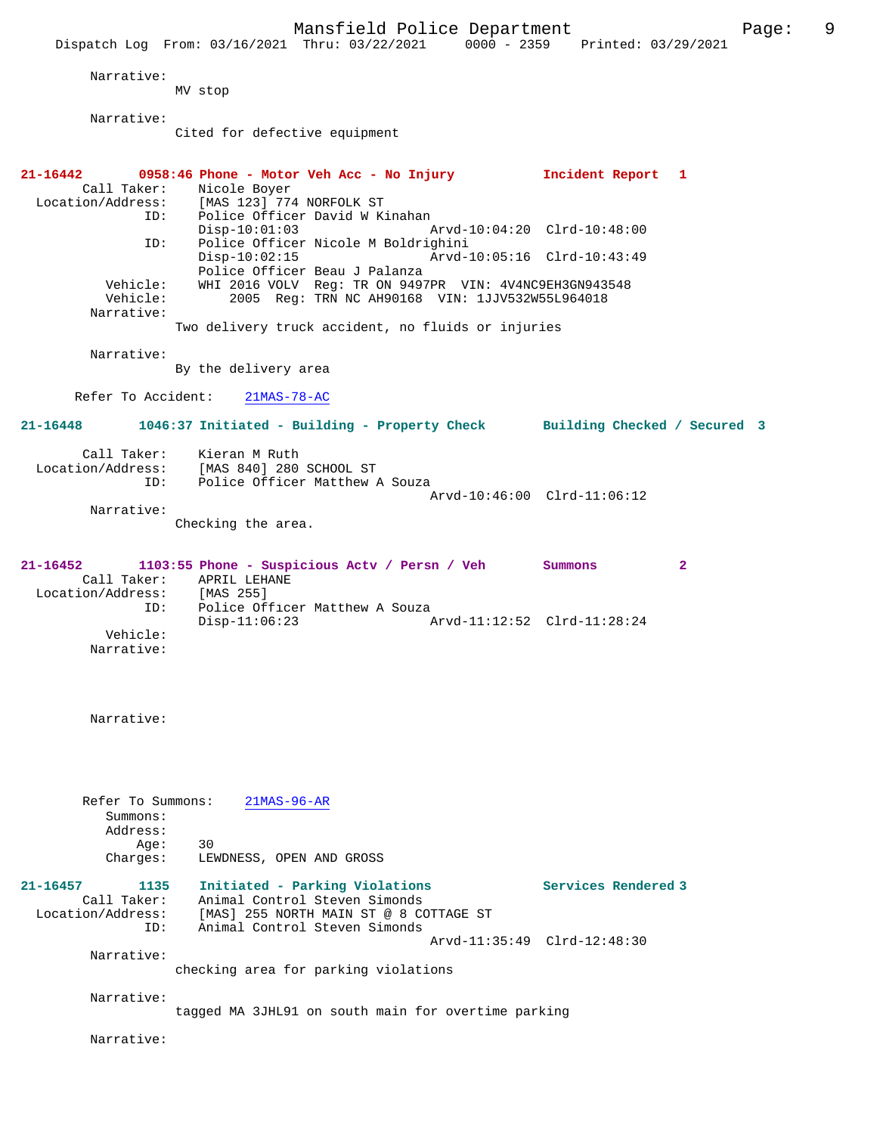Mansfield Police Department Fage: 9 Dispatch Log From: 03/16/2021 Thru: 03/22/2021 0000 - 2359 Printed: 03/29/2021 Narrative: MV stop Narrative: Cited for defective equipment **21-16442 0958:46 Phone - Motor Veh Acc - No Injury Incident Report 1**  Call Taker: Nicole Boyer Location/Address: [MAS 123] 774 NORFOLK ST ID: Police Officer David W Kinahan<br>Disp-10:01:03 Disp-10:01:03 Arvd-10:04:20 Clrd-10:48:00<br>ID: Police Officer Nicole M Boldrighini ID: Police Officer Nicole M Boldrighini Disp-10:02:15 Arvd-10:05:16 Clrd-10:43:49 Police Officer Beau J Palanza<br>Vehicle: WHI 2016 VOLV Reg: TR ON 9497 Vehicle: WHI 2016 VOLV Reg: TR ON 9497PR VIN: 4V4NC9EH3GN943548<br>Vehicle: 2005 Reg: TRN NC AH90168 VIN: 1JJV532W55L964018 2005 Reg: TRN NC AH90168 VIN: 1JJV532W55L964018 Narrative: Two delivery truck accident, no fluids or injuries Narrative: By the delivery area Refer To Accident: 21MAS-78-AC **21-16448 1046:37 Initiated - Building - Property Check Building Checked / Secured 3** Call Taker: Kieran M Ruth<br>Location/Address: [MAS 840] 280 ess: [MAS 840] 280 SCHOOL ST<br>ID: Police Officer Matthew .....<br>Police Officer Matthew A Souza Arvd-10:46:00 Clrd-11:06:12 Narrative: Checking the area. **21-16452 1103:55 Phone - Suspicious Actv / Persn / Veh Summons 2**  Call Taker: APRIL LEHANE<br>ion/Address: [MAS 255] Location/Address: ID: Police Officer Matthew A Souza<br>Disp-11:06:23 Arvd-11:12:52 Clrd-11:28:24 Vehicle: Narrative: Narrative: Refer To Summons: 21MAS-96-AR Summons: Address: Age: 30 Charges: LEWDNESS, OPEN AND GROSS **21-16457 1135 Initiated - Parking Violations Services Rendered 3**  Call Taker: Animal Control Steven Simonds Location/Address: [MAS] 255 NORTH MAIN ST @ 8 COTTAGE ST ID: Animal Control Steven Simonds Arvd-11:35:49 Clrd-12:48:30 Narrative: checking area for parking violations Narrative: tagged MA 3JHL91 on south main for overtime parking Narrative: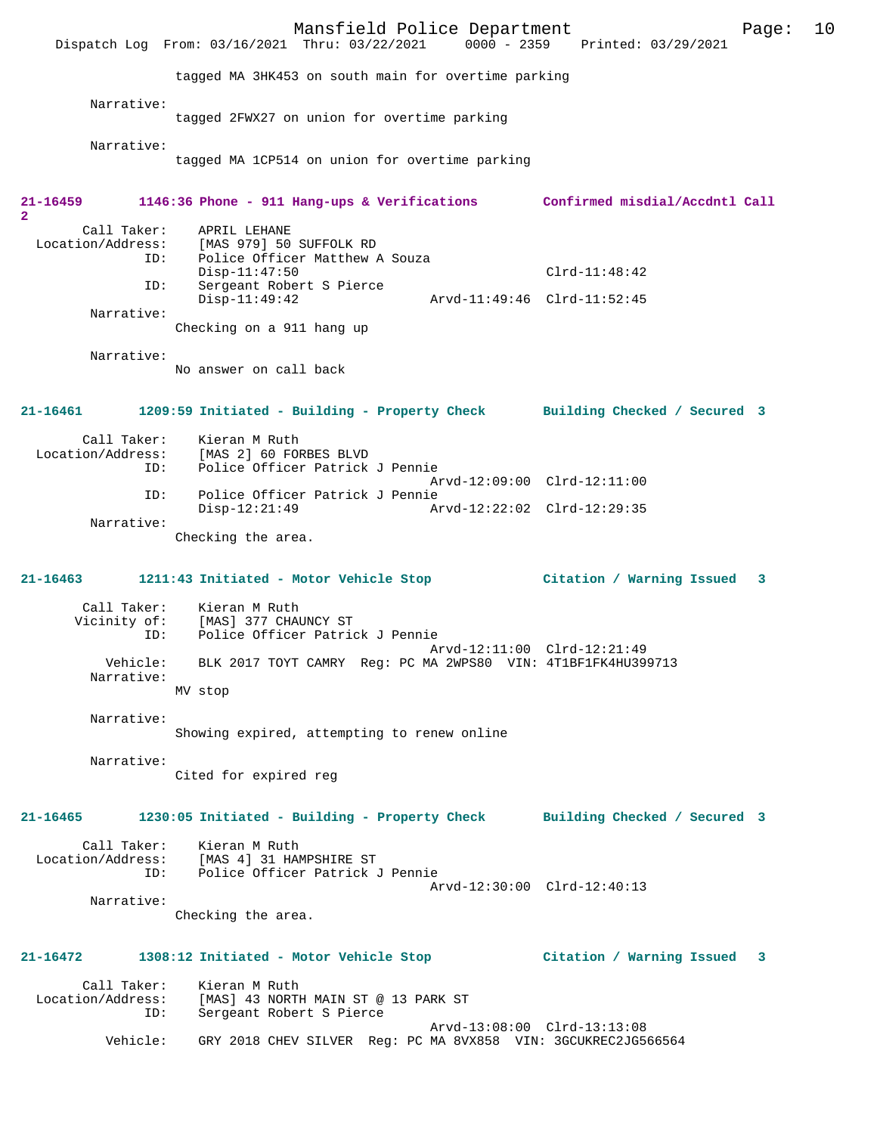Mansfield Police Department Fage: 10 Dispatch Log From: 03/16/2021 Thru: 03/22/2021 0000 - 2359 Printed: 03/29/2021 tagged MA 3HK453 on south main for overtime parking Narrative: tagged 2FWX27 on union for overtime parking Narrative: tagged MA 1CP514 on union for overtime parking **21-16459 1146:36 Phone - 911 Hang-ups & Verifications Confirmed misdial/Accdntl Call 2**  Call Taker: APRIL LEHANE Location/Address: [MAS 979] 50 SUFFOLK RD<br>ID: Police Officer Matthew 7 Police Officer Matthew A Souza<br>Disp-11:47:50 Disp-11:47:50 Clrd-11:48:42 ID: Sergeant Robert S Pierce Disp-11:49:42 Arvd-11:49:46 Clrd-11:52:45 Narrative: Checking on a 911 hang up Narrative: No answer on call back **21-16461 1209:59 Initiated - Building - Property Check Building Checked / Secured 3** Call Taker: Kieran M Ruth<br>Location/Address: [MAS 2] 60 FOI [MAS 2] 60 FORBES BLVD ID: Police Officer Patrick J Pennie Arvd-12:09:00 Clrd-12:11:00 ID: Police Officer Patrick J Pennie Arvd-12:22:02 Clrd-12:29:35 Narrative: Checking the area. **21-16463 1211:43 Initiated - Motor Vehicle Stop Citation / Warning Issued 3** Call Taker: Kieran M Ruth Vicinity of: [MAS] 377 CHAUNCY ST<br>ID: Police Officer Patric Police Officer Patrick J Pennie Arvd-12:11:00 Clrd-12:21:49<br>Vehicle: BLK 2017 TOYT CAMRY Reg: PC MA 2WPS80 VIN: 4T1BF1FK4HU399 BLK 2017 TOYT CAMRY Reg: PC MA 2WPS80 VIN: 4T1BF1FK4HU399713 Narrative: MV stop Narrative: Showing expired, attempting to renew online Narrative: Cited for expired reg **21-16465 1230:05 Initiated - Building - Property Check Building Checked / Secured 3** Call Taker: Kieran M Ruth Location/Address: [MAS 4] 31 HAMPSHIRE ST<br>TD: Police Officer Patrick Police Officer Patrick J Pennie Arvd-12:30:00 Clrd-12:40:13 Narrative: Checking the area. **21-16472 1308:12 Initiated - Motor Vehicle Stop Citation / Warning Issued 3** Call Taker: Kieran M Ruth<br>Location/Address: [MAS] 43 NORTI ess: [MAS] 43 NORTH MAIN ST @ 13 PARK ST<br>ID: Sergeant Robert S Pierce Sergeant Robert S Pierce Arvd-13:08:00 Clrd-13:13:08<br>Vehicle: GRY 2018 CHEV SILVER Reg: PC MA 8VX858 VIN: 3GCUKREC2JG56 GRY 2018 CHEV SILVER Reg: PC MA 8VX858 VIN: 3GCUKREC2JG566564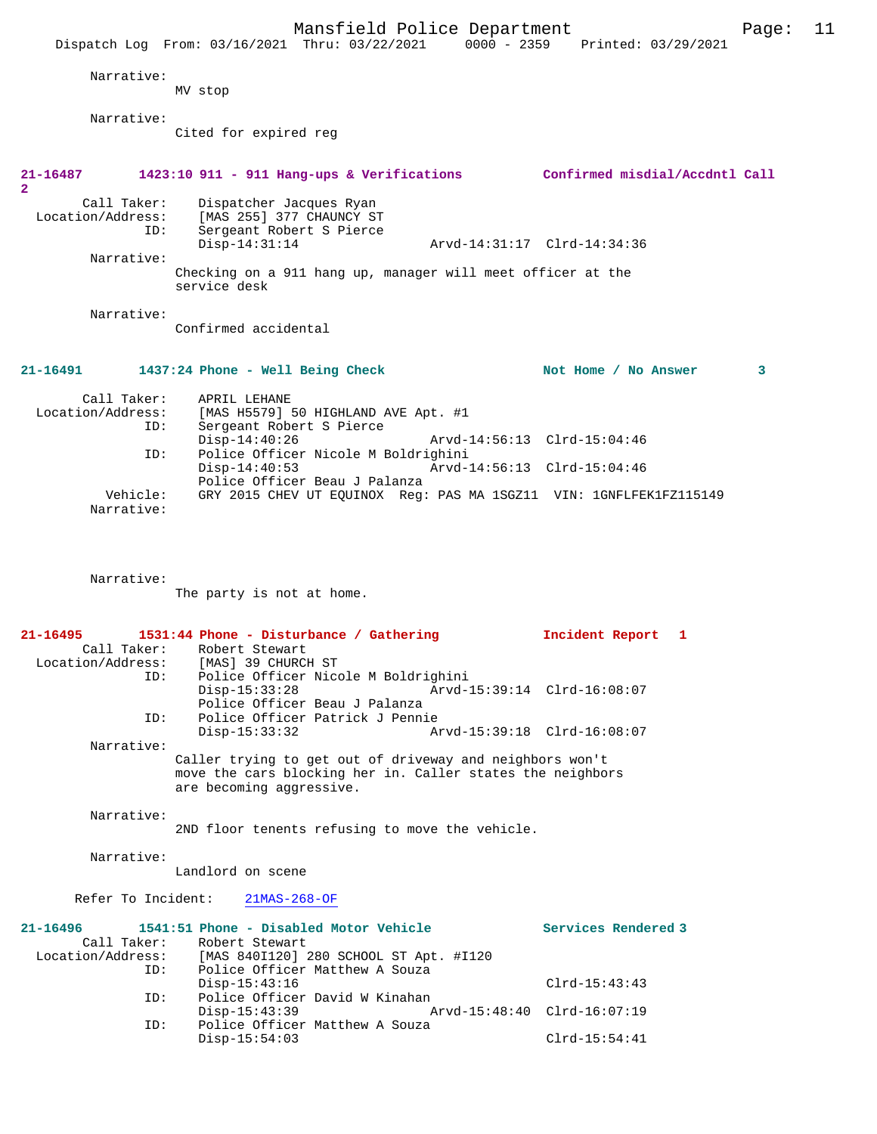|                                  | Mansfield Police Department                                                                         |                             | Page: | 11 |
|----------------------------------|-----------------------------------------------------------------------------------------------------|-----------------------------|-------|----|
|                                  | Dispatch Log From: 03/16/2021 Thru: 03/22/2021 0000 - 2359 Printed: 03/29/2021                      |                             |       |    |
| Narrative:                       |                                                                                                     |                             |       |    |
|                                  | MV stop                                                                                             |                             |       |    |
| Narrative:                       |                                                                                                     |                             |       |    |
|                                  | Cited for expired reg                                                                               |                             |       |    |
|                                  |                                                                                                     |                             |       |    |
| 21-16487<br>$\overline{2}$       | 1423:10 911 - 911 Hang-ups & Verifications Confirmed misdial/Accdntl Call                           |                             |       |    |
| Call Taker:                      | Dispatcher Jacques Ryan                                                                             |                             |       |    |
| Location/Address:                | [MAS 255] 377 CHAUNCY ST<br>Sergeant Robert S Pierce<br>ID:                                         |                             |       |    |
| Narrative:                       | $Disp-14:31:14$                                                                                     | Arvd-14:31:17 Clrd-14:34:36 |       |    |
|                                  | Checking on a 911 hang up, manager will meet officer at the                                         |                             |       |    |
|                                  | service desk                                                                                        |                             |       |    |
| Narrative:                       |                                                                                                     |                             |       |    |
|                                  | Confirmed accidental                                                                                |                             |       |    |
|                                  |                                                                                                     |                             |       |    |
| 21-16491                         | 1437:24 Phone - Well Being Check                                                                    | Not Home / No Answer        | 3     |    |
| Call Taker:<br>Location/Address: | APRIL LEHANE                                                                                        |                             |       |    |
|                                  | [MAS H5579] 50 HIGHLAND AVE Apt. #1<br>ID:<br>Sergeant Robert S Pierce                              |                             |       |    |
|                                  | $Disp-14:40:26$<br>Police Officer Nicole M Boldrighini<br>ID:                                       | Arvd-14:56:13 Clrd-15:04:46 |       |    |
|                                  | $Disp-14:40:53$                                                                                     | Arvd-14:56:13 Clrd-15:04:46 |       |    |
| Vehicle:                         | Police Officer Beau J Palanza<br>GRY 2015 CHEV UT EQUINOX Reg: PAS MA 1SGZ11 VIN: 1GNFLFEK1FZ115149 |                             |       |    |
| Narrative:                       |                                                                                                     |                             |       |    |
|                                  |                                                                                                     |                             |       |    |
|                                  |                                                                                                     |                             |       |    |
| Narrative:                       |                                                                                                     |                             |       |    |
|                                  | The party is not at home.                                                                           |                             |       |    |
|                                  |                                                                                                     |                             |       |    |
| 21-16495<br>Call Taker:          | 1531:44 Phone - Disturbance / Gathering<br>Robert Stewart                                           | Incident Report 1           |       |    |
| ID:                              | Location/Address: [MAS] 39 CHURCH ST<br>Police Officer Nicole M Boldrighini                         |                             |       |    |
|                                  | $Disp-15:33:28$                                                                                     | Arvd-15:39:14 Clrd-16:08:07 |       |    |
| ID:                              | Police Officer Beau J Palanza<br>Police Officer Patrick J Pennie                                    |                             |       |    |
|                                  | $Disp-15:33:32$                                                                                     | Arvd-15:39:18 Clrd-16:08:07 |       |    |
| Narrative:                       | Caller trying to get out of driveway and neighbors won't                                            |                             |       |    |
|                                  | move the cars blocking her in. Caller states the neighbors<br>are becoming aggressive.              |                             |       |    |
|                                  |                                                                                                     |                             |       |    |
| Narrative:                       | 2ND floor tenents refusing to move the vehicle.                                                     |                             |       |    |
|                                  |                                                                                                     |                             |       |    |
| Narrative:                       | Landlord on scene                                                                                   |                             |       |    |
|                                  |                                                                                                     |                             |       |    |
| Refer To Incident:               | $21MAS-268-OF$                                                                                      |                             |       |    |
| $21 - 16496$<br>Call Taker:      | 1541:51 Phone - Disabled Motor Vehicle                                                              | Services Rendered 3         |       |    |
| Location/Address:                | Robert Stewart<br>[MAS 840I120] 280 SCHOOL ST Apt. #I120                                            |                             |       |    |
|                                  | Police Officer Matthew A Souza<br>ID:<br>$Disp-15:43:16$                                            | $Clrd-15:43:43$             |       |    |
| ID:                              | Police Officer David W Kinahan                                                                      |                             |       |    |
| ID:                              | $Disp-15:43:39$<br>Police Officer Matthew A Souza                                                   | Arvd-15:48:40 Clrd-16:07:19 |       |    |
|                                  | $Disp-15:54:03$                                                                                     | $Clrd-15:54:41$             |       |    |
|                                  |                                                                                                     |                             |       |    |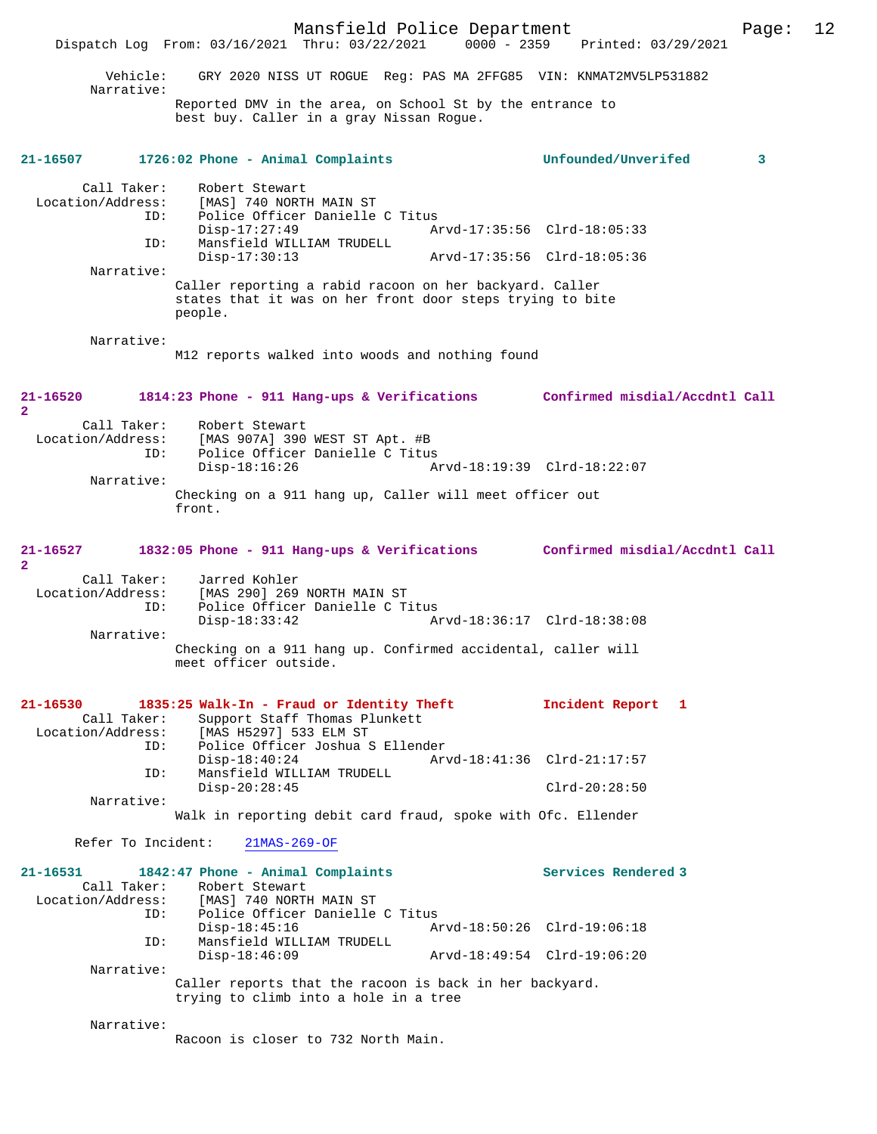Mansfield Police Department Page: 12 Dispatch Log From: 03/16/2021 Thru: 03/22/2021 0000 - 2359 Vehicle: GRY 2020 NISS UT ROGUE Reg: PAS MA 2FFG85 VIN: KNMAT2MV5LP531882 Narrative: Reported DMV in the area, on School St by the entrance to best buy. Caller in a gray Nissan Rogue. **21-16507 1726:02 Phone - Animal Complaints Unfounded/Unverifed 3** Call Taker: Robert Stewart Location/Address: [MAS] 740 NORTH MAIN ST ID: Police Officer Danielle C Titus Disp-17:27:49 <br>
Disp-17:27:49 <br>
Mansfield WILLIAM TRUDELL Mansfield WILLIAM TRUDELL<br>Disp-17:30:13 Disp-17:30:13 Arvd-17:35:56 Clrd-18:05:36 Narrative: Caller reporting a rabid racoon on her backyard. Caller states that it was on her front door steps trying to bite people. Narrative: M12 reports walked into woods and nothing found **21-16520 1814:23 Phone - 911 Hang-ups & Verifications Confirmed misdial/Accdntl Call 2**  Call Taker: Robert Stewart<br>Location/Address: [MAS 907A] 390  $[MAS 907A] 390 WEST ST Apt. #B$  ID: Police Officer Danielle C Titus Disp-18:16:26 Arvd-18:19:39 Clrd-18:22:07 Narrative: Checking on a 911 hang up, Caller will meet officer out front. **21-16527 1832:05 Phone - 911 Hang-ups & Verifications Confirmed misdial/Accdntl Call**  $\mathbf{2}$ Call Taker: Jarred Kohler<br>Location/Address: [MAS 290] 269 ess: [MAS 290] 269 NORTH MAIN ST<br>ID: Police Officer Danielle C T Police Officer Danielle C Titus<br>Disp-18:33:42 A Disp-18:33:42 Arvd-18:36:17 Clrd-18:38:08 Narrative: Checking on a 911 hang up. Confirmed accidental, caller will meet officer outside. **21-16530 1835:25 Walk-In - Fraud or Identity Theft Incident Report 1**  Call Taker: Support Staff Thomas Plunkett<br>Location/Address: [MAS H5297] 533 ELM ST ess: [MAS H5297] 533 ELM ST<br>ID: Police Officer Joshua S Police Officer Joshua S Ellender Disp-18:40:24 <br>TD: Mansfield WILLIAM TRUDELL Mansfield WILLIAM TRUDELL Disp-20:28:45 Clrd-20:28:50 Narrative: Walk in reporting debit card fraud, spoke with Ofc. Ellender Refer To Incident: 21MAS-269-OF **21-16531 1842:47 Phone - Animal Complaints Services Rendered 3**  Call Taker: Robert Stewart<br>Location/Address: [MAS] 740 NORTH ess: [MAS] 740 NORTH MAIN ST<br>ID: Police Officer Danielle ID: Police Officer Danielle C Titus Disp-18:45:16 Arvd-18:50:26 Clrd-19:06:18<br>TD: Mansfield WILLIAM TRUDELL ID: Mansfield WILLIAM TRUDELL Disp-18:46:09 Arvd-18:49:54 Clrd-19:06:20 Narrative: Caller reports that the racoon is back in her backyard. trying to climb into a hole in a tree Narrative: Racoon is closer to 732 North Main.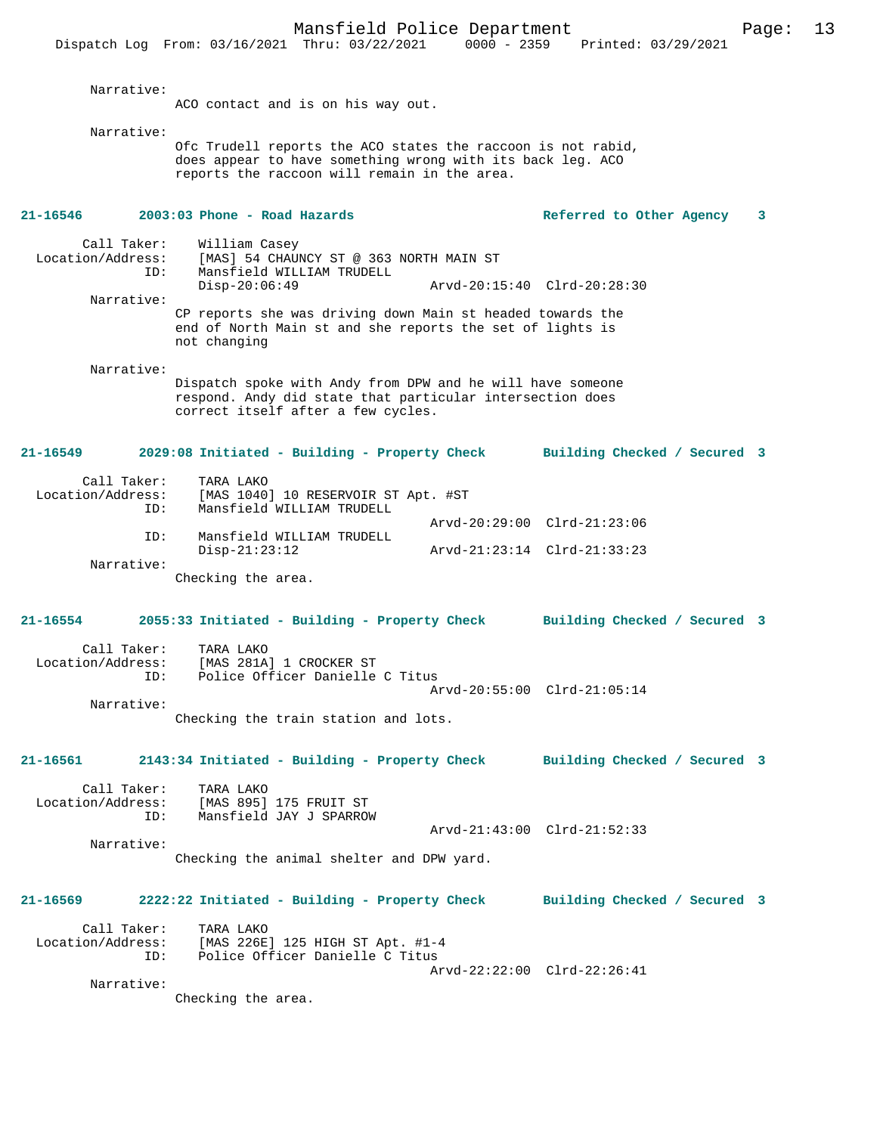Mansfield Police Department Page: 13 Dispatch Log From: 03/16/2021 Thru: 03/22/2021 Narrative: ACO contact and is on his way out. Narrative: Ofc Trudell reports the ACO states the raccoon is not rabid, does appear to have something wrong with its back leg. ACO reports the raccoon will remain in the area. **21-16546 2003:03 Phone - Road Hazards Referred to Other Agency 3** Call Taker: William Casey<br>Location/Address: [MAS] 54 CHAU ess: [MAS] 54 CHAUNCY ST @ 363 NORTH MAIN ST<br>ID: Mansfield WILLIAM TRUDELL Mansfield WILLIAM TRUDELL<br>Disp-20:06:49 Disp-20:06:49 Arvd-20:15:40 Clrd-20:28:30 Narrative: CP reports she was driving down Main st headed towards the end of North Main st and she reports the set of lights is not changing Narrative: Dispatch spoke with Andy from DPW and he will have someone respond. Andy did state that particular intersection does correct itself after a few cycles. **21-16549 2029:08 Initiated - Building - Property Check Building Checked / Secured 3** Call Taker: TARA LAKO Location/Address: [MAS 1040] 10 RESERVOIR ST Apt. #ST Mansfield WILLIAM TRUDELL Arvd-20:29:00 Clrd-21:23:06 ID: Mansfield WILLIAM TRUDELL Disp-21:23:12 Arvd-21:23:14 Clrd-21:33:23 Narrative: Checking the area. **21-16554 2055:33 Initiated - Building - Property Check Building Checked / Secured 3** Call Taker: TARA LAKO Location/Address: [MAS 281A] 1 CROCKER ST Police Officer Danielle C Titus Arvd-20:55:00 Clrd-21:05:14 Narrative: Checking the train station and lots. **21-16561 2143:34 Initiated - Building - Property Check Building Checked / Secured 3** Call Taker: TARA LAKO Location/Address: [MAS 895] 175 FRUIT ST Mansfield JAY J SPARROW Arvd-21:43:00 Clrd-21:52:33 Narrative: Checking the animal shelter and DPW yard. **21-16569 2222:22 Initiated - Building - Property Check Building Checked / Secured 3** Call Taker: TARA LAKO<br>Location/Address: [MAS 226E ess: [MAS 226E] 125 HIGH ST Apt. #1-4<br>ID: Police Officer Danielle C Titus Police Officer Danielle C Titus Arvd-22:22:00 Clrd-22:26:41

Narrative:

Checking the area.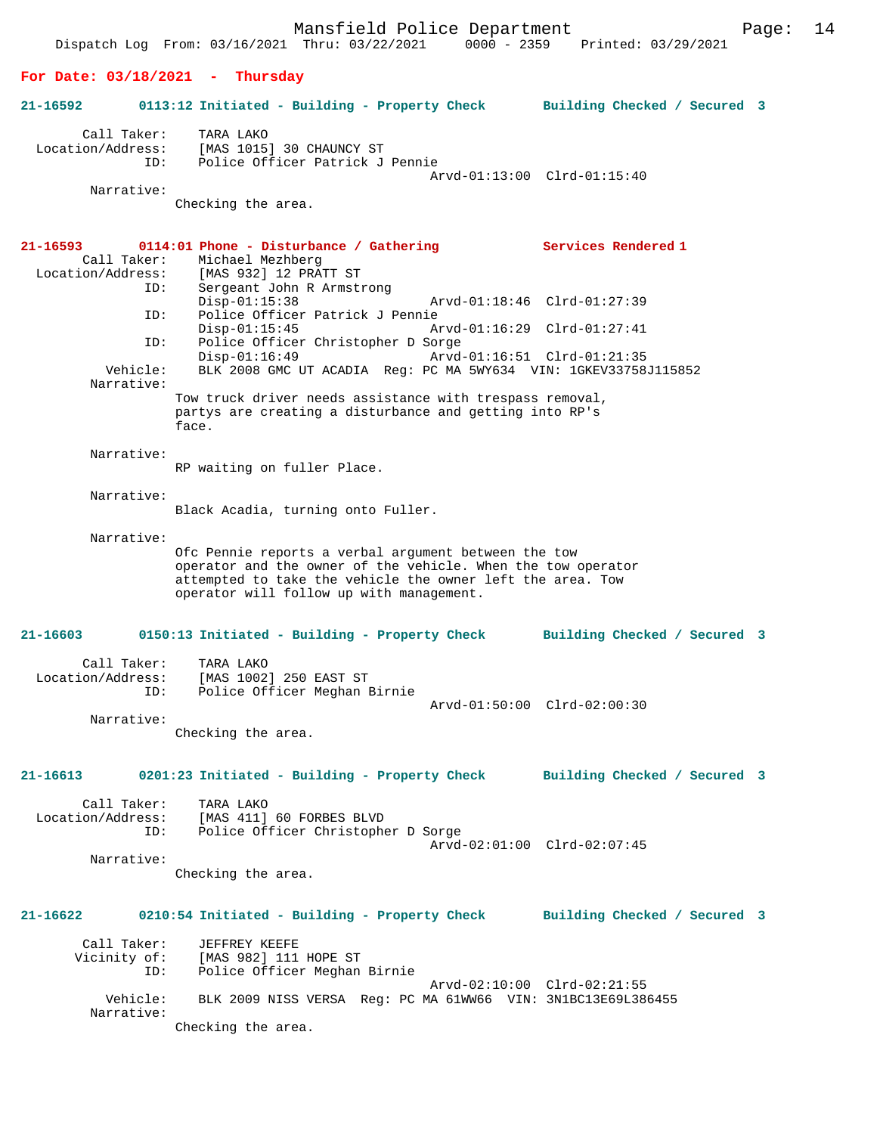Mansfield Police Department Fage: 14 Dispatch Log From: 03/16/2021 Thru: 03/22/2021 0000 - 2359 Printed: 03/29/2021 **For Date: 03/18/2021 - Thursday 21-16592 0113:12 Initiated - Building - Property Check Building Checked / Secured 3** Call Taker: TARA LAKO Location/Address: [MAS 1015] 30 CHAUNCY ST ID: Police Officer Patrick J Pennie Arvd-01:13:00 Clrd-01:15:40 Narrative: Checking the area. **21-16593 0114:01 Phone - Disturbance / Gathering Services Rendered 1**  Call Taker: Michael Mezhberg<br>Location/Address: [MAS 932] 12 PRA ess: [MAS 932] 12 PRATT ST<br>ID: Sergeant John R Armstr Sergeant John R Armstrong<br>Disp-01:15:38 Disp-01:15:38 Arvd-01:18:46 Clrd-01:27:39<br>ID: Police Officer Patrick J Pennie Police Officer Patrick J Pennie<br>Disp-01:15:45 Ar Arvd-01:16:29 Clrd-01:27:41 ID: Police Officer Christopher D Sorge Disp-01:16:49 Arvd-01:16:51 Clrd-01:21:35<br>Vehicle: BLK 2008 GMC UT ACADIA Reg: PC MA 5WY634 VIN: 1GKEV33758 BLK 2008 GMC UT ACADIA Reg: PC MA 5WY634 VIN: 1GKEV33758J115852 Narrative: Tow truck driver needs assistance with trespass removal, partys are creating a disturbance and getting into RP's face. Narrative: RP waiting on fuller Place. Narrative: Black Acadia, turning onto Fuller. Narrative: Ofc Pennie reports a verbal argument between the tow operator and the owner of the vehicle. When the tow operator attempted to take the vehicle the owner left the area. Tow operator will follow up with management. **21-16603 0150:13 Initiated - Building - Property Check Building Checked / Secured 3** Call Taker: TARA LAKO Location/Address: [MAS 1002] 250 EAST ST ID: Police Officer Meghan Birnie Arvd-01:50:00 Clrd-02:00:30 Narrative: Checking the area. **21-16613 0201:23 Initiated - Building - Property Check Building Checked / Secured 3** Call Taker: TARA LAKO<br>Location/Address: [MAS 411] ess: [MAS 411] 60 FORBES BLVD<br>ID: Police Officer Christophe Police Officer Christopher D Sorge Arvd-02:01:00 Clrd-02:07:45 Narrative: Checking the area. **21-16622 0210:54 Initiated - Building - Property Check Building Checked / Secured 3** Call Taker: JEFFREY KEEFE Vicinity of: [MAS 982] 111 HOPE ST ID: Police Officer Meghan Birnie Arvd-02:10:00 Clrd-02:21:55<br>Vehicle: BLK 2009 NISS VERSA Reg: PC MA 61WW66 VIN: 3N1BC13E69L38 BLK 2009 NISS VERSA Reg: PC MA 61WW66 VIN: 3N1BC13E69L386455 Narrative: Checking the area.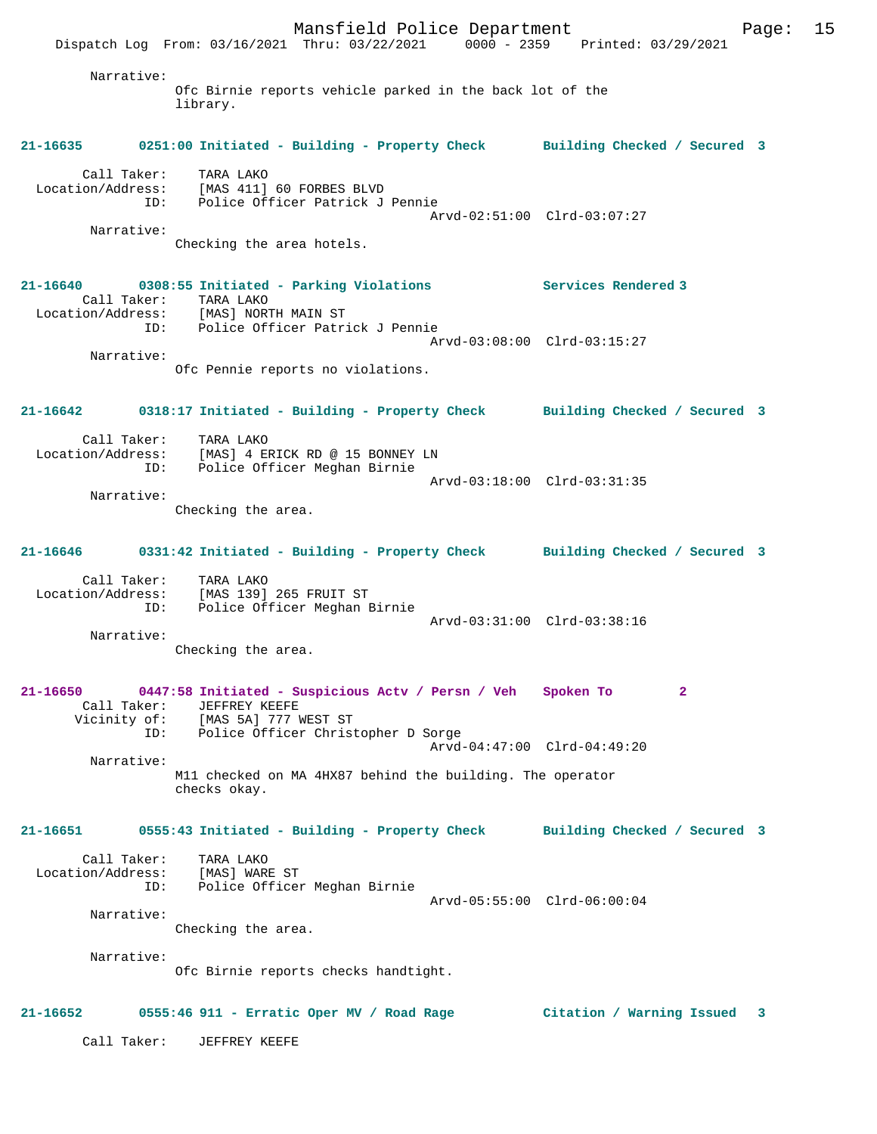Mansfield Police Department Page: 15 Dispatch Log From: 03/16/2021 Thru: 03/22/2021 0000 - 2359 Printed: 03/29/2021 Narrative: Ofc Birnie reports vehicle parked in the back lot of the library. **21-16635 0251:00 Initiated - Building - Property Check Building Checked / Secured 3** Call Taker: TARA LAKO Location/Address: [MAS 411] 60 FORBES BLVD ID: Police Officer Patrick J Pennie Arvd-02:51:00 Clrd-03:07:27 Narrative: Checking the area hotels. **21-16640 0308:55 Initiated - Parking Violations Services Rendered 3**  Call Taker: TARA LAKO Location/Address: [MAS] NORTH MAIN ST ID: Police Officer Patrick J Pennie Arvd-03:08:00 Clrd-03:15:27 Narrative: Ofc Pennie reports no violations. **21-16642 0318:17 Initiated - Building - Property Check Building Checked / Secured 3** Call Taker: TARA LAKO Location/Address: [MAS] 4 ERICK RD @ 15 BONNEY LN ID: Police Officer Meghan Birnie Arvd-03:18:00 Clrd-03:31:35 Narrative: Checking the area. **21-16646 0331:42 Initiated - Building - Property Check Building Checked / Secured 3** Call Taker: TARA LAKO Location/Address: [MAS 139] 265 FRUIT ST ID: Police Officer Meghan Birnie Arvd-03:31:00 Clrd-03:38:16 Narrative: Checking the area. **21-16650 0447:58 Initiated - Suspicious Actv / Persn / Veh Spoken To 2**  Call Taker: JEFFREY KEEFE Vicinity of: [MAS 5A] 777 WEST ST ID: Police Officer Christopher D Sorge Arvd-04:47:00 Clrd-04:49:20 Narrative: M11 checked on MA 4HX87 behind the building. The operator checks okay. **21-16651 0555:43 Initiated - Building - Property Check Building Checked / Secured 3** Call Taker: TARA LAKO Location/Address: [MAS] WARE ST Police Officer Meghan Birnie Arvd-05:55:00 Clrd-06:00:04 Narrative: Checking the area. Narrative: Ofc Birnie reports checks handtight. **21-16652 0555:46 911 - Erratic Oper MV / Road Rage Citation / Warning Issued 3** Call Taker: JEFFREY KEEFE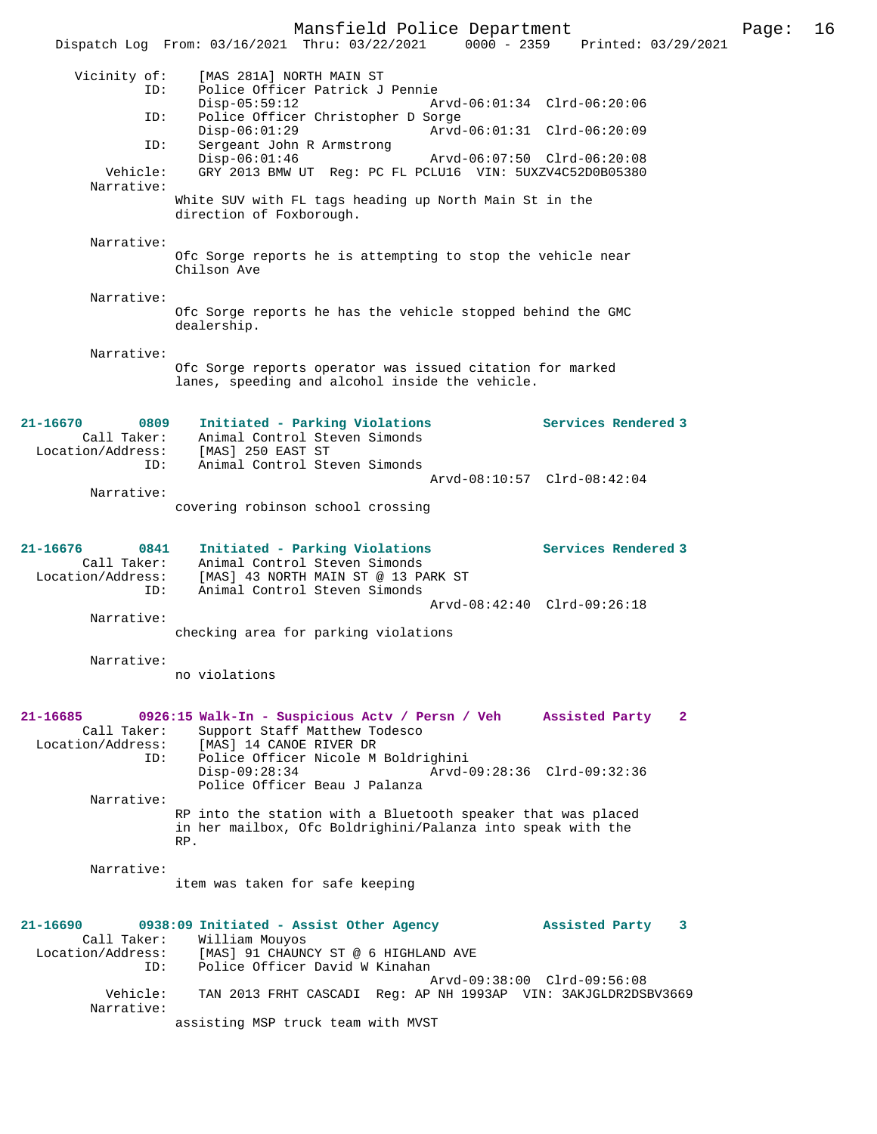Mansfield Police Department Page: 16 Dispatch Log From: 03/16/2021 Thru: 03/22/2021 0000 - 2359 Printed: 03/29/2021 Vicinity of: [MAS 281A] NORTH MAIN ST ID: Police Officer Patrick J Pennie Disp-05:59:12 Arvd-06:01:34 Clrd-06:20:06 ID: Police Officer Christopher D Sorge Disp-06:01:29 Arvd-06:01:31 Clrd-06:20:09 ID: Sergeant John R Armstrong Disp-06:01:46 Arvd-06:07:50 Clrd-06:20:08<br>Vehicle: GRY 2013 BMW UT Req: PC FL PCLU16 VIN: 5UXZV4C52D0R05380 GRY 2013 BMW UT Reg: PC FL PCLU16 VIN: 5UXZV4C52D0B05380 Narrative: White SUV with FL tags heading up North Main St in the direction of Foxborough. Narrative: Ofc Sorge reports he is attempting to stop the vehicle near Chilson Ave Narrative: Ofc Sorge reports he has the vehicle stopped behind the GMC dealership. Narrative: Ofc Sorge reports operator was issued citation for marked lanes, speeding and alcohol inside the vehicle. **21-16670 0809 Initiated - Parking Violations Services Rendered 3**  Call Taker: Animal Control Steven Simonds Location/Address: [MAS] 250 EAST ST ID: Animal Control Steven Simonds Arvd-08:10:57 Clrd-08:42:04 Narrative: covering robinson school crossing **21-16676 0841 Initiated - Parking Violations Services Rendered 3**  Call Taker: Animal Control Steven Simonds Location/Address: [MAS] 43 NORTH MAIN ST @ 13 PARK ST ID: Animal Control Steven Simonds Arvd-08:42:40 Clrd-09:26:18 Narrative: checking area for parking violations Narrative: no violations **21-16685 0926:15 Walk-In - Suspicious Actv / Persn / Veh Assisted Party 2**  Call Taker: Support Staff Matthew Todesco Location/Address: [MAS] 14 CANOE RIVER DR ID: Police Officer Nicole M Boldrighini Disp-09:28:34 Arvd-09:28:36 Clrd-09:32:36 Police Officer Beau J Palanza Narrative: RP into the station with a Bluetooth speaker that was placed in her mailbox, Ofc Boldrighini/Palanza into speak with the RP. Narrative: item was taken for safe keeping **21-16690 0938:09 Initiated - Assist Other Agency Assisted Party 3**  Call Taker: William Mouyos<br>Location/Address: [MAS] 91 CHAUN<br>ID: Police Officer Location/Address: [MAS] 91 CHAUNCY ST @ 6 HIGHLAND AVE ID: Police Officer David W Kinahan Arvd-09:38:00 Clrd-09:56:08<br>Vehicle: TAN 2013 FRHT CASCADI Reg: AP NH 1993AP VIN: 3AKJGLDR2DS1 TAN 2013 FRHT CASCADI Reg: AP NH 1993AP VIN: 3AKJGLDR2DSBV3669 Narrative: assisting MSP truck team with MVST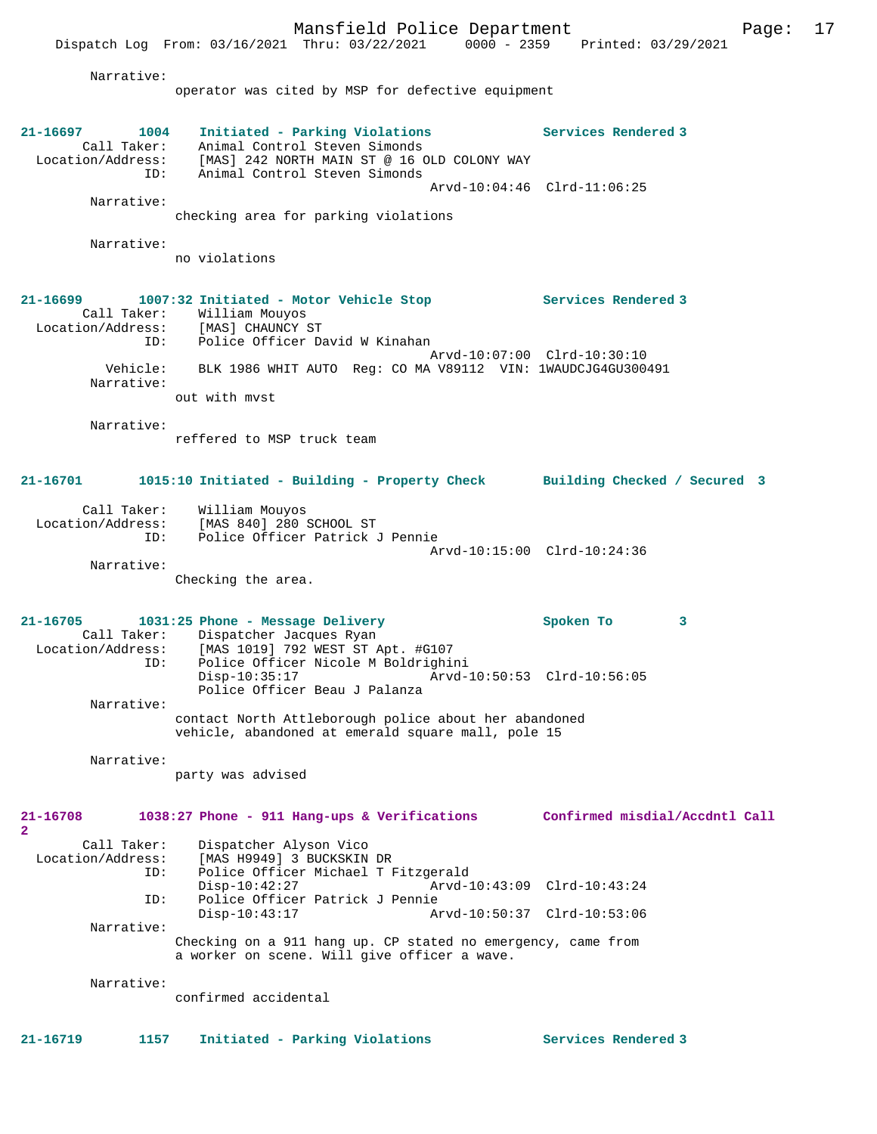Narrative:

Dispatch Log From: 03/16/2021 Thru: 03/22/2021

operator was cited by MSP for defective equipment

**21-16697 1004 Initiated - Parking Violations Services Rendered 3**  Call Taker: Animal Control Steven Simonds<br>Location/Address: [MAS] 242 NORTH MAIN ST @ 16 O ess: [MAS] 242 NORTH MAIN ST @ 16 OLD COLONY WAY<br>ID: Animal Control Steven Simonds Animal Control Steven Simonds Arvd-10:04:46 Clrd-11:06:25 Narrative: checking area for parking violations Narrative: no violations **21-16699 1007:32 Initiated - Motor Vehicle Stop Services Rendered 3**  Call Taker: William Mouyos<br>.on/Address: [MAS] CHAUNCY ST Location/Address:<br>ID: Police Officer David W Kinahan Arvd-10:07:00 Clrd-10:30:10 Vehicle: BLK 1986 WHIT AUTO Reg: CO MA V89112 VIN: 1WAUDCJG4GU300491 Narrative: out with mvst Narrative: reffered to MSP truck team **21-16701 1015:10 Initiated - Building - Property Check Building Checked / Secured 3** Call Taker: William Mouyos Location/Address: [MAS 840] 280 SCHOOL ST Police Officer Patrick J Pennie Arvd-10:15:00 Clrd-10:24:36 Narrative: Checking the area. **21-16705 1031:25 Phone - Message Delivery Spoken To 3**  Call Taker: Dispatcher Jacques Ryan Location/Address: [MAS 1019] 792 WEST ST Apt. #G107 ID: Police Officer Nicole M Boldrighini Disp-10:35:17 Arvd-10:50:53 Clrd-10:56:05 Police Officer Beau J Palanza Narrative: contact North Attleborough police about her abandoned vehicle, abandoned at emerald square mall, pole 15 Narrative: party was advised **21-16708 1038:27 Phone - 911 Hang-ups & Verifications Confirmed misdial/Accdntl Call 2**  Call Taker: Dispatcher Alyson Vico Location/Address: [MAS H9949] 3 BUCKSKIN DR<br>TD: Police Officer Michael T E Police Officer Michael T Fitzgerald<br>Disp-10:42:27 Arvd-1 Disp-10:42:27 Arvd-10:43:09 Clrd-10:43:24<br>TD: Police Officer Patrick J Pennie Police Officer Patrick J Pennie<br>Disp-10:43:17 Am Disp-10:43:17 Arvd-10:50:37 Clrd-10:53:06 Narrative: Checking on a 911 hang up. CP stated no emergency, came from a worker on scene. Will give officer a wave. Narrative: confirmed accidental **21-16719 1157 Initiated - Parking Violations Services Rendered 3**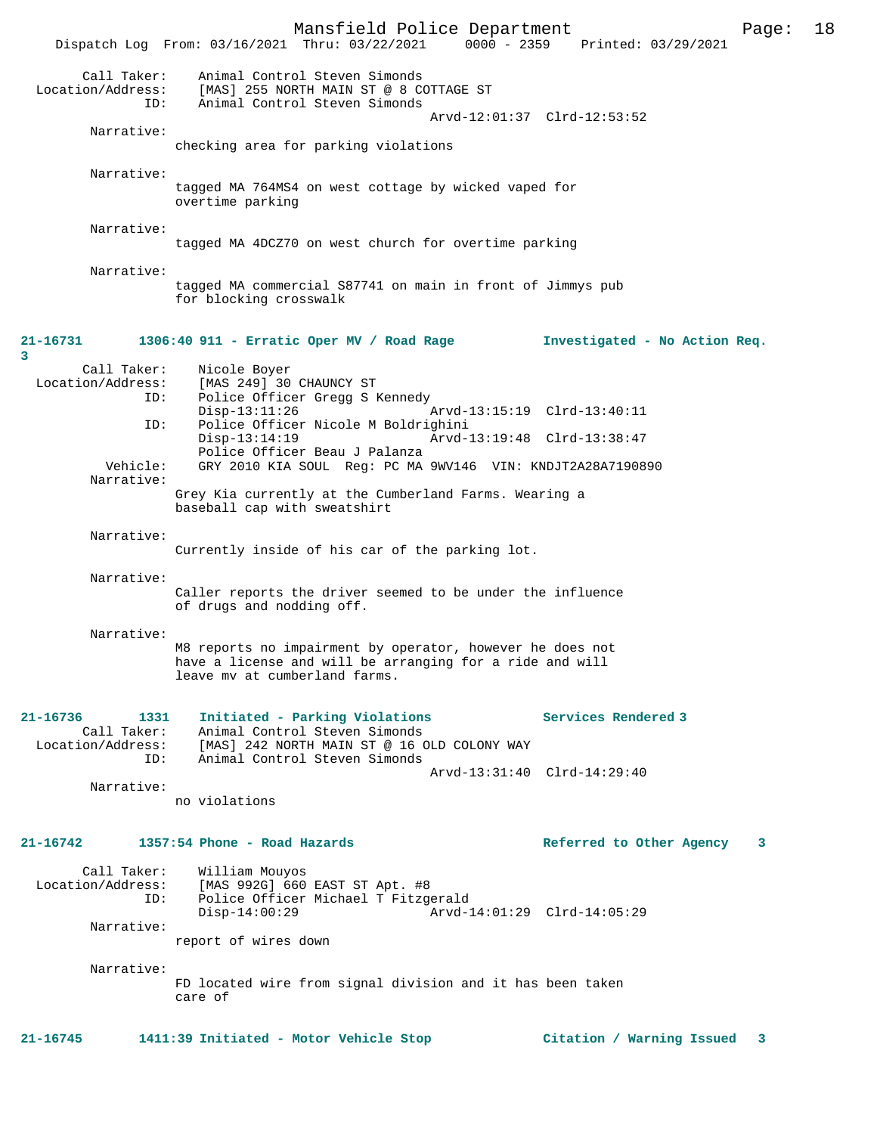Mansfield Police Department Page: 18 Dispatch Log From: 03/16/2021 Thru: 03/22/2021 Call Taker: Animal Control Steven Simonds Location/Address: [MAS] 255 NORTH MAIN ST @ 8 COTTAGE ST<br>ID: Animal Control Steven Simonds Animal Control Steven Simonds Arvd-12:01:37 Clrd-12:53:52 Narrative: checking area for parking violations Narrative: tagged MA 764MS4 on west cottage by wicked vaped for overtime parking Narrative: tagged MA 4DCZ70 on west church for overtime parking Narrative: tagged MA commercial S87741 on main in front of Jimmys pub for blocking crosswalk **21-16731 1306:40 911 - Erratic Oper MV / Road Rage Investigated - No Action Req. 3**  Call Taker: Nicole Boyer<br>Location/Address: [MAS 249] 30 ess: [MAS 249] 30 CHAUNCY ST<br>ID: Police Officer Gregg S I Police Officer Gregg S Kennedy<br>Disp-13:11:26 Arvd-13:15:19 Clrd-13:40:11 ID: Police Officer Nicole M Boldrighini Disp-13:14:19 Arvd-13:19:48 Clrd-13:38:47 Police Officer Beau J Palanza<br>Vehicle: GRY 2010 KIA SOUL, Reg: PC MA GRY 2010 KIA SOUL Reg: PC MA 9WV146 VIN: KNDJT2A28A7190890 Narrative: Grey Kia currently at the Cumberland Farms. Wearing a baseball cap with sweatshirt Narrative: Currently inside of his car of the parking lot. Narrative: Caller reports the driver seemed to be under the influence of drugs and nodding off. Narrative: M8 reports no impairment by operator, however he does not have a license and will be arranging for a ride and will leave mv at cumberland farms. **21-16736 1331 Initiated - Parking Violations Services Rendered 3**  Animal Control Steven Simonds Location/Address: [MAS] 242 NORTH MAIN ST @ 16 OLD COLONY WAY ID: Animal Control Steven Simonds Arvd-13:31:40 Clrd-14:29:40 Narrative: no violations **21-16742 1357:54 Phone - Road Hazards Referred to Other Agency 3** Call Taker: William Mouyos<br>Location/Address: [MAS 992G] 660 ess: [MAS 992G] 660 EAST ST Apt. #8<br>ID: Police Officer Michael T Fitzge Police Officer Michael T Fitzgerald<br>Disp-14:00:29 Arvd-1 Arvd-14:01:29 Clrd-14:05:29 Narrative: report of wires down Narrative: FD located wire from signal division and it has been taken care of **21-16745 1411:39 Initiated - Motor Vehicle Stop Citation / Warning Issued 3**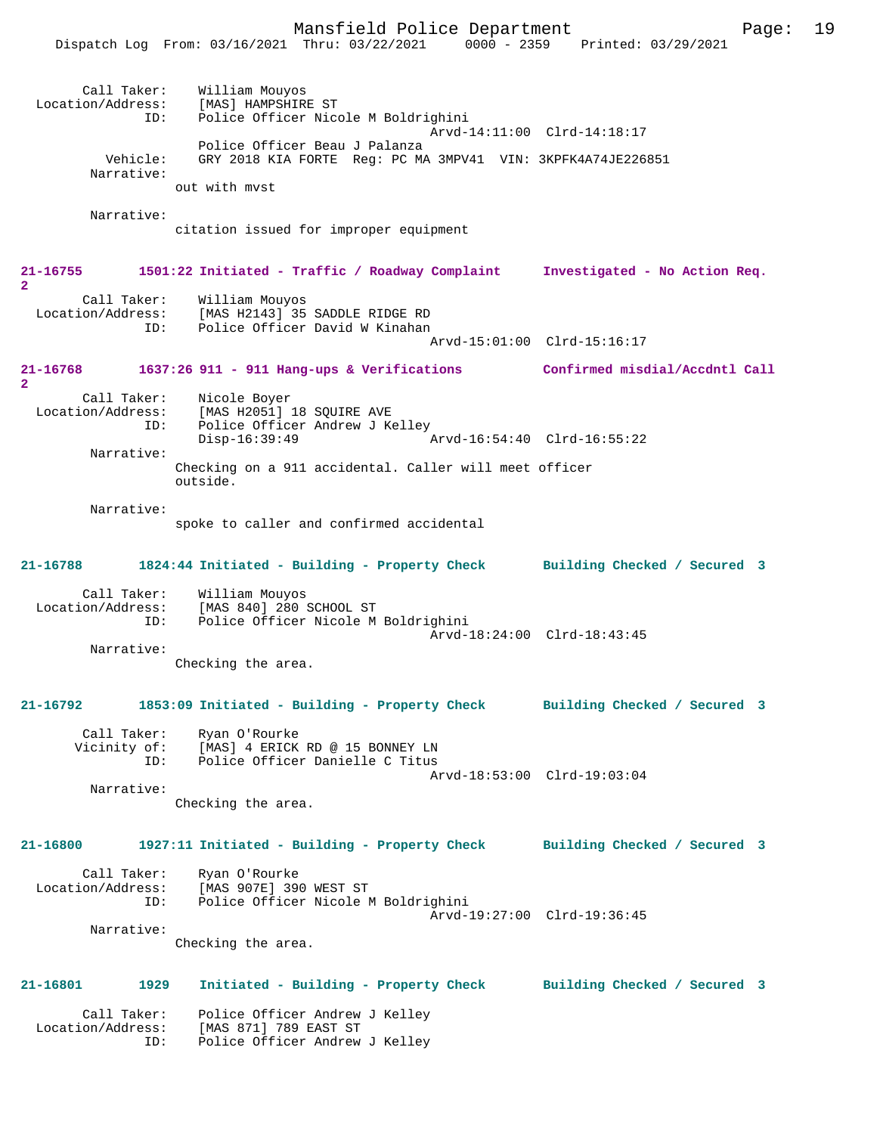Mansfield Police Department Page: 19 Dispatch Log From: 03/16/2021 Thru: 03/22/2021 0000 - 2359 Printed: 03/29/2021 Call Taker: William Mouyos<br>.on/Address: [MAS] HAMPSHIRE ST Location/Address: ID: Police Officer Nicole M Boldrighini Arvd-14:11:00 Clrd-14:18:17 Police Officer Beau J Palanza<br>Vehicle: GRY 2018 KIA FORTE Req: PC MA GRY 2018 KIA FORTE Reg: PC MA 3MPV41 VIN: 3KPFK4A74JE226851 Narrative: out with mvst Narrative: citation issued for improper equipment **21-16755 1501:22 Initiated - Traffic / Roadway Complaint Investigated - No Action Req. 2**  Call Taker: William Mouyos Location/Address: [MAS H2143] 35 SADDLE RIDGE RD Police Officer David W Kinahan Arvd-15:01:00 Clrd-15:16:17 **21-16768 1637:26 911 - 911 Hang-ups & Verifications Confirmed misdial/Accdntl Call 2**  Call Taker: Nicole Boyer Location/Address: [MAS H2051] 18 SOUIRE AVE ID: Police Officer Andrew J Kelley<br>Disp-16:39:49 A Disp-16:39:49 Arvd-16:54:40 Clrd-16:55:22 Narrative: Checking on a 911 accidental. Caller will meet officer outside. Narrative: spoke to caller and confirmed accidental **21-16788 1824:44 Initiated - Building - Property Check Building Checked / Secured 3** Call Taker: William Mouyos Location/Address: [MAS 840] 280 SCHOOL ST Police Officer Nicole M Boldrighini Arvd-18:24:00 Clrd-18:43:45 Narrative: Checking the area. **21-16792 1853:09 Initiated - Building - Property Check Building Checked / Secured 3** Call Taker: Ryan O'Rourke<br>Vicinity of: [MAS] 4 ERICK of: [MAS] 4 ERICK RD @ 15 BONNEY LN<br>ID: Police Officer Danielle C Titus Police Officer Danielle C Titus Arvd-18:53:00 Clrd-19:03:04 Narrative: Checking the area. **21-16800 1927:11 Initiated - Building - Property Check Building Checked / Secured 3** Call Taker: Ryan O'Rourke Location/Address: [MAS 907E] 390 WEST ST ID: Police Officer Nicole M Boldrighini Arvd-19:27:00 Clrd-19:36:45 Narrative: Checking the area. **21-16801 1929 Initiated - Building - Property Check Building Checked / Secured 3** Call Taker: Police Officer Andrew J Kelley Location/Address: [MAS 871] 789 EAST ST ID: Police Officer Andrew J Kelley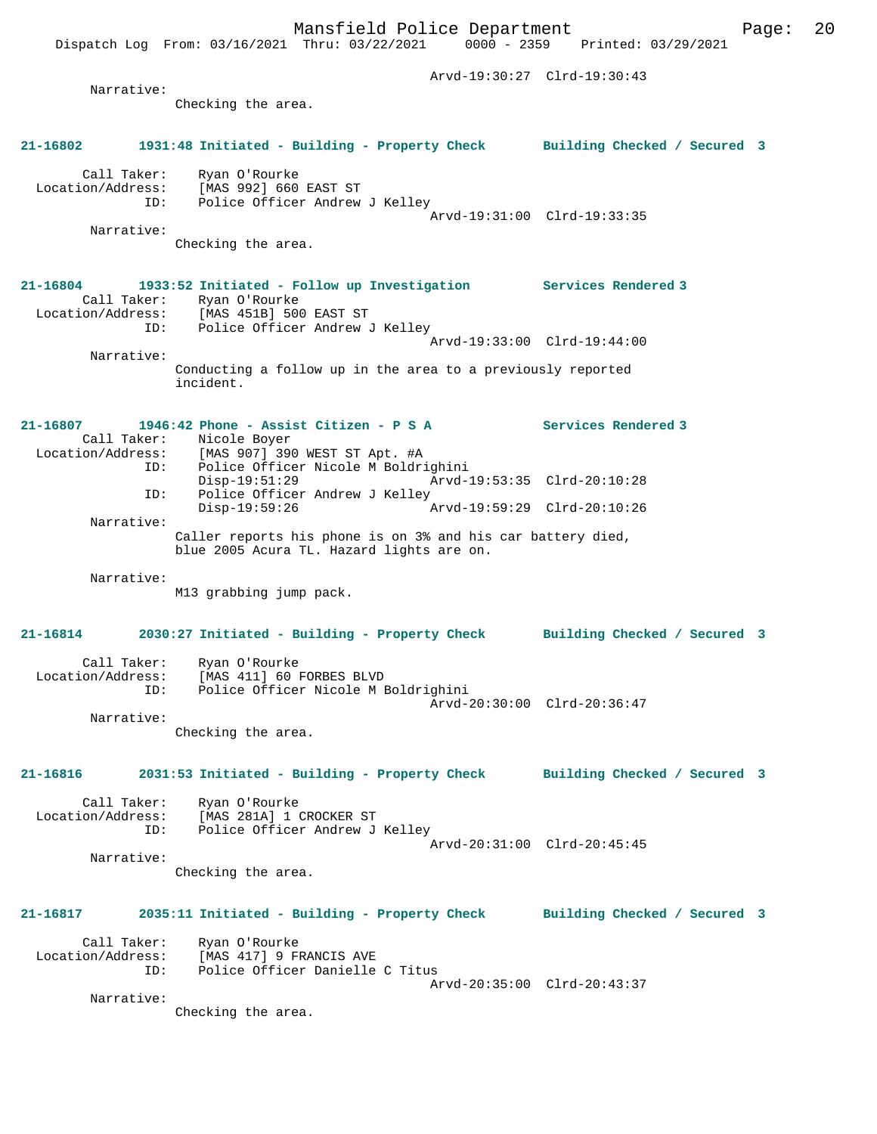Dispatch Log From: 03/16/2021 Thru: 03/22/2021

 Arvd-19:30:27 Clrd-19:30:43 Narrative: Checking the area. **21-16802 1931:48 Initiated - Building - Property Check Building Checked / Secured 3** Call Taker: Ryan O'Rourke Location/Address: [MAS 992] 660 EAST ST International Contract Control Control Control Control Control Control Control Control Control Control Control Control Control Control Control Control Control Control Control Control Control Control Control Control Control Arvd-19:31:00 Clrd-19:33:35 Narrative: Checking the area. **21-16804 1933:52 Initiated - Follow up Investigation Services Rendered 3**  Call Taker: Ryan O'Rourke<br>Location/Address: [MAS 451B] 500 [MAS 451B] 500 EAST ST ID: Police Officer Andrew J Kelley Arvd-19:33:00 Clrd-19:44:00 Narrative: Conducting a follow up in the area to a previously reported incident. **21-16807 1946:42 Phone - Assist Citizen - P S A Services Rendered 3**  Call Taker: Nicole Boyer<br>Location/Address: [MAS 907] 39 ess: [MAS 907] 390 WEST ST Apt. #A<br>ID: Police Officer Nicole M Boldri Police Officer Nicole M Boldrighini<br>Disp-19:51:29 Arvd-1 Disp-19:51:29 Arvd-19:53:35 Clrd-20:10:28<br>TD: Police Officer Andrew J Kelley Police Officer Andrew J Kelley<br>Disp-19:59:26 Disp-19:59:26 Arvd-19:59:29 Clrd-20:10:26 Narrative: Caller reports his phone is on 3% and his car battery died, blue 2005 Acura TL. Hazard lights are on. Narrative: M13 grabbing jump pack. **21-16814 2030:27 Initiated - Building - Property Check Building Checked / Secured 3** Call Taker: Ryan O'Rourke Location/Address: [MAS 411] 60 FORBES BLVD Police Officer Nicole M Boldrighini Arvd-20:30:00 Clrd-20:36:47 Narrative: Checking the area. **21-16816 2031:53 Initiated - Building - Property Check Building Checked / Secured 3** Call Taker: Ryan O'Rourke<br>Location/Address: [MAS 281A] 1 ( [MAS 281A] 1 CROCKER ST ID: Police Officer Andrew J Kelley Arvd-20:31:00 Clrd-20:45:45 Narrative: Checking the area. **21-16817 2035:11 Initiated - Building - Property Check Building Checked / Secured 3** Call Taker: Ryan O'Rourke Location/Address: [MAS 417] 9 FRANCIS AVE ID: Police Officer Danielle C Titus Arvd-20:35:00 Clrd-20:43:37 Narrative: Checking the area.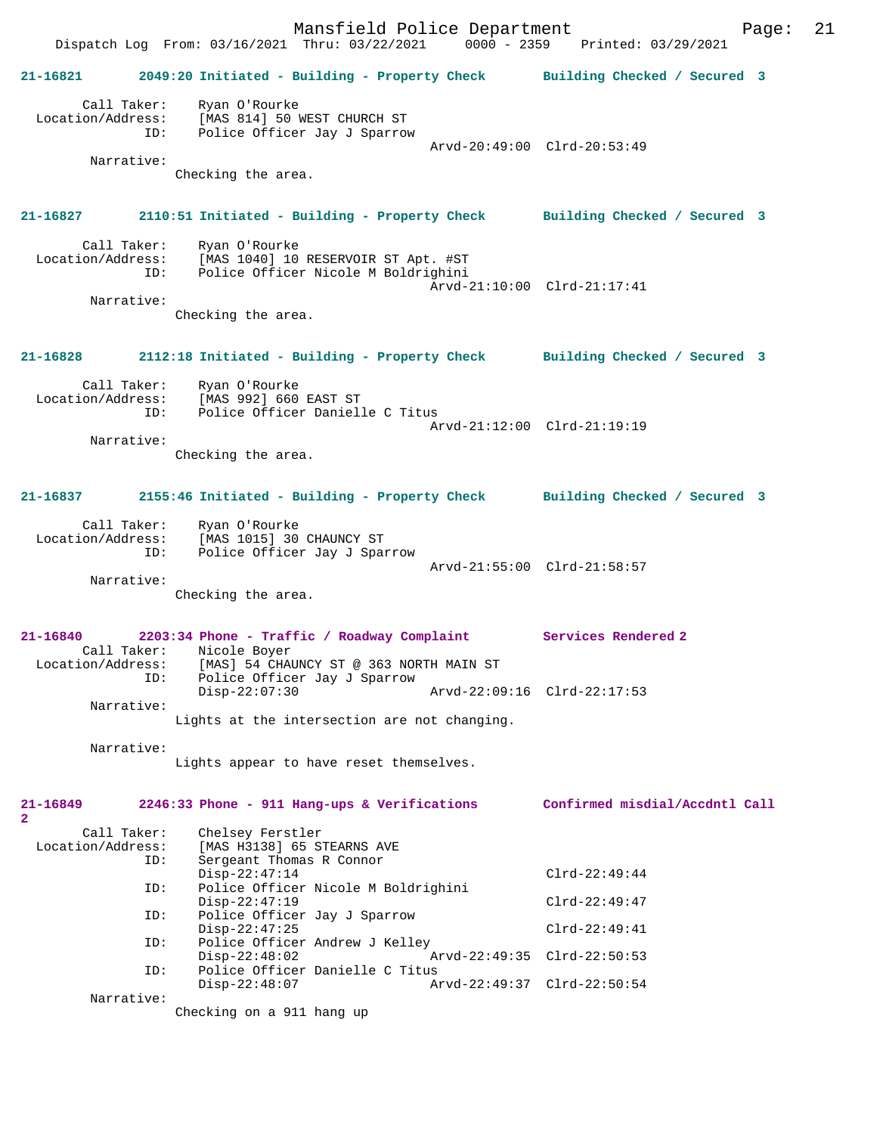Mansfield Police Department Page: 21 Dispatch Log From: 03/16/2021 Thru: 03/22/2021 0000 - 2359 Printed: 03/29/2021 **21-16821 2049:20 Initiated - Building - Property Check Building Checked / Secured 3** Call Taker: Ryan O'Rourke Location/Address: [MAS 814] 50 WEST CHURCH ST ID: Police Officer Jay J Sparrow Arvd-20:49:00 Clrd-20:53:49 Narrative: Checking the area. **21-16827 2110:51 Initiated - Building - Property Check Building Checked / Secured 3** Call Taker: Ryan O'Rourke<br>Location/Address: [MAS 1040] 10 ess: [MAS 1040] 10 RESERVOIR ST Apt. #ST<br>ID: Police Officer Nicole M Boldrighini Police Officer Nicole M Boldrighini Arvd-21:10:00 Clrd-21:17:41 Narrative: Checking the area. **21-16828 2112:18 Initiated - Building - Property Check Building Checked / Secured 3** Call Taker: Ryan O'Rourke Location/Address: [MAS 992] 660 EAST ST ID: Police Officer Danielle C Titus Arvd-21:12:00 Clrd-21:19:19 Narrative: Checking the area. **21-16837 2155:46 Initiated - Building - Property Check Building Checked / Secured 3** Call Taker: Ryan O'Rourke Location/Address: [MAS 1015] 30 CHAUNCY ST ID: Police Officer Jay J Sparrow Arvd-21:55:00 Clrd-21:58:57 Narrative: Checking the area. **21-16840 2203:34 Phone - Traffic / Roadway Complaint Services Rendered 2**  Call Taker: Nicole Boyer<br>Location/Address: [MAS] 54 CHAN [MAS] 54 CHAUNCY ST @ 363 NORTH MAIN ST ess. المطلب العديد العديد .<br>ID: Police Officer Jay J Sparrow<br>Disp-22:07:30 Disp-22:07:30 Arvd-22:09:16 Clrd-22:17:53 Narrative: Lights at the intersection are not changing. Narrative: Lights appear to have reset themselves. **21-16849 2246:33 Phone - 911 Hang-ups & Verifications Confirmed misdial/Accdntl Call 2**  Call Taker: Chelsey Ferstler<br>Location/Address: [MAS H3138] 65 ST ess: [MAS H3138] 65 STEARNS AVE<br>ID: Sergeant Thomas R Connor Sergeant Thomas R Connor Disp-22:47:14 Clrd-22:49:44<br>ID: Police Officer Nicole M Boldrighini Police Officer Nicole M Boldrighini Disp-22:47:19 Clrd-22:49:47<br>TD: Police Officer Jav J Sparrow Police Officer Jay J Sparrow Disp-22:47:25 Clrd-22:49:41<br>Th: Police Officer Andrew J Kelley Police Officer Andrew J Kelley<br>Disp-22:48:02 A Arvd-22:49:35 Clrd-22:50:53 ID: Police Officer Danielle C Titus Disp-22:48:07 Arvd-22:49:37 Clrd-22:50:54 Narrative: Checking on a 911 hang up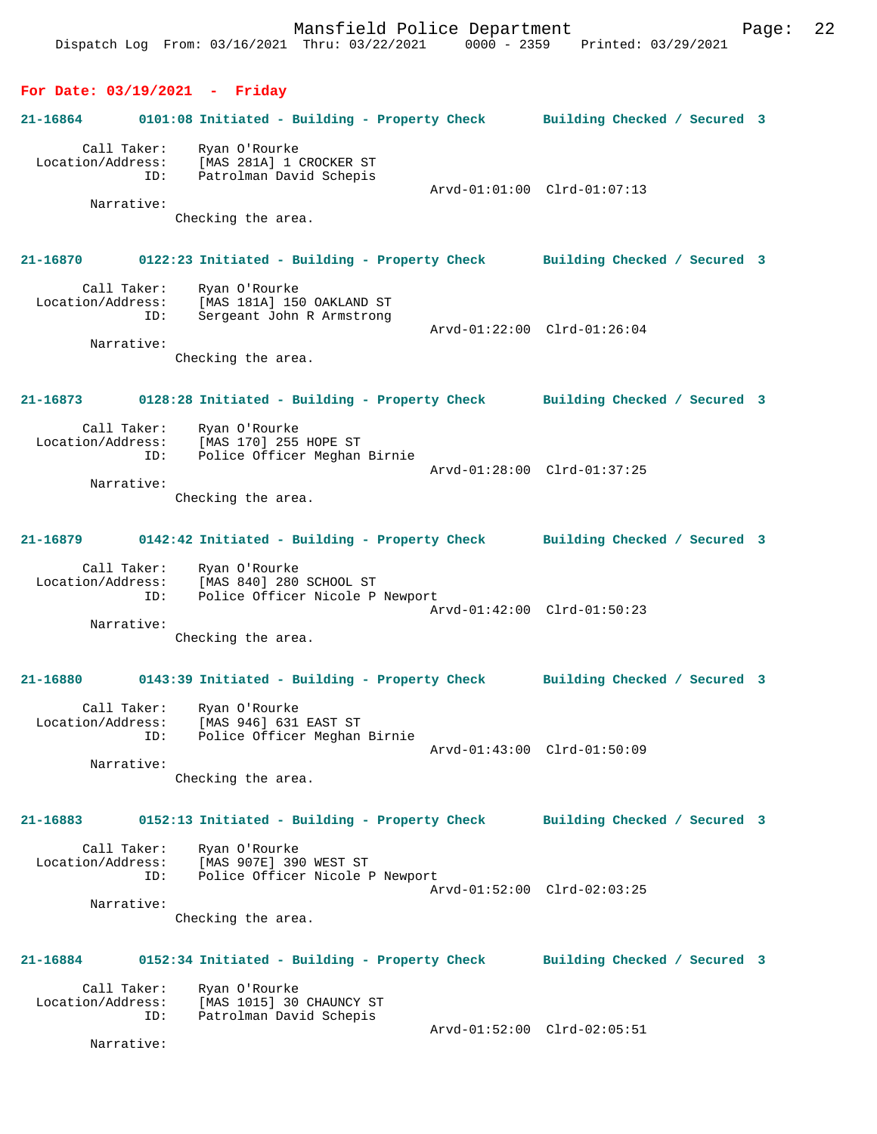|                                 | Dispatch Log From: 03/16/2021 Thru: 03/22/2021 0000 - 2359 Printed: 03/29/2021                                                      |                             |
|---------------------------------|-------------------------------------------------------------------------------------------------------------------------------------|-----------------------------|
| For Date: $03/19/2021$ - Friday |                                                                                                                                     |                             |
| 21-16864                        | 0101:08 Initiated - Building - Property Check Building Checked / Secured 3                                                          |                             |
| Narrative:                      | Call Taker: Ryan O'Rourke<br>Location/Address: [MAS 281A] 1 CROCKER ST<br>ID: Patrolman David Schepis<br>Checking the area.         | Arvd-01:01:00 Clrd-01:07:13 |
|                                 |                                                                                                                                     |                             |
| 21-16870                        | 0122:23 Initiated - Building - Property Check Building Checked / Secured 3                                                          |                             |
| ID:<br>Narrative:               | Call Taker: Ryan O'Rourke<br>Location/Address: [MAS 181A] 150 OAKLAND ST<br>Sergeant John R Armstrong<br>Checking the area.         | Arvd-01:22:00 Clrd-01:26:04 |
| 21-16873                        | 0128:28 Initiated - Building - Property Check Building Checked / Secured 3                                                          |                             |
| Location/Address:<br>Narrative: | Call Taker: Ryan O'Rourke<br>[MAS 170] 255 HOPE ST<br>ID: Police Officer Meghan Birnie<br>Checking the area.                        | Arvd-01:28:00 Clrd-01:37:25 |
| 21-16879                        | 0142:42 Initiated - Building - Property Check Building Checked / Secured 3                                                          |                             |
| Narrative:                      | Call Taker: Ryan O'Rourke<br>Location/Address: [MAS 840] 280 SCHOOL ST<br>ID: Police Officer Nicole P Newport<br>Checking the area. | Arvd-01:42:00 Clrd-01:50:23 |
| 21-16880                        | 0143:39 Initiated - Building - Property Check Building Checked / Secured 3                                                          |                             |
| Narrative:                      | Call Taker: Ryan O'Rourke<br>Location/Address: [MAS 946] 631 EAST ST<br>ID: Police Officer Meghan Birnie<br>Checking the area.      | Arvd-01:43:00 Clrd-01:50:09 |
| 21-16883                        | 0152:13 Initiated - Building - Property Check Building Checked / Secured 3                                                          |                             |
| Location/Address:<br>Narrative: | Call Taker: Ryan O'Rourke<br>[MAS 907E] 390 WEST ST<br>ID: Police Officer Nicole P Newport                                          | Arvd-01:52:00 Clrd-02:03:25 |
|                                 | Checking the area.                                                                                                                  |                             |
| 21-16884                        | 0152:34 Initiated - Building - Property Check Building Checked / Secured 3                                                          |                             |
| Call Taker:                     | Ryan O'Rourke<br>Location/Address: [MAS 1015] 30 CHAUNCY ST<br>ID: Patrolman David Schepis<br>[MAS 1015] 30 CHAUNCY ST              | Arvd-01:52:00 Clrd-02:05:51 |
| Narrative:                      |                                                                                                                                     |                             |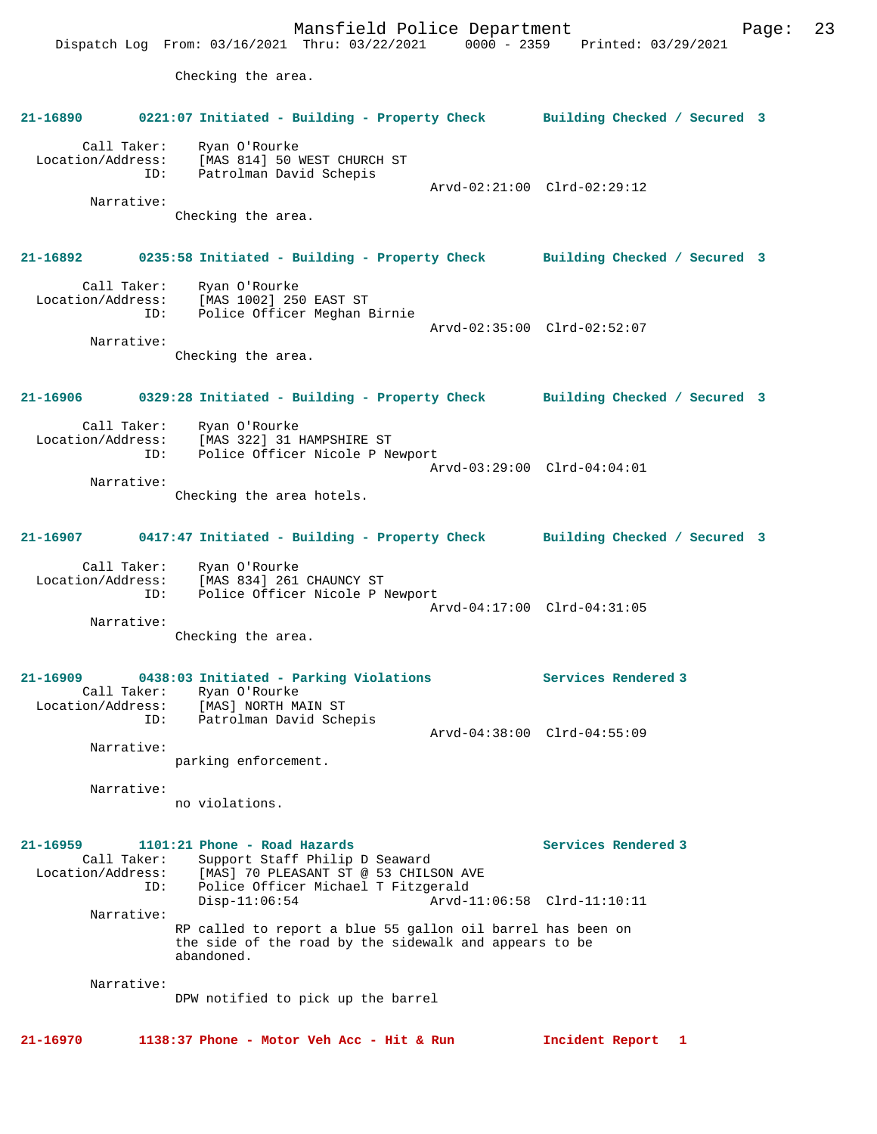Mansfield Police Department Page: 23 Dispatch Log From: 03/16/2021 Thru: 03/22/2021 0000 - 2359 Printed: 03/29/2021 Checking the area. **21-16890 0221:07 Initiated - Building - Property Check Building Checked / Secured 3** Call Taker: Ryan O'Rourke Location/Address: [MAS 814] 50 WEST CHURCH ST ID: Patrolman David Schepis Arvd-02:21:00 Clrd-02:29:12 Narrative: Checking the area. **21-16892 0235:58 Initiated - Building - Property Check Building Checked / Secured 3** Call Taker: Ryan O'Rourke Location/Address: [MAS 1002] 250 EAST ST ID: Police Officer Meghan Birnie Arvd-02:35:00 Clrd-02:52:07 Narrative: Checking the area. **21-16906 0329:28 Initiated - Building - Property Check Building Checked / Secured 3** Call Taker: Ryan O'Rourke Location/Address: [MAS 322] 31 HAMPSHIRE ST<br>TD: Police Officer Nicole P Ne Police Officer Nicole P Newport Arvd-03:29:00 Clrd-04:04:01 Narrative: Checking the area hotels. **21-16907 0417:47 Initiated - Building - Property Check Building Checked / Secured 3** Call Taker: Ryan O'Rourke Location/Address: [MAS 834] 261 CHAUNCY ST ID: Police Officer Nicole P Newport Arvd-04:17:00 Clrd-04:31:05 Narrative: Checking the area. **21-16909 0438:03 Initiated - Parking Violations Services Rendered 3**  Call Taker: Ryan O'Rourke Location/Address: [MAS] NORTH MAIN ST ID: Patrolman David Schepis Arvd-04:38:00 Clrd-04:55:09 Narrative: parking enforcement. Narrative: no violations. 21-16959 1101:21 Phone - Road Hazards **Services Rendered 3**  Call Taker: Support Staff Philip D Seaward Location/Address: [MAS] 70 PLEASANT ST @ 53 CHILSON AVE<br>TD: Police Officer Michael T Fitzgerald ID: Police Officer Michael T Fitzgerald Disp-11:06:54 Arvd-11:06:58 Clrd-11:10:11 Narrative: RP called to report a blue 55 gallon oil barrel has been on the side of the road by the sidewalk and appears to be abandoned. Narrative: DPW notified to pick up the barrel **21-16970 1138:37 Phone - Motor Veh Acc - Hit & Run Incident Report 1**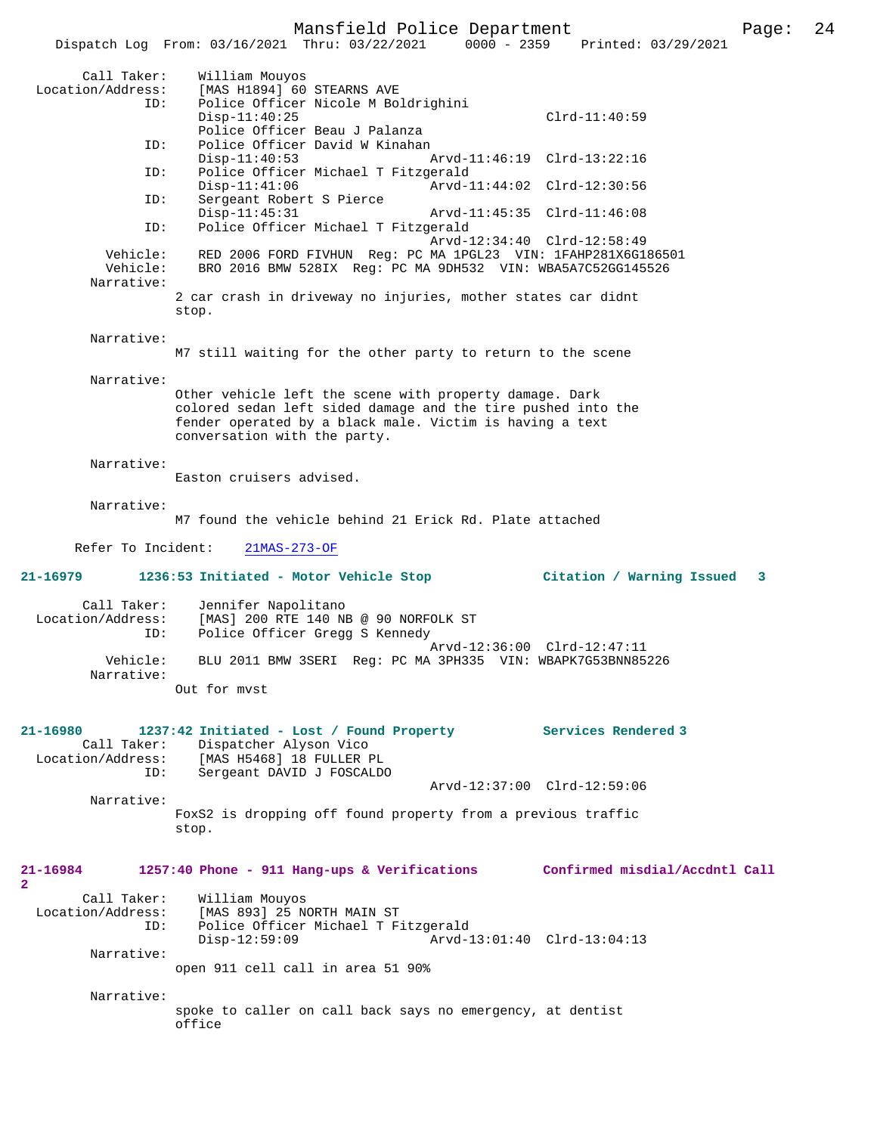#### Mansfield Police Department Page: 24

 Dispatch Log From: 03/16/2021 Thru: 03/22/2021 0000 - 2359 Printed: 03/29/2021 Call Taker: William Mouyos Location/Address: [MAS H1894] 60 STEARNS AVE<br>ID: Police Officer Nicole M Bol Police Officer Nicole M Boldrighini Disp-11:40:25 Clrd-11:40:59 Police Officer Beau J Palanza<br>ID: Police Officer David W Kinahan Police Officer David W Kinahan Disp-11:40:53 Arvd-11:46:19 Clrd-13:22:16<br>Th: Police Officer Michael T Fitzgerald Police Officer Michael T Fitzgerald<br>Disp-11:41:06 Arvd-1 Disp-11:41:06 Arvd-11:44:02 Clrd-12:30:56 ID: Sergeant Robert S Pierce Disp-11:45:31 Arvd-11:45:35 Clrd-11:46:08 ID: Police Officer Michael T Fitzgerald Arvd-12:34:40 Clrd-12:58:49<br>Vehicle: RED 2006 FORD FIVHUN Reg: PC MA 1PGL23 VIN: 1FAHP281X6G1 RED 2006 FORD FIVHUN Reg: PC MA 1PGL23 VIN: 1FAHP281X6G186501 Vehicle: BRO 2016 BMW 528IX Reg: PC MA 9DH532 VIN: WBA5A7C52GG145526 Narrative: 2 car crash in driveway no injuries, mother states car didnt stop. Narrative: M7 still waiting for the other party to return to the scene Narrative: Other vehicle left the scene with property damage. Dark colored sedan left sided damage and the tire pushed into the fender operated by a black male. Victim is having a text conversation with the party. Narrative: Easton cruisers advised. Narrative: M7 found the vehicle behind 21 Erick Rd. Plate attached Refer To Incident: 21MAS-273-OF **21-16979 1236:53 Initiated - Motor Vehicle Stop Citation / Warning Issued 3** Call Taker: Jennifer Napolitano<br>Location/Address: [MAS] 200 RTE 140 NI [MAS] 200 RTE 140 NB @ 90 NORFOLK ST ID: Police Officer Gregg S Kennedy Arvd-12:36:00 Clrd-12:47:11<br>Vehicle: BLU 2011 BMW 3SERI Req: PC MA 3PH335 VIN: WBAPK7G53BNN85 BLU 2011 BMW 3SERI Reg: PC MA 3PH335 VIN: WBAPK7G53BNN85226 Narrative: Out for mvst **21-16980 1237:42 Initiated - Lost / Found Property Services Rendered 3**  Call Taker: Dispatcher Alyson Vico Location/Address: [MAS H5468] 18 FULLER PL Sergeant DAVID J FOSCALDO Arvd-12:37:00 Clrd-12:59:06 Narrative: FoxS2 is dropping off found property from a previous traffic stop. **21-16984 1257:40 Phone - 911 Hang-ups & Verifications Confirmed misdial/Accdntl Call 2**  Call Taker: William Mouyos Location/Address: [MAS 893] 25 NORTH MAIN ST ID: Police Officer Michael T Fitzgerald Disp-12:59:09 Arvd-13:01:40 Clrd-13:04:13 Narrative: open 911 cell call in area 51 90% Narrative: spoke to caller on call back says no emergency, at dentist office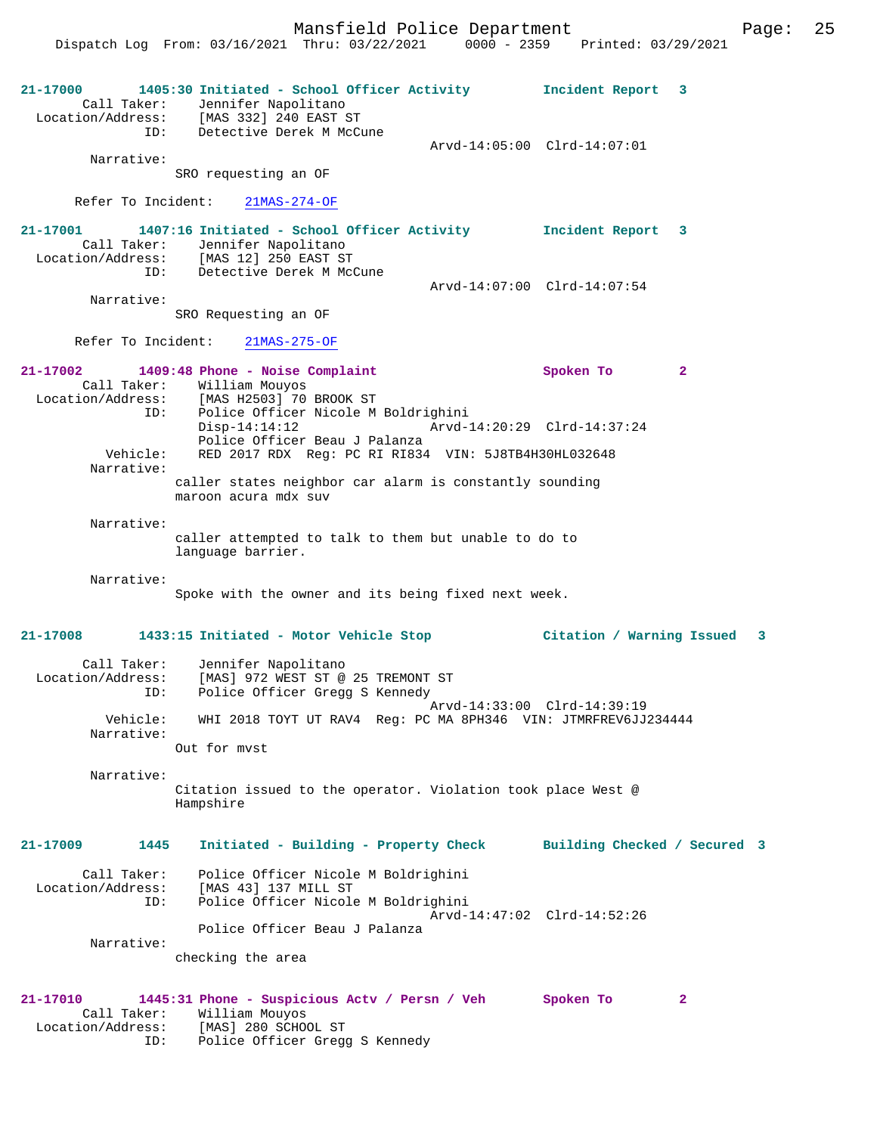**21-17000 1405:30 Initiated - School Officer Activity Incident Report 3**  Call Taker: Jennifer Napolitano Location/Address: [MAS 332] 240 EAST ST ID: Detective Derek M McCune Arvd-14:05:00 Clrd-14:07:01 Narrative: SRO requesting an OF Refer To Incident: 21MAS-274-OF **21-17001 1407:16 Initiated - School Officer Activity Incident Report 3**  Call Taker: Jennifer Napolitano<br>Location/Address: [MAS 12] 250 EAST ST [MAS 12] 250 EAST ST ID: Detective Derek M McCune Arvd-14:07:00 Clrd-14:07:54 Narrative: SRO Requesting an OF Refer To Incident: 21MAS-275-OF **21-17002 1409:48 Phone - Noise Complaint Spoken To 2**  Call Taker: William Mouyos Location/Address: [MAS H2503] 70 BROOK ST ID: Police Officer Nicole M Boldrighini Disp-14:14:12 Arvd-14:20:29 Clrd-14:37:24 Police Officer Beau J Palanza<br>Vehicle: RED 2017 RDX Reg: PC RI RI834 RED 2017 RDX Reg: PC RI RI834 VIN: 5J8TB4H30HL032648 Narrative: caller states neighbor car alarm is constantly sounding maroon acura mdx suv Narrative: caller attempted to talk to them but unable to do to language barrier. Narrative: Spoke with the owner and its being fixed next week. **21-17008 1433:15 Initiated - Motor Vehicle Stop Citation / Warning Issued 3** Call Taker: Jennifer Napolitano Location/Address: [MAS] 972 WEST ST @ 25 TREMONT ST ID: Police Officer Gregg S Kennedy Arvd-14:33:00 Clrd-14:39:19 Vehicle: WHI 2018 TOYT UT RAV4 Reg: PC MA 8PH346 VIN: JTMRFREV6JJ234444 Narrative: Out for mvst Narrative: Citation issued to the operator. Violation took place West @ Hampshire **21-17009 1445 Initiated - Building - Property Check Building Checked / Secured 3** Call Taker: Police Officer Nicole M Boldrighini Location/Address: [MAS 43] 137 MILL ST ID: Police Officer Nicole M Boldrighini Arvd-14:47:02 Clrd-14:52:26 Police Officer Beau J Palanza Narrative: checking the area **21-17010 1445:31 Phone - Suspicious Actv / Persn / Veh Spoken To 2**  Call Taker: William Mouyos Location/Address: [MAS] 280 SCHOOL ST ID: Police Officer Gregg S Kennedy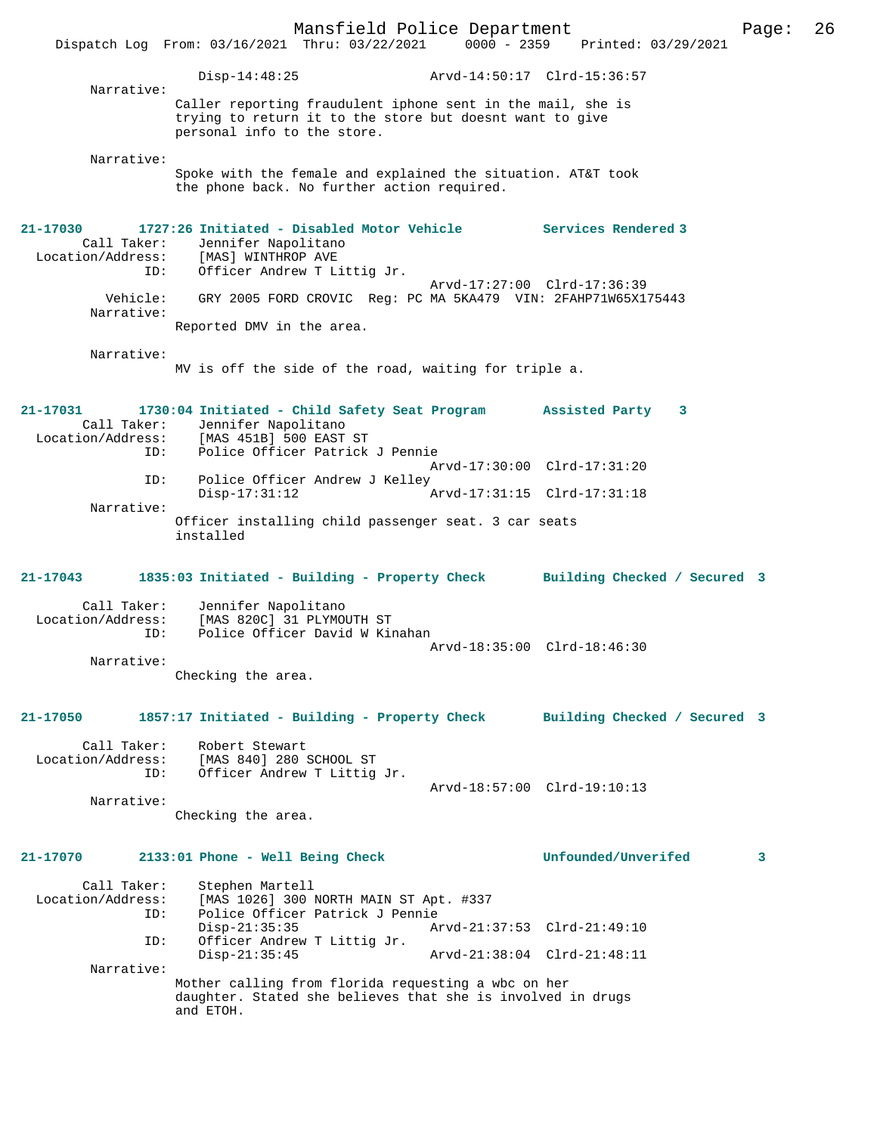Mansfield Police Department Page: 26 Dispatch Log From: 03/16/2021 Thru: 03/22/2021 Disp-14:48:25 Arvd-14:50:17 Clrd-15:36:57 Narrative: Caller reporting fraudulent iphone sent in the mail, she is trying to return it to the store but doesnt want to give personal info to the store. Narrative: Spoke with the female and explained the situation. AT&T took the phone back. No further action required. **21-17030 1727:26 Initiated - Disabled Motor Vehicle Services Rendered 3**  Call Taker: Jennifer Napolitano<br>Location/Address: [MAS] WINTHROP AVE Location/Address: [MAS] WINTHROP AVE ID: Officer Andrew T Littig Jr. Arvd-17:27:00 Clrd-17:36:39 Vehicle: GRY 2005 FORD CROVIC Reg: PC MA 5KA479 VIN: 2FAHP71W65X175443 Narrative: Reported DMV in the area. Narrative: MV is off the side of the road, waiting for triple a. **21-17031 1730:04 Initiated - Child Safety Seat Program Assisted Party 3**  Call Taker: Jennifer Napolitano<br>Location/Address: [MAS 451B] 500 EAST [MAS 451B] 500 EAST ST ID: Police Officer Patrick J Pennie Arvd-17:30:00 Clrd-17:31:20 ID: Police Officer Andrew J Kelley Disp-17:31:12 Arvd-17:31:15 Clrd-17:31:18 Narrative: Officer installing child passenger seat. 3 car seats installed **21-17043 1835:03 Initiated - Building - Property Check Building Checked / Secured 3** Call Taker: Jennifer Napolitano<br>Location/Address: [MAS 820C] 31 PLYMOU [MAS 820C] 31 PLYMOUTH ST ID: Police Officer David W Kinahan Arvd-18:35:00 Clrd-18:46:30 Narrative: Checking the area. **21-17050 1857:17 Initiated - Building - Property Check Building Checked / Secured 3** Call Taker: Robert Stewart Location/Address: [MAS 840] 280 SCHOOL ST ID: Officer Andrew T Littig Jr. Arvd-18:57:00 Clrd-19:10:13 Narrative: Checking the area. **21-17070 2133:01 Phone - Well Being Check Unfounded/Unverifed 3** Call Taker: Stephen Martell<br>Location/Address: [MAS 1026] 300 1 ess: [MAS 1026] 300 NORTH MAIN ST Apt. #337<br>ID: Police Officer Patrick J Pennie Police Officer Patrick J Pennie<br>Disp-21:35:35 Am Disp-21:35:35 Arvd-21:37:53 Clrd-21:49:10 ID: Officer Andrew T Littig Jr. Arvd-21:38:04 Clrd-21:48:11 Narrative: Mother calling from florida requesting a wbc on her daughter. Stated she believes that she is involved in drugs and ETOH.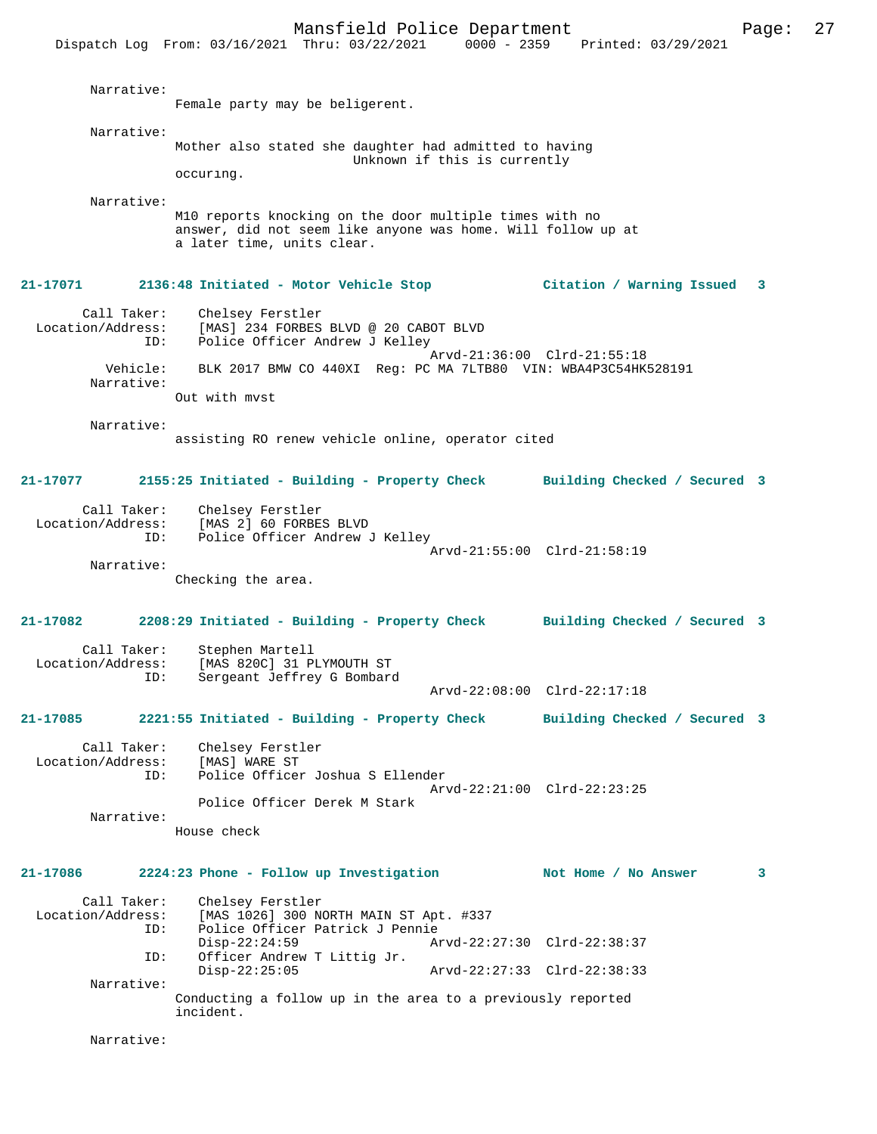Mansfield Police Department Fage: 27 Dispatch Log From: 03/16/2021 Thru: 03/22/2021 0000 - 2359 Printed: 03/29/2021 Narrative: Female party may be beligerent. Narrative: Mother also stated she daughter had admitted to having Unknown if this is currently occuring. Narrative: M10 reports knocking on the door multiple times with no answer, did not seem like anyone was home. Will follow up at a later time, units clear. **21-17071 2136:48 Initiated - Motor Vehicle Stop Citation / Warning Issued 3** Call Taker: Chelsey Ferstler Location/Address: [MAS] 234 FORBES BLVD @ 20 CABOT BLVD Police Officer Andrew J Kelley Arvd-21:36:00 Clrd-21:55:18 Vehicle: BLK 2017 BMW CO 440XI Reg: PC MA 7LTB80 VIN: WBA4P3C54HK528191 Narrative: Out with mvst Narrative: assisting RO renew vehicle online, operator cited **21-17077 2155:25 Initiated - Building - Property Check Building Checked / Secured 3** Call Taker: Chelsey Ferstler Location/Address: [MAS 2] 60 FORBES BLVD Police Officer Andrew J Kelley Arvd-21:55:00 Clrd-21:58:19 Narrative: Checking the area. **21-17082 2208:29 Initiated - Building - Property Check Building Checked / Secured 3** Call Taker: Stephen Martell Location/Address: [MAS 820C] 31 PLYMOUTH ST<br>ID: Sergeant Jeffrey G Bombard Sergeant Jeffrey G Bombard Arvd-22:08:00 Clrd-22:17:18 **21-17085 2221:55 Initiated - Building - Property Check Building Checked / Secured 3** Call Taker: Chelsey Ferstler<br>.on/Address: [MAS] WARE ST Location/Address:<br>ID: Police Officer Joshua S Ellender Arvd-22:21:00 Clrd-22:23:25 Police Officer Derek M Stark Narrative: House check **21-17086 2224:23 Phone - Follow up Investigation Not Home / No Answer 3** Call Taker: Chelsey Ferstler<br>Location/Address: [MAS 1026] 300 N ess: [MAS 1026] 300 NORTH MAIN ST Apt. #337<br>ID: Police Officer Patrick J Pennie Police Officer Patrick J Pennie<br>Disp-22:24:59 Ar Disp-22:24:59 Arvd-22:27:30 Clrd-22:38:37<br>ID: Officer Andrew T Littig Jr. Officer Andrew T Littig Jr. Disp-22:25:05 Arvd-22:27:33 Clrd-22:38:33 Narrative: Conducting a follow up in the area to a previously reported incident.

Narrative: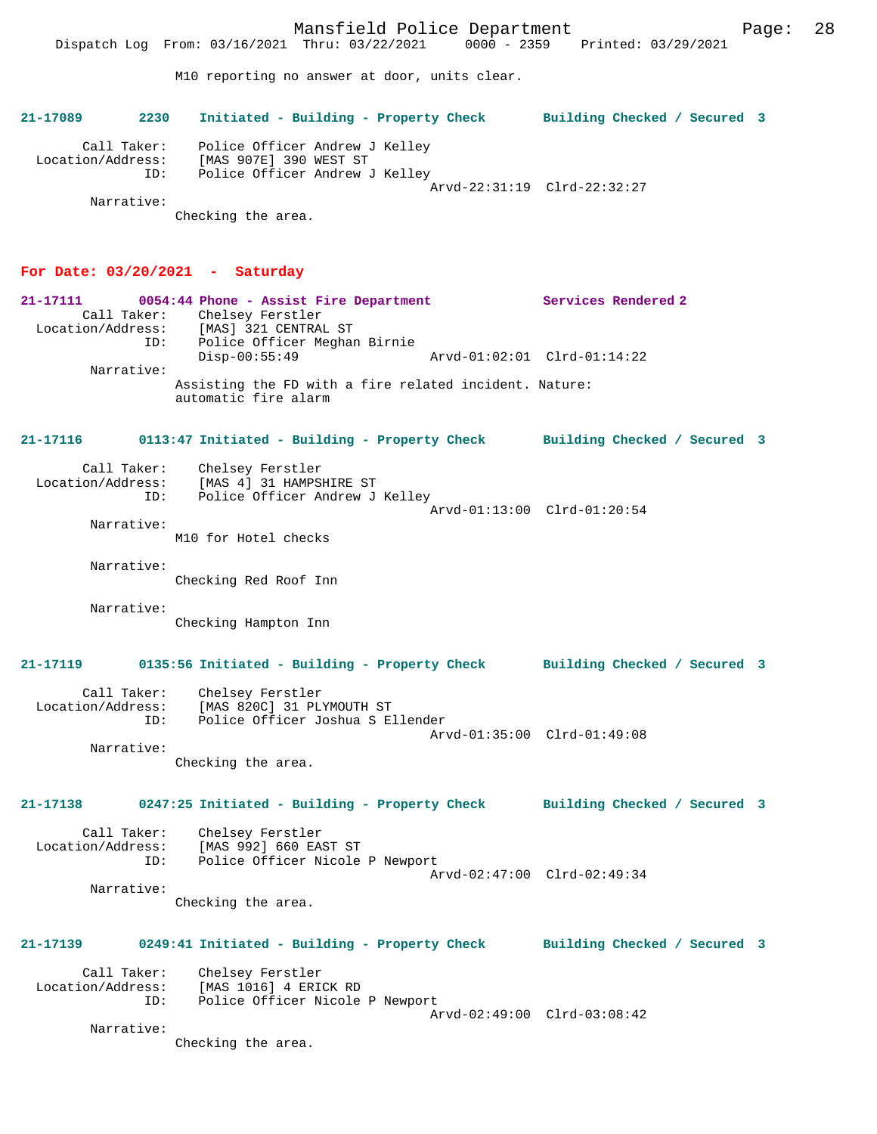Mansfield Police Department Page: 28 Dispatch Log From: 03/16/2021 Thru: 03/22/2021 0000 - 2359 Printed: 03/29/2021 M10 reporting no answer at door, units clear. **21-17089 2230 Initiated - Building - Property Check Building Checked / Secured 3** Call Taker: Police Officer Andrew J Kelley Location/Address: [MAS 907E] 390 WEST ST ID: Police Officer Andrew J Kelley Arvd-22:31:19 Clrd-22:32:27 Narrative: Checking the area. **For Date: 03/20/2021 - Saturday 21-17111 0054:44 Phone - Assist Fire Department Services Rendered 2**  Call Taker: Chelsey Ferstler Location/Address: [MAS] 321 CENTRAL ST ID: Police Officer Meghan Birnie Disp-00:55:49 Arvd-01:02:01 Clrd-01:14:22 Narrative: Assisting the FD with a fire related incident. Nature: automatic fire alarm **21-17116 0113:47 Initiated - Building - Property Check Building Checked / Secured 3** Call Taker: Chelsey Ferstler Location/Address: [MAS 4] 31 HAMPSHIRE ST ID: Police Officer Andrew J Kelley Arvd-01:13:00 Clrd-01:20:54 Narrative: M10 for Hotel checks Narrative: Checking Red Roof Inn Narrative: Checking Hampton Inn **21-17119 0135:56 Initiated - Building - Property Check Building Checked / Secured 3** Call Taker: Chelsey Ferstler Location/Address: [MAS 820C] 31 PLYMOUTH ST ID: Police Officer Joshua S Ellender Arvd-01:35:00 Clrd-01:49:08 Narrative: Checking the area. **21-17138 0247:25 Initiated - Building - Property Check Building Checked / Secured 3** Call Taker: Chelsey Ferstler Location/Address: [MAS 992] 660 EAST ST ID: Police Officer Nicole P Newport Arvd-02:47:00 Clrd-02:49:34

 Narrative: Checking the area.

**21-17139 0249:41 Initiated - Building - Property Check Building Checked / Secured 3**

 Call Taker: Chelsey Ferstler Location/Address: [MAS 1016] 4 ERICK RD ID: Police Officer Nicole P Newport Arvd-02:49:00 Clrd-03:08:42

Narrative:

Checking the area.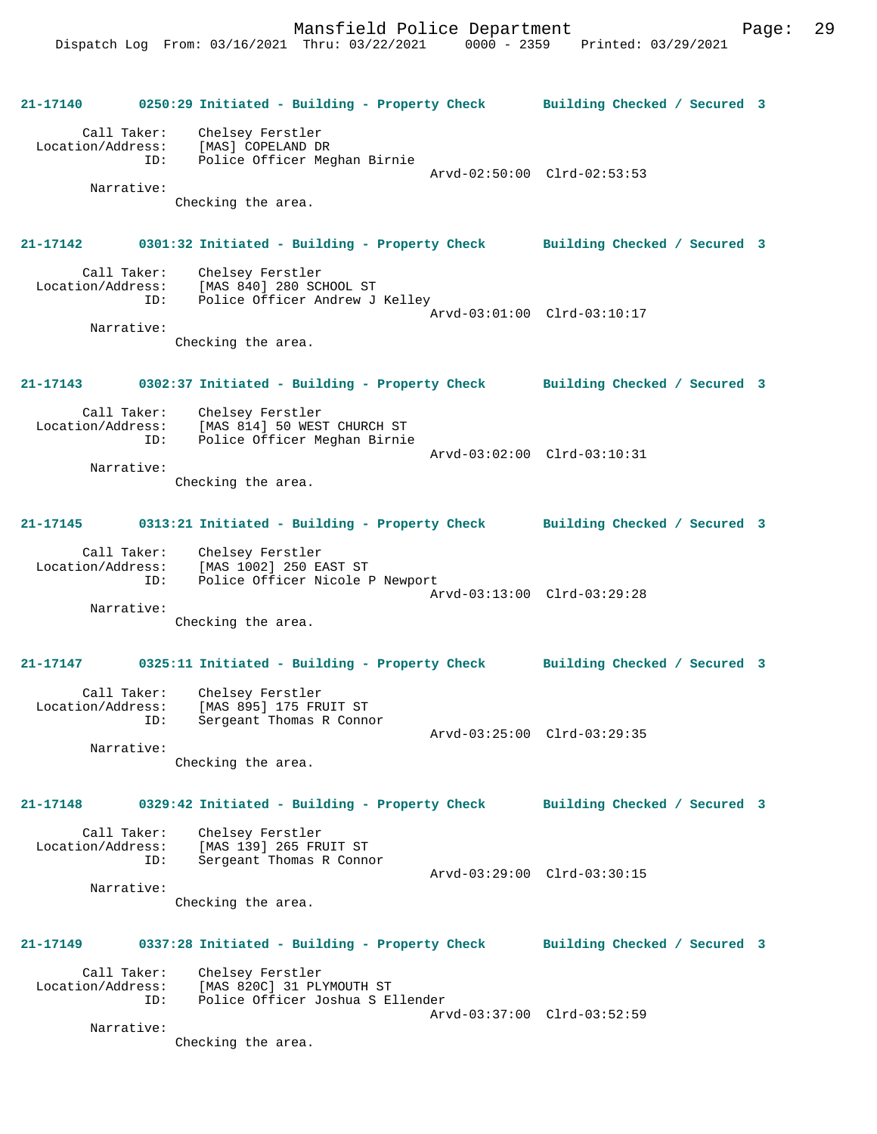**21-17140 0250:29 Initiated - Building - Property Check Building Checked / Secured 3** Call Taker: Chelsey Ferstler Location/Address: [MAS] COPELAND DR ID: Police Officer Meghan Birnie Arvd-02:50:00 Clrd-02:53:53 Narrative: Checking the area. **21-17142 0301:32 Initiated - Building - Property Check Building Checked / Secured 3** Call Taker: Chelsey Ferstler Location/Address: [MAS 840] 280 SCHOOL ST ID: Police Officer Andrew J Kelley Arvd-03:01:00 Clrd-03:10:17 Narrative: Checking the area. **21-17143 0302:37 Initiated - Building - Property Check Building Checked / Secured 3** Call Taker: Chelsey Ferstler Location/Address: [MAS 814] 50 WEST CHURCH ST ID: Police Officer Meghan Birnie Arvd-03:02:00 Clrd-03:10:31 Narrative: Checking the area. **21-17145 0313:21 Initiated - Building - Property Check Building Checked / Secured 3** Call Taker: Chelsey Ferstler Location/Address: [MAS 1002] 250 EAST ST ID: Police Officer Nicole P Newport Arvd-03:13:00 Clrd-03:29:28 Narrative: Checking the area. **21-17147 0325:11 Initiated - Building - Property Check Building Checked / Secured 3** Call Taker: Chelsey Ferstler Location/Address: [MAS 895] 175 FRUIT ST ID: Sergeant Thomas R Connor Arvd-03:25:00 Clrd-03:29:35 Narrative: Checking the area. **21-17148 0329:42 Initiated - Building - Property Check Building Checked / Secured 3** Call Taker: Chelsey Ferstler Location/Address: [MAS 139] 265 FRUIT ST ID: Sergeant Thomas R Connor Arvd-03:29:00 Clrd-03:30:15 Narrative: Checking the area. **21-17149 0337:28 Initiated - Building - Property Check Building Checked / Secured 3** Call Taker: Chelsey Ferstler Location/Address: [MAS 820C] 31 PLYMOUTH ST ID: Police Officer Joshua S Ellender Arvd-03:37:00 Clrd-03:52:59 Narrative: Checking the area.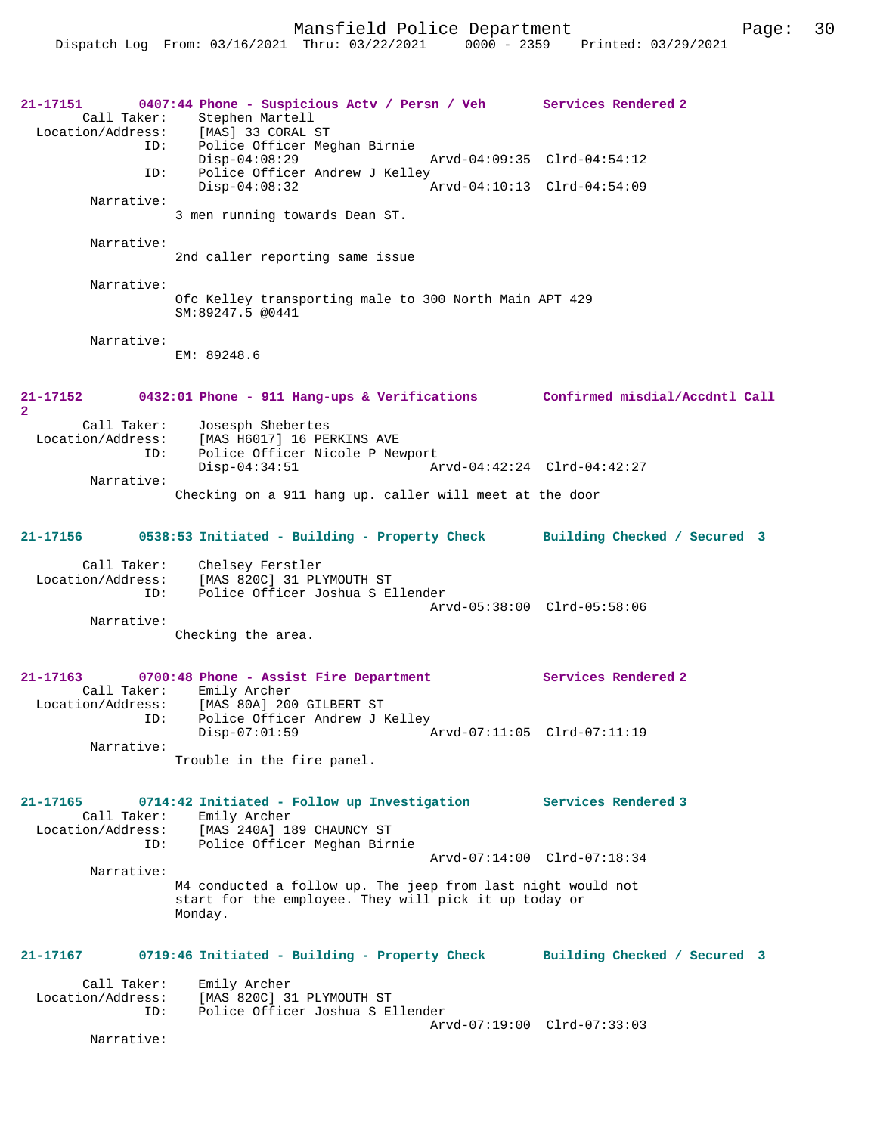```
21-17151 0407:44 Phone - Suspicious Actv / Persn / Veh Services Rendered 2 
       Call Taker: Stephen Martell<br>ion/Address: [MAS] 33 CORAL ST
  Location/Address:
                 ID: Police Officer Meghan Birnie
                 Disp-04:08:29 Arvd-04:09:35 Clrd-04:54:12<br>ID: Police Officer Andrew J Kelley
                       Police Officer Andrew J Kelley<br>Disp-04:08:32
                                                         Disp-04:08:32 Arvd-04:10:13 Clrd-04:54:09
          Narrative: 
                    3 men running towards Dean ST.
          Narrative: 
                     2nd caller reporting same issue
          Narrative: 
                     Ofc Kelley transporting male to 300 North Main APT 429
                     SM:89247.5 @0441
          Narrative: 
                     EM: 89248.6
21-17152 0432:01 Phone - 911 Hang-ups & Verifications Confirmed misdial/Accdntl Call
2 
 Call Taker: Josesph Shebertes<br>Location/Address: [MAS H6017] 16 PE
                ess: [MAS H6017] 16 PERKINS AVE<br>ID: Police Officer Nicole P New
                        Police Officer Nicole P Newport
                         Disp-04:34:51 Arvd-04:42:24 Clrd-04:42:27
          Narrative: 
                     Checking on a 911 hang up. caller will meet at the door
21-17156 0538:53 Initiated - Building - Property Check Building Checked / Secured 3
         Call Taker: Chelsey Ferstler
   Location/Address: [MAS 820C] 31 PLYMOUTH ST
                 ID: Police Officer Joshua S Ellender
                                                         Arvd-05:38:00 Clrd-05:58:06
          Narrative: 
                    Checking the area.
21-17163 0700:48 Phone - Assist Fire Department Services Rendered 2 
  Call Taker: Emily Archer<br>Location/Address: [MAS 80A] 20
                ess: [MAS 80A] 200 GILBERT ST<br>TD: Police Officer Andrew J]
                       Police Officer Andrew J Kelley<br>Disp-07:01:59
                                                        Disp-07:01:59 Arvd-07:11:05 Clrd-07:11:19
          Narrative: 
                    Trouble in the fire panel.
21-17165 0714:42 Initiated - Follow up Investigation Services Rendered 3 
        Call Taker: Emily Archer
   Location/Address: [MAS 240A] 189 CHAUNCY ST
                 ID: Police Officer Meghan Birnie
                                                         Arvd-07:14:00 Clrd-07:18:34
          Narrative: 
                     M4 conducted a follow up. The jeep from last night would not 
                     start for the employee. They will pick it up today or 
                     Monday.
21-17167 0719:46 Initiated - Building - Property Check Building Checked / Secured 3
  Call Taker: Emily Archer<br>Location/Address: [MAS 820C] 3
                        [MAS 820C] 31 PLYMOUTH ST
                 ID: Police Officer Joshua S Ellender
                                                         Arvd-07:19:00 Clrd-07:33:03
          Narrative:
```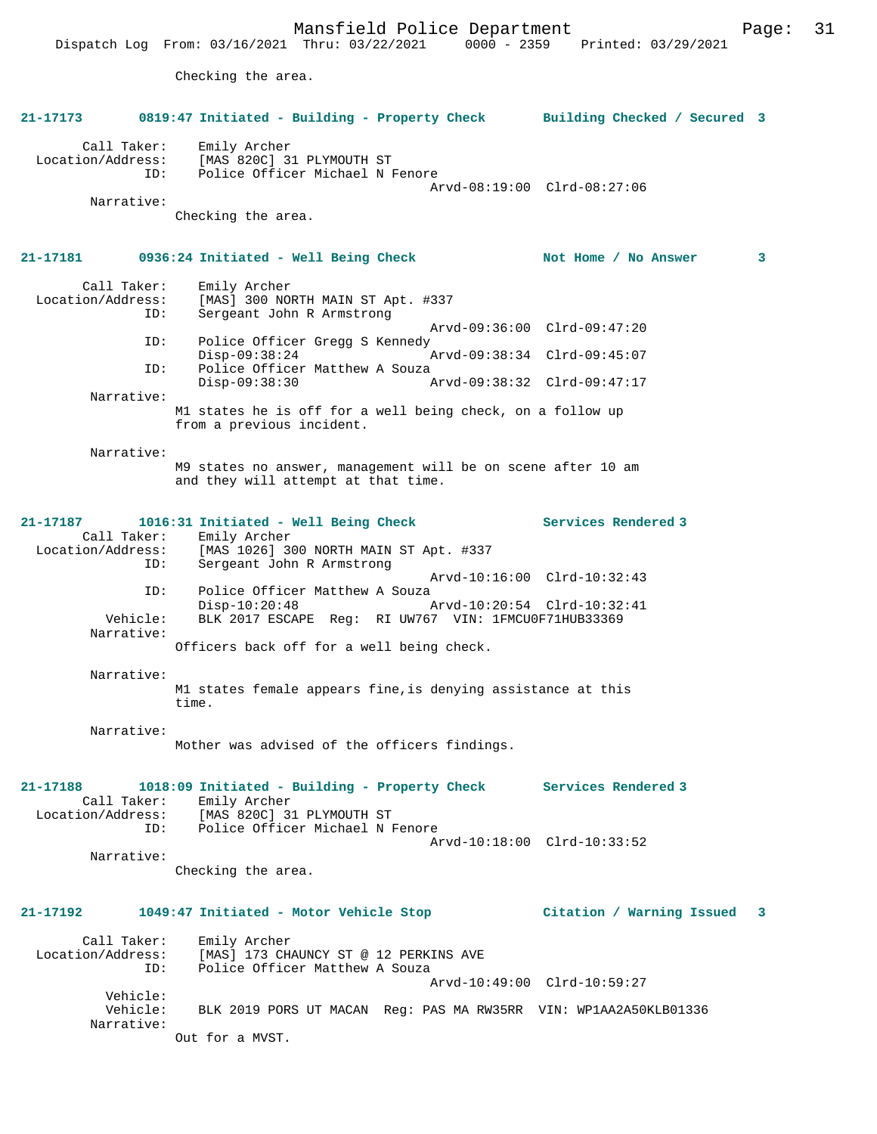Dispatch Log From: 03/16/2021 Thru: 03/22/2021 0000 - 2359 Printed: 03/29/2021 Checking the area.

**21-17173 0819:47 Initiated - Building - Property Check Building Checked / Secured 3** Call Taker: Emily Archer Location/Address: [MAS 820C] 31 PLYMOUTH ST<br>TD: Police Officer Michael NJ Police Officer Michael N Fenore Arvd-08:19:00 Clrd-08:27:06 Narrative: Checking the area. **21-17181 0936:24 Initiated - Well Being Check Not Home / No Answer 3** Call Taker: Emily Archer Location/Address: [MAS] 300 NORTH MAIN ST Apt. #337<br>TD: Sergeant John R Armstrong Sergeant John R Armstrong Arvd-09:36:00 Clrd-09:47:20<br>TD: Police Officer Gregg S Kennedy Police Officer Gregg S Kennedy<br>Disp-09:38:24 Disp-09:38:24 Arvd-09:38:34 Clrd-09:45:07 ID: Police Officer Matthew A Souza<br>Disp-09:38:30 Disp-09:38:30 Arvd-09:38:32 Clrd-09:47:17 Narrative: M1 states he is off for a well being check, on a follow up from a previous incident. Narrative: M9 states no answer, management will be on scene after 10 am and they will attempt at that time. **21-17187 1016:31 Initiated - Well Being Check Services Rendered 3**  Call Taker: Emily Archer<br>Location/Address: [MAS 1026] 3 ess: [MAS 1026] 300 NORTH MAIN ST Apt. #337<br>ID: Sergeant John R Armstrong Sergeant John R Armstrong Arvd-10:16:00 Clrd-10:32:43 ID: Police Officer Matthew A Souza<br>Disp-10:20:48 Disp-10:20:48 Arvd-10:20:54 Clrd-10:32:41 Vehicle: BLK 2017 ESCAPE Reg: RI UW767 VIN: 1FMCU0F71HUB33369 Narrative: Officers back off for a well being check. Narrative: M1 states female appears fine,is denying assistance at this time. Narrative: Mother was advised of the officers findings. **21-17188 1018:09 Initiated - Building - Property Check Services Rendered 3**  Call Taker: Emily Archer Location/Address: [MAS 820C] 31 PLYMOUTH ST ID: Police Officer Michael N Fenore Arvd-10:18:00 Clrd-10:33:52 Narrative: Checking the area. **21-17192 1049:47 Initiated - Motor Vehicle Stop Citation / Warning Issued 3** Call Taker: Emily Archer Location/Address: [MAS] 173 CHAUNCY ST @ 12 PERKINS AVE<br>ID: Police Officer Matthew A Souza Police Officer Matthew A Souza Arvd-10:49:00 Clrd-10:59:27 Vehicle:<br>Vehicle: BLK 2019 PORS UT MACAN Reg: PAS MA RW35RR VIN: WP1AA2A50KLB01336 Narrative: Out for a MVST.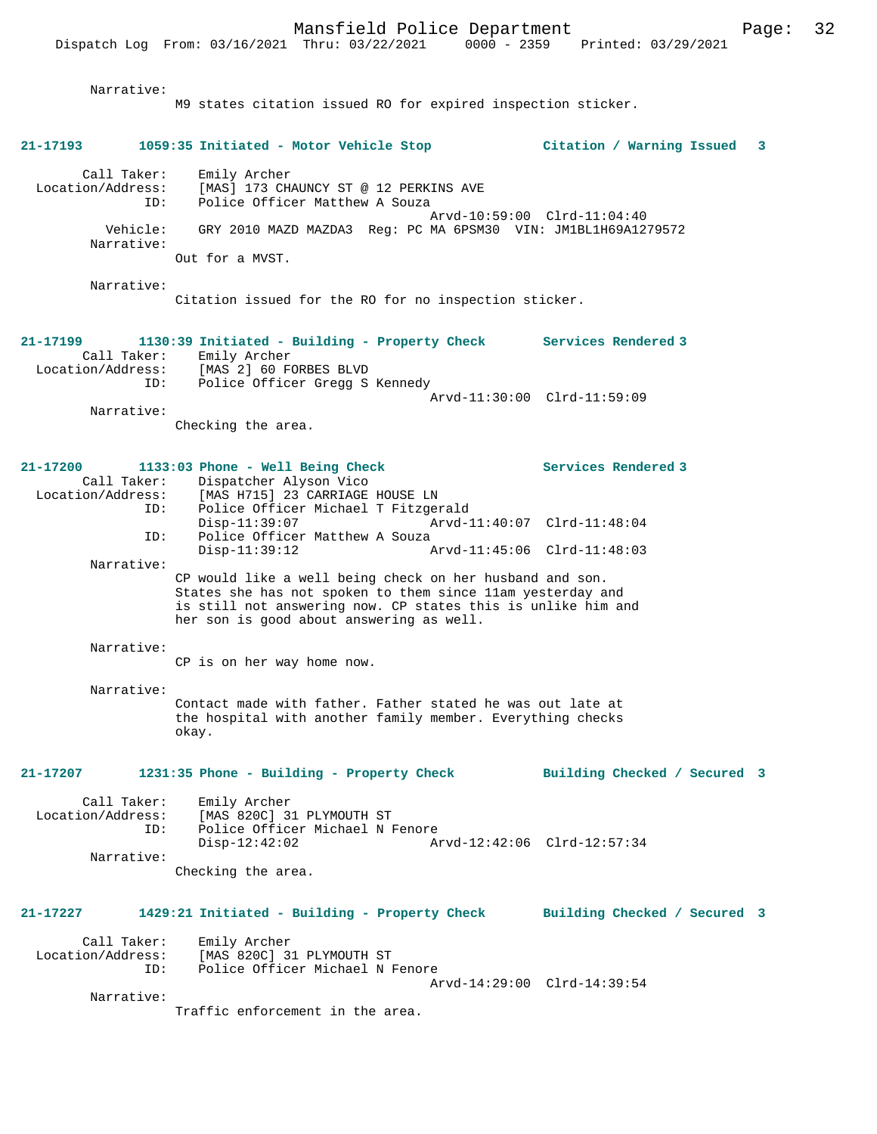| Narrative:                                   | M9 states citation issued R0 for expired inspection sticker.                                                                                                                                                                       |                                |
|----------------------------------------------|------------------------------------------------------------------------------------------------------------------------------------------------------------------------------------------------------------------------------------|--------------------------------|
| 21-17193                                     | 1059:35 Initiated - Motor Vehicle Stop                                                                                                                                                                                             | Citation / Warning Issued<br>3 |
| Call Taker:<br>Location/Address:<br>ID:      | Emily Archer<br>[MAS] 173 CHAUNCY ST @ 12 PERKINS AVE<br>Police Officer Matthew A Souza                                                                                                                                            | Arvd-10:59:00 Clrd-11:04:40    |
| Vehicle:<br>Narrative:                       | GRY 2010 MAZD MAZDA3 Req: PC MA 6PSM30 VIN: JM1BL1H69A1279572                                                                                                                                                                      |                                |
|                                              | Out for a MVST.                                                                                                                                                                                                                    |                                |
| Narrative:                                   | Citation issued for the RO for no inspection sticker.                                                                                                                                                                              |                                |
| 21-17199<br>Call Taker:                      | 1130:39 Initiated - Building - Property Check Services Rendered 3<br>Emily Archer<br>Location/Address: [MAS 2] 60 FORBES BLVD<br>ID: Police Officer Gregg S Kennedy                                                                |                                |
| Narrative:                                   |                                                                                                                                                                                                                                    | Arvd-11:30:00 Clrd-11:59:09    |
|                                              | Checking the area.                                                                                                                                                                                                                 |                                |
| 21-17200<br>Call Taker:<br>Location/Address: | 1133:03 Phone - Well Being Check<br>Dispatcher Alyson Vico<br>[MAS H715] 23 CARRIAGE HOUSE LN                                                                                                                                      | Services Rendered 3            |
| ID:<br>ID:                                   | Police Officer Michael T Fitzgerald<br>$Disp-11:39:07$<br>Police Officer Matthew A Souza                                                                                                                                           | Arvd-11:40:07 Clrd-11:48:04    |
| Narrative:                                   | $Disp-11:39:12$                                                                                                                                                                                                                    | Arvd-11:45:06 Clrd-11:48:03    |
|                                              | CP would like a well being check on her husband and son.<br>States she has not spoken to them since 11am yesterday and<br>is still not answering now. CP states this is unlike him and<br>her son is good about answering as well. |                                |
| Narrative:                                   | CP is on her way home now.                                                                                                                                                                                                         |                                |
|                                              |                                                                                                                                                                                                                                    |                                |
| Narrative:                                   | Contact made with father. Father stated he was out late at<br>the hospital with another family member. Everything checks<br>okay.                                                                                                  |                                |
| 21-17207                                     | 1231:35 Phone - Building - Property Check                                                                                                                                                                                          | Building Checked / Secured 3   |
| Call Taker:<br>Location/Address:<br>ID:      | Emily Archer<br>[MAS 820C] 31 PLYMOUTH ST<br>Police Officer Michael N Fenore<br>$Disp-12:42:02$                                                                                                                                    | Arvd-12:42:06 Clrd-12:57:34    |
| Narrative:                                   | Checking the area.                                                                                                                                                                                                                 |                                |
| 21-17227                                     | 1429:21 Initiated - Building - Property Check                                                                                                                                                                                      | Building Checked / Secured 3   |
| Call Taker:                                  |                                                                                                                                                                                                                                    |                                |
| Location/Address:<br>ID:                     | Emily Archer<br>[MAS 820C] 31 PLYMOUTH ST<br>Police Officer Michael N Fenore                                                                                                                                                       | Arvd-14:29:00 Clrd-14:39:54    |
| Narrative:                                   | Traffic enforcement in the area.                                                                                                                                                                                                   |                                |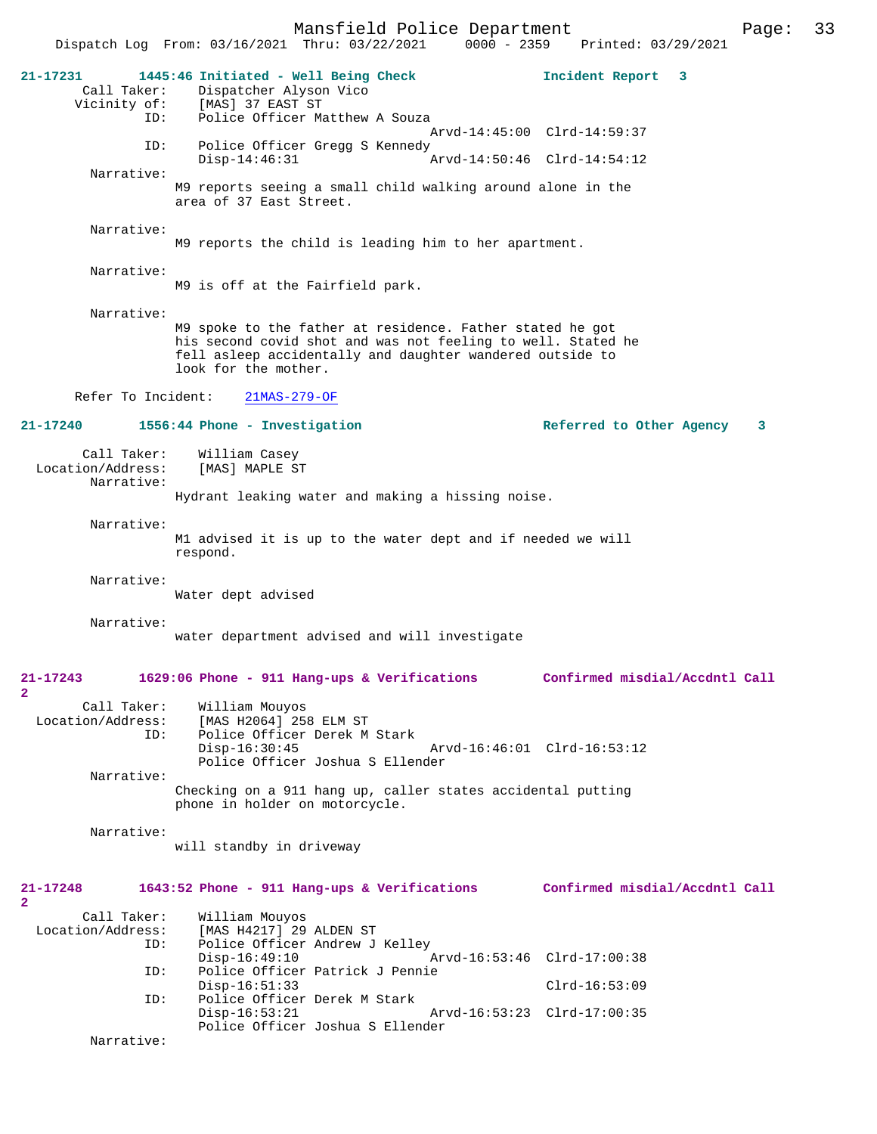Mansfield Police Department Page: 33 Dispatch Log From: 03/16/2021 Thru: 03/22/2021 0000 - 2359 **21-17231 1445:46 Initiated - Well Being Check Incident Report 3**  Dispatcher Alyson Vico Vicinity of: [MAS] 37 EAST ST<br>TD: Police Officer Ma Police Officer Matthew A Souza Arvd-14:45:00 Clrd-14:59:37 ID: Police Officer Gregg S Kennedy Disp-14:46:31 Arvd-14:50:46 Clrd-14:54:12 Narrative: M9 reports seeing a small child walking around alone in the area of 37 East Street. Narrative: M9 reports the child is leading him to her apartment. Narrative: M9 is off at the Fairfield park. Narrative: M9 spoke to the father at residence. Father stated he got his second covid shot and was not feeling to well. Stated he fell asleep accidentally and daughter wandered outside to look for the mother. Refer To Incident: 21MAS-279-OF **21-17240 1556:44 Phone - Investigation Referred to Other Agency 3** Call Taker: William Casey<br>ion/Address: [MAS] MAPLE ST Location/Address: Narrative: Hydrant leaking water and making a hissing noise. Narrative: M1 advised it is up to the water dept and if needed we will respond. Narrative: Water dept advised Narrative: water department advised and will investigate **21-17243 1629:06 Phone - 911 Hang-ups & Verifications Confirmed misdial/Accdntl Call 2**  Call Taker: William Mouyos Location/Address: [MAS H2064] 258 ELM ST Police Officer Derek M Stark<br>Disp-16:30:45 Disp-16:30:45 Arvd-16:46:01 Clrd-16:53:12 Police Officer Joshua S Ellender Narrative: Checking on a 911 hang up, caller states accidental putting phone in holder on motorcycle. Narrative: will standby in driveway **21-17248 1643:52 Phone - 911 Hang-ups & Verifications Confirmed misdial/Accdntl Call 2**  Call Taker: William Mouyos<br>Location/Address: [MAS H4217] 29 ess: [MAS H4217] 29 ALDEN ST<br>ID: Police Officer Andrew J Police Officer Andrew J Kelley<br>Disp-16:49:10 Disp-16:49:10 Arvd-16:53:46 Clrd-17:00:38<br>ID: Police Officer Patrick J Pennie Police Officer Patrick J Pennie Disp-16:51:33 Clrd-16:53:09<br>TD: Police Officer Derek M Stark Police Officer Derek M Stark<br>Disp-16:53:21 Disp-16:53:21 Arvd-16:53:23 Clrd-17:00:35 Police Officer Joshua S Ellender Narrative: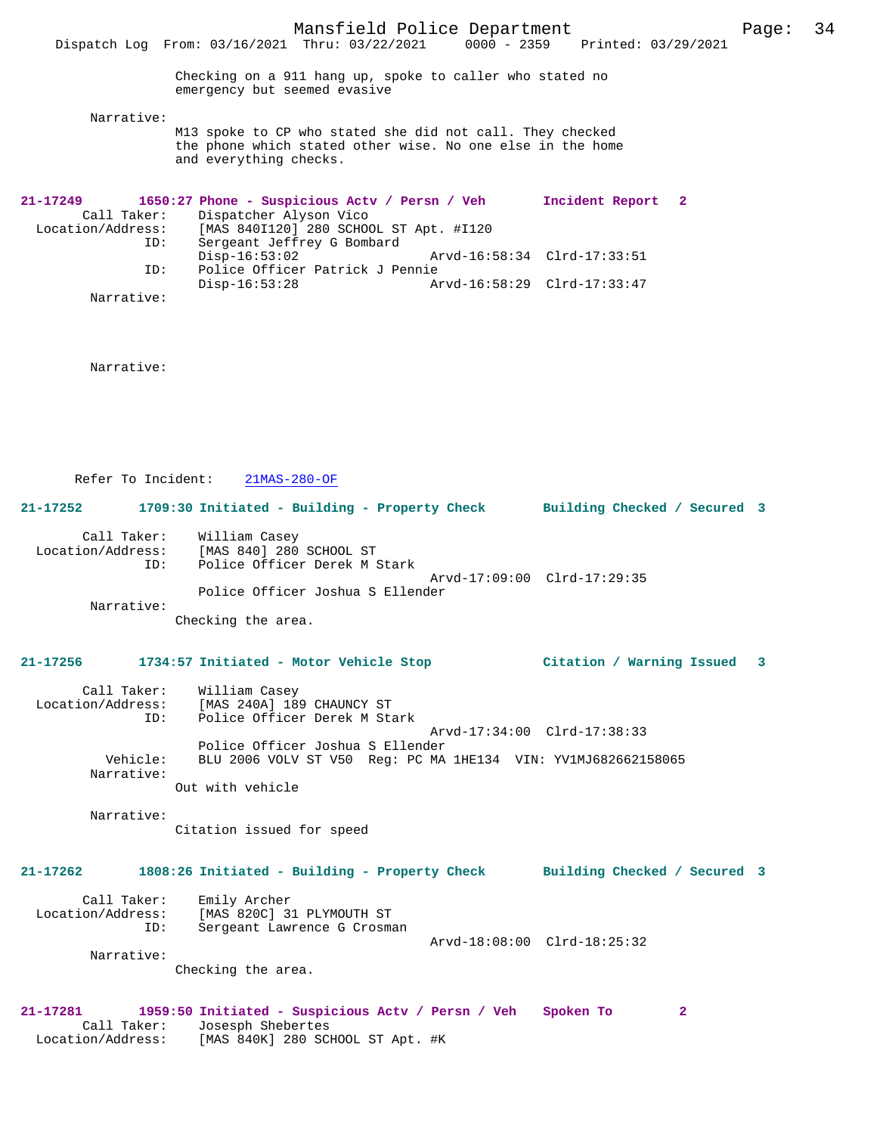Checking on a 911 hang up, spoke to caller who stated no emergency but seemed evasive

Narrative:

M13 spoke to CP who stated she did not call. They checked the phone which stated other wise. No one else in the home and everything checks.

| $21 - 17249$      |             | 1650:27 Phone - Suspicious Acty / Persn / Veh |                             | Incident Report 2           |  |
|-------------------|-------------|-----------------------------------------------|-----------------------------|-----------------------------|--|
|                   | Call Taker: | Dispatcher Alyson Vico                        |                             |                             |  |
| Location/Address: |             | [MAS 840I120] 280 SCHOOL ST Apt. #I120        |                             |                             |  |
|                   | ID:         | Sergeant Jeffrey G Bombard                    |                             |                             |  |
|                   |             | $Disp-16:53:02$                               | Arvd-16:58:34 Clrd-17:33:51 |                             |  |
|                   | ID:         | Police Officer Patrick J Pennie               |                             |                             |  |
|                   |             | Disp-16:53:28                                 |                             | Arvd-16:58:29 Clrd-17:33:47 |  |
|                   | Narrative:  |                                               |                             |                             |  |

Narrative:

Refer To Incident: 21MAS-280-OF

**21-17252 1709:30 Initiated - Building - Property Check Building Checked / Secured 3**

|                   | Call Taker: William Casey        |  |
|-------------------|----------------------------------|--|
| Location/Address: | [MAS 840] 280 SCHOOL ST          |  |
| TD:               | Police Officer Derek M Stark     |  |
|                   | Arvd-17:09:00 Clrd-17:29:35      |  |
|                   | Police Officer Joshua S Ellender |  |

Narrative:

Checking the area.

#### **21-17256 1734:57 Initiated - Motor Vehicle Stop Citation / Warning Issued 3**

| Call Taker:<br>Location/Address:<br>ID: | William Casey<br>[MAS 240A] 189 CHAUNCY ST<br>Police Officer Derek M Stark |
|-----------------------------------------|----------------------------------------------------------------------------|
|                                         | Arvd-17:34:00 Clrd-17:38:33                                                |
|                                         | Police Officer Joshua S Ellender                                           |
| Vehicle:                                | BLU 2006 VOLV ST V50 Req: PC MA 1HE134 VIN: YV1MJ682662158065              |
| Narrative:                              |                                                                            |
|                                         | Out with vehicle                                                           |

Narrative:

Citation issued for speed

# **21-17262 1808:26 Initiated - Building - Property Check Building Checked / Secured 3** Call Taker: Emily Archer Location/Address: [MAS 820C] 31 PLYMOUTH ST ID: Sergeant Lawrence G Crosman Arvd-18:08:00 Clrd-18:25:32 Narrative: Checking the area. **21-17281 1959:50 Initiated - Suspicious Actv / Persn / Veh Spoken To 2**

 Call Taker: Josesph Shebertes Location/Address: [MAS 840K] 280 SCHOOL ST Apt. #K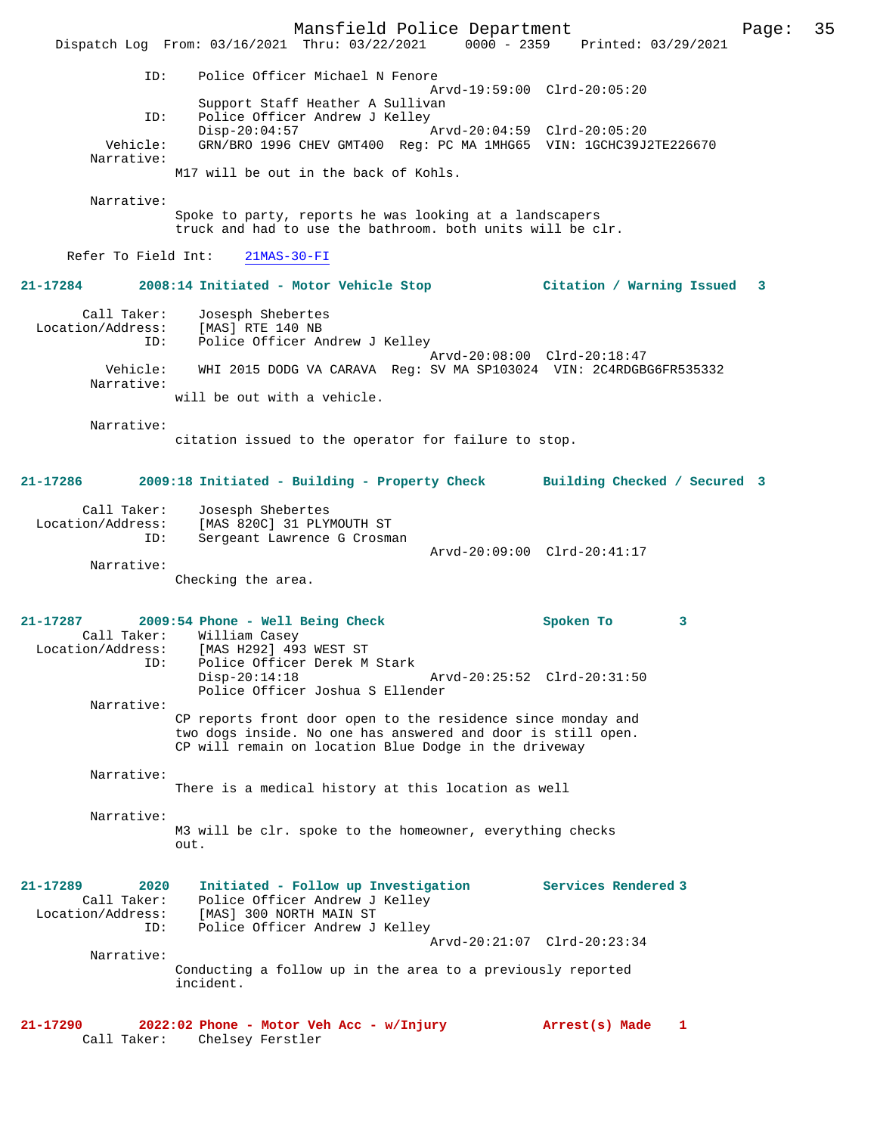Mansfield Police Department Form Page: 35 Dispatch Log From: 03/16/2021 Thru: 03/22/2021 0000 - 2359 Printed: 03/29/2021 ID: Police Officer Michael N Fenore Arvd-19:59:00 Clrd-20:05:20 Support Staff Heather A Sullivan ID: Police Officer Andrew J Kelley<br>Disp-20:04:57 Disp-20:04:57 Arvd-20:04:59 Clrd-20:05:20<br>Vehicle: GRN/BRO 1996 CHEV GMT400 Reg: PC MA 1MHG65 VIN: 1GCHC39J GRN/BRO 1996 CHEV GMT400 Reg: PC MA 1MHG65 VIN: 1GCHC39J2TE226670 Narrative: M17 will be out in the back of Kohls. Narrative: Spoke to party, reports he was looking at a landscapers truck and had to use the bathroom. both units will be clr. Refer To Field Int: 21MAS-30-FI **21-17284 2008:14 Initiated - Motor Vehicle Stop Citation / Warning Issued 3** Call Taker: Josesph Shebertes Location/Address: [MAS] RTE 140 NB<br>TD: Police Officer Ar Police Officer Andrew J Kelley Arvd-20:08:00 Clrd-20:18:47 Vehicle: WHI 2015 DODG VA CARAVA Reg: SV MA SP103024 VIN: 2C4RDGBG6FR535332 Narrative: will be out with a vehicle. Narrative: citation issued to the operator for failure to stop. **21-17286 2009:18 Initiated - Building - Property Check Building Checked / Secured 3** Call Taker: Josesph Shebertes Location/Address: [MAS 820C] 31 PLYMOUTH ST Sergeant Lawrence G Crosman Arvd-20:09:00 Clrd-20:41:17 Narrative: Checking the area. **21-17287 2009:54 Phone - Well Being Check Spoken To 3**  Call Taker: William Casey<br>Location/Address: [MAS H292] 493 [MAS H292] 493 WEST ST ID: Police Officer Derek M Stark Disp-20:14:18 Arvd-20:25:52 Clrd-20:31:50 Police Officer Joshua S Ellender Narrative: CP reports front door open to the residence since monday and two dogs inside. No one has answered and door is still open. CP will remain on location Blue Dodge in the driveway Narrative: There is a medical history at this location as well Narrative: M3 will be clr. spoke to the homeowner, everything checks  $\bigcap_{\tau \in \mathcal{L}}$ **21-17289 2020 Initiated - Follow up Investigation Services Rendered 3**  Call Taker: Police Officer Andrew J Kelley Location/Address: [MAS] 300 NORTH MAIN ST ID: Police Officer Andrew J Kelley Arvd-20:21:07 Clrd-20:23:34 Narrative: Conducting a follow up in the area to a previously reported incident. **21-17290 2022:02 Phone - Motor Veh Acc - w/Injury Arrest(s) Made 1**  Call Taker: Chelsey Ferstler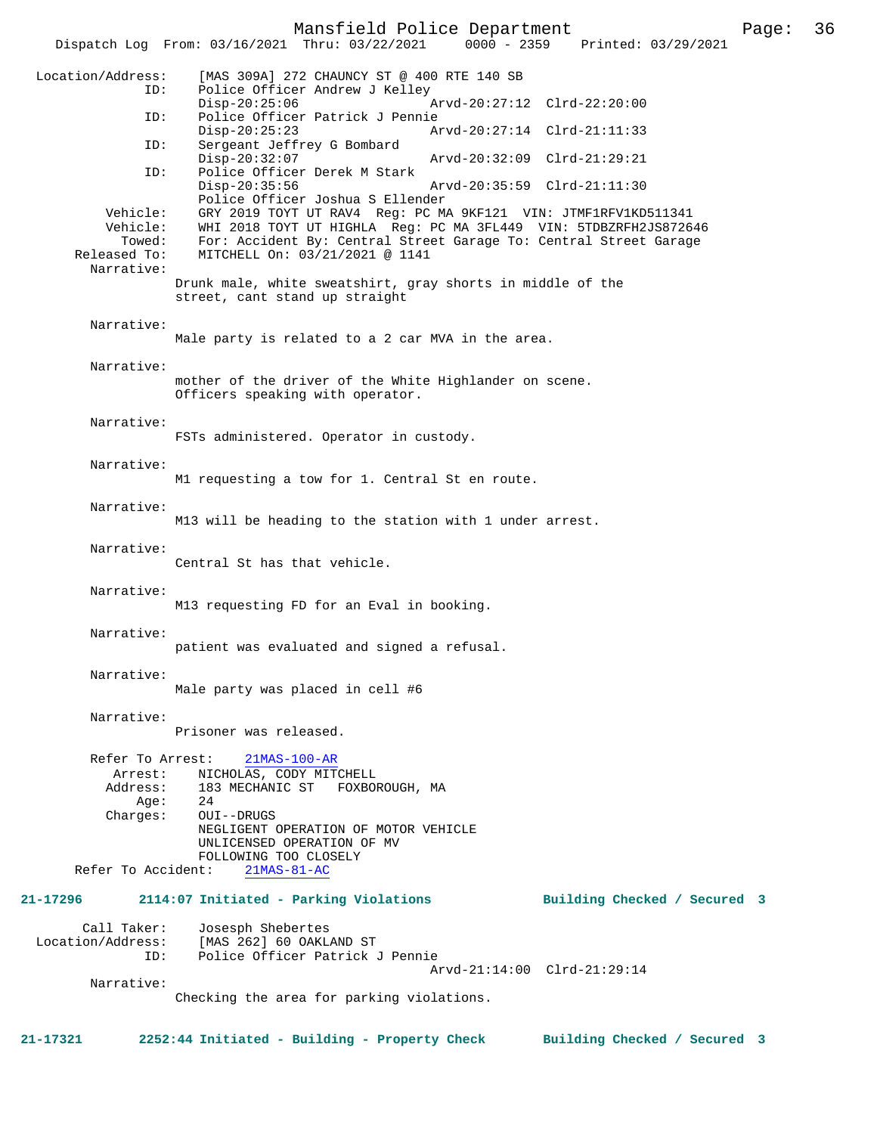Mansfield Police Department Page: 36

Dispatch Log From: 03/16/2021 Thru: 03/22/2021

 Location/Address: [MAS 309A] 272 CHAUNCY ST @ 400 RTE 140 SB ID: Police Officer Andrew J Kelley Disp-20:25:06 Arvd-20:27:12 Clrd-22:20:00<br>ID: Police Officer Patrick J Pennie Police Officer Patrick J Pennie<br>Disp-20:25:23 A Disp-20:25:23 Arvd-20:27:14 Clrd-21:11:33<br>ID: Sergeant Jeffrey G Bombard Sergeant Jeffrey G Bombard Disp-20:32:07 Arvd-20:32:09 Clrd-21:29:21<br>TD: Police Officer Derek M Stark Police Officer Derek M Stark<br>Disp-20:35:56 Disp-20:35:56 Arvd-20:35:59 Clrd-21:11:30 Police Officer Joshua S Ellender Vehicle: GRY 2019 TOYT UT RAV4 Reg: PC MA 9KF121 VIN: JTMF1RFV1KD511341<br>Vehicle: WHI 2018 TOYT UT HIGHLA Reg: PC MA 3FL449 VIN: 5TDBZRFH2JS8726 WHI 2018 TOYT UT HIGHLA Reg: PC MA 3FL449 VIN: 5TDBZRFH2JS872646 Towed: For: Accident By: Central Street Garage To: Central Street Garage Released To: MITCHELL On: 03/21/2021 @ 1141 MITCHELL On: 03/21/2021 @ 1141 Narrative: Drunk male, white sweatshirt, gray shorts in middle of the street, cant stand up straight Narrative: Male party is related to a 2 car MVA in the area. Narrative: mother of the driver of the White Highlander on scene. Officers speaking with operator. Narrative: FSTs administered. Operator in custody. Narrative: M1 requesting a tow for 1. Central St en route. Narrative: M13 will be heading to the station with 1 under arrest. Narrative: Central St has that vehicle. Narrative: M13 requesting FD for an Eval in booking. Narrative: patient was evaluated and signed a refusal. Narrative: Male party was placed in cell #6 Narrative: Prisoner was released. Refer To Arrest: 21MAS-100-AR Arrest: NICHOLAS, CODY MITCHELL Address: 183 MECHANIC ST FOXBOROUGH, MA  $A$ ge: Charges: OUI--DRUGS NEGLIGENT OPERATION OF MOTOR VEHICLE UNLICENSED OPERATION OF MV FOLLOWING TOO CLOSELY<br>ht: 21MAS-81-AC Refer To Accident: **21-17296 2114:07 Initiated - Parking Violations Building Checked / Secured 3** Call Taker: Josesph Shebertes<br>Location/Address: [MAS 262] 60 OAKL [MAS 262] 60 OAKLAND ST ID: Police Officer Patrick J Pennie Arvd-21:14:00 Clrd-21:29:14 Narrative: Checking the area for parking violations.

**21-17321 2252:44 Initiated - Building - Property Check Building Checked / Secured 3**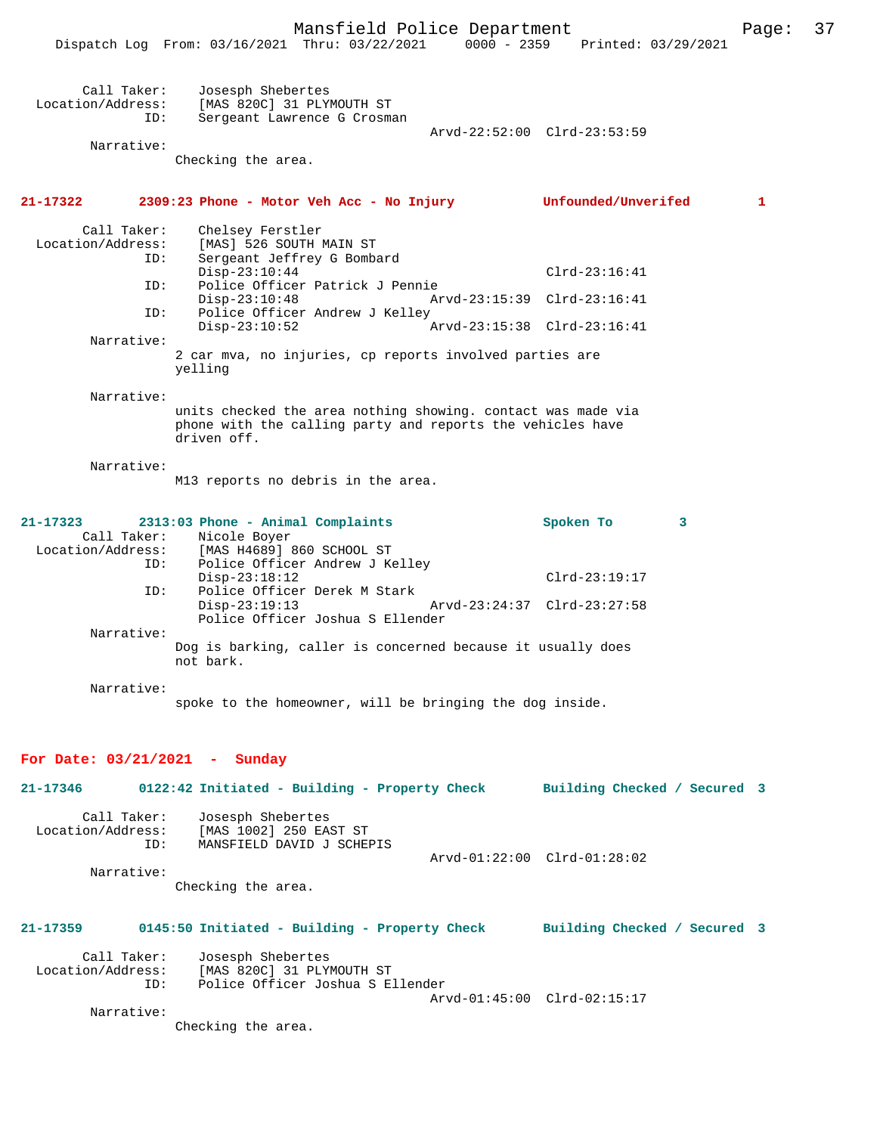|                                  | Mansfield Police Department                                                                                                               |                              | Page: | 37 |
|----------------------------------|-------------------------------------------------------------------------------------------------------------------------------------------|------------------------------|-------|----|
|                                  | Dispatch Log From: 03/16/2021 Thru: 03/22/2021 0000 - 2359 Printed: 03/29/2021                                                            |                              |       |    |
|                                  |                                                                                                                                           |                              |       |    |
| Call Taker:<br>Location/Address: | Josesph Shebertes<br>[MAS 820C] 31 PLYMOUTH ST                                                                                            |                              |       |    |
| ID:                              | Sergeant Lawrence G Crosman                                                                                                               |                              |       |    |
|                                  |                                                                                                                                           | Arvd-22:52:00 Clrd-23:53:59  |       |    |
| Narrative:                       |                                                                                                                                           |                              |       |    |
|                                  | Checking the area.                                                                                                                        |                              |       |    |
| 21-17322                         | 2309:23 Phone - Motor Veh Acc - No Injury                                                                                                 | Unfounded/Unverifed          | 1     |    |
| Call Taker:<br>Location/Address: | Chelsey Ferstler<br>[MAS] 526 SOUTH MAIN ST                                                                                               |                              |       |    |
| ID:                              | Sergeant Jeffrey G Bombard                                                                                                                |                              |       |    |
|                                  | $Disp-23:10:44$                                                                                                                           | $Clrd-23:16:41$              |       |    |
| ID:                              | Police Officer Patrick J Pennie                                                                                                           |                              |       |    |
| ID:                              | $Disp-23:10:48$<br>Police Officer Andrew J Kelley                                                                                         | Arvd-23:15:39 Clrd-23:16:41  |       |    |
|                                  | $Disp-23:10:52$                                                                                                                           | Arvd-23:15:38 Clrd-23:16:41  |       |    |
| Narrative:                       |                                                                                                                                           |                              |       |    |
|                                  | 2 car mva, no injuries, cp reports involved parties are<br>yelling                                                                        |                              |       |    |
| Narrative:                       |                                                                                                                                           |                              |       |    |
|                                  | units checked the area nothing showing. contact was made via<br>phone with the calling party and reports the vehicles have<br>driven off. |                              |       |    |
| Narrative:                       |                                                                                                                                           |                              |       |    |
|                                  | M13 reports no debris in the area.                                                                                                        |                              |       |    |
| 21-17323                         | 2313:03 Phone - Animal Complaints                                                                                                         | Spoken To<br>3               |       |    |
|                                  | Call Taker: Nicole Boyer                                                                                                                  |                              |       |    |
| Location/Address:<br>ID:         | [MAS H4689] 860 SCHOOL ST<br>Police Officer Andrew J Kelley                                                                               |                              |       |    |
|                                  | $Disp-23:18:12$                                                                                                                           | $Clrd-23:19:17$              |       |    |
| ID:                              | Police Officer Derek M Stark                                                                                                              |                              |       |    |
|                                  | $Disp-23:19:13$                                                                                                                           | Arvd-23:24:37 Clrd-23:27:58  |       |    |
|                                  | Police Officer Joshua S Ellender                                                                                                          |                              |       |    |
| Narrative:                       | Dog is barking, caller is concerned because it usually does                                                                               |                              |       |    |
|                                  | not bark.                                                                                                                                 |                              |       |    |
| Narrative:                       |                                                                                                                                           |                              |       |    |
|                                  | spoke to the homeowner, will be bringing the dog inside.                                                                                  |                              |       |    |
| For Date: $03/21/2021$ - Sunday  |                                                                                                                                           |                              |       |    |
| 21-17346                         | 0122:42 Initiated - Building - Property Check Building Checked / Secured 3                                                                |                              |       |    |
| Call Taker:                      | Josesph Shebertes                                                                                                                         |                              |       |    |
| Location/Address:                | [MAS 1002] 250 EAST ST                                                                                                                    |                              |       |    |
| ID:                              | MANSFIELD DAVID J SCHEPIS                                                                                                                 |                              |       |    |
| Narrative:                       |                                                                                                                                           | Arvd-01:22:00 Clrd-01:28:02  |       |    |
|                                  | Checking the area.                                                                                                                        |                              |       |    |
|                                  |                                                                                                                                           |                              |       |    |
| 21-17359                         | 0145:50 Initiated - Building - Property Check                                                                                             | Building Checked / Secured 3 |       |    |
| Call Taker:                      | Josesph Shebertes                                                                                                                         |                              |       |    |
| Location/Address:                | [MAS 820C] 31 PLYMOUTH ST                                                                                                                 |                              |       |    |
| ID:                              | Police Officer Joshua S Ellender                                                                                                          |                              |       |    |

 Arvd-01:45:00 Clrd-02:15:17 Narrative:

Checking the area.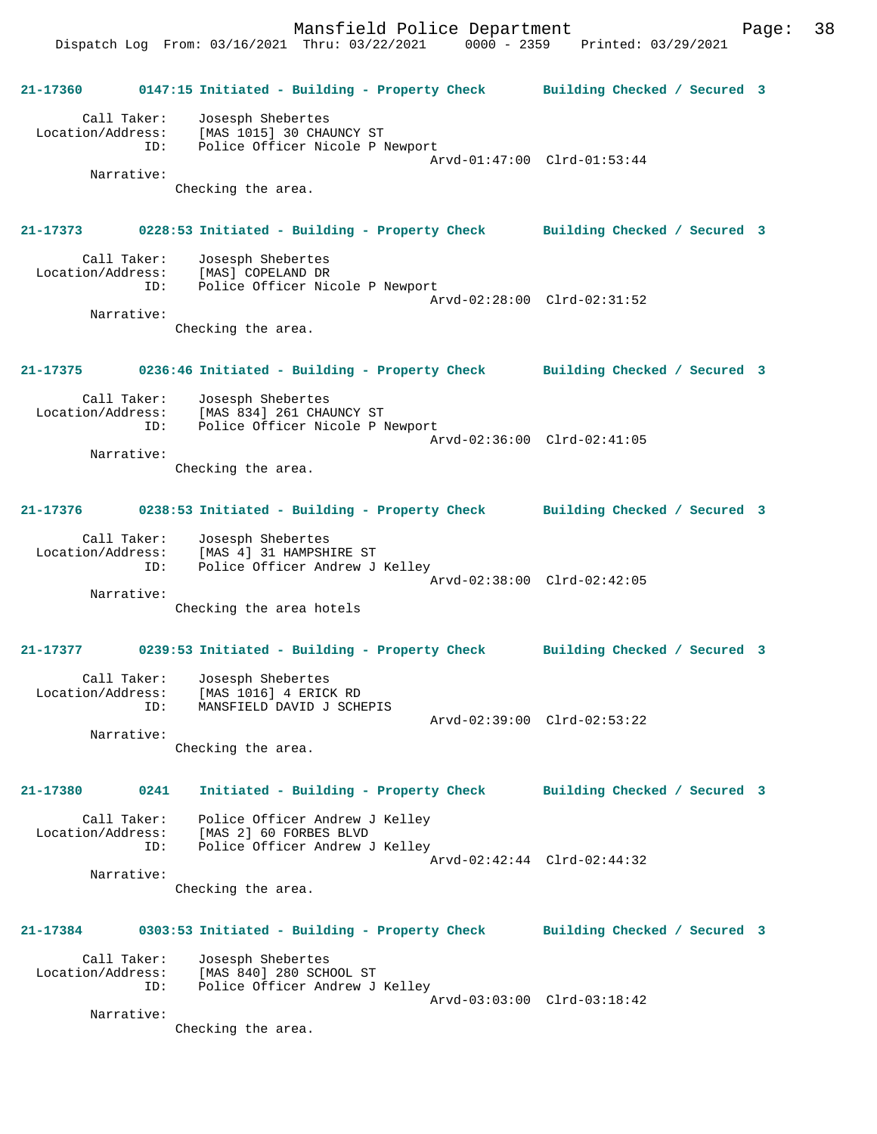**21-17360 0147:15 Initiated - Building - Property Check Building Checked / Secured 3** Call Taker: Josesph Shebertes Location/Address: [MAS 1015] 30 CHAUNCY ST ID: Police Officer Nicole P Newport Arvd-01:47:00 Clrd-01:53:44 Narrative: Checking the area. **21-17373 0228:53 Initiated - Building - Property Check Building Checked / Secured 3** Call Taker: Josesph Shebertes Location/Address: [MAS] COPELAND DR ID: Police Officer Nicole P Newport Arvd-02:28:00 Clrd-02:31:52 Narrative: Checking the area. **21-17375 0236:46 Initiated - Building - Property Check Building Checked / Secured 3** Call Taker: Josesph Shebertes Location/Address: [MAS 834] 261 CHAUNCY ST ID: Police Officer Nicole P Newport Arvd-02:36:00 Clrd-02:41:05 Narrative: Checking the area. **21-17376 0238:53 Initiated - Building - Property Check Building Checked / Secured 3** Call Taker: Josesph Shebertes Location/Address: [MAS 4] 31 HAMPSHIRE ST ID: Police Officer Andrew J Kelley Arvd-02:38:00 Clrd-02:42:05 Narrative: Checking the area hotels **21-17377 0239:53 Initiated - Building - Property Check Building Checked / Secured 3** Call Taker: Josesph Shebertes Location/Address: [MAS 1016] 4 ERICK RD ID: MANSFIELD DAVID J SCHEPIS Arvd-02:39:00 Clrd-02:53:22 Narrative: Checking the area. **21-17380 0241 Initiated - Building - Property Check Building Checked / Secured 3** Call Taker: Police Officer Andrew J Kelley Location/Address: [MAS 2] 60 FORBES BLVD ID: Police Officer Andrew J Kelley Arvd-02:42:44 Clrd-02:44:32 Narrative: Checking the area. **21-17384 0303:53 Initiated - Building - Property Check Building Checked / Secured 3** Call Taker: Josesph Shebertes Location/Address: [MAS 840] 280 SCHOOL ST ID: Police Officer Andrew J Kelley Arvd-03:03:00 Clrd-03:18:42 Narrative:

Checking the area.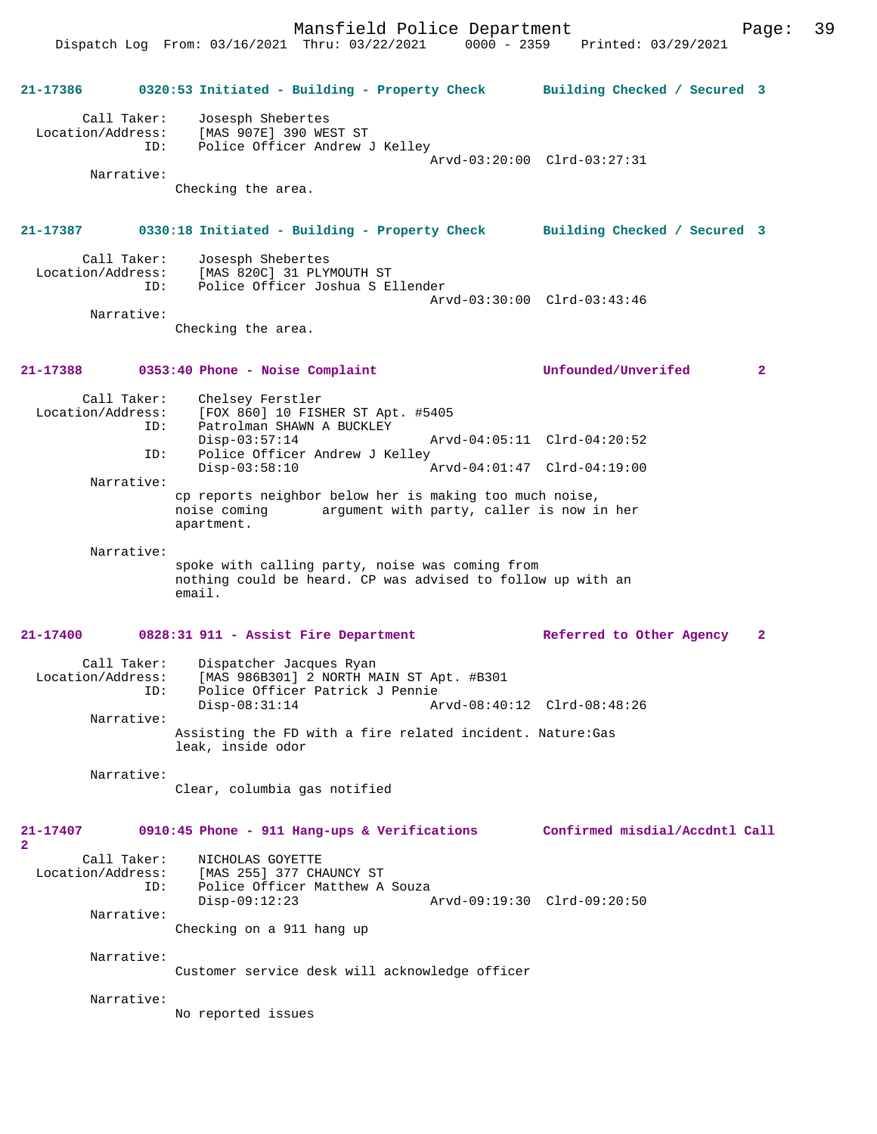**21-17386 0320:53 Initiated - Building - Property Check Building Checked / Secured 3** Call Taker: Josesph Shebertes Location/Address: [MAS 907E] 390 WEST ST ID: Police Officer Andrew J Kelley Arvd-03:20:00 Clrd-03:27:31 Narrative: Checking the area. **21-17387 0330:18 Initiated - Building - Property Check Building Checked / Secured 3** Call Taker: Josesph Shebertes<br>Location/Address: [MAS 820C] 31 PLY Location Constant Constant Case: [MAS 820C] 31 PLYMOUTH ST<br>LD: Police Officer Joshua S E Police Officer Joshua S Ellender Arvd-03:30:00 Clrd-03:43:46 Narrative: Checking the area. **21-17388 0353:40 Phone - Noise Complaint Unfounded/Unverifed 2** Call Taker: Chelsey Ferstler<br>Location/Address: [FOX 860] 10 FIS  $[FOX 860] 10$  FISHER ST Apt. #5405 ID: Patrolman SHAWN A BUCKLEY<br>Disp-03:57:14 Disp-03:57:14 Arvd-04:05:11 Clrd-04:20:52<br>ID: Police Officer Andrew J Kelley Police Officer Andrew J Kelley Disp-03:58:10 Arvd-04:01:47 Clrd-04:19:00 Narrative: cp reports neighbor below her is making too much noise, noise coming argument with party, caller is now in her apartment. Narrative: spoke with calling party, noise was coming from nothing could be heard. CP was advised to follow up with an email. **21-17400 0828:31 911 - Assist Fire Department Referred to Other Agency 2** Call Taker: Dispatcher Jacques Ryan Location/Address: [MAS 986B301] 2 NORTH MAIN ST Apt. #B301 ID: Police Officer Patrick J Pennie Disp-08:31:14 Arvd-08:40:12 Clrd-08:48:26 Narrative: Assisting the FD with a fire related incident. Nature:Gas leak, inside odor Narrative: Clear, columbia gas notified **21-17407 0910:45 Phone - 911 Hang-ups & Verifications Confirmed misdial/Accdntl Call 2**  Call Taker: NICHOLAS GOYETTE<br>Location/Address: [MAS 255] 377 CH ess: [MAS 255] 377 CHAUNCY ST<br>TD: Police Officer Matthew A Police Officer Matthew A Souza<br>Disp-09:12:23 Disp-09:12:23 Arvd-09:19:30 Clrd-09:20:50 Narrative: Checking on a 911 hang up Narrative: Customer service desk will acknowledge officer Narrative: No reported issues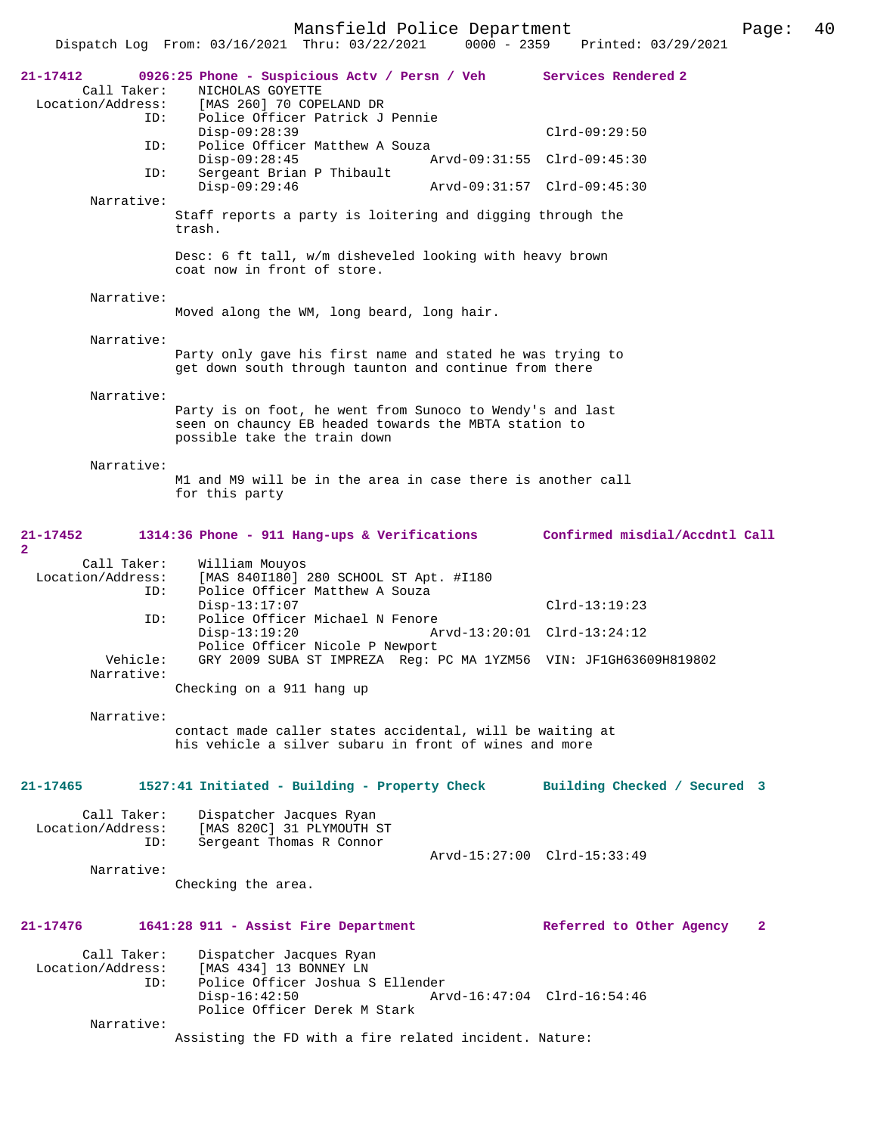Mansfield Police Department Fage: 40

|                                              | Dispatch Log From: 03/16/2021 Thru: 03/22/2021<br>$0000 - 2359$                                                                                    | Printed: 03/29/2021                      |
|----------------------------------------------|----------------------------------------------------------------------------------------------------------------------------------------------------|------------------------------------------|
| 21-17412<br>Call Taker:<br>Location/Address: | 0926:25 Phone - Suspicious Actv / Persn / Veh<br>NICHOLAS GOYETTE<br>[MAS 260] 70 COPELAND DR                                                      | Services Rendered 2                      |
| ID:                                          | Police Officer Patrick J Pennie<br>Disp-09:28:39                                                                                                   | $Clrd-09:29:50$                          |
| ID:                                          | Police Officer Matthew A Souza                                                                                                                     |                                          |
| ID:                                          | $Disp-09:28:45$<br>Sergeant Brian P Thibault                                                                                                       | Arvd-09:31:55 Clrd-09:45:30              |
|                                              | $Disp-09:29:46$                                                                                                                                    | Arvd-09:31:57 Clrd-09:45:30              |
| Narrative:                                   | Staff reports a party is loitering and digging through the                                                                                         |                                          |
|                                              | trash.                                                                                                                                             |                                          |
|                                              | Desc: 6 ft tall, w/m disheveled looking with heavy brown<br>coat now in front of store.                                                            |                                          |
| Narrative:                                   |                                                                                                                                                    |                                          |
|                                              | Moved along the WM, long beard, long hair.                                                                                                         |                                          |
| Narrative:                                   |                                                                                                                                                    |                                          |
|                                              | Party only gave his first name and stated he was trying to<br>get down south through taunton and continue from there                               |                                          |
| Narrative:                                   |                                                                                                                                                    |                                          |
|                                              | Party is on foot, he went from Sunoco to Wendy's and last<br>seen on chauncy EB headed towards the MBTA station to<br>possible take the train down |                                          |
| Narrative:                                   | M1 and M9 will be in the area in case there is another call<br>for this party                                                                      |                                          |
| 21-17452<br>2                                | 1314:36 Phone - 911 Hang-ups & Verifications Confirmed misdial/Accdntl Call                                                                        |                                          |
| Call Taker:<br>Location/Address:<br>ID:      | William Mouyos<br>[MAS 840I180] 280 SCHOOL ST Apt. #I180<br>Police Officer Matthew A Souza                                                         |                                          |
| ID:                                          | $Disp-13:17:07$<br>Police Officer Michael N Fenore                                                                                                 | $Clrd-13:19:23$                          |
|                                              | $Disp-13:19:20$                                                                                                                                    | Arvd-13:20:01 Clrd-13:24:12              |
| Vehicle:<br>Narrative:                       | Police Officer Nicole P Newport<br>GRY 2009 SUBA ST IMPREZA Reg: PC MA 1YZM56 VIN: JF1GH63609H819802                                               |                                          |
|                                              | Checking on a 911 hang up                                                                                                                          |                                          |
| Narrative:                                   | contact made caller states accidental, will be waiting at<br>his vehicle a silver subaru in front of wines and more                                |                                          |
| 21-17465                                     | 1527:41 Initiated - Building - Property Check                                                                                                      | Building Checked / Secured 3             |
| Call Taker:<br>Location/Address:<br>ID:      | Dispatcher Jacques Ryan<br>[MAS 820C] 31 PLYMOUTH ST<br>Sergeant Thomas R Connor                                                                   |                                          |
|                                              |                                                                                                                                                    | Arvd-15:27:00 Clrd-15:33:49              |
| Narrative:                                   | Checking the area.                                                                                                                                 |                                          |
| 21-17476                                     | 1641:28 911 - Assist Fire Department                                                                                                               | $\mathbf{2}$<br>Referred to Other Agency |
| Call Taker:<br>Location/Address:<br>ID:      | Dispatcher Jacques Ryan<br>[MAS 434] 13 BONNEY LN<br>Police Officer Joshua S Ellender<br>$Disp-16:42:50$                                           | Arvd-16:47:04 Clrd-16:54:46              |
| Narrative:                                   | Police Officer Derek M Stark                                                                                                                       |                                          |
|                                              | Assisting the FD with a fire related incident. Nature:                                                                                             |                                          |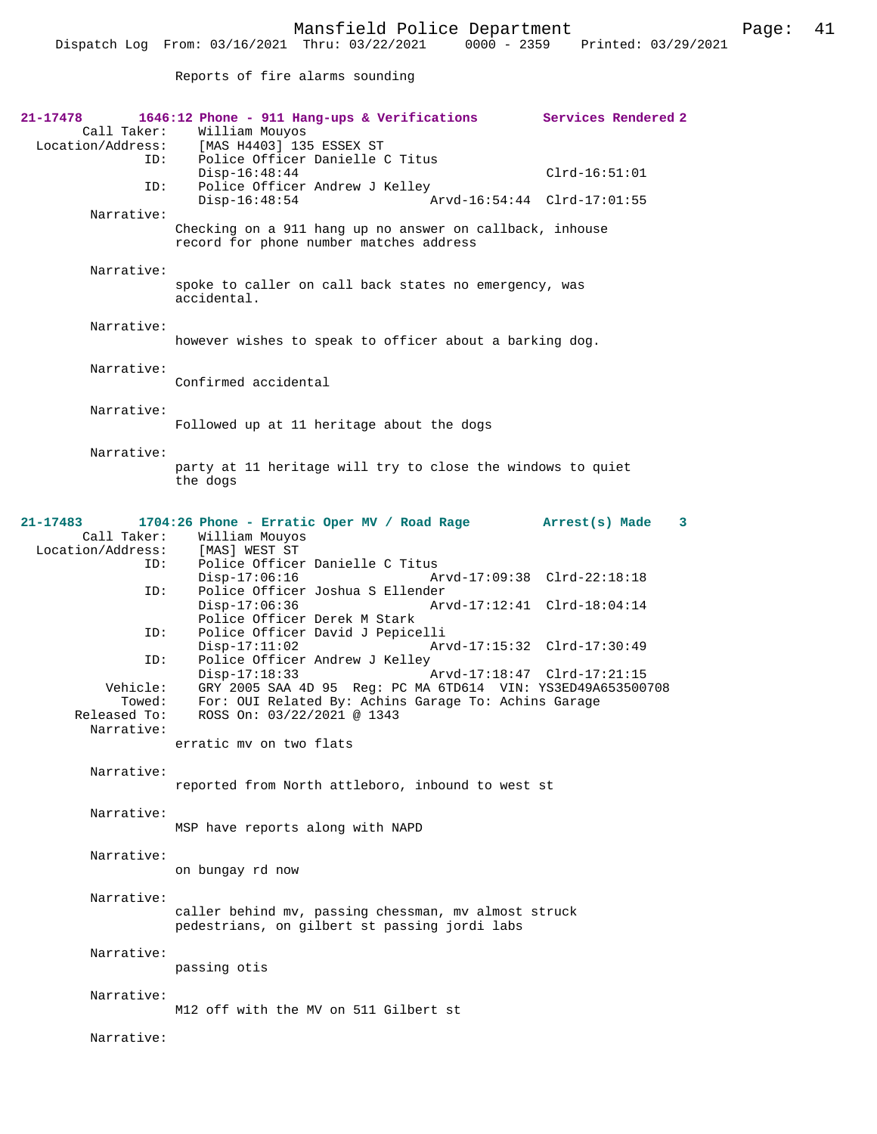Dispatch Log From: 03/16/2021 Thru: 03/22/2021 0000 - 2359 Printed: 03/29/2021

Reports of fire alarms sounding

| 21-17478<br>Location/Address:                    | 1646:12 Phone - 911 Hang-ups & Verifications Services Rendered 2<br>Call Taker: William Mouyos<br>[MAS H4403] 135 ESSEX ST                                                                                                     |                             |
|--------------------------------------------------|--------------------------------------------------------------------------------------------------------------------------------------------------------------------------------------------------------------------------------|-----------------------------|
| ID:                                              | Police Officer Danielle C Titus<br>$Disp-16:48:44$                                                                                                                                                                             | $Clrd-16:51:01$             |
| ID:                                              | Police Officer Andrew J Kelley<br>$Disp-16:48:54$                                                                                                                                                                              | Arvd-16:54:44 Clrd-17:01:55 |
| Narrative:                                       | Checking on a 911 hang up no answer on callback, inhouse<br>record for phone number matches address                                                                                                                            |                             |
| Narrative:                                       | spoke to caller on call back states no emergency, was<br>accidental.                                                                                                                                                           |                             |
| Narrative:                                       | however wishes to speak to officer about a barking dog.                                                                                                                                                                        |                             |
| Narrative:                                       | Confirmed accidental                                                                                                                                                                                                           |                             |
| Narrative:                                       | Followed up at 11 heritage about the dogs                                                                                                                                                                                      |                             |
| Narrative:                                       | party at 11 heritage will try to close the windows to quiet<br>the dogs                                                                                                                                                        |                             |
| 21-17483<br>Call Taker:<br>Location/Address:     | 1704:26 Phone - Erratic Oper MV / Road Rage Arrest(s) Made<br>William Mouyos<br>[MAS] WEST ST                                                                                                                                  | 3                           |
| ID:<br>ID:                                       | Police Officer Danielle C Titus<br>$Disp-17:06:16$<br>Police Officer Joshua S Ellender                                                                                                                                         | Arvd-17:09:38 Clrd-22:18:18 |
| ID:                                              | $Disp-17:06:36$<br>Police Officer Derek M Stark<br>Police Officer David J Pepicelli                                                                                                                                            | Arvd-17:12:41 Clrd-18:04:14 |
| ID:                                              | $Disp-17:11:02$<br>Police Officer Andrew J Kelley                                                                                                                                                                              | Arvd-17:15:32 Clrd-17:30:49 |
| Vehicle:<br>Towed:<br>Released To:<br>Narrative: | $Disp-17:18:33$<br>Arvd-17:18:47 Clrd-17:21:15<br>GRY 2005 SAA 4D 95 Reg: PC MA 6TD614 VIN: YS3ED49A653500708<br>For: OUI Related By: Achins Garage To: Achins Garage<br>ROSS On: 03/22/2021 @ 1343<br>erratic mv on two flats |                             |
| Narrative:                                       | reported from North attleboro, inbound to west st                                                                                                                                                                              |                             |
| Narrative:                                       | MSP have reports along with NAPD                                                                                                                                                                                               |                             |
| Narrative:                                       | on bungay rd now                                                                                                                                                                                                               |                             |
| Narrative:                                       | caller behind mv, passing chessman, mv almost struck<br>pedestrians, on gilbert st passing jordi labs                                                                                                                          |                             |
| Narrative:                                       | passing otis                                                                                                                                                                                                                   |                             |
| Narrative:                                       | M12 off with the MV on 511 Gilbert st                                                                                                                                                                                          |                             |
| Narrative:                                       |                                                                                                                                                                                                                                |                             |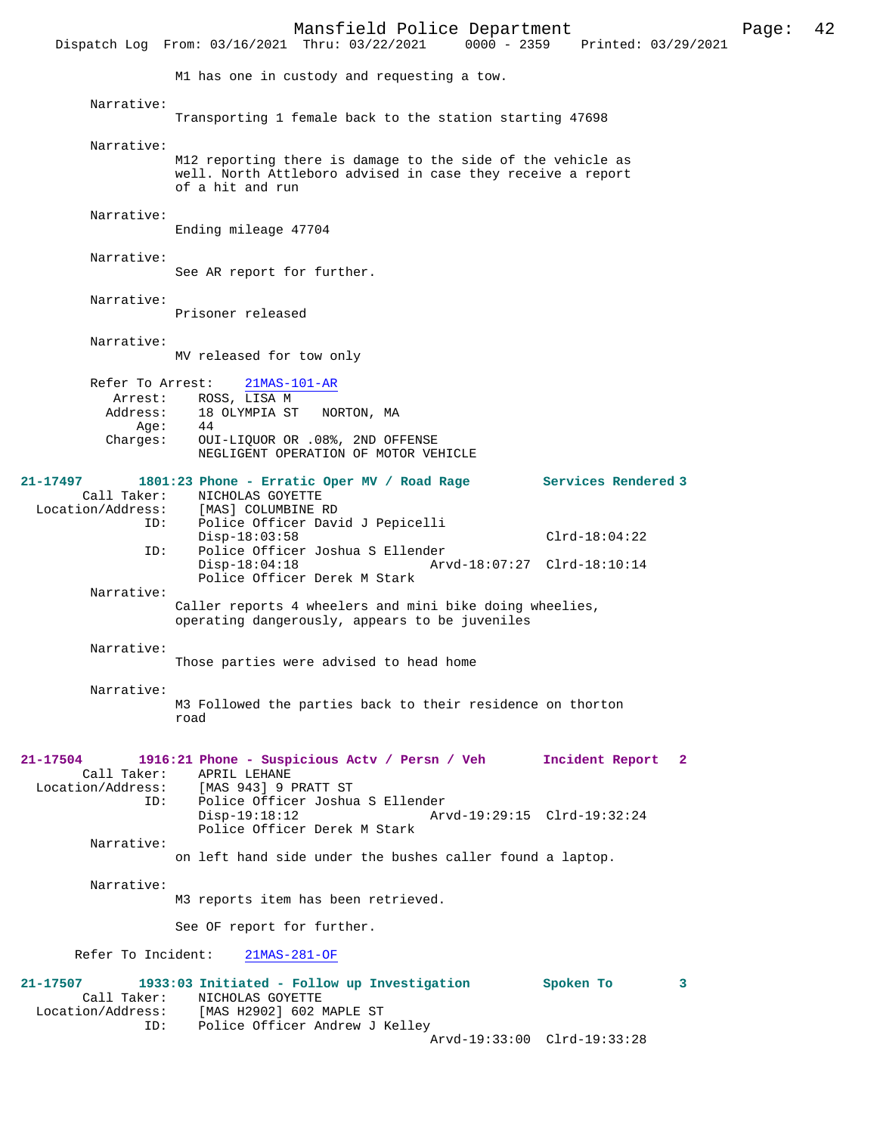Mansfield Police Department Page: 42 Dispatch Log From: 03/16/2021 Thru: 03/22/2021 M1 has one in custody and requesting a tow. Narrative: Transporting 1 female back to the station starting 47698 Narrative: M12 reporting there is damage to the side of the vehicle as well. North Attleboro advised in case they receive a report of a hit and run Narrative: Ending mileage 47704 Narrative: See AR report for further. Narrative: Prisoner released Narrative: MV released for tow only Refer To Arrest: 21MAS-101-AR Arrest: ROSS, LISA M<br>Address: 18 OLYMPIA ST 18 OLYMPIA ST NORTON, MA<br>44 Age: Charges: OUI-LIQUOR OR .08%, 2ND OFFENSE NEGLIGENT OPERATION OF MOTOR VEHICLE **21-17497 1801:23 Phone - Erratic Oper MV / Road Rage Services Rendered 3**  Call Taker: NICHOLAS GOYETTE<br>Location/Address: [MAS] COLUMBINE I ess: [MAS] COLUMBINE RD<br>ID: Police Officer Dav Police Officer David J Pepicelli Disp-18:03:58 Clrd-18:04:22<br>ID: Police Officer Joshua S Ellender Police Officer Joshua S Ellender<br>Disp-18:04:18 Arv Disp-18:04:18 Arvd-18:07:27 Clrd-18:10:14 Police Officer Derek M Stark Narrative: Caller reports 4 wheelers and mini bike doing wheelies, operating dangerously, appears to be juveniles Narrative: Those parties were advised to head home Narrative: M3 Followed the parties back to their residence on thorton road **21-17504 1916:21 Phone - Suspicious Actv / Persn / Veh Incident Report 2**  Call Taker: APRIL LEHANE Location/Address: [MAS 943] 9 PRATT ST Police Officer Joshua S Ellender Disp-19:18:12 Arvd-19:29:15 Clrd-19:32:24 Police Officer Derek M Stark Narrative: on left hand side under the bushes caller found a laptop. Narrative: M3 reports item has been retrieved. See OF report for further. Refer To Incident: 21MAS-281-OF **21-17507 1933:03 Initiated - Follow up Investigation Spoken To 3**  Call Taker: NICHOLAS GOYETTE Location/Address: [MAS H2902] 602 MAPLE ST<br>ID: Police Officer Andrew J Police Officer Andrew J Kelley Arvd-19:33:00 Clrd-19:33:28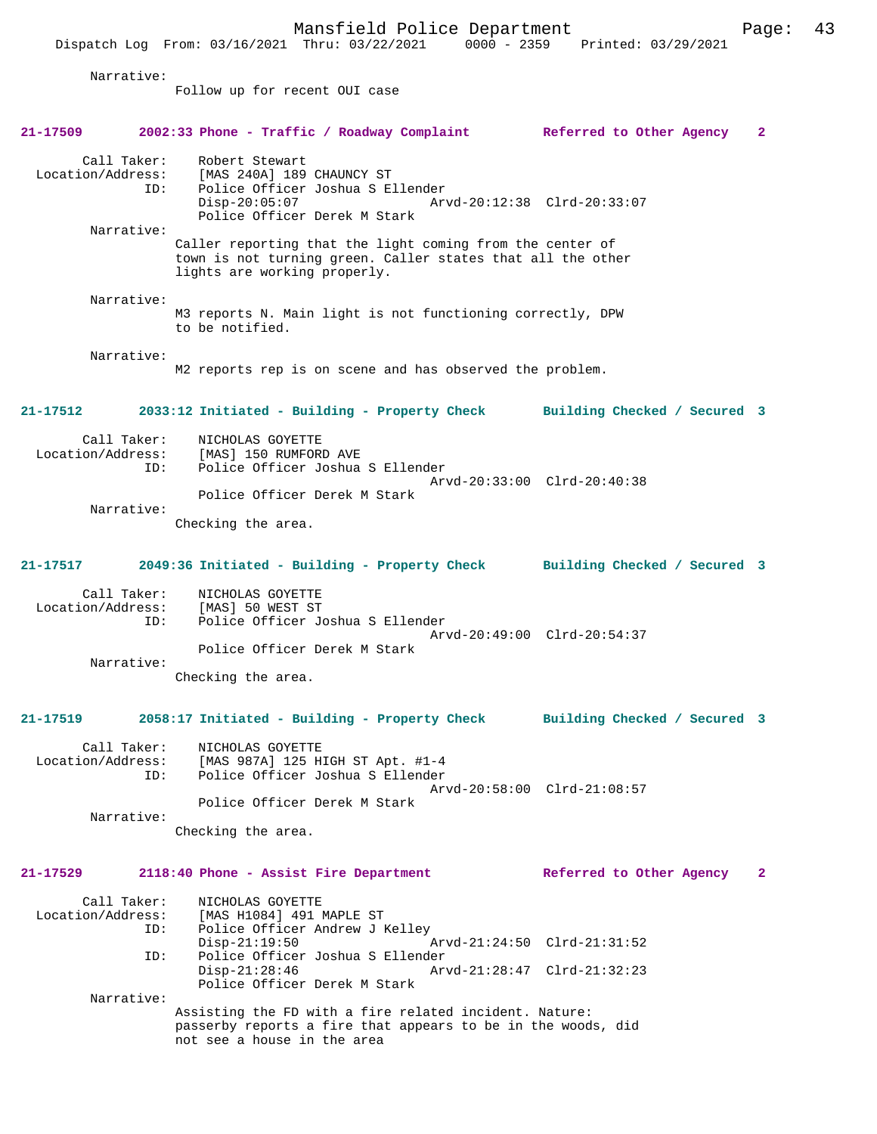|                                         | Mansfield Police Department<br>Dispatch Log From: 03/16/2021 Thru: 03/22/2021 0000 - 2359 Printed: 03/29/2021                                            |                              | Page:        | 43 |
|-----------------------------------------|----------------------------------------------------------------------------------------------------------------------------------------------------------|------------------------------|--------------|----|
| Narrative:                              |                                                                                                                                                          |                              |              |    |
|                                         | Follow up for recent OUI case                                                                                                                            |                              |              |    |
| 21-17509                                | 2002:33 Phone - Traffic / Roadway Complaint Referred to Other Agency                                                                                     |                              | $\mathbf{2}$ |    |
| Call Taker:<br>Location/Address:<br>ID: | Robert Stewart<br>[MAS 240A] 189 CHAUNCY ST<br>Police Officer Joshua S Ellender<br>$Disp-20:05:07$<br>Police Officer Derek M Stark                       | Arvd-20:12:38 Clrd-20:33:07  |              |    |
| Narrative:                              | Caller reporting that the light coming from the center of<br>town is not turning green. Caller states that all the other<br>lights are working properly. |                              |              |    |
| Narrative:                              | M3 reports N. Main light is not functioning correctly, DPW<br>to be notified.                                                                            |                              |              |    |
| Narrative:                              | M2 reports rep is on scene and has observed the problem.                                                                                                 |                              |              |    |
| 21-17512                                | 2033:12 Initiated - Building - Property Check Building Checked / Secured 3                                                                               |                              |              |    |
| Call Taker:<br>Location/Address:<br>ID: | NICHOLAS GOYETTE<br>[MAS] 150 RUMFORD AVE<br>Police Officer Joshua S Ellender                                                                            | Arvd-20:33:00 Clrd-20:40:38  |              |    |
| Narrative:                              | Police Officer Derek M Stark<br>Checking the area.                                                                                                       |                              |              |    |
| 21-17517                                | 2049:36 Initiated - Building - Property Check Building Checked / Secured 3                                                                               |                              |              |    |
| Call Taker:<br>ID:                      | NICHOLAS GOYETTE<br>Location/Address: [MAS] 50 WEST ST<br>Police Officer Joshua S Ellender<br>Police Officer Derek M Stark                               | Arvd-20:49:00 Clrd-20:54:37  |              |    |
| Narrative:                              | Checking the area.                                                                                                                                       |                              |              |    |
| 21-17519                                | 2058:17 Initiated - Building - Property Check                                                                                                            | Building Checked / Secured 3 |              |    |
| Call Taker:<br>Location/Address:<br>ID: | NICHOLAS GOYETTE<br>[MAS 987A] 125 HIGH ST Apt. #1-4<br>Police Officer Joshua S Ellender<br>Police Officer Derek M Stark                                 | Arvd-20:58:00 Clrd-21:08:57  |              |    |
| Narrative:                              | Checking the area.                                                                                                                                       |                              |              |    |
| 21-17529                                | 2118:40 Phone - Assist Fire Department                                                                                                                   | Referred to Other Agency     | 2            |    |
| Call Taker:<br>Location/Address:<br>ID: | NICHOLAS GOYETTE<br>[MAS H1084] 491 MAPLE ST<br>Police Officer Andrew J Kelley<br>$Disp-21:19:50$                                                        | Arvd-21:24:50 Clrd-21:31:52  |              |    |
|                                         |                                                                                                                                                          |                              |              |    |

 ID: Police Officer Joshua S Ellender Disp-21:28:46 Arvd-21:28:47 Clrd-21:32:23 Police Officer Derek M Stark Narrative:

> Assisting the FD with a fire related incident. Nature: passerby reports a fire that appears to be in the woods, did not see a house in the area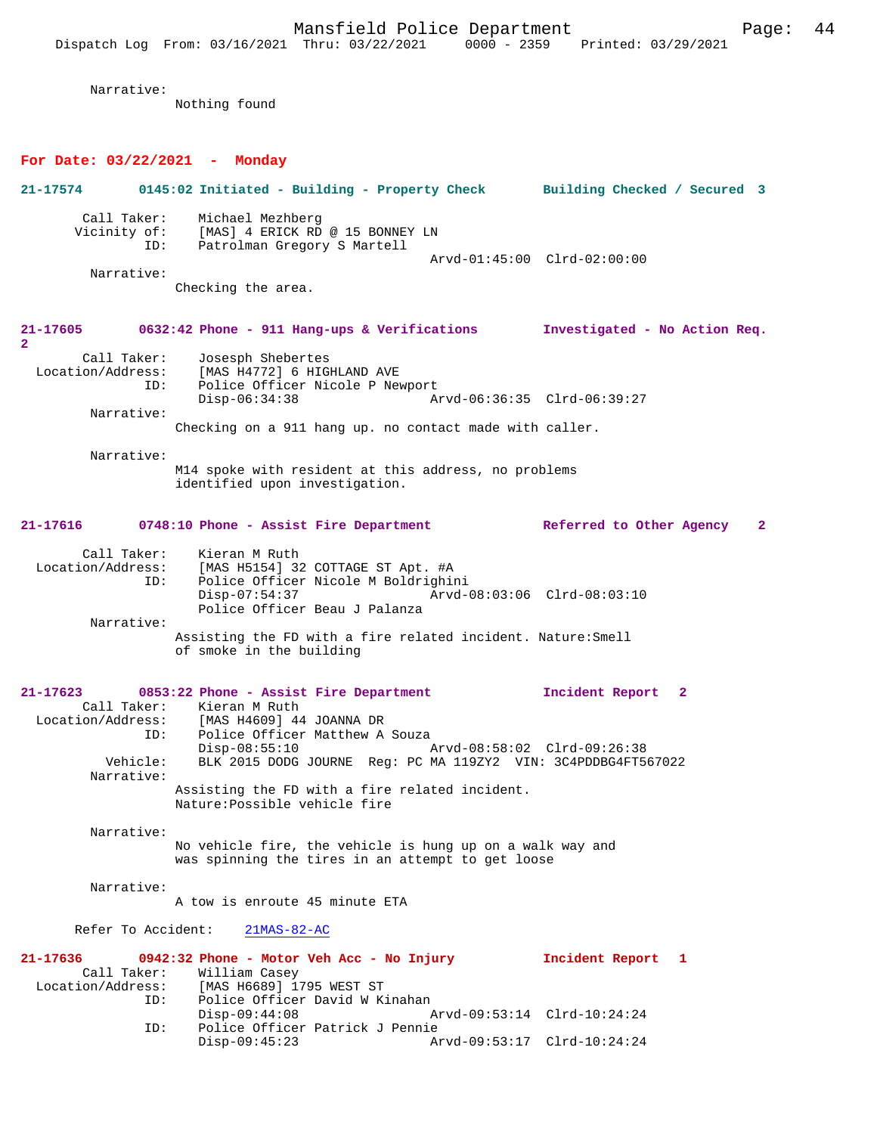Mansfield Police Department Fage: 44 Dispatch Log From: 03/16/2021 Thru: 03/22/2021 0000 - 2359 Printed: 03/29/2021 Narrative: Nothing found **For Date: 03/22/2021 - Monday 21-17574 0145:02 Initiated - Building - Property Check Building Checked / Secured 3** Call Taker: Michael Mezhberg Vicinity of: [MAS] 4 ERICK RD @ 15 BONNEY LN ID: Patrolman Gregory S Martell Arvd-01:45:00 Clrd-02:00:00 Narrative: Checking the area. **21-17605 0632:42 Phone - 911 Hang-ups & Verifications Investigated - No Action Req. 2**  Call Taker: Josesph Shebertes<br>Location/Address: [MAS H4772] 6 HIGH ess: [MAS H4772] 6 HIGHLAND AVE<br>ID: Police Officer Nicole P New Police Officer Nicole P Newport<br>Disp-06:34:38 A Disp-06:34:38 Arvd-06:36:35 Clrd-06:39:27 Narrative: Checking on a 911 hang up. no contact made with caller. Narrative: M14 spoke with resident at this address, no problems identified upon investigation. **21-17616 0748:10 Phone - Assist Fire Department Referred to Other Agency 2** Call Taker: Kieran M Ruth<br>Location/Address: [MAS H5154] 32 Location Machinery (MAS H5154) 32 COTTAGE ST Apt. #A<br>Location: Police Officer Nicole M Boldrighine Police Officer Nicole M Boldrighini<br>Disp-07:54:37 Arvd- Disp-07:54:37 Arvd-08:03:06 Clrd-08:03:10 Police Officer Beau J Palanza Narrative: Assisting the FD with a fire related incident. Nature:Smell of smoke in the building **21-17623 0853:22 Phone - Assist Fire Department Incident Report 2**  Call Taker: Kieran M Ruth Location/Address: [MAS H4609] 44 JOANNA DR<br>ID: Police Officer Matthew A Police Officer Matthew A Souza<br>Disp-08:55:10 Arvd-08:58:02 Clrd-09:26:38 Disp-08:55:10 Arvd-08:58:02 Clrd-09:26:38 Vehicle: BLK 2015 DODG JOURNE Reg: PC MA 119ZY2 VIN: 3C4PDDBG4FT567022 Narrative: Assisting the FD with a fire related incident. Nature:Possible vehicle fire Narrative: No vehicle fire, the vehicle is hung up on a walk way and was spinning the tires in an attempt to get loose Narrative: A tow is enroute 45 minute ETA Refer To Accident: 21MAS-82-AC **21-17636 0942:32 Phone - Motor Veh Acc - No Injury Incident Report 1**  Call Taker: William Casey<br>Location/Address: [MAS H6689] 1 [MAS H6689] 1795 WEST ST ID: Police Officer David W Kinahan<br>Disp-09:44:08 Disp-09:44:08 Arvd-09:53:14 Clrd-10:24:24<br>ID: Police Officer Patrick J Pennie Police Officer Patrick J Pennie Disp-09:45:23 Arvd-09:53:17 Clrd-10:24:24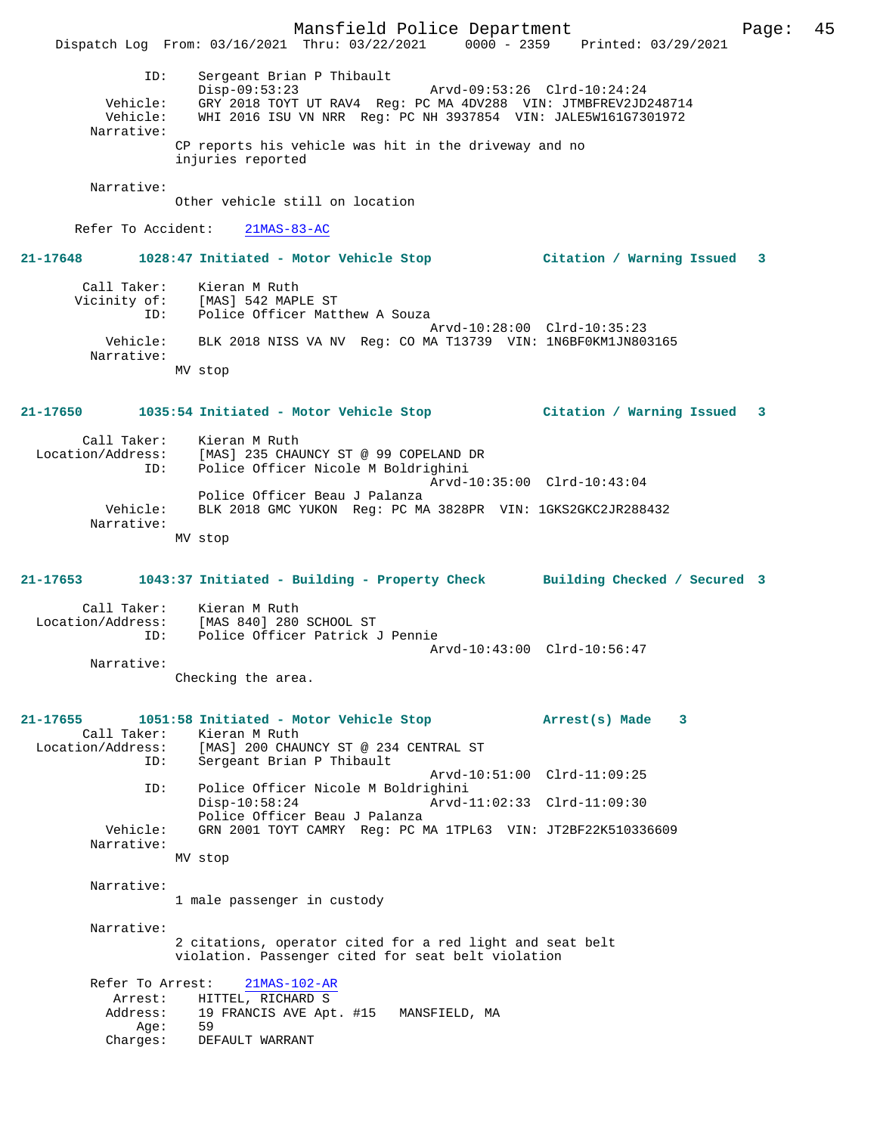Mansfield Police Department Page: 45 Dispatch Log From: 03/16/2021 Thru: 03/22/2021 0000 - 2359 Printed: 03/29/2021 ID: Sergeant Brian P Thibault Disp-09:53:23 Arvd-09:53:26 Clrd-10:24:24 Vehicle: GRY 2018 TOYT UT RAV4 Reg: PC MA 4DV288 VIN: JTMBFREV2JD248714 Vehicle: WHI 2016 ISU VN NRR Reg: PC NH 3937854 VIN: JALE5W161G7301972 Narrative: CP reports his vehicle was hit in the driveway and no injuries reported Narrative: Other vehicle still on location Refer To Accident: 21MAS-83-AC **21-17648 1028:47 Initiated - Motor Vehicle Stop Citation / Warning Issued 3** Call Taker: Kieran M Ruth Vicinity of: [MAS] 542 MAPLE ST ID: Police Officer Matthew A Souza Arvd-10:28:00 Clrd-10:35:23 Vehicle: BLK 2018 NISS VA NV Reg: CO MA T13739 VIN: 1N6BF0KM1JN803165 Narrative: MV stop **21-17650 1035:54 Initiated - Motor Vehicle Stop Citation / Warning Issued 3** Call Taker: Kieran M Ruth Location/Address: [MAS] 235 CHAUNCY ST @ 99 COPELAND DR Police Officer Nicole M Boldrighini Arvd-10:35:00 Clrd-10:43:04 Police Officer Beau J Palanza Vehicle: BLK 2018 GMC YUKON Reg: PC MA 3828PR VIN: 1GKS2GKC2JR288432 Narrative: MV stop **21-17653 1043:37 Initiated - Building - Property Check Building Checked / Secured 3** Call Taker: Kieran M Ruth Location/Address: [MAS 840] 280 SCHOOL ST<br>TD: Police Officer Patrick Police Officer Patrick J Pennie Arvd-10:43:00 Clrd-10:56:47 Narrative: Checking the area. **21-17655 1051:58 Initiated - Motor Vehicle Stop Arrest(s) Made 3**  Call Taker: Kieran M Ruth Location/Address: [MAS] 200 CHAUNCY ST @ 234 CENTRAL ST ID: Sergeant Brian P Thibault Arvd-10:51:00 Clrd-11:09:25 ID: Police Officer Nicole M Boldrighini Disp-10:58:24 Arvd-11:02:33 Clrd-11:09:30 Police Officer Beau J Palanza Vehicle: GRN 2001 TOYT CAMRY Reg: PC MA 1TPL63 VIN: JT2BF22K510336609 Narrative: MV stop Narrative: 1 male passenger in custody Narrative: 2 citations, operator cited for a red light and seat belt violation. Passenger cited for seat belt violation Refer To Arrest: 21MAS-102-AR Arrest: HITTEL, RICHARD S<br>Address: 19 FRANCIS AVE Apt 19 FRANCIS AVE Apt. #15 MANSFIELD, MA<br>50 Age:<br>Charges: DEFAULT WARRANT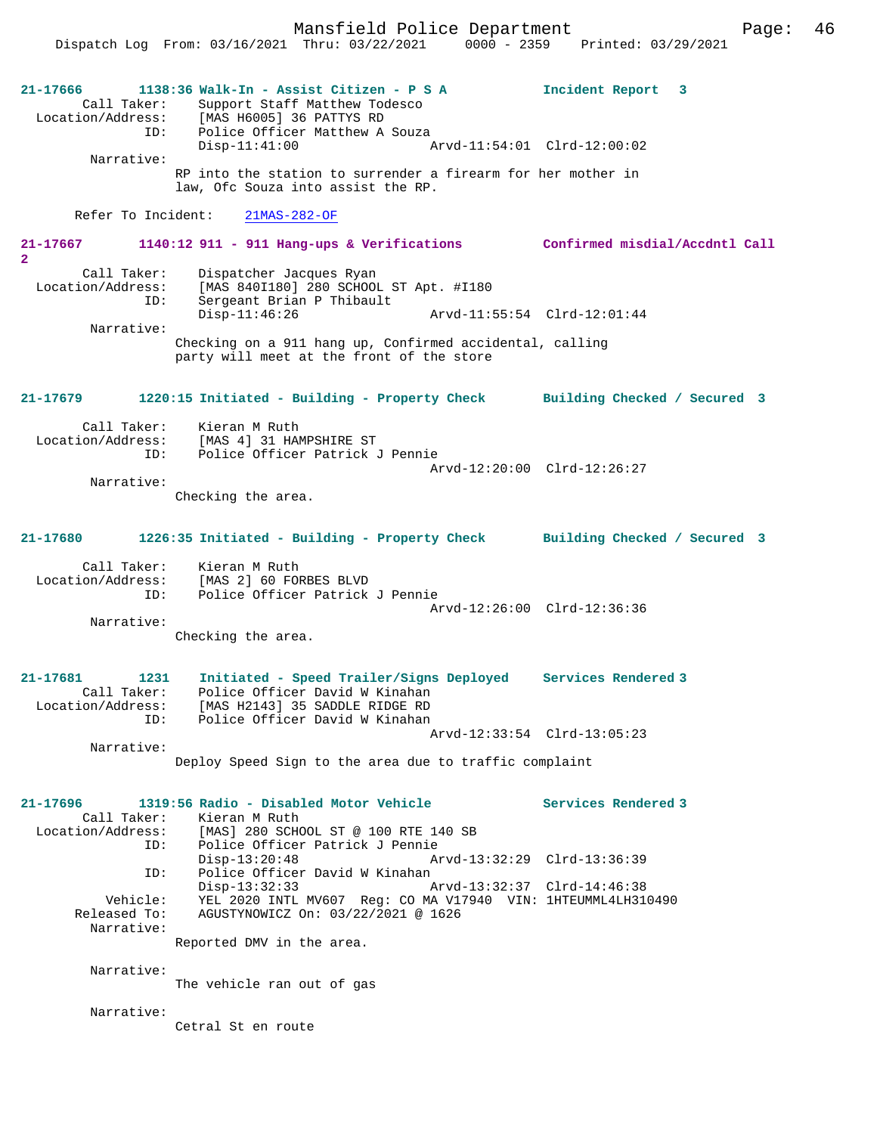Mansfield Police Department Page: 46

Dispatch Log From: 03/16/2021 Thru: 03/22/2021 0000 - 2359 Printed: 03/29/2021

**21-17666 1138:36 Walk-In - Assist Citizen - P S A Incident Report 3**  Call Taker: Support Staff Matthew Todesco<br>Location/Address: [MAS H6005] 36 PATTYS RD  $[MAS H6005]$  36 PATTYS RD ID: Police Officer Matthew A Souza Disp-11:41:00 Arvd-11:54:01 Clrd-12:00:02 Narrative: RP into the station to surrender a firearm for her mother in law, Ofc Souza into assist the RP. Refer To Incident: 21MAS-282-OF **21-17667 1140:12 911 - 911 Hang-ups & Verifications Confirmed misdial/Accdntl Call 2**  Call Taker: Dispatcher Jacques Ryan<br>Location/Address: [MAS 840I180] 280 SCHOOI ess: [MAS 840I180] 280 SCHOOL ST Apt. #I180<br>ID: Sergeant Brian P Thibault Sergeant Brian P Thibault<br>Disp-11:46:26 Disp-11:46:26 Arvd-11:55:54 Clrd-12:01:44 Narrative: Checking on a 911 hang up, Confirmed accidental, calling party will meet at the front of the store **21-17679 1220:15 Initiated - Building - Property Check Building Checked / Secured 3** Call Taker: Kieran M Ruth<br>Location/Address: [MAS 4] 31 HA ess: [MAS 4] 31 HAMPSHIRE ST<br>ID: Police Officer Patrick Police Officer Patrick J Pennie Arvd-12:20:00 Clrd-12:26:27 Narrative: Checking the area. **21-17680 1226:35 Initiated - Building - Property Check Building Checked / Secured 3** Call Taker: Kieran M Ruth Location/Address: [MAS 2] 60 FORBES BLVD ID: Police Officer Patrick J Pennie Arvd-12:26:00 Clrd-12:36:36 Narrative: Checking the area. **21-17681 1231 Initiated - Speed Trailer/Signs Deployed Services Rendered 3**  Call Taker: Police Officer David W Kinahan Location/Address: [MAS H2143] 35 SADDLE RIDGE RD ID: Police Officer David W Kinahan Arvd-12:33:54 Clrd-13:05:23 Narrative: Deploy Speed Sign to the area due to traffic complaint **21-17696 1319:56 Radio - Disabled Motor Vehicle Services Rendered 3**  Call Taker: Kieran M Ruth Location/Address: [MAS] 280 SCHOOL ST @ 100 RTE 140 SB ...<br>Police Officer Patrick J Pennie<br>Disp-13:20:48 Ar Disp-13:20:48 Arvd-13:32:29 Clrd-13:36:39 ID: Police Officer David W Kinahan Disp-13:32:33 Arvd-13:32:37 Clrd-14:46:38<br>Vehicle: YEL 2020 INTL MV607 Req: CO MA V17940 VIN: 1HTEUMML4LH31 Vehicle: YEL 2020 INTL MV607 Reg: CO MA V17940 VIN: 1HTEUMML4LH310490 Released To: AGUSTYNOWICZ On: 03/22/2021 @ 1626 Narrative: Reported DMV in the area. Narrative: The vehicle ran out of gas Narrative: Cetral St en route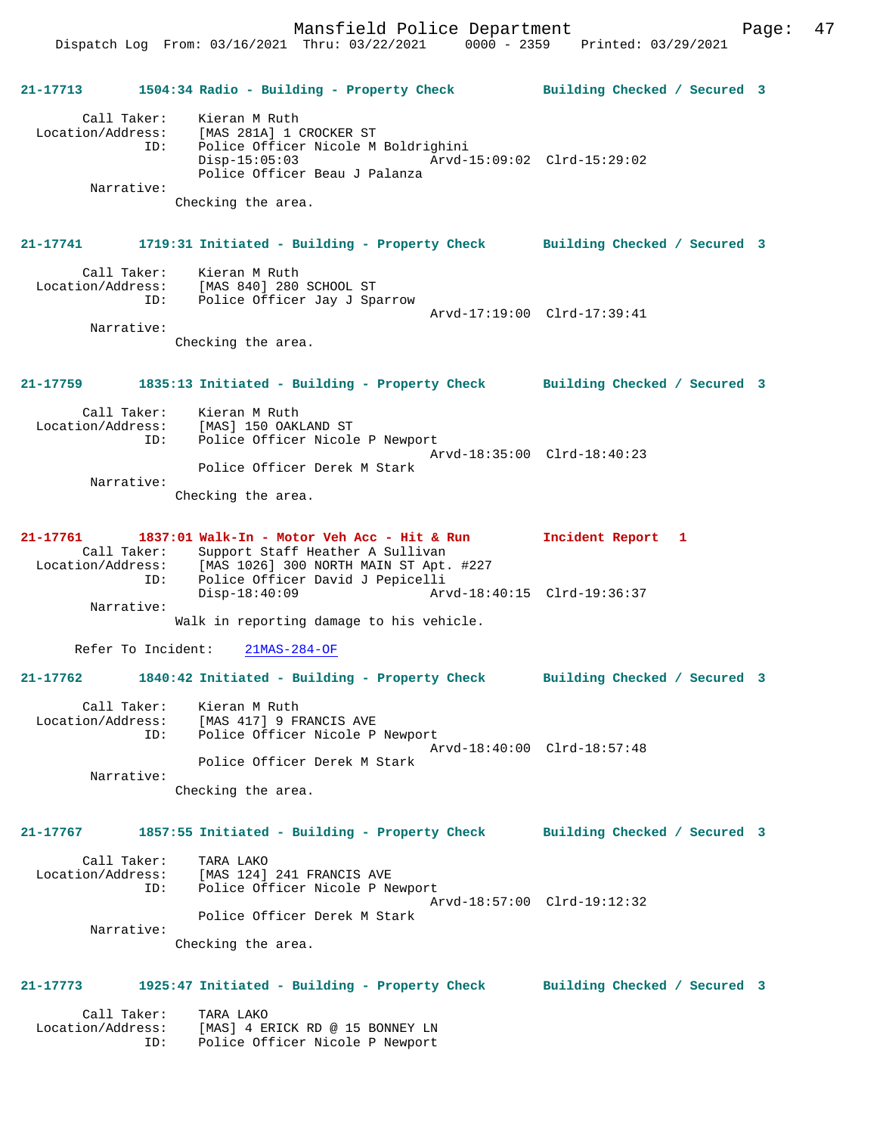Dispatch Log From: 03/16/2021 Thru: 03/22/2021 0000 - 2359 Printed: 03/29/2021

**21-17713 1504:34 Radio - Building - Property Check Building Checked / Secured 3** Call Taker: Kieran M Ruth Location/Address: [MAS 281A] 1 CROCKER ST ID: Police Officer Nicole M Boldrighini Disp-15:05:03 Arvd-15:09:02 Clrd-15:29:02 Police Officer Beau J Palanza Narrative: Checking the area. **21-17741 1719:31 Initiated - Building - Property Check Building Checked / Secured 3** Call Taker: Kieran M Ruth<br>Location/Address: [MAS 840] 280 [MAS 840] 280 SCHOOL ST ID: Police Officer Jay J Sparrow Arvd-17:19:00 Clrd-17:39:41 Narrative: Checking the area. **21-17759 1835:13 Initiated - Building - Property Check Building Checked / Secured 3** Call Taker: Kieran M Ruth Location/Address: [MAS] 150 OAKLAND ST ID: Police Officer Nicole P Newport Arvd-18:35:00 Clrd-18:40:23 Police Officer Derek M Stark Narrative: Checking the area. **21-17761 1837:01 Walk-In - Motor Veh Acc - Hit & Run Incident Report 1**  Call Taker: Support Staff Heather A Sullivan Location/Address: [MAS 1026] 300 NORTH MAIN ST Apt. #227 ID: Police Officer David J Pepicelli Arvd-18:40:15 Clrd-19:36:37 Narrative: Walk in reporting damage to his vehicle. Refer To Incident: 21MAS-284-OF **21-17762 1840:42 Initiated - Building - Property Check Building Checked / Secured 3** Call Taker: Kieran M Ruth Location/Address: [MAS 417] 9 FRANCIS AVE ID: Police Officer Nicole P Newport Arvd-18:40:00 Clrd-18:57:48 Police Officer Derek M Stark Narrative: Checking the area. **21-17767 1857:55 Initiated - Building - Property Check Building Checked / Secured 3** Call Taker: TARA LAKO Location/Address: [MAS 124] 241 FRANCIS AVE ID: Police Officer Nicole P Newport Arvd-18:57:00 Clrd-19:12:32 Police Officer Derek M Stark Narrative: Checking the area. **21-17773 1925:47 Initiated - Building - Property Check Building Checked / Secured 3** Call Taker: TARA LAKO Location/Address: [MAS] 4 ERICK RD @ 15 BONNEY LN<br>ID: Police Officer Nicole P Newport IMASI 4 BALON AD 8 18 - .<br>Police Officer Nicole P Newport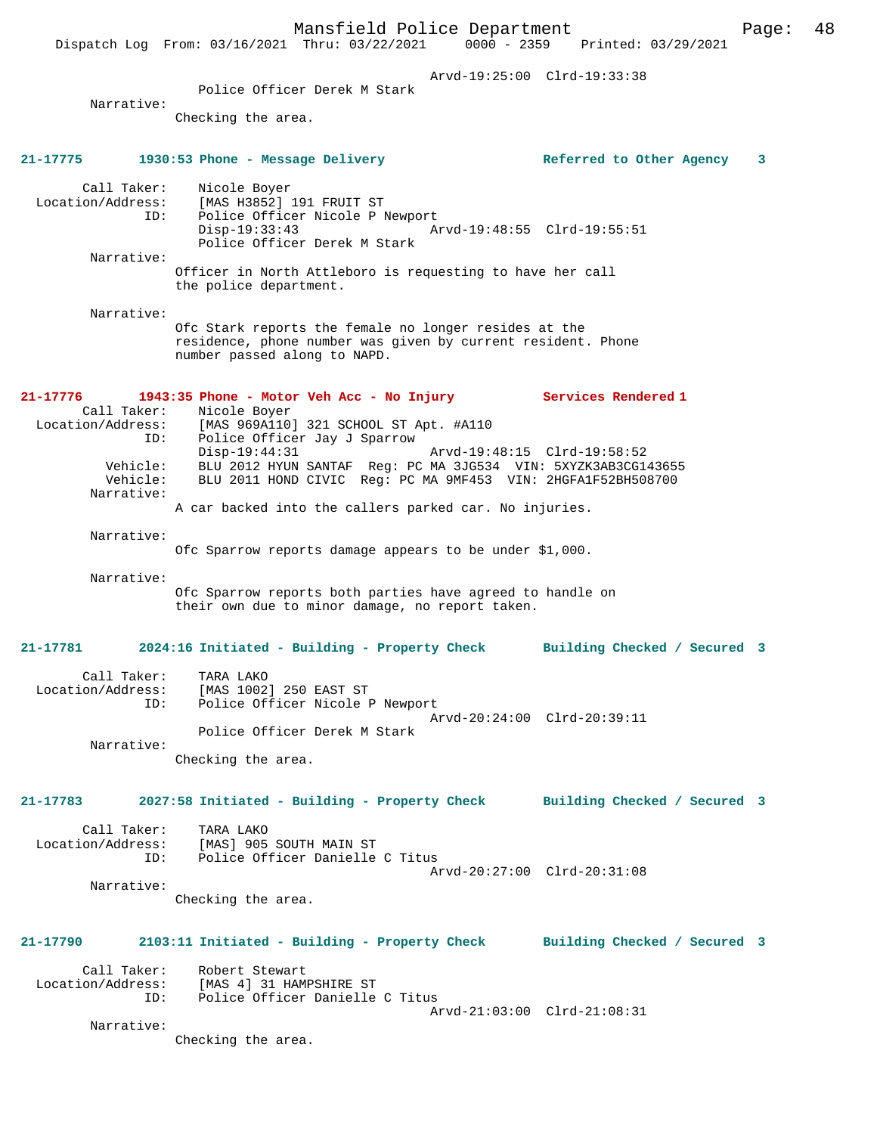Mansfield Police Department Page: 48 Dispatch Log From: 03/16/2021 Thru: 03/22/2021 Arvd-19:25:00 Clrd-19:33:38 Police Officer Derek M Stark Narrative: Checking the area. **21-17775 1930:53 Phone - Message Delivery Referred to Other Agency 3** Call Taker: Nicole Boyer Location/Address: [MAS H3852] 191 FRUIT ST ID: Police Officer Nicole P Newport<br>Disp-19:33:43 Az Disp-19:33:43 Arvd-19:48:55 Clrd-19:55:51 Police Officer Derek M Stark Narrative: Officer in North Attleboro is requesting to have her call the police department. Narrative: Ofc Stark reports the female no longer resides at the residence, phone number was given by current resident. Phone number passed along to NAPD. **21-17776 1943:35 Phone - Motor Veh Acc - No Injury Services Rendered 1**  Call Taker: Nicole Boyer<br>Location/Address: [MAS 969A110 ess: [MAS 969A110] 321 SCHOOL ST Apt. #A110<br>ID: Police Officer Jay J Sparrow Police Officer Jay J Sparrow<br>Disp-19:44:31 Disp-19:44:31 Arvd-19:48:15 Clrd-19:58:52 Vehicle: BLU 2012 HYUN SANTAF Reg: PC MA 3JG534 VIN: 5XYZK3AB3CG143655 Vehicle: BLU 2011 HOND CIVIC Reg: PC MA 9MF453 VIN: 2HGFA1F52BH508700 Narrative: A car backed into the callers parked car. No injuries. Narrative: Ofc Sparrow reports damage appears to be under \$1,000. Narrative: Ofc Sparrow reports both parties have agreed to handle on their own due to minor damage, no report taken. **21-17781 2024:16 Initiated - Building - Property Check Building Checked / Secured 3** Call Taker: TARA LAKO Location/Address: [MAS 1002] 250 EAST ST ID: Police Officer Nicole P Newport Arvd-20:24:00 Clrd-20:39:11 Police Officer Derek M Stark Narrative: Checking the area. **21-17783 2027:58 Initiated - Building - Property Check Building Checked / Secured 3** Call Taker: TARA LAKO Location/Address: [MAS] 905 SOUTH MAIN ST ID: Police Officer Danielle C Titus Arvd-20:27:00 Clrd-20:31:08 Narrative: Checking the area. **21-17790 2103:11 Initiated - Building - Property Check Building Checked / Secured 3** Call Taker: Robert Stewart<br>Location/Address: [MAS 4] 31 HAM ess: [MAS 4] 31 HAMPSHIRE ST<br>ID: Police Officer Danielle Police Officer Danielle C Titus Arvd-21:03:00 Clrd-21:08:31 Narrative: Checking the area.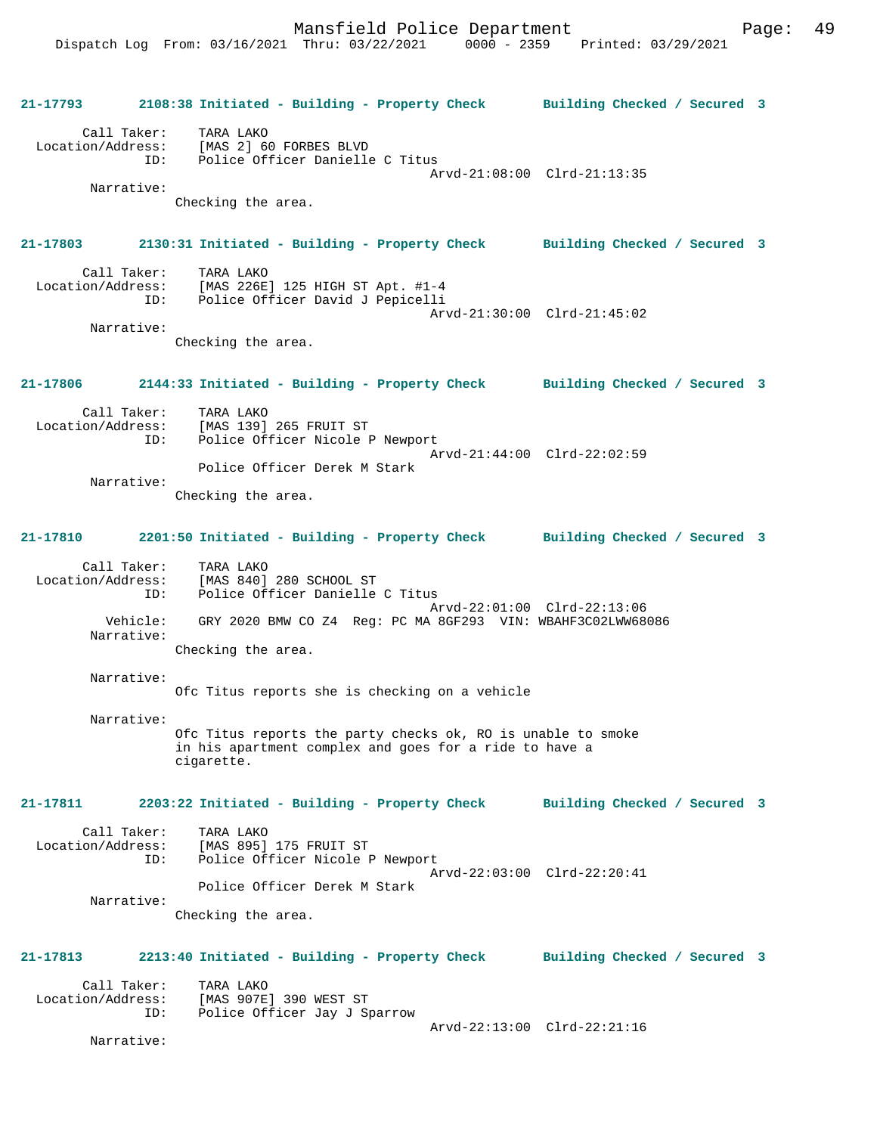**21-17793 2108:38 Initiated - Building - Property Check Building Checked / Secured 3** Call Taker: TARA LAKO Location/Address: [MAS 2] 60 FORBES BLVD Police Officer Danielle C Titus Arvd-21:08:00 Clrd-21:13:35 Narrative: Checking the area. **21-17803 2130:31 Initiated - Building - Property Check Building Checked / Secured 3** Call Taker: TARA LAKO<br>Location/Address: [MAS 226E [MAS 226E] 125 HIGH ST Apt. #1-4 ID: Police Officer David J Pepicelli Arvd-21:30:00 Clrd-21:45:02 Narrative: Checking the area. **21-17806 2144:33 Initiated - Building - Property Check Building Checked / Secured 3** Call Taker: TARA LAKO<br>Location/Address: [MAS 139] ess: [MAS 139] 265 FRUIT ST<br>ID: Police Officer Nicole I Police Officer Nicole P Newport Arvd-21:44:00 Clrd-22:02:59 Police Officer Derek M Stark Narrative: Checking the area. **21-17810 2201:50 Initiated - Building - Property Check Building Checked / Secured 3** Call Taker: TARA LAKO Location/Address: [MAS 840] 280 SCHOOL ST ID: Police Officer Danielle C Titus Arvd-22:01:00 Clrd-22:13:06<br>Vehicle: GRY 2020 BMW CO Z4 Reg: PC MA 8GF293 VIN: WBAHF3C02LWW68 GRY 2020 BMW CO Z4 Reg: PC MA 8GF293 VIN: WBAHF3C02LWW68086 Narrative: Checking the area. Narrative: Ofc Titus reports she is checking on a vehicle Narrative: Ofc Titus reports the party checks ok, RO is unable to smoke in his apartment complex and goes for a ride to have a cigarette. **21-17811 2203:22 Initiated - Building - Property Check Building Checked / Secured 3** Call Taker: TARA LAKO Location/Address: [MAS 895] 175 FRUIT ST Police Officer Nicole P Newport Arvd-22:03:00 Clrd-22:20:41 Police Officer Derek M Stark Narrative: Checking the area. **21-17813 2213:40 Initiated - Building - Property Check Building Checked / Secured 3** Call Taker: TARA LAKO<br>Location/Address: [MAS 907E ess: [MAS 907E] 390 WEST ST<br>ID: Police Officer Jay J S<sub>1</sub> Police Officer Jay J Sparrow Arvd-22:13:00 Clrd-22:21:16 Narrative: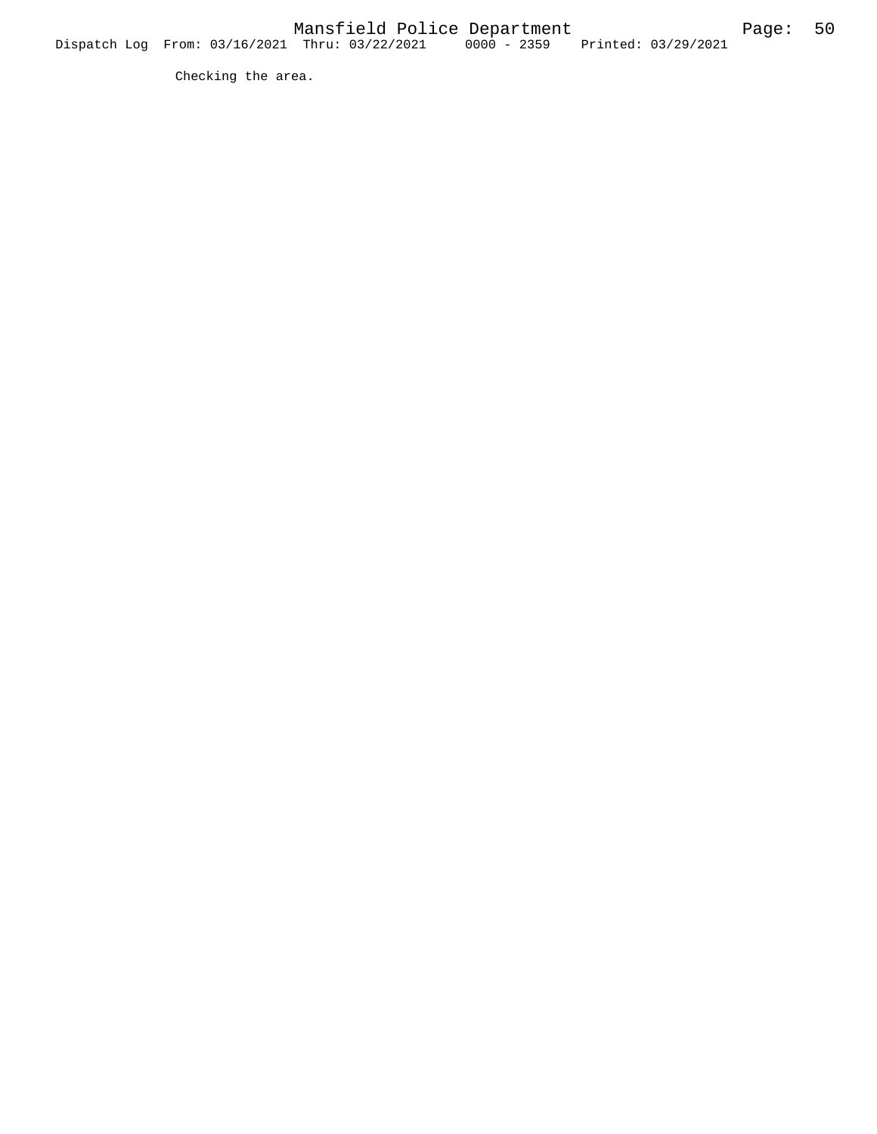Checking the area.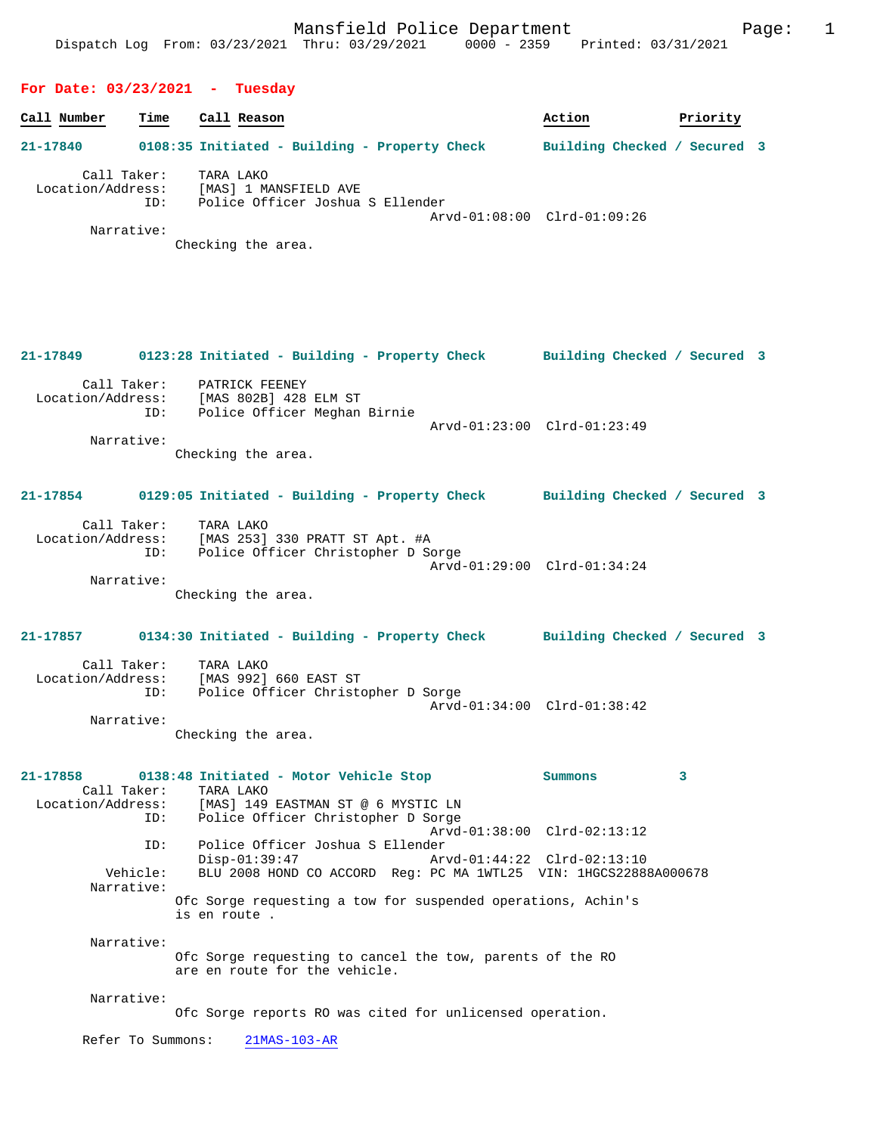#### **For Date: 03/23/2021 - Tuesday**

| Call Number                      | Time | Call Reason                                                                                           | Action                       | Priority |
|----------------------------------|------|-------------------------------------------------------------------------------------------------------|------------------------------|----------|
| 21-17840                         |      | 0108:35 Initiated - Building - Property Check                                                         | Building Checked / Secured 3 |          |
| Call Taker:<br>Location/Address: | ID:  | TARA LAKO<br>[MAS] 1 MANSFIELD AVE<br>Police Officer Joshua S Ellender<br>Arvd-01:08:00 Clrd-01:09:26 |                              |          |

Narrative:

Checking the area.

# **21-17849 0123:28 Initiated - Building - Property Check Building Checked / Secured 3** Call Taker: PATRICK FEENEY Location/Address: [MAS 802B] 428 ELM ST ID: Police Officer Meghan Birnie Arvd-01:23:00 Clrd-01:23:49 Narrative: Checking the area.

### **21-17854 0129:05 Initiated - Building - Property Check Building Checked / Secured 3**

| Call Taker:       | TARA LAKO                          |  |
|-------------------|------------------------------------|--|
| Location/Address: | [MAS 253] 330 PRATT ST Apt. #A     |  |
| ID:               | Police Officer Christopher D Sorge |  |
|                   | Arvd-01:29:00 Clrd-01:34:24        |  |

Narrative:

Checking the area.

# **21-17857 0134:30 Initiated - Building - Property Check Building Checked / Secured 3** Call Taker: TARA LAKO

| Cdii Idkel.       | IARA LANU                          |  |
|-------------------|------------------------------------|--|
| Location/Address: | [MAS 992] 660 EAST ST              |  |
| ID:               | Police Officer Christopher D Sorge |  |
|                   | Arvd-01:34:00 Clrd-01:38:42        |  |
| Narrative:        |                                    |  |

Checking the area.

# **21-17858 0138:48 Initiated - Motor Vehicle Stop Summons 3**  Call Taker: TARA LAKO<br>Location/Address: [MAS] 149 [MAS] 149 EASTMAN ST @ 6 MYSTIC LN ID: Police Officer Christopher D Sorge Arvd-01:38:00 Clrd-02:13:12 ID: Police Officer Joshua S Ellender Disp-01:39:47 Arvd-01:44:22 Clrd-02:13:10<br>Vehicle: BLU 2008 HOND CO ACCORD Req: PC MA 1WTL25 VIN: 1HGCS2288 BLU 2008 HOND CO ACCORD Reg: PC MA 1WTL25 VIN: 1HGCS22888A000678 Narrative: Ofc Sorge requesting a tow for suspended operations, Achin's is en route . Narrative:

Ofc Sorge requesting to cancel the tow, parents of the RO are en route for the vehicle.

Narrative:

Ofc Sorge reports RO was cited for unlicensed operation.

Refer To Summons: 21MAS-103-AR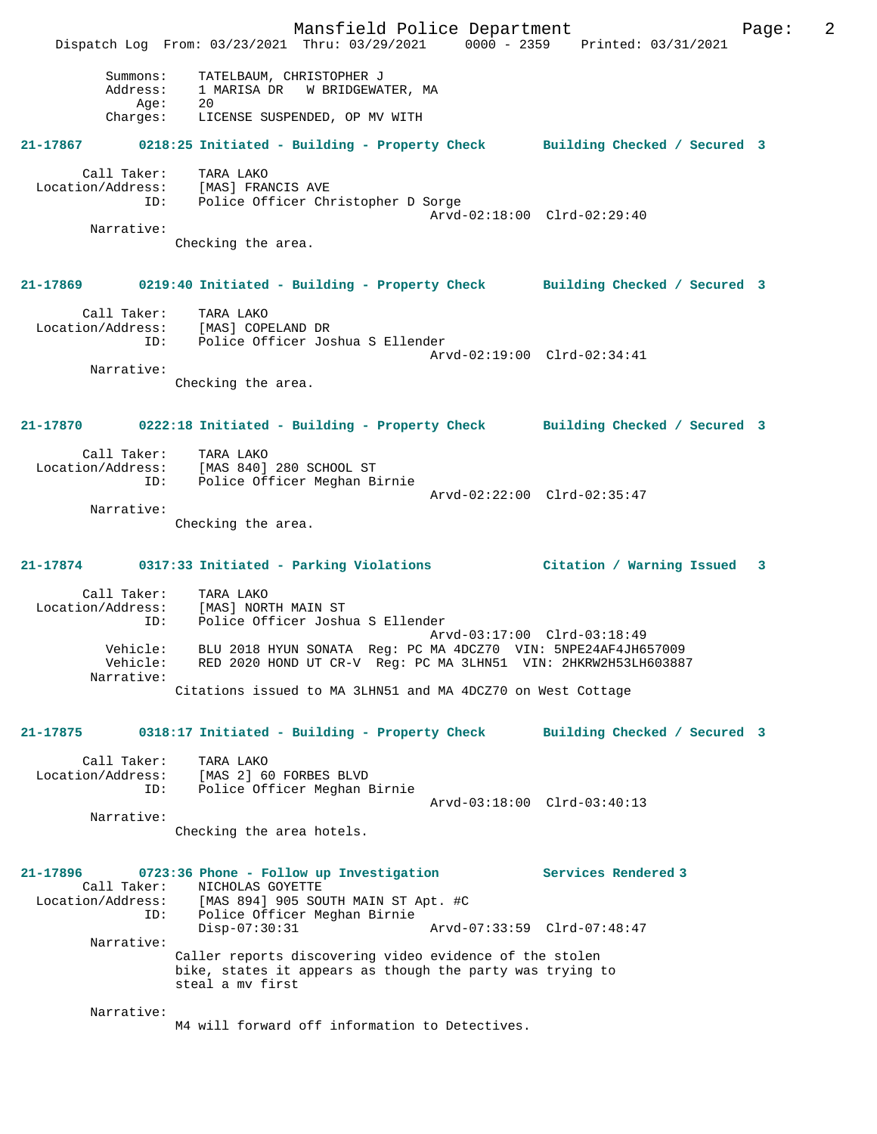|                                         | Mansfield Police Department<br>Dispatch Log From: 03/23/2021 Thru: 03/29/2021 0000 - 2359 Printed: 03/31/2021                            |                              | 2<br>Page: |
|-----------------------------------------|------------------------------------------------------------------------------------------------------------------------------------------|------------------------------|------------|
| Summons:<br>Address:<br>Age:            | TATELBAUM, CHRISTOPHER J<br>1 MARISA DR W BRIDGEWATER, MA<br>20                                                                          |                              |            |
|                                         | Charges: LICENSE SUSPENDED, OP MV WITH                                                                                                   |                              |            |
| 21-17867                                | 0218:25 Initiated - Building - Property Check Building Checked / Secured 3                                                               |                              |            |
| Call Taker:<br>Location/Address:<br>ID: | TARA LAKO<br>[MAS] FRANCIS AVE<br>Police Officer Christopher D Sorge                                                                     | Arvd-02:18:00 Clrd-02:29:40  |            |
| Narrative:                              |                                                                                                                                          |                              |            |
|                                         | Checking the area.                                                                                                                       |                              |            |
| 21-17869                                | 0219:40 Initiated - Building - Property Check Building Checked / Secured 3                                                               |                              |            |
| ID:                                     | Call Taker: TARA LAKO<br>Location/Address: [MAS] COPELAND DR<br>Police Officer Joshua S Ellender                                         |                              |            |
| Narrative:                              |                                                                                                                                          | Arvd-02:19:00 Clrd-02:34:41  |            |
|                                         | Checking the area.                                                                                                                       |                              |            |
|                                         | 21-17870 0222:18 Initiated - Building - Property Check Building Checked / Secured 3                                                      |                              |            |
| ID:                                     | Call Taker: TARA LAKO<br>Location/Address: [MAS 840] 280 SCHOOL ST<br>Police Officer Meghan Birnie                                       |                              |            |
| Narrative:                              |                                                                                                                                          | Arvd-02:22:00 Clrd-02:35:47  |            |
|                                         | Checking the area.                                                                                                                       |                              |            |
|                                         | 21-17874 0317:33 Initiated - Parking Violations                                                                                          | Citation / Warning Issued 3  |            |
| ID:                                     | Call Taker: TARA LAKO<br>Location/Address: [MAS] NORTH MAIN ST<br>Police Officer Joshua S Ellender                                       | Arvd-03:17:00 Clrd-03:18:49  |            |
| Vehicle:<br>Vehicle:<br>Narrative:      | BLU 2018 HYUN SONATA Reg: PC MA 4DCZ70 VIN: 5NPE24AF4JH657009<br>RED 2020 HOND UT CR-V Reg: PC MA 3LHN51 VIN: 2HKRW2H53LH603887          |                              |            |
|                                         | Citations issued to MA 3LHN51 and MA 4DCZ70 on West Cottage                                                                              |                              |            |
| 21-17875                                | 0318:17 Initiated - Building - Property Check                                                                                            | Building Checked / Secured 3 |            |
| Call Taker:                             | TARA LAKO<br>Location/Address: [MAS 2] 60 FORBES BLVD<br>ID: Police Officer Meghan Birnie                                                |                              |            |
| Narrative:                              |                                                                                                                                          | Arvd-03:18:00 Clrd-03:40:13  |            |
|                                         | Checking the area hotels.                                                                                                                |                              |            |
| 21-17896                                | 0723:36 Phone - Follow up Investigation<br>Call Taker: NICHOLAS GOYETTE<br>Location/Address: [MAS 894] 905 SOUTH MAIN ST Apt. #C         | Services Rendered 3          |            |
| ID:                                     | Police Officer Meghan Birnie<br>$Disp-07:30:31$                                                                                          | Arvd-07:33:59 Clrd-07:48:47  |            |
| Narrative:                              | Caller reports discovering video evidence of the stolen<br>bike, states it appears as though the party was trying to<br>steal a my first |                              |            |
| Narrative:                              | M4 will forward off information to Detectives.                                                                                           |                              |            |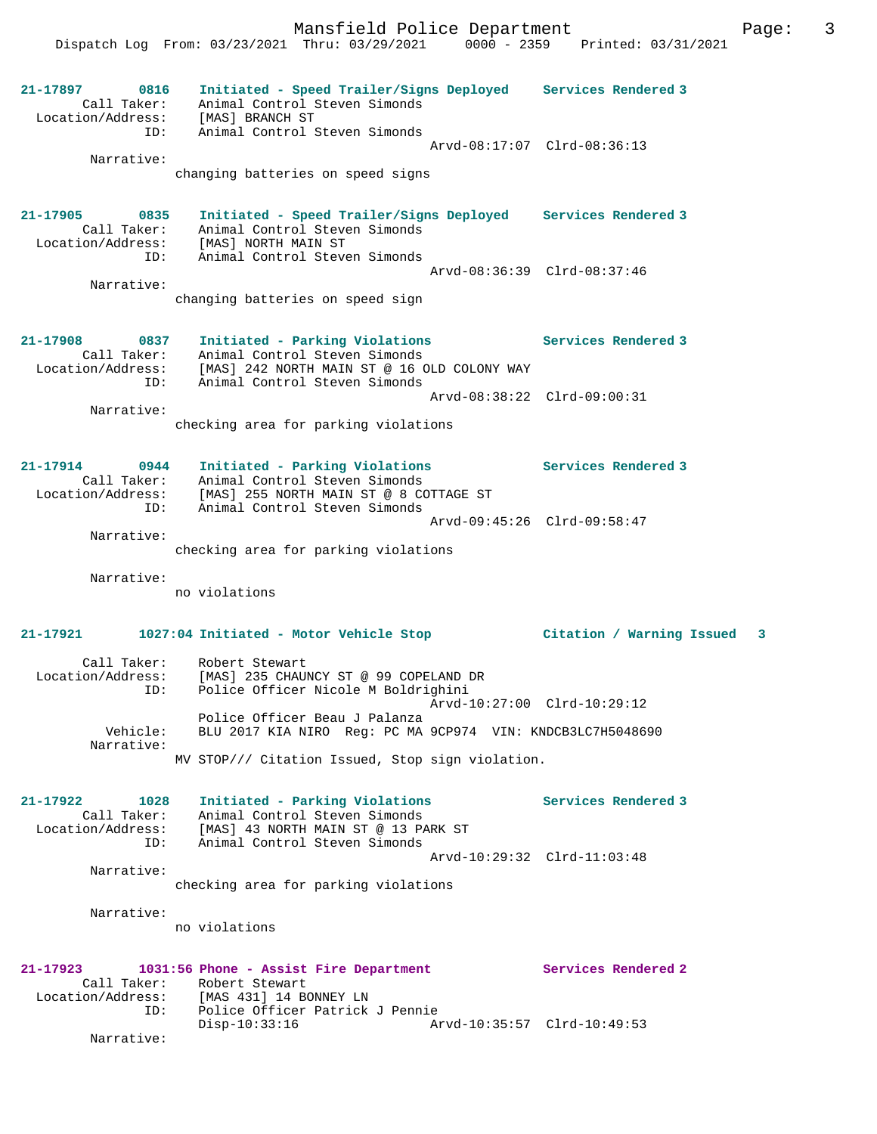Mansfield Police Department Fage: 3

 Dispatch Log From: 03/23/2021 Thru: 03/29/2021 0000 - 2359 Printed: 03/31/2021 **21-17897 0816 Initiated - Speed Trailer/Signs Deployed Services Rendered 3**  Call Taker: Animal Control Steven Simonds Location/Address: [MAS] BRANCH ST ID: Animal Control Steven Simonds Arvd-08:17:07 Clrd-08:36:13 Narrative: changing batteries on speed signs **21-17905 0835 Initiated - Speed Trailer/Signs Deployed Services Rendered 3**  Call Taker: Animal Control Steven Simonds Location/Address: [MAS] NORTH MAIN ST ID: Animal Control Steven Simonds Arvd-08:36:39 Clrd-08:37:46 Narrative: changing batteries on speed sign **21-17908 0837 Initiated - Parking Violations Services Rendered 3**  Call Taker: Animal Control Steven Simonds Location/Address: [MAS] 242 NORTH MAIN ST @ 16 OLD COLONY WAY ID: Animal Control Steven Simonds Arvd-08:38:22 Clrd-09:00:31 Narrative: checking area for parking violations **21-17914 0944 Initiated - Parking Violations Services Rendered 3**  Call Taker: Animal Control Steven Simonds Location/Address: [MAS] 255 NORTH MAIN ST @ 8 COTTAGE ST ID: Animal Control Steven Simonds Arvd-09:45:26 Clrd-09:58:47 Narrative: checking area for parking violations Narrative: no violations **21-17921 1027:04 Initiated - Motor Vehicle Stop Citation / Warning Issued 3** Call Taker: Robert Stewart Location/Address: [MAS] 235 CHAUNCY ST @ 99 COPELAND DR ID: Police Officer Nicole M Boldrighini Arvd-10:27:00 Clrd-10:29:12 Police Officer Beau J Palanza Vehicle: BLU 2017 KIA NIRO Reg: PC MA 9CP974 VIN: KNDCB3LC7H5048690 Narrative: MV STOP/// Citation Issued, Stop sign violation. **21-17922 1028 Initiated - Parking Violations Services Rendered 3**  Call Taker: Animal Control Steven Simonds Location/Address: [MAS] 43 NORTH MAIN ST @ 13 PARK ST ID: Animal Control Steven Simonds Arvd-10:29:32 Clrd-11:03:48 Narrative: checking area for parking violations Narrative: no violations **21-17923 1031:56 Phone - Assist Fire Department Services Rendered 2**  Call Taker: Robert Stewart Location/Address: [MAS 431] 14 BONNEY LN ID: Police Officer Patrick J Pennie<br>Disp-10:33:16 Ar Disp-10:33:16 Arvd-10:35:57 Clrd-10:49:53 Narrative: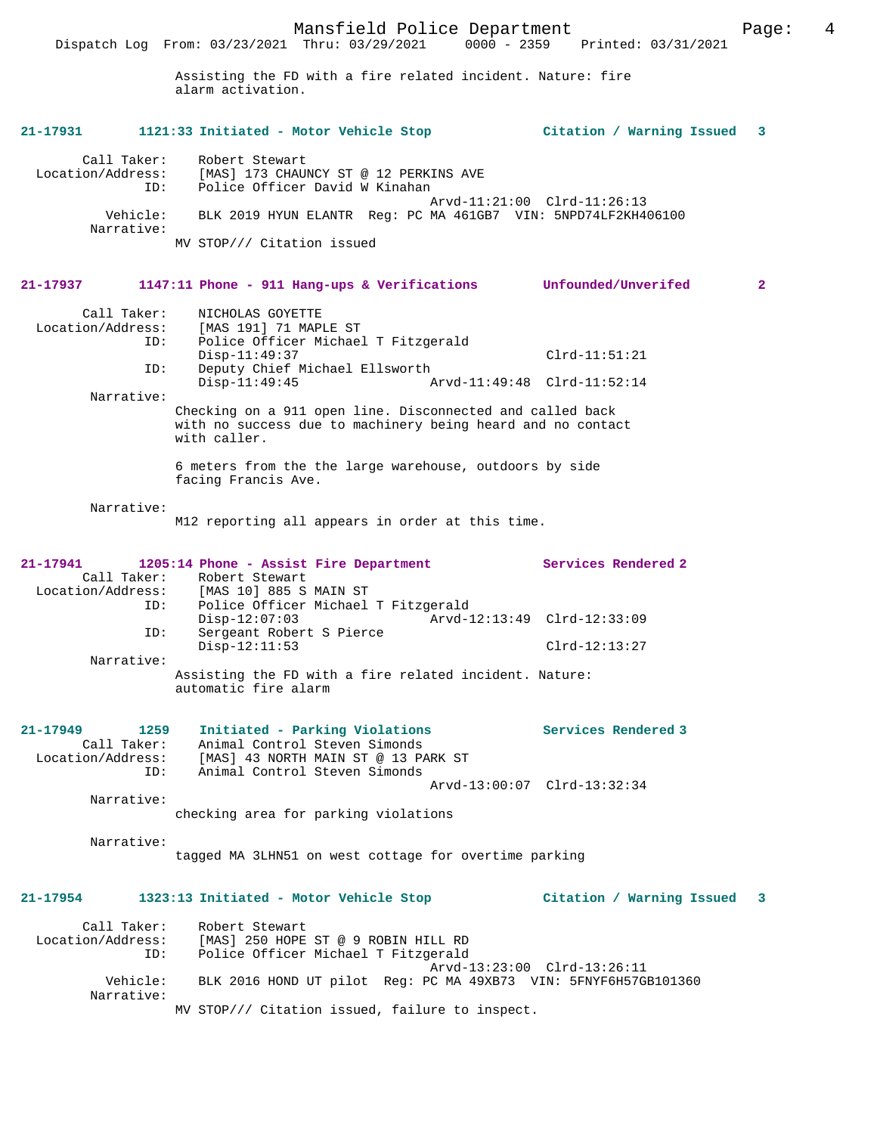Mansfield Police Department Page: 4 Dispatch Log From: 03/23/2021 Thru: 03/29/2021 0000 - 2359 Printed: 03/31/2021 Assisting the FD with a fire related incident. Nature: fire alarm activation. **21-17931 1121:33 Initiated - Motor Vehicle Stop Citation / Warning Issued 3** Call Taker: Robert Stewart Location/Address: [MAS] 173 CHAUNCY ST @ 12 PERKINS AVE ID: Police Officer David W Kinahan Arvd-11:21:00 Clrd-11:26:13 Vehicle: BLK 2019 HYUN ELANTR Reg: PC MA 461GB7 VIN: 5NPD74LF2KH406100 Narrative: MV STOP/// Citation issued **21-17937 1147:11 Phone - 911 Hang-ups & Verifications Unfounded/Unverifed 2** Call Taker: NICHOLAS GOYETTE Location/Address: [MAS 191] 71 MAPLE ST Police Officer Michael T Fitzgerald<br>Disp-11:49:37 Disp-11:49:37 Clrd-11:51:21 ID: Deputy Chief Michael Ellsworth Disp-11:49:45 Arvd-11:49:48 Clrd-11:52:14 Narrative: Checking on a 911 open line. Disconnected and called back with no success due to machinery being heard and no contact with caller. 6 meters from the the large warehouse, outdoors by side facing Francis Ave. Narrative: M12 reporting all appears in order at this time. **21-17941 1205:14 Phone - Assist Fire Department Services Rendered 2**  Call Taker: Robert Stewart<br>Location/Address: [MAS 10] 885 S [MAS 10] 885 S MAIN ST ID: Police Officer Michael T Fitzgerald Disp-12:07:03 Arvd-12:13:49 Clrd-12:33:09 ID: Sergeant Robert S Pierce Disp-12:11:53 Clrd-12:13:27 Narrative: Assisting the FD with a fire related incident. Nature: automatic fire alarm **21-17949 1259 Initiated - Parking Violations Services Rendered 3**  Call Taker: Animal Control Steven Simonds Location/Address: [MAS] 43 NORTH MAIN ST @ 13 PARK ST ID: Animal Control Steven Simonds Arvd-13:00:07 Clrd-13:32:34 Narrative: checking area for parking violations

Narrative:

tagged MA 3LHN51 on west cottage for overtime parking

# **21-17954 1323:13 Initiated - Motor Vehicle Stop Citation / Warning Issued 3**

| Call Taker:            | Robert Stewart                                                  |
|------------------------|-----------------------------------------------------------------|
| Location/Address:      | [MAS] 250 HOPE ST @ 9 ROBIN HILL RD                             |
| ID:                    | Police Officer Michael T Fitzgerald                             |
|                        | Arvd-13:23:00 Clrd-13:26:11                                     |
| Vehicle:<br>Narrative: | BLK 2016 HOND UT pilot Req: PC MA 49XB73 VIN: 5FNYF6H57GB101360 |
|                        | MV STOP/// Citation issued, failure to inspect.                 |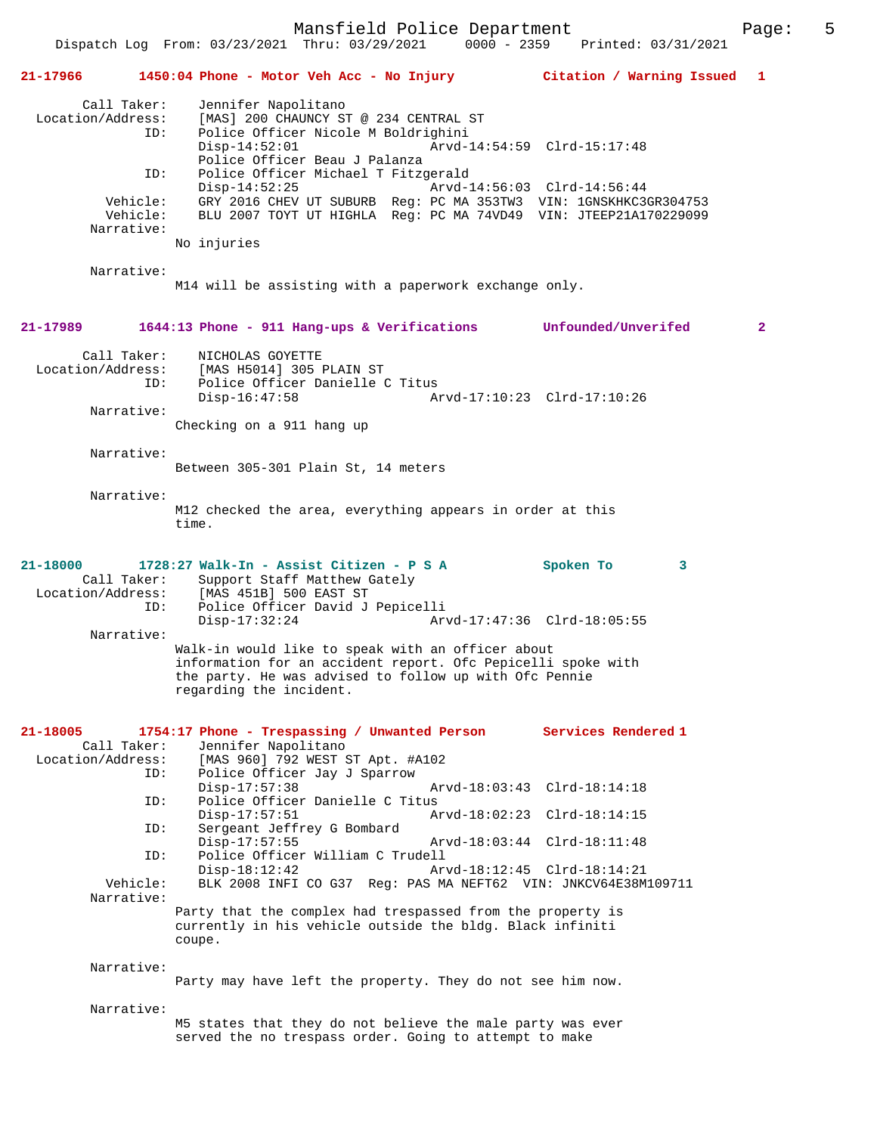Mansfield Police Department Page: 5 Dispatch Log From: 03/23/2021 Thru: 03/29/2021 **21-17966 1450:04 Phone - Motor Veh Acc - No Injury Citation / Warning Issued 1** Call Taker: Jennifer Napolitano<br>Location/Address: [MAS] 200 CHAUNCY ST ess: [MAS] 200 CHAUNCY ST @ 234 CENTRAL ST<br>ID: Police Officer Nicole M Boldrighini Police Officer Nicole M Boldrighini Disp-14:52:01 Arvd-14:54:59 Clrd-15:17:48 Police Officer Beau J Palanza<br>TD: Police Officer Michael T Fitzo Police Officer Michael T Fitzgerald<br>Disp-14:52:25 Arvd-1 Arvd-14:56:03 Clrd-14:56:44 Vehicle: GRY 2016 CHEV UT SUBURB Reg: PC MA 353TW3 VIN: 1GNSKHKC3GR304753<br>Vehicle: BLU 2007 TOYT UT HIGHLA Reg: PC MA 74VD49 VIN: JTEEP21A170229099 Vehicle: BLU 2007 TOYT UT HIGHLA Reg: PC MA 74VD49 VIN: JTEEP21A170229099 Narrative: No injuries Narrative: M14 will be assisting with a paperwork exchange only. **21-17989 1644:13 Phone - 911 Hang-ups & Verifications Unfounded/Unverifed 2** Call Taker: NICHOLAS GOYETTE<br>Location/Address: [MAS H5014] 305 J ess: [MAS H5014] 305 PLAIN ST<br>ID: Police Officer Danielle Police Officer Danielle C Titus<br>Disp-16:47:58 A Disp-16:47:58 Arvd-17:10:23 Clrd-17:10:26 Narrative: Checking on a 911 hang up Narrative: Between 305-301 Plain St, 14 meters Narrative: M12 checked the area, everything appears in order at this time. **21-18000 1728:27 Walk-In - Assist Citizen - P S A Spoken To 3**  Call Taker: Support Staff Matthew Gately<br>Location/Address: [MAS 451B] 500 EAST ST ess: [MAS 451B] 500 EAST ST<br>ID: Police Officer David J Police Officer David J Pepicelli<br>Disp-17:32:24 Ar Arvd-17:47:36 Clrd-18:05:55 Narrative: Walk-in would like to speak with an officer about information for an accident report. Ofc Pepicelli spoke with the party. He was advised to follow up with Ofc Pennie regarding the incident. **21-18005 1754:17 Phone - Trespassing / Unwanted Person Services Rendered 1**  Jennifer Napolitano Location/Address: [MAS 960] 792 WEST ST Apt. #A102 ID: Police Officer Jay J Sparrow Disp-17:57:38 Arvd-18:03:43 Clrd-18:14:18<br>TD: Police Officer Danielle C Titus Police Officer Danielle C Titus Disp-17:57:51 Arvd-18:02:23 Clrd-18:14:15 ID: Sergeant Jeffrey G Bombard Disp-17:57:55 Arvd-18:03:44 Clrd-18:11:48<br>TD: Police Officer William C Trudell Police Officer William C Trudell<br>Disp-18:12:42 Ary Disp-18:12:42 Arvd-18:12:45 Clrd-18:14:21<br>Vehicle: BLK 2008 INFI CO G37 Reg: PAS MA NEFT62 VIN: JNKCV64E38M BLK 2008 INFI CO G37 Reg: PAS MA NEFT62 VIN: JNKCV64E38M109711 Narrative: Party that the complex had trespassed from the property is currently in his vehicle outside the bldg. Black infiniti coupe. Narrative: Party may have left the property. They do not see him now. Narrative: M5 states that they do not believe the male party was ever served the no trespass order. Going to attempt to make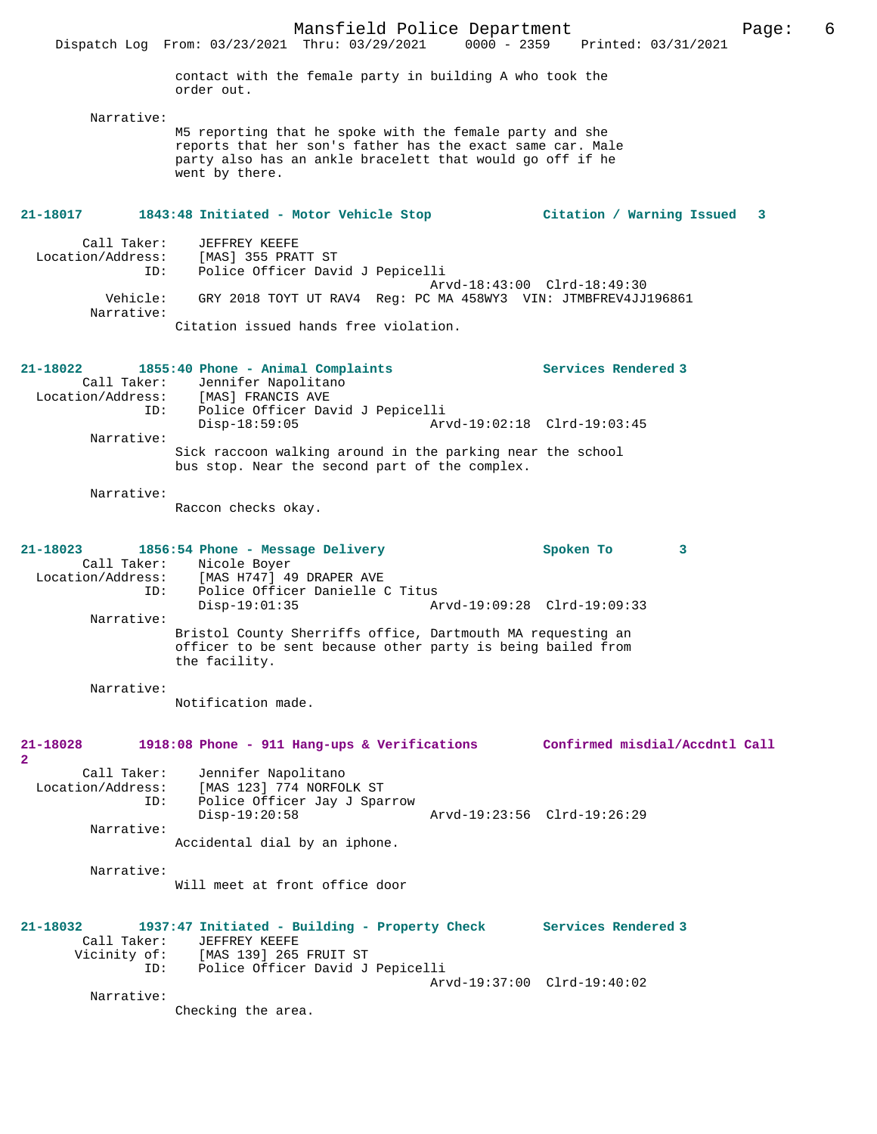contact with the female party in building A who took the order out.

Narrative:

M5 reporting that he spoke with the female party and she reports that her son's father has the exact same car. Male party also has an ankle bracelett that would go off if he went by there.

#### **21-18017 1843:48 Initiated - Motor Vehicle Stop Citation / Warning Issued 3**

Call Taker: JEFFREY KEEFE<br>Location/Address: [MAS] 355 PRA [MAS] 355 PRATT ST ID: Police Officer David J Pepicelli Arvd-18:43:00 Clrd-18:49:30 Vehicle: GRY 2018 TOYT UT RAV4 Reg: PC MA 458WY3 VIN: JTMBFREV4JJ196861 Narrative: Citation issued hands free violation.

| 21-18022          |                                 |                   | 1855:40 Phone - Animal Complaints |                                                            | Services Rendered 3 |
|-------------------|---------------------------------|-------------------|-----------------------------------|------------------------------------------------------------|---------------------|
|                   | Call Taker: Jennifer Napolitano |                   |                                   |                                                            |                     |
| Location/Address: |                                 | [MAS] FRANCIS AVE |                                   |                                                            |                     |
|                   | ID:                             |                   | Police Officer David J Pepicelli  |                                                            |                     |
|                   |                                 | $Disp-18:59:05$   |                                   | Arvd-19:02:18 Clrd-19:03:45                                |                     |
|                   | Narrative:                      |                   |                                   |                                                            |                     |
|                   |                                 |                   |                                   | Sick raccoon walking around in the parking near the school |                     |
|                   |                                 |                   |                                   | bus stop. Near the second part of the complex.             |                     |

Narrative:

Raccon checks okay.

### **21-18023 1856:54 Phone - Message Delivery Spoken To 3**  Call Taker: Nicole Boyer<br>Location/Address: [MAS H747] 49 ess: [MAS H747] 49 DRAPER AVE<br>ID: Police Officer Danielle ( ID: Police Officer Danielle C Titus Disp-19:01:35 Arvd-19:09:28 Clrd-19:09:33 Narrative: Bristol County Sherriffs office, Dartmouth MA requesting an officer to be sent because other party is being bailed from the facility.

Narrative:

Notification made.

# **21-18028 1918:08 Phone - 911 Hang-ups & Verifications Confirmed misdial/Accdntl Call 2**  Call Taker: Jennifer Napolitano<br>Location/Address: [MAS 123] 774 NORFOI ess: [MAS 123] 774 NORFOLK ST<br>ID: Police Officer Jay J Spar Police Officer Jay J Sparrow<br>Disp-19:20:58 Disp-19:20:58 Arvd-19:23:56 Clrd-19:26:29 Narrative: Accidental dial by an iphone. Narrative: Will meet at front office door **21-18032 1937:47 Initiated - Building - Property Check Services Rendered 3**  Call Taker: JEFFREY KEEFE<br>Vicinity of: [MAS 139] 265 of: [MAS 139] 265 FRUIT ST<br>ID: Police Officer David J Police Officer David J Pepicelli Arvd-19:37:00 Clrd-19:40:02 Narrative: Checking the area.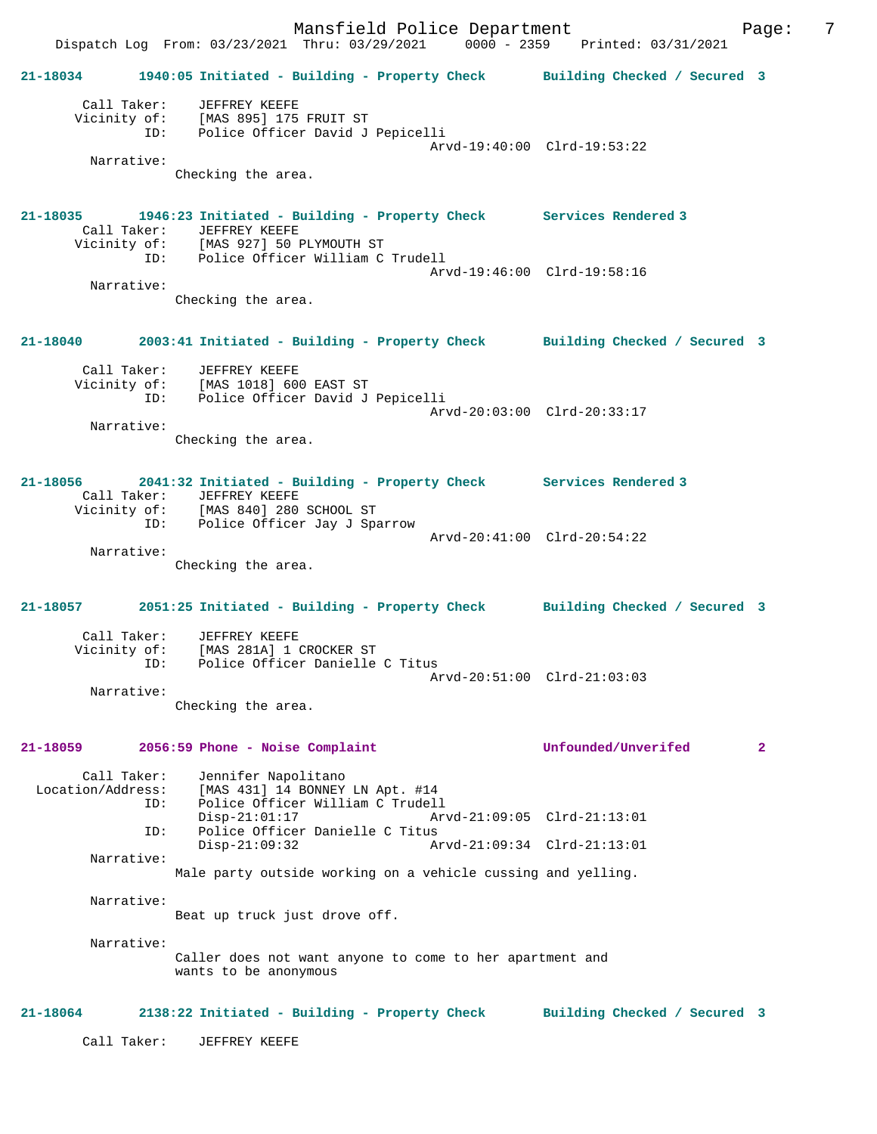Mansfield Police Department Fage: 7 Dispatch Log From: 03/23/2021 Thru: 03/29/2021 0000 - 2359 Printed: 03/31/2021 **21-18034 1940:05 Initiated - Building - Property Check Building Checked / Secured 3** Call Taker: JEFFREY KEEFE Vicinity of: [MAS 895] 175 FRUIT ST ID: Police Officer David J Pepicelli Arvd-19:40:00 Clrd-19:53:22 Narrative: Checking the area. **21-18035 1946:23 Initiated - Building - Property Check Services Rendered 3**  Call Taker: JEFFREY KEEFE Vicinity of: [MAS 927] 50 PLYMOUTH ST ID: Police Officer William C Trudell Arvd-19:46:00 Clrd-19:58:16 Narrative: Checking the area. **21-18040 2003:41 Initiated - Building - Property Check Building Checked / Secured 3** Call Taker: JEFFREY KEEFE Vicinity of: [MAS 1018] 600 EAST ST Vicinity of: [MAS 1018] 600 EAST ST<br>ID: Police Officer David J Pepicelli Arvd-20:03:00 Clrd-20:33:17 Narrative: Checking the area. **21-18056 2041:32 Initiated - Building - Property Check Services Rendered 3**  Call Taker: JEFFREY KEEFE Vicinity of: [MAS 840] 280 SCHOOL ST ID: Police Officer Jay J Sparrow Arvd-20:41:00 Clrd-20:54:22 Narrative: Checking the area. **21-18057 2051:25 Initiated - Building - Property Check Building Checked / Secured 3** Call Taker: JEFFREY KEEFE<br>Vicinity of: [MAS 281A] 1 ( of: [MAS 281A] 1 CROCKER ST<br>ID: Police Officer Danielle Police Officer Danielle C Titus Arvd-20:51:00 Clrd-21:03:03 Narrative: Checking the area. **21-18059 2056:59 Phone - Noise Complaint Unfounded/Unverifed 2** Call Taker: Jennifer Napolitano Location/Address: [MAS 431] 14 BONNEY LN Apt. #14 Police Officer William C Trudell<br>Disp-21:01:17 Ar Disp-21:01:17 Arvd-21:09:05 Clrd-21:13:01<br>ID: Police Officer Danielle C Titus Police Officer Danielle C Titus<br>Disp-21:09:32 Disp-21:09:32 Arvd-21:09:34 Clrd-21:13:01 Narrative: Male party outside working on a vehicle cussing and yelling. Narrative: Beat up truck just drove off. Narrative: Caller does not want anyone to come to her apartment and wants to be anonymous **21-18064 2138:22 Initiated - Building - Property Check Building Checked / Secured 3** Call Taker: JEFFREY KEEFE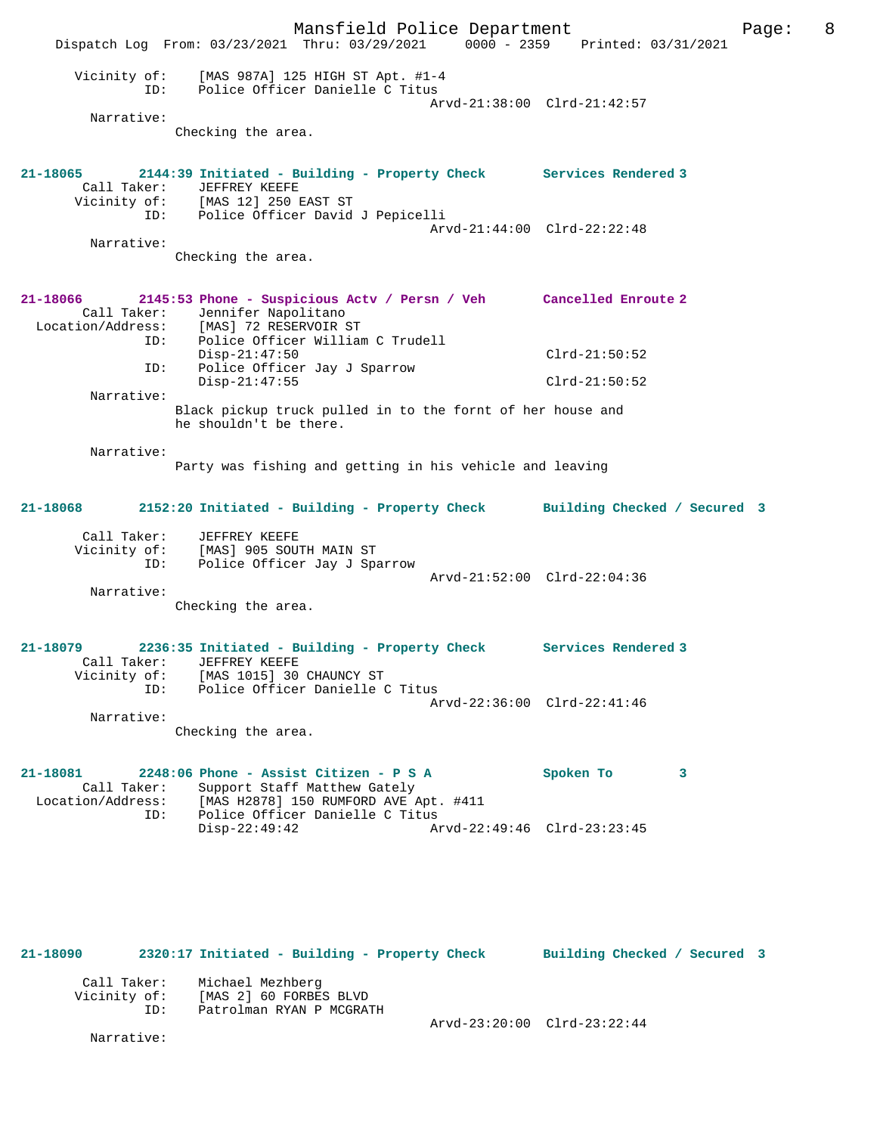Mansfield Police Department Page: 8 Dispatch Log From: 03/23/2021 Thru: 03/29/2021 0000 - 2359 Printed: 03/31/2021 Vicinity of: [MAS 987A] 125 HIGH ST Apt. #1-4 ID: Police Officer Danielle C Titus Arvd-21:38:00 Clrd-21:42:57 Narrative: Checking the area. **21-18065 2144:39 Initiated - Building - Property Check Services Rendered 3**  Call Taker: JEFFREY KEEFE Vicinity of: [MAS 12] 250 EAST ST Vicinity of: [MAS 12] 250 EAST ST<br>ID: Police Officer David J Pepicelli Arvd-21:44:00 Clrd-22:22:48 Narrative: Checking the area. **21-18066 2145:53 Phone - Suspicious Actv / Persn / Veh Cancelled Enroute 2**  Call Taker: Jennifer Napolitano<br>Location/Address: [MAS] 72 RESERVOIR S Location/Address: [MAS] 72 RESERVOIR ST ID: Police Officer William C Trudell Disp-21:47:50 Clrd-21:50:52 ID: Police Officer Jay J Sparrow Disp-21:47:55 Clrd-21:50:52 Narrative: Black pickup truck pulled in to the fornt of her house and he shouldn't be there. Narrative: Party was fishing and getting in his vehicle and leaving **21-18068 2152:20 Initiated - Building - Property Check Building Checked / Secured 3** Call Taker: JEFFREY KEEFE Vicinity of: [MAS] 905 SOUTH MAIN ST ID: Police Officer Jay J Sparrow Arvd-21:52:00 Clrd-22:04:36 Narrative: Checking the area. **21-18079 2236:35 Initiated - Building - Property Check Services Rendered 3**  Call Taker: JEFFREY KEEFE Vicinity of: [MAS 1015] 30 CHAUNCY ST ID: Police Officer Danielle C Titus Arvd-22:36:00 Clrd-22:41:46 Narrative: Checking the area. **21-18081 2248:06 Phone - Assist Citizen - P S A Spoken To 3**  Call Taker: Support Staff Matthew Gately<br>Location/Address: [MAS H2878] 150 RUMFORD AVE A Location/Address: [MAS H2878] 150 RUMFORD AVE Apt. #411 ID: Police Officer Danielle C Titus Disp-22:49:42 Arvd-22:49:46 Clrd-23:23:45

**21-18090 2320:17 Initiated - Building - Property Check Building Checked / Secured 3** Call Taker: Michael Mezhberg Vicinity of: [MAS 2] 60 FORBES BLVD ID: Patrolman RYAN P MCGRATH

Narrative:

Arvd-23:20:00 Clrd-23:22:44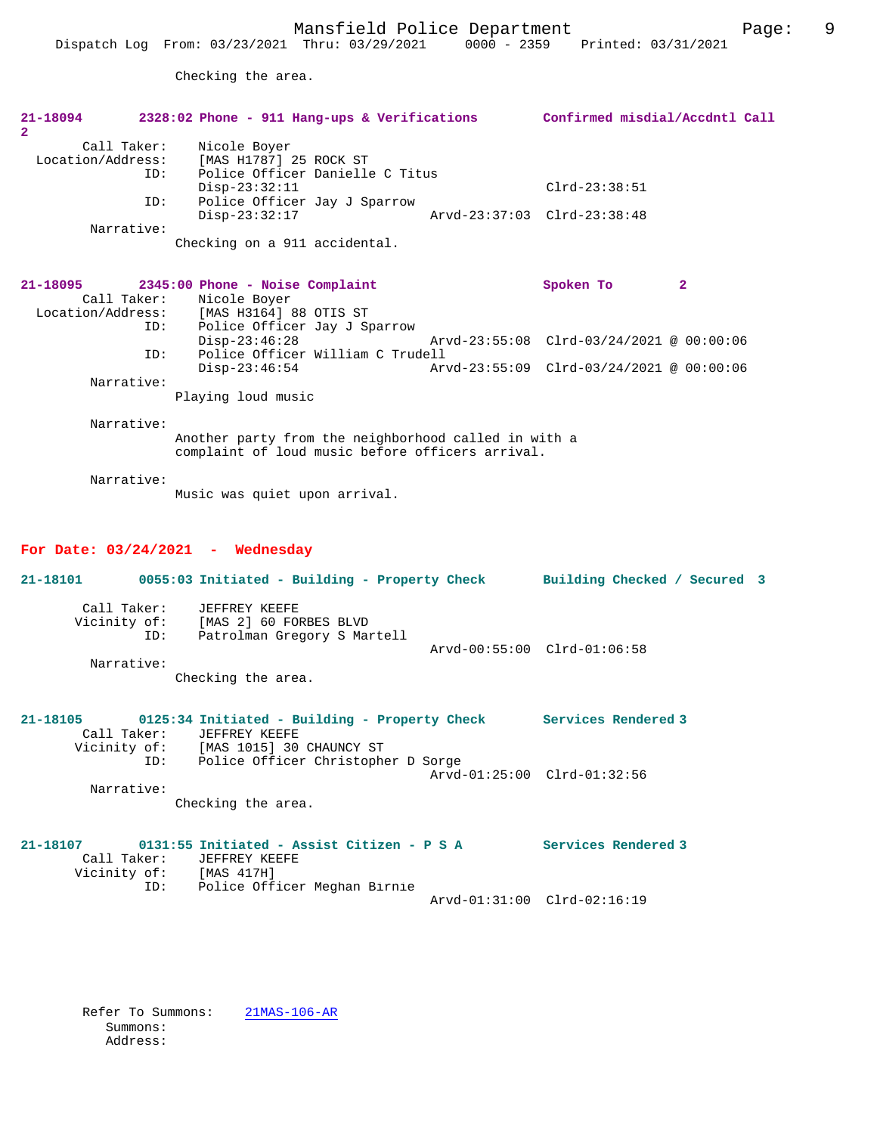Checking the area.

| 21-18094<br>$\overline{2}$                                   | 2328:02 Phone - 911 Hang-ups & Verifications                                                                                                                                     | Confirmed misdial/Accdntl Call                 |                |
|--------------------------------------------------------------|----------------------------------------------------------------------------------------------------------------------------------------------------------------------------------|------------------------------------------------|----------------|
| Call Taker:<br>Location/Address:<br>ID:<br>ID:<br>Narrative: | Nicole Boyer<br>[MAS H1787] 25 ROCK ST<br>Police Officer Danielle C Titus<br>$Disp-23:32:11$<br>Police Officer Jay J Sparrow<br>$Disp-23:32:17$<br>Checking on a 911 accidental. | $Clrd-23:38:51$<br>Arvd-23:37:03 Clrd-23:38:48 |                |
| $21 - 18095$<br>Call Taker:<br>ID:                           | 2345:00 Phone - Noise Complaint<br>Nicole Boyer<br>Location/Address: [MAS H3164] 88 OTIS ST<br>Police Officer Jay J Sparrow                                                      | Spoken To                                      | $\overline{a}$ |
| ID:                                                          | $Disp-23:46:28$<br>Police Officer William C Trudell                                                                                                                              | Arvd-23:55:08 Clrd-03/24/2021 @ 00:00:06       |                |
| Narrative:                                                   | $Disp-23:46:54$<br>Playing loud music                                                                                                                                            | Arvd-23:55:09 Clrd-03/24/2021 @ 00:00:06       |                |
| Narrative:<br>Narrative:                                     | Another party from the neighborhood called in with a<br>complaint of loud music before officers arrival.<br>Music was quiet upon arrival.                                        |                                                |                |
|                                                              | For Date: $03/24/2021$ - Wednesday                                                                                                                                               |                                                |                |
| 21-18101                                                     | 0055:03 Initiated - Building - Property Check                                                                                                                                    | Building Checked / Secured 3                   |                |
| Call Taker:<br>Vicinity of:<br>ID:<br>Narrative:             | JEFFREY KEEFE<br>[MAS 2] 60 FORBES BLVD<br>Patrolman Gregory S Martell<br>Checking the area.                                                                                     | Arvd-00:55:00 Clrd-01:06:58                    |                |
| 21-18105<br>Call Taker:<br>Vicinity of:<br>ID:               | 0125:34 Initiated - Building - Property Check Services Rendered 3<br>JEFFREY KEEFE<br>[MAS 1015] 30 CHAUNCY ST<br>Police Officer Christopher D Sorge                             |                                                |                |
| Narrative:                                                   |                                                                                                                                                                                  | Arvd-01:25:00 Clrd-01:32:56                    |                |

Checking the area.

**21-18107 0131:55 Initiated - Assist Citizen - P S A Services Rendered 3**  Call Taker: JEFFREY KEEFE Vicinity of: [MAS 417H] ID: Police Officer Meghan Birnie Arvd-01:31:00 Clrd-02:16:19

 Refer To Summons: 21MAS-106-AR Summons: Address: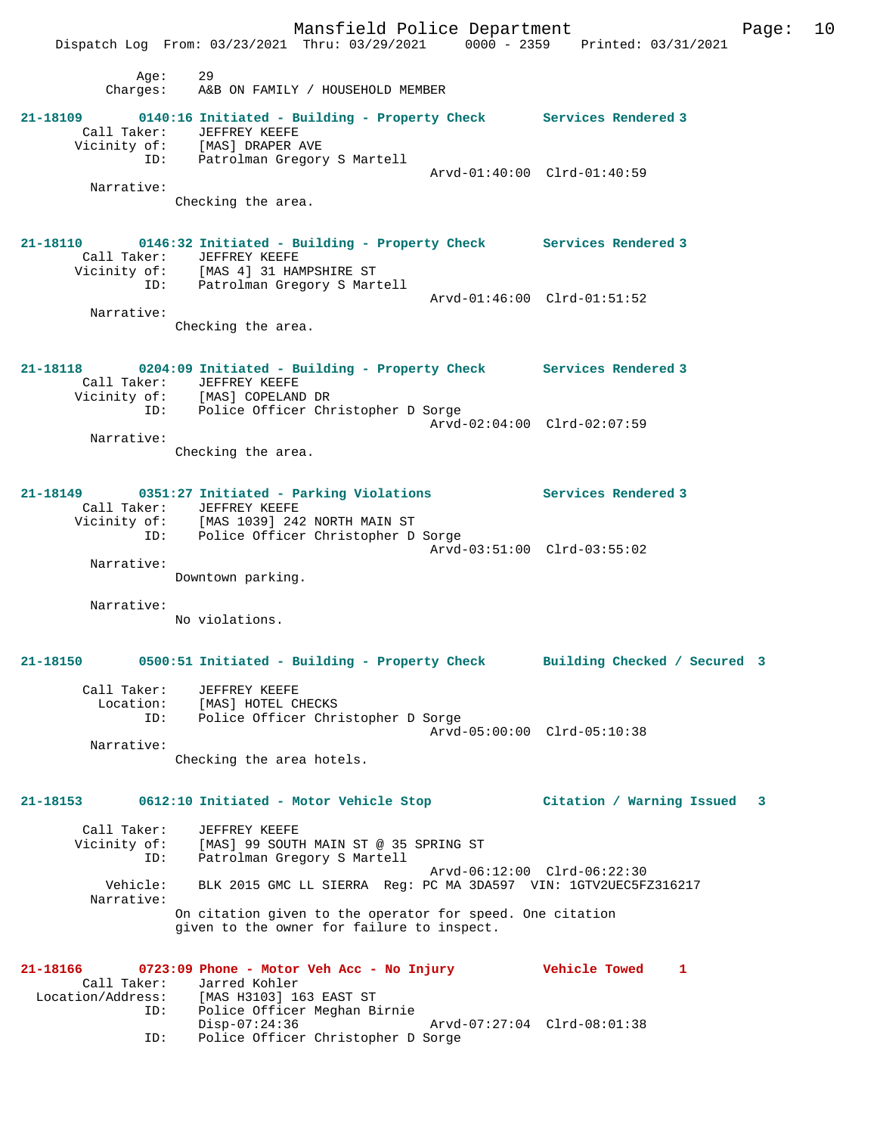Mansfield Police Department Form Page: 10 Dispatch Log From: 03/23/2021 Thru: 03/29/2021 0000 - 2359 Printed: 03/31/2021 Age: 29 Charges: A&B ON FAMILY / HOUSEHOLD MEMBER **21-18109 0140:16 Initiated - Building - Property Check Services Rendered 3**  Call Taker: JEFFREY KEEFE Vicinity of: [MAS] DRAPER AVE ID: Patrolman Gregory S Martell Arvd-01:40:00 Clrd-01:40:59 Narrative: Checking the area. **21-18110 0146:32 Initiated - Building - Property Check Services Rendered 3**  Call Taker: JEFFREY KEEFE Vicinity of: [MAS 4] 31 HAMPSHIRE ST ID: Patrolman Gregory S Martell Arvd-01:46:00 Clrd-01:51:52 Narrative: Checking the area. **21-18118 0204:09 Initiated - Building - Property Check Services Rendered 3**  Call Taker: JEFFREY KEEFE Vicinity of: [MAS] COPELAND DR ID: Police Officer Christopher D Sorge Arvd-02:04:00 Clrd-02:07:59 Narrative: Checking the area. **21-18149 0351:27 Initiated - Parking Violations Services Rendered 3**  Call Taker: JEFFREY KEEFE<br>Vicinity of: [MAS 1039] 242 Vicinity of: [MAS 1039] 242 NORTH MAIN ST ID: Police Officer Christopher D Sorge Arvd-03:51:00 Clrd-03:55:02 Narrative: Downtown parking. Narrative: No violations. **21-18150 0500:51 Initiated - Building - Property Check Building Checked / Secured 3** Call Taker: JEFFREY KEEFE Location: [MAS] HOTEL CHECKS ID: Police Officer Christopher D Sorge Arvd-05:00:00 Clrd-05:10:38 Narrative: Checking the area hotels. **21-18153 0612:10 Initiated - Motor Vehicle Stop Citation / Warning Issued 3** Call Taker: JEFFREY KEEFE Vicinity of: [MAS] 99 SOUTH MAIN ST @ 35 SPRING ST ID: Patrolman Gregory S Martell Arvd-06:12:00 Clrd-06:22:30 Vehicle: BLK 2015 GMC LL SIERRA Reg: PC MA 3DA597 VIN: 1GTV2UEC5FZ316217 Narrative: On citation given to the operator for speed. One citation given to the owner for failure to inspect. **21-18166 0723:09 Phone - Motor Veh Acc - No Injury Vehicle Towed 1**  Call Taker: Jarred Kohler Location/Address: [MAS H3103] 163 EAST ST ID: Police Officer Meghan Birnie<br>Disp-07:24:36 Disp-07:24:36 Arvd-07:27:04 Clrd-08:01:38

ID: Police Officer Christopher D Sorge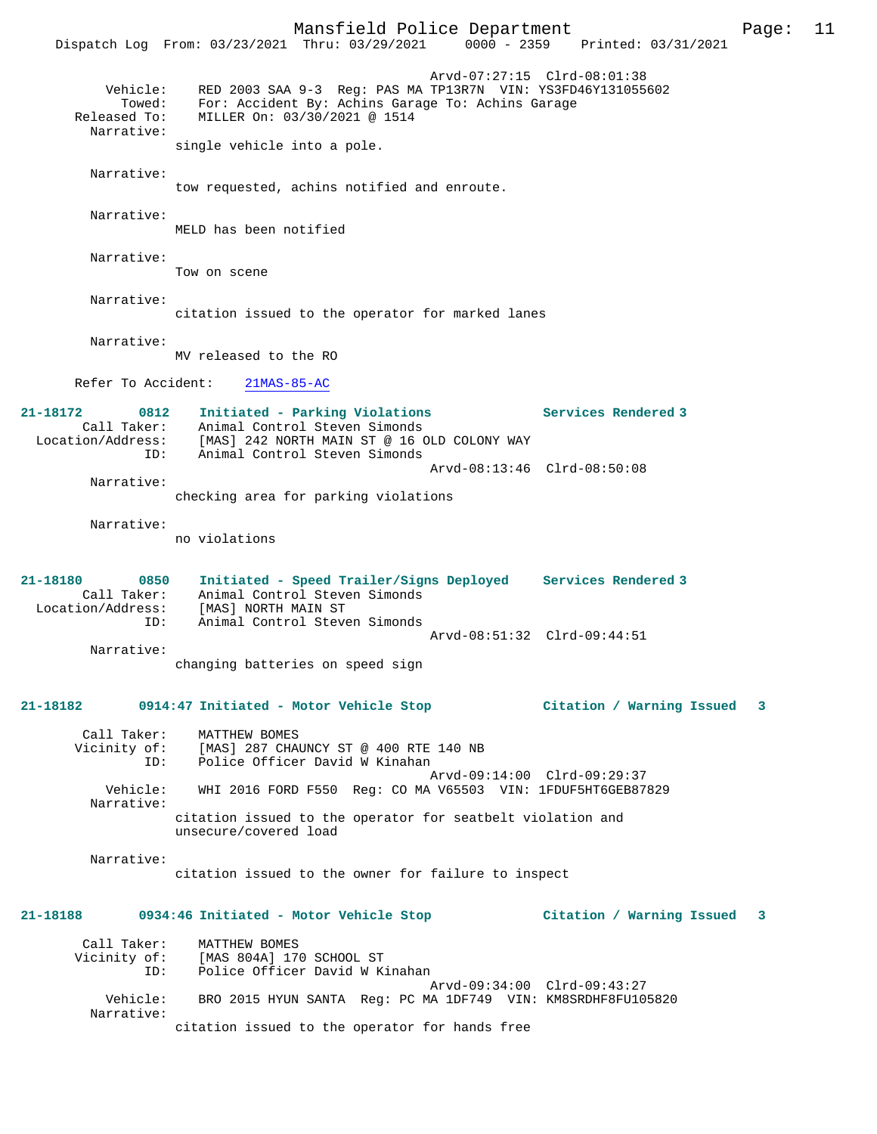Mansfield Police Department Page: 11 Dispatch Log From: 03/23/2021 Thru: 03/29/2021 Arvd-07:27:15 Clrd-08:01:38 Vehicle: RED 2003 SAA 9-3 Reg: PAS MA TP13R7N VIN: YS3FD46Y131055602 Towed: For: Accident By: Achins Garage To: Achins Garage Released To: MILLER On: 03/30/2021 @ 1514 Narrative: single vehicle into a pole. Narrative: tow requested, achins notified and enroute. Narrative: MELD has been notified Narrative: Tow on scene Narrative: citation issued to the operator for marked lanes Narrative: MV released to the RO Refer To Accident: 21MAS-85-AC **21-18172 0812 Initiated - Parking Violations Services Rendered 3**  Call Taker: Animal Control Steven Simonds Location/Address: [MAS] 242 NORTH MAIN ST @ 16 OLD COLONY WAY<br>ID: Animal Control Steven Simonds Animal Control Steven Simonds Arvd-08:13:46 Clrd-08:50:08 Narrative: checking area for parking violations Narrative: no violations **21-18180 0850 Initiated - Speed Trailer/Signs Deployed Services Rendered 3**  Call Taker: Animal Control Steven Simonds Location/Address: [MAS] NORTH MAIN ST ID: Animal Control Steven Simonds Arvd-08:51:32 Clrd-09:44:51 Narrative: changing batteries on speed sign **21-18182 0914:47 Initiated - Motor Vehicle Stop Citation / Warning Issued 3** Call Taker: MATTHEW BOMES Vicinity of: [MAS] 287 CHAUNCY ST @ 400 RTE 140 NB ID: Police Officer David W Kinahan Arvd-09:14:00 Clrd-09:29:37<br>Vehicle: WHI 2016 FORD F550 Req: CO MA V65503 VIN: 1FDUF5HT6GEB87 WHI 2016 FORD F550 Reg: CO MA V65503 VIN: 1FDUF5HT6GEB87829 Narrative: citation issued to the operator for seatbelt violation and unsecure/covered load Narrative: citation issued to the owner for failure to inspect **21-18188 0934:46 Initiated - Motor Vehicle Stop Citation / Warning Issued 3** Call Taker: MATTHEW BOMES Vicinity of: [MAS 804A] 170 SCHOOL ST ID: Police Officer David W Kinahan Arvd-09:34:00 Clrd-09:43:27<br>Vebicle: BRO 2015 HVIM SANTA Req: PC MA 1DF749 VIN: KM8SRDHF8FU10 BRO 2015 HYUN SANTA Reg: PC MA 1DF749 VIN: KM8SRDHF8FU105820 Narrative: citation issued to the operator for hands free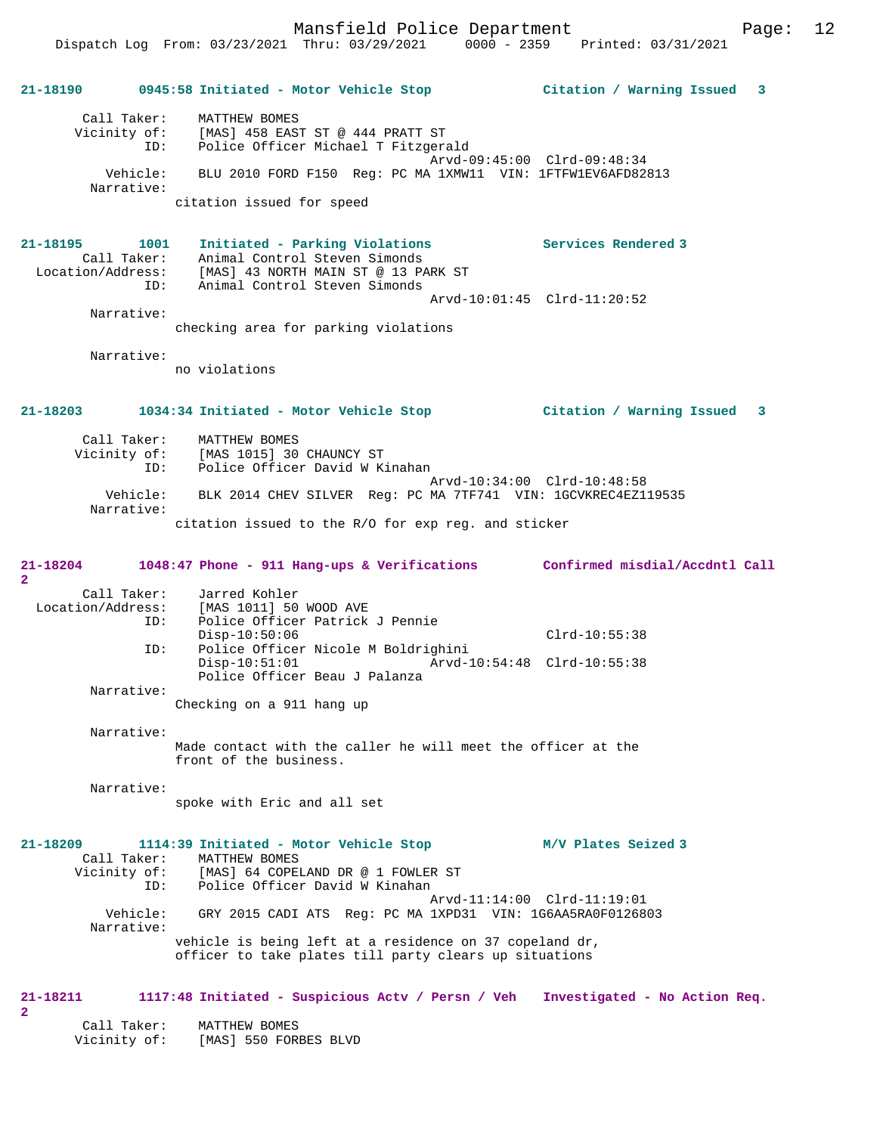**21-18190 0945:58 Initiated - Motor Vehicle Stop Citation / Warning Issued 3** Call Taker: MATTHEW BOMES Vicinity of: [MAS] 458 EAST ST @ 444 PRATT ST ID: Police Officer Michael T Fitzgerald Arvd-09:45:00 Clrd-09:48:34 Vehicle: BLU 2010 FORD F150 Reg: PC MA 1XMW11 VIN: 1FTFW1EV6AFD82813 Narrative: citation issued for speed **21-18195 1001 Initiated - Parking Violations Services Rendered 3**  Call Taker: Animal Control Steven Simonds<br>Location/Address: [MAS] 43 NORTH MAIN ST @ 13 PARK ST Location/Address: [MAS] 43 NORTH MAIN ST @ 13 PARK ST ID: Animal Control Steven Simonds Arvd-10:01:45 Clrd-11:20:52 Narrative: checking area for parking violations Narrative: no violations **21-18203 1034:34 Initiated - Motor Vehicle Stop Citation / Warning Issued 3** Call Taker: MATTHEW BOMES Vicinity of: [MAS 1015] 30 CHAUNCY ST ID: Police Officer David W Kinahan Arvd-10:34:00 Clrd-10:48:58 Vehicle: BLK 2014 CHEV SILVER Reg: PC MA 7TF741 VIN: 1GCVKREC4EZ119535 Narrative: citation issued to the R/O for exp reg. and sticker **21-18204 1048:47 Phone - 911 Hang-ups & Verifications Confirmed misdial/Accdntl Call 2**  Call Taker: Jarred Kohler Location/Address: [MAS 1011] 50 WOOD AVE ID: Police Officer Patrick J Pennie Disp-10:50:06 Clrd-10:55:38 ID: Police Officer Nicole M Boldrighini Disp-10:51:01 Arvd-10:54:48 Clrd-10:55:38 Police Officer Beau J Palanza Narrative: Checking on a 911 hang up Narrative: Made contact with the caller he will meet the officer at the front of the business. Narrative: spoke with Eric and all set **21-18209 1114:39 Initiated - Motor Vehicle Stop M/V Plates Seized 3**  Call Taker: MATTHEW BOMES Vicinity of: [MAS] 64 COPELAND DR @ 1 FOWLER ST ID: Police Officer David W Kinahan Arvd-11:14:00 Clrd-11:19:01 Vehicle: GRY 2015 CADI ATS Reg: PC MA 1XPD31 VIN: 1G6AA5RA0F0126803 Narrative: vehicle is being left at a residence on 37 copeland dr, officer to take plates till party clears up situations **21-18211 1117:48 Initiated - Suspicious Actv / Persn / Veh Investigated - No Action Req. 2** 

 Call Taker: MATTHEW BOMES Vicinity of: [MAS] 550 FORBES BLVD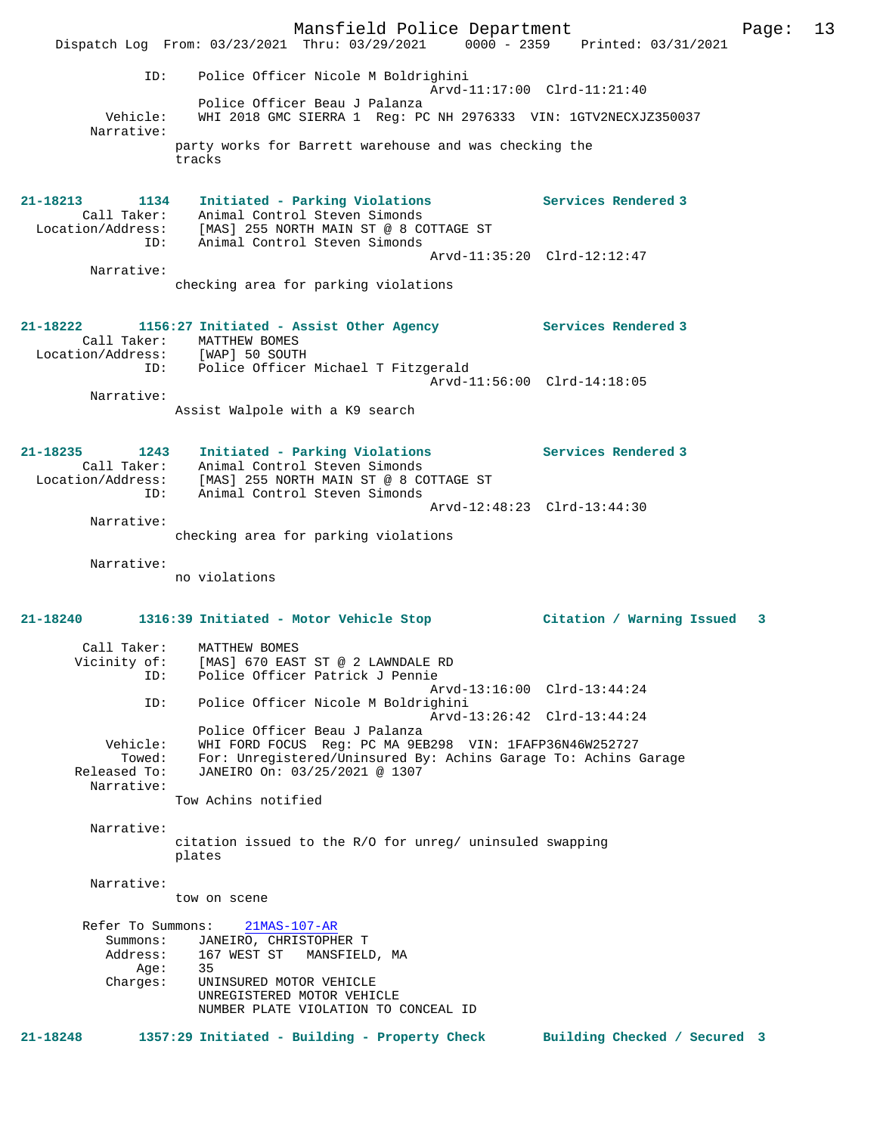Mansfield Police Department Page: 13 Dispatch Log From: 03/23/2021 Thru: 03/29/2021 0000 - 2359 Printed: 03/31/2021 ID: Police Officer Nicole M Boldrighini Arvd-11:17:00 Clrd-11:21:40 Police Officer Beau J Palanza Vehicle: WHI 2018 GMC SIERRA 1 Reg: PC NH 2976333 VIN: 1GTV2NECXJZ350037 Narrative: party works for Barrett warehouse and was checking the tracks **21-18213 1134 Initiated - Parking Violations Services Rendered 3**  Call Taker: Animal Control Steven Simonds Location/Address: [MAS] 255 NORTH MAIN ST @ 8 COTTAGE ST ID: Animal Control Steven Simonds Arvd-11:35:20 Clrd-12:12:47 Narrative: checking area for parking violations **21-18222 1156:27 Initiated - Assist Other Agency Services Rendered 3**  Call Taker: MATTHEW BOMES Location/Address: [WAP] 50 SOUTH ID: Police Officer Michael T Fitzgerald Arvd-11:56:00 Clrd-14:18:05 Narrative: Assist Walpole with a K9 search **21-18235 1243 Initiated - Parking Violations Services Rendered 3**  Call Taker: Animal Control Steven Simonds Location/Address: [MAS] 255 NORTH MAIN ST @ 8 COTTAGE ST ID: Animal Control Steven Simonds Arvd-12:48:23 Clrd-13:44:30 Narrative: checking area for parking violations Narrative: no violations **21-18240 1316:39 Initiated - Motor Vehicle Stop Citation / Warning Issued 3** Call Taker: MATTHEW BOMES Vicinity of: [MAS] 670 EAST ST @ 2 LAWNDALE RD ID: Police Officer Patrick J Pennie Arvd-13:16:00 Clrd-13:44:24 ID: Police Officer Nicole M Boldrighini Arvd-13:26:42 Clrd-13:44:24 Police Officer Beau J Palanza Vehicle: WHI FORD FOCUS Reg: PC MA 9EB298 VIN: 1FAFP36N46W252727 Towed: For: Unregistered/Uninsured By: Achins Garage To: Achins Garage Released To: JANEIRO On: 03/25/2021 @ 1307 Narrative: Tow Achins notified Narrative: citation issued to the R/O for unreg/ uninsuled swapping plates Narrative: tow on scene Refer To Summons: 21MAS-107-AR Summons: JANEIRO, CHRISTOPHER T<br>Address: 167 WEST ST MANSFIELI 167 WEST ST MANSFIELD, MA<br>35 Aduru.<br>Age:<br>Charges: UNINSURED MOTOR VEHICLE UNREGISTERED MOTOR VEHICLE NUMBER PLATE VIOLATION TO CONCEAL ID **21-18248 1357:29 Initiated - Building - Property Check Building Checked / Secured 3**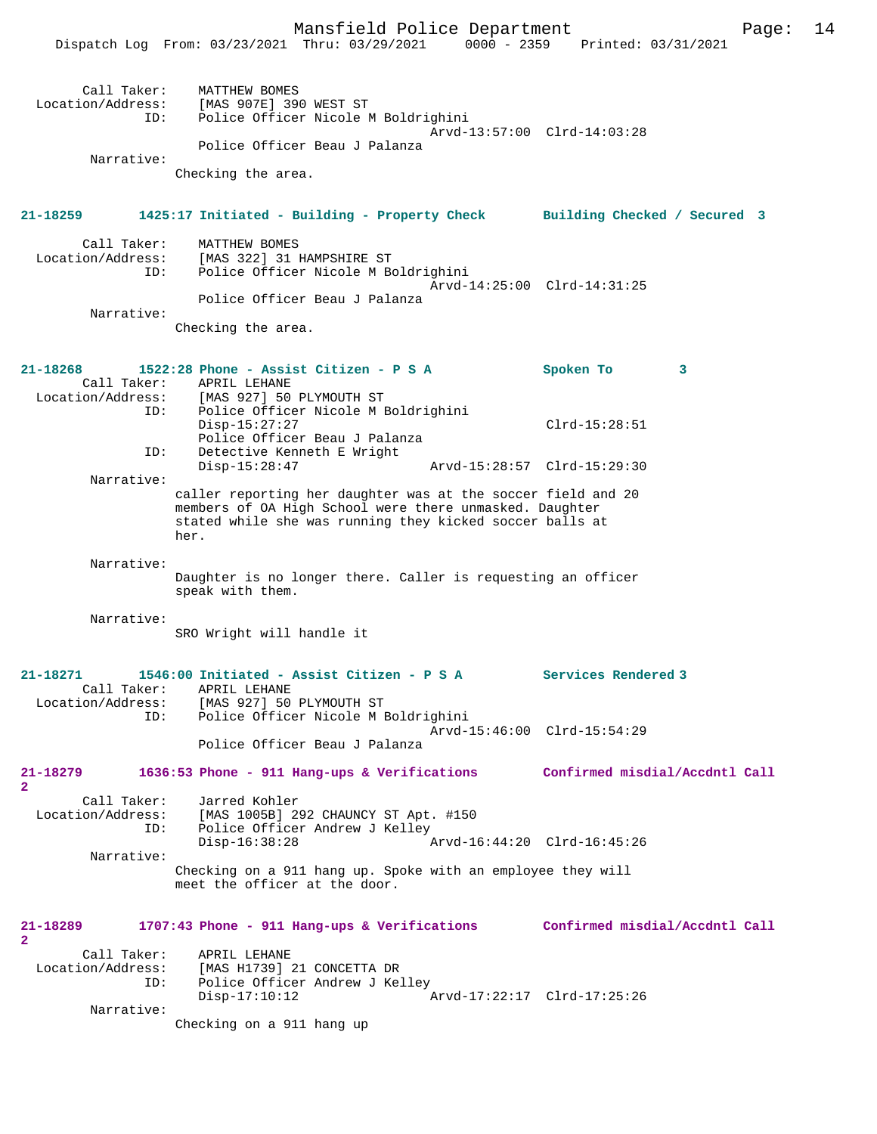|                                                     | Dispatch Log From: 03/23/2021 Thru: 03/29/2021<br>$0000 - 2359$                                                                                                                             | Printed: 03/31/2021            |
|-----------------------------------------------------|---------------------------------------------------------------------------------------------------------------------------------------------------------------------------------------------|--------------------------------|
| Call Taker:<br>Location/Address:<br>ID:             | MATTHEW BOMES<br>[MAS 907E] 390 WEST ST<br>Police Officer Nicole M Boldrighini                                                                                                              | Arvd-13:57:00 Clrd-14:03:28    |
| Narrative:                                          | Police Officer Beau J Palanza                                                                                                                                                               |                                |
|                                                     | Checking the area.                                                                                                                                                                          |                                |
| 21-18259                                            | 1425:17 Initiated - Building - Property Check Building Checked / Secured 3                                                                                                                  |                                |
| Call Taker:<br>Location/Address:<br>ID:             | MATTHEW BOMES<br>[MAS 322] 31 HAMPSHIRE ST<br>Police Officer Nicole M Boldrighini                                                                                                           |                                |
| Narrative:                                          | Police Officer Beau J Palanza                                                                                                                                                               | Arvd-14:25:00 Clrd-14:31:25    |
|                                                     | Checking the area.                                                                                                                                                                          |                                |
| 21-18268<br>Call Taker:<br>Location/Address:        | 1522:28 Phone - Assist Citizen - P S A<br>APRIL LEHANE<br>[MAS 927] 50 PLYMOUTH ST                                                                                                          | Spoken To<br>3                 |
| ID:<br>ID:                                          | Police Officer Nicole M Boldrighini<br>$Disp-15:27:27$<br>Police Officer Beau J Palanza<br>Detective Kenneth E Wright                                                                       | $Clrd-15:28:51$                |
| Narrative:                                          | $Disp-15:28:47$                                                                                                                                                                             | Arvd-15:28:57 Clrd-15:29:30    |
|                                                     | caller reporting her daughter was at the soccer field and 20<br>members of OA High School were there unmasked. Daughter<br>stated while she was running they kicked soccer balls at<br>her. |                                |
| Narrative:                                          | Daughter is no longer there. Caller is requesting an officer<br>speak with them.                                                                                                            |                                |
| Narrative:                                          |                                                                                                                                                                                             |                                |
|                                                     | SRO Wright will handle it                                                                                                                                                                   |                                |
| 21-18271<br>Call Taker:<br>Location/Address:<br>ID: | 1546:00 Initiated - Assist Citizen - P S A<br>APRIL LEHANE<br>[MAS 927] 50 PLYMOUTH ST<br>Police Officer Nicole M Boldrighini                                                               | Services Rendered 3            |
|                                                     | Police Officer Beau J Palanza                                                                                                                                                               | Arvd-15:46:00 Clrd-15:54:29    |
| 21-18279<br>$\overline{a}$                          | 1636:53 Phone - 911 Hang-ups & Verifications                                                                                                                                                | Confirmed misdial/Accdntl Call |
| Call Taker:<br>Location/Address:<br>ID:             | Jarred Kohler<br>[MAS 1005B] 292 CHAUNCY ST Apt. #150<br>Police Officer Andrew J Kelley<br>$Disp-16:38:28$                                                                                  | Arvd-16:44:20 Clrd-16:45:26    |
| Narrative:                                          | Checking on a 911 hang up. Spoke with an employee they will<br>meet the officer at the door.                                                                                                |                                |
| 21-18289<br>$\overline{a}$                          | 1707:43 Phone - 911 Hang-ups & Verifications                                                                                                                                                | Confirmed misdial/Accdntl Call |
| Call Taker:<br>Location/Address:<br>ID:             | APRIL LEHANE<br>[MAS H1739] 21 CONCETTA DR<br>Police Officer Andrew J Kelley<br>$Disp-17:10:12$                                                                                             | Arvd-17:22:17 Clrd-17:25:26    |
| Narrative:                                          | Checking on a 911 hang up                                                                                                                                                                   |                                |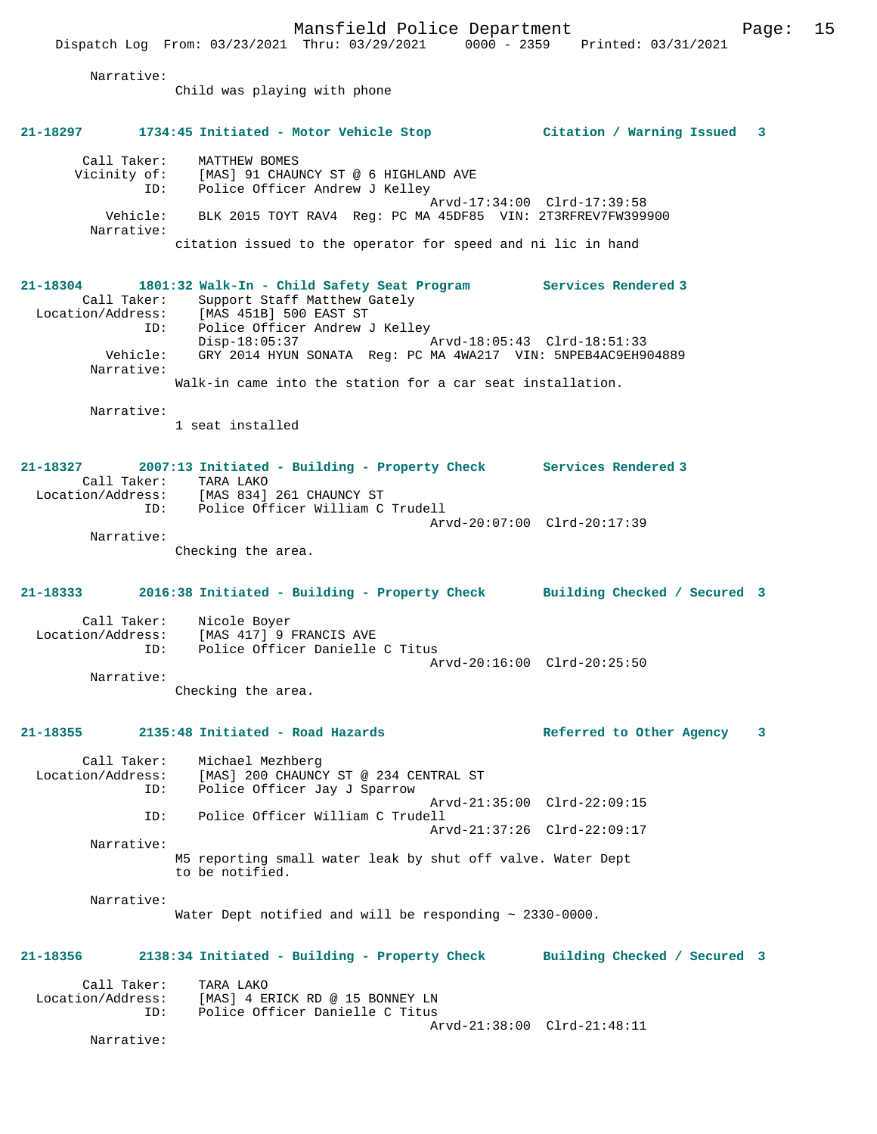Mansfield Police Department Page: 15 Dispatch Log From: 03/23/2021 Thru: 03/29/2021 0000 - 2359 Printed: 03/31/2021 Narrative: Child was playing with phone **21-18297 1734:45 Initiated - Motor Vehicle Stop Citation / Warning Issued 3** Call Taker: MATTHEW BOMES Vicinity of: [MAS] 91 CHAUNCY ST @ 6 HIGHLAND AVE ID: Police Officer Andrew J Kelley Arvd-17:34:00 Clrd-17:39:58 Vehicle: BLK 2015 TOYT RAV4 Reg: PC MA 45DF85 VIN: 2T3RFREV7FW399900 Narrative: citation issued to the operator for speed and ni lic in hand **21-18304 1801:32 Walk-In - Child Safety Seat Program Services Rendered 3**  Call Taker: Support Staff Matthew Gately<br>Location/Address: [MAS 451B] 500 EAST ST [MAS 451B] 500 EAST ST ID: Police Officer Andrew J Kelley Disp-18:05:37 <br>Vehicle: GRY 2014 HYUN SONATA Reg: PC MA 4WA217 VIN: 5NPEB4AC9EH90 GRY 2014 HYUN SONATA Reg: PC MA 4WA217 VIN: 5NPEB4AC9EH904889 Narrative: Walk-in came into the station for a car seat installation. Narrative: 1 seat installed **21-18327 2007:13 Initiated - Building - Property Check Services Rendered 3**  Call Taker: TARA LAKO Location/Address: [MAS 834] 261 CHAUNCY ST ID: Police Officer William C Trudell Arvd-20:07:00 Clrd-20:17:39 Narrative: Checking the area. **21-18333 2016:38 Initiated - Building - Property Check Building Checked / Secured 3** Call Taker: Nicole Boyer<br>Location/Address: [MAS 417] 9 B  $[MAS 417]$  9 FRANCIS AVE ID: Police Officer Danielle C Titus Arvd-20:16:00 Clrd-20:25:50 Narrative: Checking the area. **21-18355 2135:48 Initiated - Road Hazards Referred to Other Agency 3** Call Taker: Michael Mezhberg Location/Address: [MAS] 200 CHAUNCY ST @ 234 CENTRAL ST

 ID: Police Officer Jay J Sparrow Arvd-21:35:00 Clrd-22:09:15<br>TD: Police Officer William C Trudell Police Officer William C Trudell Arvd-21:37:26 Clrd-22:09:17 Narrative: M5 reporting small water leak by shut off valve. Water Dept to be notified.

Narrative:

Water Dept notified and will be responding  $\sim 2330-0000$ .

# **21-18356 2138:34 Initiated - Building - Property Check Building Checked / Secured 3**

Call Taker: TARA LAKO<br>Location/Address: [MAS] 4 E ess: [MAS] 4 ERICK RD @ 15 BONNEY LN<br>ID: Police Officer Danielle C Titus Police Officer Danielle C Titus Arvd-21:38:00 Clrd-21:48:11

Narrative: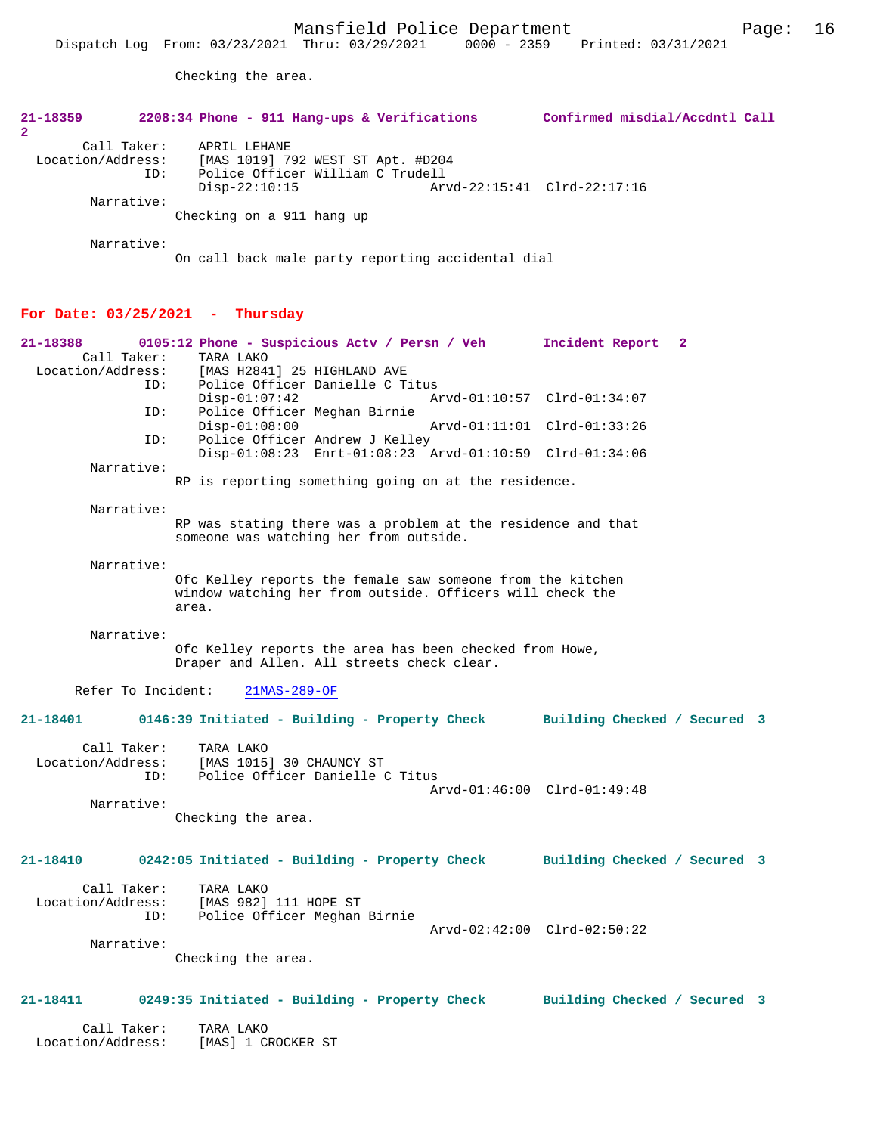**21-18359 2208:34 Phone - 911 Hang-ups & Verifications Confirmed misdial/Accdntl Call**

Checking the area.

| Call Taker:                       | TARA LAKO<br>Location/Address: [MAS] 1 CROCKER ST                                                                                |                             |
|-----------------------------------|----------------------------------------------------------------------------------------------------------------------------------|-----------------------------|
| 21-18411                          | 0249:35 Initiated - Building - Property Check Building Checked / Secured 3                                                       |                             |
|                                   | Checking the area.                                                                                                               |                             |
| Narrative:                        |                                                                                                                                  |                             |
|                                   | Location/Address: [MAS 982] 111 HOPE ST<br>ID: Police Officer Meghan Birnie                                                      | Arvd-02:42:00 Clrd-02:50:22 |
| 21-18410                          | 0242:05 Initiated - Building - Property Check Building Checked / Secured 3<br>Call Taker: TARA LAKO                              |                             |
|                                   |                                                                                                                                  |                             |
| Narrative:                        | Checking the area.                                                                                                               |                             |
| ID:                               | Police Officer Danielle C Titus                                                                                                  | Arvd-01:46:00 Clrd-01:49:48 |
| Call Taker:<br>Location/Address:  | TARA LAKO<br>[MAS 1015] 30 CHAUNCY ST                                                                                            |                             |
| 21-18401                          | 0146:39 Initiated - Building - Property Check Building Checked / Secured 3                                                       |                             |
| Refer To Incident:                | $21MAS-289-OF$                                                                                                                   |                             |
| Narrative:                        | Ofc Kelley reports the area has been checked from Howe,<br>Draper and Allen. All streets check clear.                            |                             |
|                                   | Ofc Kelley reports the female saw someone from the kitchen<br>window watching her from outside. Officers will check the<br>area. |                             |
| Narrative:                        |                                                                                                                                  |                             |
| Narrative:                        | RP was stating there was a problem at the residence and that<br>someone was watching her from outside.                           |                             |
|                                   |                                                                                                                                  |                             |
| Narrative:                        | RP is reporting something going on at the residence.                                                                             |                             |
| ID:                               | Police Officer Andrew J Kelley<br>Disp-01:08:23 Enrt-01:08:23 Arvd-01:10:59 Clrd-01:34:06                                        |                             |
| ID:                               | Police Officer Meghan Birnie<br>$Disp-01:08:00$                                                                                  | Arvd-01:11:01 Clrd-01:33:26 |
| ID:                               | Police Officer Danielle C Titus<br>$Disp-01:07:42$                                                                               | Arvd-01:10:57 Clrd-01:34:07 |
| 21-18388<br>Call Taker:           | 0105:12 Phone - Suspicious Actv / Persn / Veh<br>TARA LAKO<br>Location/Address: [MAS H2841] 25 HIGHLAND AVE                      | Incident Report 2           |
| For Date: $03/25/2021$ - Thursday |                                                                                                                                  |                             |
|                                   | On call back male party reporting accidental dial                                                                                |                             |
| Narrative:                        |                                                                                                                                  |                             |
| Narrative:                        | Checking on a 911 hang up                                                                                                        |                             |
| ID:                               | Police Officer William C Trudell<br>$Disp-22:10:15$                                                                              | Arvd-22:15:41 Clrd-22:17:16 |
| Call Taker:<br>Location/Address:  | APRIL LEHANE<br>[MAS 1019] 792 WEST ST Apt. #D204                                                                                |                             |
| 2                                 |                                                                                                                                  |                             |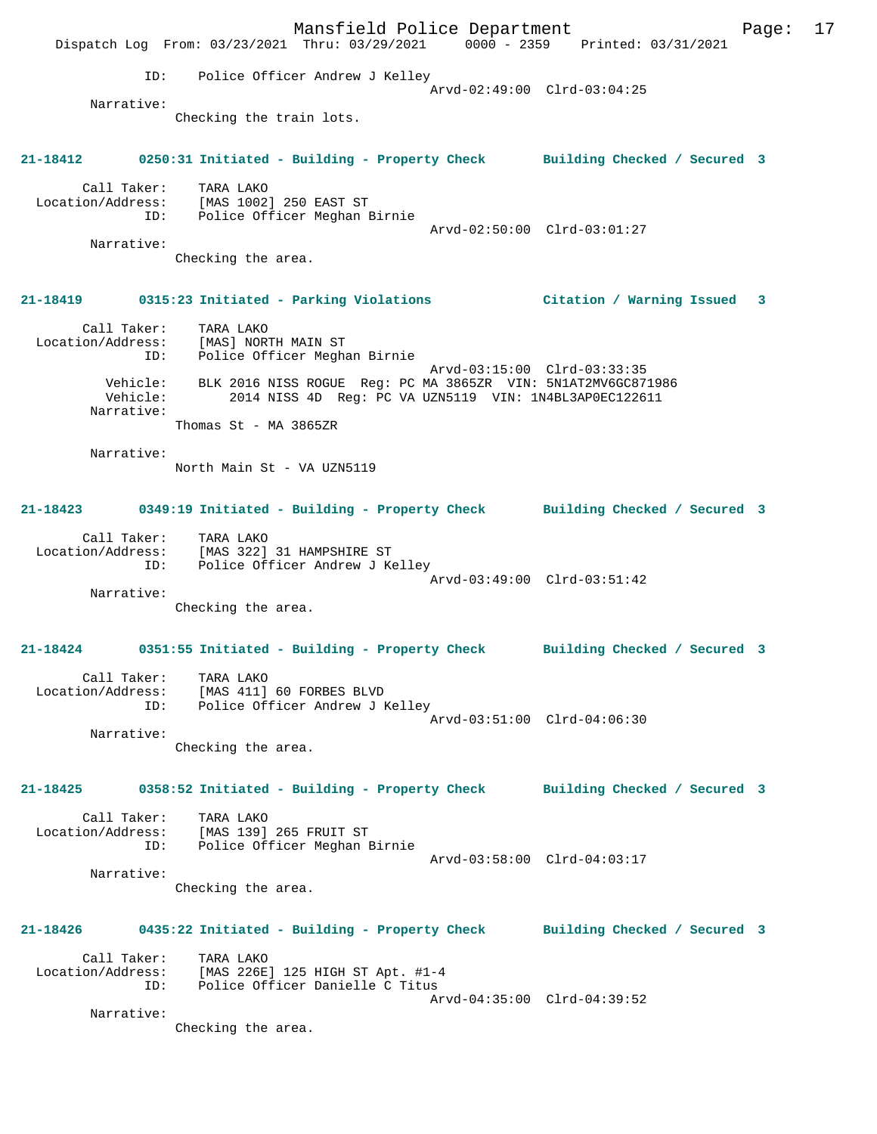Mansfield Police Department Fage: 17 Dispatch Log From: 03/23/2021 Thru: 03/29/2021 0000 - 2359 Printed: 03/31/2021 ID: Police Officer Andrew J Kelley Arvd-02:49:00 Clrd-03:04:25 Narrative: Checking the train lots. **21-18412 0250:31 Initiated - Building - Property Check Building Checked / Secured 3** Call Taker: TARA LAKO Location/Address: [MAS 1002] 250 EAST ST ID: Police Officer Meghan Birnie Arvd-02:50:00 Clrd-03:01:27 Narrative: Checking the area. **21-18419 0315:23 Initiated - Parking Violations Citation / Warning Issued 3** Call Taker: TARA LAKO Location/Address: [MAS] NORTH MAIN ST ID: Police Officer Meghan Birnie Arvd-03:15:00 Clrd-03:33:35 Vehicle: BLK 2016 NISS ROGUE Reg: PC MA 3865ZR VIN: 5N1AT2MV6GC871986 Vehicle: 2014 NISS 4D Reg: PC VA UZN5119 VIN: 1N4BL3AP0EC122611 Narrative: Thomas St - MA 3865ZR Narrative: North Main St - VA UZN5119 **21-18423 0349:19 Initiated - Building - Property Check Building Checked / Secured 3** Call Taker: TARA LAKO Location/Address: [MAS 322] 31 HAMPSHIRE ST ID: Police Officer Andrew J Kelley Arvd-03:49:00 Clrd-03:51:42 Narrative: Checking the area. **21-18424 0351:55 Initiated - Building - Property Check Building Checked / Secured 3** Call Taker: TARA LAKO Location/Address: [MAS 411] 60 FORBES BLVD ID: Police Officer Andrew J Kelley Arvd-03:51:00 Clrd-04:06:30 Narrative: Checking the area. **21-18425 0358:52 Initiated - Building - Property Check Building Checked / Secured 3** Call Taker: TARA LAKO Location/Address: [MAS 139] 265 FRUIT ST ID: Police Officer Meghan Birnie Arvd-03:58:00 Clrd-04:03:17 Narrative: Checking the area. **21-18426 0435:22 Initiated - Building - Property Check Building Checked / Secured 3** Call Taker: TARA LAKO Location/Address: [MAS 226E] 125 HIGH ST Apt. #1-4 ID: Police Officer Danielle C Titus Arvd-04:35:00 Clrd-04:39:52 Narrative: Checking the area.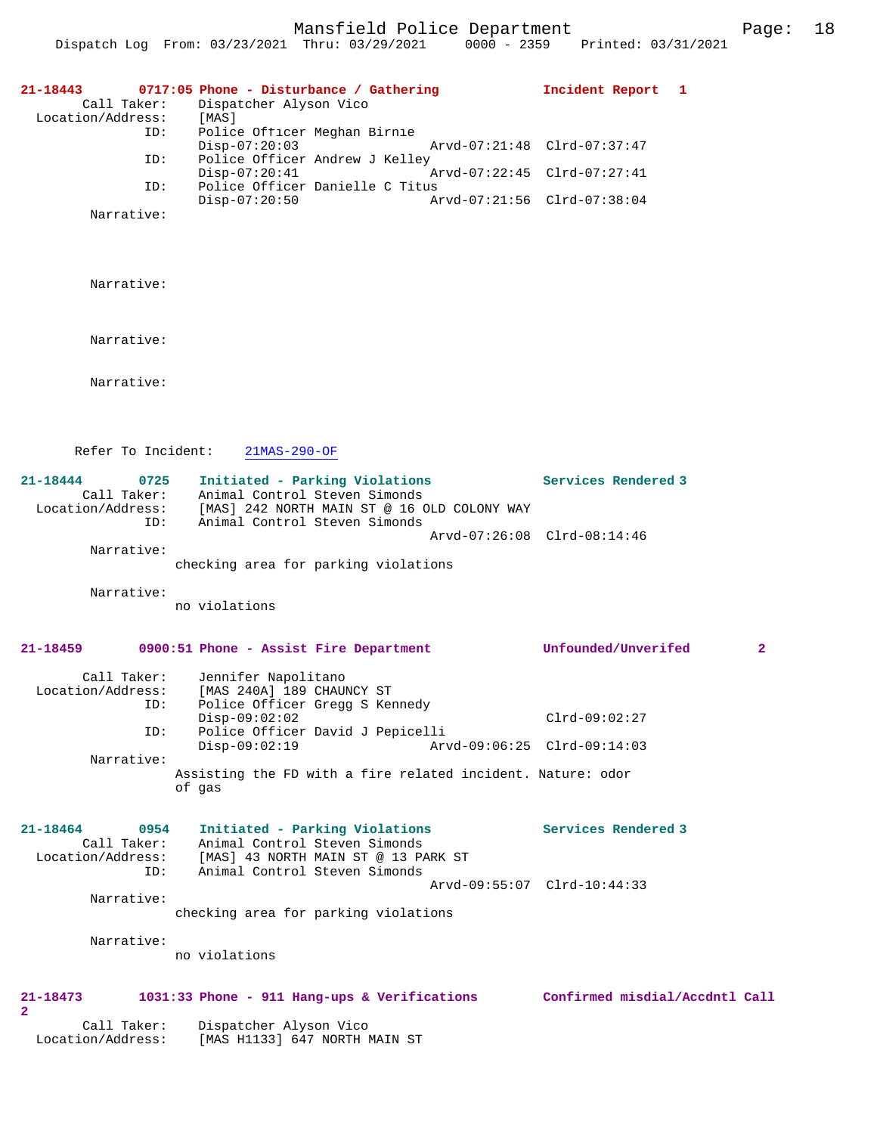Mansfield Police Department Page: 18

| $21 - 18443$<br>Call Taker:<br>Location/Address:<br>ID:<br>ID:<br>ID:<br>Narrative: | 0717:05 Phone - Disturbance / Gathering<br>Dispatcher Alyson Vico<br>[MAS]<br>Police Officer Meghan Birnie<br>$Disp-07:20:03$<br>Police Officer Andrew J Kelley<br>$Disp-07:20:41$<br>Police Officer Danielle C Titus<br>$Disp-07:20:50$ | Incident Report 1<br>Arvd-07:21:48 Clrd-07:37:47<br>Arvd-07:22:45 Clrd-07:27:41<br>Arvd-07:21:56 Clrd-07:38:04 |
|-------------------------------------------------------------------------------------|------------------------------------------------------------------------------------------------------------------------------------------------------------------------------------------------------------------------------------------|----------------------------------------------------------------------------------------------------------------|
| Narrative:                                                                          |                                                                                                                                                                                                                                          |                                                                                                                |
| Narrative:                                                                          |                                                                                                                                                                                                                                          |                                                                                                                |
| Narrative:                                                                          |                                                                                                                                                                                                                                          |                                                                                                                |
| Refer To Incident:                                                                  | $21MAS-290-OF$                                                                                                                                                                                                                           |                                                                                                                |
| $21 - 18444$<br>0725<br>Call Taker:<br>Location/Address:<br>ID:                     | Initiated - Parking Violations<br>Animal Control Steven Simonds<br>[MAS] 242 NORTH MAIN ST @ 16 OLD COLONY WAY<br>Animal Control Steven Simonds                                                                                          | Services Rendered 3                                                                                            |
| Narrative:                                                                          | checking area for parking violations                                                                                                                                                                                                     | Arvd-07:26:08 Clrd-08:14:46                                                                                    |
| Narrative:                                                                          | no violations                                                                                                                                                                                                                            |                                                                                                                |
| $21 - 18459$                                                                        | 0900:51 Phone - Assist Fire Department                                                                                                                                                                                                   | Unfounded/Unverifed<br>$\mathbf{2}$                                                                            |
| Call Taker:<br>Location/Address:<br>ID:<br>ID:<br>Narrative:                        | Jennifer Napolitano<br>[MAS 240A] 189 CHAUNCY ST<br>Police Officer Gregg S Kennedy<br>$Disp-09:02:02$<br>Police Officer David J Pepicelli<br>$Disp-09:02:19$<br>Assisting the FD with a fire related incident. Nature: odor<br>of gas    | $Clrd-09:02:27$<br>Arvd-09:06:25 Clrd-09:14:03                                                                 |
| 21-18464<br>0954<br>Call Taker:<br>Location/Address:                                | Initiated - Parking Violations<br>Animal Control Steven Simonds<br>[MAS] 43 NORTH MAIN ST @ 13 PARK ST                                                                                                                                   | Services Rendered 3                                                                                            |
| ID:<br>Narrative:                                                                   | Animal Control Steven Simonds<br>checking area for parking violations                                                                                                                                                                    | Arvd-09:55:07 Clrd-10:44:33                                                                                    |
| Narrative:                                                                          | no violations                                                                                                                                                                                                                            |                                                                                                                |
| 21-18473<br>$\mathbf{2}$<br>Call Taker:<br>Location/Address:                        | 1031:33 Phone - 911 Hang-ups & Verifications<br>Dispatcher Alyson Vico<br>[MAS H1133] 647 NORTH MAIN ST                                                                                                                                  | Confirmed misdial/Accdntl Call                                                                                 |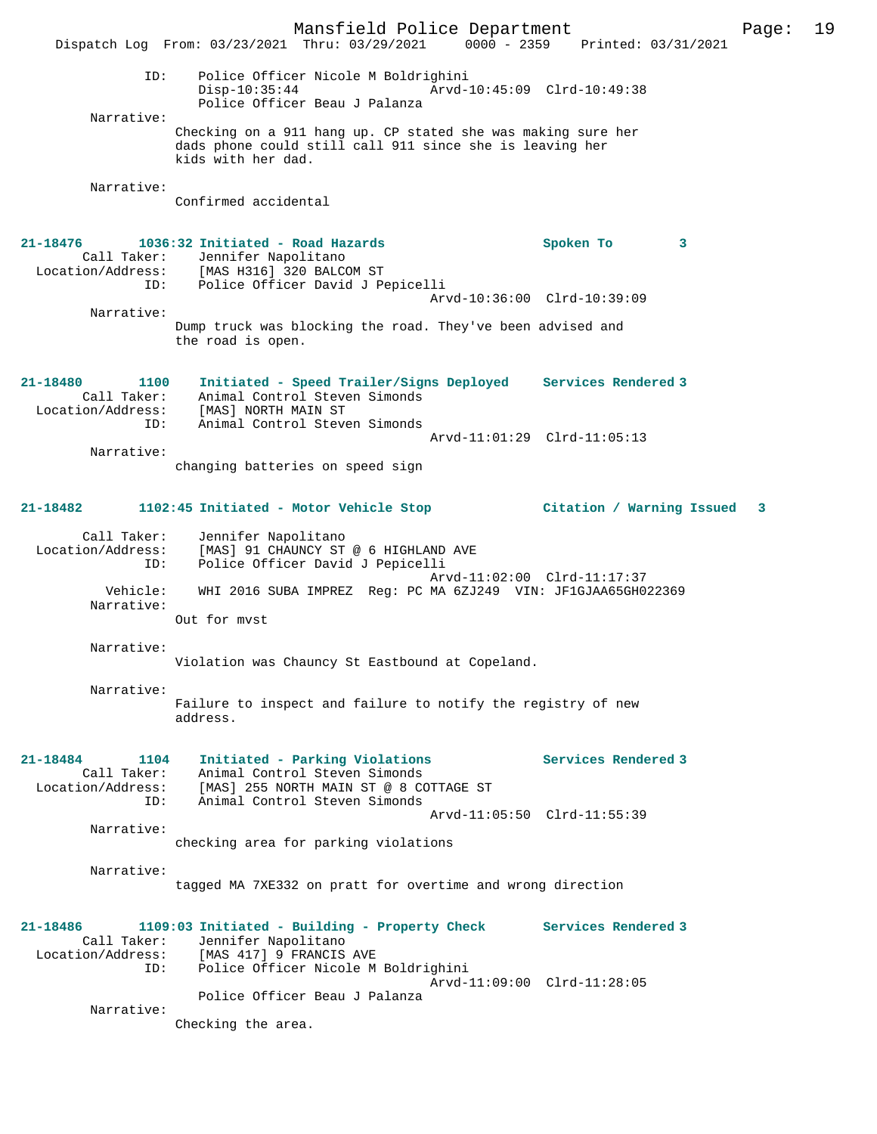Mansfield Police Department Page: 19 Dispatch Log From: 03/23/2021 Thru: 03/29/2021 0000 - 2359 Printed: 03/31/2021 ID: Police Officer Nicole M Boldrighini Disp-10:35:44 Arvd-10:45:09 Clrd-10:49:38 Police Officer Beau J Palanza Narrative: Checking on a 911 hang up. CP stated she was making sure her dads phone could still call 911 since she is leaving her kids with her dad. Narrative: Confirmed accidental **21-18476 1036:32 Initiated - Road Hazards Spoken To 3**  Call Taker: Jennifer Napolitano Location/Address: [MAS H316] 320 BALCOM ST ID: Police Officer David J Pepicelli Arvd-10:36:00 Clrd-10:39:09 Narrative: Dump truck was blocking the road. They've been advised and the road is open. **21-18480 1100 Initiated - Speed Trailer/Signs Deployed Services Rendered 3**  Call Taker: Animal Control Steven Simonds Location/Address: [MAS] NORTH MAIN ST ID: Animal Control Steven Simonds Arvd-11:01:29 Clrd-11:05:13 Narrative: changing batteries on speed sign **21-18482 1102:45 Initiated - Motor Vehicle Stop Citation / Warning Issued 3** Call Taker: Jennifer Napolitano Location/Address: [MAS] 91 CHAUNCY ST @ 6 HIGHLAND AVE ID: Police Officer David J Pepicelli Arvd-11:02:00 Clrd-11:17:37 Vehicle: WHI 2016 SUBA IMPREZ Reg: PC MA 6ZJ249 VIN: JF1GJAA65GH022369 Narrative: Out for mvst Narrative: Violation was Chauncy St Eastbound at Copeland. Narrative: Failure to inspect and failure to notify the registry of new address. **21-18484 1104 Initiated - Parking Violations Services Rendered 3**  Call Taker: Animal Control Steven Simonds Location/Address: [MAS] 255 NORTH MAIN ST @ 8 COTTAGE ST ID: Animal Control Steven Simonds Arvd-11:05:50 Clrd-11:55:39 Narrative: checking area for parking violations Narrative: tagged MA 7XE332 on pratt for overtime and wrong direction **21-18486 1109:03 Initiated - Building - Property Check Services Rendered 3**  Call Taker: Jennifer Napolitano Location/Address: [MAS 417] 9 FRANCIS AVE<br>ID: Police Officer Nicole M Police Officer Nicole M Boldrighini Arvd-11:09:00 Clrd-11:28:05 Police Officer Beau J Palanza Narrative: Checking the area.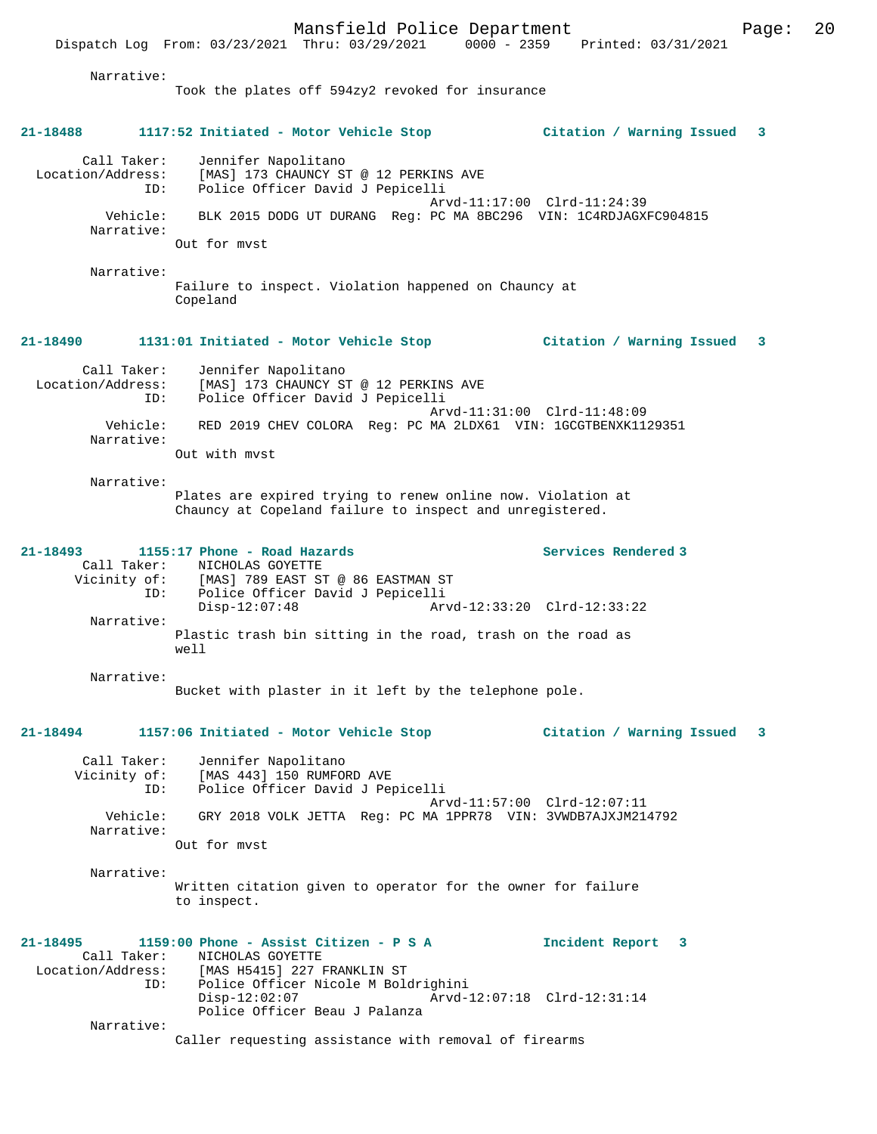Dispatch Log From: 03/23/2021 Thru: 03/29/2021

Narrative:

Took the plates off 594zy2 revoked for insurance **21-18488 1117:52 Initiated - Motor Vehicle Stop Citation / Warning Issued 3** Call Taker: Jennifer Napolitano Location/Address: [MAS] 173 CHAUNCY ST @ 12 PERKINS AVE ID: Police Officer David J Pepicelli Arvd-11:17:00 Clrd-11:24:39 Vehicle: BLK 2015 DODG UT DURANG Reg: PC MA 8BC296 VIN: 1C4RDJAGXFC904815 Narrative: Out for mvst Narrative: Failure to inspect. Violation happened on Chauncy at Copeland **21-18490 1131:01 Initiated - Motor Vehicle Stop Citation / Warning Issued 3** Call Taker: Jennifer Napolitano Location/Address: [MAS] 173 CHAUNCY ST @ 12 PERKINS AVE Location/Address: [MAS] 173 CHAUNCY ST @ 12 PERKINS<br>ID: Police Officer David J Pepicelli Arvd-11:31:00 Clrd-11:48:09 Vehicle: RED 2019 CHEV COLORA Reg: PC MA 2LDX61 VIN: 1GCGTBENXK1129351 Narrative: Out with mvst Narrative: Plates are expired trying to renew online now. Violation at Chauncy at Copeland failure to inspect and unregistered. **21-18493 1155:17 Phone - Road Hazards Services Rendered 3**  Call Taker: NICHOLAS GOYETTE Vicinity of: [MAS] 789 EAST ST @ 86 EASTMAN ST ID: Police Officer David J Pepicelli Disp-12:07:48 Arvd-12:33:20 Clrd-12:33:22 Narrative: Plastic trash bin sitting in the road, trash on the road as well Narrative: Bucket with plaster in it left by the telephone pole. **21-18494 1157:06 Initiated - Motor Vehicle Stop Citation / Warning Issued 3** Call Taker: Jennifer Napolitano Vicinity of: [MAS 443] 150 RUMFORD AVE ID: Police Officer David J Pepicelli Arvd-11:57:00 Clrd-12:07:11<br>Vebicle: GRY 2018 VOLK JETTA Reg: PC MA 1PPR78 VIN: 3VWDR7AJXJM214 Vehicle: GRY 2018 VOLK JETTA Reg: PC MA 1PPR78 VIN: 3VWDB7AJXJM214792 Narrative: Out for mvst Narrative: Written citation given to operator for the owner for failure to inspect. **21-18495 1159:00 Phone - Assist Citizen - P S A Incident Report 3**  Call Taker: NICHOLAS GOYETTE Location/Address: [MAS H5415] 227 FRANKLIN ST<br>TD: Police Officer Nicole M Bolo Police Officer Nicole M Boldrighini<br>Disp-12:02:07 Arvd-1 Disp-12:02:07 Arvd-12:07:18 Clrd-12:31:14 Police Officer Beau J Palanza Narrative: Caller requesting assistance with removal of firearms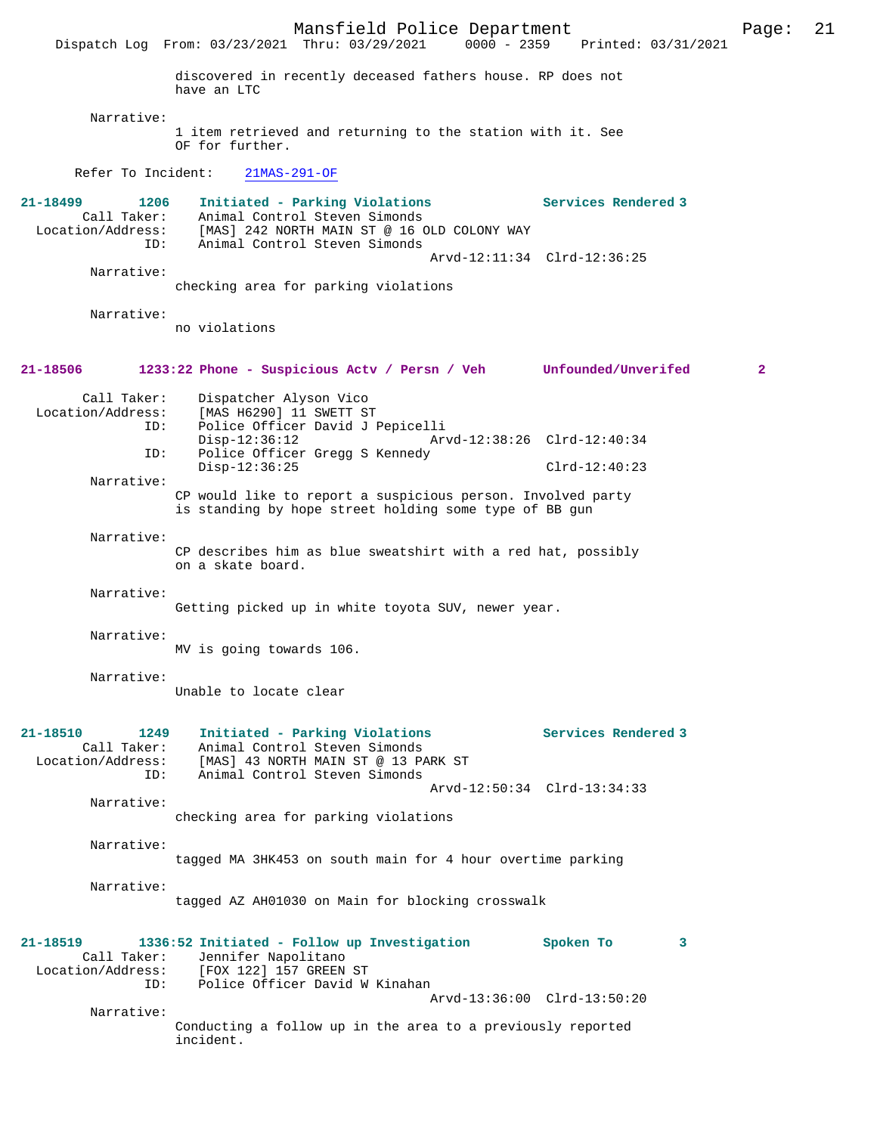Mansfield Police Department Page: 21 Dispatch Log From: 03/23/2021 Thru: 03/29/2021 discovered in recently deceased fathers house. RP does not have an LTC Narrative: 1 item retrieved and returning to the station with it. See OF for further. Refer To Incident: 21MAS-291-OF **21-18499 1206 Initiated - Parking Violations Services Rendered 3**  Call Taker: Animal Control Steven Simonds<br>Location/Address: [MAS] 242 NORTH MAIN ST @ 16 O ess: [MAS] 242 NORTH MAIN ST @ 16 OLD COLONY WAY<br>ID: Animal Control Steven Simonds Animal Control Steven Simonds Arvd-12:11:34 Clrd-12:36:25 Narrative: checking area for parking violations Narrative: no violations **21-18506 1233:22 Phone - Suspicious Actv / Persn / Veh Unfounded/Unverifed 2** Call Taker: Dispatcher Alyson Vico<br>Location/Address: [MAS H6290] 11 SWETT S ess: [MAS H6290] 11 SWETT ST<br>ID: Police Officer David J ! ID: Police Officer David J Pepicelli Disp-12:36:12 Arvd-12:38:26 Clrd-12:40:34<br>ID: Police Officer Gregg S Kennedy Police Officer Gregg S Kennedy Disp-12:36:25 Clrd-12:40:23 Narrative: CP would like to report a suspicious person. Involved party is standing by hope street holding some type of BB gun Narrative: CP describes him as blue sweatshirt with a red hat, possibly on a skate board. Narrative: Getting picked up in white toyota SUV, newer year. Narrative: MV is going towards 106. Narrative: Unable to locate clear

# **21-18510 1249 Initiated - Parking Violations Services Rendered 3**  Call Taker: Animal Control Steven Simonds Location/Address: [MAS] 43 NORTH MAIN ST @ 13 PARK ST ID: Animal Control Steven Simonds Arvd-12:50:34 Clrd-13:34:33 Narrative: checking area for parking violations Narrative: tagged MA 3HK453 on south main for 4 hour overtime parking Narrative: tagged AZ AH01030 on Main for blocking crosswalk **21-18519 1336:52 Initiated - Follow up Investigation Spoken To 3**  Call Taker: Jennifer Napolitano Location/Address: [FOX 122] 157 GREEN ST ID: Police Officer David W Kinahan Arvd-13:36:00 Clrd-13:50:20 Narrative:

Conducting a follow up in the area to a previously reported incident.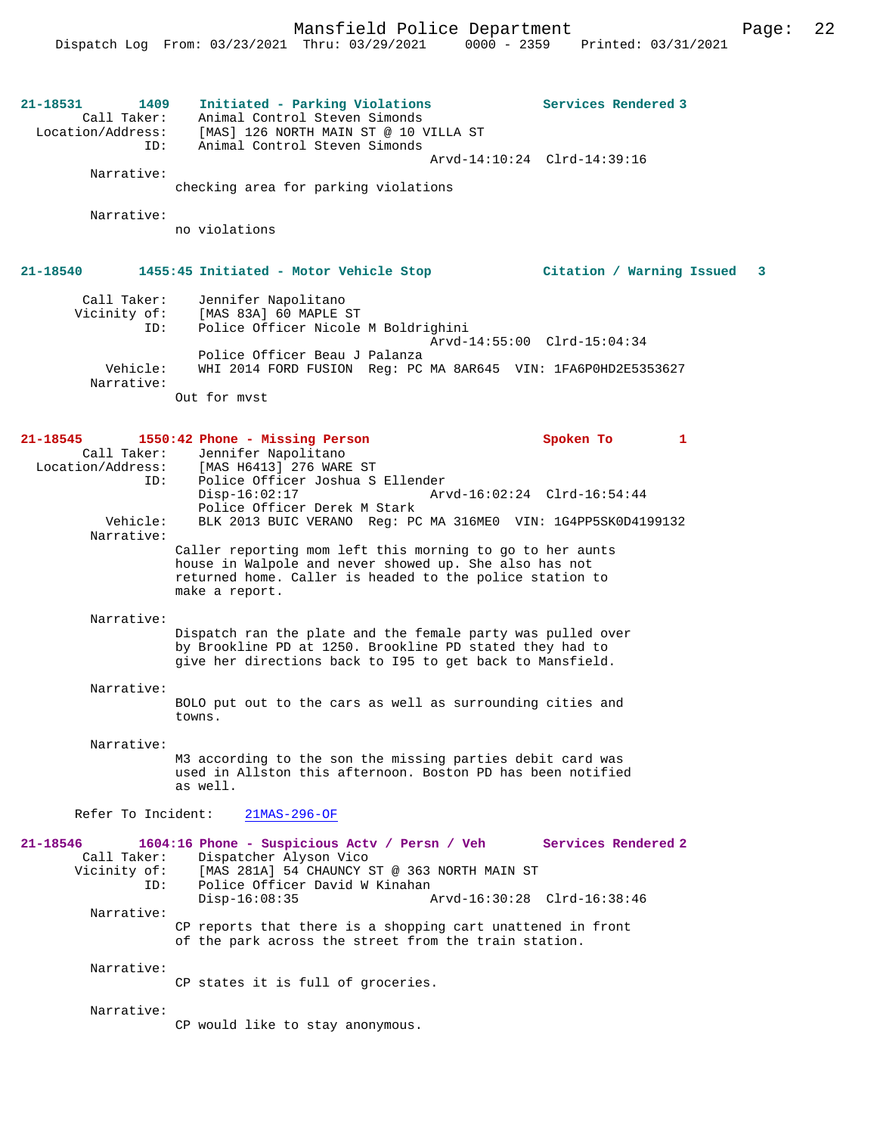| 21-18531<br>1409<br>Call Taker:<br>Location/Address:<br>ID:<br>Narrative: | Initiated - Parking Violations<br>Animal Control Steven Simonds<br>[MAS] 126 NORTH MAIN ST @ 10 VILLA ST<br>Animal Control Steven Simonds                                                         | Services Rendered 3<br>Arvd-14:10:24 Clrd-14:39:16 |
|---------------------------------------------------------------------------|---------------------------------------------------------------------------------------------------------------------------------------------------------------------------------------------------|----------------------------------------------------|
|                                                                           | checking area for parking violations                                                                                                                                                              |                                                    |
| Narrative:                                                                | no violations                                                                                                                                                                                     |                                                    |
| 21-18540                                                                  | 1455:45 Initiated - Motor Vehicle Stop                                                                                                                                                            | Citation / Warning Issued<br>3                     |
| Call Taker:<br>Vicinity of:<br>ID:                                        | Jennifer Napolitano<br>[MAS 83A] 60 MAPLE ST<br>Police Officer Nicole M Boldrighini                                                                                                               | Arvd-14:55:00 Clrd-15:04:34                        |
| Vehicle:<br>Narrative:                                                    | Police Officer Beau J Palanza<br>WHI 2014 FORD FUSION Reg: PC MA 8AR645 VIN: 1FA6P0HD2E5353627<br>Out for myst                                                                                    |                                                    |
| $21 - 18545$                                                              | 1550:42 Phone - Missing Person                                                                                                                                                                    | Spoken To<br>1                                     |
| Call Taker:<br>ID:                                                        | Jennifer Napolitano<br>Location/Address: [MAS H6413] 276 WARE ST<br>Police Officer Joshua S Ellender<br>$Disp-16:02:17$                                                                           | Arvd-16:02:24 Clrd-16:54:44                        |
| Vehicle:<br>Narrative:                                                    | Police Officer Derek M Stark<br>BLK 2013 BUIC VERANO Reg: PC MA 316ME0 VIN: 1G4PP5SK0D4199132                                                                                                     |                                                    |
|                                                                           | Caller reporting mom left this morning to go to her aunts<br>house in Walpole and never showed up. She also has not<br>returned home. Caller is headed to the police station to<br>make a report. |                                                    |
| Narrative:                                                                | Dispatch ran the plate and the female party was pulled over<br>by Brookline PD at 1250. Brookline PD stated they had to<br>give her directions back to 195 to get back to Mansfield.              |                                                    |
| Narrative:                                                                | BOLO put out to the cars as well as surrounding cities and<br>towns.                                                                                                                              |                                                    |
| Narrative:                                                                | M3 according to the son the missing parties debit card was<br>used in Allston this afternoon. Boston PD has been notified<br>as well.                                                             |                                                    |
| Refer To Incident:                                                        | $21MAS-296-OF$                                                                                                                                                                                    |                                                    |
| $21 - 18546$<br>Call Taker:<br>Vicinity of:<br>ID:                        | 1604:16 Phone - Suspicious Actv / Persn / Veh<br>Dispatcher Alyson Vico<br>[MAS 281A] 54 CHAUNCY ST @ 363 NORTH MAIN ST<br>Police Officer David W Kinahan<br>$Disp-16:08:35$                      | Services Rendered 2<br>Arvd-16:30:28 Clrd-16:38:46 |
| Narrative:                                                                | CP reports that there is a shopping cart unattened in front<br>of the park across the street from the train station.                                                                              |                                                    |
| Narrative:                                                                |                                                                                                                                                                                                   |                                                    |
|                                                                           | CP states it is full of groceries.                                                                                                                                                                |                                                    |
| Narrative:                                                                | CP would like to stay anonymous.                                                                                                                                                                  |                                                    |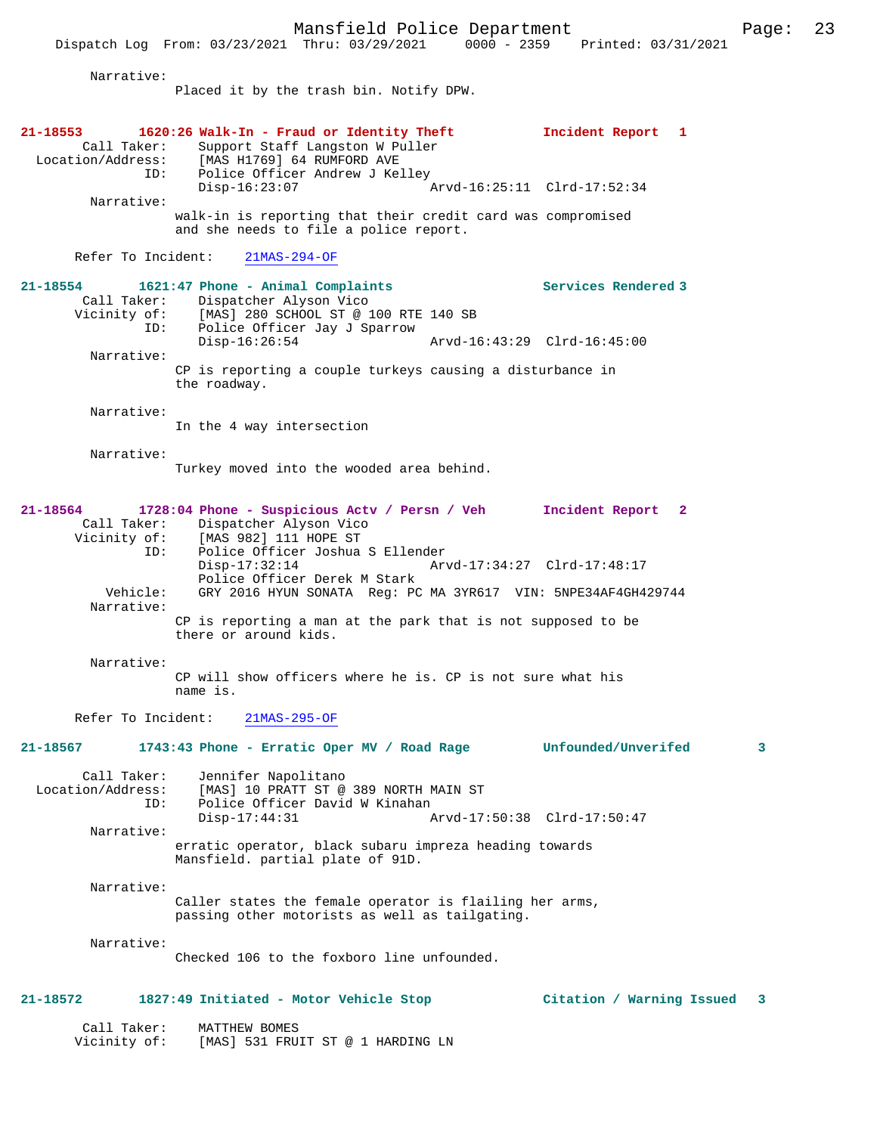Dispatch Log From: 03/23/2021 Thru: 03/29/2021 0000 - 2359 Printed: 03/31/2021

Narrative:

Placed it by the trash bin. Notify DPW.

| 21-18553<br>Call Taker:<br>Location/Address:<br>ID: | 1620:26 Walk-In - Fraud or Identity Theft<br>Support Staff Langston W Puller<br>[MAS H1769] 64 RUMFORD AVE<br>Police Officer Andrew J Kelley |                             | Incident Report 1          |   |
|-----------------------------------------------------|----------------------------------------------------------------------------------------------------------------------------------------------|-----------------------------|----------------------------|---|
| Narrative:                                          | $Disp-16:23:07$                                                                                                                              | Arvd-16:25:11 Clrd-17:52:34 |                            |   |
|                                                     | walk-in is reporting that their credit card was compromised<br>and she needs to file a police report.                                        |                             |                            |   |
| Refer To Incident:                                  | $21MAS-294-OF$                                                                                                                               |                             |                            |   |
| 21-18554<br>Call Taker:<br>Vicinity of:<br>ID:      | 1621:47 Phone - Animal Complaints<br>Dispatcher Alyson Vico<br>[MAS] 280 SCHOOL ST @ 100 RTE 140 SB<br>Police Officer Jay J Sparrow          |                             | <b>Services Rendered 3</b> |   |
| Narrative:                                          | $Disp-16:26:54$                                                                                                                              | Arvd-16:43:29 Clrd-16:45:00 |                            |   |
|                                                     | CP is reporting a couple turkeys causing a disturbance in<br>the roadway.                                                                    |                             |                            |   |
| Narrative:                                          |                                                                                                                                              |                             |                            |   |
|                                                     | In the 4 way intersection                                                                                                                    |                             |                            |   |
| Narrative:                                          |                                                                                                                                              |                             |                            |   |
|                                                     | Turkey moved into the wooded area behind.                                                                                                    |                             |                            |   |
|                                                     |                                                                                                                                              |                             |                            |   |
| 21-18564                                            | 1728:04 Phone - Suspicious Actv / Persn / Veh Incident Report 2<br>Call Taker: Dispatcher Alyson Vico                                        |                             |                            |   |
| Vicinity of:                                        | [MAS 982] 111 HOPE ST                                                                                                                        |                             |                            |   |
| ID:                                                 | Police Officer Joshua S Ellender                                                                                                             |                             |                            |   |
|                                                     | $Disp-17:32:14$<br>Police Officer Derek M Stark                                                                                              | Arvd-17:34:27 Clrd-17:48:17 |                            |   |
| Vehicle:                                            | GRY 2016 HYUN SONATA Req: PC MA 3YR617 VIN: 5NPE34AF4GH429744                                                                                |                             |                            |   |
| Narrative:                                          |                                                                                                                                              |                             |                            |   |
|                                                     | CP is reporting a man at the park that is not supposed to be<br>there or around kids.                                                        |                             |                            |   |
| Narrative:                                          |                                                                                                                                              |                             |                            |   |
|                                                     | CP will show officers where he is. CP is not sure what his<br>name is.                                                                       |                             |                            |   |
| Refer To Incident:                                  | $21MAS-295-OF$                                                                                                                               |                             |                            |   |
| 21-18567                                            | 1743:43 Phone - Erratic Oper MV / Road Rage                                                                                                  |                             | Unfounded/Unverifed        | 3 |
| Call Taker:<br>Location/Address:<br>ID:             | Jennifer Napolitano<br>[MAS] 10 PRATT ST @ 389 NORTH MAIN ST<br>Police Officer David W Kinahan                                               |                             |                            |   |
| Narrative:                                          | $Disp-17:44:31$                                                                                                                              | Arvd-17:50:38 Clrd-17:50:47 |                            |   |
|                                                     | erratic operator, black subaru impreza heading towards<br>Mansfield. partial plate of 91D.                                                   |                             |                            |   |
| Narrative:                                          |                                                                                                                                              |                             |                            |   |
|                                                     | Caller states the female operator is flailing her arms,<br>passing other motorists as well as tailgating.                                    |                             |                            |   |
| Narrative:                                          |                                                                                                                                              |                             |                            |   |
|                                                     | Checked 106 to the foxboro line unfounded.                                                                                                   |                             |                            |   |
| 21-18572                                            | 1827:49 Initiated - Motor Vehicle Stop                                                                                                       |                             | Citation / Warning Issued  | 3 |
| Call Taker:                                         | MATTHEW BOMES                                                                                                                                |                             |                            |   |

Vicinity of: [MAS] 531 FRUIT ST @ 1 HARDING LN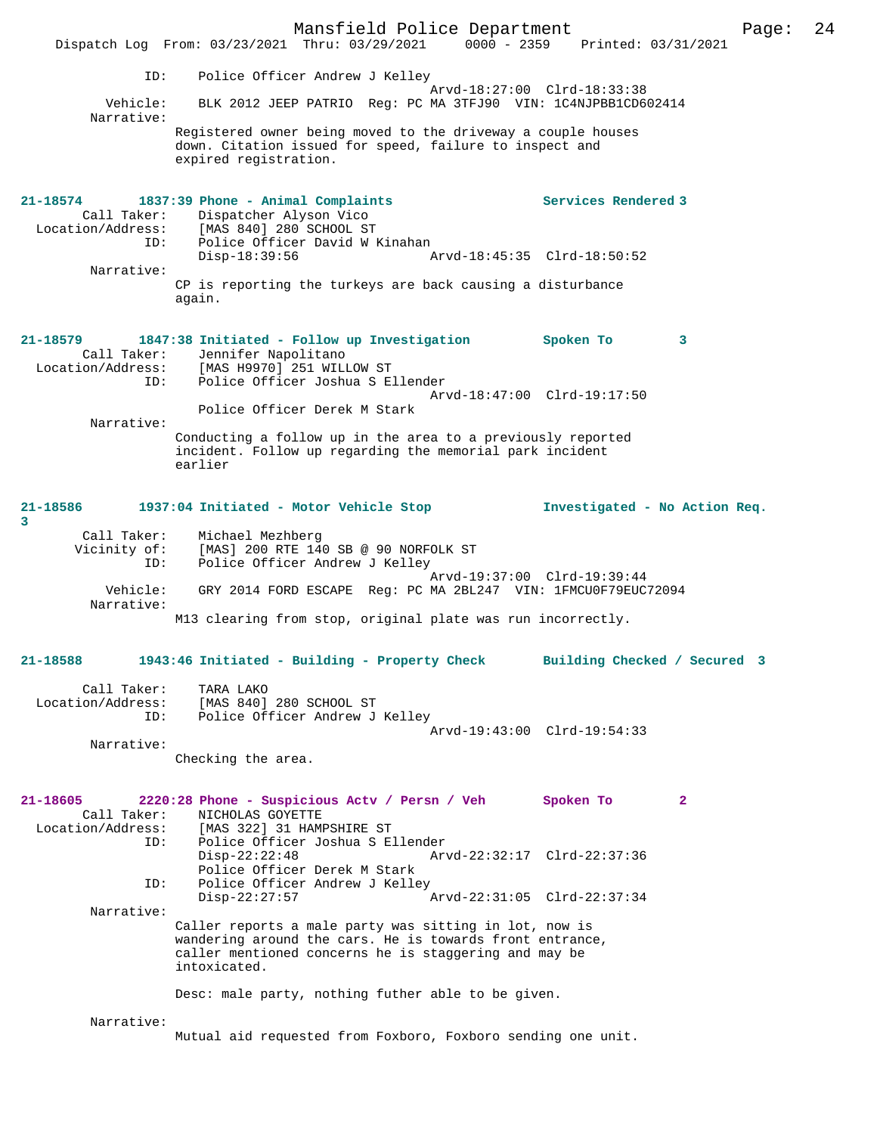Mansfield Police Department<br>  $\frac{1}{24}$  Page: 24<br>  $\frac{1}{24}$  Printed: 03/31/2021 Dispatch Log From: 03/23/2021 Thru: 03/29/2021 ID: Police Officer Andrew J Kelley Arvd-18:27:00 Clrd-18:33:38<br>Vehicle: BLK 2012 JEEP PATRIO Reg: PC MA 3TFJ90 VIN: 1C4NJPBB1CD6 BLK 2012 JEEP PATRIO Reg: PC MA 3TFJ90 VIN: 1C4NJPBB1CD602414 Narrative: Registered owner being moved to the driveway a couple houses down. Citation issued for speed, failure to inspect and expired registration. **21-18574 1837:39 Phone - Animal Complaints Services Rendered 3**  Call Taker: Dispatcher Alyson Vico<br>Location/Address: [MAS 840] 280 SCHOOL ST  $[MAS 840] 280$  SCHOOL ST ID: Police Officer David W Kinahan<br>Disp-18:39:56 Arvd-18:45:35 Clrd-18:50:52 Narrative: CP is reporting the turkeys are back causing a disturbance again. **21-18579 1847:38 Initiated - Follow up Investigation Spoken To 3**  Call Taker: Jennifer Napolitano Location/Address: [MAS H9970] 251 WILLOW ST Location/Address: [MAS H9970]<sup>[251 WILLOW</sup> ST<br>ID: Police Officer Joshua S Ellender Arvd-18:47:00 Clrd-19:17:50 Police Officer Derek M Stark Narrative: Conducting a follow up in the area to a previously reported incident. Follow up regarding the memorial park incident earlier **21-18586 1937:04 Initiated - Motor Vehicle Stop Investigated - No Action Req. 3**  Call Taker: Michael Mezhberg Vicinity of: [MAS] 200 RTE 140 SB @ 90 NORFOLK ST ID: Police Officer Andrew J Kelley Arvd-19:37:00 Clrd-19:39:44<br>"Vehicle: GRY 2014 FORD ESCAPE Reg: PC MA 2BL247 VIN: 1FMCU0F79EUC GRY 2014 FORD ESCAPE Reg: PC MA 2BL247 VIN: 1FMCU0F79EUC72094 Narrative: M13 clearing from stop, original plate was run incorrectly. **21-18588 1943:46 Initiated - Building - Property Check Building Checked / Secured 3** Call Taker: TARA LAKO<br>Location/Address: [MAS 840] [MAS 840] 280 SCHOOL ST ID: Police Officer Andrew J Kelley Arvd-19:43:00 Clrd-19:54:33 Narrative: Checking the area. **21-18605 2220:28 Phone - Suspicious Actv / Persn / Veh Spoken To 2**  Call Taker: NICHOLAS GOYETTE Location/Address: [MAS 322] 31 HAMPSHIRE ST<br>ID: Police Officer Joshua S E ID: Police Officer Joshua S Ellender Disp-22:22:48 Arvd-22:32:17 Clrd-22:37:36 Police Officer Derek M Stark ID: Police Officer Andrew J Kelley Disp-22:27:57 Arvd-22:31:05 Clrd-22:37:34 Narrative: Caller reports a male party was sitting in lot, now is wandering around the cars. He is towards front entrance, caller mentioned concerns he is staggering and may be intoxicated. Desc: male party, nothing futher able to be given. Narrative: Mutual aid requested from Foxboro, Foxboro sending one unit.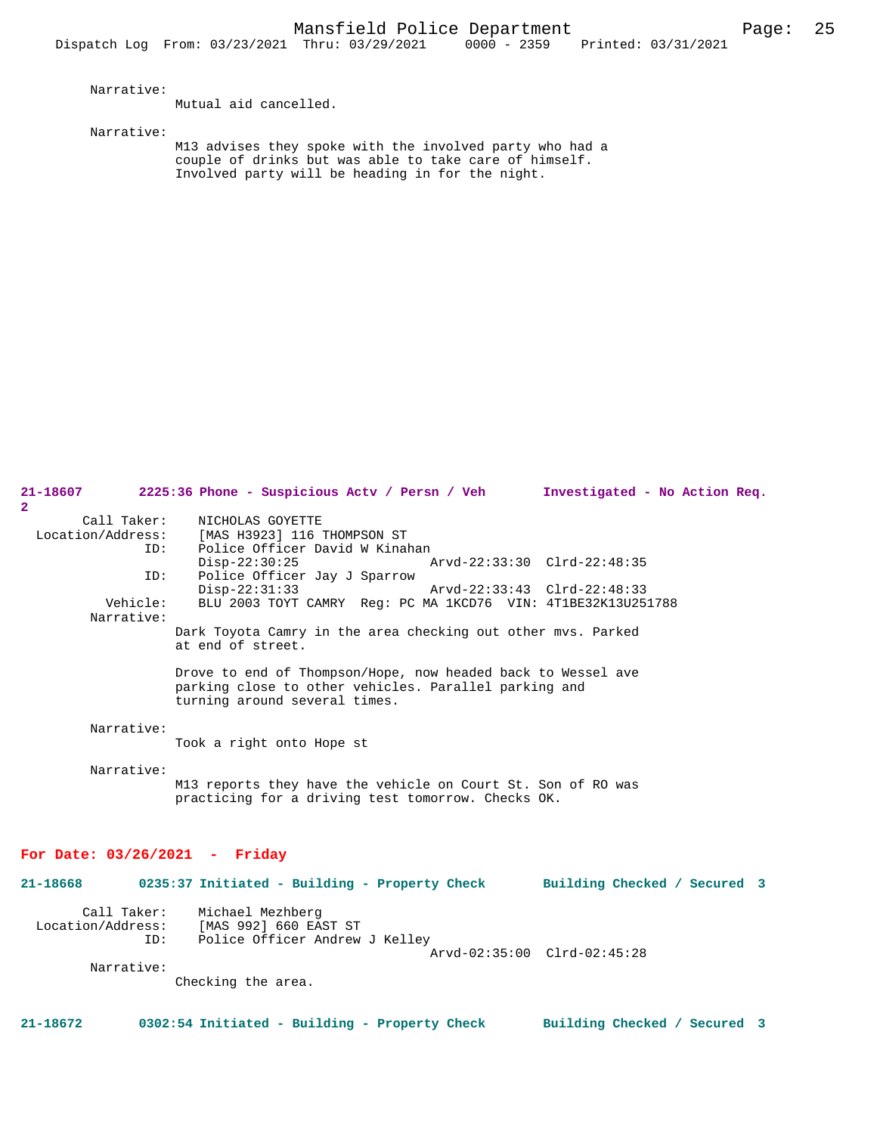Narrative:

Mutual aid cancelled.

Narrative:

M13 advises they spoke with the involved party who had a couple of drinks but was able to take care of himself. Involved party will be heading in for the night.

| 21-18607<br>$\overline{2}$              | 2225:36 Phone - Suspicious Actv / Persn / Veh                                                                                                          | Investigated - No Action Req. |  |
|-----------------------------------------|--------------------------------------------------------------------------------------------------------------------------------------------------------|-------------------------------|--|
| Call Taker:<br>Location/Address:<br>ID: | NICHOLAS GOYETTE<br>[MAS H3923] 116 THOMPSON ST<br>Police Officer David W Kinahan                                                                      |                               |  |
| ID:                                     | $Disp-22:30:25$<br>Police Officer Jay J Sparrow                                                                                                        | Arvd-22:33:30 Clrd-22:48:35   |  |
| Vehicle:<br>Narrative:                  | $Disp-22:31:33$<br>BLU 2003 TOYT CAMRY Req: PC MA 1KCD76 VIN: 4T1BE32K13U251788                                                                        | Arvd-22:33:43 Clrd-22:48:33   |  |
|                                         | Dark Toyota Camry in the area checking out other mvs. Parked<br>at end of street.                                                                      |                               |  |
|                                         | Drove to end of Thompson/Hope, now headed back to Wessel ave<br>parking close to other vehicles. Parallel parking and<br>turning around several times. |                               |  |
| Narrative:                              | Took a right onto Hope st                                                                                                                              |                               |  |
| Narrative:                              | M13 reports they have the vehicle on Court St. Son of RO was<br>practicing for a driving test tomorrow. Checks OK.                                     |                               |  |
| For Date: $03/26/2021$ - Friday         |                                                                                                                                                        |                               |  |
| 21-18668                                | 0235:37 Initiated - Building - Property Check Building Checked / Secured 3                                                                             |                               |  |
| Call Taker:<br>ID:                      | Michael Mezhberg<br>Location/Address: [MAS 992] 660 EAST ST<br>Police Officer Andrew J Kelley                                                          |                               |  |
| Narrative:                              | Checking the area.                                                                                                                                     | Arvd-02:35:00 Clrd-02:45:28   |  |
| 21-18672                                | 0302:54 Initiated - Building - Property Check                                                                                                          | Building Checked / Secured 3  |  |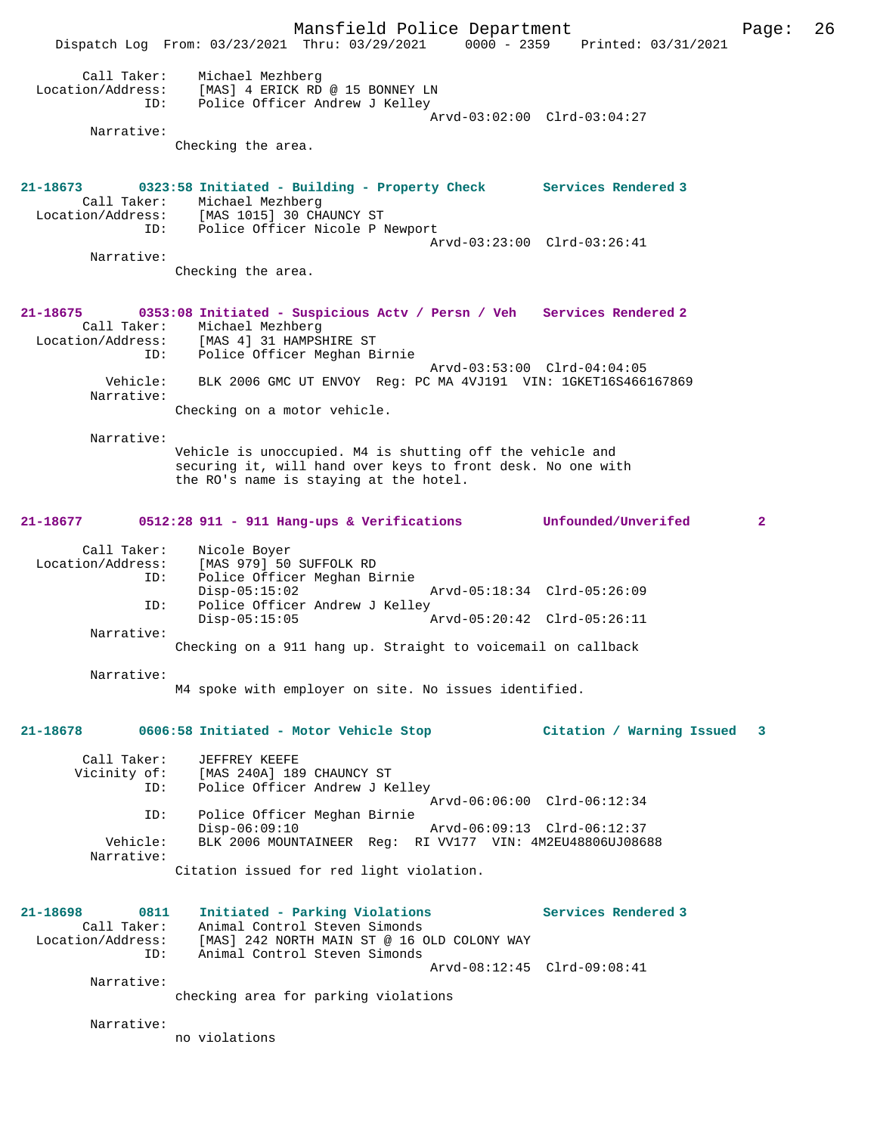Mansfield Police Department Page: 26 Dispatch Log From: 03/23/2021 Thru: 03/29/2021 0000 - 2359 Printed: 03/31/2021 Call Taker: Michael Mezhberg Location/Address: [MAS] 4 ERICK RD @ 15 BONNEY LN ID: Police Officer Andrew J Kelley Arvd-03:02:00 Clrd-03:04:27 Narrative: Checking the area. **21-18673 0323:58 Initiated - Building - Property Check Services Rendered 3**  Call Taker: Michael Mezhberg<br>Location/Address: [MAS 1015] 30 CHZ ess: [MAS 1015] 30 CHAUNCY ST<br>ID: Police Officer Nicole Pl Police Officer Nicole P Newport Arvd-03:23:00 Clrd-03:26:41 Narrative: Checking the area. **21-18675 0353:08 Initiated - Suspicious Actv / Persn / Veh Services Rendered 2**  Call Taker: Michael Mezhberg<br>Location/Address: [MAS 4] 31 HAMPSI Location/Address: [MAS 4] 31 HAMPSHIRE ST ID: Police Officer Meghan Birnie Arvd-03:53:00 Clrd-04:04:05 Vehicle: BLK 2006 GMC UT ENVOY Reg: PC MA 4VJ191 VIN: 1GKET16S466167869 Narrative: Checking on a motor vehicle. Narrative: Vehicle is unoccupied. M4 is shutting off the vehicle and securing it, will hand over keys to front desk. No one with the RO's name is staying at the hotel. **21-18677 0512:28 911 - 911 Hang-ups & Verifications Unfounded/Unverifed 2** Call Taker: Nicole Boyer Location/Address: [MAS 979] 50 SUFFOLK RD ID: Police Officer Meghan Birnie Disp-05:15:02 Arvd-05:18:34 Clrd-05:26:09 ID: Police Officer Andrew J Kelley<br>Disp-05:15:05 Disp-05:15:05 Arvd-05:20:42 Clrd-05:26:11 Narrative: Checking on a 911 hang up. Straight to voicemail on callback Narrative: M4 spoke with employer on site. No issues identified. **21-18678 0606:58 Initiated - Motor Vehicle Stop Citation / Warning Issued 3** Call Taker: JEFFREY KEEFE Vicinity of: [MAS 240A] 189 CHAUNCY ST<br>ID: Police Officer Andrew J Ke Police Officer Andrew J Kelley Arvd-06:06:00 Clrd-06:12:34 ID: Police Officer Meghan Birnie Disp-06:09:10 Arvd-06:09:13 Clrd-06:12:37<br>Vehicle: BLK 2006 MOUNTAINEER Req: RI VV177 VIN: 4M2EU48806UJ086 BLK 2006 MOUNTAINEER Reg: RI VV177 VIN: 4M2EU48806UJ08688 Narrative: Citation issued for red light violation. **21-18698 0811 Initiated - Parking Violations Services Rendered 3**  Call Taker: Animal Control Steven Simonds Location/Address: [MAS] 242 NORTH MAIN ST @ 16 OLD COLONY WAY ID: Animal Control Steven Simonds Arvd-08:12:45 Clrd-09:08:41 Narrative: checking area for parking violations Narrative: no violations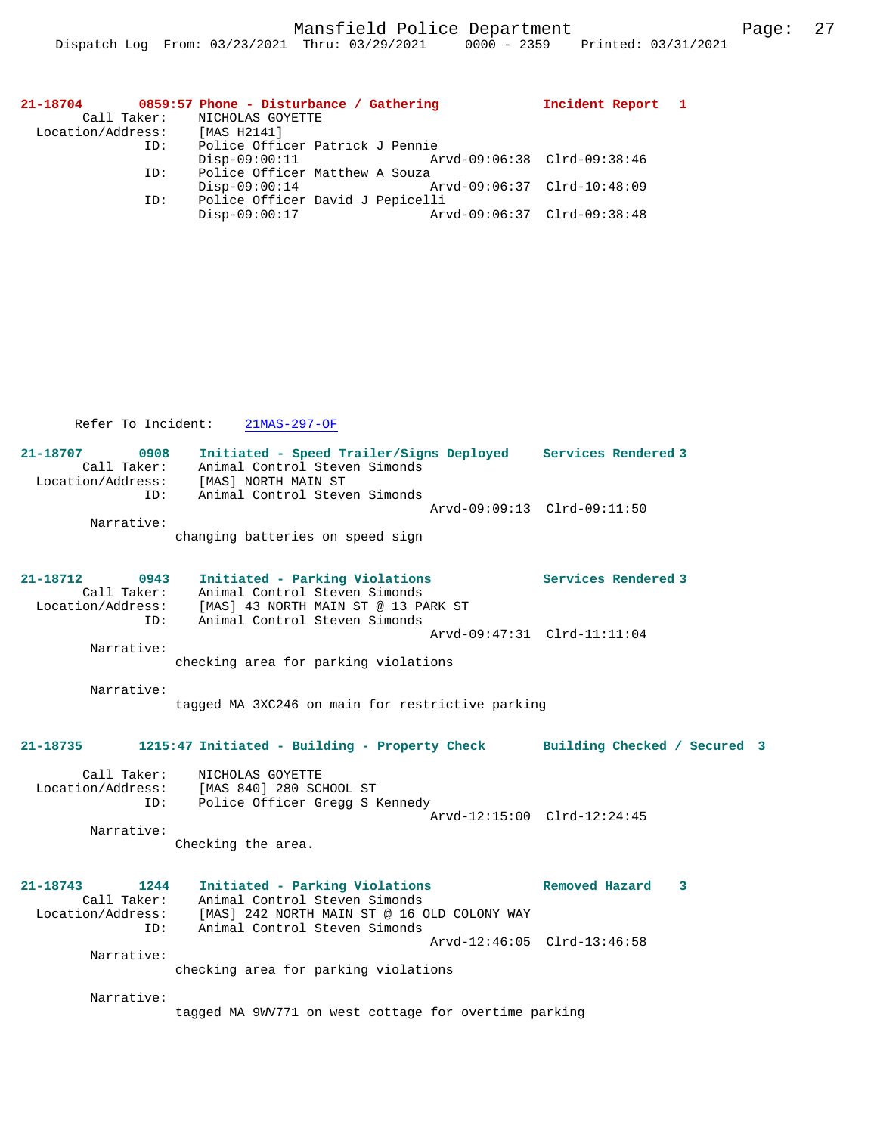| 21-18704          |     | 0859:57 Phone - Disturbance / Gathering | Incident Report 1           |  |
|-------------------|-----|-----------------------------------------|-----------------------------|--|
|                   |     | Call Taker: NICHOLAS GOYETTE            |                             |  |
| Location/Address: |     | [MAS H2141]                             |                             |  |
|                   | ID: | Police Officer Patrick J Pennie         |                             |  |
|                   |     | $Disp-09:00:11$                         | Arvd-09:06:38 Clrd-09:38:46 |  |
|                   | ID: | Police Officer Matthew A Souza          |                             |  |
|                   |     | $Disp-09:00:14$                         | Arvd-09:06:37 Clrd-10:48:09 |  |
|                   | ID: | Police Officer David J Pepicelli        |                             |  |
|                   |     | $Disp-09:00:17$                         | Arvd-09:06:37 Clrd-09:38:48 |  |
|                   |     |                                         |                             |  |

Refer To Incident: 21MAS-297-OF

| 21-18707          | 0908        | Initiated - Speed Trailer/Signs Deployed |                             | Services Rendered 3 |
|-------------------|-------------|------------------------------------------|-----------------------------|---------------------|
|                   | Call Taker: | Animal Control Steven Simonds            |                             |                     |
| Location/Address: |             | [MAS] NORTH MAIN ST                      |                             |                     |
|                   | ID:         | Animal Control Steven Simonds            |                             |                     |
|                   |             |                                          | Arvd-09:09:13 Clrd-09:11:50 |                     |
|                   | Narrative:  |                                          |                             |                     |
|                   |             | changing batteries on speed sign         |                             |                     |

| 21-18712          | 0943        | Initiated - Parking Violations      | Services Rendered 3 |
|-------------------|-------------|-------------------------------------|---------------------|
|                   | Call Taker: | Animal Control Steven Simonds       |                     |
| Location/Address: |             | [MAS] 43 NORTH MAIN ST @ 13 PARK ST |                     |
|                   | TD:         | Animal Control Steven Simonds       |                     |
|                   |             | Arvd-09:47:31 Clrd-11:11:04         |                     |
|                   | Narrative:  |                                     |                     |

checking area for parking violations

Narrative:

tagged MA 3XC246 on main for restrictive parking

# **21-18735 1215:47 Initiated - Building - Property Check Building Checked / Secured 3**

 Call Taker: NICHOLAS GOYETTE Location/Address: [MAS 840] 280 SCHOOL ST<br>ID: Police Officer Gregg S B Police Officer Gregg S Kennedy Arvd-12:15:00 Clrd-12:24:45 Narrative:

Checking the area.

```
21-18743 1244 Initiated - Parking Violations Removed Hazard 3 
 Call Taker: Animal Control Steven Simonds
 Location/Address: [MAS] 242 NORTH MAIN ST @ 16 OLD COLONY WAY
 ID: Animal Control Steven Simonds
                                             Arvd-12:46:05 Clrd-13:46:58
        Narrative: 
                checking area for parking violations
```
Narrative:

tagged MA 9WV771 on west cottage for overtime parking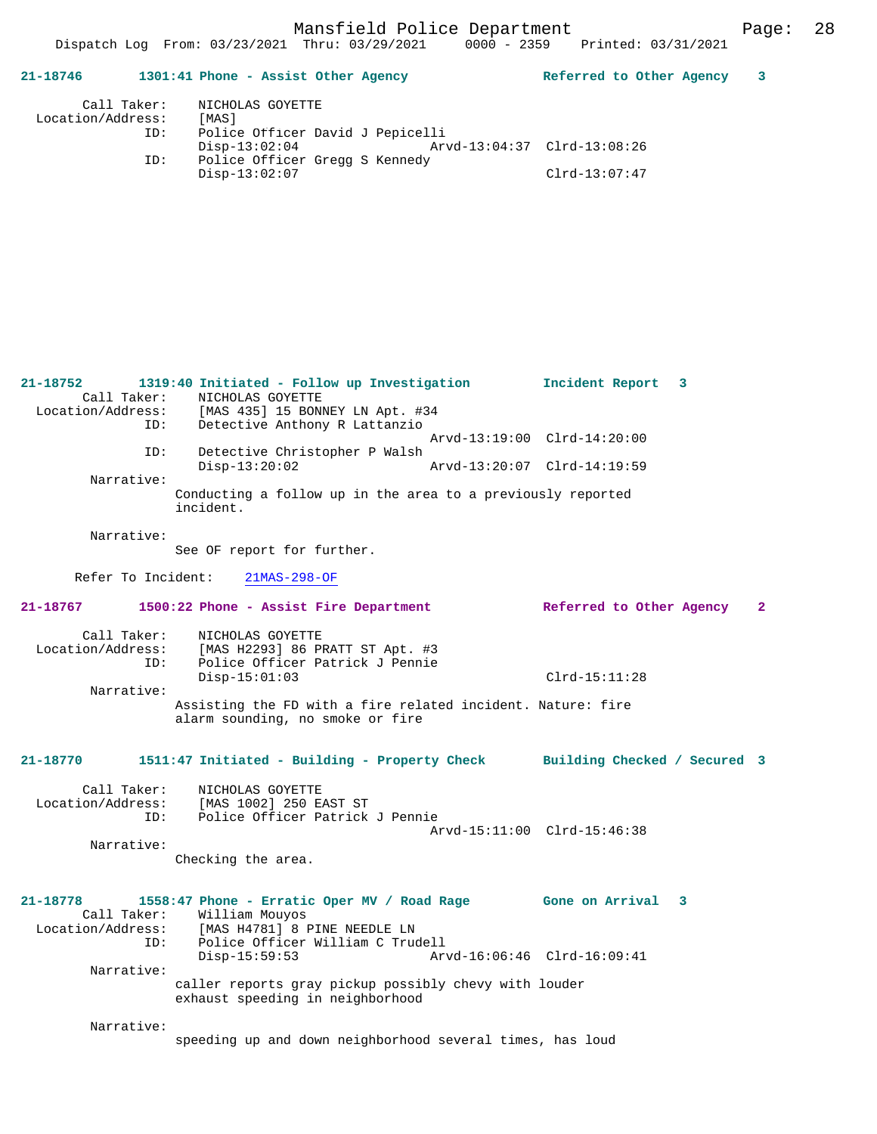Dispatch Log From: 03/23/2021 Thru: 03/29/2021 0000 - 2359 Printed: 03/31/2021

**21-18746 1301:41 Phone - Assist Other Agency Referred to Other Agency 3** Call Taker: NICHOLAS GOYETTE<br>.on/Address: [MAS] Location/Address:<br>ID: Police Officer David J Pepicelli Disp-13:02:04 Arvd-13:04:37 Clrd-13:08:26<br>TD: Police Officer Gregg S Kennedy Police Officer Gregg S Kennedy<br>Disp-13:02:07 Disp-13:02:07 Clrd-13:07:47 **21-18752 1319:40 Initiated - Follow up Investigation Incident Report 3**  Call Taker: NICHOLAS GOYETTE<br>Location/Address: [MAS 435] 15 BON [MAS 435] 15 BONNEY LN Apt. #34 ID: Detective Anthony R Lattanzio Arvd-13:19:00 Clrd-14:20:00 ID: Detective Christopher P Walsh Disp-13:20:02 Arvd-13:20:07 Clrd-14:19:59 Narrative: Conducting a follow up in the area to a previously reported incident. Narrative: See OF report for further. Refer To Incident: 21MAS-298-OF **21-18767 1500:22 Phone - Assist Fire Department Referred to Other Agency 2** Call Taker: NICHOLAS GOYETTE<br>Location/Address: [MAS H2293] 86 PI Location/Address: [MAS H2293] 86 PRATT ST Apt. #3 ID: Police Officer Patrick J Pennie Disp-15:01:03 Clrd-15:11:28 Narrative: Assisting the FD with a fire related incident. Nature: fire alarm sounding, no smoke or fire **21-18770 1511:47 Initiated - Building - Property Check Building Checked / Secured 3** Call Taker: NICHOLAS GOYETTE Location/Address: [MAS 1002] 250 EAST ST Police Officer Patrick J Pennie Arvd-15:11:00 Clrd-15:46:38 Narrative: Checking the area. **21-18778 1558:47 Phone - Erratic Oper MV / Road Rage Gone on Arrival 3**  Call Taker: William Mouyos<br>Location/Address: [MAS H4781] 8 I ess: [MAS H4781] 8 PINE NEEDLE LN<br>ID: Police Officer William C True ID: Police Officer William C Trudell Disp-15:59:53 Arvd-16:06:46 Clrd-16:09:41 Narrative: caller reports gray pickup possibly chevy with louder exhaust speeding in neighborhood Narrative: speeding up and down neighborhood several times, has loud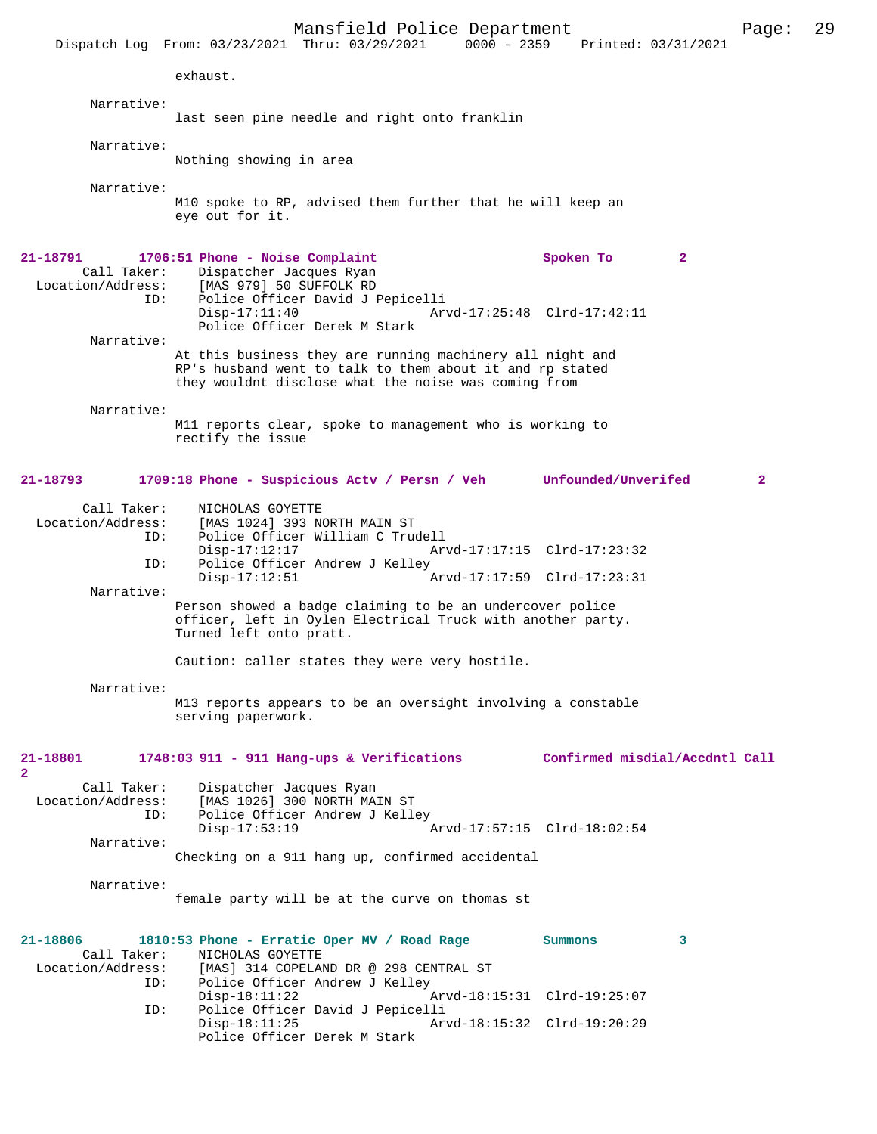|                          | Mansfield Police Department<br>$0000 - 2359$<br>Dispatch Log From: 03/23/2021 Thru: 03/29/2021                                                      | Printed: 03/31/2021            | 29<br>Page:  |
|--------------------------|-----------------------------------------------------------------------------------------------------------------------------------------------------|--------------------------------|--------------|
|                          | exhaust.                                                                                                                                            |                                |              |
| Narrative:               |                                                                                                                                                     |                                |              |
|                          | last seen pine needle and right onto franklin                                                                                                       |                                |              |
| Narrative:               |                                                                                                                                                     |                                |              |
|                          | Nothing showing in area                                                                                                                             |                                |              |
| Narrative:               |                                                                                                                                                     |                                |              |
|                          | M10 spoke to RP, advised them further that he will keep an<br>eye out for it.                                                                       |                                |              |
| 21-18791                 | 1706:51 Phone - Noise Complaint                                                                                                                     | Spoken To<br>$\mathbf{2}$      |              |
| Call Taker:              | Dispatcher Jacques Ryan                                                                                                                             |                                |              |
|                          | Location/Address: [MAS 979] 50 SUFFOLK RD                                                                                                           |                                |              |
| ID:                      | Police Officer David J Pepicelli<br>$Disp-17:11:40$                                                                                                 | Arvd-17:25:48 Clrd-17:42:11    |              |
|                          | Police Officer Derek M Stark                                                                                                                        |                                |              |
| Narrative:               |                                                                                                                                                     |                                |              |
|                          | At this business they are running machinery all night and<br>RP's husband went to talk to them about it and rp stated                               |                                |              |
|                          | they wouldnt disclose what the noise was coming from                                                                                                |                                |              |
|                          |                                                                                                                                                     |                                |              |
| Narrative:               | M11 reports clear, spoke to management who is working to                                                                                            |                                |              |
|                          | rectify the issue                                                                                                                                   |                                |              |
|                          |                                                                                                                                                     |                                |              |
| 21-18793                 | 1709:18 Phone - Suspicious Actv / Persn / Veh Unfounded/Unverifed                                                                                   |                                | $\mathbf{2}$ |
| Call Taker:              | NICHOLAS GOYETTE                                                                                                                                    |                                |              |
| Location/Address:        | [MAS 1024] 393 NORTH MAIN ST                                                                                                                        |                                |              |
| ID:                      | Police Officer William C Trudell<br>$Disp-17:12:17$                                                                                                 | Arvd-17:17:15 Clrd-17:23:32    |              |
| ID:                      | Police Officer Andrew J Kelley                                                                                                                      |                                |              |
|                          | $Disp-17:12:51$                                                                                                                                     | Arvd-17:17:59 Clrd-17:23:31    |              |
| Narrative:               |                                                                                                                                                     |                                |              |
|                          | Person showed a badge claiming to be an undercover police<br>officer, left in Oylen Electrical Truck with another party.<br>Turned left onto pratt. |                                |              |
|                          | Caution: caller states they were very hostile.                                                                                                      |                                |              |
| Narrative:               |                                                                                                                                                     |                                |              |
|                          | M13 reports appears to be an oversight involving a constable<br>serving paperwork.                                                                  |                                |              |
|                          |                                                                                                                                                     |                                |              |
| 21-18801<br>$\mathbf{2}$ | 1748:03 911 - 911 Hang-ups & Verifications                                                                                                          | Confirmed misdial/Accdntl Call |              |
| Call Taker:              | Dispatcher Jacques Ryan                                                                                                                             |                                |              |
| Location/Address:        | [MAS 1026] 300 NORTH MAIN ST                                                                                                                        |                                |              |
| ID:                      | Police Officer Andrew J Kelley                                                                                                                      |                                |              |
| Narrative:               | $Disp-17:53:19$                                                                                                                                     | Arvd-17:57:15 Clrd-18:02:54    |              |
|                          | Checking on a 911 hang up, confirmed accidental                                                                                                     |                                |              |
|                          |                                                                                                                                                     |                                |              |
| Narrative:               |                                                                                                                                                     |                                |              |
|                          | female party will be at the curve on thomas st                                                                                                      |                                |              |
|                          |                                                                                                                                                     |                                |              |
| 21-18806<br>Call Taker:  | 1810:53 Phone - Erratic Oper MV / Road Rage                                                                                                         | 3<br>Summons                   |              |
| Location/Address:        | NICHOLAS GOYETTE<br>[MAS] 314 COPELAND DR @ 298 CENTRAL ST                                                                                          |                                |              |
| ID:                      | Police Officer Andrew J Kelley                                                                                                                      |                                |              |
|                          | $Disp-18:11:22$                                                                                                                                     | Arvd-18:15:31 Clrd-19:25:07    |              |
| ID:                      | Police Officer David J Pepicelli<br>$Disp-18:11:25$                                                                                                 | Arvd-18:15:32 Clrd-19:20:29    |              |
|                          | Police Officer Derek M Stark                                                                                                                        |                                |              |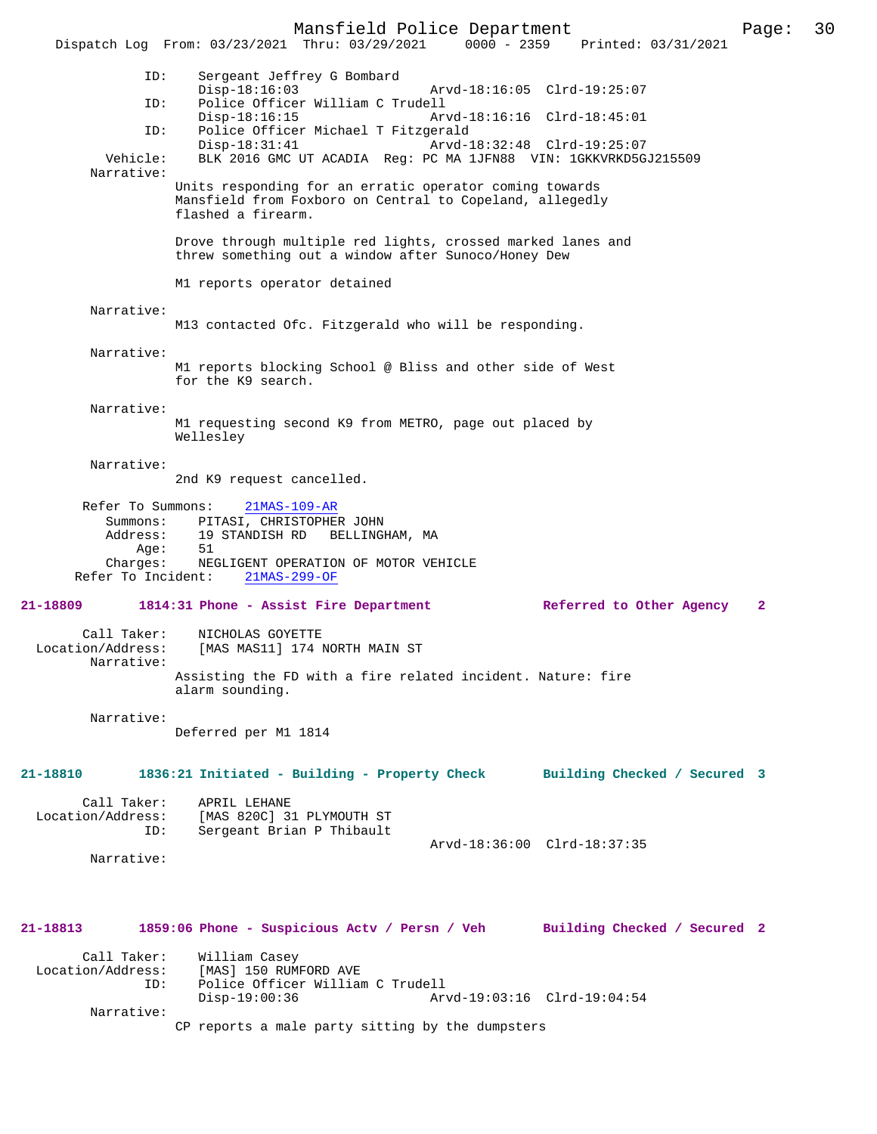Mansfield Police Department Page: 30 Dispatch Log From: 03/23/2021 Thru: 03/29/2021 0000 - 2359 ID: Sergeant Jeffrey G Bombard Disp-18:16:03 Arvd-18:16:05 Clrd-19:25:07<br>Police Officer William C Trudell Police Officer William C Trudell<br>Disp-18:16:15 Arv Disp-18:16:15 Arvd-18:16:16 Clrd-18:45:01<br>TD: Police Officer Michael T Fitzgerald Police Officer Michael T Fitzgerald Disp-18:31:41 Arvd-18:32:48 Clrd-19:25:07 Vehicle: BLK 2016 GMC UT ACADIA Reg: PC MA 1JFN88 VIN: 1GKKVRKD5GJ215509 Narrative: Units responding for an erratic operator coming towards Mansfield from Foxboro on Central to Copeland, allegedly flashed a firearm. Drove through multiple red lights, crossed marked lanes and threw something out a window after Sunoco/Honey Dew M1 reports operator detained Narrative: M13 contacted Ofc. Fitzgerald who will be responding. Narrative: M1 reports blocking School @ Bliss and other side of West for the K9 search. Narrative: M1 requesting second K9 from METRO, page out placed by Wellesley Narrative: 2nd K9 request cancelled. Refer To Summons: 21MAS-109-AR Summons: PITASI, CHRISTOPHER JOHN Address: 19 STANDISH RD BELLINGHAM, MA<br>Aqe: 51  $A\alpha e$ : Charges: NEGLIGENT OPERATION OF MOTOR VEHICLE<br>r To Incident: 21MAS-299-OF Refer To Incident: **21-18809 1814:31 Phone - Assist Fire Department Referred to Other Agency 2** Call Taker: <br> NICHOLAS GOYETTE<br>
Location/Address: [MAS MAS11] 174 1 [MAS MAS11] 174 NORTH MAIN ST Narrative: Assisting the FD with a fire related incident. Nature: fire alarm sounding. Narrative: Deferred per M1 1814 **21-18810 1836:21 Initiated - Building - Property Check Building Checked / Secured 3** Call Taker: APRIL LEHANE<br>Location/Address: [MAS 820C] 3 [MAS 820C] 31 PLYMOUTH ST ID: Sergeant Brian P Thibault Arvd-18:36:00 Clrd-18:37:35 Narrative: **21-18813 1859:06 Phone - Suspicious Actv / Persn / Veh Building Checked / Secured 2** Call Taker: William Casey Location/Address: [MAS] 150 RUMFORD AVE Police Officer William C Trudell<br>Disp-19:00:36 Ar Disp-19:00:36 Arvd-19:03:16 Clrd-19:04:54

Narrative:

CP reports a male party sitting by the dumpsters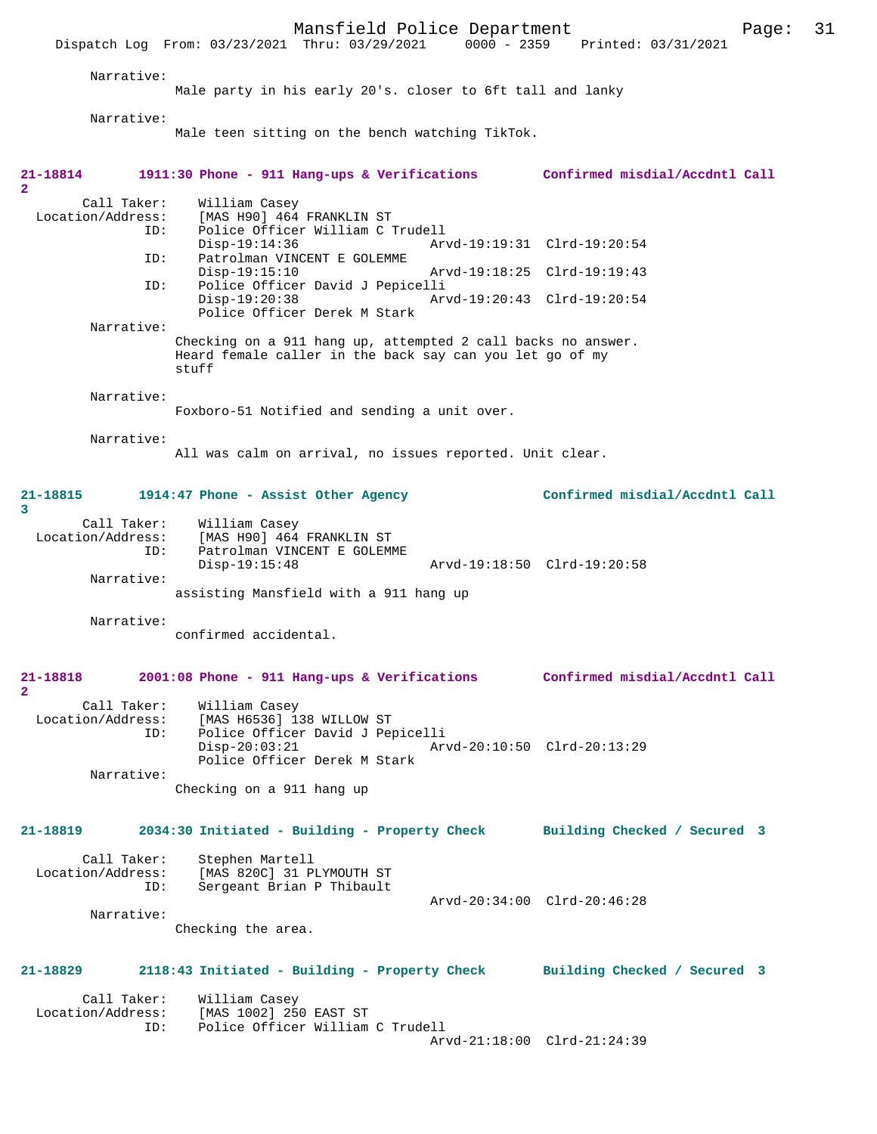Mansfield Police Department Page: 31 Dispatch Log From: 03/23/2021 Thru: 03/29/2021 Narrative: Male party in his early 20's. closer to 6ft tall and lanky Narrative: Male teen sitting on the bench watching TikTok. **21-18814 1911:30 Phone - 911 Hang-ups & Verifications Confirmed misdial/Accdntl Call** Call Taker: William Casey<br>Location/Address: [MAS H90] 464 ess: [MAS H90] 464 FRANKLIN ST<br>ID: Police Officer William C Police Officer William C Trudell Disp-19:14:36 Arvd-19:19:31 Clrd-19:20:54<br>ID: Patrolman VINCENT E GOLEMME Patrolman VINCENT E GOLEMME<br>Disp-19:15:10 Disp-19:15:10 Arvd-19:18:25 Clrd-19:19:43 ID: Police Officer David J Pepicelli Disp-19:20:38 Arvd-19:20:43 Clrd-19:20:54 Police Officer Derek M Stark Narrative: Checking on a 911 hang up, attempted 2 call backs no answer. Heard female caller in the back say can you let go of my stuff Narrative: Foxboro-51 Notified and sending a unit over. Narrative: All was calm on arrival, no issues reported. Unit clear. **21-18815 1914:47 Phone - Assist Other Agency Confirmed misdial/Accdntl Call** Call Taker: William Casey<br>Location/Address: [MAS H90] 464 ess: [MAS H90] 464 FRANKLIN ST<br>ID: Patrolman VINCENT E GOLEME Patrolman VINCENT E GOLEMME<br>Disp-19:15:48 Arvd-19:18:50 Clrd-19:20:58 Narrative: assisting Mansfield with a 911 hang up Narrative: confirmed accidental. **21-18818 2001:08 Phone - 911 Hang-ups & Verifications Confirmed misdial/Accdntl Call** Call Taker: William Casey<br>Location/Address: [MAS H6536] 1 ess: [MAS H6536] 138 WILLOW ST<br>ID: Police Officer David J Per Police Officer David J Pepicelli<br>Disp-20:03:21 Ar Disp-20:03:21 Arvd-20:10:50 Clrd-20:13:29 Police Officer Derek M Stark Narrative: Checking on a 911 hang up **21-18819 2034:30 Initiated - Building - Property Check Building Checked / Secured 3** Call Taker: Stephen Martell<br>Location/Address: [MAS 820C] 31 P ess: [MAS 820C] 31 PLYMOUTH ST<br>ID: Sergeant Brian P Thibault Sergeant Brian P Thibault Arvd-20:34:00 Clrd-20:46:28 Narrative: Checking the area. **21-18829 2118:43 Initiated - Building - Property Check Building Checked / Secured 3**

**2** 

**3** 

**2** 

Call Taker: William Casey<br>Location/Address: [MAS 1002] 25 [MAS 1002] 250 EAST ST ID: Police Officer William C Trudell Arvd-21:18:00 Clrd-21:24:39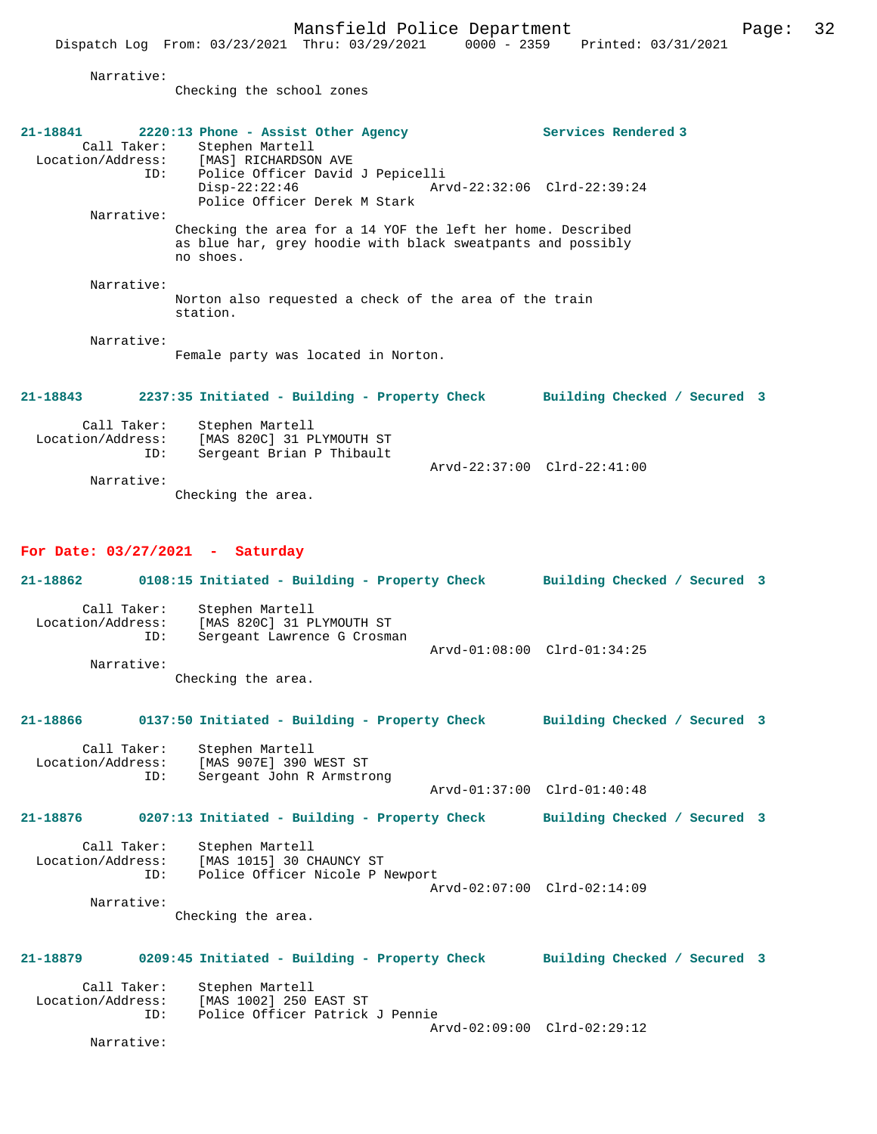Narrative:

Checking the school zones

| 21-18841<br>Call Taker:                 | 2220:13 Phone - Assist Other Agency<br>Stephen Martell<br>Call Taker: Stephen Martell<br>Location/Address: [MAS] RICHARDSON AVE<br>Police Officer David J Pepicelli<br>ID: | Services Rendered 3          |  |
|-----------------------------------------|----------------------------------------------------------------------------------------------------------------------------------------------------------------------------|------------------------------|--|
|                                         | $Disp-22:22:46$<br>Police Officer Derek M Stark                                                                                                                            | Arvd-22:32:06 Clrd-22:39:24  |  |
| Narrative:                              | Checking the area for a 14 YOF the left her home. Described<br>as blue har, grey hoodie with black sweatpants and possibly<br>no shoes.                                    |                              |  |
| Narrative:                              | Norton also requested a check of the area of the train<br>station.                                                                                                         |                              |  |
| Narrative:                              | Female party was located in Norton.                                                                                                                                        |                              |  |
| 21-18843                                | 2237:35 Initiated - Building - Property Check Building Checked / Secured 3                                                                                                 |                              |  |
| Call Taker:<br>Location/Address:<br>ID: | Stephen Martell<br>[MAS 820C] 31 PLYMOUTH ST<br>Sergeant Brian P Thibault                                                                                                  | Arvd-22:37:00 Clrd-22:41:00  |  |
| Narrative:                              | Checking the area.                                                                                                                                                         |                              |  |
| For Date: $03/27/2021$ - Saturday       |                                                                                                                                                                            |                              |  |
| 21-18862                                | 0108:15 Initiated - Building - Property Check Building Checked / Secured 3                                                                                                 |                              |  |
| Call Taker:<br>ID:                      | Stephen Martell<br>Location/Address: [MAS 820C] 31 PLYMOUTH ST<br>Sergeant Lawrence G Crosman                                                                              | Arvd-01:08:00 Clrd-01:34:25  |  |
| Narrative:                              |                                                                                                                                                                            |                              |  |
|                                         | Checking the area.                                                                                                                                                         |                              |  |
|                                         | 21-18866 0137:50 Initiated - Building - Property Check Building Checked / Secured 3                                                                                        |                              |  |
| Call Taker:<br>ID:                      | Stephen Martell<br>Location/Address: [MAS 907E] 390 WEST ST<br>Sergeant John R Armstrong                                                                                   |                              |  |
|                                         |                                                                                                                                                                            | Arvd-01:37:00 Clrd-01:40:48  |  |
| 21-18876                                | 0207:13 Initiated - Building - Property Check                                                                                                                              | Building Checked / Secured 3 |  |
| Call Taker:                             | Stephen Martell<br>Location/Address: [MAS 1015] 30 CHAUNCY ST<br>ID: Police Officer Nicole P Newport                                                                       |                              |  |
|                                         |                                                                                                                                                                            | Arvd-02:07:00 Clrd-02:14:09  |  |
| Narrative:                              | Checking the area.                                                                                                                                                         |                              |  |
| 21-18879                                | 0209:45 Initiated - Building - Property Check                                                                                                                              | Building Checked / Secured 3 |  |
| Call Taker:<br>Location/Address:<br>ID: | Stephen Martell<br>[MAS 1002] 250 EAST ST<br>Police Officer Patrick J Pennie                                                                                               |                              |  |
| Narrative:                              |                                                                                                                                                                            | Arvd-02:09:00 Clrd-02:29:12  |  |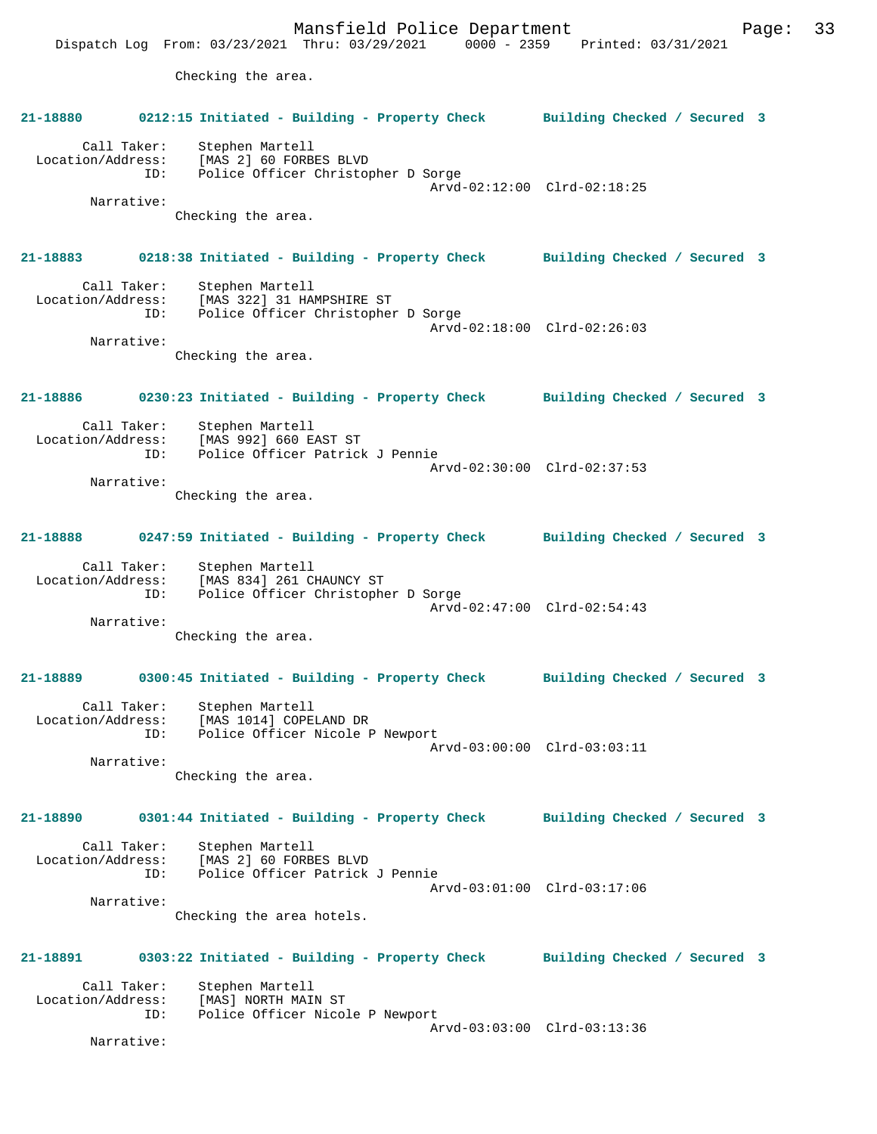Mansfield Police Department Page: 33 Dispatch Log From: 03/23/2021 Thru: 03/29/2021 0000 - 2359 Printed: 03/31/2021 Checking the area. **21-18880 0212:15 Initiated - Building - Property Check Building Checked / Secured 3** Call Taker: Stephen Martell Location/Address: [MAS 2] 60 FORBES BLVD<br>TD: Police Officer Christop Police Officer Christopher D Sorge Arvd-02:12:00 Clrd-02:18:25 Narrative: Checking the area. **21-18883 0218:38 Initiated - Building - Property Check Building Checked / Secured 3** Call Taker: Stephen Martell Location/Address: [MAS 322] 31 HAMPSHIRE ST ID: Police Officer Christopher D Sorge Arvd-02:18:00 Clrd-02:26:03 Narrative: Checking the area. **21-18886 0230:23 Initiated - Building - Property Check Building Checked / Secured 3** Call Taker: Stephen Martell<br>Location/Address: [MAS 992] 660 E ess: [MAS 992] 660 EAST ST<br>ID: Police Officer Patrick Police Officer Patrick J Pennie Arvd-02:30:00 Clrd-02:37:53 Narrative: Checking the area. **21-18888 0247:59 Initiated - Building - Property Check Building Checked / Secured 3** Call Taker: Stephen Martell Location/Address: [MAS 834] 261 CHAUNCY ST ID: Police Officer Christopher D Sorge Arvd-02:47:00 Clrd-02:54:43 Narrative: Checking the area. **21-18889 0300:45 Initiated - Building - Property Check Building Checked / Secured 3** Call Taker: Stephen Martell Location/Address: [MAS 1014] COPELAND DR ID: Police Officer Nicole P Newport Arvd-03:00:00 Clrd-03:03:11 Narrative: Checking the area. **21-18890 0301:44 Initiated - Building - Property Check Building Checked / Secured 3** Call Taker: Stephen Martell Location/Address: [MAS 2] 60 FORBES BLVD Police Officer Patrick J Pennie Arvd-03:01:00 Clrd-03:17:06 Narrative: Checking the area hotels. **21-18891 0303:22 Initiated - Building - Property Check Building Checked / Secured 3** Call Taker: Stephen Martell Location/Address: [MAS] NORTH MAIN ST Police Officer Nicole P Newport Arvd-03:03:00 Clrd-03:13:36 Narrative: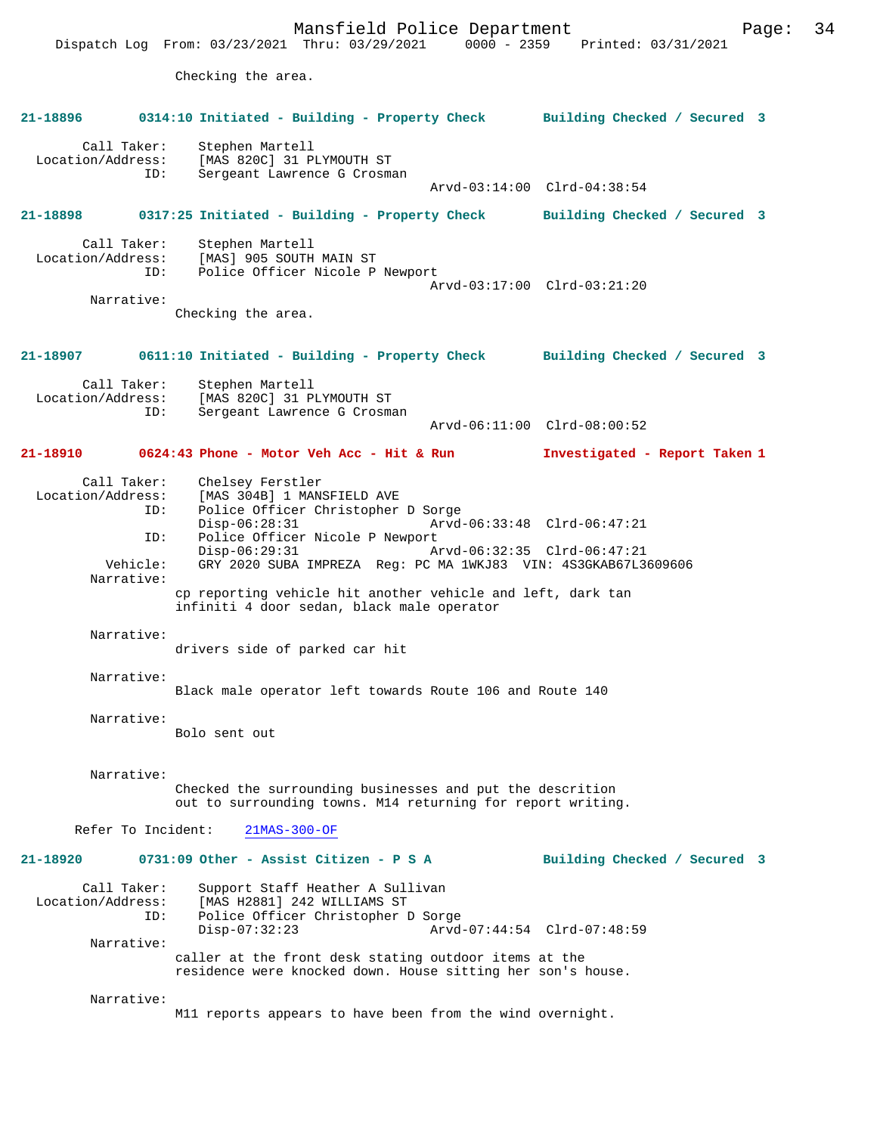Mansfield Police Department Page: 34 Dispatch Log From: 03/23/2021 Thru: 03/29/2021 Checking the area. **21-18896 0314:10 Initiated - Building - Property Check Building Checked / Secured 3** Call Taker: Stephen Martell<br>Location/Address: [MAS 820C] 31 PI ess: [MAS 820C] 31 PLYMOUTH ST<br>ID: Sergeant Lawrence G Crosma Sergeant Lawrence G Crosman Arvd-03:14:00 Clrd-04:38:54 **21-18898 0317:25 Initiated - Building - Property Check Building Checked / Secured 3** Call Taker: Stephen Martell<br>Location/Address: [MAS] 905 SOUTH ess: [MAS] 905 SOUTH MAIN ST<br>ID: Police Officer Nicole P Police Officer Nicole P Newport Arvd-03:17:00 Clrd-03:21:20 Narrative: Checking the area. **21-18907 0611:10 Initiated - Building - Property Check Building Checked / Secured 3** Call Taker: Stephen Martell<br>Location/Address: [MAS 820C] 31 P [MAS 820C] 31 PLYMOUTH ST ID: Sergeant Lawrence G Crosman Arvd-06:11:00 Clrd-08:00:52 **21-18910 0624:43 Phone - Motor Veh Acc - Hit & Run Investigated - Report Taken 1** Call Taker: Chelsey Ferstler<br>Location/Address: [MAS 304B] 1 MAN: ess: [MAS 304B] 1 MANSFIELD AVE<br>ID: Police Officer Christopher Police Officer Christopher D Sorge Disp-06:28:31 Arvd-06:33:48 Clrd-06:47:21<br>TD: Police Officer Nicole P Newport Police Officer Nicole P Newport<br>Disp-06:29:31 Az Disp-06:29:31 Arvd-06:32:35 Clrd-06:47:21<br>Vehicle: GRY 2020 SUBA IMPREZA Reg: PC MA 1WKJ83 VIN: 4S3GKAB67L3 GRY 2020 SUBA IMPREZA Reg: PC MA 1WKJ83 VIN: 4S3GKAB67L3609606 Narrative: cp reporting vehicle hit another vehicle and left, dark tan infiniti 4 door sedan, black male operator Narrative: drivers side of parked car hit Narrative: Black male operator left towards Route 106 and Route 140 Narrative: Bolo sent out Narrative: Checked the surrounding businesses and put the descrition out to surrounding towns. M14 returning for report writing. Refer To Incident: 21MAS-300-OF **21-18920 0731:09 Other - Assist Citizen - P S A Building Checked / Secured 3** Call Taker: Support Staff Heather A Sullivan Location/Address: [MAS H2881] 242 WILLIAMS ST Police Officer Christopher D Sorge<br>Disp-07:32:23 Arvd Disp-07:32:23 Arvd-07:44:54 Clrd-07:48:59 Narrative: caller at the front desk stating outdoor items at the residence were knocked down. House sitting her son's house. Narrative:

M11 reports appears to have been from the wind overnight.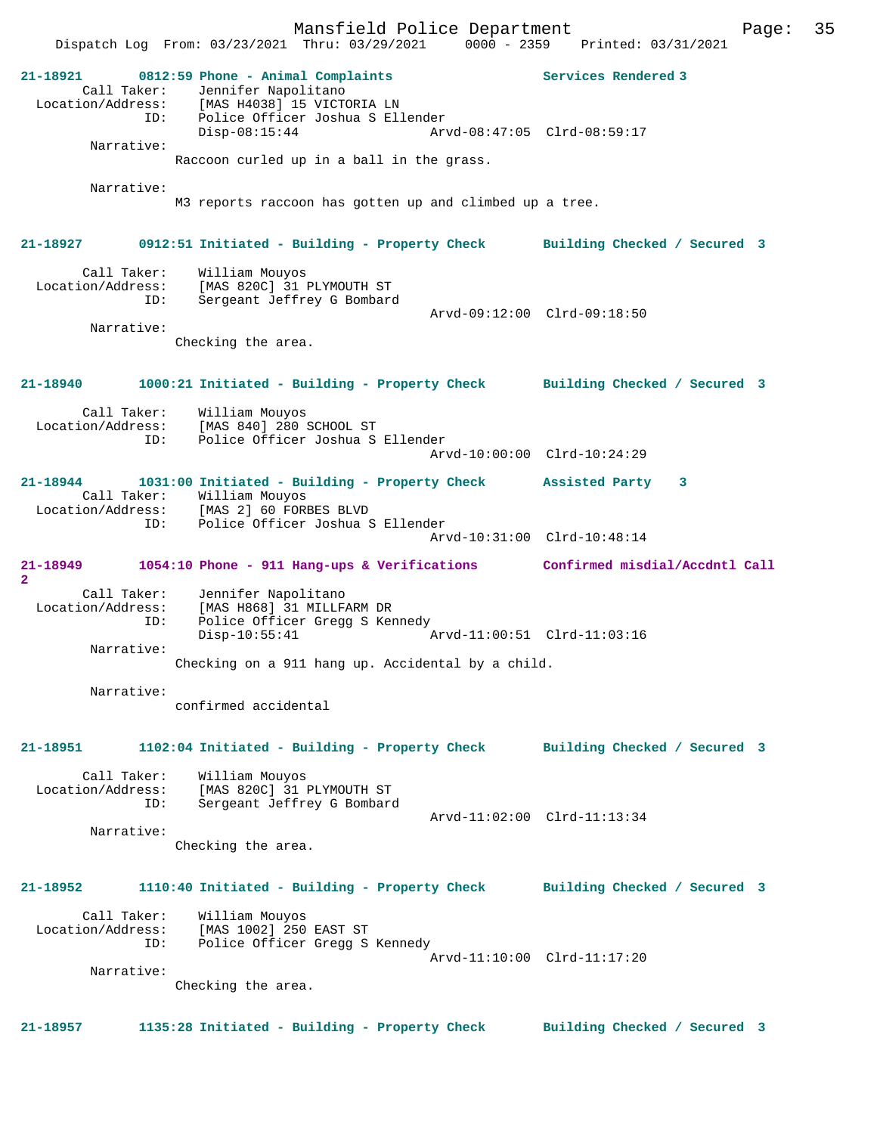**21-18921 0812:59 Phone - Animal Complaints Services Rendered 3**  Call Taker: Jennifer Napolitano Location/Address: [MAS H4038] 15 VICTORIA LN ID: Police Officer Joshua S Ellender<br>Disp-08:15:44 Arv Disp-08:15:44 Arvd-08:47:05 Clrd-08:59:17 Narrative: Raccoon curled up in a ball in the grass. Narrative: M3 reports raccoon has gotten up and climbed up a tree. **21-18927 0912:51 Initiated - Building - Property Check Building Checked / Secured 3** Call Taker: William Mouyos Location/Address: [MAS 820C] 31 PLYMOUTH ST ID: Sergeant Jeffrey G Bombard Arvd-09:12:00 Clrd-09:18:50 Narrative: Checking the area. **21-18940 1000:21 Initiated - Building - Property Check Building Checked / Secured 3** Call Taker: William Mouyos Location/Address: [MAS 840] 280 SCHOOL ST ID: Police Officer Joshua S Ellender Arvd-10:00:00 Clrd-10:24:29 **21-18944 1031:00 Initiated - Building - Property Check Assisted Party 3**  Call Taker: William Mouyos Location/Address: [MAS 2] 60 FORBES BLVD ID: Police Officer Joshua S Ellender Arvd-10:31:00 Clrd-10:48:14 **21-18949 1054:10 Phone - 911 Hang-ups & Verifications Confirmed misdial/Accdntl Call 2**  Call Taker: Jennifer Napolitano Location/Address: [MAS H868] 31 MILLFARM DR ID: Police Officer Gregg S Kennedy Disp-10:55:41 Arvd-11:00:51 Clrd-11:03:16 Narrative: Checking on a 911 hang up. Accidental by a child. Narrative: confirmed accidental **21-18951 1102:04 Initiated - Building - Property Check Building Checked / Secured 3** Call Taker: William Mouyos Location/Address: [MAS 820C] 31 PLYMOUTH ST ID: Sergeant Jeffrey G Bombard Arvd-11:02:00 Clrd-11:13:34 Narrative: Checking the area. **21-18952 1110:40 Initiated - Building - Property Check Building Checked / Secured 3** Call Taker: William Mouyos Location/Address: [MAS 1002] 250 EAST ST ID: Police Officer Gregg S Kennedy Arvd-11:10:00 Clrd-11:17:20 Narrative: Checking the area.

**21-18957 1135:28 Initiated - Building - Property Check Building Checked / Secured 3**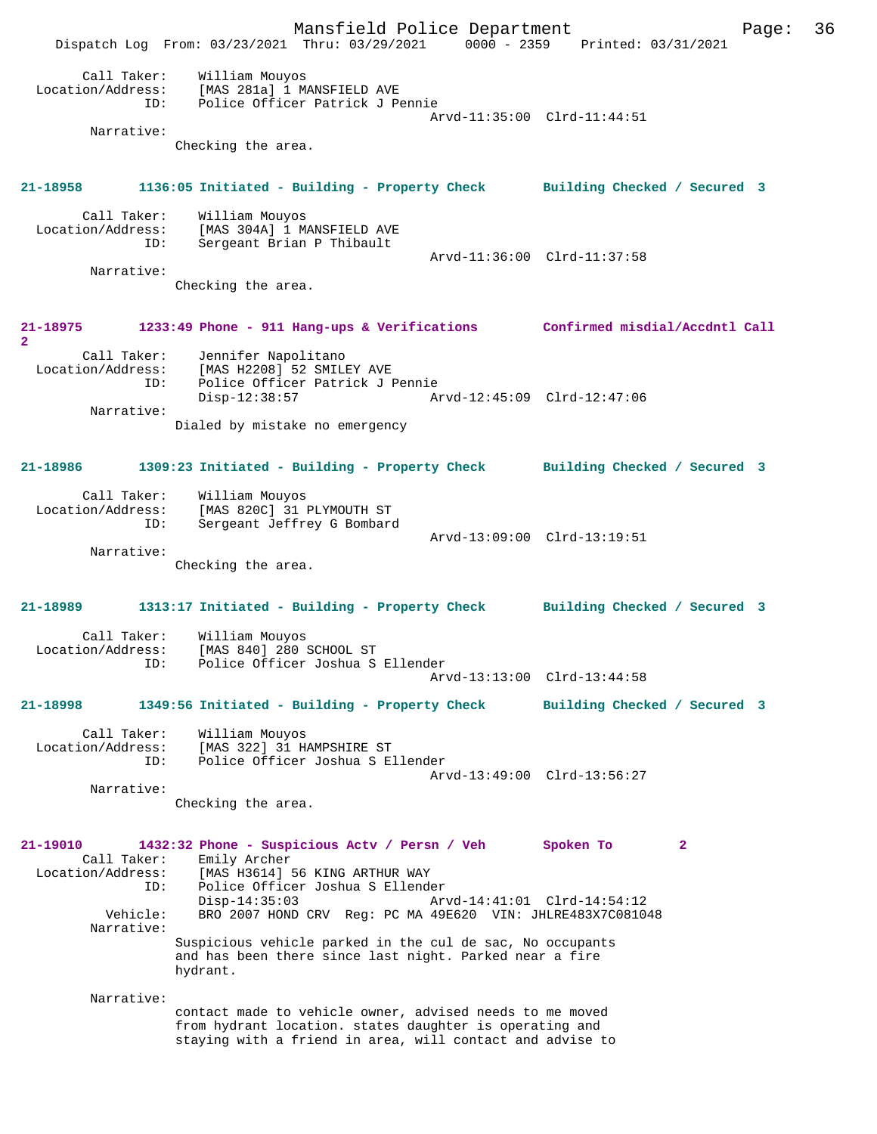Mansfield Police Department Page: 36 Dispatch Log From: 03/23/2021 Thru: 03/29/2021 0000 - 2359 Printed: 03/31/2021 Call Taker: William Mouyos Location/Address: [MAS 281a] 1 MANSFIELD AVE Police Officer Patrick J Pennie Arvd-11:35:00 Clrd-11:44:51 Narrative: Checking the area. **21-18958 1136:05 Initiated - Building - Property Check Building Checked / Secured 3** Call Taker: William Mouyos Location/Address: [MAS 304A] 1 MANSFIELD AVE Sergeant Brian P Thibault Arvd-11:36:00 Clrd-11:37:58 Narrative: Checking the area. **21-18975 1233:49 Phone - 911 Hang-ups & Verifications Confirmed misdial/Accdntl Call** 2<br>Call Taker:<br>Location/Address: Call Taker: Jennifer Napolitano Location/Address: [MAS H2208] 52 SMILEY AVE ID: Police Officer Patrick J Pennie<br>Disp-12:38:57 Ar Disp-12:38:57 Arvd-12:45:09 Clrd-12:47:06 Narrative: Dialed by mistake no emergency **21-18986 1309:23 Initiated - Building - Property Check Building Checked / Secured 3** Call Taker: William Mouyos Location/Address: [MAS 820C] 31 PLYMOUTH ST ID: Sergeant Jeffrey G Bombard Arvd-13:09:00 Clrd-13:19:51 Narrative: Checking the area. **21-18989 1313:17 Initiated - Building - Property Check Building Checked / Secured 3** Call Taker: William Mouyos<br>Location/Address: [MAS 840] 280 9 [MAS 840] 280 SCHOOL ST ID: Police Officer Joshua S Ellender Arvd-13:13:00 Clrd-13:44:58 **21-18998 1349:56 Initiated - Building - Property Check Building Checked / Secured 3** Call Taker:<br>Location/Address: William Mouyos<br>[MAS 322] 31 HAMPSHIRE ST ID: Police Officer Joshua S Ellender Arvd-13:49:00 Clrd-13:56:27 Narrative: Checking the area. **21-19010 1432:32 Phone - Suspicious Actv / Persn / Veh Spoken To 2**  Call Taker: Emily Archer<br>Location/Address: [MAS H3614] ess: [MAS H3614] 56 KING ARTHUR WAY<br>ID: Police Officer Joshua S Ellende ID: Police Officer Joshua S Ellender Disp-14:35:03 Arvd-14:41:01 Clrd-14:54:12<br>Vehicle: BRO 2007 HOND CRV Reg: PC MA 49E620 VIN: JHLRE483X7C08104 BRO 2007 HOND CRV Reg: PC MA 49E620 VIN: JHLRE483X7C081048 Narrative: Suspicious vehicle parked in the cul de sac, No occupants and has been there since last night. Parked near a fire hydrant. Narrative: contact made to vehicle owner, advised needs to me moved from hydrant location. states daughter is operating and staying with a friend in area, will contact and advise to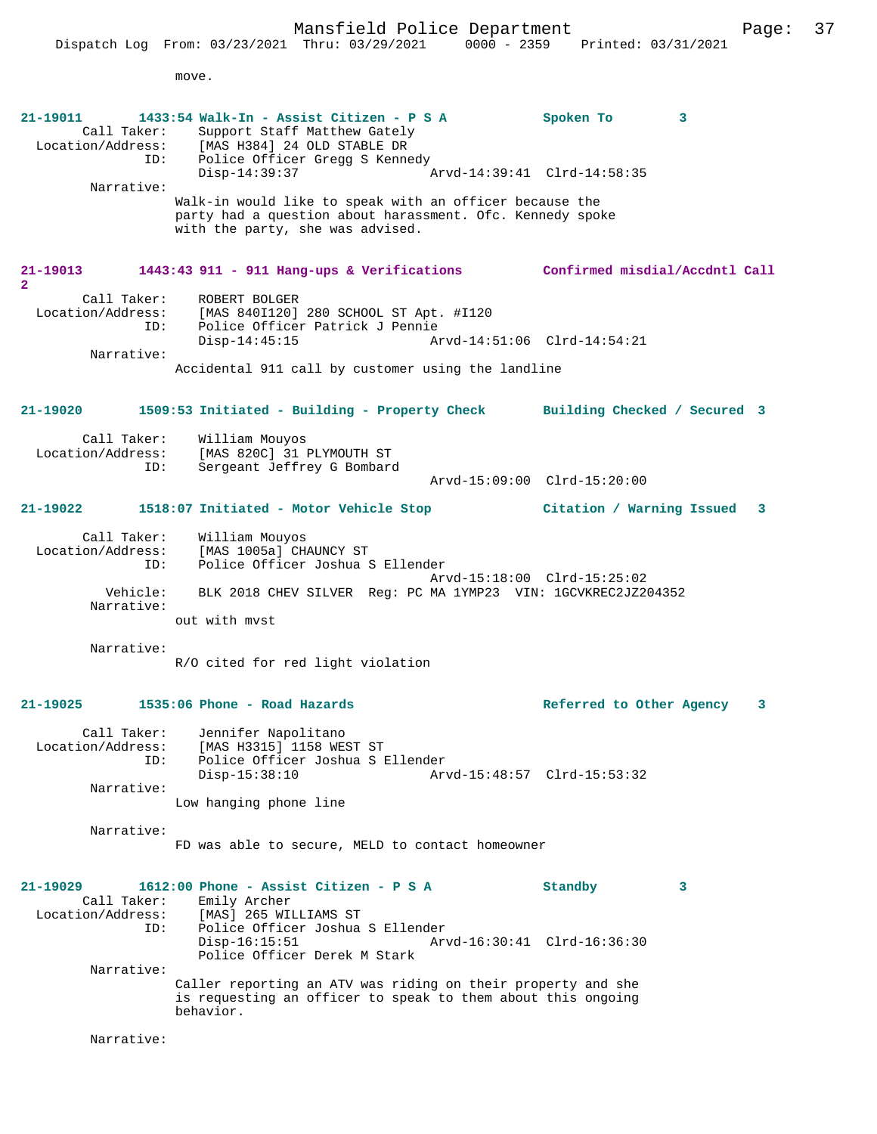Mansfield Police Department Page: 37 Dispatch Log From: 03/23/2021 Thru: 03/29/2021 0000 - 2359 Printed: 03/31/2021 move. **21-19011 1433:54 Walk-In - Assist Citizen - P S A Spoken To 3**  Call Taker: Support Staff Matthew Gately<br>Location/Address: [MAS H384] 24 OLD STABLE DR ess: [MAS H384] 24 OLD STABLE DR<br>ID: Police Officer Gregg S Kenne Police Officer Gregg S Kennedy<br>Disp-14:39:37  $\arcd-14:39:41$  Clrd-14:58:35 Narrative: Walk-in would like to speak with an officer because the party had a question about harassment. Ofc. Kennedy spoke with the party, she was advised. **21-19013 1443:43 911 - 911 Hang-ups & Verifications Confirmed misdial/Accdntl Call** Call Taker: ROBERT BOLGER Location/Address: [MAS 840I120] 280 SCHOOL ST Apt. #I120 Police Officer Patrick J Pennie<br>Disp-14:45:15 Ar Disp-14:45:15 Arvd-14:51:06 Clrd-14:54:21 Narrative: Accidental 911 call by customer using the landline **21-19020 1509:53 Initiated - Building - Property Check Building Checked / Secured 3** Call Taker: William Mouyos Location/Address: [MAS 820C] 31 PLYMOUTH ST ID: Sergeant Jeffrey G Bombard Arvd-15:09:00 Clrd-15:20:00 **21-19022 1518:07 Initiated - Motor Vehicle Stop Citation / Warning Issued 3** Call Taker: William Mouyos<br>ion/Address: [MAS 1005a] CHAUNCY ST  $Location/Address:$  ID: Police Officer Joshua S Ellender Arvd-15:18:00 Clrd-15:25:02 Vehicle: BLK 2018 CHEV SILVER Reg: PC MA 1YMP23 VIN: 1GCVKREC2JZ204352 Narrative: out with mvst Narrative: R/O cited for red light violation **21-19025 1535:06 Phone - Road Hazards Referred to Other Agency 3** Call Taker: Jennifer Napolitano Location/Address: [MAS H3315] 1158 WEST ST ID: Police Officer Joshua S Ellender<br>Disp-15:38:10 Arv Disp-15:38:10 Arvd-15:48:57 Clrd-15:53:32 Narrative: Low hanging phone line Narrative: FD was able to secure, MELD to contact homeowner **21-19029 1612:00 Phone - Assist Citizen - P S A Standby 3**  Call Taker: Emily Archer Location/Address: [MAS] 265 WILLIAMS ST ID: Police Officer Joshua S Ellender Disp-16:15:51 Arvd-16:30:41 Clrd-16:36:30 Police Officer Derek M Stark Narrative: Caller reporting an ATV was riding on their property and she is requesting an officer to speak to them about this ongoing behavior.

Narrative:

**2**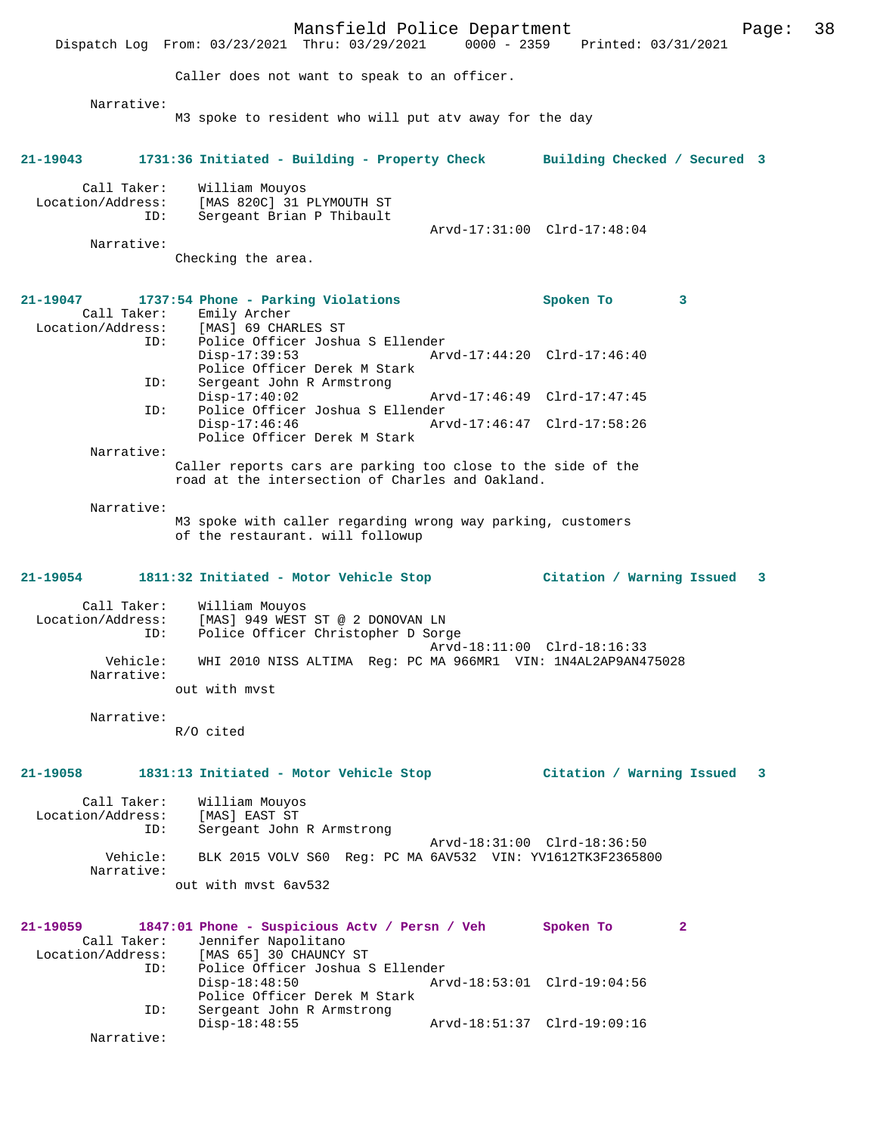Mansfield Police Department Fage: 38 Dispatch Log From: 03/23/2021 Thru: 03/29/2021 0000 - 2359 Printed: 03/31/2021 Caller does not want to speak to an officer. Narrative: M3 spoke to resident who will put atv away for the day **21-19043 1731:36 Initiated - Building - Property Check Building Checked / Secured 3** Call Taker: William Mouyos Location/Address: [MAS 820C] 31 PLYMOUTH ST ID: Sergeant Brian P Thibault Arvd-17:31:00 Clrd-17:48:04 Narrative: Checking the area. **21-19047 1737:54 Phone - Parking Violations Spoken To 3**  Call Taker: Emily Archer Location/Address: [MAS] 69 CHARLES ST ID: Police Officer Joshua S Ellender Disp-17:39:53 Arvd-17:44:20 Clrd-17:46:40 Police Officer Derek M Stark<br>ID: Sergeant John R Armstrong Sergeant John R Armstrong<br>Disp-17:40:02 Disp-17:40:02 Arvd-17:46:49 Clrd-17:47:45<br>ID: Police Officer Joshua S Ellender ID: Police Officer Joshua S Ellender Disp-17:46:46 Arvd-17:46:47 Clrd-17:58:26 Police Officer Derek M Stark Narrative: Caller reports cars are parking too close to the side of the road at the intersection of Charles and Oakland. Narrative: M3 spoke with caller regarding wrong way parking, customers of the restaurant. will followup **21-19054 1811:32 Initiated - Motor Vehicle Stop Citation / Warning Issued 3** Call Taker: William Mouyos Location/Address: [MAS] 949 WEST ST @ 2 DONOVAN LN ID: Police Officer Christopher D Sorge Arvd-18:11:00 Clrd-18:16:33 Vehicle: WHI 2010 NISS ALTIMA Reg: PC MA 966MR1 VIN: 1N4AL2AP9AN475028 Narrative: out with mvst Narrative: R/O cited **21-19058 1831:13 Initiated - Motor Vehicle Stop Citation / Warning Issued 3** Call Taker: William Mouyos Location/Address: [MAS] EAST ST ID: Sergeant John R Armstrong Arvd-18:31:00 Clrd-18:36:50 Vehicle: BLK 2015 VOLV S60 Reg: PC MA 6AV532 VIN: YV1612TK3F2365800 Narrative: out with mvst 6av532 **21-19059 1847:01 Phone - Suspicious Actv / Persn / Veh Spoken To 2**  Call Taker: Jennifer Napolitano Location/Address: [MAS 65] 30 CHAUNCY ST ID: Police Officer Joshua S Ellender Disp-18:48:50 Arvd-18:53:01 Clrd-19:04:56 Police Officer Derek M Stark<br>TD: Sergeant John R Armstrong Sergeant John R Armstrong<br>Disp-18:48:55 Disp-18:48:55 Arvd-18:51:37 Clrd-19:09:16 Narrative: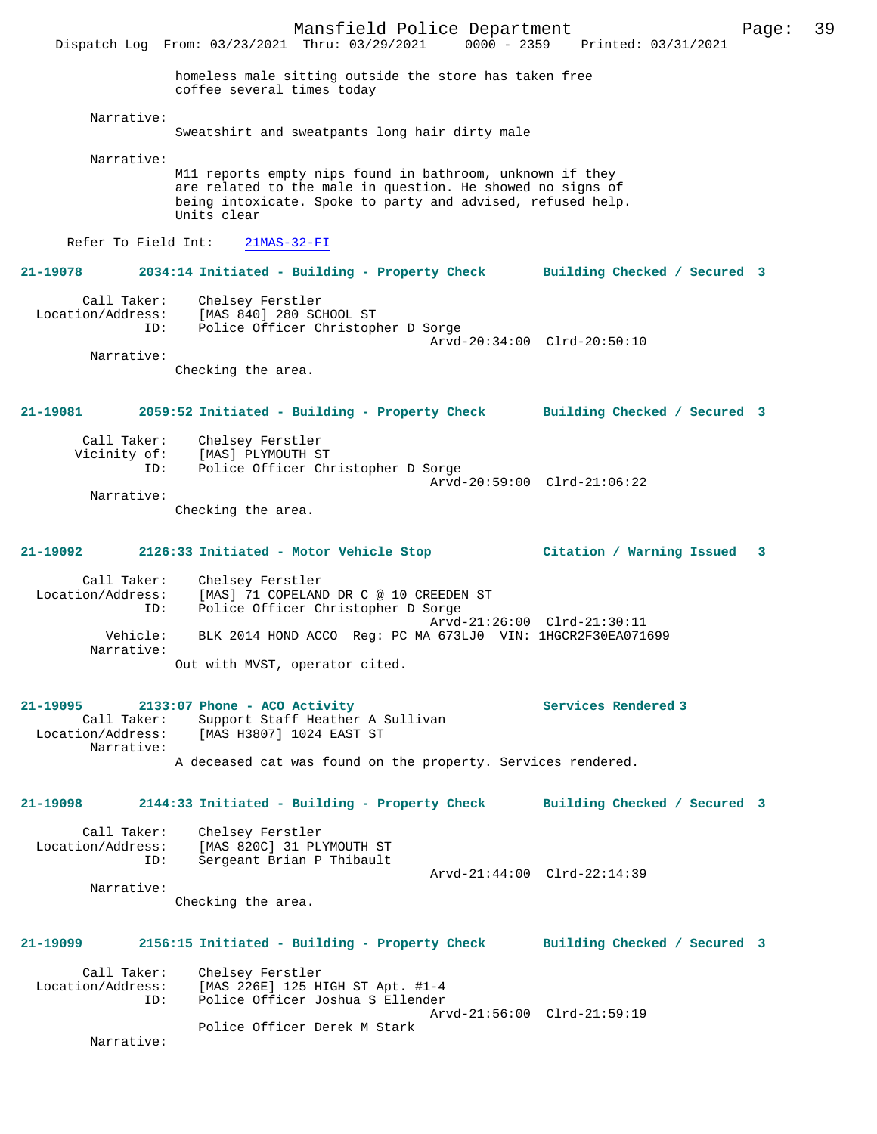Dispatch Log From: 03/23/2021 Thru: 03/29/2021 0000 - 2359 Printed: 03/31/2021 homeless male sitting outside the store has taken free coffee several times today Narrative: Sweatshirt and sweatpants long hair dirty male Narrative: M11 reports empty nips found in bathroom, unknown if they are related to the male in question. He showed no signs of being intoxicate. Spoke to party and advised, refused help. Units clear Refer To Field Int: 21MAS-32-FI **21-19078 2034:14 Initiated - Building - Property Check Building Checked / Secured 3** Call Taker: Chelsey Ferstler Location/Address: [MAS 840] 280 SCHOOL ST ID: Police Officer Christopher D Sorge Arvd-20:34:00 Clrd-20:50:10 Narrative: Checking the area. **21-19081 2059:52 Initiated - Building - Property Check Building Checked / Secured 3** Call Taker: Chelsey Ferstler Vicinity of: [MAS] PLYMOUTH ST<br>ID: Police Officer Ch Police Officer Christopher D Sorge Arvd-20:59:00 Clrd-21:06:22 Narrative: Checking the area. **21-19092 2126:33 Initiated - Motor Vehicle Stop Citation / Warning Issued 3** Call Taker: Chelsey Ferstler Location/Address: [MAS] 71 COPELAND DR C @ 10 CREEDEN ST ID: Police Officer Christopher D Sorge Arvd-21:26:00 Clrd-21:30:11<br>Vehicle: BLK 2014 HOND ACCO Reg: PC MA 673LJ0 VIN: 1HGCR2F30EA0716 BLK 2014 HOND ACCO Reg: PC MA 673LJ0 VIN: 1HGCR2F30EA071699 Narrative: Out with MVST, operator cited. **21-19095 2133:07 Phone - ACO Activity Services Rendered 3**  Call Taker: Support Staff Heather A Sullivan<br>Location/Address: [MAS H3807] 1024 EAST ST [MAS H3807] 1024 EAST ST Narrative: A deceased cat was found on the property. Services rendered. **21-19098 2144:33 Initiated - Building - Property Check Building Checked / Secured 3** Call Taker: Chelsey Ferstler Location/Address: [MAS 820C] 31 PLYMOUTH ST ID: Sergeant Brian P Thibault Arvd-21:44:00 Clrd-22:14:39 Narrative: Checking the area. **21-19099 2156:15 Initiated - Building - Property Check Building Checked / Secured 3** Call Taker: Chelsey Ferstler<br>Location/Address: [MAS 226E] 125 H [MAS 226E] 125 HIGH ST Apt. #1-4 ID: Police Officer Joshua S Ellender Arvd-21:56:00 Clrd-21:59:19 Police Officer Derek M Stark Narrative: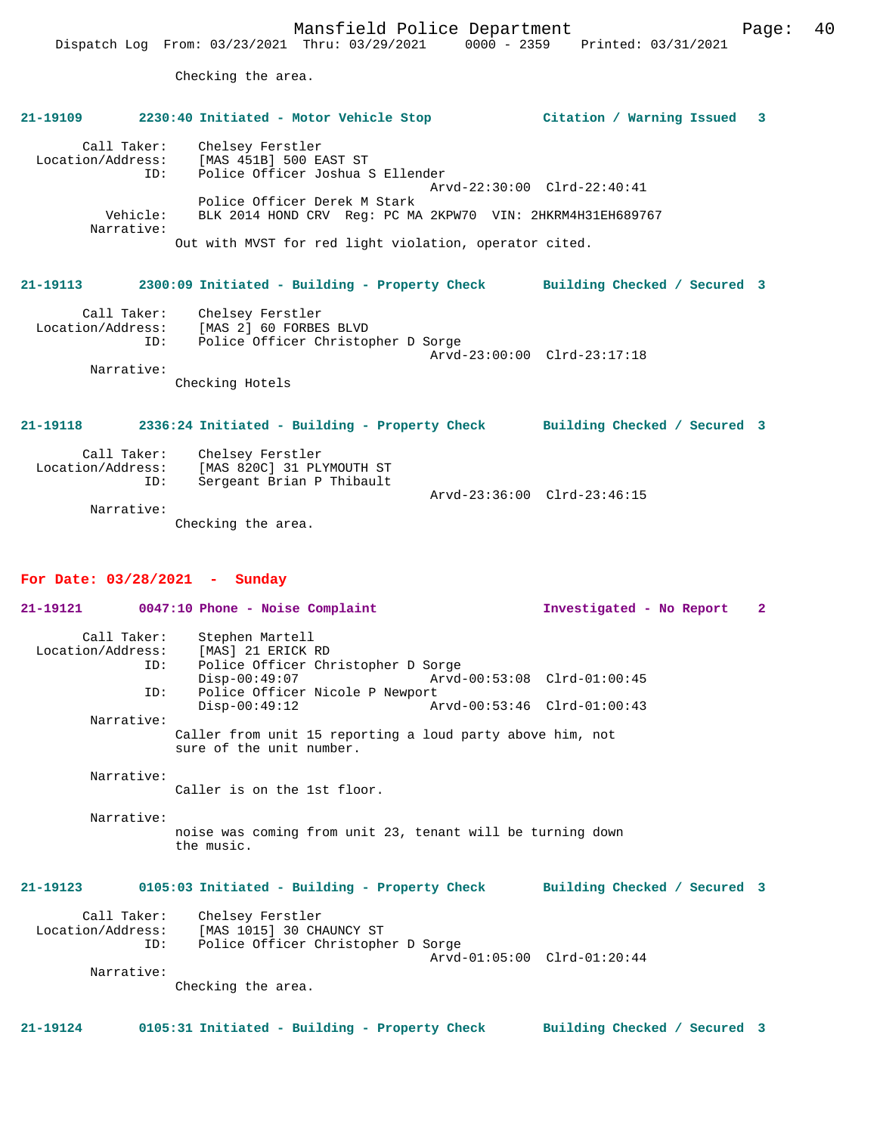**21-19109 2230:40 Initiated - Motor Vehicle Stop Citation / Warning Issued 3**

Checking the area.

# Call Taker: Chelsey Ferstler Location/Address: [MAS 451B] 500 EAST ST ID: Police Officer Joshua S Ellender Arvd-22:30:00 Clrd-22:40:41 Police Officer Derek M Stark Vehicle: BLK 2014 HOND CRV Reg: PC MA 2KPW70 VIN: 2HKRM4H31EH689767 Narrative:

Out with MVST for red light violation, operator cited.

## **21-19113 2300:09 Initiated - Building - Property Check Building Checked / Secured 3**

| Call Taker:<br>Location/Address: | Chelsey Ferstler<br>[MAS 2] 60 FORBES BLVD |                             |
|----------------------------------|--------------------------------------------|-----------------------------|
| ID:                              | Police Officer Christopher D Sorge         |                             |
|                                  |                                            | Arvd-23:00:00 Clrd-23:17:18 |
| Narrative:                       |                                            |                             |

Checking Hotels

**21-19118 2336:24 Initiated - Building - Property Check Building Checked / Secured 3**

| Call Taker:<br>Location/Address:<br>ID: | Chelsey Ferstler<br>[MAS 820C] 31 PLYMOUTH ST<br>Sergeant Brian P Thibault |                             |
|-----------------------------------------|----------------------------------------------------------------------------|-----------------------------|
|                                         |                                                                            | Arvd-23:36:00 Clrd-23:46:15 |
| Narrative:                              |                                                                            |                             |
|                                         | Checking the area.                                                         |                             |

#### **For Date: 03/28/2021 - Sunday**

| 21-19121                                | 0047:10 Phone - Noise Complaint                                                                | Investigated - No Report        | $\overline{\mathbf{2}}$ |
|-----------------------------------------|------------------------------------------------------------------------------------------------|---------------------------------|-------------------------|
| Call Taker:<br>Location/Address:<br>ID: | Stephen Martell<br>[MAS] 21 ERICK RD<br>Police Officer Christopher D Sorge<br>$Disp-00:49:07$  | Arvd-00:53:08 Clrd-01:00:45     |                         |
| ID:                                     | Police Officer Nicole P Newport                                                                |                                 |                         |
|                                         | $Disp-00:49:12$<br>Arvd-00:53:46 Clrd-01:00:43                                                 |                                 |                         |
| Narrative:                              |                                                                                                |                                 |                         |
|                                         | Caller from unit 15 reporting a loud party above him, not<br>sure of the unit number.          |                                 |                         |
| Narrative:                              | Caller is on the 1st floor.                                                                    |                                 |                         |
|                                         |                                                                                                |                                 |                         |
| Narrative:                              | noise was coming from unit 23, tenant will be turning down<br>the music.                       |                                 |                         |
| $21 - 19123$                            | 0105:03 Initiated - Building - Property Check                                                  | Building Checked / Secured 3    |                         |
| Location/Address:<br>ID:                | Call Taker: Chelsey Ferstler<br>[MAS 1015] 30 CHAUNCY ST<br>Police Officer Christopher D Sorge |                                 |                         |
|                                         |                                                                                                | $Arvd-01:05:00$ $Clrd-01:20:44$ |                         |
| Narrative:                              | Checking the area.                                                                             |                                 |                         |
| 21-19124                                | 0105:31 Initiated - Building - Property Check                                                  | Building Checked / Secured 3    |                         |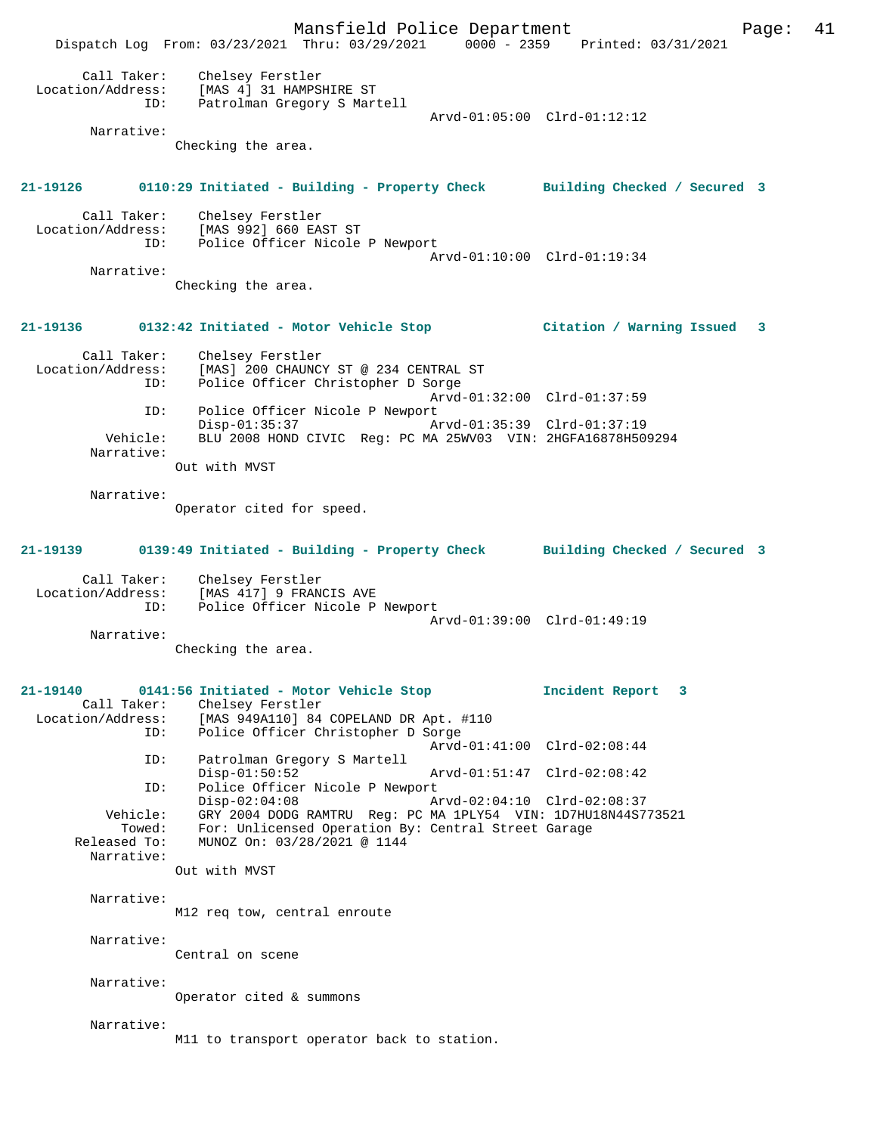Mansfield Police Department Page: 41 Dispatch Log From: 03/23/2021 Thru: 03/29/2021 0000 - 2359 Printed: 03/31/2021 Call Taker: Chelsey Ferstler Location/Address: [MAS 4] 31 HAMPSHIRE ST ID: Patrolman Gregory S Martell Arvd-01:05:00 Clrd-01:12:12 Narrative: Checking the area. **21-19126 0110:29 Initiated - Building - Property Check Building Checked / Secured 3** Call Taker: Chelsey Ferstler Location/Address: [MAS 992] 660 EAST ST Police Officer Nicole P Newport Arvd-01:10:00 Clrd-01:19:34 Narrative: Checking the area. **21-19136 0132:42 Initiated - Motor Vehicle Stop Citation / Warning Issued 3** Call Taker: Chelsey Ferstler<br>Location/Address: [MAS] 200 CHAUNCY ess: [MAS] 200 CHAUNCY ST @ 234 CENTRAL ST<br>ID: Police Officer Christopher D Sorge Police Officer Christopher D Sorge Arvd-01:32:00 Clrd-01:37:59<br>ID: Police Officer Nicole P Newport Police Officer Nicole P Newport Disp-01:35:37 Arvd-01:35:39 Clrd-01:37:19 Vehicle: BLU 2008 HOND CIVIC Reg: PC MA 25WV03 VIN: 2HGFA16878H509294 Narrative: Out with MVST Narrative: Operator cited for speed. **21-19139 0139:49 Initiated - Building - Property Check Building Checked / Secured 3** Call Taker: Chelsey Ferstler<br>Location/Address: [MAS 417] 9 FRAN ess: [MAS 417] 9 FRANCIS AVE<br>ID: Police Officer Nicole P Police Officer Nicole P Newport Arvd-01:39:00 Clrd-01:49:19 Narrative: Checking the area. **21-19140 0141:56 Initiated - Motor Vehicle Stop Incident Report 3**  Call Taker: Chelsey Ferstler<br>Location/Address: [MAS 949A110] 84 Location/Address: [MAS 949A110] 84 COPELAND DR Apt. #110 ID: Police Officer Christopher D Sorge Arvd-01:41:00 Clrd-02:08:44 ID: Patrolman Gregory S Martell Disp-01:50:52 Arvd-01:51:47 Clrd-02:08:42<br>TD: Police Officer Nicole P Newport Police Officer Nicole P Newport<br>Disp-02:04:08<br>CPU 02:1 Disp-02:04:08 Arvd-02:04:10 Clrd-02:08:37<br>Vehicle: GRY 2004 DODG RAMTRU Reg: PC MA 1PLY54 VIN: 1D7HU18N44S7 GRY 2004 DODG RAMTRU Reg: PC MA 1PLY54 VIN: 1D7HU18N44S773521 Towed: For: Unlicensed Operation By: Central Street Garage Released To: MUNOZ On: 03/28/2021 @ 1144 Narrative: Out with MVST Narrative: M12 req tow, central enroute Narrative: Central on scene Narrative: Operator cited & summons Narrative: M11 to transport operator back to station.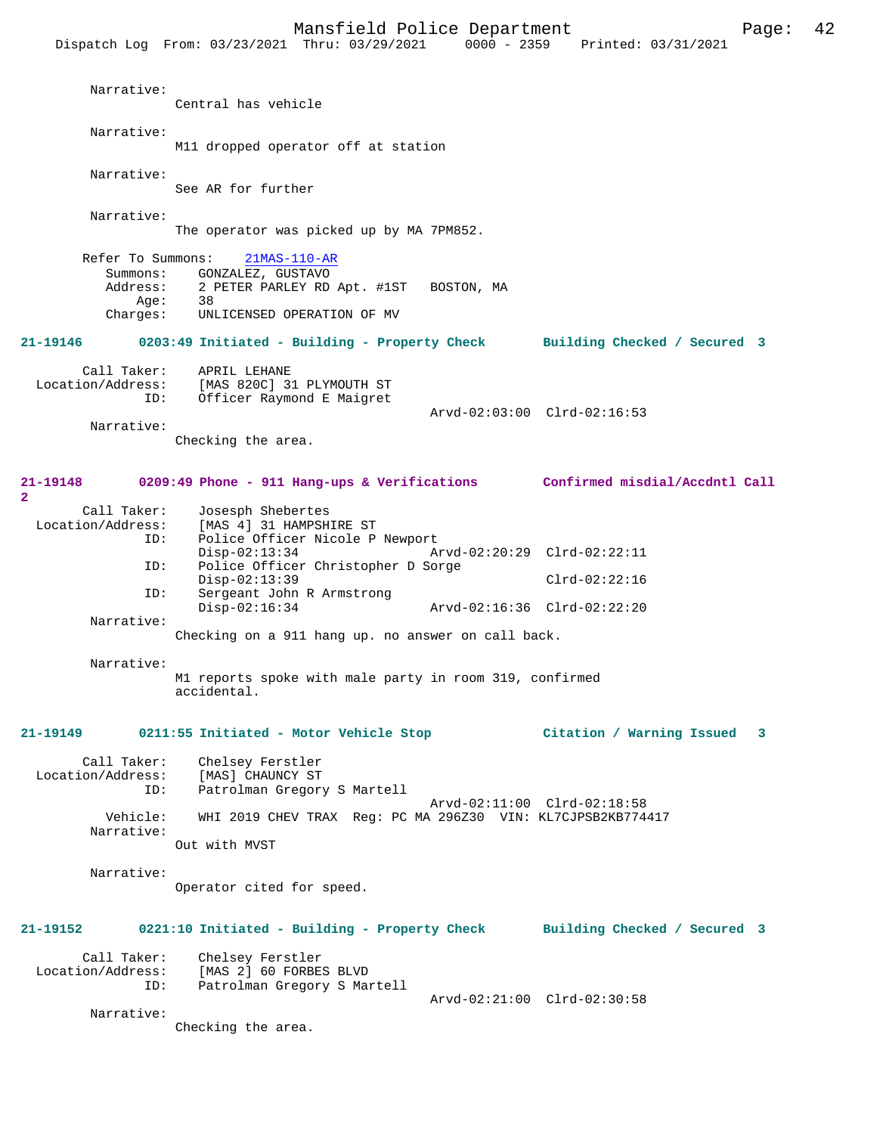|                                                       | Dispatch Log From: 03/23/2021 Thru: 03/29/2021<br>0000 - 2359                                                                       | Printed: 03/31/2021            |
|-------------------------------------------------------|-------------------------------------------------------------------------------------------------------------------------------------|--------------------------------|
| Narrative:                                            | Central has vehicle                                                                                                                 |                                |
| Narrative:                                            | M11 dropped operator off at station                                                                                                 |                                |
| Narrative:                                            | See AR for further                                                                                                                  |                                |
| Narrative:                                            | The operator was picked up by MA 7PM852.                                                                                            |                                |
| Refer To Summons:<br>Summons:<br>Age:                 | $21MAS-110-AR$<br>GONZALEZ, GUSTAVO<br>Address: 2 PETER PARLEY RD Apt. #1ST BOSTON, MA<br>38<br>Charges: UNLICENSED OPERATION OF MV |                                |
| 21-19146                                              | 0203:49 Initiated - Building - Property Check Building Checked / Secured 3                                                          |                                |
| Call Taker:<br>Location/Address:<br>ID:<br>Narrative: | APRIL LEHANE<br>[MAS 820C] 31 PLYMOUTH ST<br>Officer Raymond E Maigret                                                              | Arvd-02:03:00 Clrd-02:16:53    |
|                                                       | Checking the area.                                                                                                                  |                                |
| 21-19148<br>$\mathbf{2}$                              | 0209:49 Phone - 911 Hang-ups & Verifications Confirmed misdial/Accdntl Call                                                         |                                |
| Call Taker:<br>Location/Address:<br>ID:               | Josesph Shebertes<br>[MAS 4] 31 HAMPSHIRE ST<br>Police Officer Nicole P Newport<br>$Disp-02:13:34$                                  | Arvd-02:20:29 Clrd-02:22:11    |
| ID:                                                   | Police Officer Christopher D Sorge<br>$Disp-02:13:39$                                                                               | $Clrd-02:22:16$                |
| ID:                                                   | Sergeant John R Armstrong<br>$Disp-02:16:34$                                                                                        | Arvd-02:16:36 Clrd-02:22:20    |
| Narrative:                                            | Checking on a 911 hang up. no answer on call back.                                                                                  |                                |
| Narrative:                                            | M1 reports spoke with male party in room 319, confirmed<br>accidental.                                                              |                                |
| 21-19149                                              | 0211:55 Initiated - Motor Vehicle Stop                                                                                              | Citation / Warning Issued<br>3 |
| Call Taker:<br>Location/Address:<br>ID:               | Chelsey Ferstler<br>[MAS] CHAUNCY ST<br>Patrolman Gregory S Martell                                                                 | Arvd-02:11:00 Clrd-02:18:58    |
| Vehicle:<br>Narrative:                                | WHI 2019 CHEV TRAX Req: PC MA 296Z30 VIN: KL7CJPSB2KB774417<br>Out with MVST                                                        |                                |
| Narrative:                                            | Operator cited for speed.                                                                                                           |                                |
| 21-19152                                              | 0221:10 Initiated - Building - Property Check                                                                                       | Building Checked / Secured 3   |
| Call Taker:<br>Location/Address:<br>ID:               | Chelsey Ferstler<br>[MAS 2] 60 FORBES BLVD<br>Patrolman Gregory S Martell                                                           |                                |
| Narrative:                                            | Checking the area.                                                                                                                  | Arvd-02:21:00 Clrd-02:30:58    |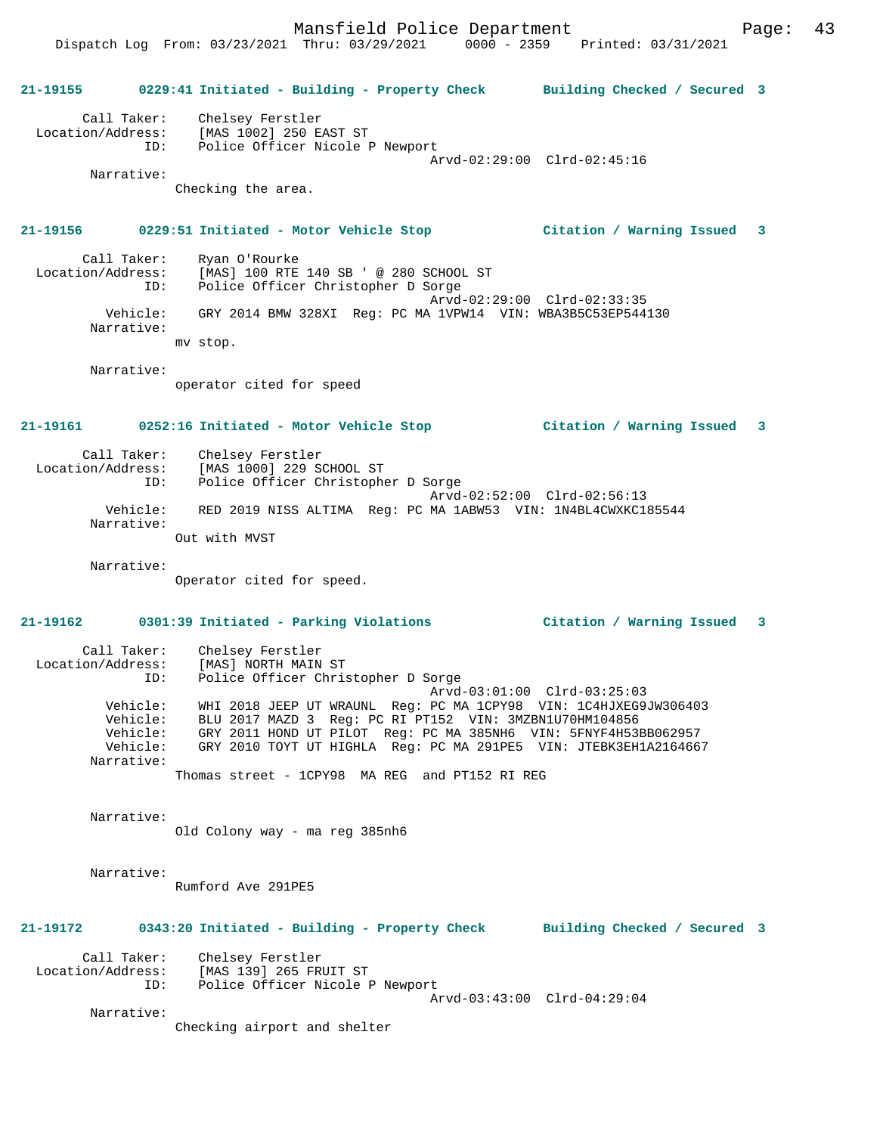Dispatch Log From: 03/23/2021 Thru: 03/29/2021 0000 - 2359 Printed: 03/31/2021

|                                  |                                         | 21-19155 0229:41 Initiated - Building - Property Check Building Checked / Secured 3                                                                                                                                                  |                              |  |
|----------------------------------|-----------------------------------------|--------------------------------------------------------------------------------------------------------------------------------------------------------------------------------------------------------------------------------------|------------------------------|--|
|                                  | ID:                                     | Call Taker: Chelsey Ferstler<br>Location/Address: [MAS 1002] 250 EAST ST<br>Police Officer Nicole P Newport                                                                                                                          |                              |  |
|                                  |                                         |                                                                                                                                                                                                                                      | Arvd-02:29:00 Clrd-02:45:16  |  |
|                                  | Narrative:                              | Checking the area.                                                                                                                                                                                                                   |                              |  |
|                                  |                                         | 21-19156 0229:51 Initiated - Motor Vehicle Stop Citation / Warning Issued 3                                                                                                                                                          |                              |  |
|                                  | Call Taker:<br>ID:                      | Ryan O'Rourke<br>Location/Address: [MAS] 100 RTE 140 SB ' @ 280 SCHOOL ST<br>Police Officer Christopher D Sorge                                                                                                                      | Arvd-02:29:00 Clrd-02:33:35  |  |
|                                  | Narrative:                              | Vehicle: GRY 2014 BMW 328XI Req: PC MA 1VPW14 VIN: WBA3B5C53EP544130                                                                                                                                                                 |                              |  |
|                                  |                                         | mv stop.                                                                                                                                                                                                                             |                              |  |
|                                  | Narrative:                              |                                                                                                                                                                                                                                      |                              |  |
|                                  |                                         | operator cited for speed                                                                                                                                                                                                             |                              |  |
|                                  |                                         | 21-19161 0252:16 Initiated - Motor Vehicle Stop Citation / Warning Issued 3                                                                                                                                                          |                              |  |
|                                  |                                         | Call Taker: Chelsey Ferstler                                                                                                                                                                                                         |                              |  |
|                                  |                                         | Location/Address: [MAS 1000] 229 SCHOOL ST<br>ID: Police Officer Christopher D Sorge                                                                                                                                                 |                              |  |
|                                  | Vehicle:                                | RED 2019 NISS ALTIMA Req: PC MA 1ABW53 VIN: 1N4BL4CWXKC185544                                                                                                                                                                        | Arvd-02:52:00 Clrd-02:56:13  |  |
|                                  | Narrative:                              | Out with MVST                                                                                                                                                                                                                        |                              |  |
|                                  |                                         |                                                                                                                                                                                                                                      |                              |  |
|                                  | Narrative:                              | Operator cited for speed.                                                                                                                                                                                                            |                              |  |
| 21-19162                         |                                         | 0301:39 Initiated - Parking Violations                                                                                                                                                                                               | Citation / Warning Issued 3  |  |
|                                  | Call Taker:                             | Chelsey Ferstler<br>Location/Address: [MAS] NORTH MAIN ST                                                                                                                                                                            |                              |  |
|                                  | ID:<br>Vehicle:<br>Vehicle:<br>Vehicle: | Police Officer Christopher D Sorge<br>WHI 2018 JEEP UT WRAUNL Req: PC MA 1CPY98 VIN: 1C4HJXEG9JW306403<br>BLU 2017 MAZD 3 Reg: PC RI PT152 VIN: 3MZBN1U70HM104856<br>GRY 2011 HOND UT PILOT Reg: PC MA 385NH6 VIN: 5FNYF4H53BB062957 | Arvd-03:01:00 Clrd-03:25:03  |  |
|                                  | Vehicle:<br>Narrative:                  | GRY 2010 TOYT UT HIGHLA Req: PC MA 291PE5 VIN: JTEBK3EH1A2164667                                                                                                                                                                     |                              |  |
|                                  |                                         | Thomas street - 1CPY98 MA REG and PT152 RI REG                                                                                                                                                                                       |                              |  |
|                                  | Narrative:                              | Old Colony way - ma reg 385nh6                                                                                                                                                                                                       |                              |  |
|                                  | Narrative:                              | Rumford Ave 291PE5                                                                                                                                                                                                                   |                              |  |
| 21-19172                         |                                         | 0343:20 Initiated - Building - Property Check                                                                                                                                                                                        | Building Checked / Secured 3 |  |
| Call Taker:<br>Location/Address: | ID:                                     | Chelsey Ferstler<br>[MAS 139] 265 FRUIT ST<br>Police Officer Nicole P Newport                                                                                                                                                        |                              |  |
|                                  | Narrative:                              |                                                                                                                                                                                                                                      | Arvd-03:43:00 Clrd-04:29:04  |  |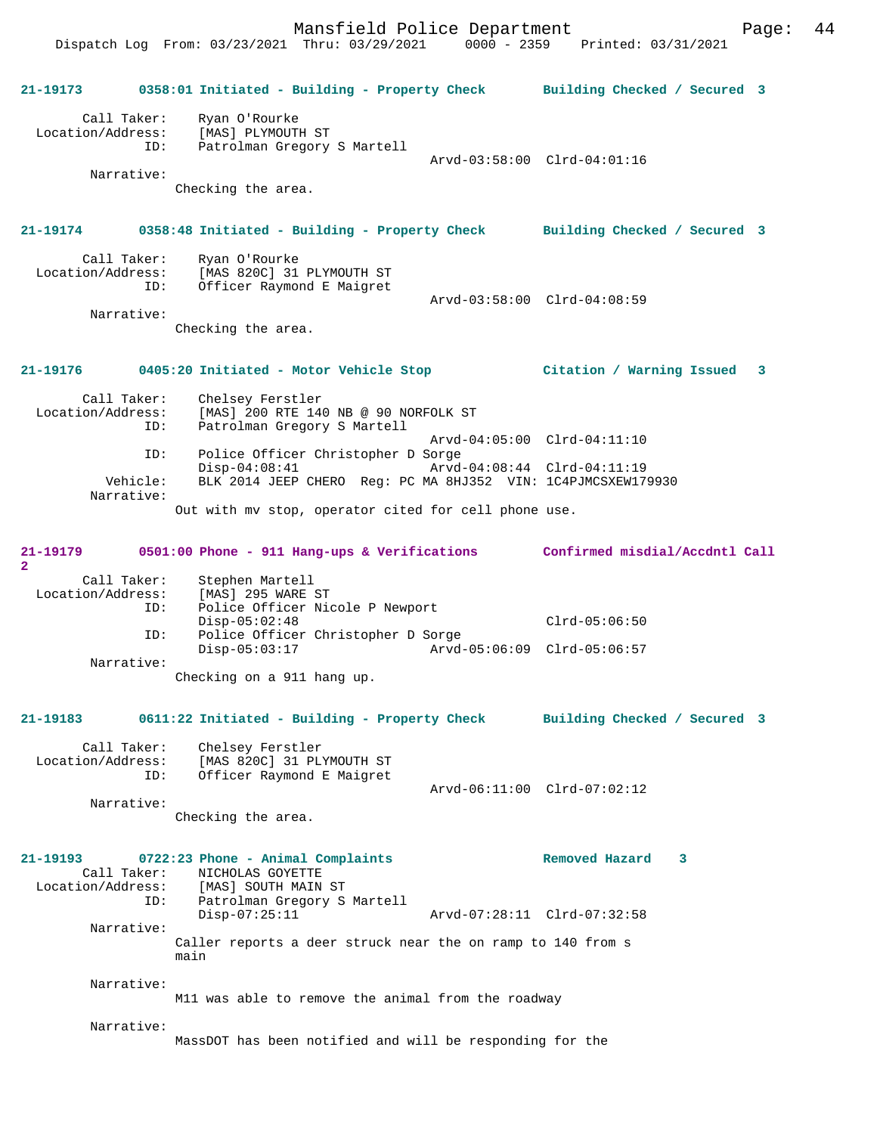Dispatch Log From: 03/23/2021 Thru: 03/29/2021 0000 - 2359 Printed: 03/31/2021

|                                  |                                                                                                                      | 21-19173 0358:01 Initiated - Building - Property Check Building Checked / Secured 3 |
|----------------------------------|----------------------------------------------------------------------------------------------------------------------|-------------------------------------------------------------------------------------|
| Call Taker:<br>Location/Address: | Ryan O'Rourke<br>[MAS] PLYMOUTH ST                                                                                   |                                                                                     |
|                                  | Patrolman Gregory S Martell<br>ID:                                                                                   |                                                                                     |
| Narrative:                       |                                                                                                                      | Arvd-03:58:00 Clrd-04:01:16                                                         |
|                                  | Checking the area.                                                                                                   |                                                                                     |
|                                  |                                                                                                                      |                                                                                     |
| 21-19174                         |                                                                                                                      | 0358:48 Initiated - Building - Property Check Building Checked / Secured 3          |
|                                  | Call Taker: Ryan O'Rourke<br>Location/Address: [MAS 820C] 31 PLYMOUTH ST                                             |                                                                                     |
|                                  | Officer Raymond E Maigret<br>ID:                                                                                     |                                                                                     |
| Narrative:                       |                                                                                                                      | Arvd-03:58:00 Clrd-04:08:59                                                         |
|                                  | Checking the area.                                                                                                   |                                                                                     |
|                                  |                                                                                                                      |                                                                                     |
| $21 - 19176$                     | 0405:20 Initiated - Motor Vehicle Stop                                                                               | Citation / Warning Issued 3                                                         |
| Call Taker:                      | Chelsey Ferstler                                                                                                     |                                                                                     |
| Location/Address:                | [MAS] 200 RTE 140 NB @ 90 NORFOLK ST<br>Patrolman Crosser C MB @ 90 NORFOLK ST<br>Patrolman Gregory S Martell<br>ID: |                                                                                     |
|                                  |                                                                                                                      | Arvd-04:05:00 Clrd-04:11:10                                                         |
|                                  | Police Officer Christopher D Sorge<br>ID:<br>$Disp-04:08:41$                                                         | Arvd-04:08:44 Clrd-04:11:19                                                         |
| Vehicle:<br>Narrative:           | BLK 2014 JEEP CHERO Reg: PC MA 8HJ352 VIN: 1C4PJMCSXEW179930                                                         |                                                                                     |
|                                  | Out with mv stop, operator cited for cell phone use.                                                                 |                                                                                     |
|                                  |                                                                                                                      |                                                                                     |
| $\overline{2}$                   | $21-19179$ 0501:00 Phone - 911 Hang-ups & Verifications                                                              | Confirmed misdial/Accdntl Call                                                      |
| Call Taker:                      | Stephen Martell                                                                                                      |                                                                                     |
|                                  | Location/Address: [MAS] 295 WARE ST<br>Police Officer Nicole P Newport<br>ID:                                        |                                                                                     |
|                                  | $Disp-05:02:48$<br>Police Officer Christopher D Sorge<br>ID:                                                         | $Clrd-05:06:50$                                                                     |
|                                  | $Disp-05:03:17$                                                                                                      |                                                                                     |
| Narrative:                       | Checking on a 911 hang up.                                                                                           |                                                                                     |
|                                  |                                                                                                                      |                                                                                     |
| 21-19183                         |                                                                                                                      | 0611:22 Initiated - Building - Property Check Building Checked / Secured 3          |
| Call Taker:                      | Chelsey Ferstler                                                                                                     |                                                                                     |
| Location/Address:                | [MAS 820C] 31 PLYMOUTH ST                                                                                            |                                                                                     |
|                                  | Officer Raymond E Maigret<br>ID:                                                                                     | Arvd-06:11:00 Clrd-07:02:12                                                         |
| Narrative:                       | Checking the area.                                                                                                   |                                                                                     |
|                                  |                                                                                                                      |                                                                                     |
| 21-19193                         | 0722:23 Phone - Animal Complaints                                                                                    | Removed Hazard<br>3                                                                 |
| Call Taker:                      | NICHOLAS GOYETTE                                                                                                     |                                                                                     |
| Location/Address:                | [MAS] SOUTH MAIN ST<br>ID:<br>Patrolman Gregory S Martell                                                            |                                                                                     |
| Narrative:                       | $Disp-07:25:11$                                                                                                      | Arvd-07:28:11 Clrd-07:32:58                                                         |
|                                  | Caller reports a deer struck near the on ramp to 140 from s                                                          |                                                                                     |
|                                  | main                                                                                                                 |                                                                                     |
| Narrative:                       | M11 was able to remove the animal from the roadway                                                                   |                                                                                     |
|                                  |                                                                                                                      |                                                                                     |
| Narrative:                       | MassDOT has been notified and will be responding for the                                                             |                                                                                     |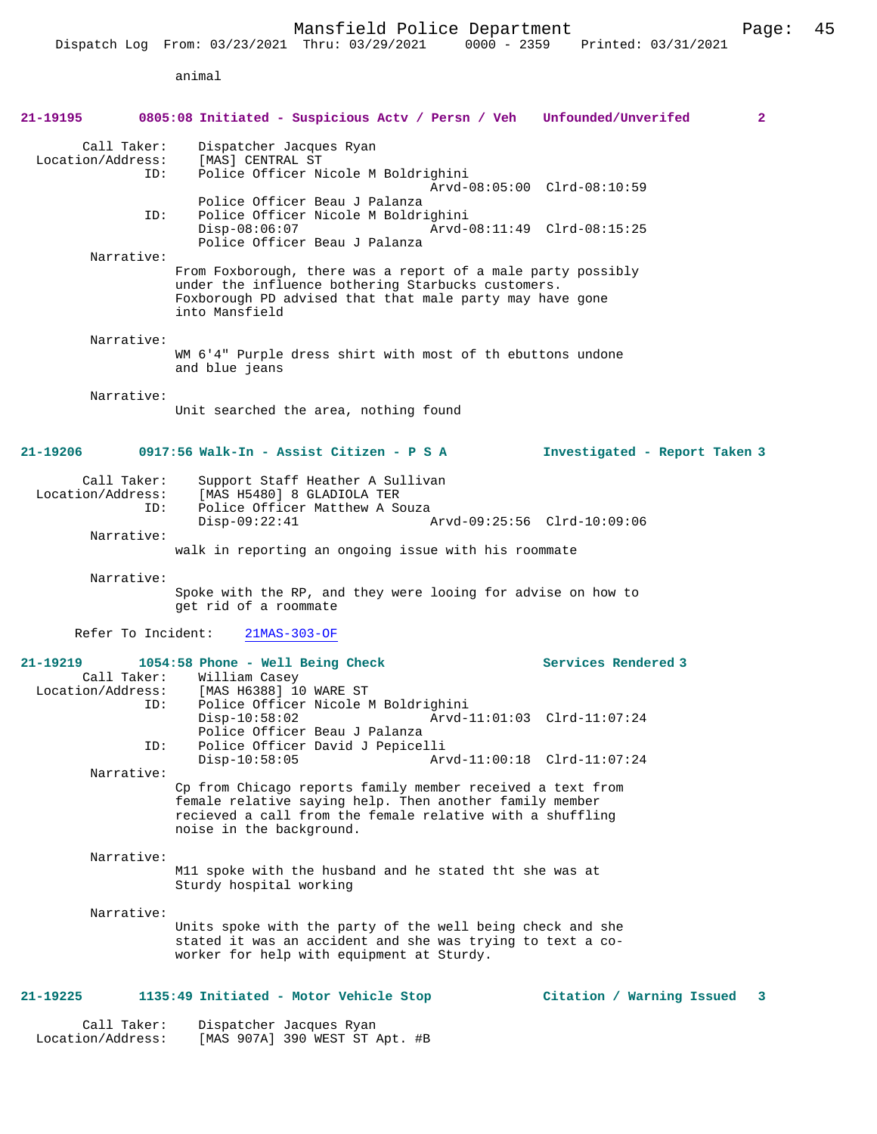animal

| 21-19195                          |                    | 0805:08 Initiated - Suspicious Acty / Persn / Veh Unfounded/Unverifed                                                                                                                                          | 2                                                          |
|-----------------------------------|--------------------|----------------------------------------------------------------------------------------------------------------------------------------------------------------------------------------------------------------|------------------------------------------------------------|
| Location/Address:                 | Call Taker:<br>ID: | Dispatcher Jacques Ryan<br>[MAS] CENTRAL ST<br>Police Officer Nicole M Boldrighini                                                                                                                             |                                                            |
|                                   | ID:                | Police Officer Beau J Palanza<br>Police Officer Nicole M Boldrighini<br>$Disp-08:06:07$                                                                                                                        | Arvd-08:05:00 Clrd-08:10:59<br>Arvd-08:11:49 Clrd-08:15:25 |
|                                   | Narrative:         | Police Officer Beau J Palanza                                                                                                                                                                                  |                                                            |
|                                   |                    | From Foxborough, there was a report of a male party possibly<br>under the influence bothering Starbucks customers.<br>Foxborough PD advised that that male party may have gone<br>into Mansfield               |                                                            |
|                                   | Narrative:         | WM 6'4" Purple dress shirt with most of th ebuttons undone<br>and blue jeans                                                                                                                                   |                                                            |
|                                   | Narrative:         | Unit searched the area, nothing found                                                                                                                                                                          |                                                            |
| 21-19206                          |                    | 0917:56 Walk-In - Assist Citizen - P S A                                                                                                                                                                       | Investigated - Report Taken 3                              |
| Location/Address:                 | Call Taker:<br>ID: | Support Staff Heather A Sullivan<br>[MAS H5480] 8 GLADIOLA TER<br>Police Officer Matthew A Souza                                                                                                               |                                                            |
|                                   | Narrative:         | $Disp-09:22:41$                                                                                                                                                                                                | Arvd-09:25:56 Clrd-10:09:06                                |
|                                   |                    | walk in reporting an ongoing issue with his roommate                                                                                                                                                           |                                                            |
|                                   | Narrative:         | Spoke with the RP, and they were looing for advise on how to<br>get rid of a roommate                                                                                                                          |                                                            |
|                                   | Refer To Incident: | $21MAS-303-OF$                                                                                                                                                                                                 |                                                            |
| $21 - 19219$<br>Location/Address: | Call Taker:<br>ID: | 1054:58 Phone - Well Being Check<br>William Casey<br>[MAS H6388] 10 WARE ST<br>Police Officer Nicole M Boldrighini                                                                                             | Services Rendered 3                                        |
|                                   |                    | $Disp-10:58:02$<br>Police Officer Beau J Palanza                                                                                                                                                               | Arvd-11:01:03 Clrd-11:07:24                                |
|                                   | ID:                | Police Officer David J Pepicelli<br>$Disp-10:58:05$                                                                                                                                                            | Arvd-11:00:18 Clrd-11:07:24                                |
|                                   | Narrative:         | Cp from Chicago reports family member received a text from<br>female relative saying help. Then another family member<br>recieved a call from the female relative with a shuffling<br>noise in the background. |                                                            |
|                                   | Narrative:         | M11 spoke with the husband and he stated tht she was at<br>Sturdy hospital working                                                                                                                             |                                                            |
|                                   | Narrative:         | Units spoke with the party of the well being check and she<br>stated it was an accident and she was trying to text a co-<br>worker for help with equipment at Sturdy.                                          |                                                            |
| 21-19225                          |                    | 1135:49 Initiated - Motor Vehicle Stop                                                                                                                                                                         | Citation / Warning Issued<br>3                             |
| Location/Address:                 | Call Taker:        | Dispatcher Jacques Ryan<br>[MAS 907A] 390 WEST ST Apt. #B                                                                                                                                                      |                                                            |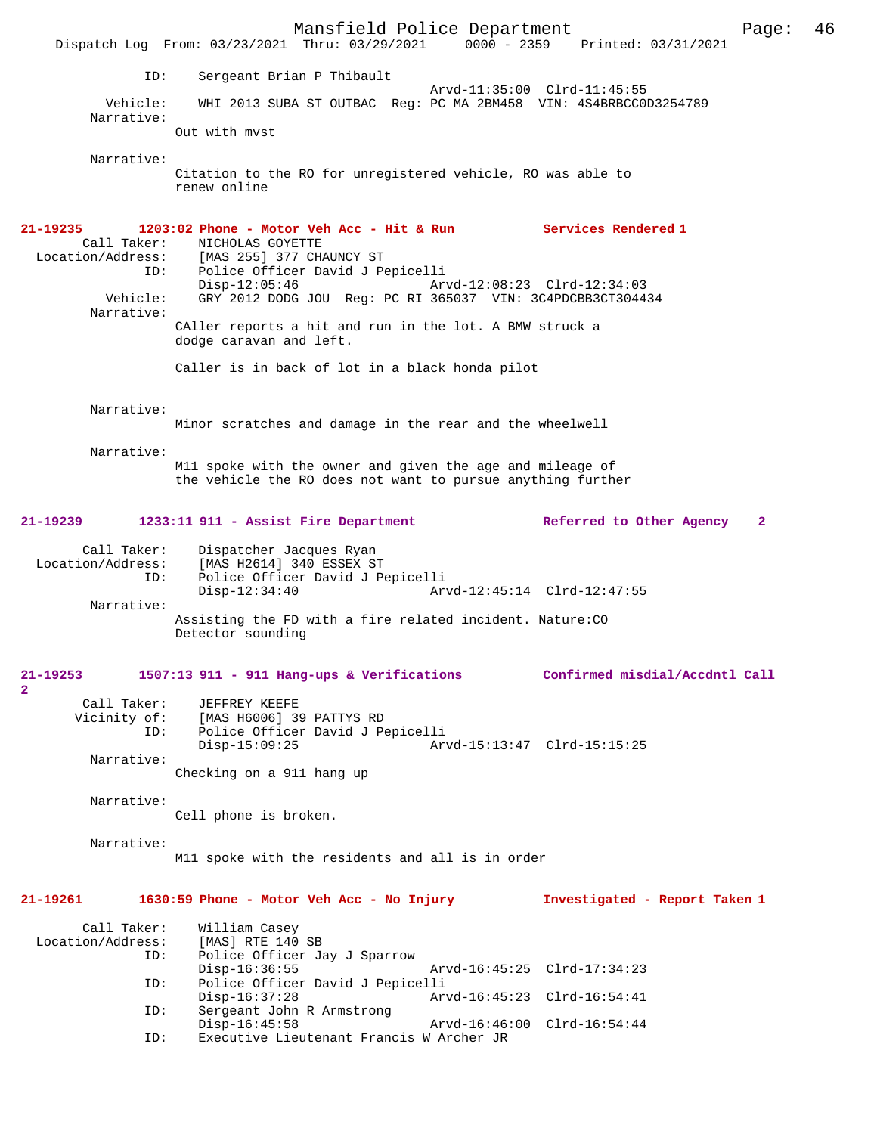Mansfield Police Department Form Page: 46 Dispatch Log From: 03/23/2021 Thru: 03/29/2021 0000 - 2359 Printed: 03/31/2021 ID: Sergeant Brian P Thibault Arvd-11:35:00 Clrd-11:45:55 Vehicle: WHI 2013 SUBA ST OUTBAC Reg: PC MA 2BM458 VIN: 4S4BRBCC0D3254789 Narrative: Out with mvst Narrative: Citation to the RO for unregistered vehicle, RO was able to renew online **21-19235 1203:02 Phone - Motor Veh Acc - Hit & Run Services Rendered 1**  Call Taker: NICHOLAS GOYETTE<br>Location/Address: [MAS 255] 377 CH Location/Address: [MAS 255] 377 CHAUNCY ST ID: Police Officer David J Pepicelli Disp-12:05:46 Arvd-12:08:23 Clrd-12:34:03 Vehicle: GRY 2012 DODG JOU Reg: PC RI 365037 VIN: 3C4PDCBB3CT304434 Narrative: CAller reports a hit and run in the lot. A BMW struck a dodge caravan and left. Caller is in back of lot in a black honda pilot Narrative: Minor scratches and damage in the rear and the wheelwell Narrative: M11 spoke with the owner and given the age and mileage of the vehicle the RO does not want to pursue anything further **21-19239 1233:11 911 - Assist Fire Department Referred to Other Agency 2** Call Taker: Dispatcher Jacques Ryan Location/Address: [MAS H2614] 340 ESSEX ST ID: Police Officer David J Pepicelli Disp-12:34:40 Arvd-12:45:14 Clrd-12:47:55 Narrative: Assisting the FD with a fire related incident. Nature:CO Detector sounding **21-19253 1507:13 911 - 911 Hang-ups & Verifications Confirmed misdial/Accdntl Call 2**  Call Taker: JEFFREY KEEFE<br>Vicinity of: [MAS H6006] 39 [MAS H6006] 39 PATTYS RD ID: Police Officer David J Pepicelli Disp-15:09:25 Arvd-15:13:47 Clrd-15:15:25 Narrative: Checking on a 911 hang up Narrative: Cell phone is broken. Narrative: M11 spoke with the residents and all is in order **21-19261 1630:59 Phone - Motor Veh Acc - No Injury Investigated - Report Taken 1** Call Taker: William Casey<br>Location/Address: [MAS] RTE 140 [MAS] RTE 140 SB ID: Police Officer Jay J Sparrow Disp-16:36:55 Arvd-16:45:25 Clrd-17:34:23 ID: Police Officer David J Pepicelli Disp-16:37:28 Arvd-16:45:23 Clrd-16:54:41<br>ID: Sergeant John R Armstrong Sergeant John R Armstrong<br>Disp-16:45:58 Disp-16:45:58 Arvd-16:46:00 Clrd-16:54:44<br>ID: Executive Lieutenant Francis W Archer JR Executive Lieutenant Francis W Archer JR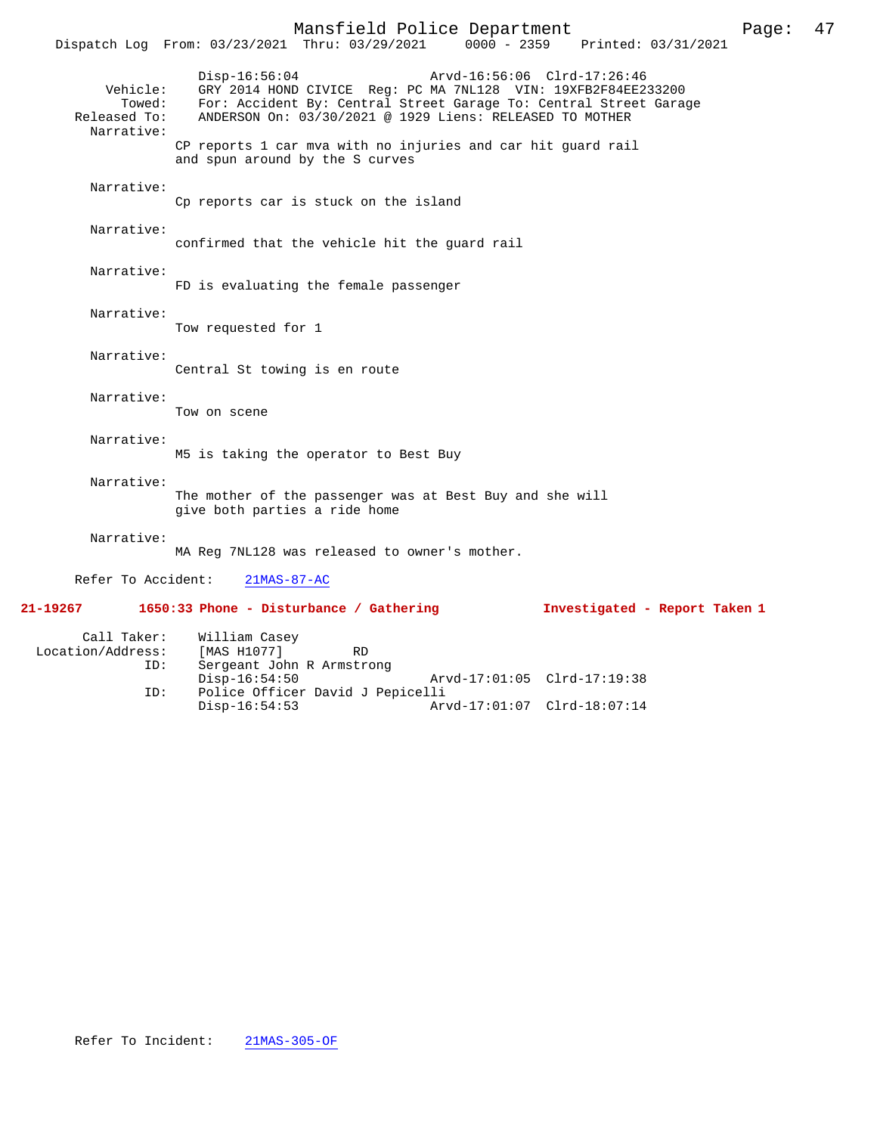Mansfield Police Department Page: 47 Dispatch Log From: 03/23/2021 Thru: 03/29/2021 Disp-16:56:04 Arvd-16:56:06 Clrd-17:26:46 Vehicle: GRY 2014 HOND CIVICE Reg: PC MA 7NL128 VIN: 19XFB2F84EE233200 Towed: For: Accident By: Central Street Garage To: Central Street Garage Released To: ANDERSON On: 03/30/2021 @ 1929 Liens: RELEASED TO MOTHER Narrative: CP reports 1 car mva with no injuries and car hit guard rail and spun around by the S curves Narrative: Cp reports car is stuck on the island Narrative: confirmed that the vehicle hit the guard rail Narrative: FD is evaluating the female passenger Narrative: Tow requested for 1 Narrative: Central St towing is en route Narrative: Tow on scene Narrative: M5 is taking the operator to Best Buy Narrative: The mother of the passenger was at Best Buy and she will give both parties a ride home Narrative: MA Reg 7NL128 was released to owner's mother. Refer To Accident: 21MAS-87-AC **21-19267 1650:33 Phone - Disturbance / Gathering Investigated - Report Taken 1** Call Taker: William Casey<br>
.on/Address: [MAS H1077] Location/Address: [MAS H1077] RD

| ---------------- |                                  |                             |                             |
|------------------|----------------------------------|-----------------------------|-----------------------------|
| ID:              | Sergeant John R Armstrong        |                             |                             |
|                  | Disp-16:54:50                    | Arvd-17:01:05 Clrd-17:19:38 |                             |
| ID:              | Police Officer David J Pepicelli |                             |                             |
|                  | Disp-16:54:53                    |                             | Arvd-17:01:07 Clrd-18:07:14 |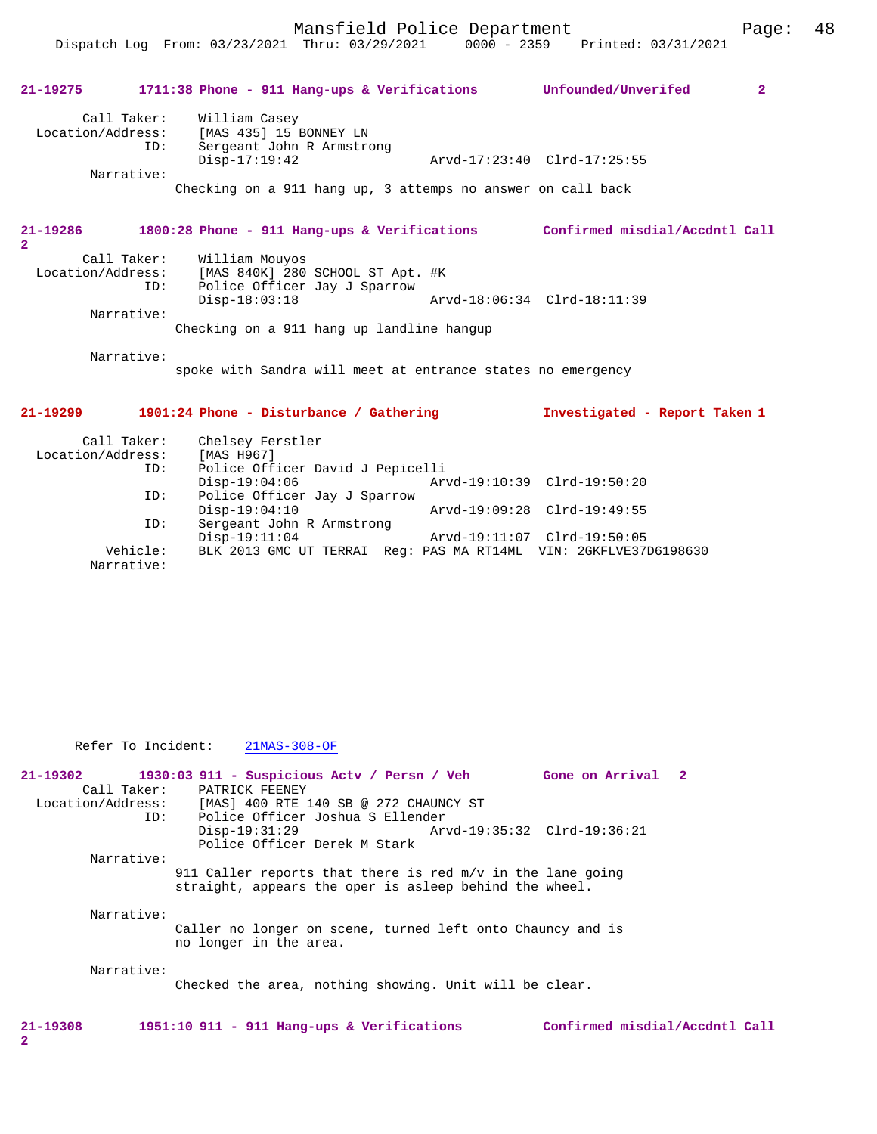Mansfield Police Department Page: 48

Dispatch Log From: 03/23/2021 Thru: 03/29/2021 0000 - 2359 Printed: 03/31/2021

# **21-19275 1711:38 Phone - 911 Hang-ups & Verifications Unfounded/Unverifed 2** Call Taker: William Casey Location/Address: [MAS 435] 15 BONNEY LN ID: Sergeant John R Armstrong Disp-17:19:42 Arvd-17:23:40 Clrd-17:25:55 Narrative: Checking on a 911 hang up, 3 attemps no answer on call back **21-19286 1800:28 Phone - 911 Hang-ups & Verifications Confirmed misdial/Accdntl Call 2**  Call Taker: William Mouyos<br>Location/Address: [MAS 840K] 280 ess: [MAS 840K] 280 SCHOOL ST Apt. #K<br>LD: Police Officer Jay J Sparrow Police Officer Jay J Sparrow Disp-18:03:18 Arvd-18:06:34 Clrd-18:11:39 Narrative: Checking on a 911 hang up landline hangup Narrative: spoke with Sandra will meet at entrance states no emergency

#### **21-19299 1901:24 Phone - Disturbance / Gathering Investigated - Report Taken 1**

| Call Taker:       | Chelsey Ferstler                                                 |                             |
|-------------------|------------------------------------------------------------------|-----------------------------|
| Location/Address: | [MAS H967]                                                       |                             |
| ID:               | Police Officer David J Pepicelli                                 |                             |
|                   | $Disp-19:04:06$                                                  | Arvd-19:10:39 Clrd-19:50:20 |
| ID:               | Police Officer Jay J Sparrow                                     |                             |
|                   | $Disp-19:04:10$                                                  | Arvd-19:09:28 Clrd-19:49:55 |
| ID:               | Sergeant John R Armstrong                                        |                             |
|                   | $Disp-19:11:04$                                                  | Arvd-19:11:07 Clrd-19:50:05 |
| Vehicle:          | BLK 2013 GMC UT TERRAI Req: PAS MA RT14ML VIN: 2GKFLVE37D6198630 |                             |
| Narrative:        |                                                                  |                             |

Refer To Incident: 21MAS-308-OF

**21-19302 1930:03 911 - Suspicious Actv / Persn / Veh Gone on Arrival 2**  Call Taker: PATRICK FEENEY<br>Location/Address: [MAS] 400 RTE ess: [MAS] 400 RTE 140 SB @ 272 CHAUNCY ST<br>ID: Police Officer Joshua S Ellender Police Officer Joshua S Ellender Disp-19:31:29 Arvd-19:35:32 Clrd-19:36:21 Police Officer Derek M Stark Narrative: 911 Caller reports that there is red m/v in the lane going straight, appears the oper is asleep behind the wheel. Narrative: Caller no longer on scene, turned left onto Chauncy and is no longer in the area. Narrative: Checked the area, nothing showing. Unit will be clear.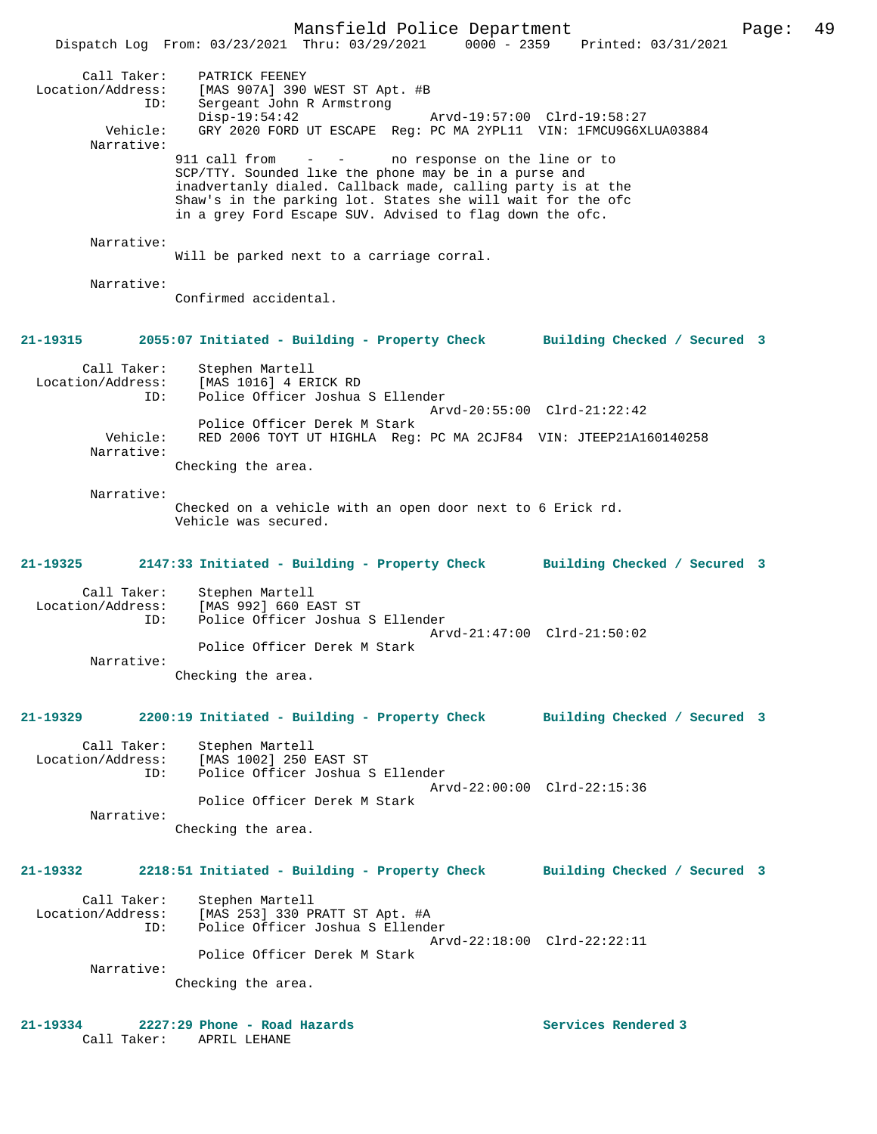Mansfield Police Department Page: 49 Dispatch Log From: 03/23/2021 Thru: 03/29/2021 0000 - 2359 Printed: 03/31/2021 Call Taker: PATRICK FEENEY Location/Address: [MAS 907A] 390 WEST ST Apt. #B ID: Sergeant John R Armstrong Disp-19:54:42 Arvd-19:57:00 Clrd-19:58:27 Vehicle: GRY 2020 FORD UT ESCAPE Reg: PC MA 2YPL11 VIN: 1FMCU9G6XLUA03884 Narrative:<br>911 call from no response on the line or to SCP/TTY. Sounded like the phone may be in a purse and inadvertanly dialed. Callback made, calling party is at the Shaw's in the parking lot. States she will wait for the ofc in a grey Ford Escape SUV. Advised to flag down the ofc. Narrative: Will be parked next to a carriage corral. Narrative: Confirmed accidental. **21-19315 2055:07 Initiated - Building - Property Check Building Checked / Secured 3** Call Taker: Stephen Martell Location/Address: [MAS 1016] 4 ERICK RD ID: Police Officer Joshua S Ellender Arvd-20:55:00 Clrd-21:22:42 Police Officer Derek M Stark<br>Vehicle: RED 2006 TOYT UT HIGHLA Req: RED 2006 TOYT UT HIGHLA Reg: PC MA 2CJF84 VIN: JTEEP21A160140258 Narrative: Checking the area. Narrative: Checked on a vehicle with an open door next to 6 Erick rd. Vehicle was secured. **21-19325 2147:33 Initiated - Building - Property Check Building Checked / Secured 3** Call Taker: Stephen Martell Location/Address: [MAS 992] 660 EAST ST<br>TD: Police Officer Joshua Police Officer Joshua S Ellender Arvd-21:47:00 Clrd-21:50:02 Police Officer Derek M Stark Narrative: Checking the area. **21-19329 2200:19 Initiated - Building - Property Check Building Checked / Secured 3** Call Taker: Stephen Martell Location/Address: [MAS 1002] 250 EAST ST ID: Police Officer Joshua S Ellender Arvd-22:00:00 Clrd-22:15:36 Police Officer Derek M Stark Narrative: Checking the area. **21-19332 2218:51 Initiated - Building - Property Check Building Checked / Secured 3** Call Taker: Stephen Martell<br>Location/Address: [MAS 253] 330 P Exational Mass: [MAS 253] 330 PRATT ST Apt. #A<br>ID: Police Officer Joshua S Ellende Police Officer Joshua S Ellender Arvd-22:18:00 Clrd-22:22:11

 Police Officer Derek M Stark Narrative:

Checking the area.

**21-19334 2227:29 Phone - Road Hazards Services Rendered 3**  Call Taker: APRIL LEHANE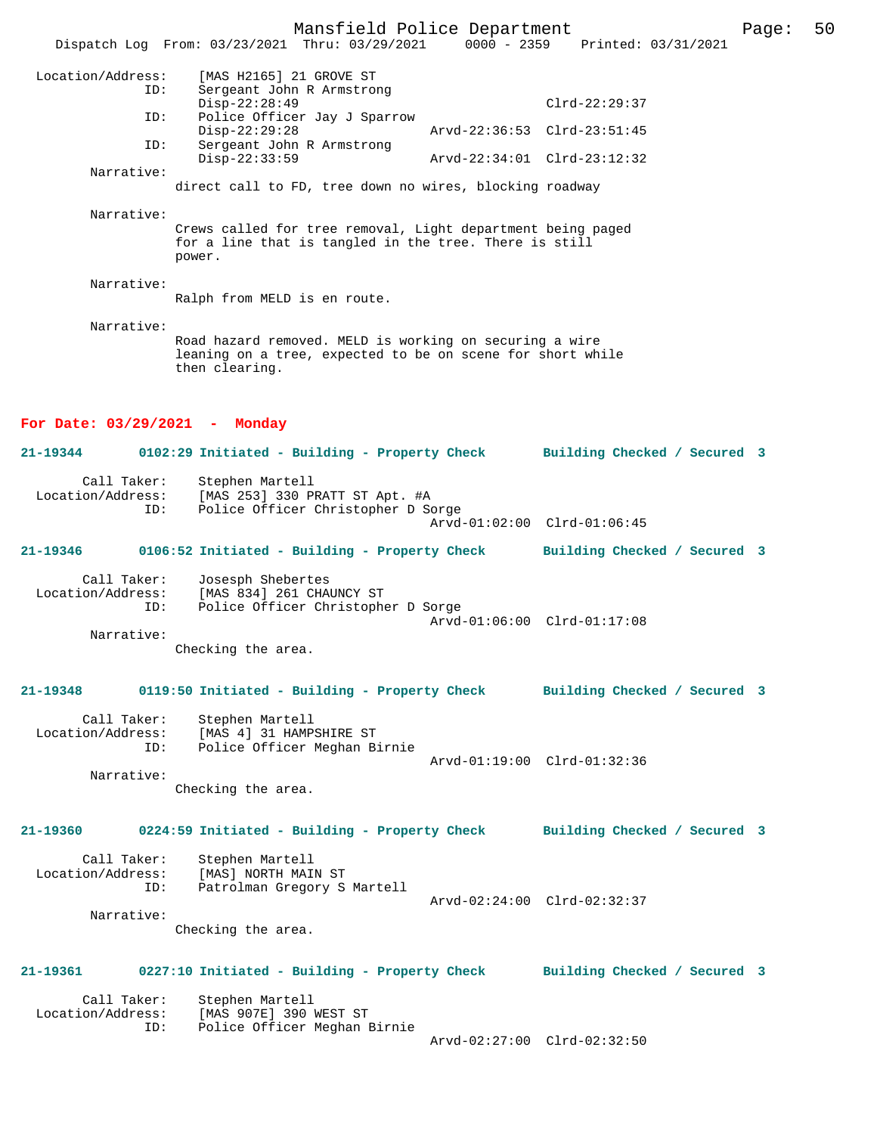Mansfield Police Department Page: 50 Dispatch Log From: 03/23/2021 Thru: 03/29/2021 Location/Address: [MAS H2165] 21 GROVE ST ID: Sergeant John R Armstrong Disp-22:28:49 Clrd-22:29:37<br>TD: Police Officer Jav J Sparrow Police Officer Jay J Sparrow<br>Disp-22:29:28 Disp-22:29:28 Arvd-22:36:53 Clrd-23:51:45 ID: Sergeant John R Armstrong Disp-22:33:59 Arvd-22:34:01 Clrd-23:12:32 Narrative: direct call to FD, tree down no wires, blocking roadway Narrative: Crews called for tree removal, Light department being paged for a line that is tangled in the tree. There is still power. Narrative: Ralph from MELD is en route. Narrative: Road hazard removed. MELD is working on securing a wire leaning on a tree, expected to be on scene for short while then clearing. **For Date: 03/29/2021 - Monday 21-19344 0102:29 Initiated - Building - Property Check Building Checked / Secured 3** Call Taker: Stephen Martell<br>Location/Address: [MAS 253] 330 P ess: [MAS 253] 330 PRATT ST Apt. #A<br>TD: Police Officer Christopher D So Police Officer Christopher D Sorge Arvd-01:02:00 Clrd-01:06:45 **21-19346 0106:52 Initiated - Building - Property Check Building Checked / Secured 3** Call Taker: Josesph Shebertes<br>Location/Address: [MAS 834] 261 CHA [MAS 834] 261 CHAUNCY ST ID: Police Officer Christopher D Sorge Arvd-01:06:00 Clrd-01:17:08 Narrative: Checking the area. **21-19348 0119:50 Initiated - Building - Property Check Building Checked / Secured 3** Call Taker: Stephen Martell<br>Location/Address: [MAS 4] 31 HAMP? ess: [MAS 4] 31 HAMPSHIRE ST<br>TD: Police Officer Meghan B Police Officer Meghan Birnie Arvd-01:19:00 Clrd-01:32:36 Narrative: Checking the area. **21-19360 0224:59 Initiated - Building - Property Check Building Checked / Secured 3** Call Taker: Stephen Martell<br>Location/Address: [MAS] NORTH MAI ess: [MAS] NORTH MAIN ST<br>ID: Patrolman Gregory S Patrolman Gregory S Martell Arvd-02:24:00 Clrd-02:32:37 Narrative: Checking the area. **21-19361 0227:10 Initiated - Building - Property Check Building Checked / Secured 3** Call Taker: Stephen Martell<br>Location/Address: [MAS 907E] 390 [MAS 907E] 390 WEST ST ID: Police Officer Meghan Birnie Arvd-02:27:00 Clrd-02:32:50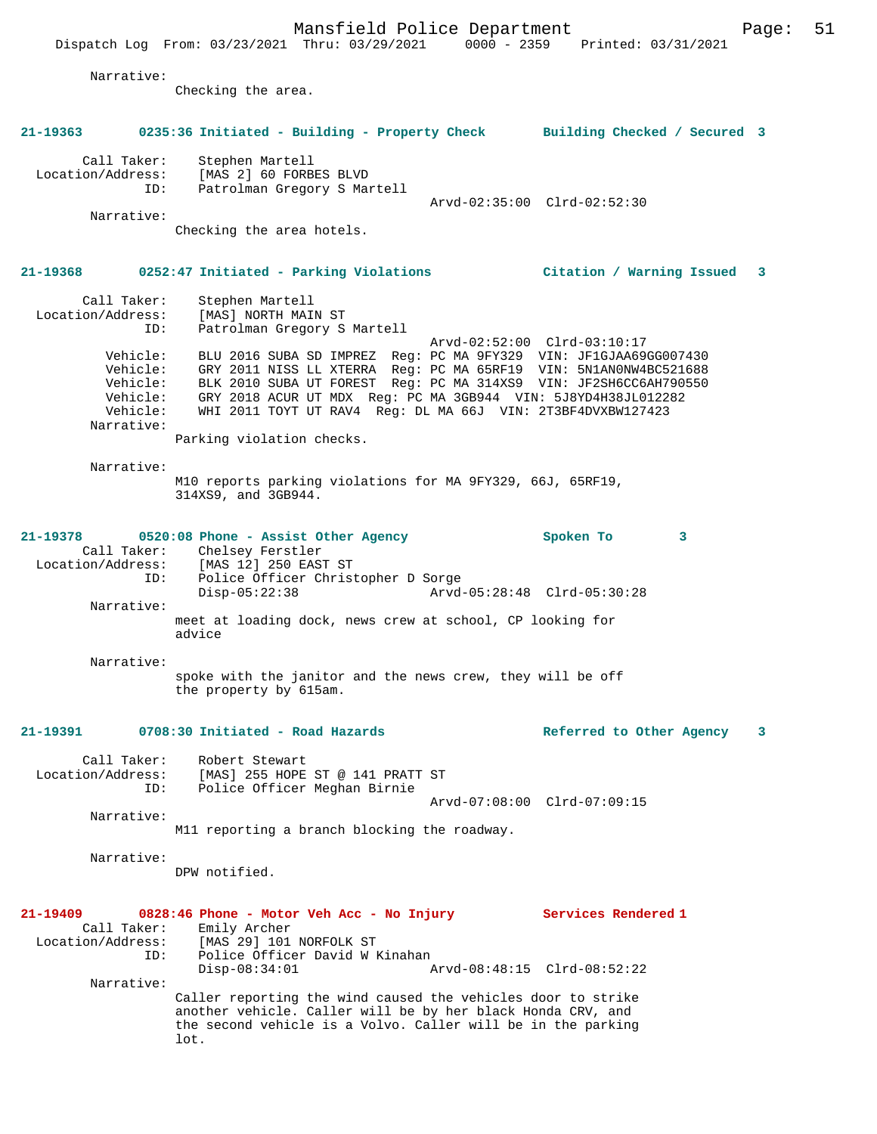Dispatch Log From: 03/23/2021 Thru: 03/29/2021 0000 - 2359 Printed: 03/31/2021

 Narrative: Checking the area. **21-19363 0235:36 Initiated - Building - Property Check Building Checked / Secured 3** Call Taker: Stephen Martell Location/Address: [MAS 2] 60 FORBES BLVD ID: Patrolman Gregory S Martell Arvd-02:35:00 Clrd-02:52:30 Narrative: Checking the area hotels. **21-19368 0252:47 Initiated - Parking Violations Citation / Warning Issued 3** Call Taker: Stephen Martell Location/Address: [MAS] NORTH MAIN ST ID: Patrolman Gregory S Martell Arvd-02:52:00 Clrd-03:10:17 Vehicle: BLU 2016 SUBA SD IMPREZ Reg: PC MA 9FY329 VIN: JF1GJAA69GG007430 Vehicle: GRY 2011 NISS LL XTERRA Reg: PC MA 65RF19 VIN: 5N1AN0NW4BC521688 Vehicle: BLK 2010 SUBA UT FOREST Reg: PC MA 314XS9 VIN: JF2SH6CC6AH790550 Vehicle: GRY 2018 ACUR UT MDX Reg: PC MA 3GB944 VIN: 5J8YD4H38JL012282 Vehicle: WHI 2011 TOYT UT RAV4 Reg: DL MA 66J VIN: 2T3BF4DVXBW127423 Narrative: Parking violation checks. Narrative: M10 reports parking violations for MA 9FY329, 66J, 65RF19, 314XS9, and 3GB944. **21-19378 0520:08 Phone - Assist Other Agency Spoken To 3**  Call Taker: Chelsey Ferstler Location/Address: [MAS 12] 250 EAST ST Location/Address: [MAS 12] 250 EAST ST<br>ID: Police Officer Christopher D Sorge Disp-05:22:38 Arvd-05:28:48 Clrd-05:30:28 Narrative: meet at loading dock, news crew at school, CP looking for advice Narrative: spoke with the janitor and the news crew, they will be off the property by 615am. **21-19391 0708:30 Initiated - Road Hazards Referred to Other Agency 3** Call Taker: Robert Stewart Location/Address: [MAS] 255 HOPE ST @ 141 PRATT ST ID: Police Officer Meghan Birnie Arvd-07:08:00 Clrd-07:09:15 Narrative: M11 reporting a branch blocking the roadway. Narrative: DPW notified. **21-19409 0828:46 Phone - Motor Veh Acc - No Injury Services Rendered 1**  Call Taker: Emily Archer<br>Location/Address: [MAS 29] 101 [MAS 29] 101 NORFOLK ST ID: Police Officer David W Kinahan<br>Disp-08:34:01 P Disp-08:34:01 Arvd-08:48:15 Clrd-08:52:22 Narrative: Caller reporting the wind caused the vehicles door to strike another vehicle. Caller will be by her black Honda CRV, and the second vehicle is a Volvo. Caller will be in the parking lot.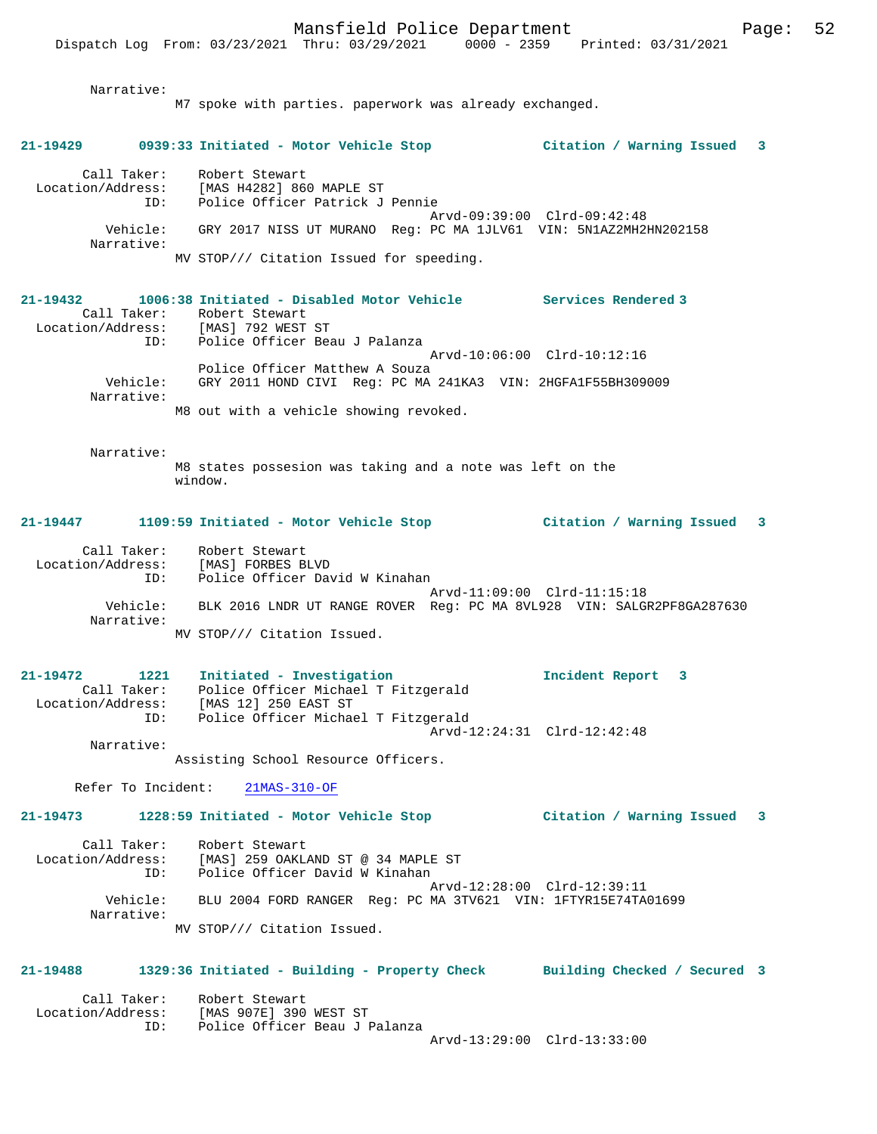Narrative:

M7 spoke with parties. paperwork was already exchanged. **21-19429 0939:33 Initiated - Motor Vehicle Stop Citation / Warning Issued 3** Call Taker: Robert Stewart Location/Address: [MAS H4282] 860 MAPLE ST ID: Police Officer Patrick J Pennie Arvd-09:39:00 Clrd-09:42:48 Vehicle: GRY 2017 NISS UT MURANO Reg: PC MA 1JLV61 VIN: 5N1AZ2MH2HN202158 Narrative: MV STOP/// Citation Issued for speeding. **21-19432 1006:38 Initiated - Disabled Motor Vehicle Services Rendered 3**  Call Taker: Robert Stewart Location/Address: [MAS] 792 WEST ST ID: Police Officer Beau J Palanza Arvd-10:06:00 Clrd-10:12:16 Police Officer Matthew A Souza Vehicle: GRY 2011 HOND CIVI Reg: PC MA 241KA3 VIN: 2HGFA1F55BH309009 Narrative: M8 out with a vehicle showing revoked. Narrative: M8 states possesion was taking and a note was left on the window. **21-19447 1109:59 Initiated - Motor Vehicle Stop Citation / Warning Issued 3** Call Taker: Robert Stewart Location/Address: [MAS] FORBES BLVD ID: Police Officer David W Kinahan Arvd-11:09:00 Clrd-11:15:18 Vehicle: BLK 2016 LNDR UT RANGE ROVER Reg: PC MA 8VL928 VIN: SALGR2PF8GA287630 Narrative: MV STOP/// Citation Issued. **21-19472 1221 Initiated - Investigation Incident Report 3**  Call Taker: Police Officer Michael T Fitzgerald Location/Address: [MAS 12] 250 EAST ST ID: Police Officer Michael T Fitzgerald Arvd-12:24:31 Clrd-12:42:48 Narrative: Assisting School Resource Officers. Refer To Incident: 21MAS-310-OF **21-19473 1228:59 Initiated - Motor Vehicle Stop Citation / Warning Issued 3** Call Taker: Robert Stewart Location/Address: [MAS] 259 OAKLAND ST @ 34 MAPLE ST ID: Police Officer David W Kinahan Arvd-12:28:00 Clrd-12:39:11 Vehicle: BLU 2004 FORD RANGER Reg: PC MA 3TV621 VIN: 1FTYR15E74TA01699 Narrative: MV STOP/// Citation Issued. **21-19488 1329:36 Initiated - Building - Property Check Building Checked / Secured 3** Call Taker: Robert Stewart<br>Location/Address: [MAS 907E] 390 ess: [MAS 907E] 390 WEST ST<br>ID: Police Officer Beau .<br>Police Officer Beau J Palanza

Arvd-13:29:00 Clrd-13:33:00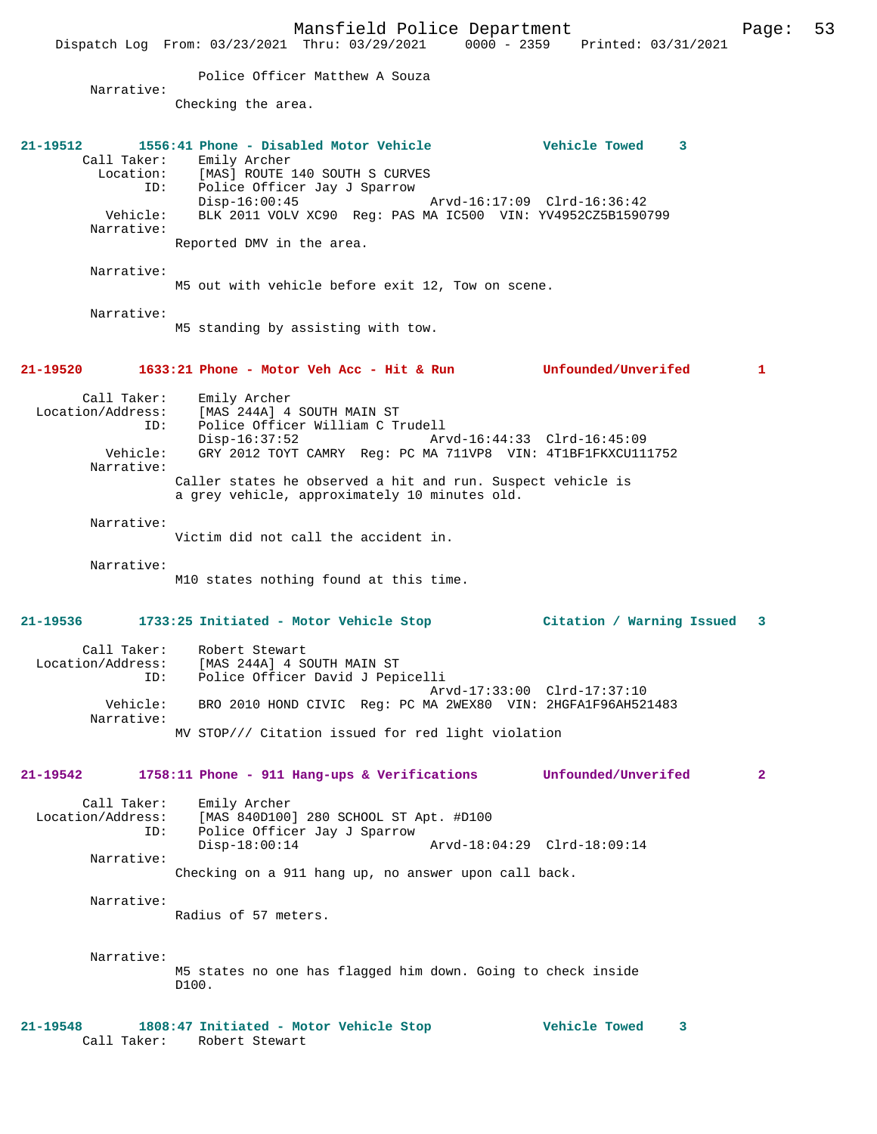Dispatch Log From: 03/23/2021 Thru: 03/29/2021 0000 - 2359 Printed: 03/31/2021 Police Officer Matthew A Souza Narrative: Checking the area. **21-19512 1556:41 Phone - Disabled Motor Vehicle Vehicle Towed 3**  Call Taker: Emily Archer<br>Location: [MAS] ROUTE Location: [MAS] ROUTE 140 SOUTH S CURVES ID: Police Officer Jay J Sparrow Disp-16:00:45 Arvd-16:17:09 Clrd-16:36:42 Vehicle: BLK 2011 VOLV XC90 Reg: PAS MA IC500 VIN: YV4952CZ5B1590799 Narrative: Reported DMV in the area. Narrative: M5 out with vehicle before exit 12, Tow on scene. Narrative: M5 standing by assisting with tow. **21-19520 1633:21 Phone - Motor Veh Acc - Hit & Run Unfounded/Unverifed 1** Call Taker: Emily Archer Location/Address: [MAS 244A] 4 SOUTH MAIN ST ID: Police Officer William C Trudell Disp-16:37:52 Arvd-16:44:33 Clrd-16:45:09 GRY 2012 TOYT CAMRY Reg: PC MA 711VP8 VIN: 4T1BF1FKXCU111752 Narrative: Caller states he observed a hit and run. Suspect vehicle is a grey vehicle, approximately 10 minutes old. Narrative: Victim did not call the accident in. Narrative: M10 states nothing found at this time. **21-19536 1733:25 Initiated - Motor Vehicle Stop Citation / Warning Issued 3** Call Taker: Robert Stewart Location/Address: [MAS 244A] 4 SOUTH MAIN ST ID: Police Officer David J Pepicelli Arvd-17:33:00 Clrd-17:37:10 Vehicle: BRO 2010 HOND CIVIC Reg: PC MA 2WEX80 VIN: 2HGFA1F96AH521483 Narrative: MV STOP/// Citation issued for red light violation **21-19542 1758:11 Phone - 911 Hang-ups & Verifications Unfounded/Unverifed 2** Call Taker: Emily Archer Location/Address: [MAS 840D100] 280 SCHOOL ST Apt. #D100<br>ID: Police Officer Jav J Sparrow Police Officer Jay J Sparrow<br>Disp-18:00:14 Disp-18:00:14 Arvd-18:04:29 Clrd-18:09:14 Narrative: Checking on a 911 hang up, no answer upon call back. Narrative: Radius of 57 meters. Narrative: M5 states no one has flagged him down. Going to check inside D100.

Mansfield Police Department Page: 53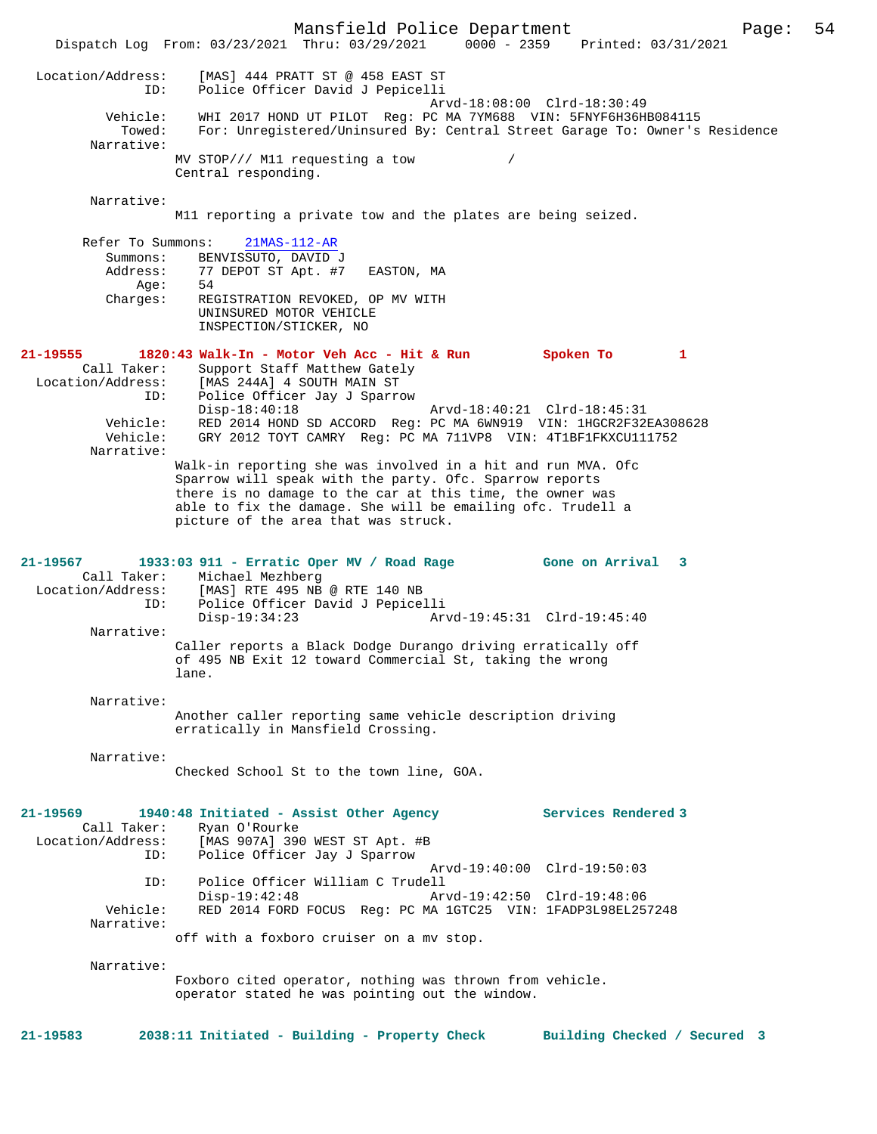Mansfield Police Department Page: 54 Dispatch Log From: 03/23/2021 Thru: 03/29/2021 0000 - 2359 Printed: 03/31/2021 Location/Address: [MAS] 444 PRATT ST @ 458 EAST ST ID: Police Officer David J Pepicelli Arvd-18:08:00 Clrd-18:30:49 Vehicle: WHI 2017 HOND UT PILOT Reg: PC MA 7YM688 VIN: 5FNYF6H36HB084115 Towed: For: Unregistered/Uninsured By: Central Street Garage To: Owner's Residence Narrative: MV STOP/// M11 requesting a tow / Central responding. Narrative: M11 reporting a private tow and the plates are being seized. Refer To Summons: 21MAS-112-AR Summons: BENVISSUTO, DAVID J Address: 77 DEPOT ST Apt. #7 EASTON, MA<br>  $\Delta G = 54$ Age:<br>:Charges REGISTRATION REVOKED, OP MV WITH UNINSURED MOTOR VEHICLE INSPECTION/STICKER, NO **21-19555 1820:43 Walk-In - Motor Veh Acc - Hit & Run Spoken To 1**  Call Taker: Support Staff Matthew Gately Location/Address: [MAS 244A] 4 SOUTH MAIN ST ID: Police Officer Jay J Sparrow<br>Disp-18:40:18 Disp-18:40:18 Arvd-18:40:21 Clrd-18:45:31 Vehicle: RED 2014 HOND SD ACCORD Reg: PC MA 6WN919 VIN: 1HGCR2F32EA308628 Vehicle: GRY 2012 TOYT CAMRY Reg: PC MA 711VP8 VIN: 4T1BF1FKXCU111752 Narrative: Walk-in reporting she was involved in a hit and run MVA. Ofc Sparrow will speak with the party. Ofc. Sparrow reports there is no damage to the car at this time, the owner was able to fix the damage. She will be emailing ofc. Trudell a picture of the area that was struck. **21-19567 1933:03 911 - Erratic Oper MV / Road Rage Gone on Arrival 3**  Call Taker: Michael Mezhberg<br>Location/Address: [MAS] RTE 495 NB Location/Address: [MAS] RTE 495 NB @ RTE 140 NB ID: Police Officer David J Pepicelli Disp-19:34:23 Arvd-19:45:31 Clrd-19:45:40 Narrative: Caller reports a Black Dodge Durango driving erratically off of 495 NB Exit 12 toward Commercial St, taking the wrong lane. Narrative: Another caller reporting same vehicle description driving erratically in Mansfield Crossing. Narrative: Checked School St to the town line, GOA. **21-19569 1940:48 Initiated - Assist Other Agency Services Rendered 3**  Call Taker: Ryan O'Rourke<br>Location/Address: [MAS 907A] 390 ess: [MAS 907A] 390 WEST ST Apt. #B<br>ID: Police Officer Jay J Sparrow Police Officer Jay J Sparrow Arvd-19:40:00 Clrd-19:50:03 ID: Police Officer William C Trudell Disp-19:42:48 Arvd-19:42:50 Clrd-19:48:06 Vehicle: RED 2014 FORD FOCUS Reg: PC MA 1GTC25 VIN: 1FADP3L98EL257248 Narrative: off with a foxboro cruiser on a mv stop. Narrative: Foxboro cited operator, nothing was thrown from vehicle. operator stated he was pointing out the window. **21-19583 2038:11 Initiated - Building - Property Check Building Checked / Secured 3**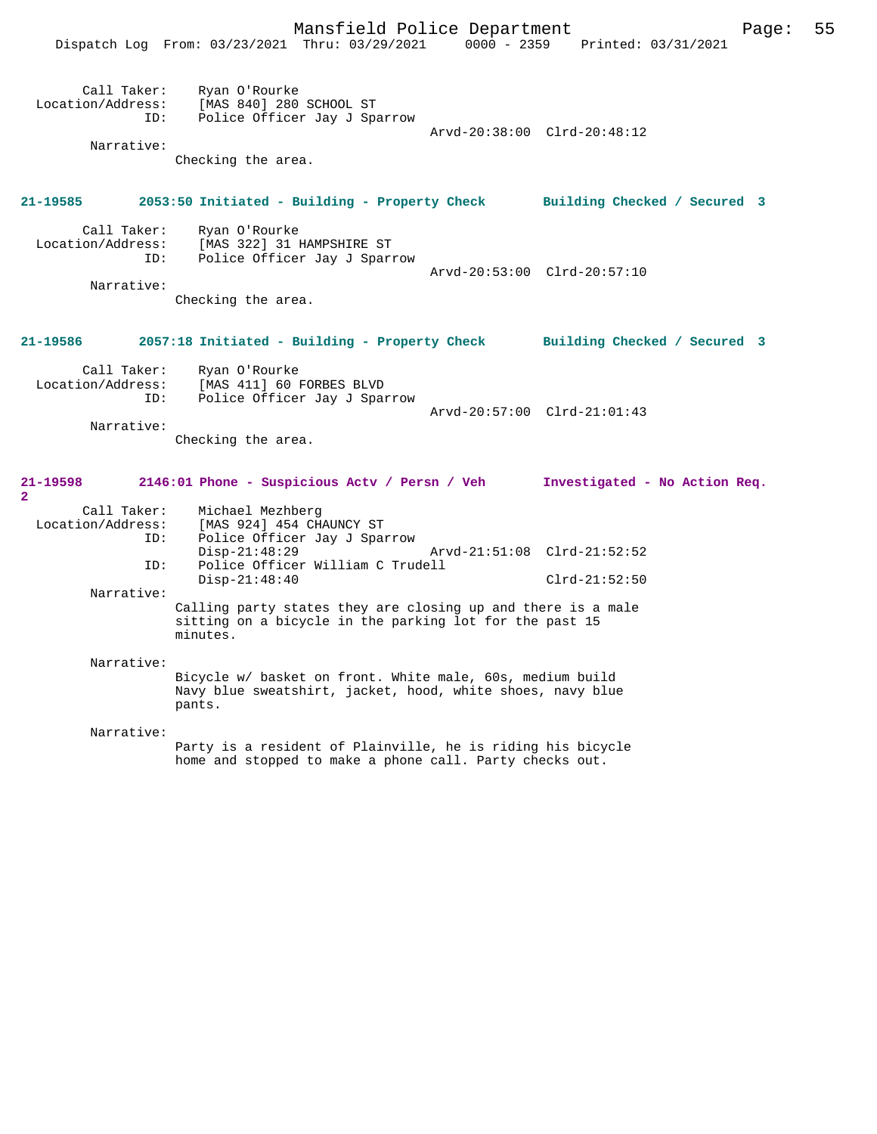|                                      | Mansfield Police Department<br>Dispatch Log From: 03/23/2021 Thru: 03/29/2021 0000 - 2359 Printed: 03/31/2021                                                                | 55<br>Page:                                    |
|--------------------------------------|------------------------------------------------------------------------------------------------------------------------------------------------------------------------------|------------------------------------------------|
| ID:<br>Narrative:                    | Call Taker: Ryan O'Rourke<br>Location/Address: [MAS 840] 280 SCHOOL ST<br>Police Officer Jay J Sparrow<br>Checking the area.                                                 | Arvd-20:38:00 Clrd-20:48:12                    |
| 21-19585                             | 2053:50 Initiated - Building - Property Check Building Checked / Secured 3                                                                                                   |                                                |
| ID:<br>Narrative:                    | Call Taker: Ryan O'Rourke<br>Location/Address: [MAS 322] 31 HAMPSHIRE ST<br>Police Officer Jay J Sparrow<br>Checking the area.                                               | Arvd-20:53:00 Clrd-20:57:10                    |
| 21-19586                             | 2057:18 Initiated - Building - Property Check Building Checked / Secured 3                                                                                                   |                                                |
| ID:<br>Narrative:                    | Call Taker: Ryan O'Rourke<br>Location/Address: [MAS 411] 60 FORBES BLVD<br>Police Officer Jay J Sparrow<br>Checking the area.                                                | Arvd-20:57:00 Clrd-21:01:43                    |
| 21-19598                             | 2146:01 Phone - Suspicious Actv / Persn / Veh Investigated - No Action Req.                                                                                                  |                                                |
| $\overline{a}$<br>Call Taker:<br>ID: | Michael Mezhberg<br>Location/Address: [MAS 924] 454 CHAUNCY ST<br>ID: Police Officer Jay J Sparrow<br>$Disp-21:48:29$<br>Police Officer William C Trudell<br>$Disp-21:48:40$ | Arvd-21:51:08 Clrd-21:52:52<br>$Clrd-21:52:50$ |
| Narrative:                           | Calling party states they are closing up and there is a male<br>sitting on a bicycle in the parking lot for the past 15<br>minutes.                                          |                                                |
| Narrative:                           | Bicycle w/ basket on front. White male, 60s, medium build<br>Navy blue sweatshirt, jacket, hood, white shoes, navy blue<br>pants.                                            |                                                |
| Narrative:                           | Party is a resident of Plainville, he is riding his bicycle<br>home and stopped to make a phone call. Party checks out.                                                      |                                                |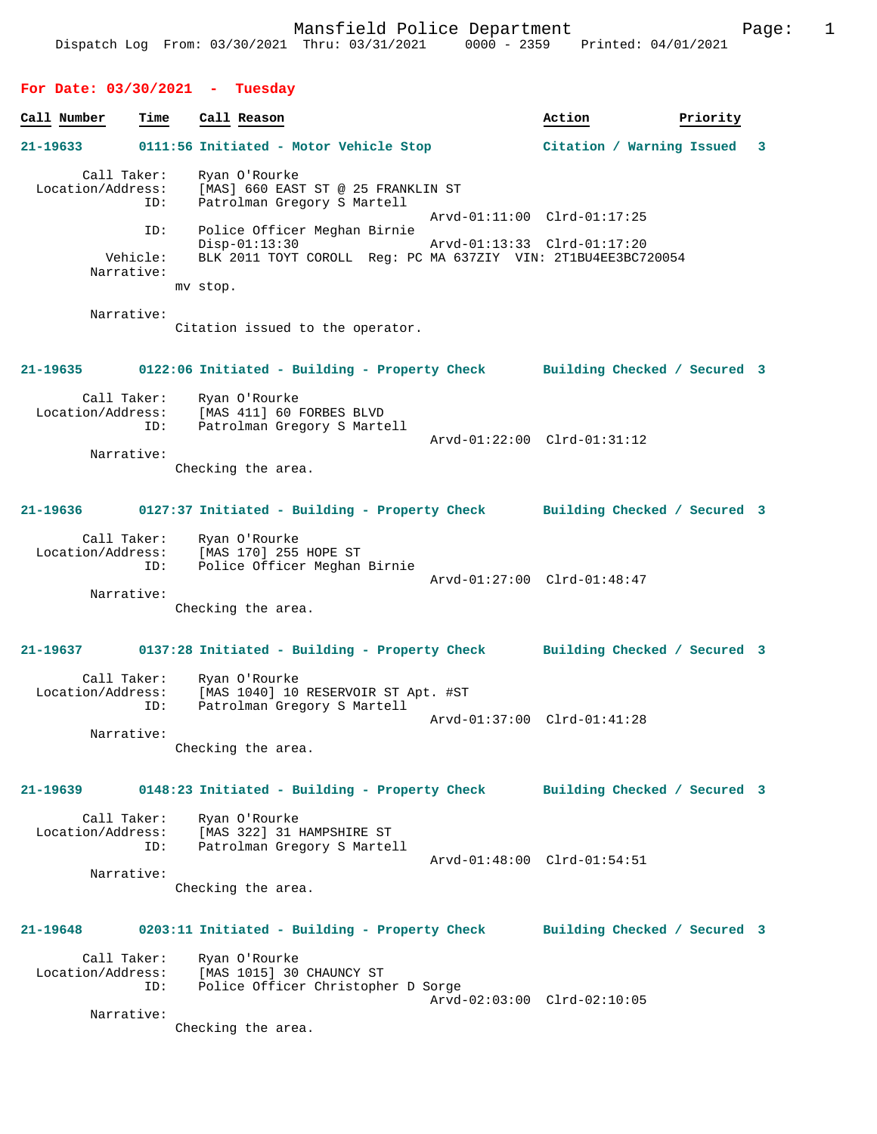| For Date: $03/30/2021 -$         |      | Tuesday                                                                                           |                              |          |   |
|----------------------------------|------|---------------------------------------------------------------------------------------------------|------------------------------|----------|---|
| Call Number                      | Time | Call Reason                                                                                       | Action                       | Priority |   |
| 21-19633                         |      | 0111:56 Initiated - Motor Vehicle Stop                                                            | Citation / Warning Issued    |          | 3 |
| Call Taker:<br>Location/Address: | ID:  | Ryan O'Rourke<br>[MAS] 660 EAST ST @ 25 FRANKLIN ST<br>Patrolman Gregory S Martell                |                              |          |   |
|                                  | ID:  | Police Officer Meghan Birnie                                                                      | Arvd-01:11:00 Clrd-01:17:25  |          |   |
| Vehicle:<br>Narrative:           |      | $Disp-01:13:30$<br>BLK 2011 TOYT COROLL Req: PC MA 637ZIY VIN: 2T1BU4EE3BC720054                  | Arvd-01:13:33 Clrd-01:17:20  |          |   |
|                                  |      | mv stop.                                                                                          |                              |          |   |
| Narrative:                       |      | Citation issued to the operator.                                                                  |                              |          |   |
| $21 - 19635$                     |      | 0122:06 Initiated - Building - Property Check Building Checked / Secured 3                        |                              |          |   |
| Call Taker:                      | ID:  | Ryan O'Rourke<br>Location/Address: [MAS 411] 60 FORBES BLVD<br>Patrolman Gregory S Martell        |                              |          |   |
| Narrative:                       |      | Checking the area.                                                                                | Arvd-01:22:00 Clrd-01:31:12  |          |   |
| 21-19636                         |      | 0127:37 Initiated - Building - Property Check Building Checked / Secured 3                        |                              |          |   |
| Call Taker:                      | ID:  | Ryan O'Rourke<br>Location/Address: [MAS 170] 255 HOPE ST<br>Police Officer Meghan Birnie          | Arvd-01:27:00 Clrd-01:48:47  |          |   |
| Narrative:                       |      | Checking the area.                                                                                |                              |          |   |
| $21 - 19637$                     |      | 0137:28 Initiated - Building - Property Check Building Checked / Secured 3                        |                              |          |   |
| Call Taker:<br>Location/Address: | ID:  | Ryan O'Rourke<br>[MAS 1040] 10 RESERVOIR ST Apt. #ST<br>Patrolman Gregory S Martell               |                              |          |   |
| Narrative:                       |      | Checking the area.                                                                                | Arvd-01:37:00 Clrd-01:41:28  |          |   |
| 21-19639                         |      | 0148:23 Initiated - Building - Property Check                                                     | Building Checked / Secured 3 |          |   |
| Call Taker:<br>Location/Address: | ID:  | Ryan O'Rourke<br>[MAS 322] 31 HAMPSHIRE ST<br>Patrolman Gregory S Martell                         | Arvd-01:48:00 Clrd-01:54:51  |          |   |
| Narrative:                       |      | Checking the area.                                                                                |                              |          |   |
| 21-19648                         |      | 0203:11 Initiated - Building - Property Check                                                     | Building Checked / Secured 3 |          |   |
| Call Taker:                      | ID:  | Ryan O'Rourke<br>Location/Address: [MAS 1015] 30 CHAUNCY ST<br>Police Officer Christopher D Sorge | Arvd-02:03:00 Clrd-02:10:05  |          |   |
| Narrative:                       |      | Checking the area.                                                                                |                              |          |   |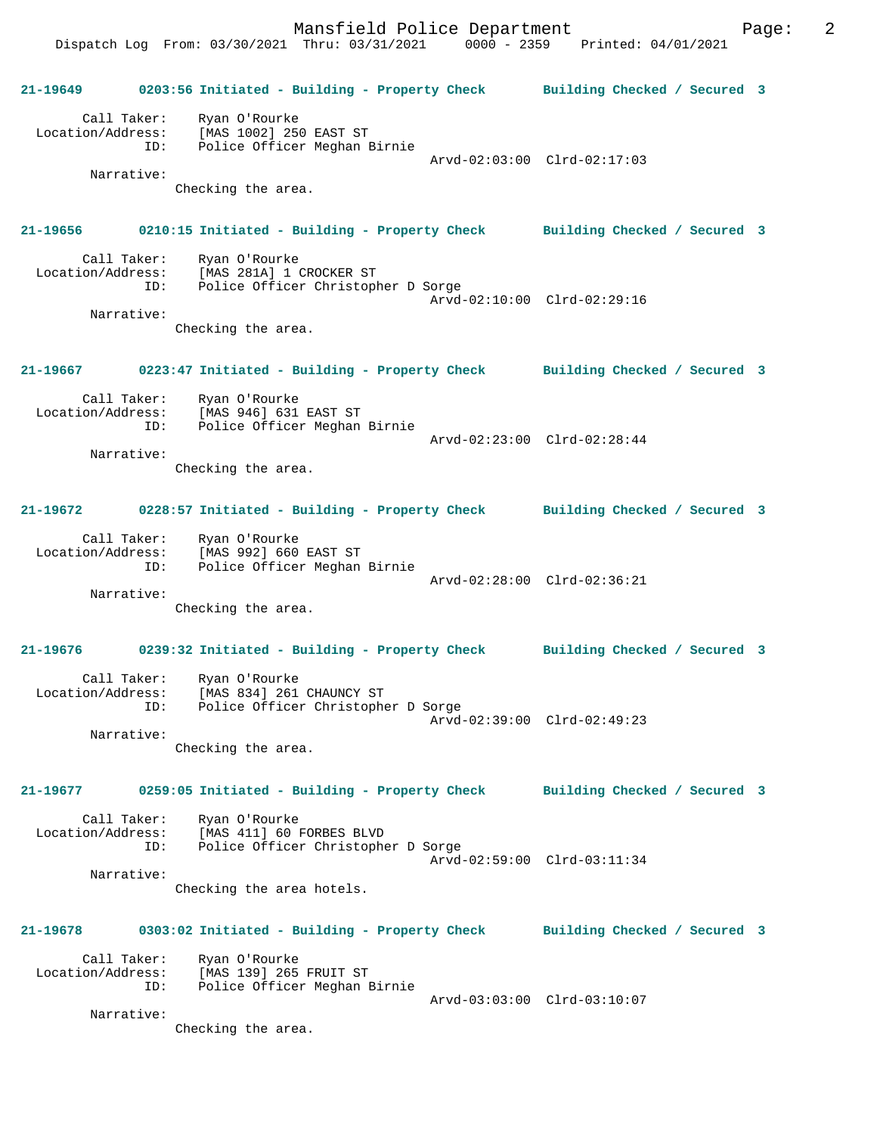Mansfield Police Department Fage: 2 Dispatch Log From: 03/30/2021 Thru: 03/31/2021 0000 - 2359 Printed: 04/01/2021

**21-19649 0203:56 Initiated - Building - Property Check Building Checked / Secured 3** Call Taker: Ryan O'Rourke Location/Address: [MAS 1002] 250 EAST ST ID: Police Officer Meghan Birnie Arvd-02:03:00 Clrd-02:17:03 Narrative: Checking the area. **21-19656 0210:15 Initiated - Building - Property Check Building Checked / Secured 3** Call Taker: Ryan O'Rourke Location/Address: [MAS 281A] 1 CROCKER ST ID: Police Officer Christopher D Sorge Arvd-02:10:00 Clrd-02:29:16 Narrative: Checking the area. **21-19667 0223:47 Initiated - Building - Property Check Building Checked / Secured 3** Call Taker: Ryan O'Rourke Location/Address: [MAS 946] 631 EAST ST ID: Police Officer Meghan Birnie Arvd-02:23:00 Clrd-02:28:44 Narrative: Checking the area. **21-19672 0228:57 Initiated - Building - Property Check Building Checked / Secured 3** Call Taker: Ryan O'Rourke Location/Address: [MAS 992] 660 EAST ST ID: Police Officer Meghan Birnie Arvd-02:28:00 Clrd-02:36:21 Narrative: Checking the area. **21-19676 0239:32 Initiated - Building - Property Check Building Checked / Secured 3** Call Taker: Ryan O'Rourke Location/Address: [MAS 834] 261 CHAUNCY ST ID: Police Officer Christopher D Sorge Arvd-02:39:00 Clrd-02:49:23 Narrative: Checking the area. **21-19677 0259:05 Initiated - Building - Property Check Building Checked / Secured 3** Call Taker: Ryan O'Rourke Location/Address: [MAS 411] 60 FORBES BLVD ID: Police Officer Christopher D Sorge Arvd-02:59:00 Clrd-03:11:34 Narrative: Checking the area hotels. **21-19678 0303:02 Initiated - Building - Property Check Building Checked / Secured 3** Call Taker: Ryan O'Rourke Location/Address: [MAS 139] 265 FRUIT ST ID: Police Officer Meghan Birnie Arvd-03:03:00 Clrd-03:10:07 Narrative: Checking the area.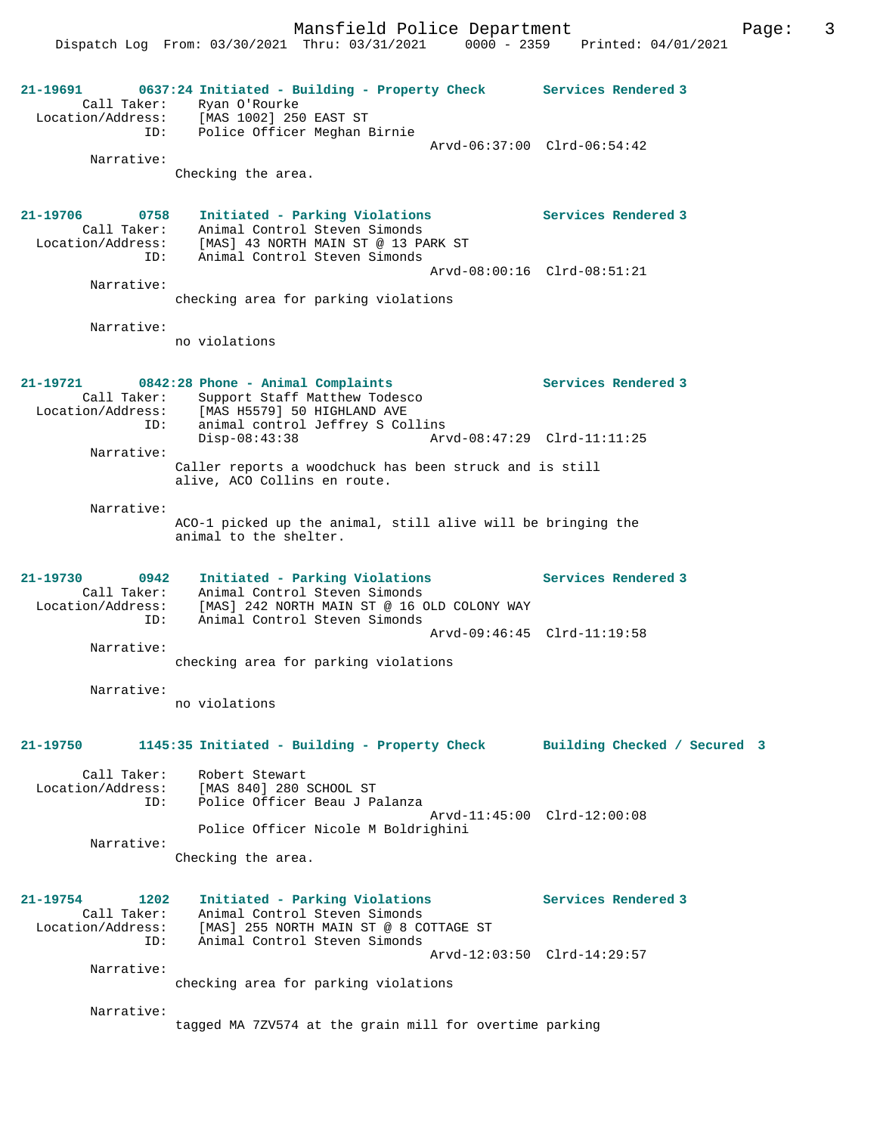Mansfield Police Department Fage: 3

Dispatch Log From: 03/30/2021 Thru: 03/31/2021 0000 - 2359 Printed: 04/01/2021

**21-19691 0637:24 Initiated - Building - Property Check Services Rendered 3**  Call Taker: Ryan O'Rourke Location/Address: [MAS 1002] 250 EAST ST ID: Police Officer Meghan Birnie Arvd-06:37:00 Clrd-06:54:42 Narrative: Checking the area. **21-19706 0758 Initiated - Parking Violations Services Rendered 3**  Call Taker: Animal Control Steven Simonds Location/Address: [MAS] 43 NORTH MAIN ST @ 13 PARK ST ID: Animal Control Steven Simonds Arvd-08:00:16 Clrd-08:51:21 Narrative: checking area for parking violations Narrative: no violations **21-19721 0842:28 Phone - Animal Complaints Services Rendered 3**  Call Taker: Support Staff Matthew Todesco<br>Location/Address: [MAS H5579] 50 HIGHLAND AVE [MAS H5579] 50 HIGHLAND AVE ID: animal control Jeffrey S Collins Disp-08:43:38 Arvd-08:47:29 Clrd-11:11:25 Narrative: Caller reports a woodchuck has been struck and is still alive, ACO Collins en route. Narrative: ACO-1 picked up the animal, still alive will be bringing the animal to the shelter. **21-19730 0942 Initiated - Parking Violations Services Rendered 3**  Call Taker: Animal Control Steven Simonds Location/Address: [MAS] 242 NORTH MAIN ST @ 16 OLD COLONY WAY ID: Animal Control Steven Simonds Arvd-09:46:45 Clrd-11:19:58 Narrative: checking area for parking violations Narrative: no violations **21-19750 1145:35 Initiated - Building - Property Check Building Checked / Secured 3** Call Taker: Robert Stewart Location/Address: [MAS 840] 280 SCHOOL ST Police Officer Beau J Palanza Arvd-11:45:00 Clrd-12:00:08 Police Officer Nicole M Boldrighini Narrative: Checking the area. **21-19754 1202 Initiated - Parking Violations Services Rendered 3**  Call Taker: Animal Control Steven Simonds Location/Address: [MAS] 255 NORTH MAIN ST @ 8 COTTAGE ST ID: Animal Control Steven Simonds Arvd-12:03:50 Clrd-14:29:57 Narrative: checking area for parking violations Narrative: tagged MA 7ZV574 at the grain mill for overtime parking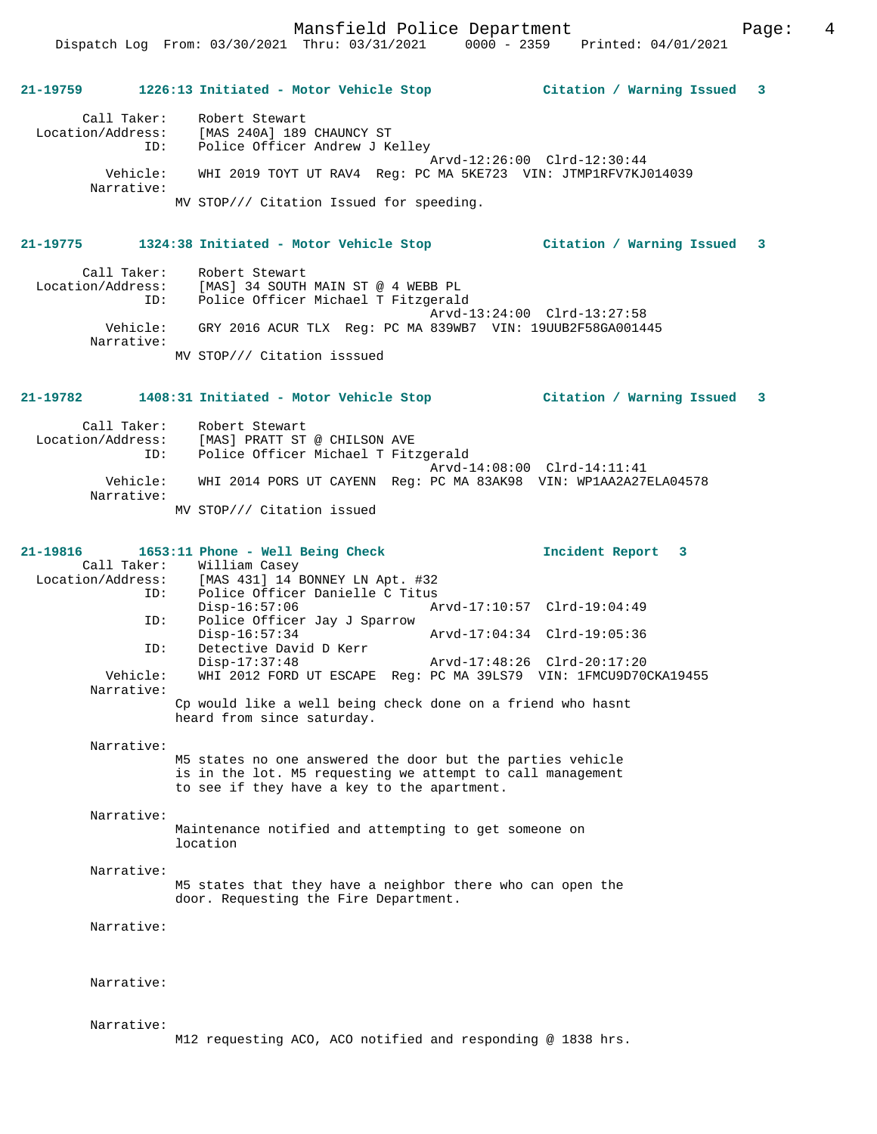Mansfield Police Department Page: 4

# **21-19759 1226:13 Initiated - Motor Vehicle Stop Citation / Warning Issued 3**

 Call Taker: Robert Stewart Location/Address: [MAS 240A] 189 CHAUNCY ST ID: Police Officer Andrew J Kelley Arvd-12:26:00 Clrd-12:30:44 Vehicle: WHI 2019 TOYT UT RAV4 Reg: PC MA 5KE723 VIN: JTMP1RFV7KJ014039 Narrative: MV STOP/// Citation Issued for speeding.

#### **21-19775 1324:38 Initiated - Motor Vehicle Stop Citation / Warning Issued 3**

Call Taker: Robert Stewart<br>Location/Address: [MAS] 34 SOUTH ess: [MAS] 34 SOUTH MAIN ST @ 4 WEBB PL<br>ID: Police Officer Michael T Fitzgeral Police Officer Michael T Fitzgerald Arvd-13:24:00 Clrd-13:27:58 Vehicle: GRY 2016 ACUR TLX Reg: PC MA 839WB7 VIN: 19UUB2F58GA001445 Narrative: MV STOP/// Citation isssued

#### **21-19782 1408:31 Initiated - Motor Vehicle Stop Citation / Warning Issued 3**

 Call Taker: Robert Stewart Location/Address: [MAS] PRATT ST @ CHILSON AVE Police Officer Michael T Fitzgerald Arvd-14:08:00 Clrd-14:11:41<br>Vehicle: WHI 2014 PORS UT CAYENN Reg: PC MA 83AK98 VIN: WP1AA2A27 WHI 2014 PORS UT CAYENN Reg: PC MA 83AK98 VIN: WP1AA2A27ELA04578 Narrative: MV STOP/// Citation issued

#### **21-19816 1653:11 Phone - Well Being Check Incident Report 3**  Call Taker: William Casey Location/Address: [MAS 431] 14 BONNEY LN Apt. #32 ID: Police Officer Danielle C Titus Disp-16:57:06 Arvd-17:10:57 Clrd-19:04:49<br>ID: Police Officer Jay J Sparrow Police Officer Jay J Sparrow<br>Disp-16:57:34 Disp-16:57:34 Arvd-17:04:34 Clrd-19:05:36<br>ID: Detective David D Kerr Detective David D Kerr<br>Disp-17:37:48 Disp-17:37:48 Arvd-17:48:26 Clrd-20:17:20<br>Vehicle: WHI 2012 FORD UT ESCAPE Req: PC MA 39LS79 VIN: 1FMCU9D70 WHI 2012 FORD UT ESCAPE Reg: PC MA 39LS79 VIN: 1FMCU9D70CKA19455 Narrative: Cp would like a well being check done on a friend who hasnt heard from since saturday.

Narrative:

M5 states no one answered the door but the parties vehicle is in the lot. M5 requesting we attempt to call management to see if they have a key to the apartment.

Narrative:

Maintenance notified and attempting to get someone on location

### Narrative:

M5 states that they have a neighbor there who can open the door. Requesting the Fire Department.

Narrative:

Narrative:

#### Narrative:

M12 requesting ACO, ACO notified and responding @ 1838 hrs.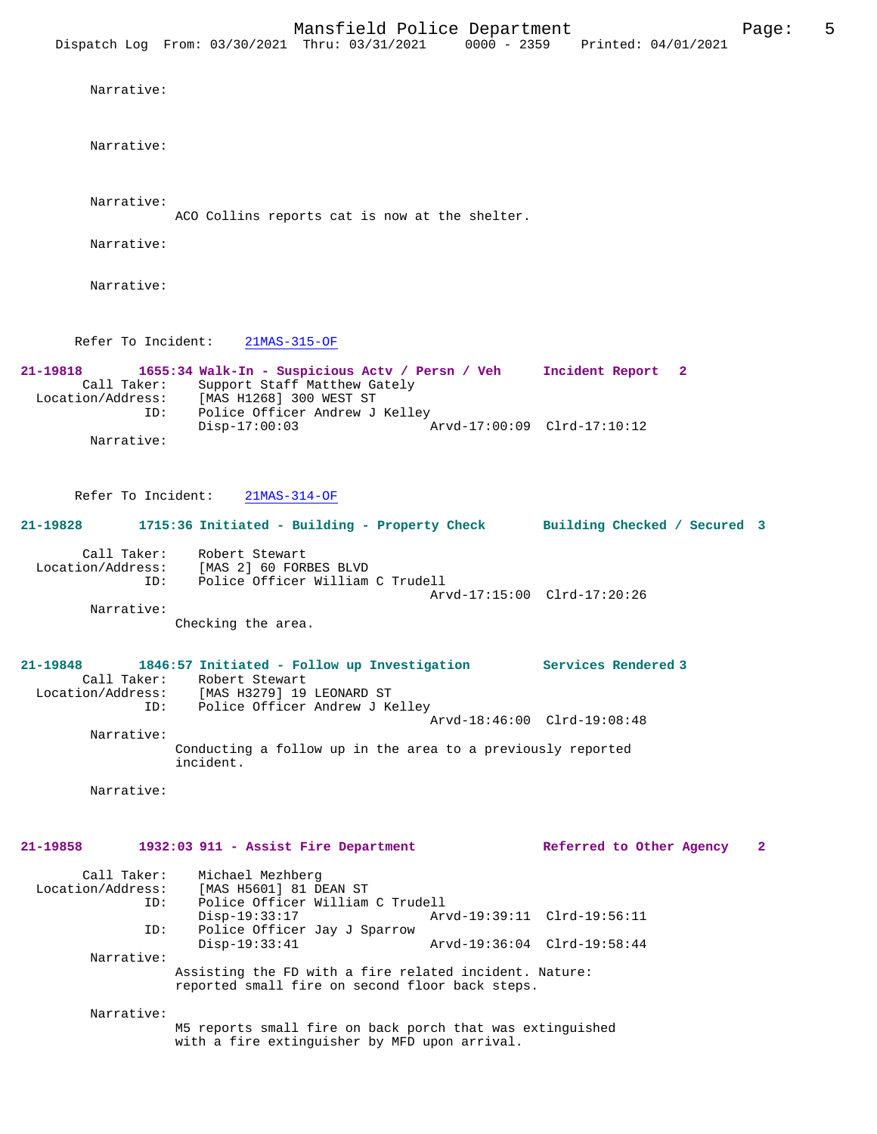Narrative:

Narrative:

Narrative:

ACO Collins reports cat is now at the shelter.

Narrative:

Narrative:

Refer To Incident: 21MAS-315-OF

**21-19818 1655:34 Walk-In - Suspicious Actv / Persn / Veh Incident Report 2**  Call Taker: Support Staff Matthew Gately Location/Address: [MAS H1268] 300 WEST ST ID: Police Officer Andrew J Kelley Disp-17:00:03 Arvd-17:00:09 Clrd-17:10:12 Narrative:

Refer To Incident: 21MAS-314-OF

| 21-19828          |             | 1715:36 Initiated - Building - Property Check |                             | Building Checked / Secured 3 |  |
|-------------------|-------------|-----------------------------------------------|-----------------------------|------------------------------|--|
|                   | Call Taker: | Robert Stewart                                |                             |                              |  |
| Location/Address: |             | [MAS 2] 60 FORBES BLVD                        |                             |                              |  |
|                   | ID:         | Police Officer William C Trudell              |                             |                              |  |
|                   |             |                                               | Arvd-17:15:00 Clrd-17:20:26 |                              |  |

 Narrative: Checking the area.

**21-19848 1846:57 Initiated - Follow up Investigation Services Rendered 3**  Call Taker: Robert Stewart Location/Address: [MAS H3279] 19 LEONARD ST ID: Police Officer Andrew J Kelley Arvd-18:46:00 Clrd-19:08:48 Narrative: Conducting a follow up in the area to a previously reported incident.

Narrative:

#### **21-19858 1932:03 911 - Assist Fire Department Referred to Other Agency 2**

| Call Taker:                                                                                               | Michael Mezhberg                 |  |                             |  |  |
|-----------------------------------------------------------------------------------------------------------|----------------------------------|--|-----------------------------|--|--|
| Location/Address:                                                                                         | [MAS H5601] 81 DEAN ST           |  |                             |  |  |
| ID:                                                                                                       | Police Officer William C Trudell |  |                             |  |  |
|                                                                                                           | $Disp-19:33:17$                  |  | Arvd-19:39:11 Clrd-19:56:11 |  |  |
| ID:                                                                                                       | Police Officer Jay J Sparrow     |  |                             |  |  |
|                                                                                                           | $Disp-19:33:41$                  |  | Arvd-19:36:04 Clrd-19:58:44 |  |  |
| Narrative:                                                                                                |                                  |  |                             |  |  |
| Assisting the FD with a fire related incident. Nature:<br>reported small fire on second floor back steps. |                                  |  |                             |  |  |
| Narrative:                                                                                                |                                  |  |                             |  |  |

M5 reports small fire on back porch that was extinguished with a fire extinguisher by MFD upon arrival.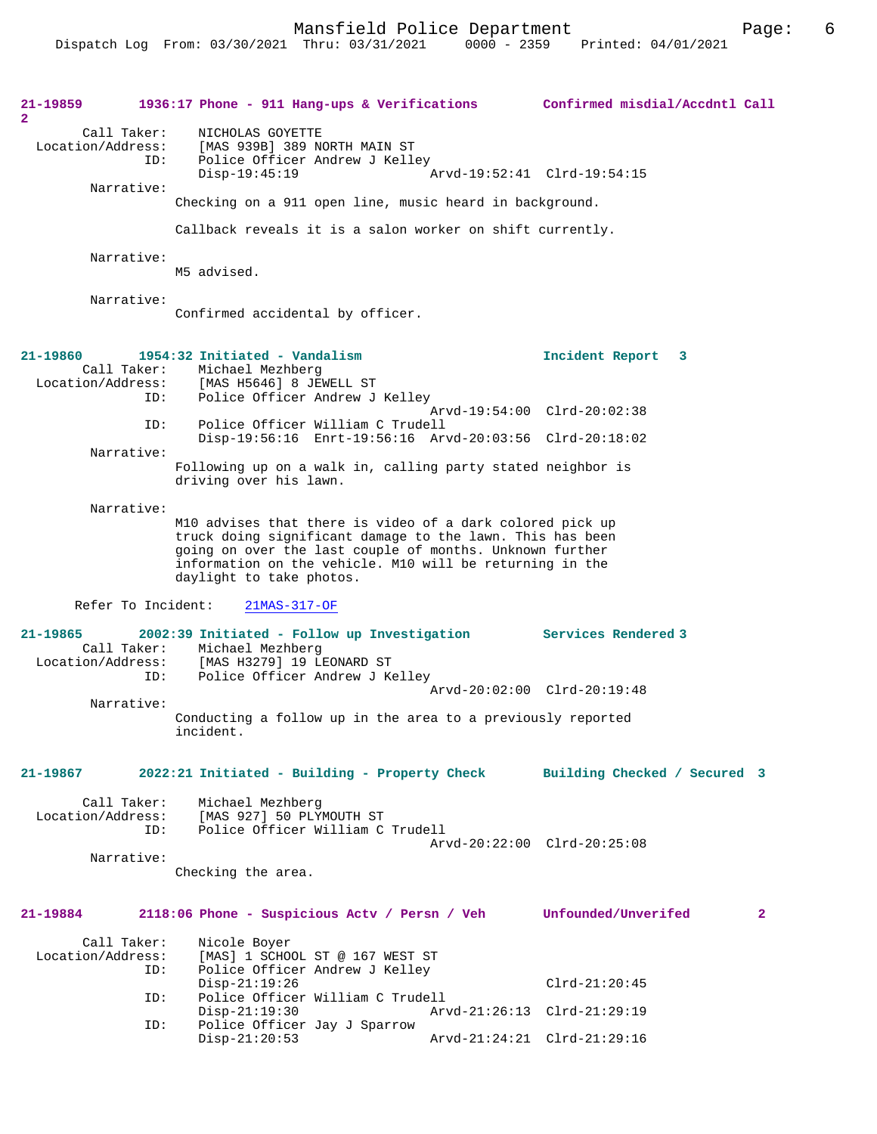| 21-19859<br>$\mathbf{2}$          |                    | 1936:17 Phone - 911 Hang-ups & Verifications Confirmed misdial/Accdntl Call                                                                                                                                                                                                |                              |                |
|-----------------------------------|--------------------|----------------------------------------------------------------------------------------------------------------------------------------------------------------------------------------------------------------------------------------------------------------------------|------------------------------|----------------|
| Location/Address:                 | Call Taker:<br>ID: | NICHOLAS GOYETTE<br>[MAS 939B] 389 NORTH MAIN ST<br>Police Officer Andrew J Kelley<br>$Disp-19:45:19$                                                                                                                                                                      | Arvd-19:52:41 Clrd-19:54:15  |                |
|                                   | Narrative:         | Checking on a 911 open line, music heard in background.                                                                                                                                                                                                                    |                              |                |
|                                   |                    | Callback reveals it is a salon worker on shift currently.                                                                                                                                                                                                                  |                              |                |
|                                   | Narrative:         | M5 advised.                                                                                                                                                                                                                                                                |                              |                |
|                                   | Narrative:         | Confirmed accidental by officer.                                                                                                                                                                                                                                           |                              |                |
| $21 - 19860$<br>Location/Address: | ID:                | 1954:32 Initiated - Vandalism<br>Call Taker: Michael Mezhberg<br>[MAS H5646] 8 JEWELL ST<br>Police Officer Andrew J Kelley                                                                                                                                                 | Incident Report<br>3         |                |
|                                   | ID:                | Police Officer William C Trudell<br>Disp-19:56:16 Enrt-19:56:16 Arvd-20:03:56 Clrd-20:18:02                                                                                                                                                                                | Arvd-19:54:00 Clrd-20:02:38  |                |
|                                   | Narrative:         | Following up on a walk in, calling party stated neighbor is                                                                                                                                                                                                                |                              |                |
|                                   |                    | driving over his lawn.                                                                                                                                                                                                                                                     |                              |                |
|                                   | Narrative:         | M10 advises that there is video of a dark colored pick up<br>truck doing significant damage to the lawn. This has been<br>going on over the last couple of months. Unknown further<br>information on the vehicle. M10 will be returning in the<br>daylight to take photos. |                              |                |
| Refer To Incident:                |                    | $21MAS-317-OF$                                                                                                                                                                                                                                                             |                              |                |
| 21-19865                          | Call Taker:<br>ID: | 2002:39 Initiated - Follow up Investigation<br>Michael Mezhberg<br>Location/Address: [MAS H3279] 19 LEONARD ST<br>Police Officer Andrew J Kelley                                                                                                                           | Services Rendered 3          |                |
|                                   | Narrative:         |                                                                                                                                                                                                                                                                            | Arvd-20:02:00 Clrd-20:19:48  |                |
|                                   |                    | Conducting a follow up in the area to a previously reported<br>incident.                                                                                                                                                                                                   |                              |                |
| 21-19867                          |                    | 2022:21 Initiated - Building - Property Check                                                                                                                                                                                                                              | Building Checked / Secured 3 |                |
| Location/Address:                 | Call Taker:<br>ID: | Michael Mezhberg<br>[MAS 927] 50 PLYMOUTH ST<br>Police Officer William C Trudell                                                                                                                                                                                           | Arvd-20:22:00 Clrd-20:25:08  |                |
|                                   | Narrative:         | Checking the area.                                                                                                                                                                                                                                                         |                              |                |
| 21-19884                          |                    | 2118:06 Phone - Suspicious Actv / Persn / Veh                                                                                                                                                                                                                              | Unfounded/Unverifed          | $\overline{2}$ |
| Location/Address:                 | Call Taker:<br>ID: | Nicole Boyer<br>[MAS] 1 SCHOOL ST @ 167 WEST ST<br>Police Officer Andrew J Kelley<br>$Disp-21:19:26$                                                                                                                                                                       |                              |                |
|                                   | ID:                | Police Officer William C Trudell                                                                                                                                                                                                                                           | $Clrd-21:20:45$              |                |
|                                   | ID:                | $Disp-21:19:30$<br>Police Officer Jay J Sparrow                                                                                                                                                                                                                            | Arvd-21:26:13 Clrd-21:29:19  |                |
|                                   |                    | $Disp-21:20:53$                                                                                                                                                                                                                                                            | Arvd-21:24:21 Clrd-21:29:16  |                |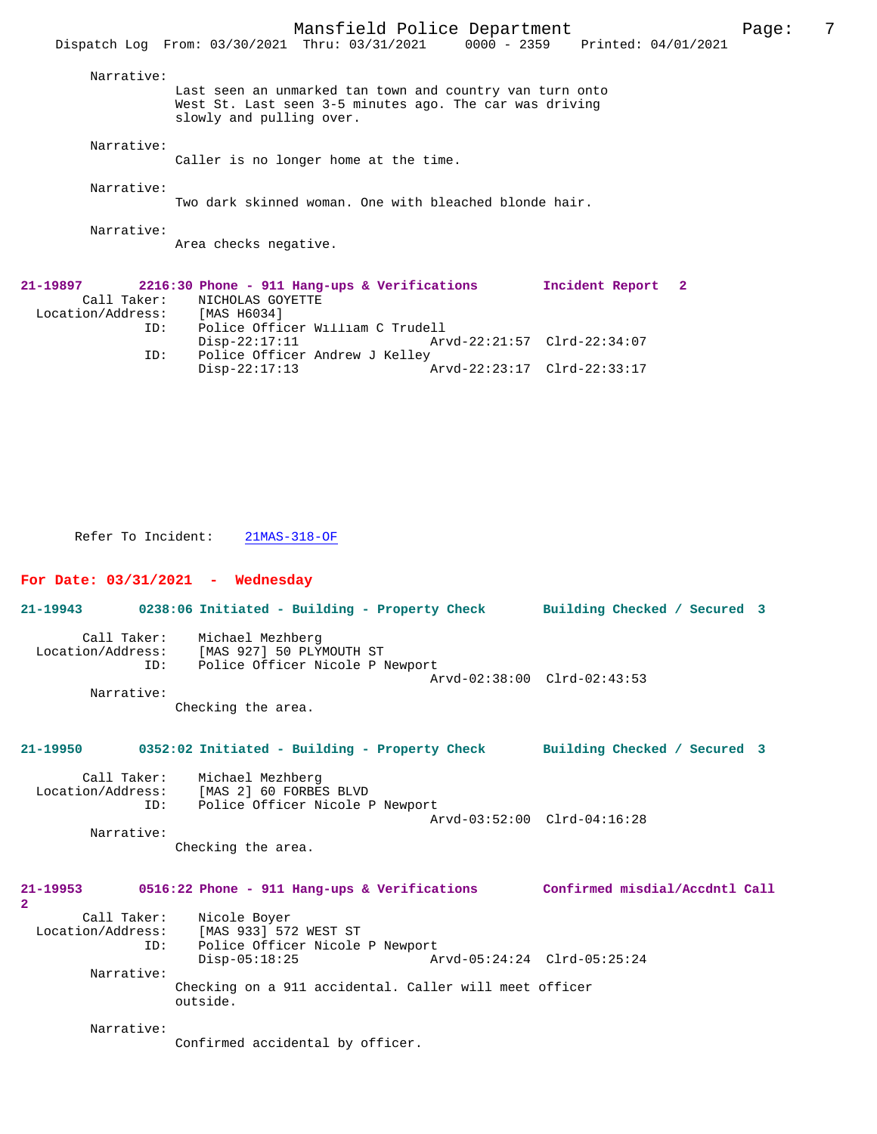|                                                                                                                              | Dispatch Log From: 03/30/2021 Thru: 03/31/2021 0000 - 2359 Printed: 04/01/2021                                                                  | Mansfield Police Department |  |                             |  | Page: | 7 |
|------------------------------------------------------------------------------------------------------------------------------|-------------------------------------------------------------------------------------------------------------------------------------------------|-----------------------------|--|-----------------------------|--|-------|---|
| Narrative:                                                                                                                   |                                                                                                                                                 |                             |  |                             |  |       |   |
|                                                                                                                              | Last seen an unmarked tan town and country van turn onto<br>West St. Last seen 3-5 minutes ago. The car was driving<br>slowly and pulling over. |                             |  |                             |  |       |   |
| Narrative:                                                                                                                   | Caller is no longer home at the time.                                                                                                           |                             |  |                             |  |       |   |
| Narrative:                                                                                                                   | Two dark skinned woman. One with bleached blonde hair.                                                                                          |                             |  |                             |  |       |   |
| Narrative:<br>Area checks negative.                                                                                          |                                                                                                                                                 |                             |  |                             |  |       |   |
| 21-19897<br>2216:30 Phone - 911 Hang-ups & Verifications<br>Call Taker:<br>NICHOLAS GOYETTE<br>Location/Address: [MAS H6034] |                                                                                                                                                 |                             |  | Incident Report 2           |  |       |   |
| ID:                                                                                                                          | Police Officer William C Trudell<br>Disp-22:17:11 Arvd-22:21:57 Clrd-22:34:07                                                                   |                             |  |                             |  |       |   |
| ID:                                                                                                                          | Police Officer Andrew J Kelley<br>$Disp-22:17:13$                                                                                               |                             |  | Arvd-22:23:17 Clrd-22:33:17 |  |       |   |

Refer To Incident: 21MAS-318-OF

## **For Date: 03/31/2021 - Wednesday**

Call Taker: Michael Mezhberg<br>Location/Address: [MAS 927] 50 PLY [MAS 927] 50 PLYMOUTH ST ID: Police Officer Nicole P Newport Arvd-02:38:00 Clrd-02:43:53 Narrative: Checking the area. **21-19950 0352:02 Initiated - Building - Property Check Building Checked / Secured 3** Call Taker: Michael Mezhberg<br>Location/Address: [MAS 2] 60 FORBE ess: [MAS 2] 60 FORBES BLVD<br>ID: Police Officer Nicole B Police Officer Nicole P Newport Arvd-03:52:00 Clrd-04:16:28 Narrative: Checking the area. **21-19953 0516:22 Phone - 911 Hang-ups & Verifications Confirmed misdial/Accdntl Call 2**  Call Taker: Nicole Boyer Location/Address: [MAS 933] 572 WEST ST Police Officer Nicole P Newport<br>Disp-05:18:25 A Disp-05:18:25 Arvd-05:24:24 Clrd-05:25:24 Narrative: Checking on a 911 accidental. Caller will meet officer outside. Narrative:

**21-19943 0238:06 Initiated - Building - Property Check Building Checked / Secured 3**

Confirmed accidental by officer.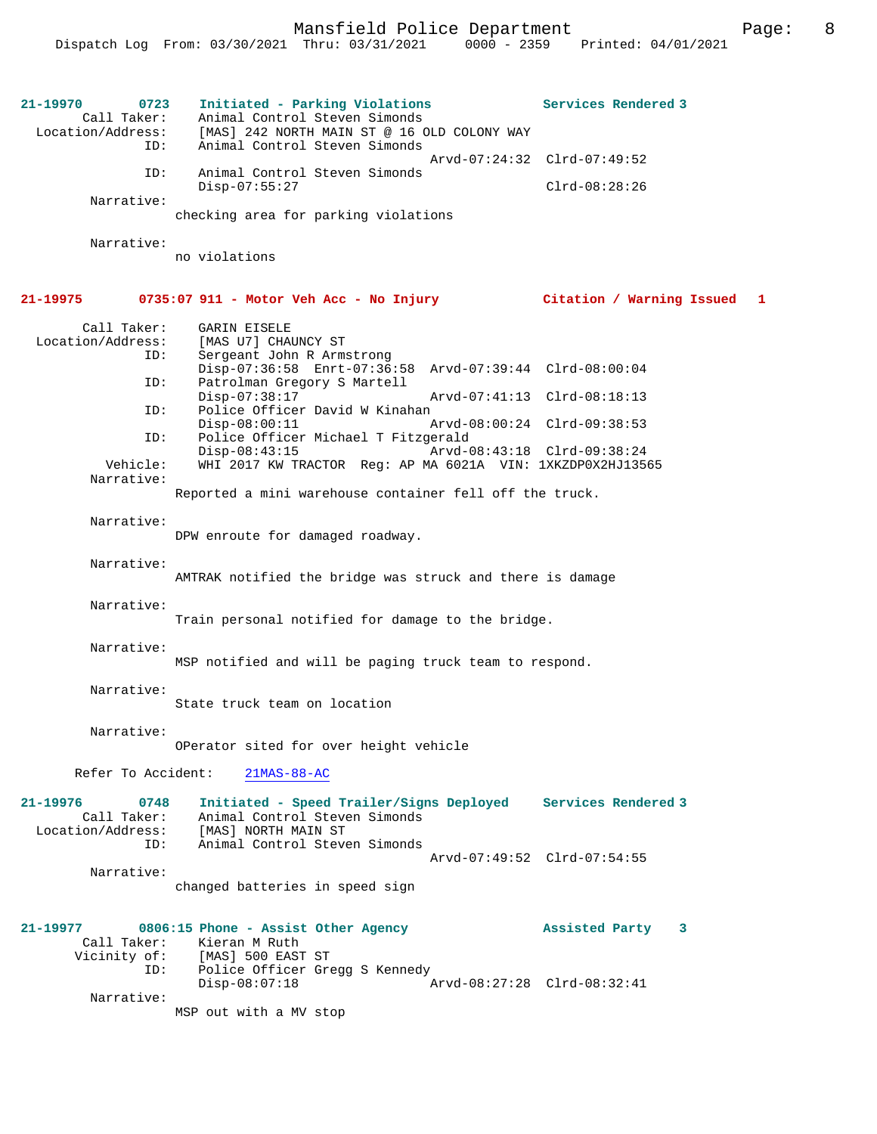**21-19970 0723 Initiated - Parking Violations Services Rendered 3**  Call Taker: Animal Control Steven Simonds<br>Location/Address: [MAS] 242 NORTH MAIN ST @ 16 C [MAS] 242 NORTH MAIN ST @ 16 OLD COLONY WAY ID: Animal Control Steven Simonds Arvd-07:24:32 Clrd-07:49:52 ID: Animal Control Steven Simonds Disp-07:55:27 Clrd-08:28:26 Narrative: checking area for parking violations Narrative: no violations **21-19975 0735:07 911 - Motor Veh Acc - No Injury Citation / Warning Issued 1** Call Taker: GARIN EISELE<br>Location/Address: [MAS U7] CHAI ess: [MAS U7] CHAUNCY ST<br>ID: Sergeant John R Arms Sergeant John R Armstrong Disp-07:36:58 Enrt-07:36:58 Arvd-07:39:44 Clrd-08:00:04 ID: Patrolman Gregory S Martell Disp-07:38:17 Arvd-07:41:13 Clrd-08:18:13<br>TD: Police Officer David W Kinahan Police Officer David W Kinahan<br>Disp-08:00:11 Disp-08:00:11 Arvd-08:00:24 Clrd-09:38:53 ID: Police Officer Michael T Fitzgerald Disp-08:43:15 Arvd-08:43:18 Clrd-09:38:24<br>Vehicle: WHI 2017 KW TRACTOR Req: AP MA 6021A VIN: 1XKZDP0X2HJ1356 Vehicle: WHI 2017 KW TRACTOR Reg: AP MA 6021A VIN: 1XKZDP0X2HJ13565 Narrative: Reported a mini warehouse container fell off the truck. Narrative: DPW enroute for damaged roadway. Narrative: AMTRAK notified the bridge was struck and there is damage Narrative: Train personal notified for damage to the bridge. Narrative: MSP notified and will be paging truck team to respond. Narrative: State truck team on location Narrative: OPerator sited for over height vehicle Refer To Accident: 21MAS-88-AC **21-19976 0748 Initiated - Speed Trailer/Signs Deployed Services Rendered 3**  Call Taker: Animal Control Steven Simonds Location/Address: [MAS] NORTH MAIN ST<br>ID: Animal Control Steve .<br>Animal Control Steven Simonds Arvd-07:49:52 Clrd-07:54:55 Narrative: changed batteries in speed sign **21-19977 0806:15 Phone - Assist Other Agency Assisted Party 3**  Call Taker: Kieran M Ruth Vicinity of: [MAS] 500 EAST ST ID: Police Officer Gregg S Kennedy<br>Disp-08:07:18 Disp-08:07:18 Arvd-08:27:28 Clrd-08:32:41 Narrative: MSP out with a MV stop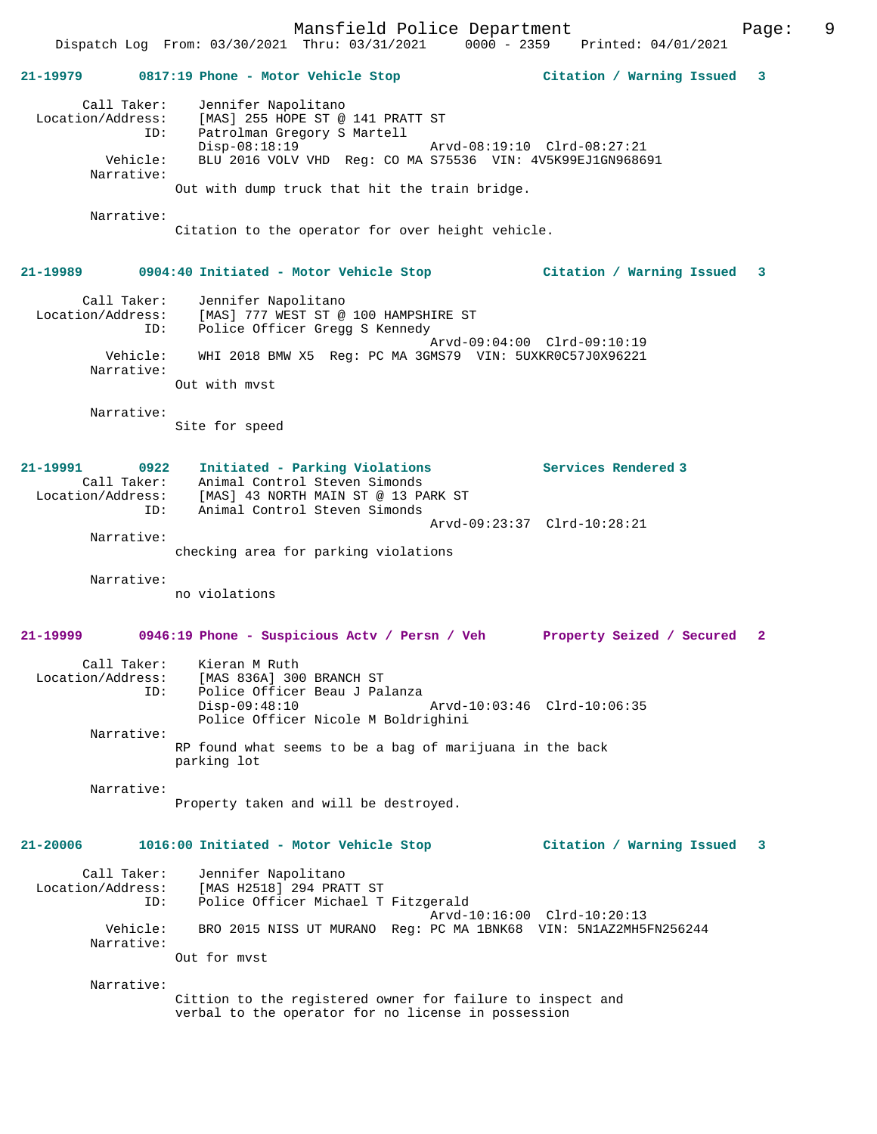**21-19979 0817:19 Phone - Motor Vehicle Stop Citation / Warning Issued 3** Call Taker: Jennifer Napolitano Location/Address: [MAS] 255 HOPE ST @ 141 PRATT ST ID: Patrolman Gregory S Martell Disp-08:18:19 <br>
Vehicle: BLU 2016 VOLV VHD Req: CO MA S75536 VIN: 4V5K99EJ1GN9686 BLU 2016 VOLV VHD Reg: CO MA S75536 VIN: 4V5K99EJ1GN968691 Narrative: Out with dump truck that hit the train bridge. Narrative: Citation to the operator for over height vehicle. **21-19989 0904:40 Initiated - Motor Vehicle Stop Citation / Warning Issued 3** Call Taker: Jennifer Napolitano Location/Address: [MAS] 777 WEST ST @ 100 HAMPSHIRE ST ID: Police Officer Gregg S Kennedy Arvd-09:04:00 Clrd-09:10:19 Vehicle: WHI 2018 BMW X5 Reg: PC MA 3GMS79 VIN: 5UXKR0C57J0X96221 Narrative: Out with mvst Narrative: Site for speed **21-19991 0922 Initiated - Parking Violations Services Rendered 3**  Call Taker: Animal Control Steven Simonds Location/Address: [MAS] 43 NORTH MAIN ST @ 13 PARK ST ID: Animal Control Steven Simonds Arvd-09:23:37 Clrd-10:28:21 Narrative: checking area for parking violations Narrative: no violations **21-19999 0946:19 Phone - Suspicious Actv / Persn / Veh Property Seized / Secured 2** Call Taker: Kieran M Ruth Location/Address: [MAS 836A] 300 BRANCH ST<br>TD: Police Officer Beau J Pa .<br>Police Officer Beau J Palanza<br>Disp-09:48:10 Disp-09:48:10 Arvd-10:03:46 Clrd-10:06:35 Police Officer Nicole M Boldrighini Narrative: RP found what seems to be a bag of marijuana in the back parking lot Narrative: Property taken and will be destroyed. **21-20006 1016:00 Initiated - Motor Vehicle Stop Citation / Warning Issued 3** Call Taker: Jennifer Napolitano Location/Address: [MAS H2518] 294 PRATT ST ID: Police Officer Michael T Fitzgerald Arvd-10:16:00 Clrd-10:20:13 Vehicle: BRO 2015 NISS UT MURANO Reg: PC MA 1BNK68 VIN: 5N1AZ2MH5FN256244 Narrative: Out for mvst Narrative: Cittion to the registered owner for failure to inspect and verbal to the operator for no license in possession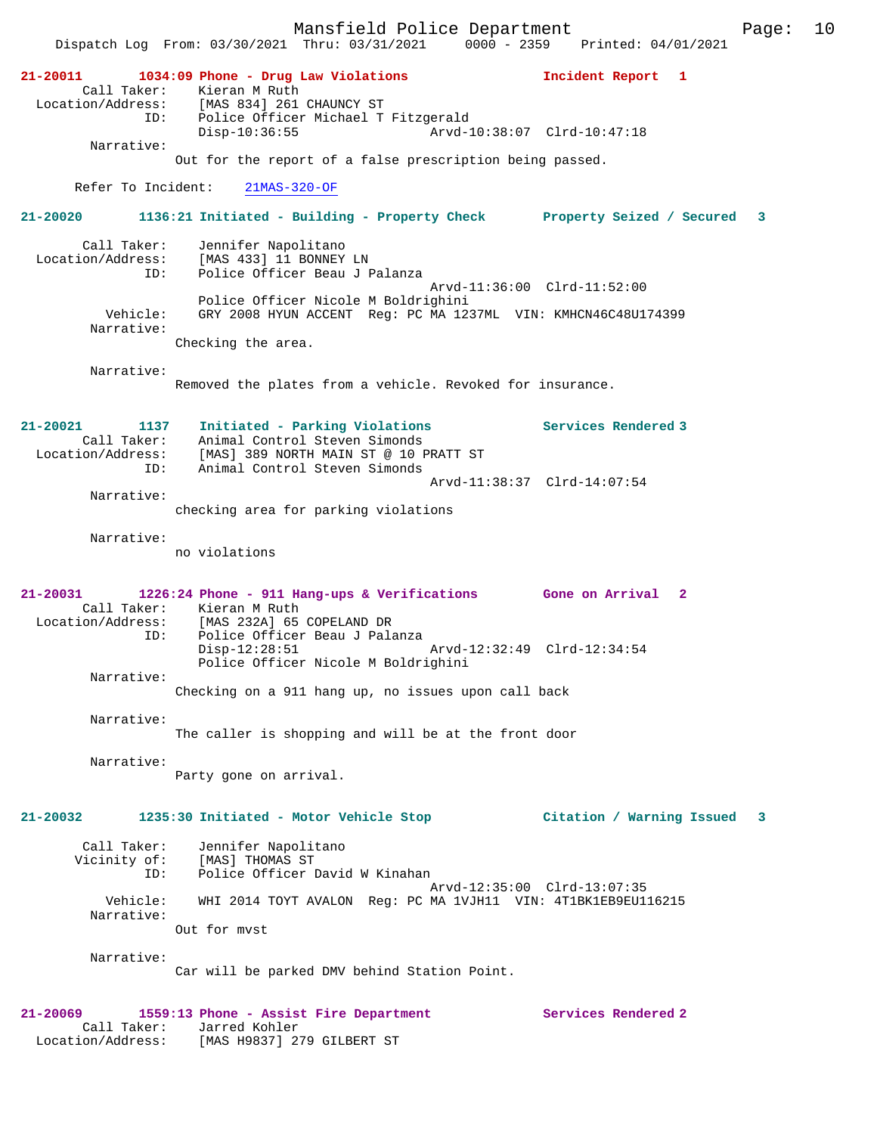Dispatch Log From: 03/30/2021 Thru: 03/31/2021 0000 - 2359 Printed: 04/01/2021 **21-20011 1034:09 Phone - Drug Law Violations Incident Report 1**  Call Taker: Kieran M Ruth Location/Address: [MAS 834] 261 CHAUNCY ST ID: Police Officer Michael T Fitzgerald Disp-10:36:55 Arvd-10:38:07 Clrd-10:47:18 Narrative: Out for the report of a false prescription being passed. Refer To Incident: 21MAS-320-OF **21-20020 1136:21 Initiated - Building - Property Check Property Seized / Secured 3** Call Taker: Jennifer Napolitano Location/Address: [MAS 433] 11 BONNEY LN ID: Police Officer Beau J Palanza Arvd-11:36:00 Clrd-11:52:00 Police Officer Nicole M Boldrighini Vehicle: GRY 2008 HYUN ACCENT Reg: PC MA 1237ML VIN: KMHCN46C48U174399 Narrative: Checking the area. Narrative: Removed the plates from a vehicle. Revoked for insurance. **21-20021 1137 Initiated - Parking Violations Services Rendered 3**  Call Taker: Animal Control Steven Simonds Location/Address: [MAS] 389 NORTH MAIN ST @ 10 PRATT ST ID: Animal Control Steven Simonds Arvd-11:38:37 Clrd-14:07:54 Narrative: checking area for parking violations Narrative: no violations **21-20031 1226:24 Phone - 911 Hang-ups & Verifications Gone on Arrival 2**  Call Taker: Kieran M Ruth<br>Location/Address: [MAS 232A] 65 [MAS 232A] 65 COPELAND DR ID: Police Officer Beau J Palanza Disp-12:28:51 Arvd-12:32:49 Clrd-12:34:54 Police Officer Nicole M Boldrighini Narrative: Checking on a 911 hang up, no issues upon call back Narrative: The caller is shopping and will be at the front door Narrative: Party gone on arrival. **21-20032 1235:30 Initiated - Motor Vehicle Stop Citation / Warning Issued 3** Call Taker: Jennifer Napolitano Vicinity of: [MAS] THOMAS ST ID: Police Officer David W Kinahan Arvd-12:35:00 Clrd-13:07:35 Vehicle: WHI 2014 TOYT AVALON Reg: PC MA 1VJH11 VIN: 4T1BK1EB9EU116215 Narrative: Out for mvst Narrative: Car will be parked DMV behind Station Point. **21-20069 1559:13 Phone - Assist Fire Department Services Rendered 2**  Call Taker: Jarred Kohler Location/Address: [MAS H9837] 279 GILBERT ST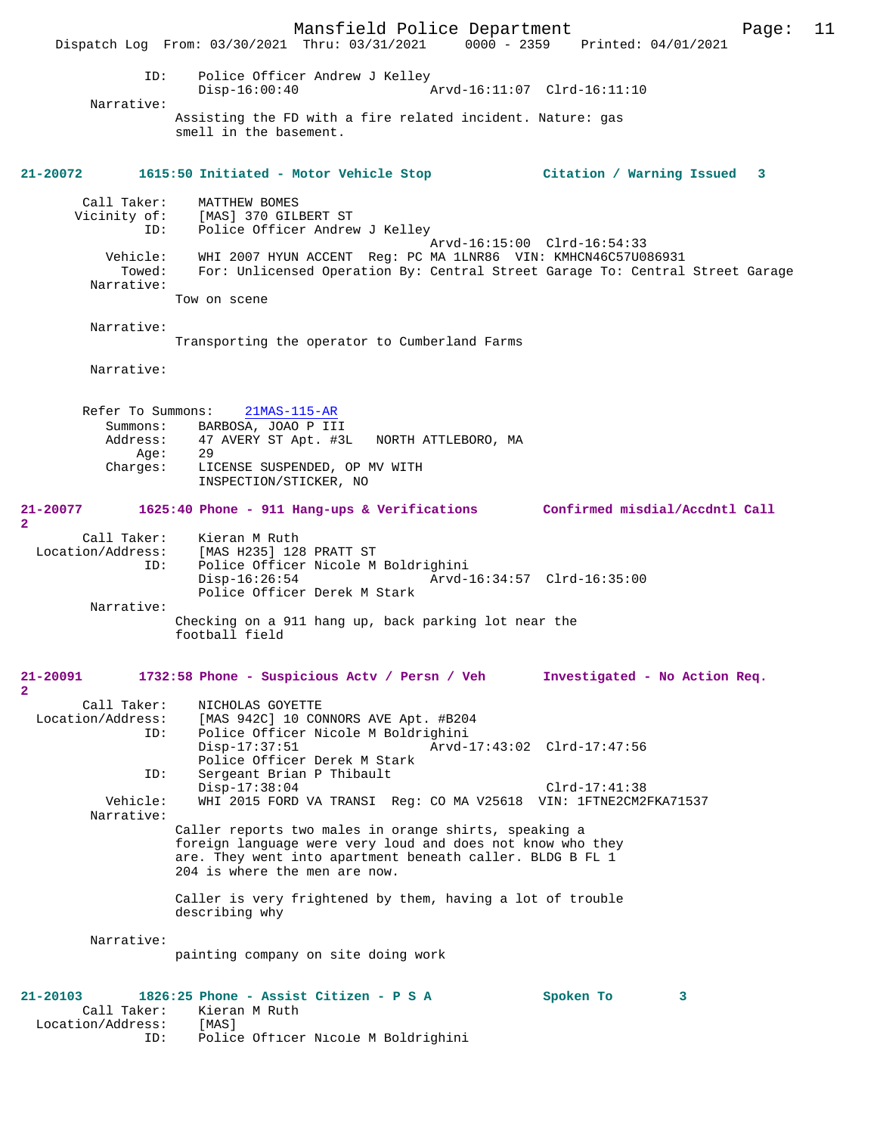Mansfield Police Department Page: 11 Dispatch Log From: 03/30/2021 Thru: 03/31/2021 ID: Police Officer Andrew J Kelley Disp-16:00:40 Arvd-16:11:07 Clrd-16:11:10 Narrative: Assisting the FD with a fire related incident. Nature: gas smell in the basement. **21-20072 1615:50 Initiated - Motor Vehicle Stop Citation / Warning Issued 3** Call Taker: MATTHEW BOMES Vicinity of: [MAS] 370 GILBERT ST<br>ID: Police Officer Andrew Police Officer Andrew J Kelley Arvd-16:15:00 Clrd-16:54:33 Vehicle: WHI 2007 HYUN ACCENT Reg: PC MA 1LNR86 VIN: KMHCN46C57U086931 Towed: For: Unlicensed Operation By: Central Street Garage To: Central Street Garage Narrative: Tow on scene Narrative: Transporting the operator to Cumberland Farms Narrative: Refer To Summons: 21MAS-115-AR Summons: BARBOSA, JOAO P III Address: 47 AVERY ST Apt. #3L NORTH ATTLEBORO, MA<br>Age: 29  $\Delta$ ge: Charges: LICENSE SUSPENDED, OP MV WITH INSPECTION/STICKER, NO **21-20077 1625:40 Phone - 911 Hang-ups & Verifications Confirmed misdial/Accdntl Call 2**  Call Taker: Kieran M Ruth Location/Address: [MAS H235] 128 PRATT ST ID: Police Officer Nicole M Boldrighini Disp-16:26:54 Arvd-16:34:57 Clrd-16:35:00 Police Officer Derek M Stark Narrative: Checking on a 911 hang up, back parking lot near the football field **21-20091 1732:58 Phone - Suspicious Actv / Persn / Veh Investigated - No Action Req. 2**  Call Taker: NICHOLAS GOYETTE<br>Location/Address: [MAS 942C] 10 CO SS: [MAS 942C] 10 CONNORS AVE Apt. #B204<br>ID: Police Officer Nicole M Boldrighini Police Officer Nicole M Boldrighini<br>Disp-17:37:51 Arvd- Disp-17:37:51 Arvd-17:43:02 Clrd-17:47:56 Police Officer Derek M Stark<br>ID: Sergeant Brian P Thibault Sergeant Brian P Thibault Disp-17:38:04 Clrd-17:41:38<br>Vehicle: WHI 2015 FORD VA TRANSI Req: CO MA V25618 VIN: 1FTNE2CM2 WHI 2015 FORD VA TRANSI Reg: CO MA V25618 VIN: 1FTNE2CM2FKA71537 Narrative: Caller reports two males in orange shirts, speaking a foreign language were very loud and does not know who they are. They went into apartment beneath caller. BLDG B FL 1 204 is where the men are now. Caller is very frightened by them, having a lot of trouble describing why Narrative: painting company on site doing work **21-20103 1826:25 Phone - Assist Citizen - P S A Spoken To 3**  Call Taker: Kieran M Ruth<br>ion/Address: [MAS] Location/Address:<br>ID: Police Officer Nicole M Boldrighini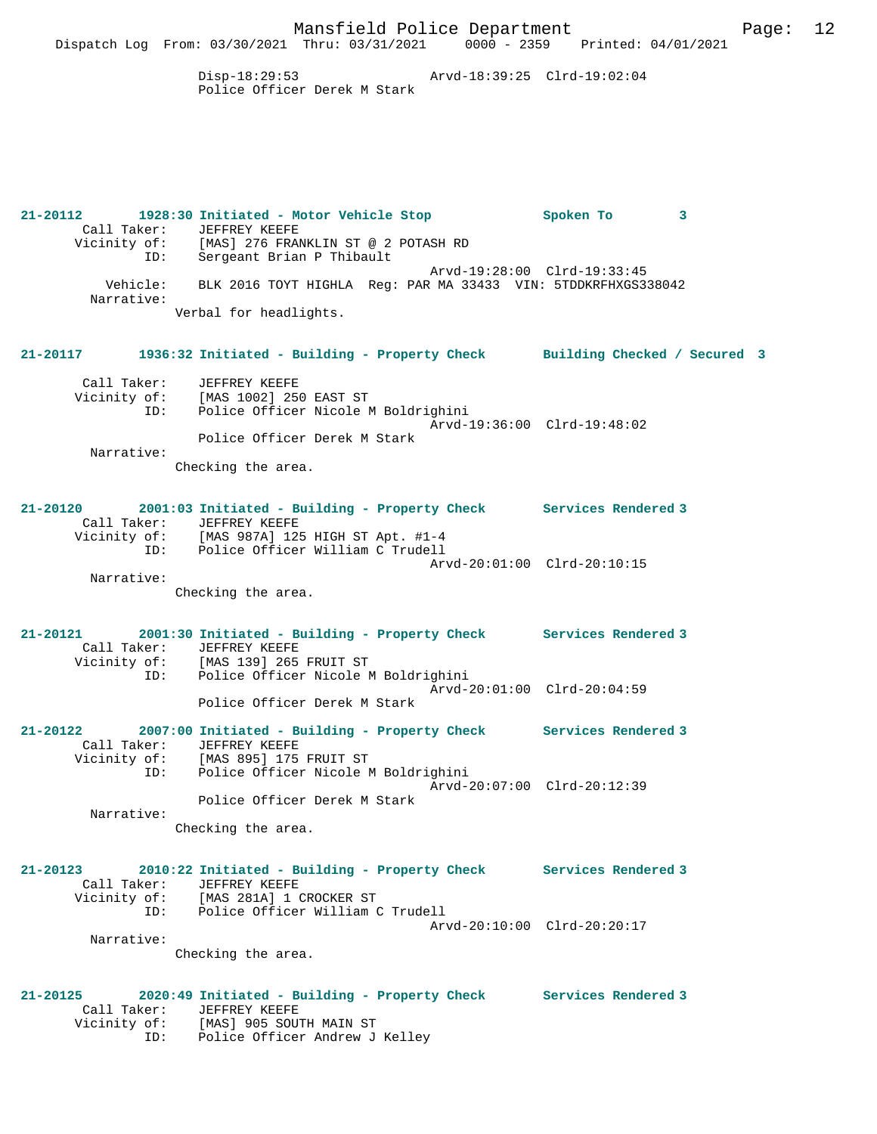Disp-18:29:53 Arvd-18:39:25 Clrd-19:02:04 Police Officer Derek M Stark

Dispatch Log From: 03/30/2021 Thru: 03/31/2021 0000 - 2359 Printed: 04/01/2021

**21-20112 1928:30 Initiated - Motor Vehicle Stop Spoken To 3**  Call Taker: JEFFREY KEEFE Vicinity of: [MAS] 276 FRANKLIN ST @ 2 POTASH RD<br>ID: Sergeant Brian P Thibault Sergeant Brian P Thibault Arvd-19:28:00 Clrd-19:33:45 Vehicle: BLK 2016 TOYT HIGHLA Reg: PAR MA 33433 VIN: 5TDDKRFHXGS338042 Narrative: Verbal for headlights. **21-20117 1936:32 Initiated - Building - Property Check Building Checked / Secured 3** Call Taker: JEFFREY KEEFE Vicinity of: [MAS 1002] 250 EAST ST ID: Police Officer Nicole M Boldrighini Arvd-19:36:00 Clrd-19:48:02 Police Officer Derek M Stark Narrative: Checking the area. **21-20120 2001:03 Initiated - Building - Property Check Services Rendered 3**  Call Taker: JEFFREY KEEFE Vicinity of: [MAS 987A] 125 HIGH ST Apt. #1-4 ID: Police Officer William C Trudell

 Arvd-20:01:00 Clrd-20:10:15 Narrative:

Checking the area.

**21-20121 2001:30 Initiated - Building - Property Check Services Rendered 3**  Call Taker: JEFFREY KEEFE Vicinity of: [MAS 139] 265 FRUIT ST ID: Police Officer Nicole M Boldrighini Arvd-20:01:00 Clrd-20:04:59 Police Officer Derek M Stark

**21-20122 2007:00 Initiated - Building - Property Check Services Rendered 3**  Call Taker: JEFFREY KEEFE Vicinity of: [MAS 895] 175 FRUIT ST ID: Police Officer Nicole M Boldrighini Arvd-20:07:00 Clrd-20:12:39 Police Officer Derek M Stark Narrative:

Checking the area.

**21-20123 2010:22 Initiated - Building - Property Check Services Rendered 3**  Call Taker: JEFFREY KEEFE Vicinity of: [MAS 281A] 1 CROCKER ST ID: Police Officer William C Trudell Arvd-20:10:00 Clrd-20:20:17 Narrative:

Checking the area.

**21-20125 2020:49 Initiated - Building - Property Check Services Rendered 3**  Call Taker: JEFFREY KEEFE Vicinity of: [MAS] 905 SOUTH MAIN ST ID: Police Officer Andrew J Kelley